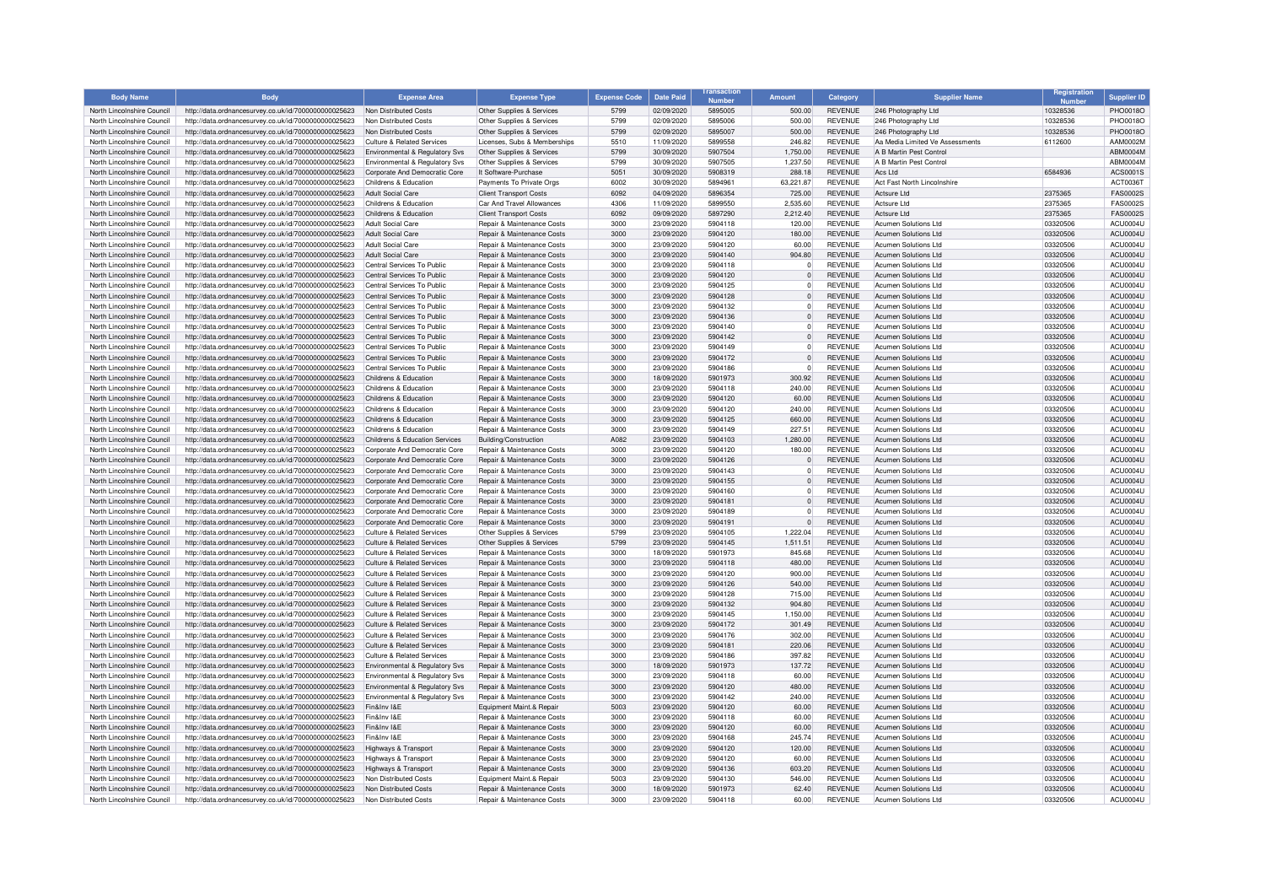| <b>Body Name</b>                                         | <b>Body</b>                                                                                                  | <b>Expense Area</b>                                                            | <b>Expense Type</b>                                      | <b>Expense Code</b> | <b>Date Paid</b>         | ansactio<br><b>Numbo</b> | Amount             | Category                         | <b>Supplier Name</b>                                       | Registration         | <b>Supplier ID</b>   |
|----------------------------------------------------------|--------------------------------------------------------------------------------------------------------------|--------------------------------------------------------------------------------|----------------------------------------------------------|---------------------|--------------------------|--------------------------|--------------------|----------------------------------|------------------------------------------------------------|----------------------|----------------------|
| North Lincolnshire Council                               | http://data.ordnancesurvey.co.uk/id/7000000000025623                                                         | Non Distributed Costs                                                          | Other Supplies & Services                                | 5799                | 02/09/2020               | 5895005                  | 500.00             | <b>REVENUE</b>                   | 246 Photography Ltd                                        | 10328536             | PHO0018O             |
| North Lincolnshire Council                               | http://data.ordnancesurvey.co.uk/id/7000000000025623                                                         | Non Distributed Costs                                                          | Other Supplies & Services                                | 5799                | 02/09/2020               | 5895006                  | 500.00             | <b>REVENUE</b>                   | 246 Photography Ltd                                        | 10328536             | PHO0018O             |
| North Lincolnshire Council                               | http://data.ordnancesurvey.co.uk/id/7000000000025623                                                         | <b>Non Distributed Costs</b>                                                   | Other Supplies & Services                                | 5799                | 02/09/2020               | 5895007                  | 500.00             | <b>REVENUE</b>                   | 246 Photography Ltd                                        | 10328536             | PHO0018O             |
| North Lincolnshire Council                               | http://data.ordnancesurvey.co.uk/id/7000000000025623                                                         | <b>Culture &amp; Related Services</b>                                          | Licenses, Subs & Memberships                             | 5510                | 11/09/2020               | 5899558                  | 246.82             | <b>REVENUE</b>                   | Aa Media Limited Ve Assessments                            | 6112600              | AAM0002M             |
| North Lincolnshire Council                               | http://data.ordnancesurvey.co.uk/id/7000000000025623                                                         | Environmental & Regulatory Sys                                                 | Other Supplies & Services                                | 5799                | 30/09/2020               | 5907504                  | 1.750.00           | <b>REVENUE</b>                   | A B Martin Pest Control                                    |                      | ABM0004M             |
| North Lincolnshire Council                               | http://data.ordnancesurvey.co.uk/id/7000000000025623                                                         | Environmental & Regulatory Svs                                                 | Other Supplies & Services                                | 5799                | 30/09/2020               | 5907505                  | 1,237.50           | <b>REVENUE</b>                   | A R Martin Pest Control                                    |                      | ABM0004M             |
| North Lincolnshire Council                               | http://data.ordnancesurvey.co.uk/id/7000000000025623                                                         | Corporate And Democratic Core                                                  | It Software-Purchase                                     | 5051                | 30/09/2020               | 5908319                  | 288.18             | <b>REVENUE</b>                   | Acs I td                                                   | 6584936              | ACS0001S             |
| North Lincolnshire Council                               | http://data.ordnancesurvey.co.uk/id/7000000000025623                                                         | Childrens & Education                                                          | Payments To Private Orgs                                 | 6002                | 30/09/2020               | 589496                   | 63,221.87          | <b>REVENUE</b>                   | Act Fast North Lincolnshire                                |                      | ACT00361             |
| North Lincolnshire Council                               | http://data.ordnancesurvey.co.uk/id/7000000000025623                                                         | <b>Adult Social Care</b>                                                       | <b>Client Transport Costs</b>                            | 6092                | 04/09/2020               | 5896354                  | 725.00             | <b>REVENUE</b>                   | Actsure I to                                               | 2375365              | <b>FAS0002S</b>      |
| North Lincolnshire Council                               | http://data.ordnancesurvey.co.uk/id/7000000000025623                                                         | Childrens & Education                                                          | Car And Travel Allowances                                | 4306                | 11/09/2020               | 5899550                  | 2,535.60           | <b>REVENUE</b>                   | Actsure I to                                               | 2375365              | FAS0002S             |
| North Lincolnshire Council                               | http://data.ordnancesurvey.co.uk/id/7000000000025623                                                         | Childrens & Education                                                          | <b>Client Transport Costs</b>                            | 6092                | 09/09/2020               | 5897290                  | 2,212.40           | <b>REVENUE</b>                   | Actsure I to                                               | 2375365              | <b>FAS0002S</b>      |
| North Lincolnshire Council                               | http://data.ordnancesurvey.co.uk/id/7000000000025623                                                         | <b>Adult Social Care</b>                                                       | Repair & Maintenance Costs                               | 3000                | 23/09/2020               | 5904118                  | 120.00             | <b>REVENUE</b>                   | Acumen Solutions Ltd                                       | 03320506             | ACU0004U             |
| North Lincolnshire Council<br>North Lincolnshire Council | http://data.ordnancesurvey.co.uk/id/7000000000025623                                                         | <b>Adult Social Care</b><br><b>Adult Social Care</b>                           | Repair & Maintenance Costs<br>Repair & Maintenance Costs | 3000<br>3000        | 23/09/2020<br>23/09/2020 | 5904120<br>5904120       | 180.00<br>60.00    | <b>REVENUE</b><br><b>REVENUE</b> | Acumen Solutions Ltd<br>Acumen Solutions Ltd               | 03320506<br>03320506 | ACU0004L<br>ACU0004L |
| North Lincolnshire Council                               | http://data.ordnancesurvey.co.uk/id/7000000000025623<br>http://data.ordnancesurvey.co.uk/id/7000000000025623 | <b>Adult Social Care</b>                                                       | Repair & Maintenance Costs                               | 3000                | 23/09/2020               | 5904140                  | 904.80             | <b>REVENUE</b>                   | <b>Acumen Solutions Ltd</b>                                | 03320506             | <b>ACU0004U</b>      |
| North Lincolnshire Council                               | http://data.ordnancesurvey.co.uk/id/7000000000025623                                                         | Central Services To Public                                                     | Repair & Maintenance Costs                               | 3000                | 23/09/2020               | 5904118                  |                    | <b>REVENUE</b>                   | Acumen Solutions Ltd                                       | 03320506             | ACU0004U             |
| North Lincolnshire Council                               | http://data.ordnancesurvey.co.uk/id/7000000000025623                                                         | Central Services To Public                                                     | Repair & Maintenance Costs                               | 3000                | 23/09/2020               | 5904120                  |                    | <b>REVENUE</b>                   | Acumen Solutions Ltd                                       | 03320506             | ACU0004L             |
| North Lincolnshire Council                               | http://data.ordnancesurvey.co.uk/id/7000000000025623                                                         | Central Services To Public                                                     | Repair & Maintenance Costs                               | 3000                | 23/09/2020               | 5904125                  | $\Omega$           | <b>REVENUE</b>                   | Acumen Solutions Ltd                                       | 03320506             | ACU0004U             |
| North Lincolnshire Council                               | http://data.ordnancesurvey.co.uk/id/7000000000025623                                                         | Central Services To Public                                                     | Repair & Maintenance Costs                               | 3000                | 23/09/2020               | 5904128                  | $\Omega$           | <b>REVENUE</b>                   | Acumen Solutions Ltd                                       | 03320506             | <b>ACU0004U</b>      |
| North Lincolnshire Council                               | http://data.ordnancesurvey.co.uk/id/7000000000025623                                                         | Central Services To Public                                                     | Repair & Maintenance Costs                               | 3000                | 23/09/2020               | 5904132                  | $\Omega$           | <b>REVENUE</b>                   | <b>Acumen Solutions Ltd</b>                                | 03320506             | ACU0004U             |
| North Lincolnshire Council                               | http://data.ordnancesurvey.co.uk/id/7000000000025623                                                         | Central Services To Public                                                     | Repair & Maintenance Costs                               | 3000                | 23/09/2020               | 5904136                  | $\Omega$           | <b>REVENUE</b>                   | <b>Acumen Solutions Ltd</b>                                | 03320506             | ACU0004U             |
| North Lincolnshire Council                               | http://data.ordnancesurvey.co.uk/id/7000000000025623                                                         | Central Services To Public                                                     | Repair & Maintenance Costs                               | 3000                | 23/09/2020               | 5904140                  | $\Omega$           | <b>REVENUE</b>                   | Acumen Solutions Ltd                                       | 03320506             | ACU0004U             |
| North Lincolnshire Council                               | http://data.ordnancesurvey.co.uk/id/7000000000025623                                                         | Central Services To Public                                                     | Repair & Maintenance Costs                               | 3000                | 23/09/2020               | 5904142                  | $\Omega$           | <b>REVENUE</b>                   | <b>Acumen Solutions Ltd</b>                                | 03320506             | ACU0004U             |
| North Lincolnshire Council                               | http://data.ordnancesurvey.co.uk/id/7000000000025623                                                         | Central Services To Public                                                     | Repair & Maintenance Costs                               | 3000                | 23/09/2020               | 5904149                  | $\Omega$           | <b>REVENUE</b>                   | Acumen Solutions Ltd                                       | 03320506             | ACU0004U             |
| North Lincolnshire Council                               | http://data.ordnancesurvey.co.uk/id/7000000000025623                                                         | Central Services To Public                                                     | Repair & Maintenance Costs                               | 3000                | 23/09/2020               | 5904172                  | $\Omega$           | <b>REVENUE</b>                   | Acumen Solutions Ltd                                       | 03320506             | ACU0004U             |
| North Lincolnshire Council                               | http://data.ordnancesurvey.co.uk/id/7000000000025623                                                         | Central Services To Public                                                     | Repair & Maintenance Costs                               | 3000                | 23/09/2020               | 5904186                  | n.                 | <b>REVENUE</b>                   | Acumen Solutions Ltd                                       | 03320506             | ACU0004U             |
| North Lincolnshire Council                               | http://data.ordnancesurvey.co.uk/id/7000000000025623                                                         | Childrens & Education                                                          | Repair & Maintenance Costs                               | 3000                | 18/09/2020               | 5901973                  | 300.92             | <b>REVENUE</b>                   | <b>Acumen Solutions Ltd</b>                                | 03320506             | ACU0004U             |
| North Lincolnshire Council                               | http://data.ordnancesurvey.co.uk/id/7000000000025623                                                         | Childrens & Education                                                          | Repair & Maintenance Costs                               | 3000                | 23/09/2020               | 5904118                  | 240.00             | <b>REVENUE</b>                   | Acumen Solutions Ltd                                       | 03320506             | ACU0004U             |
| North Lincolnshire Council                               | http://data.ordnancesurvey.co.uk/id/7000000000025623                                                         | Childrens & Education                                                          | <b>Benair &amp; Maintenance Costs</b>                    | 3000                | 23/09/2020               | 5904120                  | 60.00              | <b>REVENUE</b>                   | Acumen Solutions Ltd                                       | 03320506             | ACU0004U             |
| North Lincolnshire Council                               | http://data.ordnancesurvey.co.uk/id/7000000000025623                                                         | Childrens & Education                                                          | Repair & Maintenance Costs                               | 3000                | 23/09/2020               | 5904120                  | 240.00             | <b>REVENUE</b>                   | Acumen Solutions Ltd                                       | 03320506             | ACU0004U             |
| North Lincolnshire Council                               | http://data.ordnancesurvey.co.uk/id/7000000000025623                                                         | Childrens & Education                                                          | Repair & Maintenance Costs                               | 3000                | 23/09/2020               | 5904125                  | 660.00             | <b>REVENUE</b>                   | Acumen Solutions Ltd                                       | 03320506             | ACU0004U             |
| North Lincolnshire Council                               | http://data.ordnancesurvey.co.uk/id/7000000000025623                                                         | Childrens & Education                                                          | Repair & Maintenance Costs                               | 3000                | 23/09/2020               | 5904149                  | 227.51             | <b>REVENUE</b>                   | Acumen Solutions Ltd                                       | 03320506             | ACU0004U             |
| North Lincolnshire Council                               | http://data.ordnancesurvey.co.uk/id/7000000000025623                                                         | Childrens & Education Services                                                 | <b>Building/Construction</b>                             | A082                | 23/09/2020               | 5904103                  | 1,280.00           | <b>REVENUE</b>                   | Acumen Solutions Ltd                                       | 03320506             | ACU0004U             |
| North Lincolnshire Council                               | http://data.ordnancesurvey.co.uk/id/7000000000025623                                                         | Corporate And Democratic Core                                                  | Repair & Maintenance Costs                               | 3000                | 23/09/2020               | 5904120                  | 180.00             | <b>REVENUE</b>                   | Acumen Solutions Ltd                                       | 03320506             | <b>ACLI0004L</b>     |
| North Lincolnshire Council                               | http://data.ordnancesurvey.co.uk/id/7000000000025623                                                         | Corporate And Democratic Core                                                  | Repair & Maintenance Costs                               | 3000                | 23/09/2020               | 5904126                  | $\Omega$           | <b>REVENUE</b>                   | <b>Acumen Solutions Ltd</b>                                | 03320506             | ACU0004U             |
| North Lincolnshire Council                               | http://data.ordnancesurvey.co.uk/id/7000000000025623                                                         | Corporate And Democratic Core                                                  | Repair & Maintenance Costs                               | 3000                | 23/09/2020               | 5904143                  | $\Omega$           | <b>REVENUE</b>                   | Acumen Solutions Ltd                                       | 03320506             | ACU0004U             |
| North Lincolnshire Council                               | http://data.ordnancesurvey.co.uk/id/7000000000025623                                                         | Corporate And Democratic Core                                                  | Repair & Maintenance Costs                               | 3000                | 23/09/2020               | 5904155                  | $\Omega$           | <b>REVENUE</b>                   | <b>Acumen Solutions Ltd</b>                                | 03320506             | ACU0004U             |
| North Lincolnshire Council                               | http://data.ordnancesurvey.co.uk/id/7000000000025623                                                         | Corporate And Democratic Core                                                  | Repair & Maintenance Costs                               | 3000                | 23/09/2020               | 5904160                  | n.                 | <b>REVENUE</b>                   | <b>Acumen Solutions Ltd</b>                                | 03320506             | ACU0004U             |
| North Lincolnshire Council                               | http://data.ordnancesurvey.co.uk/id/7000000000025623                                                         | Corporate And Democratic Core                                                  | Repair & Maintenance Costs                               | 3000                | 23/09/2020               | 5904181                  | $\Omega$           | <b>REVENUE</b>                   | Acumen Solutions Ltd                                       | 03320506             | ACU0004U             |
| North Lincolnshire Council                               | http://data.ordnancesurvey.co.uk/id/7000000000025623                                                         | Corporate And Democratic Core                                                  | Repair & Maintenance Costs                               | 3000                | 23/09/2020               | 5904189                  | $\Omega$           | <b>REVENUE</b>                   | Acumen Solutions Ltd                                       | 03320506             | ACU0004U             |
| North Lincolnshire Council                               | http://data.ordnancesurvey.co.uk/id/7000000000025623                                                         | Corporate And Democratic Core                                                  | <b>Benair &amp; Maintenance Costs</b>                    | 3000                | 23/09/2020               | 5904191                  | $\Omega$           | <b>REVENUE</b>                   | Acumen Solutions Ltd                                       | 03320506             | <b>ACLI0004L</b>     |
| North Lincolnshire Council                               | http://data.ordnancesurvey.co.uk/id/7000000000025623                                                         | Culture & Related Services                                                     | Other Supplies & Services                                | 5799                | 23/09/2020               | 5904105                  | 1,222.04           | <b>REVENUE</b>                   | Acumen Solutions Ltd                                       | 03320506             | ACU0004U             |
| North Lincolnshire Council<br>North Lincolnshire Council | http://data.ordnancesurvey.co.uk/id/7000000000025623                                                         | <b>Culture &amp; Related Services</b><br><b>Culture &amp; Related Services</b> | Other Supplies & Services<br>Repair & Maintenance Costs  | 5799<br>3000        | 23/09/2020<br>18/09/2020 | 5904145<br>5901973       | 1,511.51<br>845.68 | <b>REVENUE</b><br><b>REVENUE</b> | <b>Acumen Solutions Ltd</b><br><b>Acumen Solutions Ltd</b> | 03320506<br>03320506 | ACU0004U<br>ACU0004U |
| North Lincolnshire Council                               | http://data.ordnancesurvey.co.uk/id/7000000000025623<br>http://data.ordnancesurvey.co.uk/id/7000000000025623 | <b>Culture &amp; Related Services</b>                                          | Repair & Maintenance Costs                               | 3000                | 23/09/2020               | 5904118                  | 480.00             | <b>REVENUE</b>                   | <b>Acumen Solutions Ltd</b>                                | 03320506             | ACU0004U             |
| North Lincolnshire Council                               |                                                                                                              | <b>Culture &amp; Related Services</b>                                          | Repair & Maintenance Costs                               | 3000                |                          | 5904120                  |                    | <b>REVENUE</b>                   | <b>Acumen Solutions Ltd</b>                                |                      | ACU0004U             |
| North Lincolnshire Council                               | http://data.ordnancesurvey.co.uk/id/7000000000025623<br>http://data.ordnancesurvey.co.uk/id/7000000000025623 | <b>Culture &amp; Related Services</b>                                          | Repair & Maintenance Costs                               | 3000                | 23/09/2020<br>23/09/2020 | 5904126                  | 900.00<br>540.00   | <b>REVENUE</b>                   | <b>Acumen Solutions Ltd</b>                                | 03320506<br>03320506 | ACU0004L             |
| North Lincolnshire Council                               | http://data.ordnancesurvey.co.uk/id/7000000000025623                                                         | <b>Culture &amp; Related Services</b>                                          | Repair & Maintenance Costs                               | 3000                | 23/09/2020               | 5904128                  | 715.00             | <b>REVENUE</b>                   | Acumen Solutions Ltd                                       | 03320506             | ACU0004U             |
| North Lincolnshire Council                               | http://data.ordnancesurvey.co.uk/id/7000000000025623                                                         | Culture & Related Services                                                     | Repair & Maintenance Costs                               | 3000                | 23/09/2020               | 5904132                  | 904.80             | <b>REVENUE</b>                   | Acumen Solutions Ltd                                       | 03320506             | ACU0004U             |
| North Lincolnshire Council                               | http://data.ordnancesurvey.co.uk/id/7000000000025623                                                         | <b>Culture &amp; Related Services</b>                                          | Repair & Maintenance Costs                               | 3000                | 23/09/2020               | 5904145                  | 1,150.00           | <b>REVENUE</b>                   | Acumen Solutions Ltd                                       | 03320506             | ACU0004U             |
| North Lincolnshire Council                               | http://data.ordnancesurvey.co.uk/id/7000000000025623                                                         | Culture & Related Services                                                     | Repair & Maintenance Costs                               | 3000                | 23/09/2020               | 5904172                  | 301.49             | <b>REVENUE</b>                   | Acumen Solutions Ltd                                       | 03320506             | ACU0004U             |
| North Lincolnshire Council                               | http://data.ordnancesurvey.co.uk/id/7000000000025623                                                         | Culture & Related Services                                                     | Repair & Maintenance Costs                               | 3000                | 23/09/2020               | 5904176                  | 302.00             | <b>REVENUE</b>                   | Acumen Solutions Ltd                                       | 03320506             | ACU0004U             |
| North Lincolnshire Council                               | http://data.ordnancesurvey.co.uk/id/7000000000025623                                                         | Culture & Related Services                                                     | Repair & Maintenance Costs                               | 3000                | 23/09/2020               | 5904181                  | 220.06             | <b>REVENUE</b>                   | Acumen Solutions Ltd                                       | 03320506             | ACU0004U             |
| North Lincolnshire Council                               | http://data.ordnancesurvey.co.uk/id/7000000000025623                                                         | <b>Culture &amp; Related Services</b>                                          | Repair & Maintenance Costs                               | 3000                | 23/09/2020               | 5904186                  | 397.82             | <b>REVENUE</b>                   | Acumen Solutions Ltd                                       | 03320506             | ACU0004U             |
| North Lincolnshire Council                               | http://data.ordnancesurvey.co.uk/id/7000000000025623                                                         | Environmental & Regulatory Svs                                                 | <b>Benair &amp; Maintenance Costs</b>                    | 3000                | 18/09/2020               | 5901973                  | 137.72             | <b>REVENUE</b>                   | Acumen Solutions Ltd                                       | 03320506             | ACU0004U             |
| North Lincolnshire Council                               | http://data.ordnancesurvey.co.uk/id/7000000000025623                                                         | Environmental & Regulatory Svs                                                 | Repair & Maintenance Costs                               | 3000                | 23/09/2020               | 5904118                  | 60.00              | <b>REVENUE</b>                   | Acumen Solutions Ltd                                       | 03320506             | ACU0004U             |
| North Lincolnshire Council                               | http://data.ordnancesurvey.co.uk/id/7000000000025623                                                         | Environmental & Regulatory Svs                                                 | Repair & Maintenance Costs                               | 3000                | 23/09/2020               | 5904120                  | 480.00             | <b>REVENUE</b>                   | <b>Acumen Solutions Ltd</b>                                | 03320506             | ACU0004U             |
| North Lincolnshire Council                               | http://data.ordnancesurvey.co.uk/id/7000000000025623                                                         | Environmental & Regulatory Svs                                                 | <b>Benair &amp; Maintenance Costs</b>                    | 3000                | 23/09/2020               | 5904142                  | 240.00             | <b>REVENUE</b>                   | Acumen Solutions Ltd                                       | 03320506             | ACU0004U             |
| North Lincolnshire Council                               | http://data.ordnancesurvey.co.uk/id/7000000000025623                                                         | Fin&Inv I&F                                                                    | Equipment Maint.& Repair                                 | 5003                | 23/09/2020               | 5904120                  | 60.00              | <b>REVENUE</b>                   | <b>Acumen Solutions Ltd</b>                                | 03320506             | <b>ACU0004U</b>      |
| North Lincolnshire Council                               | http://data.ordnancesurvey.co.uk/id/7000000000025623                                                         | Fin&Inv I&E                                                                    | Repair & Maintenance Costs                               | 3000                | 23/09/2020               | 5904118                  | 60.00              | <b>REVENUE</b>                   | Acumen Solutions Ltd                                       | 03320506             | ACU0004U             |
| North Lincolnshire Council                               | http://data.ordnancesurvey.co.uk/id/7000000000025623                                                         | Fin&Inv I&F                                                                    | Repair & Maintenance Costs                               | 3000                | 23/09/2020               | 5904120                  | 60.00              | <b>REVENUE</b>                   | Acumen Solutions Ltd                                       | 03320506             | ACU0004U             |
| North Lincolnshire Council                               | http://data.ordnancesurvey.co.uk/id/7000000000025623                                                         | Fin&Inv I&F                                                                    | Repair & Maintenance Costs                               | 3000                | 23/09/2020               | 5904168                  | 245.74             | <b>REVENUE</b>                   | Acumen Solutions Ltd                                       | 03320506             | ACLI0004L            |
| North Lincolnshire Council                               | http://data.ordnancesurvey.co.uk/id/7000000000025623                                                         | Highways & Transport                                                           | Repair & Maintenance Costs                               | 3000                | 23/09/2020               | 5904120                  | 120.00             | <b>REVENUE</b>                   | <b>Acumen Solutions Ltd</b>                                | 03320506             | ACU0004U             |
| North Lincolnshire Council                               | http://data.ordnancesurvey.co.uk/id/7000000000025623                                                         | <b>Highways &amp; Transport</b>                                                | <b>Benair &amp; Maintenance Costs</b>                    | 3000                | 23/09/2020               | 5904120                  | 60.00              | <b>REVENUE</b>                   | Acumen Solutions Ltd                                       | 03320506             | ACU0004L             |
| North Lincolnshire Council                               | http://data.ordnancesurvey.co.uk/id/7000000000025623                                                         | <b>Highways &amp; Transport</b>                                                | Repair & Maintenance Costs                               | 3000                | 23/09/2020               | 5904136                  | 603.20             | <b>REVENUE</b>                   | Acumen Solutions Ltd                                       | 03320506             | ACU0004U             |
| North Lincolnshire Council                               | http://data.ordnancesurvey.co.uk/id/7000000000025623                                                         | Non Distributed Costs                                                          | Equipment Maint.& Repair                                 | 5003                | 23/09/2020               | 5904130                  | 546.00             | <b>REVENUE</b>                   | Acumen Solutions Ltd                                       | 03320506             | <b>ACLI0004L</b>     |
| North Lincolnshire Council                               | http://data.ordnancesurvey.co.uk/id/7000000000025623                                                         | Non Distributed Costs                                                          | Repair & Maintenance Costs                               | 3000                | 18/09/2020               | 5901973                  | 62.40              | <b>REVENUE</b>                   | Acumen Solutions Ltd                                       | 03320506             | ACU0004U             |
| North Lincolnshire Council                               | http://data.ordnancesurvey.co.uk/id/7000000000025623                                                         | Non Distributed Costs                                                          | Repair & Maintenance Costs                               | 3000                | 23/09/2020               | 5904118                  | 60.00              | <b>REVENUE</b>                   | <b>Acumen Solutions Ltd</b>                                | 03320506             | ACU0004U             |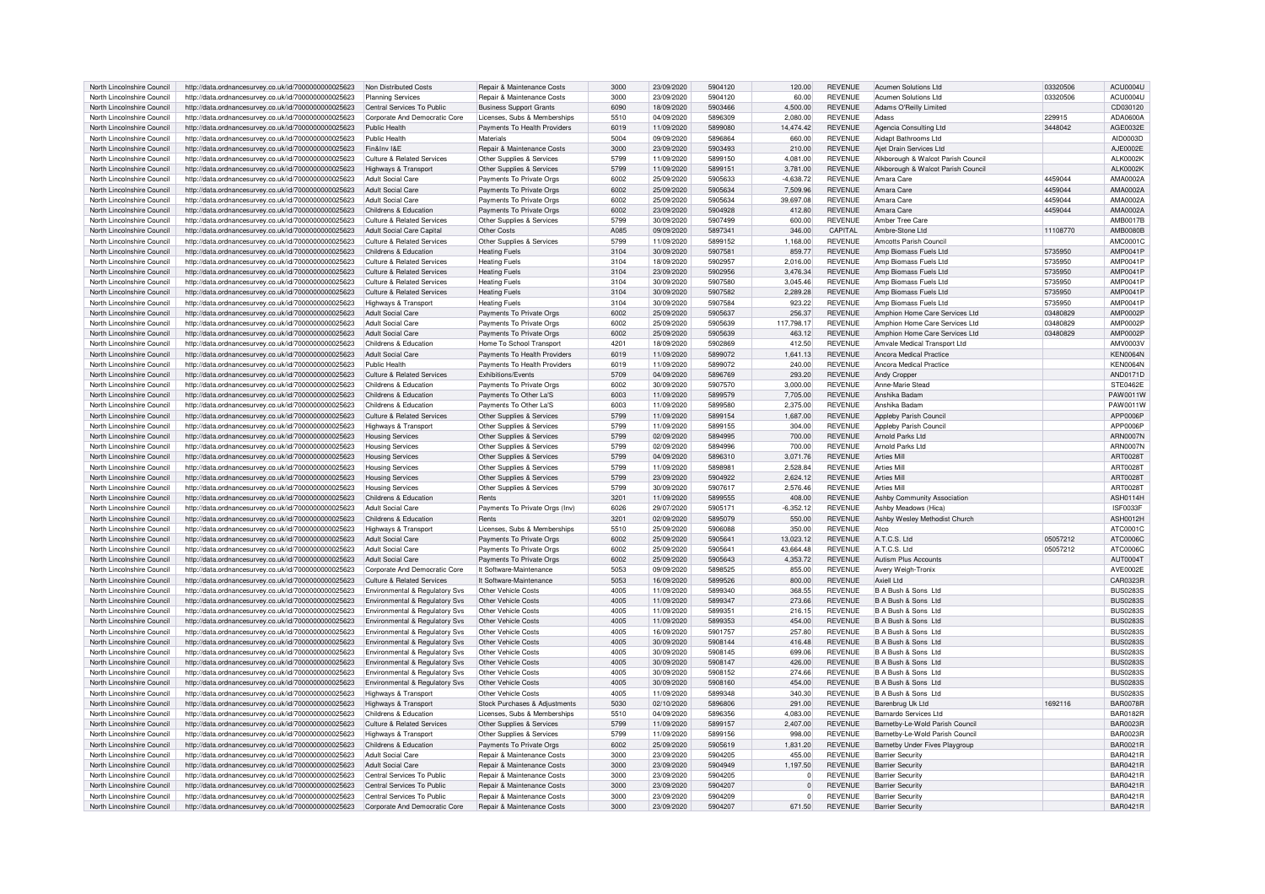| North Lincolnshire Council | http://data.ordnancesurvey.co.uk/id/7000000000025623 | Non Distributed Costs                 | Repair & Maintenance Costs            | 3000          | 23/09/2020 | 5904120 | 120.00      | <b>REVENUE</b> | Acumen Solutions Ltd               | 03320506 | ACU0004U        |
|----------------------------|------------------------------------------------------|---------------------------------------|---------------------------------------|---------------|------------|---------|-------------|----------------|------------------------------------|----------|-----------------|
|                            |                                                      |                                       |                                       | 3000          |            |         |             |                |                                    |          |                 |
| North Lincolnshire Council | http://data.ordnancesurvey.co.uk/id/7000000000025623 | <b>Planning Services</b>              | Repair & Maintenance Costs            |               | 23/09/2020 | 5904120 | 60.00       | <b>REVENUE</b> | <b>Acumen Solutions Ltd</b>        | 03320506 | ACU0004U        |
| North Lincolnshire Council | http://data.ordnancesurvey.co.uk/id/7000000000025623 | Central Services To Public            | <b>Business Support Grants</b>        | 6090          | 18/09/2020 | 5903466 | 4,500.00    | <b>REVENUE</b> | Adams O'Reilly Limited             |          | CD030120        |
| North Lincolnshire Council | http://data.ordnancesurvey.co.uk/id/7000000000025623 | Corporate And Democratic Core         | Licenses, Subs & Memberships          | 5510          | 04/09/2020 | 5896309 | 2.080.00    | <b>REVENUE</b> | Adass                              | 229915   | ADA0600A        |
| North Lincolnshire Council | http://data.ordnancesurvey.co.uk/id/7000000000025623 | Public Health                         | Payments To Health Providers          | 6019          | 11/09/2020 | 5899080 | 14,474.42   | <b>REVENUE</b> |                                    | 3448042  | AGE0032E        |
|                            |                                                      |                                       |                                       |               |            |         |             |                | Agencia Consulting Ltd             |          |                 |
| North Lincolnshire Council | http://data.ordnancesurvey.co.uk/id/7000000000025623 | Public Health                         | Materials                             | 5004          | 09/09/2020 | 5896864 | 660.00      | <b>REVENUE</b> | Aidant Bathrooms I to              |          | AID0003D        |
| North Lincolnshire Council | http://data.ordnancesurvey.co.uk/id/7000000000025623 | Fin&Inv I&F                           | Repair & Maintenance Costs            | 3000          | 23/09/2020 | 5903493 | 210.00      | <b>REVENUE</b> | Aiet Drain Services Ltd            |          | AJE0002E        |
| North Lincolnshire Council | http://data.ordnancesurvey.co.uk/id/7000000000025623 | <b>Culture &amp; Related Services</b> | Other Supplies & Services             | 5799          | 11/09/2020 | 5899150 | 4.081.00    | <b>REVENUE</b> | Alkborough & Walcot Parish Council |          | <b>ALK0002K</b> |
|                            |                                                      |                                       |                                       |               |            |         |             |                |                                    |          |                 |
| North Lincolnshire Council | http://data.ordnancesurvey.co.uk/id/7000000000025623 | Highways & Transport                  | Other Supplies & Services             | 5799          | 11/09/2020 | 5899151 | 3,781.00    | <b>REVENUE</b> | Alkborough & Walcot Parish Council |          | <b>ALK0002K</b> |
| North Lincolnshire Council | http://data.ordnancesurvey.co.uk/id/7000000000025623 | Adult Social Care                     | Payments To Private Orgs              | 6002          | 25/09/2020 | 5905633 | $-4,638.72$ | <b>REVENUE</b> | Amara Care                         | 4459044  | AMA0002A        |
| North Lincolnshire Council | http://data.ordnancesurvey.co.uk/id/7000000000025623 | Adult Social Care                     | Payments To Private Orgs              | 6002          | 25/09/2020 | 5905634 | 7.509.96    | <b>REVENUE</b> | Amara Care                         | 4459044  | AMA0002A        |
| North Lincolnshire Council |                                                      | Adult Social Care                     |                                       | 6002          | 25/09/2020 | 5905634 |             | <b>REVENUE</b> | Amara Care                         |          | AMA0002A        |
|                            | http://data.ordnancesurvey.co.uk/id/7000000000025623 |                                       | Payments To Private Orgs              |               |            |         | 39,697.08   |                |                                    | 4459044  |                 |
| North Lincolnshire Council | http://data.ordnancesurvey.co.uk/id/7000000000025623 | Childrens & Education                 | Payments To Private Orgs              | 6002          | 23/09/2020 | 5904928 | 412.80      | <b>REVENUE</b> | Amara Care                         | 4459044  | AMA0002A        |
| North Lincolnshire Council | http://data.ordnancesurvey.co.uk/id/7000000000025623 | Culture & Related Services            | Other Supplies & Services             | 5799          | 30/09/2020 | 5907499 | 600.00      | <b>REVENUE</b> | Amber Tree Care                    |          | <b>AMB0017B</b> |
| North Lincolnshire Council | http://data.ordnancesurvey.co.uk/id/7000000000025623 | Adult Social Care Capital             | Other Costs                           | A085          | 09/09/2020 | 5897341 | 346.00      | CAPITAL        | Ambre-Stone Ltd                    | 11108770 | <b>AMB0080B</b> |
|                            |                                                      |                                       |                                       |               |            |         |             |                |                                    |          |                 |
| North Lincolnshire Council | http://data.ordnancesurvey.co.uk/id/7000000000025623 | Culture & Related Services            | Other Supplies & Services             | 5799          | 11/09/2020 | 5899152 | 1.168.00    | <b>REVENUE</b> | Amcotts Parish Council             |          | AMC0001C        |
| North Lincolnshire Council | http://data.ordnancesurvey.co.uk/id/7000000000025623 | Childrens & Education                 | <b>Heating Fuels</b>                  | 3104          | 30/09/2020 | 5907581 | 859.77      | <b>REVENUE</b> | Amp Biomass Fuels Ltd              | 5735950  | AMP0041P        |
| North Lincolnshire Council | http://data.ordnancesurvey.co.uk/id/7000000000025623 | Culture & Related Services            | <b>Heating Fuels</b>                  | 3104          | 18/09/2020 | 5902953 | 2.016.00    | <b>REVENUE</b> | Amp Biomass Fuels Ltd              | 5735950  | <b>AMP0041P</b> |
|                            |                                                      |                                       |                                       |               |            |         |             |                |                                    |          |                 |
| North Lincolnshire Council | http://data.ordnancesurvey.co.uk/id/7000000000025623 | Culture & Related Services            | <b>Heating Fuels</b>                  | 3104          | 23/09/2020 | 5902956 | 3,476.34    | <b>REVENUE</b> | Amp Biomass Fuels Ltd              | 5735950  | AMP0041P        |
| North Lincolnshire Council | http://data.ordnancesurvey.co.uk/id/7000000000025623 | Culture & Related Services            | <b>Heating Fuels</b>                  | 3104          | 30/09/2020 | 5907580 | 3.045.46    | REVENUE        | Amp Biomass Fuels Ltd              | 5735950  | AMP0041P        |
| North Lincolnshire Council | http://data.ordnancesurvey.co.uk/id/7000000000025623 | Culture & Related Services            | <b>Heating Fuels</b>                  | 3104          | 30/09/2020 | 5907582 | 2,289.28    | <b>REVENUE</b> | Amp Biomass Fuels Ltd              | 5735950  | AMP0041P        |
| North Lincolnshire Council |                                                      |                                       | <b>Heating Fuels</b>                  | 3104          | 30/09/2020 | 5907584 |             | <b>REVENUE</b> | Amn Biomass Fuels Ltd              | 5735950  | AMP0041P        |
|                            | http://data.ordnancesurvey.co.uk/id/7000000000025623 | Highways & Transport                  |                                       |               |            |         | 923.22      |                |                                    |          |                 |
| North Lincolnshire Council | http://data.ordnancesurvey.co.uk/id/7000000000025623 | Adult Social Care                     | Payments To Private Orgs              | 6002          | 25/09/2020 | 5905637 | 256.37      | <b>REVENUE</b> | Amphion Home Care Services Ltd     | 03480829 | AMP0002P        |
| North Lincolnshire Council | http://data.ordnancesurvey.co.uk/id/7000000000025623 | <b>Adult Social Care</b>              | Payments To Private Orgs              | 6002          | 25/09/2020 | 5905639 | 117,798.17  | <b>REVENUE</b> | Amphion Home Care Services Ltd     | 03480829 | AMP0002P        |
| North Lincolnshire Council | http://data.ordnancesurvey.co.uk/id/7000000000025623 | <b>Adult Social Care</b>              | Payments To Private Orgs              | 6002          | 25/09/2020 | 5905639 | 463.12      | <b>REVENUE</b> | Amphion Home Care Services Ltd     | 03480829 | AMP0002P        |
|                            |                                                      |                                       |                                       |               |            |         |             |                |                                    |          |                 |
| North Lincolnshire Council | http://data.ordnancesurvey.co.uk/id/7000000000025623 | Childrens & Education                 | Home To School Transport              | $420^{\circ}$ | 18/09/2020 | 5902869 | 412.50      | <b>REVENUE</b> | Amvale Medical Transport Ltd       |          | AMV0003V        |
| North Lincolnshire Council | http://data.ordnancesurvey.co.uk/id/7000000000025623 | <b>Adult Social Care</b>              | Payments To Health Providers          | 6019          | 11/09/2020 | 5899072 | 1.641.13    | <b>REVENUE</b> | Ancora Medical Practice            |          | <b>KEN0064N</b> |
| North Lincolnshire Council | http://data.ordnancesurvey.co.uk/id/7000000000025623 | Public Health                         | Payments To Health Providers          | 6019          | 11/09/2020 | 5899072 | 240.00      | <b>REVENUE</b> | Ancora Medical Practice            |          | <b>KEN0064N</b> |
|                            |                                                      |                                       |                                       |               |            |         |             |                |                                    |          |                 |
| North Lincolnshire Council | http://data.ordnancesurvey.co.uk/id/7000000000025623 | Culture & Related Services            | Exhibitions/Events                    | 5709          | 04/09/2020 | 5896769 | 293.20      | <b>REVENUE</b> | Andy Cropper                       |          | AND0171D        |
| North Lincolnshire Council | http://data.ordnancesurvey.co.uk/id/7000000000025623 | Childrens & Education                 | Payments To Private Orgs              | 6002          | 30/09/2020 | 5907570 | 3.000.00    | <b>REVENUE</b> | Anne-Marie Stead                   |          | <b>STE0462E</b> |
| North Lincolnshire Council | http://data.ordnancesurvey.co.uk/id/7000000000025623 | Childrens & Education                 | Payments To Other La'S                | 6003          | 11/09/2020 | 5899579 | 7,705.00    | <b>REVENUE</b> | Anshika Badam                      |          | PAW0011W        |
|                            |                                                      |                                       |                                       |               |            | 5899580 |             |                | Anshika Radam                      |          |                 |
| North Lincolnshire Council | http://data.ordnancesurvey.co.uk/id/7000000000025623 | Childrens & Education                 | Payments To Other La'S                | 6003          | 11/09/2020 |         | 2,375.00    | <b>REVENUE</b> |                                    |          | PAW0011W        |
| North Lincolnshire Council | http://data.ordnancesurvey.co.uk/id/7000000000025623 | Culture & Related Services            | Other Supplies & Services             | 5799          | 11/09/2020 | 5899154 | 1,687.00    | <b>REVENUE</b> | Appleby Parish Council             |          | APP0006F        |
| North Lincolnshire Council | http://data.ordnancesurvey.co.uk/id/7000000000025623 | Highways & Transport                  | Other Supplies & Services             | 5799          | 11/09/2020 | 5899155 | 304.00      | <b>REVENUE</b> | Appleby Parish Council             |          | APP0006F        |
| North Lincolnshire Council | http://data.ordnancesurvey.co.uk/id/7000000000025623 | <b>Housing Services</b>               | Other Supplies & Services             | 5799          | 02/09/2020 | 5894995 | 700.00      | <b>REVENUE</b> | Arnold Parks Ltd                   |          | <b>ARN0007N</b> |
|                            |                                                      |                                       |                                       |               |            |         |             |                |                                    |          |                 |
| North Lincolnshire Council | http://data.ordnancesurvey.co.uk/id/7000000000025623 | <b>Housing Services</b>               | Other Supplies & Services             | 5799          | 02/09/2020 | 5894996 | 700.00      | <b>REVENUE</b> | Arnold Parks Ltd                   |          | <b>ARN0007N</b> |
| North Lincolnshire Council | http://data.ordnancesurvey.co.uk/id/7000000000025623 | <b>Housing Services</b>               | Other Supplies & Services             | 5799          | 04/09/2020 | 5896310 | 3.071.76    | <b>REVENUE</b> | <b>Arties Mil</b>                  |          | ART0028T        |
| North Lincolnshire Council | http://data.ordnancesurvey.co.uk/id/7000000000025623 | <b>Housing Services</b>               | Other Supplies & Services             | 5799          | 11/09/2020 | 589898  | 2,528.84    | <b>REVENUE</b> | <b>Arties Mil</b>                  |          | ART00281        |
|                            |                                                      |                                       |                                       |               |            |         |             |                |                                    |          |                 |
| North Lincolnshire Council | http://data.ordnancesurvey.co.uk/id/7000000000025623 | <b>Housing Services</b>               | Other Supplies & Services             | 5799          | 23/09/2020 | 5904922 | 2,624.12    | <b>REVENUE</b> | <b>Arties Mill</b>                 |          | ART0028T        |
| North Lincolnshire Council | http://data.ordnancesurvey.co.uk/id/7000000000025623 | <b>Housing Services</b>               | Other Supplies & Services             | 5799          | 30/09/2020 | 5907617 | 2,576.46    | <b>REVENUE</b> | <b>Arties Mill</b>                 |          | ART00281        |
| North Lincolnshire Council | http://data.ordnancesurvey.co.uk/id/7000000000025623 | Childrens & Education                 | Rents                                 | 3201          | 11/09/2020 | 5899555 | 408.00      | <b>REVENUE</b> | Ashby Community Association        |          | <b>ASH0114H</b> |
| North Lincolnshire Council |                                                      | Adult Social Care                     |                                       |               |            | 5905171 |             | <b>REVENUE</b> |                                    |          | <b>ISF0033F</b> |
|                            | http://data.ordnancesurvey.co.uk/id/7000000000025623 |                                       | Payments To Private Orgs (Inv)        | 6026          | 29/07/2020 |         | $-6,352.12$ |                | Ashby Meadows (Hica)               |          |                 |
| North Lincolnshire Council | http://data.ordnancesurvey.co.uk/id/7000000000025623 | Childrens & Education                 | Rents                                 | 3201          | 02/09/2020 | 5895079 | 550.00      | <b>REVENUE</b> | Ashby Wesley Methodist Church      |          | <b>ASH0012H</b> |
| North Lincolnshire Council | http://data.ordnancesurvey.co.uk/id/7000000000025623 | <b>Highways &amp; Transpor</b>        | Licenses, Subs & Memberships          | 5510          | 25/09/2020 | 5906088 | 350.00      | <b>REVENUE</b> | Atco                               |          | ATC0001C        |
| North Lincolnshire Council | http://data.ordnancesurvey.co.uk/id/7000000000025623 | <b>Adult Social Care</b>              | Payments To Private Orgs              | 6002          | 25/09/2020 | 590564  | 13,023.12   | <b>REVENUE</b> | A.T.C.S. Ltd                       | 05057212 | ATC0006C        |
|                            |                                                      |                                       |                                       |               |            |         |             |                |                                    |          |                 |
| North Lincolnshire Council | http://data.ordnancesurvey.co.uk/id/7000000000025623 | <b>Adult Social Care</b>              | Payments To Private Orgs              | 6002          | 25/09/2020 | 590564  | 43.664.48   | <b>REVENUE</b> | A.T.C.S. Ltd                       | 05057212 | ATC0006C        |
| North Lincolnshire Council | http://data.ordnancesurvey.co.uk/id/7000000000025623 | <b>Adult Social Care</b>              | Payments To Private Orgs              | 6002          | 25/09/2020 | 5905643 | 4,353.72    | <b>REVENUE</b> | <b>Autism Plus Accounts</b>        |          | <b>AUT0004T</b> |
| North Lincolnshire Council | http://data.ordnancesurvey.co.uk/id/7000000000025623 | Corporate And Democratic Core         | It Software-Maintenance               | 5053          | 09/09/2020 | 5898525 | 855.00      | <b>REVENUE</b> | Avery Weigh-Tronix                 |          | AVE0002E        |
|                            |                                                      |                                       |                                       |               |            |         |             |                |                                    |          |                 |
| North Lincolnshire Council | http://data.ordnancesurvey.co.uk/id/7000000000025623 | <b>Culture &amp; Related Services</b> | It Software-Maintenance               | 5053          | 16/09/2020 | 5899526 | 800.00      | <b>REVENUE</b> | ht I lleixA                        |          | CAR0323R        |
| North Lincolnshire Council | http://data.ordnancesurvey.co.uk/id/7000000000025623 | Environmental & Regulatory Svs        | Other Vehicle Costs                   | 4005          | 11/09/2020 | 5899340 | 368.55      | <b>REVENUE</b> | B A Bush & Sons Ltd                |          | <b>BUS0283S</b> |
| North Lincolnshire Council | http://data.ordnancesurvey.co.uk/id/7000000000025623 | Environmental & Regulatory Sys        | Other Vehicle Costs                   | 4005          | 11/09/2020 | 5899347 | 273.66      | <b>REVENUE</b> | B A Bush & Sons Ltd                |          | <b>BUS0283S</b> |
|                            |                                                      |                                       | Other Vehicle Costs                   | 4005          |            | 589935  |             | <b>REVENUE</b> | B A Bush & Sons Ltd                |          |                 |
| North Lincolnshire Council | http://data.ordnancesurvey.co.uk/id/7000000000025623 | Environmental & Regulatory Svs        |                                       |               | 11/09/2020 |         | 216.15      |                |                                    |          | <b>BUS0283S</b> |
| North Lincolnshire Council | http://data.ordnancesurvey.co.uk/id/7000000000025623 | Environmental & Regulatory Svs        | Other Vehicle Costs                   | 4005          | 11/09/2020 | 5899353 | 454.00      | <b>REVENUE</b> | B A Bush & Sons Ltd                |          | <b>BUS0283S</b> |
| North Lincolnshire Council | http://data.ordnancesurvey.co.uk/id/7000000000025623 | Environmental & Regulatory Svs        | Other Vehicle Costs                   | 4005          | 16/09/2020 | 5901757 | 257.80      | <b>REVENUE</b> | B A Bush & Sons Ltd                |          | <b>BUS0283S</b> |
| North Lincolnshire Council | http://data.ordnancesurvey.co.uk/id/7000000000025623 | Environmental & Regulatory Svs        | Other Vehicle Costs                   | 4005          | 30/09/2020 | 5908144 | 416.48      | <b>REVENUE</b> | B A Bush & Sons Ltd                |          | BUS02835        |
|                            |                                                      |                                       |                                       |               |            |         |             |                |                                    |          |                 |
| North Lincolnshire Council | http://data.ordnancesurvey.co.uk/id/7000000000025623 | Environmental & Regulatory Svs        | Other Vehicle Costs                   | 4005          | 30/09/2020 | 5908145 | 699.06      | <b>REVENUE</b> | B A Bush & Sons Ltd                |          | <b>BUS0283S</b> |
| North Lincolnshire Council | http://data.ordnancesurvey.co.uk/id/7000000000025623 | Environmental & Regulatory Svs        | Other Vehicle Costs                   | 4005          | 30/09/2020 | 5908147 | 426.00      | <b>REVENUE</b> | <b>B.A. Bush &amp; Sons Ltd</b>    |          | <b>BUS0283S</b> |
| North Lincolnshire Council | http://data.ordnancesurvey.co.uk/id/7000000000025623 | Environmental & Regulatory Svs        | Other Vehicle Costs                   | 4005          | 30/09/2020 | 5908152 | 274.66      | <b>REVENUE</b> | B A Bush & Sons Ltd                |          | <b>BUS0283S</b> |
|                            |                                                      |                                       |                                       |               |            |         |             |                |                                    |          |                 |
| North Lincolnshire Council | http://data.ordnancesurvey.co.uk/id/7000000000025623 | Environmental & Regulatory Svs        | Other Vehicle Costs                   | 4005          | 30/09/2020 | 5908160 | 454.00      | <b>REVENUE</b> | B A Bush & Sons Ltd                |          | <b>BUS0283S</b> |
| North Lincolnshire Council | http://data.ordnancesurvey.co.uk/id/7000000000025623 | <b>Highways &amp; Transport</b>       | Other Vehicle Costs                   | 4005          | 11/09/2020 | 5899348 | 340.30      | <b>REVENUE</b> | B A Bush & Sons Ltd                |          | <b>BUS0283S</b> |
| North Lincolnshire Council | http://data.ordnancesurvey.co.uk/id/7000000000025623 | Highways & Transport                  | Stock Purchases & Adjustments         | 5030          | 02/10/2020 | 5896806 | 291.00      | <b>REVENUE</b> | Barenbrug Uk Ltd                   | 1692116  | <b>BAR0078R</b> |
| North Lincolnshire Council | http://data.ordnancesurvey.co.uk/id/7000000000025623 | Childrens & Education                 | Licenses, Subs & Memberships          | 5510          | 04/09/2020 | 5896356 | 4.083.00    | <b>REVENUE</b> | Barnardo Services I td             |          | <b>BAR0182R</b> |
|                            |                                                      |                                       |                                       |               |            |         |             |                |                                    |          |                 |
| North Lincolnshire Council | http://data.ordnancesurvey.co.uk/id/7000000000025623 | <b>Culture &amp; Related Services</b> | Other Supplies & Services             | 5799          | 11/09/2020 | 5899157 | 2.407.00    | <b>REVENUE</b> | Barnetby-Le-Wold Parish Council    |          | <b>BAR0023R</b> |
| North Lincolnshire Council | http://data.ordnancesurvey.co.uk/id/7000000000025623 | Highways & Transport                  | Other Supplies & Services             | 5799          | 11/09/2020 | 5899156 | 998.00      | <b>REVENUE</b> | Barnetby-Le-Wold Parish Counci     |          | <b>BAR0023R</b> |
| North Lincolnshire Council | http://data.ordnancesurvey.co.uk/id/7000000000025623 | Childrens & Education                 | Payments To Private Oras              | 6002          | 25/09/2020 | 5905619 | 1.831.20    | <b>REVENUE</b> | Barnetby Under Fives Playgroup     |          | <b>BAR0021R</b> |
|                            |                                                      |                                       |                                       |               |            |         |             |                |                                    |          |                 |
| North Lincolnshire Council | http://data.ordnancesurvey.co.uk/id/7000000000025623 | Adult Social Care                     | Repair & Maintenance Costs            | 3000          | 23/09/2020 | 5904205 | 455.00      | <b>REVENUE</b> | <b>Barrier Security</b>            |          | <b>BAR0421R</b> |
| North Lincolnshire Council | http://data.ordnancesurvey.co.uk/id/7000000000025623 | Adult Social Care                     | Repair & Maintenance Costs            | 3000          | 23/09/2020 | 5904949 | 1 197 50    | <b>REVENUE</b> | <b>Barrier Security</b>            |          | <b>BAR0421R</b> |
| North Lincolnshire Council | http://data.ordnancesurvey.co.uk/id/7000000000025623 | Central Services To Public            | Repair & Maintenance Costs            | 3000          | 23/09/2020 | 5904205 | $\mathbf 0$ | <b>REVENUE</b> | <b>Barrier Security</b>            |          | <b>BAR0421R</b> |
| North Lincolnshire Council | http://data.ordnancesurvey.co.uk/id/7000000000025623 | Central Services To Public            | <b>Benair &amp; Maintenance Costs</b> | 3000          | 23/09/2020 | 5904207 | $\Omega$    | <b>REVENUE</b> | <b>Barrier Security</b>            |          | <b>BAR0421R</b> |
|                            |                                                      |                                       |                                       |               |            |         |             |                |                                    |          |                 |
| North Lincolnshire Council | http://data.ordnancesurvey.co.uk/id/7000000000025623 | Central Services To Public            | Repair & Maintenance Costs            | 3000          | 23/09/2020 | 5904209 | $\circ$     | <b>REVENUE</b> | <b>Barrier Security</b>            |          | <b>BAR0421R</b> |
| North Lincolnshire Council | http://data.ordnancesurvey.co.uk/id/7000000000025623 | Corporate And Democratic Core         | Repair & Maintenance Costs            | 3000          | 23/09/2020 | 5904207 | 671.50      | <b>REVENUE</b> | <b>Barrier Security</b>            |          | <b>BAR0421R</b> |
|                            |                                                      |                                       |                                       |               |            |         |             |                |                                    |          |                 |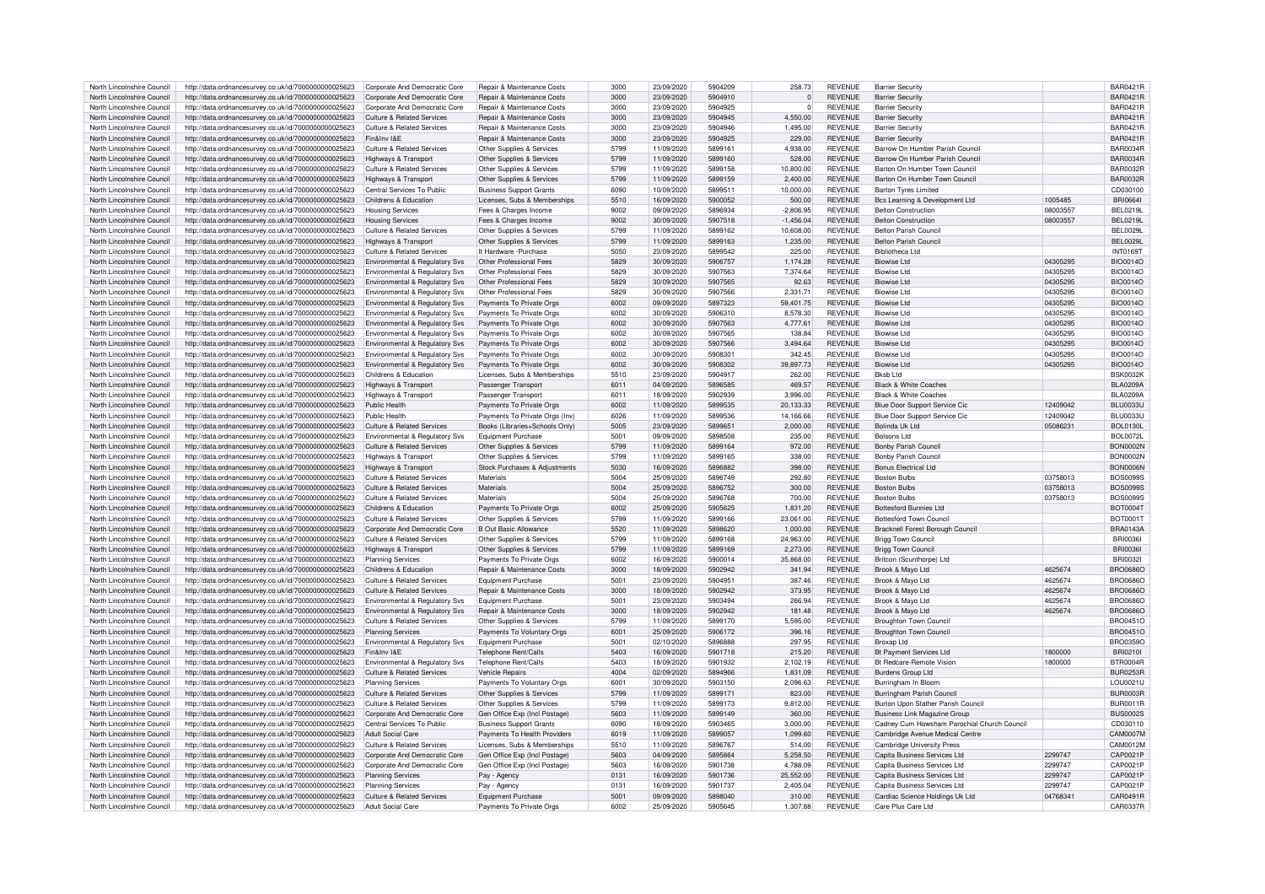| North Lincolnshire Council |                                                                                                              | Corporate And Democratic Core         | <b>Repair &amp; Maintenance Costs</b>                 | 3000             | 23/09/2020 | 5904209 | 258.73       | <b>REVENUE</b> | <b>Barrier Security</b>                               |          | <b>BAR0421R</b>  |
|----------------------------|--------------------------------------------------------------------------------------------------------------|---------------------------------------|-------------------------------------------------------|------------------|------------|---------|--------------|----------------|-------------------------------------------------------|----------|------------------|
|                            | http://data.ordnancesurvey.co.uk/id/7000000000025623                                                         |                                       |                                                       |                  |            |         |              |                |                                                       |          |                  |
| North Lincolnshire Council | http://data.ordnancesurvey.co.uk/id/7000000000025623                                                         | Corporate And Democratic Core         | Renair & Maintenance Costs                            | 3000             | 23/09/2020 | 5904910 | $\Omega$     | <b>REVENUE</b> | <b>Barrier Security</b>                               |          | <b>BAR0421R</b>  |
| North Lincolnshire Council | http://data.ordnancesurvey.co.uk/id/7000000000025623                                                         | Corporate And Democratic Core         | Repair & Maintenance Costs                            | 3000             | 23/09/2020 | 5904925 | $\mathbf{0}$ | <b>REVENUE</b> | <b>Barrier Security</b>                               |          | BAR0421F         |
|                            |                                                                                                              |                                       |                                                       |                  |            |         |              |                |                                                       |          |                  |
| North Lincolnshire Council | http://data.ordnancesurvey.co.uk/id/7000000000025623                                                         | <b>Culture &amp; Related Services</b> | Repair & Maintenance Costs                            | 3000             | 23/09/2020 | 5904945 | 4,550.00     | <b>REVENUE</b> | <b>Barrier Security</b>                               |          | <b>BAR0421F</b>  |
| North Lincolnshire Council | http://data.ordnancesurvey.co.uk/id/7000000000025623                                                         | Culture & Related Services            | <b>Benair &amp; Maintenance Costs</b>                 | 3000             | 23/09/2020 | 5904946 | 1.495.00     | <b>REVENUE</b> | <b>Barrier Security</b>                               |          | BAR0421F         |
| North Lincolnshire Council | http://data.ordnancesurvey.co.uk/id/7000000000025623                                                         | Fin&Inv I&F                           | Repair & Maintenance Costs                            | 3000             | 23/09/2020 | 5904925 | 229.00       | <b>REVENUE</b> | <b>Barrier Security</b>                               |          | <b>BAR0421R</b>  |
|                            |                                                                                                              |                                       |                                                       |                  |            |         |              |                |                                                       |          |                  |
| North Lincolnshire Council | http://data.ordnancesurvey.co.uk/id/7000000000025623                                                         | Culture & Related Services            | Other Supplies & Services                             | 5799             | 11/09/2020 | 589916  | 4.938.00     | <b>REVENUE</b> | Barrow On Humber Parish Council                       |          | <b>BAR0034R</b>  |
| North Lincolnshire Council | http://data.ordnancesurvey.co.uk/id/7000000000025623                                                         | Highways & Transport                  | Other Supplies & Services                             | 5799             | 11/09/2020 | 5899160 | 528.00       | <b>REVENUE</b> | Barrow On Humber Parish Counci                        |          | <b>BAR0034R</b>  |
|                            |                                                                                                              |                                       |                                                       |                  |            |         |              |                |                                                       |          |                  |
| North Lincolnshire Council | http://data.ordnancesurvey.co.uk/id/7000000000025623                                                         | Culture & Related Services            | Other Supplies & Services                             | 5799             | 11/09/2020 | 5899158 | 10,800.00    | <b>REVENUE</b> | Barton On Humber Town Council                         |          | <b>BAR0032R</b>  |
| North Lincolnshire Council | http://data.ordnancesurvey.co.uk/id/7000000000025623                                                         | Highways & Transport                  | Other Supplies & Services                             | 5799             | 11/09/2020 | 5899159 | 2.400.00     | <b>REVENUE</b> | Barton On Humber Town Council                         |          | <b>BAR0032R</b>  |
|                            |                                                                                                              |                                       |                                                       |                  |            |         |              |                |                                                       |          |                  |
| North Lincolnshire Council | http://data.ordnancesurvey.co.uk/id/7000000000025623                                                         | Central Services To Public            | <b>Business Support Grants</b>                        | 6090             | 10/09/2020 | 589951  | 10.000.00    | <b>REVENUE</b> | <b>Barton Tyres Limited</b>                           |          | CD030100         |
| North Lincolnshire Council | http://data.ordnancesurvey.co.uk/id/7000000000025623                                                         | Childrens & Education                 | Licenses, Subs & Memberships                          | 5510             | 16/09/2020 | 5900052 | 500.00       | <b>REVENUE</b> | Bcs Learning & Development Ltd                        | 1005485  | <b>BRIOSS4</b>   |
| North Lincolnshire Council | http://data.ordnancesurvey.co.uk/id/7000000000025623                                                         | <b>Housing Services</b>               | Fees & Charges Income                                 | 9002             | 09/09/2020 | 5896934 | $-2,806.95$  | <b>REVENUE</b> | <b>Belton Construction</b>                            | 08003557 | <b>BEL0219L</b>  |
|                            |                                                                                                              |                                       |                                                       |                  |            |         |              |                |                                                       |          |                  |
| North Lincolnshire Council | http://data.ordnancesurvey.co.uk/id/7000000000025623                                                         | <b>Housing Services</b>               | Fees & Charges Income                                 | 9002             | 30/09/2020 | 5907518 | $-1,456.04$  | <b>REVENUE</b> | <b>Belton Construction</b>                            | 08003557 | BFI 0219L        |
| North Lincolnshire Council | http://data.ordnancesurvey.co.uk/id/7000000000025623                                                         | <b>Culture &amp; Related Services</b> | Other Supplies & Services                             | 5799             | 11/09/2020 | 5899162 | 10,608.00    | <b>REVENUE</b> | <b>Belton Parish Council</b>                          |          | <b>BEL0029L</b>  |
|                            |                                                                                                              |                                       |                                                       |                  |            |         |              |                |                                                       |          |                  |
| North Lincolnshire Council | http://data.ordnancesurvey.co.uk/id/7000000000025623                                                         | Highways & Transport                  | Other Supplies & Services                             | 5799             | 11/09/2020 | 5899163 | 1.235.00     | <b>REVENUE</b> | <b>Belton Parish Council</b>                          |          | <b>BEL0029L</b>  |
| North Lincolnshire Council | http://data.ordnancesurvey.co.uk/id/7000000000025623                                                         | Culture & Related Services            | It Hardware - Purchase                                | 5050             | 23/09/2020 | 5899542 | 225.00       | <b>REVENUE</b> | <b>Bibliotheca Ltd</b>                                |          | <b>INT0169T</b>  |
| North Lincolnshire Council |                                                                                                              |                                       | Other Professional Fees                               | 5829             | 30/09/2020 | 5906757 | 1,174.28     | <b>REVENUE</b> | <b>Rinwise Ltd</b>                                    | 04305295 | <b>BIO0014O</b>  |
|                            | http://data.ordnancesurvey.co.uk/id/7000000000025623                                                         | Environmental & Regulatory Svs        |                                                       |                  |            |         |              |                |                                                       |          |                  |
| North Lincolnshire Council | http://data.ordnancesurvey.co.uk/id/7000000000025623                                                         | Environmental & Regulatory Svs        | Other Professional Fees                               | 5829             | 30/09/2020 | 5907563 | 7,374.64     | <b>REVENUE</b> | <b>Biowise I td</b>                                   | 04305295 | <b>BIO0014O</b>  |
| North Lincolnshire Council | http://data.ordnancesurvey.co.uk/id/7000000000025623                                                         | Environmental & Regulatory Svs        | Other Professional Fees                               | 5829             | 30/09/2020 | 5907565 | 92.63        | <b>REVENUE</b> | Biowise Ltd                                           | 04305295 | <b>BIO0014O</b>  |
|                            |                                                                                                              |                                       |                                                       |                  |            |         |              |                |                                                       |          |                  |
| North Lincolnshire Council | http://data.ordnancesurvey.co.uk/id/7000000000025623                                                         | Environmental & Regulatory Svs        | Other Professional Fees                               | 5829             | 30/09/2020 | 5907566 | 2.331.71     | REVENUE        | Biowise Ltd                                           | 04305295 | <b>BIO0014C</b>  |
| North Lincolnshire Council | http://data.ordnancesurvey.co.uk/id/7000000000025623                                                         | Environmental & Regulatory Svs        | Payments To Private Orgs                              | 6002             | 09/09/2020 | 5897323 | 59.401.75    | <b>REVENUE</b> | <b>Biowise Ltd</b>                                    | 04305295 | <b>BIO0014O</b>  |
|                            |                                                                                                              |                                       |                                                       |                  |            |         |              |                |                                                       |          |                  |
| North Lincolnshire Council | http://data.ordnancesurvey.co.uk/id/7000000000025623                                                         | Environmental & Regulatory Svs        | Payments To Private Orgs                              | 6002             | 30/09/2020 | 5906310 | 8,578.30     | <b>REVENUE</b> | Biowise I to                                          | 04305295 | BIO0014O         |
| North Lincolnshire Council | http://data.ordnancesurvey.co.uk/id/7000000000025623                                                         | Environmental & Regulatory Svs        | Payments To Private Orgs                              | 6002             | 30/09/2020 | 5907563 | 4,777.61     | <b>REVENUE</b> | Biowise I td                                          | 04305295 | <b>BIO0014O</b>  |
| North Lincolnshire Council | http://data.ordnancesurvey.co.uk/id/7000000000025623                                                         |                                       | Payments To Private Orgs                              | 6002             | 30/09/2020 | 5907565 | 138.84       | <b>REVENUE</b> | <b>Biowise Ltd</b>                                    | 04305295 | <b>BIO0014O</b>  |
|                            |                                                                                                              | Environmental & Regulatory Svs        |                                                       |                  |            |         |              |                |                                                       |          |                  |
| North Lincolnshire Council | http://data.ordnancesurvey.co.uk/id/7000000000025623                                                         | Environmental & Regulatory Svs        | Payments To Private Orgs                              | 6002             | 30/09/2020 | 5907566 | 3.494.64     | REVENUE        | Biowise Ltd                                           | 04305295 | BIO0014C         |
| North Lincolnshire Council | http://data.ordnancesurvey.co.uk/id/7000000000025623                                                         | Environmental & Regulatory Svs        | Payments To Private Orgs                              | 6002             | 30/09/2020 | 590830  | 342.45       | <b>REVENUE</b> | <b>Biowise Ltd</b>                                    | 04305295 | <b>BIO0014O</b>  |
|                            |                                                                                                              |                                       |                                                       |                  |            |         |              |                |                                                       |          |                  |
| North Lincolnshire Council | http://data.ordnancesurvey.co.uk/id/7000000000025623                                                         | Environmental & Regulatory Svs        | Payments To Private Orgs                              | 6002             | 30/09/2020 | 5908302 | 39,897.73    | <b>REVENUE</b> | <b>Rinwise Ltd</b>                                    | 04305295 | <b>BIO0014O</b>  |
| North Lincolnshire Council | http://data.ordnancesurvey.co.uk/id/7000000000025623                                                         | Childrens & Education                 | Licenses, Subs & Memberships                          | 5510             | 23/09/2020 | 5904917 | 262.00       | <b>REVENUE</b> | Rksh I td                                             |          | <b>BSK0032K</b>  |
|                            |                                                                                                              |                                       |                                                       |                  |            |         |              |                |                                                       |          |                  |
| North Lincolnshire Council | http://data.ordnancesurvey.co.uk/id/7000000000025623                                                         | Highways & Transport                  | Passenger Transport                                   | 6011             | 04/09/2020 | 5896585 | 469.57       | <b>REVENUE</b> | <b>Black &amp; White Coaches</b>                      |          | <b>BLA0209A</b>  |
| North Lincolnshire Council | http://data.ordnancesurvey.co.uk/id/7000000000025623                                                         | Highways & Transport                  | Passenger Transport                                   | 6011             | 18/09/2020 | 5902939 | 3.996.00     | <b>REVENUE</b> | <b>Black &amp; White Coaches</b>                      |          | <b>BLA0209A</b>  |
| North Lincolnshire Council | http://data.ordnancesurvey.co.uk/id/7000000000025623                                                         | Public Health                         | Payments To Private Orgs                              | 6002             | 11/09/2020 | 5899535 | 20.133.33    | <b>REVENUE</b> | Blue Door Support Service Cic                         | 12409042 | BLU0033U         |
|                            |                                                                                                              |                                       |                                                       |                  |            |         |              |                |                                                       |          |                  |
| North Lincolnshire Council | http://data.ordnancesurvey.co.uk/id/7000000000025623                                                         | Public Health                         | Payments To Private Orgs (Inv)                        | 6026             | 11/09/2020 | 5899536 | 14,166.66    | <b>REVENUE</b> | Blue Door Support Service Cio                         | 12409042 | <b>BLLI0033L</b> |
| North Lincolnshire Council | http://data.ordnancesurvey.co.uk/id/7000000000025623                                                         | Culture & Related Services            | Books (Libraries+Schools Only)                        | 5005             | 23/09/2020 | 589965  | 2,000.00     | <b>REVENUE</b> | Bolinda Uk I td                                       | 05086231 | <b>BOL0130L</b>  |
|                            |                                                                                                              |                                       |                                                       |                  |            |         |              |                |                                                       |          |                  |
| North Lincolnshire Council | http://data.ordnancesurvey.co.uk/id/7000000000025623                                                         | Environmental & Regulatory Svs        | <b>Equipment Purchase</b>                             | $500 -$          | 09/09/2020 | 5898508 | 235.00       | <b>REVENUE</b> | <b>Bolsons Ltd</b>                                    |          | <b>BOL0072L</b>  |
| North Lincolnshire Council | http://data.ordnancesurvey.co.uk/id/7000000000025623                                                         | <b>Culture &amp; Related Services</b> | Other Supplies & Services                             | 5799             | 11/09/2020 | 5899164 | 972.00       | REVENUE        | Bonby Parish Council                                  |          | BON0002M         |
| North Lincolnshire Council | http://data.ordnancesurvey.co.uk/id/7000000000025623                                                         | Highways & Transport                  | Other Supplies & Services                             | 5799             | 11/09/2020 | 5899165 | 338.00       | <b>REVENUE</b> | Bonby Parish Counci                                   |          | <b>BON0002N</b>  |
|                            |                                                                                                              |                                       |                                                       |                  |            |         |              |                |                                                       |          |                  |
| North Lincolnshire Council | http://data.ordnancesurvey.co.uk/id/7000000000025623                                                         | Highways & Transport                  | Stock Purchases & Adjustments                         | 5030             | 16/09/2020 | 5896882 | 398.00       | <b>REVENUE</b> | <b>Bonus Electrical Ltd</b>                           |          | <b>BON0006N</b>  |
| North Lincolnshire Council | http://data.ordnancesurvey.co.uk/id/7000000000025623                                                         | Culture & Related Services            | Materials                                             | 5004             | 25/09/2020 | 5896749 | 292.80       | <b>REVENUE</b> | <b>Roston Bulbs</b>                                   | 03758013 | <b>BOS0099S</b>  |
|                            |                                                                                                              |                                       |                                                       |                  |            |         |              |                |                                                       |          |                  |
| North Lincolnshire Council | http://data.ordnancesurvey.co.uk/id/7000000000025623                                                         | <b>Culture &amp; Related Services</b> | Materials                                             | 5004             | 25/09/2020 | 5896752 | 300.00       | <b>REVENUE</b> | <b>Boston Bulbs</b>                                   | 03758013 | <b>BOS00995</b>  |
| North Lincolnshire Council | http://data.ordnancesurvey.co.uk/id/7000000000025623                                                         | Culture & Related Services            | Materials                                             | 5004             | 25/09/2020 | 5896768 | 700.00       | REVENUE        | <b>Boston Bulbs</b>                                   | 03758013 | <b>BOS0099S</b>  |
|                            |                                                                                                              |                                       |                                                       |                  |            |         |              |                |                                                       |          |                  |
| North Lincolnshire Council | http://data.ordnancesurvey.co.uk/id/7000000000025623                                                         | Childrens & Education                 | Payments To Private Orgs                              | 6002             | 25/09/2020 | 5905625 | 1,831.20     | REVENUE        | <b>Bottesford Bunnies Ltd</b>                         |          | <b>BOT0004T</b>  |
| North Lincolnshire Council | http://data.ordnancesurvey.co.uk/id/7000000000025623                                                         | <b>Culture &amp; Related Services</b> | Other Supplies & Services                             | 5799             | 11/09/2020 | 5899166 | 23.061.00    | <b>REVENUE</b> | <b>Bottesford Town Council</b>                        |          | <b>BOT0001T</b>  |
| North Lincolnshire Council | http://data.ordnancesurvey.co.uk/id/7000000000025623                                                         | Corporate And Democratic Core         | <b>B Out Basic Allowance</b>                          | 5520             | 11/09/2020 | 5898620 | 1,000.00     | <b>REVENUE</b> |                                                       |          | BRA0143A         |
|                            |                                                                                                              |                                       |                                                       |                  |            |         |              |                | Bracknell Forest Borough Council                      |          |                  |
| North Lincolnshire Council | http://data.ordnancesurvey.co.uk/id/7000000000025623                                                         | <b>Culture &amp; Related Services</b> | Other Supplies & Services                             | 5799             | 11/09/2020 | 5899168 | 24,963.00    | <b>REVENUE</b> | <b>Brigg Town Council</b>                             |          | BRI0036          |
| North Lincolnshire Council | http://data.ordnancesurvey.co.uk/id/7000000000025623                                                         | <b>Highways &amp; Transpor</b>        | Other Supplies & Services                             | 5799             | 11/09/2020 | 5899169 | 2,273.00     | <b>REVENUE</b> | <b>Brigg Town Council</b>                             |          | <b>BRI00361</b>  |
|                            |                                                                                                              |                                       |                                                       |                  |            |         |              | REVENUE        |                                                       |          |                  |
| North Lincolnshire Council | http://data.ordnancesurvey.co.uk/id/7000000000025623                                                         | <b>Planning Services</b>              | Payments To Private Orgs                              | 6002             | 16/09/2020 | 5900014 |              |                | Britcon (Scunthorpe) Ltd                              |          | BRI0032          |
| North Lincolnshire Council | http://data.ordnancesurvey.co.uk/id/7000000000025623                                                         | Childrens & Education                 | Repair & Maintenance Costs                            |                  |            |         | 35,868.00    |                |                                                       |          |                  |
| North Lincolnshire Council |                                                                                                              |                                       |                                                       | 3000             | 18/09/2020 | 5902942 | 341.94       | <b>REVENUE</b> |                                                       | 4625674  |                  |
|                            |                                                                                                              |                                       |                                                       |                  |            |         |              |                | Brook & Mayo Ltd                                      |          | <b>BRO0686C</b>  |
|                            | http://data.ordnancesurvey.co.uk/id/7000000000025623                                                         | Culture & Related Services            | <b>Equipment Purchase</b>                             | 5001             | 23/09/2020 | 590495  | 387.46       | <b>REVENUE</b> | Brook & Mayo Ltd                                      | 4625674  | BRO0686C         |
| North Lincolnshire Council | http://data.ordnancesurvey.co.uk/id/7000000000025623                                                         | <b>Culture &amp; Related Services</b> | Repair & Maintenance Costs                            | 3000             | 18/09/2020 | 5902942 | 373.95       | <b>REVENUE</b> | Brook & Mayo Ltd                                      | 4625674  | <b>BRO0686O</b>  |
|                            |                                                                                                              |                                       |                                                       | 5001             |            | 5903494 |              |                |                                                       |          |                  |
| North Lincolnshire Council | http://data.ordnancesurvey.co.uk/id/7000000000025623                                                         | Environmental & Regulatory Svs        | <b>Equipment Purchase</b>                             |                  | 23/09/2020 |         | 266.94       | <b>REVENUE</b> | Brook & Mayo Ltd                                      | 4625674  | <b>BRO0686O</b>  |
| North Lincolnshire Council | http://data.ordnancesurvey.co.uk/id/7000000000025623                                                         | Environmental & Regulatory Svs        | Repair & Maintenance Costs                            | 3000             | 18/09/2020 | 5902942 | 181.48       | <b>REVENUE</b> | Brook & Mayo Ltd                                      | 4625674  | <b>BRO0686O</b>  |
| North Lincolnshire Council | http://data.ordnancesurvev.co.uk/id/7000000000025623                                                         | Culture & Related Services            | Other Supplies & Services                             | 5799             | 11/09/2020 | 5899170 | 5.595.00     | <b>REVENUE</b> | <b>Broughton Town Council</b>                         |          | BRO0451O         |
|                            |                                                                                                              |                                       |                                                       |                  |            |         |              |                |                                                       |          |                  |
| North Lincolnshire Council | http://data.ordnancesurvey.co.uk/id/7000000000025623                                                         | <b>Planning Services</b>              | Payments To Voluntary Orgs                            | 6001             | 25/09/2020 | 5906172 | 396.16       | <b>REVENUE</b> | <b>Broughton Town Council</b>                         |          | BRO0451O         |
| North Lincolnshire Council | http://data.ordnancesurvey.co.uk/id/7000000000025623                                                         | Environmental & Regulatory Sys        | Equipment Purchase                                    | 5001             | 02/10/2020 | 5896888 | 297.95       | <b>REVENUE</b> | Broxap Ltd                                            |          | <b>BRO0359C</b>  |
|                            |                                                                                                              |                                       |                                                       |                  |            |         |              |                |                                                       | 1800000  |                  |
| North Lincolnshire Council | http://data.ordnancesurvey.co.uk/id/7000000000025623                                                         | Fin&Inv I&F                           | Telephone Rent/Calls                                  | 5403             | 16/09/2020 | 5901718 | 215.20       | <b>REVENUE</b> | <b>Bt Payment Services Ltd</b>                        |          | BRI0210I         |
| North Lincolnshire Council | http://data.ordnancesurvey.co.uk/id/7000000000025623                                                         | Environmental & Regulatory Svs        | Telephone Rent/Calls                                  | 5403             | 18/09/2020 | 5901932 | 2.102.19     | REVENUE        | <b>Bt Redcare-Remote Vision</b>                       | 1800000  | BTR0004F         |
| North Lincolnshire Council | http://data.ordnancesurvey.co.uk/id/7000000000025623                                                         | <b>Culture &amp; Related Services</b> | <b>Vehicle Repairs</b>                                | 4004             | 02/09/2020 | 5894966 | 1,831.09     | <b>REVENUE</b> | <b>Burdens Group Ltd</b>                              |          | <b>BUR0253F</b>  |
|                            |                                                                                                              |                                       |                                                       |                  |            |         |              |                |                                                       |          |                  |
| North Lincolnshire Council | http://data.ordnancesurvey.co.uk/id/7000000000025623                                                         | <b>Planning Services</b>              | Payments To Voluntary Orgs                            | 6001             | 30/09/2020 | 5903150 | 2.096.63     | <b>REVENUE</b> | Burringham In Bloom                                   |          | LOU0021U         |
| North Lincolnshire Council | http://data.ordnancesurvey.co.uk/id/7000000000025623                                                         | Culture & Related Services            | Other Supplies & Services                             | 5799             | 11/09/2020 | 5899171 | 823.00       | <b>REVENUE</b> | Burringham Parish Council                             |          | <b>BUR0003R</b>  |
|                            |                                                                                                              |                                       |                                                       |                  |            |         |              |                |                                                       |          |                  |
| North Lincolnshire Council | http://data.ordnancesurvey.co.uk/id/7000000000025623                                                         | Culture & Related Services            | Other Supplies & Services                             | 5799             | 11/09/2020 | 5899173 | 9,812.00     | <b>REVENUE</b> | Burton Upon Stather Parish Council                    |          | <b>BUR0011F</b>  |
| North Lincolnshire Council | http://data.ordnancesurvey.co.uk/id/7000000000025623                                                         | Cornorate And Democratic Core         | Gen Office Exp (Incl Postage                          | 5603             | 11/09/2020 | 5899149 | 360.00       | <b>REVENUE</b> | <b>Business Link Magazine Group</b>                   |          | <b>BUS0002S</b>  |
|                            |                                                                                                              | Central Services To Public            |                                                       | 6090             |            | 5903465 |              | REVENUE        |                                                       |          |                  |
| North Lincolnshire Council | http://data.ordnancesurvey.co.uk/id/7000000000025623                                                         |                                       | <b>Business Support Grants</b>                        |                  | 18/09/2020 |         | 3,000.00     |                | Cadney Cum Howsham Parochial Church Council           |          | CD030110         |
| North Lincolnshire Council | http://data.ordnancesurvey.co.uk/id/7000000000025623                                                         | Adult Social Care                     | Payments To Health Providers                          | 6019             | 11/09/2020 | 5899057 | 1.099.60     | <b>REVENUE</b> | Cambridge Avenue Medical Centre                       |          | <b>CAM0007N</b>  |
| North Lincolnshire Council | http://data.ordnancesurvey.co.uk/id/7000000000025623                                                         | Culture & Related Services            | Licenses, Subs & Memberships                          | 5510             | 11/09/2020 | 5896767 | 514.00       | <b>REVENUE</b> | <b>Cambridge University Press</b>                     |          | CAM0012M         |
|                            |                                                                                                              |                                       |                                                       |                  |            |         |              |                |                                                       |          |                  |
| North Lincolnshire Council | http://data.ordnancesurvey.co.uk/id/7000000000025623                                                         | Corporate And Democratic Core         | Gen Office Exp (Incl Postage                          | 5603             | 04/09/2020 | 5895864 | 5.258.50     | <b>REVENUE</b> | Capita Business Services Ltd                          | 2299747  | CAP0021E         |
| North Lincolnshire Council | http://data.ordnancesurvey.co.uk/id/7000000000025623                                                         | Corporate And Democratic Core         | Gen Office Exp (Incl Postage)                         | 5603             | 16/09/2020 | 5901738 | 4,788.09     | <b>REVENUE</b> | Capita Business Services Ltd                          | 2299747  | CAP0021F         |
| North Lincolnshire Council |                                                                                                              |                                       |                                                       | 013 <sup>1</sup> | 16/09/2020 | 5901736 |              | REVENUE        | Capita Business Services Ltd                          |          |                  |
|                            | http://data.ordnancesurvey.co.uk/id/7000000000025623                                                         | <b>Planning Services</b>              | Pav - Agency                                          |                  |            |         | 25.552.00    |                |                                                       | 2299747  | CAP0021F         |
| North Lincolnshire Council | http://data.ordnancesurvey.co.uk/id/7000000000025623                                                         | <b>Planning Services</b>              | Pay - Agency                                          | 013              | 16/09/2020 | 5901737 | 2.405.04     | <b>REVENUE</b> | Capita Business Services Ltd                          | 2299747  | CAP0021F         |
| North Lincolnshire Council |                                                                                                              | Culture & Related Services            |                                                       | 5001             | 09/09/2020 | 5898040 | 310.00       | <b>REVENUE</b> |                                                       | 04768341 | CAR0491B         |
| North Lincolnshire Council | http://data.ordnancesurvey.co.uk/id/7000000000025623<br>http://data.ordnancesurvey.co.uk/id/7000000000025623 | Adult Social Care                     | <b>Equipment Purchase</b><br>Payments To Private Orgs | 6002             | 25/09/2020 | 5905645 | 1,307.88     | <b>REVENUE</b> | Cardiac Science Holdings Uk Ltd<br>Care Plus Care Ltd |          | CAR0337R         |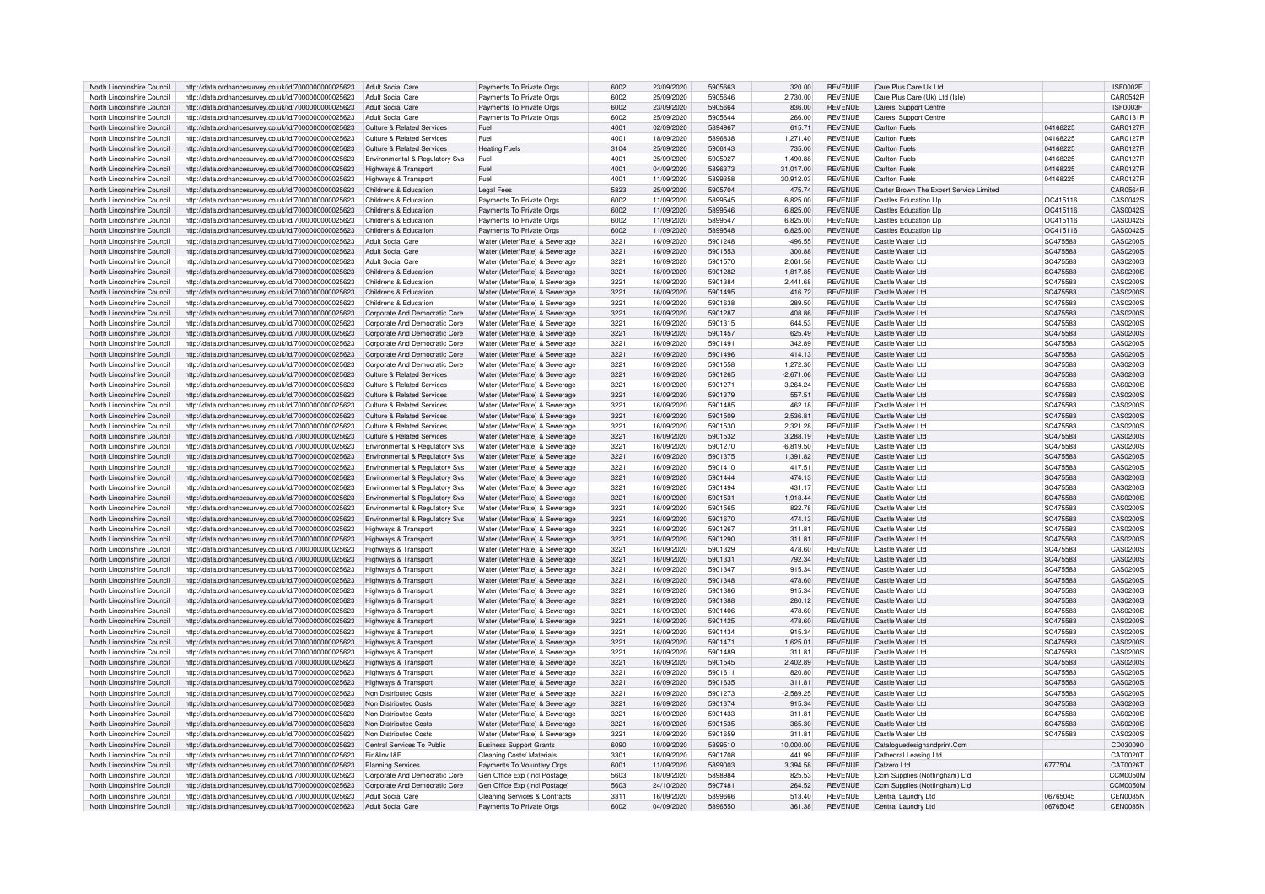| North Lincolnshire Council | http://data.ordnancesurvey.co.uk/id/7000000000025623 | Adult Social Care                         | Payments To Private Orgs       | 6002             | 23/09/2020 | 5905663 | 320.00      | <b>REVENUE</b> | Care Plus Care Uk Ltd                   |          | <b>ISF0002F</b> |
|----------------------------|------------------------------------------------------|-------------------------------------------|--------------------------------|------------------|------------|---------|-------------|----------------|-----------------------------------------|----------|-----------------|
| North Lincolnshire Council | http://data.ordnancesurvey.co.uk/id/7000000000025623 | Adult Social Care                         | Payments To Private Orgs       | 6002             | 25/09/2020 | 5905646 | 2.730.00    | <b>REVENUE</b> | Care Plus Care (Uk) I td (Isle)         |          | <b>CAR0542R</b> |
| North Lincolnshire Council | http://data.ordnancesurvey.co.uk/id/7000000000025623 | Adult Social Care                         | Payments To Private Orgs       | 6002             | 23/09/2020 | 5905664 | 836.00      | <b>REVENUE</b> | Carers' Support Centre                  |          | ISF0003F        |
| North Lincolnshire Council | http://data.ordnancesurvey.co.uk/id/7000000000025623 | <b>Adult Social Care</b>                  | Payments To Private Orgs       | 6002             | 25/09/2020 | 5905644 | 266.00      | <b>REVENUE</b> | Carers' Support Centre                  |          | CAR0131R        |
|                            |                                                      |                                           |                                |                  |            | 5894967 |             |                |                                         | 04168225 |                 |
| North Lincolnshire Council | http://data.ordnancesurvey.co.uk/id/7000000000025623 | <b>Culture &amp; Related Services</b>     | Fuel                           | 4001             | 02/09/2020 |         | 615.71      | <b>REVENUE</b> | <b>Carlton Fuels</b>                    |          | CAR0127R        |
| North Lincolnshire Council | http://data.ordnancesurvey.co.uk/id/7000000000025623 | <b>Culture &amp; Related Services</b>     | Fuel                           | 4001             | 18/09/2020 | 5896838 | 1,271.40    | <b>REVENUE</b> | Carlton Fuels                           | 04168225 | CAR0127R        |
| North Lincolnshire Council | http://data.ordnancesurvey.co.uk/id/7000000000025623 | <b>Culture &amp; Related Services</b>     | <b>Heating Fuels</b>           | 3104             | 25/09/2020 | 5906143 | 735.00      | <b>REVENUE</b> | Carlton Fuels                           | 04168225 | CAR0127R        |
| North Lincolnshire Council | http://data.ordnancesurvey.co.uk/id/7000000000025623 | Environmental & Regulatory Svs            | Fuel                           | 4001             | 25/09/2020 | 5905927 | 1.490.88    | <b>REVENUE</b> | <b>Carlton Fuels</b>                    | 04168225 | <b>CAR0127R</b> |
| North Lincolnshire Council | http://data.ordnancesurvey.co.uk/id/7000000000025623 | Highways & Transport                      | Fuel                           | 4001             | 04/09/2020 | 5896373 | 31.017.00   | <b>REVENUE</b> | Carlton Fuels                           | 04168225 | CAR0127R        |
| North Lincolnshire Council | http://data.ordnancesurvey.co.uk/id/7000000000025623 | Highways & Transport                      | Fuel                           | $400 -$          | 11/09/2020 | 5899358 | 30,912.03   | <b>REVENUE</b> | Carlton Fuels                           | 04168225 | CAR0127R        |
| North Lincolnshire Council | http://data.ordnancesurvey.co.uk/id/7000000000025623 | Childrens & Education                     | <b>Legal Fees</b>              | 5823             | 25/09/2020 | 5905704 | 475.74      | <b>REVENUE</b> | Carter Brown The Expert Service Limited |          | CAR0564R        |
| North Lincolnshire Council | http://data.ordnancesurvey.co.uk/id/7000000000025623 | Childrens & Education                     | Payments To Private Orgs       | 6002             | 11/09/2020 | 5899545 | 6,825.00    | <b>REVENUE</b> | <b>Castles Education Llp</b>            | OC415116 | CAS0042S        |
| North Lincolnshire Council | http://data.ordnancesurvey.co.uk/id/7000000000025623 | Childrens & Education                     | Payments To Private Orgs       | 6002             | 11/09/2020 | 5899546 | 6.825.00    | <b>REVENUE</b> | Castles Education LIn                   | OC415116 | CAS0042S        |
| North Lincolnshire Council | http://data.ordnancesurvey.co.uk/id/7000000000025623 | Childrens & Education                     | Payments To Private Orgs       | 6002             | 11/09/2020 | 5899547 | 6.825.00    | <b>REVENUE</b> | Castles Education Llp                   | OC415116 | CAS0042S        |
| North Lincolnshire Council |                                                      | Childrens & Education                     |                                | 6002             | 11/09/2020 | 5899548 | 6,825.00    | <b>REVENUE</b> | <b>Castles Education Llp</b>            | OC415116 | CAS0042S        |
|                            | http://data.ordnancesurvey.co.uk/id/7000000000025623 |                                           | Payments To Private Orgs       |                  |            |         |             |                |                                         |          |                 |
| North Lincolnshire Council | http://data.ordnancesurvey.co.uk/id/7000000000025623 | <b>Adult Social Care</b>                  | Water (Meter/Rate) & Sewerage  | $322 -$          | 16/09/2020 | 5901248 | $-496.55$   | <b>REVENUE</b> | Castle Water Ltd                        | SC475583 | CAS02005        |
| North Lincolnshire Council | http://data.ordnancesurvey.co.uk/id/7000000000025623 | <b>Adult Social Care</b>                  | Water (Meter/Rate) & Sewerage  | 3221             | 16/09/2020 | 5901553 | 300.88      | <b>REVENUE</b> | Castle Water Ltd                        | SC475583 | <b>CAS0200S</b> |
| North Lincolnshire Council | http://data.ordnancesurvey.co.uk/id/7000000000025623 | <b>Adult Social Care</b>                  | Water (Meter/Rate) & Sewerage  | 3221             | 16/09/2020 | 5901570 | 2.061.58    | <b>REVENUE</b> | Castle Water Ltd                        | SC475583 | CAS0200S        |
| North Lincolnshire Council | http://data.ordnancesurvey.co.uk/id/7000000000025623 | Childrens & Education                     | Water (Meter/Rate) & Sewerage  | 3221             | 16/09/2020 | 5901282 | 1,817.85    | <b>REVENUE</b> | Castle Water Ltd                        | SC475583 | CAS0200S        |
| North Lincolnshire Council | http://data.ordnancesurvey.co.uk/id/7000000000025623 | Childrens & Education                     | Water (Meter/Rate) & Sewerage  | 3221             | 16/09/2020 | 5901384 | 2,441.68    | <b>REVENUE</b> | Castle Water Ltd                        | SC475583 | CAS0200S        |
| North Lincolnshire Council | http://data.ordnancesurvey.co.uk/id/7000000000025623 | Childrens & Education                     | Water (Meter/Rate) & Sewerage  | $322 -$          | 16/09/2020 | 5901495 | 416.72      | <b>REVENUE</b> | Castle Water Ltd                        | SC475583 | CAS0200S        |
| North Lincolnshire Council | http://data.ordnancesurvey.co.uk/id/7000000000025623 | Childrens & Education                     | Water (Meter/Rate) & Sewerage  | $322 -$          | 16/09/2020 | 5901638 | 289.50      | <b>REVENUE</b> | Castle Water Ltd                        | SC475583 | CAS02005        |
| North Lincolnshire Council | http://data.ordnancesurvey.co.uk/id/7000000000025623 | Corporate And Democratic Core             | Water (Meter/Rate) & Sewerage  | 3221             | 16/09/2020 | 5901287 | 408.86      | <b>REVENUE</b> | Castle Water Ltd                        | SC475583 | <b>CAS0200S</b> |
| North Lincolnshire Council | http://data.ordnancesurvey.co.uk/id/7000000000025623 |                                           | Water (Meter/Rate) & Sewerage  | $322 -$          | 16/09/2020 | 5901315 | 644.53      | <b>REVENUE</b> | Castle Water Ltd                        | SC475583 | CAS0200S        |
|                            |                                                      | Corporate And Democratic Core             |                                |                  |            | 5901457 |             |                | Castle Water Ltd                        |          |                 |
| North Lincolnshire Council | http://data.ordnancesurvey.co.uk/id/7000000000025623 | Corporate And Democratic Core             | Water (Meter/Rate) & Sewerage  | 3221             | 16/09/2020 |         | 625.49      | <b>REVENUE</b> |                                         | SC475583 | CAS0200S        |
| North Lincolnshire Council | http://data.ordnancesurvey.co.uk/id/7000000000025623 | Corporate And Democratic Core             | Water (Meter/Rate) & Sewerage  | $322 -$          | 16/09/2020 | 5901491 | 342.89      | <b>REVENUE</b> | Castle Water Ltd                        | SC475583 | CAS0200S        |
| North Lincolnshire Council | http://data.ordnancesurvey.co.uk/id/7000000000025623 | Corporate And Democratic Core             | Water (Meter/Rate) & Sewerage  | $322 -$          | 16/09/2020 | 5901496 | 414.13      | <b>REVENUE</b> | Castle Water Ltd                        | SC475583 | CAS02005        |
| North Lincolnshire Council | http://data.ordnancesurvey.co.uk/id/7000000000025623 | Corporate And Democratic Core             | Water (Meter/Rate) & Sewerage  | 3221             | 16/09/2020 | 5901558 | 1,272.30    | <b>REVENUE</b> | Castle Water Ltd                        | SC475583 | CAS0200S        |
| North Lincolnshire Council | http://data.ordnancesurvey.co.uk/id/7000000000025623 | <b>Culture &amp; Related Services</b>     | Water (Meter/Rate) & Sewerage  | 3221             | 16/09/2020 | 5901265 | $-2,671.06$ | <b>REVENUE</b> | Castle Water Ltd                        | SC475583 | CAS0200S        |
| North Lincolnshire Council | http://data.ordnancesurvey.co.uk/id/7000000000025623 | Culture & Related Services                | Water (Meter/Rate) & Sewerage  | $322 -$          | 16/09/2020 | 5901271 | 3,264.24    | <b>REVENUE</b> | Castle Water Ltd                        | SC475583 | CAS0200S        |
| North Lincolnshire Council | http://data.ordnancesurvey.co.uk/id/7000000000025623 | <b>Culture &amp; Related Services</b>     | Water (Meter/Rate) & Sewerage  | $322 -$          | 16/09/2020 | 5901379 | 557.51      | <b>REVENUE</b> | Castle Water Ltd                        | SC475583 | CAS0200S        |
| North Lincolnshire Council | http://data.ordnancesurvey.co.uk/id/7000000000025623 | <b>Culture &amp; Related Services</b>     | Water (Meter/Rate) & Sewerage  | 3221             | 16/09/2020 | 5901485 | 462.18      | <b>REVENUE</b> | Castle Water Ltd                        | SC475583 | CAS0200S        |
| North Lincolnshire Council | http://data.ordnancesurvey.co.uk/id/7000000000025623 | Culture & Related Services                | Water (Meter/Rate) & Sewerage  | 3221             | 16/09/2020 | 5901509 | 2,536.81    | <b>REVENUE</b> | Castle Water Ltd                        | SC475583 | CAS0200S        |
| North Lincolnshire Council |                                                      | Culture & Related Services                | Water (Meter/Rate) & Sewerage  | $322 -$          | 16/09/2020 | 5901530 | 2,321.28    | <b>REVENUE</b> | Castle Water Ltd                        | SC475583 | CAS0200S        |
|                            | http://data.ordnancesurvey.co.uk/id/7000000000025623 |                                           |                                |                  |            |         |             |                |                                         |          |                 |
| North Lincolnshire Council | http://data.ordnancesurvey.co.uk/id/7000000000025623 | <b>Culture &amp; Related Services</b>     | Water (Meter/Rate) & Sewerage  | 3221             | 16/09/2020 | 5901532 | 3.288.19    | <b>REVENUE</b> | Castle Water Ltd                        | SC475583 | CAS0200S        |
| North Lincolnshire Council | http://data.ordnancesurvey.co.uk/id/7000000000025623 | Environmental & Regulatory Svs            | Water (Meter/Rate) & Sewerage  | $322 -$          | 16/09/2020 | 5901270 | $-6,819.50$ | <b>REVENUE</b> | Castle Water Ltd                        | SC475583 | <b>CAS0200S</b> |
| North Lincolnshire Council | http://data.ordnancesurvey.co.uk/id/7000000000025623 | Environmental & Regulatory Sys            | Water (Meter/Rate) & Sewerage  | 3221             | 16/09/2020 | 5901375 | 1.391.82    | <b>REVENUE</b> | Castle Water Ltd                        | SC475583 | <b>CAS0200S</b> |
| North Lincolnshire Council | http://data.ordnancesurvey.co.uk/id/7000000000025623 | Environmental & Regulatory Svs            | Water (Meter/Rate) & Sewerage  | $322 -$          | 16/09/2020 | 5901410 | 417.5       | <b>REVENUE</b> | Castle Water Ltd                        | SC475583 | CAS0200S        |
| North Lincolnshire Council | http://data.ordnancesurvey.co.uk/id/7000000000025623 | Environmental & Regulatory Svs            | Water (Meter/Rate) & Sewerage  | 3221             | 16/09/2020 | 5901444 | 474.13      | <b>REVENUE</b> | Castle Water Ltd                        | SC475583 | CAS0200S        |
| North Lincolnshire Council | http://data.ordnancesurvev.co.uk/id/7000000000025623 | Environmental & Regulatory Svs            | Water (Meter/Rate) & Sewerage  | $322 -$          | 16/09/2020 | 5901494 | 431.17      | <b>REVENUE</b> | Castle Water Ltd                        | SC475583 | CAS0200S        |
| North Lincolnshire Council | http://data.ordnancesurvey.co.uk/id/7000000000025623 | <b>Environmental &amp; Regulatory Svs</b> | Water (Meter/Rate) & Sewerage  | $322 -$          | 16/09/2020 | 5901531 | 1,918.44    | <b>REVENUE</b> | Castle Water Ltd                        | SC475583 | <b>CAS0200S</b> |
| North Lincolnshire Council | http://data.ordnancesurvey.co.uk/id/7000000000025623 | Environmental & Regulatory Svs            | Water (Meter/Rate) & Sewerage  | 3221             | 16/09/2020 | 5901565 | 822.78      | <b>REVENUE</b> | Castle Water Ltd                        | SC475583 | CAS0200S        |
| North Lincolnshire Council | http://data.ordnancesurvey.co.uk/id/7000000000025623 | Environmental & Regulatory Svs            | Water (Meter/Rate) & Sewerage  | 3221             | 16/09/2020 | 5901670 | 474.13      | <b>REVENUE</b> | Castle Water Ltd                        | SC475583 | CAS0200S        |
|                            |                                                      |                                           |                                |                  |            |         |             | <b>REVENUE</b> |                                         |          | CAS0200S        |
| North Lincolnshire Council | http://data.ordnancesurvey.co.uk/id/7000000000025623 | <b>Highways &amp; Transport</b>           | Water (Meter/Rate) & Sewerage  | $322 -$          | 16/09/2020 | 5901267 | 311.81      |                | Castle Water Ltd                        | SC475583 |                 |
| North Lincolnshire Council | http://data.ordnancesurvey.co.uk/id/7000000000025623 | Highways & Transport                      | Water (Meter/Rate) & Sewerage  | 3221             | 16/09/2020 | 5901290 | 311.81      | <b>REVENUE</b> | Castle Water Ltd                        | SC475583 | CAS0200S        |
| North Lincolnshire Council | http://data.ordnancesurvey.co.uk/id/7000000000025623 | <b>Highways &amp; Transport</b>           | Water (Meter/Rate) & Sewerage  | $322 -$          | 16/09/2020 | 5901329 | 478.60      | <b>REVENUE</b> | Castle Water Ltd                        | SC475583 | CAS02005        |
| North Lincolnshire Council | http://data.ordnancesurvey.co.uk/id/7000000000025623 | Highways & Transport                      | Water (Meter/Rate) & Sewerage  | $322 -$          | 16/09/2020 | 5901331 | 792.34      | <b>REVENUE</b> | Castle Water Ltd                        | SC475583 | <b>CAS0200S</b> |
| North Lincolnshire Council | http://data.ordnancesurvey.co.uk/id/7000000000025623 | Highways & Transport                      | Water (Meter/Rate) & Sewerage  | $322 -$          | 16/09/2020 | 5901347 | 915.34      | <b>REVENUE</b> | Castle Water Ltd                        | SC475583 | CAS0200S        |
| North Lincolnshire Council | http://data.ordnancesurvey.co.uk/id/7000000000025623 | Highways & Transport                      | Water (Meter/Rate) & Sewerage  | $322 -$          | 16/09/2020 | 5901348 | 478.60      | <b>REVENUE</b> | Castle Water Ltd                        | SC475583 | CAS0200S        |
| North Lincolnshire Council | http://data.ordnancesurvey.co.uk/id/7000000000025623 | Highways & Transport                      | Water (Meter/Rate) & Sewerage  | $322 -$          | 16/09/2020 | 5901386 | 915.34      | <b>REVENUE</b> | Castle Water Ltd                        | SC475583 | CAS0200S        |
| North Lincolnshire Council | http://data.ordnancesurvey.co.uk/id/7000000000025623 | <b>Highways &amp; Transport</b>           | Water (Meter/Rate) & Sewerage  | $322 -$          | 16/09/2020 | 5901388 | 280.12      | <b>REVENUE</b> | Castle Water Ltd                        | SC475583 | CAS0200S        |
| North Lincolnshire Council | http://data.ordnancesurvey.co.uk/id/7000000000025623 | Highways & Transport                      | Water (Meter/Rate) & Sewerage  | $322 -$          | 16/09/2020 | 5901406 | 478.60      | <b>REVENUE</b> | Castle Water Ltd                        | SC475583 | CAS0200S        |
| North Lincolnshire Council | http://data.ordnancesurvey.co.uk/id/7000000000025623 | Highways & Transport                      | Water (Meter/Rate) & Sewerage  | $322 -$          | 16/09/2020 | 5901425 | 478.60      | <b>REVENUE</b> | Castle Water Ltd                        | SC475583 | CAS0200S        |
| North Lincolnshire Council |                                                      |                                           | Water (Meter/Rate) & Sewerage  | $322 -$          |            | 5901434 |             | <b>REVENUE</b> | Castle Water Ltd                        | SC475583 |                 |
|                            | http://data.ordnancesurvey.co.uk/id/7000000000025623 | Highways & Transport                      |                                |                  | 16/09/2020 |         | 915.34      |                | Castle Water Ltd                        |          | CAS0200S        |
| North Lincolnshire Council | http://data.ordnancesurvey.co.uk/id/7000000000025623 | Highways & Transport                      | Water (Meter/Rate) & Sewerage  | 3221             | 16/09/2020 | 5901471 | 1,625.01    | <b>REVENUE</b> |                                         | SC475583 | CAS0200S        |
| North Lincolnshire Council | http://data.ordnancesurvey.co.uk/id/7000000000025623 | Highways & Transport                      | Water (Meter/Rate) & Sewerage  | $322 -$          | 16/09/2020 | 5901489 | 311.8       | <b>REVENUE</b> | Castle Water Ltd                        | SC475583 | CAS02005        |
| North Lincolnshire Council | http://data.ordnancesurvey.co.uk/id/7000000000025623 | Highways & Transport                      | Water (Meter/Rate) & Sewerage  | 3221             | 16/09/2020 | 5901545 | 2.402.89    | <b>REVENUE</b> | Castle Water Ltd                        | SC475583 | CAS0200S        |
| North Lincolnshire Council | http://data.ordnancesurvey.co.uk/id/7000000000025623 | Highways & Transport                      | Water (Meter/Rate) & Sewerage  | $322 -$          | 16/09/2020 | 5901611 | 820.80      | <b>REVENUE</b> | Castle Water Ltd                        | SC475583 | CAS0200S        |
| North Lincolnshire Council | http://data.ordnancesurvey.co.uk/id/7000000000025623 | Highways & Transport                      | Water (Meter/Rate) & Sewerage  | $322 -$          | 16/09/2020 | 5901635 | 311.8       | <b>REVENUE</b> | Castle Water Ltd                        | SC475583 | CAS0200S        |
| North Lincolnshire Council | http://data.ordnancesurvey.co.uk/id/7000000000025623 | Non Distributed Costs                     | Water (Meter/Rate) & Sewerage  | 3221             | 16/09/2020 | 5901273 | $-2,589.25$ | <b>REVENUE</b> | Castle Water Ltd                        | SC475583 | CAS0200S        |
| North Lincolnshire Council | http://data.ordnancesurvey.co.uk/id/7000000000025623 | Non Distributed Costs                     | Water (Meter/Rate) & Sewerage  | 3221             | 16/09/2020 | 5901374 | 915.34      | <b>REVENUE</b> | Castle Water Ltd                        | SC475583 | CAS0200S        |
| North Lincolnshire Council | http://data.ordnancesurvey.co.uk/id/7000000000025623 | Non Distributed Costs                     | Water (Meter/Rate) & Sewerage  | 3221             | 16/09/2020 | 5901433 | 311.81      | <b>REVENUE</b> | Castle Water Ltd                        | SC475583 | CAS0200S        |
| North Lincolnshire Council | http://data.ordnancesurvey.co.uk/id/7000000000025623 | Non Distributed Costs                     | Water (Meter/Rate) & Sewerage  | 3221             | 16/09/2020 | 5901535 | 365.30      | <b>REVENUE</b> | Castle Water Ltd                        | SC475583 | CAS0200S        |
| North Lincolnshire Council |                                                      | Non Distributed Costs                     | Water (Meter/Rate) & Sewerage  | $322 -$          | 16/09/2020 | 5901659 | 311.81      | <b>REVENUE</b> | Castle Water Ltd                        |          | CAS0200S        |
|                            | http://data.ordnancesurvey.co.uk/id/7000000000025623 |                                           |                                |                  |            |         |             |                |                                         | SC475583 |                 |
| North Lincolnshire Council | http://data.ordnancesurvey.co.uk/id/7000000000025623 | Central Services To Public                | <b>Business Support Grants</b> | 6090             | 10/09/2020 | 5899510 | 10.000.00   | <b>REVENUE</b> | Cataloguedesignandprint.Com             |          | CD030090        |
| North Lincolnshire Council | http://data.ordnancesurvey.co.uk/id/7000000000025623 | Fin&Inv I&F                               | Cleaning Costs/ Materials      | 3301             | 16/09/2020 | 5901708 | 441.99      | <b>REVENUE</b> | Cathedral Leasing Ltd                   |          | CAT0020T        |
| North Lincolnshire Council | http://data.ordnancesurvey.co.uk/id/7000000000025623 | Planning Services                         | Payments To Voluntary Orgs     | 6001             | 11/09/2020 | 5899003 | 3.394.58    | <b>REVENUE</b> | Catzero I td                            | 6777504  | CAT00261        |
| North Lincolnshire Council | http://data.ordnancesurvey.co.uk/id/7000000000025623 | Corporate And Democratic Core             | Gen Office Exp (Incl Postage)  | 5603             | 18/09/2020 | 5898984 | 825.53      | <b>REVENUE</b> | Ccm Supplies (Nottingham) Ltd           |          | CCM0050M        |
| North Lincolnshire Council | http://data.ordnancesurvey.co.uk/id/7000000000025623 | Corporate And Democratic Core             | Gen Office Exp (Incl Postage)  | 5603             | 24/10/2020 | 5907481 | 264.52      | <b>REVENUE</b> | Ccm Supplies (Nottingham) Ltd           |          | CCM0050M        |
| North Lincolnshire Council | http://data.ordnancesurvey.co.uk/id/7000000000025623 | Adult Social Care                         | Cleaning Services & Contracts  | 331 <sup>1</sup> | 16/09/2020 | 5899666 | 513.40      | <b>REVENUE</b> | Central Laundry Ltd                     | 06765045 | <b>CEN0085N</b> |
| North Lincolnshire Council | http://data.ordnancesurvey.co.uk/id/7000000000025623 | Adult Social Care                         | Payments To Private Orgs       | 6002             | 04/09/2020 | 5896550 | 361.38      | <b>REVENUE</b> | Central Laundry Ltd                     | 06765045 | CEN0085N        |
|                            |                                                      |                                           |                                |                  |            |         |             |                |                                         |          |                 |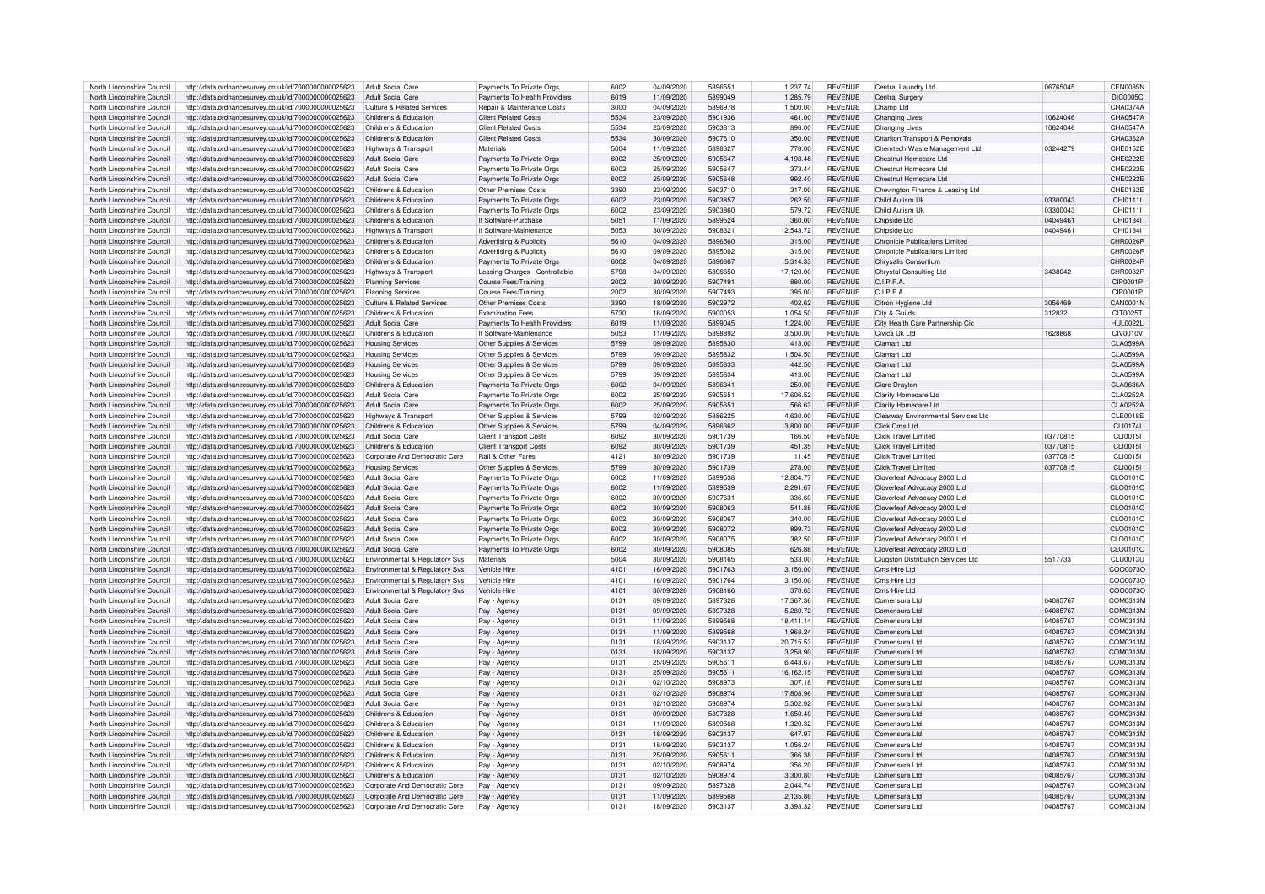| North Lincolnshire Council | http://data.ordnancesurvey.co.uk/id/7000000000025623 | Adult Social Care                          | Payments To Private Orgs       | 6002 | 04/09/2020 | 5896551 | 1.237.74  | <b>REVENUE</b> | Central Laundry Ltd                   | 06765045 | <b>CEN0085N</b> |
|----------------------------|------------------------------------------------------|--------------------------------------------|--------------------------------|------|------------|---------|-----------|----------------|---------------------------------------|----------|-----------------|
| North Lincolnshire Council | http://data.ordnancesurvey.co.uk/id/7000000000025623 | Adult Social Care                          | Payments To Health Providers   | 6019 | 11/09/2020 | 5899049 | 1,285.79  | <b>REVENUE</b> | Central Surgery                       |          | DIC0005C        |
|                            |                                                      |                                            |                                |      |            |         |           |                |                                       |          |                 |
| North Lincolnshire Council | http://data.ordnancesurvey.co.uk/id/7000000000025623 | <b>Culture &amp; Related Services</b>      | Repair & Maintenance Costs     | 3000 | 04/09/2020 | 5896978 | 1,500.00  | <b>REVENUE</b> | Champ Ltd                             |          | CHA0374A        |
| North Lincolnshire Council | http://data.ordnancesurvey.co.uk/id/7000000000025623 | Childrens & Education                      | <b>Client Related Costs</b>    | 5534 | 23/09/2020 | 5901936 | 461.00    | <b>REVENUE</b> | <b>Changing Lives</b>                 | 10624046 | CHA0547A        |
| North Lincolnshire Council | http://data.ordnancesurvey.co.uk/id/7000000000025623 | Childrens & Education                      | <b>Client Related Costs</b>    | 5534 | 23/09/2020 | 5903813 | 896.00    | <b>REVENUE</b> | <b>Changing Lives</b>                 | 10624046 | CHA0547A        |
| North Lincolnshire Council | http://data.ordnancesurvey.co.uk/id/7000000000025623 | Childrens & Education                      | <b>Client Related Costs</b>    | 5534 | 30/09/2020 | 5907610 | 350.00    | <b>REVENUE</b> | Charlton Transport & Removals         |          | CHA0362A        |
| North Lincolnshire Council | http://data.ordnancesurvey.co.uk/id/7000000000025623 | Highways & Transport                       | Materials                      | 5004 | 11/09/2020 | 589832  | 778.00    | <b>REVENUE</b> | Chemtech Waste Management Ltd         | 03244279 | CHE0152E        |
| North Lincolnshire Council | http://data.ordnancesurvey.co.uk/id/7000000000025623 | Adult Social Care                          | Payments To Private Orgs       | 6002 | 25/09/2020 | 5905647 | 4,198.48  | <b>REVENUE</b> | Chestnut Homecare I td                |          | CHF0222F        |
| North Lincolnshire Council | http://data.ordnancesurvey.co.uk/id/7000000000025623 | Adult Social Care                          | Payments To Private Orgs       | 6002 | 25/09/2020 | 5905647 | 373.44    | <b>REVENUE</b> | Chestnut Homecare Ltd                 |          | CHE0222E        |
| North Lincolnshire Council | http://data.ordnancesurvey.co.uk/id/7000000000025623 | Adult Social Care                          | Payments To Private Orgs       | 6002 | 25/09/2020 | 5905648 | 992.40    | <b>REVENUE</b> | Chestnut Homecare Ltd                 |          | CHF0222F        |
|                            |                                                      |                                            |                                |      |            |         |           |                |                                       |          |                 |
| North Lincolnshire Council | http://data.ordnancesurvey.co.uk/id/7000000000025623 | Childrens & Education                      | Other Premises Costs           | 3390 | 23/09/2020 | 5903710 | 317.00    | <b>REVENUE</b> | Chevington Finance & Leasing Ltd      |          | CHE0162E        |
| North Lincolnshire Council | http://data.ordnancesurvey.co.uk/id/7000000000025623 | Childrens & Education                      | Payments To Private Orgs       | 6002 | 23/09/2020 | 5903857 | 262.50    | <b>REVENUE</b> | Child Autism Ul                       | 03300043 | CHI0111         |
| North Lincolnshire Council | http://data.ordnancesurvey.co.uk/id/7000000000025623 | Childrens & Education                      | Payments To Private Orgs       | 6002 | 23/09/2020 | 5903860 | 579.72    | <b>REVENUE</b> | Child Autism Uk                       | 03300043 | CHI0111         |
| North Lincolnshire Council | http://data.ordnancesurvey.co.uk/id/7000000000025623 | Childrens & Education                      | It Software-Purchase           | 5051 | 11/09/2020 | 5899524 | 360.00    | <b>REVENUE</b> | Chipside Ltd                          | 04049461 | CHI01341        |
| North Lincolnshire Council | http://data.ordnancesurvey.co.uk/id/7000000000025623 | Highways & Transport                       | It Software-Maintenance        | 5053 | 30/09/2020 | 590832  | 12.543.72 | <b>REVENUE</b> | Chinside I td                         | 0404946  | CHI0134         |
| North Lincolnshire Council | http://data.ordnancesurvey.co.uk/id/7000000000025623 | Childrens & Education                      | Advertising & Publicity        | 5610 | 04/09/2020 | 5896560 | 315.00    | <b>REVENUE</b> | <b>Chronicle Publications Limited</b> |          | CHR0026R        |
| North Lincolnshire Council | http://data.ordnancesurvey.co.uk/id/7000000000025623 | Childrens & Education                      | Advertising & Publicity        | 5610 | 09/09/2020 | 5895002 | 315.00    | <b>REVENUE</b> | Chronicle Publications Limited        |          | CHR0026R        |
| North Lincolnshire Council | http://data.ordnancesurvey.co.uk/id/7000000000025623 | Childrens & Education                      | Payments To Private Orgs       | 6002 | 04/09/2020 | 5896887 | 5,314.33  | <b>REVENUE</b> | Chrysalis Consortium                  |          | CHR0024R        |
| North Lincolnshire Council | http://data.ordnancesurvey.co.uk/id/7000000000025623 | Highways & Transport                       | Leasing Charges - Controllable | 5798 | 04/09/2020 | 5896650 | 17,120.00 | <b>REVENUE</b> | Chrystal Consulting Ltd               | 3438042  | CHR0032R        |
|                            |                                                      |                                            |                                |      |            | 590749  |           |                | C.I.P.F.A                             |          |                 |
| North Lincolnshire Council | http://data.ordnancesurvey.co.uk/id/7000000000025623 | <b>Planning Services</b>                   | <b>Course Fees/Training</b>    | 2002 | 30/09/2020 |         | 880.00    | <b>REVENUE</b> |                                       |          | CIP0001P        |
| North Lincolnshire Council | http://data.ordnancesurvey.co.uk/id/7000000000025623 | <b>Planning Services</b>                   | Course Fees/Training           | 2002 | 30/09/2020 | 5907493 | 395.00    | <b>REVENUE</b> | C.I.P.F.A.                            |          | CIP0001P        |
| North Lincolnshire Council | http://data.ordnancesurvey.co.uk/id/7000000000025623 | Culture & Related Services                 | Other Premises Costs           | 3390 | 18/09/2020 | 5902972 | 402.62    | <b>REVENUE</b> | Citron Hygiene Ltd                    | 3056469  | <b>CAN0001N</b> |
| North Lincolnshire Council | http://data.ordnancesurvey.co.uk/id/7000000000025623 | Childrens & Education                      | <b>Examination Fees</b>        | 5730 | 16/09/2020 | 5900053 | 1,054.50  | <b>REVENUE</b> | City & Guilds                         | 312832   | CIT0025T        |
| North Lincolnshire Council | http://data.ordnancesurvey.co.uk/id/7000000000025623 | <b>Adult Social Care</b>                   | Payments To Health Providers   | 6019 | 11/09/2020 | 5899045 | 1,224.00  | <b>REVENUE</b> | City Health Care Partnership Cic      |          | <b>HUL0022L</b> |
| North Lincolnshire Council | http://data.ordnancesurvey.co.uk/id/7000000000025623 | Childrens & Education                      | It Software-Maintenance        | 5053 | 11/09/2020 | 5898892 | 3.500.00  | <b>REVENUE</b> | Civica Uk I td                        | 1628868  | <b>CIV0010V</b> |
| North Lincolnshire Council | http://data.ordnancesurvey.co.uk/id/7000000000025623 | <b>Housing Services</b>                    | Other Supplies & Services      | 5799 | 09/09/2020 | 5895830 | 413.00    | <b>REVENUE</b> | Clamart I td                          |          | <b>CLA0599A</b> |
| North Lincolnshire Council | http://data.ordnancesurvey.co.uk/id/7000000000025623 | <b>Housing Services</b>                    | Other Supplies & Services      | 5799 | 09/09/2020 | 5895832 | 1.504.50  | <b>REVENUE</b> | Clamart I to                          |          | <b>CLA0599A</b> |
| North Lincolnshire Council | http://data.ordnancesurvey.co.uk/id/7000000000025623 | <b>Housing Services</b>                    | Other Supplies & Services      | 5799 | 09/09/2020 | 5895833 | 442.50    | <b>REVENUE</b> | Clamart I to                          |          | <b>CLA0599A</b> |
| North Lincolnshire Council | http://data.ordnancesurvey.co.uk/id/7000000000025623 | <b>Housing Services</b>                    | Other Supplies & Services      | 5799 | 09/09/2020 | 5895834 | 413.00    | <b>REVENUE</b> | Clamart Ltd                           |          | <b>CLA0599A</b> |
|                            |                                                      |                                            |                                |      |            |         |           |                |                                       |          |                 |
| North Lincolnshire Council | http://data.ordnancesurvey.co.uk/id/7000000000025623 | Childrens & Education                      | Payments To Private Orgs       | 6002 | 04/09/2020 | 589634  | 250.00    | <b>REVENUE</b> | <b>Clare Drayton</b>                  |          | <b>CLA0636A</b> |
| North Lincolnshire Council | http://data.ordnancesurvey.co.uk/id/7000000000025623 | <b>Adult Social Care</b>                   | Payments To Private Orgs       | 6002 | 25/09/2020 | 5905651 | 17,606.52 | <b>REVENUE</b> | Clarity Homecare Ltd                  |          | <b>CLA0252A</b> |
| North Lincolnshire Council | http://data.ordnancesurvey.co.uk/id/7000000000025623 | <b>Adult Social Care</b>                   | Payments To Private Orgs       | 6002 | 25/09/2020 | 590565  | 566.63    | <b>REVENUE</b> | Clarity Homecare I td                 |          | <b>CLA0252A</b> |
| North Lincolnshire Council | http://data.ordnancesurvey.co.uk/id/7000000000025623 | Highways & Transport                       | Other Supplies & Services      | 5799 | 02/09/2020 | 5886225 | 4,630.00  | <b>REVENUE</b> | Clearway Environmental Services Ltd   |          | <b>CLE0018E</b> |
| North Lincolnshire Council | http://data.ordnancesurvey.co.uk/id/7000000000025623 | Childrens & Education                      | Other Supplies & Services      | 5799 | 04/09/2020 | 5896362 | 3,800.00  | <b>REVENUE</b> | Click Cms I td                        |          | CLI0174I        |
| North Lincolnshire Council | http://data.ordnancesurvey.co.uk/id/7000000000025623 | <b>Adult Social Care</b>                   | <b>Client Transport Costs</b>  | 6092 | 30/09/2020 | 5901739 | 166.50    | <b>REVENUE</b> | <b>Click Travel Limited</b>           | 03770815 | CI 10015        |
| North Lincolnshire Council | http://data.ordnancesurvey.co.uk/id/7000000000025623 | Childrens & Education                      | <b>Client Transport Costs</b>  | 6092 | 30/09/2020 | 5901739 | 451.35    | <b>REVENUE</b> | <b>Click Travel Limited</b>           | 03770815 | <b>CLI0015I</b> |
| North Lincolnshire Council | http://data.ordnancesurvey.co.uk/id/7000000000025623 | Corporate And Democratic Core              | Rail & Other Fares             | 4121 | 30/09/2020 | 5901739 | 11.45     | <b>REVENUE</b> | Click Travel Limited                  | 03770815 | CLI0015I        |
| North Lincolnshire Council | http://data.ordnancesurvey.co.uk/id/7000000000025623 | <b>Housing Services</b>                    | Other Supplies & Services      | 5799 | 30/09/2020 | 5901739 | 278.00    | <b>REVENUE</b> | Click Travel Limited                  | 03770815 | <b>CLI0015I</b> |
| North Lincolnshire Council | http://data.ordnancesurvey.co.uk/id/7000000000025623 | Adult Social Care                          | Payments To Private Orgs       | 6002 | 11/09/2020 | 5899538 | 12.804.77 | <b>REVENUE</b> | Cloverleaf Advocacy 2000 Ltd          |          | CLO0101O        |
|                            |                                                      |                                            |                                |      |            |         |           |                |                                       |          |                 |
| North Lincolnshire Council | http://data.ordnancesurvey.co.uk/id/7000000000025623 | <b>Adult Social Care</b>                   | Payments To Private Orgs       | 6002 | 11/09/2020 | 5899539 | 2,291.67  | <b>REVENUE</b> | Cloverleaf Advocacy 2000 Ltd          |          | CLO0101O        |
| North Lincolnshire Council | http://data.ordnancesurvey.co.uk/id/7000000000025623 | <b>Adult Social Care</b>                   | Payments To Private Oras       | 6002 | 30/09/2020 | 590763  | 336.60    | <b>REVENUE</b> | Cloverleaf Advocacy 2000 Ltd          |          | CLO0101O        |
| North Lincolnshire Council | http://data.ordnancesurvey.co.uk/id/7000000000025623 | <b>Adult Social Care</b>                   | Payments To Private Orgs       | 6002 | 30/09/2020 | 5908063 | 541.88    | <b>REVENUE</b> | Cloverleaf Advocacy 2000 Ltd          |          | CLO0101O        |
| North Lincolnshire Council | http://data.ordnancesurvey.co.uk/id/7000000000025623 | <b>Adult Social Care</b>                   | Payments To Private Orgs       | 6002 | 30/09/2020 | 5908067 | 340.00    | <b>REVENUE</b> | Cloverleaf Advocacy 2000 Ltd          |          | CLO0101O        |
| North Lincolnshire Council | http://data.ordnancesurvey.co.uk/id/7000000000025623 | <b>Adult Social Care</b>                   | Payments To Private Orgs       | 6002 | 30/09/2020 | 5908072 | 899.73    | <b>REVENUE</b> | Cloverleaf Advocacy 2000 Ltd          |          | CLO0101O        |
| North Lincolnshire Council | http://data.ordnancesurvey.co.uk/id/7000000000025623 | <b>Adult Social Care</b>                   | Payments To Private Orgs       | 6002 | 30/09/2020 | 5908075 | 382.50    | REVENUE        | Cloverleaf Advocacy 2000 Ltd          |          | CLO0101O        |
| North Lincolnshire Council | http://data.ordnancesurvey.co.uk/id/7000000000025623 | <b>Adult Social Care</b>                   | Payments To Private Orgs       | 6002 | 30/09/2020 | 5908085 | 626.88    | <b>REVENUE</b> | Cloverleaf Advocacy 2000 Ltd          |          | CLO0101O        |
| North Lincolnshire Council | http://data.ordnancesurvey.co.uk/id/7000000000025623 | Environmental & Regulatory Svs             | Materials                      | 5004 | 30/09/2020 | 5908165 | 533.00    | <b>REVENUE</b> | Clugston Distribution Services Ltd    | 5517733  | <b>CLU0013U</b> |
| North Lincolnshire Council | http://data.ordnancesurvey.co.uk/id/7000000000025623 | Environmental & Regulatory Svs             | Vehicle Hire                   | 4101 | 16/09/2020 | 5901763 | 3,150.00  | <b>REVENUE</b> | Cms Hire Ltd                          |          | COO0073O        |
|                            |                                                      |                                            |                                |      |            |         |           |                |                                       |          |                 |
| North Lincolnshire Council | http://data.ordnancesurvey.co.uk/id/7000000000025623 | Environmental & Regulatory Svs             | Vehicle Hire                   | 4101 | 16/09/2020 | 5901764 | 3,150.00  | <b>REVENUE</b> | Cms Hire Ltd                          |          | COO0073O        |
| North Lincolnshire Council | http://data.ordnancesurvey.co.uk/id/7000000000025623 | <b>Environmental &amp; Regulatory Sys.</b> | Vehicle Hire                   | 4101 | 30/09/2020 | 5908166 | 370.63    | <b>REVENUE</b> | Cms Hire I td                         |          | COO0073O        |
| North Lincolnshire Council | http://data.ordnancesurvey.co.uk/id/7000000000025623 | Adult Social Care                          | Pay - Agency                   | 0131 | 09/09/2020 | 5897328 | 17,367.36 | <b>REVENUE</b> | Comensura Ltd                         | 04085767 | COM0313M        |
| North Lincolnshire Council | http://data.ordnancesurvey.co.uk/id/7000000000025623 | Adult Social Care                          | Pay - Agency                   | 0131 | 09/09/2020 | 5897328 | 5,280.72  | <b>REVENUE</b> | Comensura Ltd                         | 04085767 | COM0313M        |
| North Lincolnshire Council | http://data.ordnancesurvey.co.uk/id/7000000000025623 | <b>Adult Social Care</b>                   | Pay - Agenc                    | 0131 | 11/09/2020 | 5899568 | 18,411.14 | <b>REVENUE</b> | Comensura Ltd                         | 04085767 | COM0313M        |
| North Lincolnshire Council | http://data.ordnancesurvey.co.uk/id/7000000000025623 | <b>Adult Social Care</b>                   | Pay - Agenc                    | 0131 | 11/09/2020 | 5899568 | 1,968.24  | <b>REVENUE</b> | Comensura I td                        | 04085767 | COM0313M        |
| North Lincolnshire Council | http://data.ordnancesurvey.co.uk/id/7000000000025623 | <b>Adult Social Care</b>                   | Pay - Agenc                    | 0131 | 18/09/2020 | 5903137 | 20,715.53 | <b>REVENUE</b> | Comensura Ltd                         | 04085767 | COM0313M        |
| North Lincolnshire Council | http://data.ordnancesurvey.co.uk/id/7000000000025623 | <b>Adult Social Care</b>                   | Pay - Agency                   | 0131 | 18/09/2020 | 5903137 | 3,258.90  | <b>REVENUE</b> | Comensura I td                        | 04085767 | COM0313M        |
| North Lincolnshire Council | http://data.ordnancesurvey.co.uk/id/7000000000025623 | Adult Social Care                          | Pay - Agency                   | 0131 | 25/09/2020 | 590561  | 6,443.67  | <b>REVENUE</b> | Comensura Ltd                         | 04085767 | COM0313M        |
| North Lincolnshire Council | http://data.ordnancesurvey.co.uk/id/7000000000025623 | Adult Social Care                          | Pay - Agency                   | 0131 | 25/09/2020 | 590561  | 16,162.15 | <b>REVENUE</b> | Comensura Ltd                         | 04085767 | COM0313M        |
| North Lincolnshire Council |                                                      | Adult Social Care                          |                                | 0131 |            | 5908973 | 307.18    | <b>REVENUE</b> | Comensura I td                        | 04085767 | COM0313M        |
|                            | http://data.ordnancesurvey.co.uk/id/7000000000025623 |                                            | Pay - Agency                   |      | 02/10/2020 |         |           |                |                                       |          |                 |
| North Lincolnshire Council | http://data.ordnancesurvey.co.uk/id/7000000000025623 | <b>Adult Social Care</b>                   | Pay - Agency                   | 0131 | 02/10/2020 | 5908974 | 17,808.96 | <b>REVENUE</b> | Comensura Ltd                         | 04085767 | COM0313M        |
| North Lincolnshire Council | http://data.ordnancesurvey.co.uk/id/7000000000025623 | Adult Social Care                          | Pay - Agency                   | 0131 | 02/10/2020 | 5908974 | 5.302.92  | <b>REVENUE</b> | Comensura I td                        | 04085767 | COM0313M        |
| North Lincolnshire Council | http://data.ordnancesurvey.co.uk/id/7000000000025623 | Childrens & Education                      | Pay - Agency                   | 0131 | 09/09/2020 | 5897328 | 1.650.40  | <b>REVENUE</b> | Comensura I td                        | 04085767 | COM0313M        |
| North Lincolnshire Council | http://data.ordnancesurvey.co.uk/id/7000000000025623 | Childrens & Education                      | Pay - Agency                   | 0131 | 11/09/2020 | 5899568 | 1.320.32  | <b>REVENUE</b> | Comensura I td                        | 04085767 | COM0313M        |
| North Lincolnshire Council | http://data.ordnancesurvey.co.uk/id/7000000000025623 | Childrens & Education                      | Pay - Agenc                    | 0131 | 18/09/2020 | 5903137 | 647.97    | <b>REVENUE</b> | Comensura Ltd                         | 04085767 | COM0313M        |
| North Lincolnshire Council | http://data.ordnancesurvey.co.uk/id/7000000000025623 | Childrens & Education                      | Pay - Agency                   | 0131 | 18/09/2020 | 5903137 | 1.056.24  | <b>REVENUE</b> | Comensura I td                        | 04085767 | COM0313M        |
| North Lincolnshire Council | http://data.ordnancesurvey.co.uk/id/7000000000025623 | Childrens & Education                      | Pay - Agency                   | 0131 | 25/09/2020 | 590561  | 366.38    | <b>REVENUE</b> | Comensura I td                        | 04085767 | COM0313M        |
| North Lincolnshire Council | http://data.ordnancesurvey.co.uk/id/7000000000025623 | Childrens & Education                      | Pay - Agency                   | 0131 | 02/10/2020 | 5908974 | 356.20    | <b>REVENUE</b> | Comensura I td                        | 04085767 | COM0313M        |
| North Lincolnshire Council | http://data.ordnancesurvey.co.uk/id/7000000000025623 | Childrens & Education                      | Pay - Agency                   | 0131 | 02/10/2020 | 5908974 | 3,300.80  | <b>REVENUE</b> | Comensura I td                        | 04085767 | COM0313M        |
| North Lincolnshire Council | http://data.ordnancesurvey.co.uk/id/7000000000025623 | Corporate And Democratic Core              | Pay - Agency                   | 0131 | 09/09/2020 | 5897328 | 2,044.74  | <b>REVENUE</b> | Comensura Ltd                         | 04085767 | COM0313M        |
| North Lincolnshire Council | http://data.ordnancesurvey.co.uk/id/7000000000025623 | Corporate And Democratic Core              | Pay - Agency                   | 0131 | 11/09/2020 | 5899568 | 2,135.86  | <b>REVENUE</b> | Comensura I td                        | 04085767 | COM0313M        |
|                            |                                                      |                                            |                                |      |            |         |           |                |                                       |          |                 |
| North Lincolnshire Council | http://data.ordnancesurvey.co.uk/id/7000000000025623 | Corporate And Democratic Core              | Pay - Agency                   | 0131 | 18/09/2020 | 5903137 | 3.393.32  | <b>REVENUE</b> | Comensura I td                        | 04085767 | COM0313M        |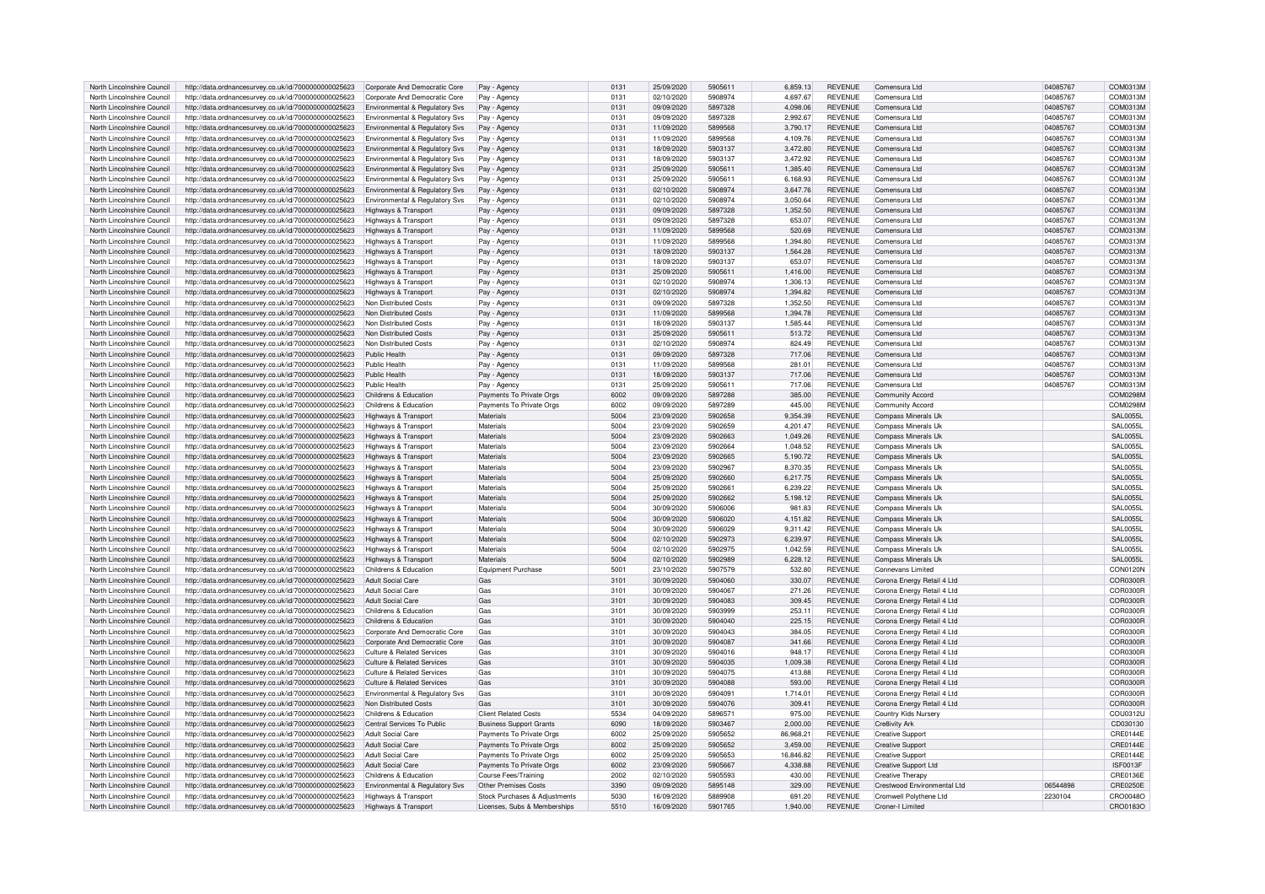| North Lincolnshire Council | http://data.ordnancesurvey.co.uk/id/7000000000025623 | Corporate And Democratic Core             | Pay - Agency                   | 0131 | 25/09/2020 | 5905611 | 6,859.13  | <b>REVENUE</b> | Comensura Ltd               | 04085767 | COM0313M        |
|----------------------------|------------------------------------------------------|-------------------------------------------|--------------------------------|------|------------|---------|-----------|----------------|-----------------------------|----------|-----------------|
| North Lincolnshire Council | http://data.ordnancesurvey.co.uk/id/7000000000025623 | Corporate And Democratic Core             | Pay - Agency                   | 0131 | 02/10/2020 | 5908974 | 4.697.67  | <b>REVENUE</b> | Comensura Ltd               | 04085767 | COM0313M        |
| North Lincolnshire Council |                                                      |                                           |                                | 0131 | 09/09/2020 | 5897328 | 4.098.06  | <b>REVENUE</b> | Comensura I td              | 04085767 | COM0313M        |
|                            | http://data.ordnancesurvey.co.uk/id/7000000000025623 | Environmental & Regulatory Svs            | Pay - Agency                   |      |            |         |           |                |                             |          |                 |
| North Lincolnshire Council | http://data.ordnancesurvey.co.uk/id/7000000000025623 | Environmental & Regulatory Sys            | Pay - Agency                   | 0131 | 09/09/2020 | 5897328 | 2.992.67  | <b>REVENUE</b> | Comensura I td              | 04085767 | COM0313M        |
| North Lincolnshire Council | http://data.ordnancesurvey.co.uk/id/7000000000025623 | Environmental & Regulatory Svs            | Pay - Agency                   | 0131 | 11/09/2020 | 5899568 | 3.790.17  | <b>REVENUE</b> | Comensura Ltd               | 04085767 | COM0313M        |
| North Lincolnshire Council | http://data.ordnancesurvey.co.uk/id/7000000000025623 | Environmental & Regulatory Svs            | Pay - Agency                   | 0131 | 11/09/2020 | 5899568 | 4,109.76  | <b>REVENUE</b> | Comensura Ltd               | 04085767 | COM0313M        |
| North Lincolnshire Council | http://data.ordnancesurvey.co.uk/id/7000000000025623 | <b>Environmental &amp; Regulatory Svs</b> | Pay - Agency                   | 0131 | 18/09/2020 | 5903137 | 3,472.80  | <b>REVENUE</b> | Comensura I td              | 04085767 | COM0313M        |
| North Lincolnshire Council |                                                      |                                           |                                | 0131 | 18/09/2020 | 5903137 | 3.472.92  | <b>REVENUE</b> | Comensura Ltd               | 04085767 | COM0313M        |
|                            | http://data.ordnancesurvey.co.uk/id/7000000000025623 | Environmental & Regulatory Svs            | Pay - Agency                   |      |            |         |           |                |                             |          |                 |
| North Lincolnshire Council | http://data.ordnancesurvey.co.uk/id/7000000000025623 | Environmental & Regulatory Svs            | Pay - Agency                   | 0131 | 25/09/2020 | 590561  | 1.385.40  | <b>REVENUE</b> | Comensura Ltd               | 04085767 | COM0313M        |
| North Lincolnshire Council | http://data.ordnancesurvey.co.uk/id/7000000000025623 | Environmental & Regulatory Svs            | Pay - Agency                   | 0131 | 25/09/2020 | 590561  | 6,168.93  | <b>REVENUE</b> | Comensura Ltd               | 04085767 | COM0313M        |
| North Lincolnshire Council | http://data.ordnancesurvey.co.uk/id/7000000000025623 | <b>Environmental &amp; Regulatory Svs</b> | Pay - Agency                   | 013  | 02/10/2020 | 5908974 | 3.647.76  | <b>REVENUE</b> | Comensura I td              | 04085767 | COM0313M        |
| North Lincolnshire Council | http://data.ordnancesurvey.co.uk/id/7000000000025623 | Environmental & Regulatory Svs            | Pay - Agency                   | 0131 | 02/10/2020 | 5908974 | 3,050.64  | <b>REVENUE</b> | Comensura Ltd               | 04085767 | COM0313M        |
|                            |                                                      |                                           |                                |      |            |         |           |                |                             |          |                 |
| North Lincolnshire Council | http://data.ordnancesurvey.co.uk/id/7000000000025623 | Highways & Transport                      | Pay - Agency                   | 0131 | 09/09/2020 | 5897328 | 1,352.50  | <b>REVENUE</b> | Comensura I td              | 04085767 | COM0313M        |
| North Lincolnshire Council | http://data.ordnancesurvey.co.uk/id/7000000000025623 | Highways & Transport                      | Pay - Agency                   | 0131 | 09/09/2020 | 5897328 | 653.07    | <b>REVENUE</b> | Comensura Ltd               | 04085767 | COM0313M        |
| North Lincolnshire Council | http://data.ordnancesurvey.co.uk/id/7000000000025623 | Highways & Transport                      | Pay - Agenc                    | 0131 | 11/09/2020 | 5899568 | 520.69    | <b>REVENUE</b> | Comensura Ltd               | 04085767 | COM0313M        |
| North Lincolnshire Council | http://data.ordnancesurvey.co.uk/id/7000000000025623 | Highways & Transport                      | Pay - Agency                   | 0131 | 11/09/2020 | 5899568 | 1.394.80  | <b>REVENUE</b> | Comensura I td              | 04085767 | COM0313M        |
|                            |                                                      |                                           |                                |      |            | 5903137 |           |                | Comensura I td              |          |                 |
| North Lincolnshire Council | http://data.ordnancesurvey.co.uk/id/7000000000025623 | Highways & Transport                      | Pay - Agency                   | 0131 | 18/09/2020 |         | 1,564.28  | <b>REVENUE</b> |                             | 04085767 | COM0313M        |
| North Lincolnshire Council | http://data.ordnancesurvey.co.uk/id/7000000000025623 | Highways & Transport                      | Pay - Agency                   | 0131 | 18/09/2020 | 5903137 | 653.07    | <b>REVENUE</b> | Comensura Ltd               | 04085767 | COM0313M        |
| North Lincolnshire Council | http://data.ordnancesurvey.co.uk/id/7000000000025623 | Highways & Transport                      | Pay - Agency                   | 0131 | 25/09/2020 | 590561  | 1,416.00  | <b>REVENUE</b> | Comensura Ltd               | 04085767 | COM0313M        |
| North Lincolnshire Council | http://data.ordnancesurvey.co.uk/id/7000000000025623 | Highways & Transport                      | Pay - Agency                   | 0131 | 02/10/2020 | 5908974 | 1,306.13  | <b>REVENUE</b> | Comensura Ltd               | 04085767 | COM0313M        |
| North Lincolnshire Council |                                                      |                                           |                                | 0131 | 02/10/2020 | 5908974 | 1.394.82  | <b>REVENUE</b> | Comensura I td              | 04085767 |                 |
|                            | http://data.ordnancesurvey.co.uk/id/7000000000025623 | Highways & Transport                      | Pay - Agency                   |      |            |         |           |                |                             |          | COM0313M        |
| North Lincolnshire Council | http://data.ordnancesurvey.co.uk/id/7000000000025623 | Non Distributed Costs                     | Pay - Agency                   | 0131 | 09/09/2020 | 5897328 | 1,352.50  | <b>REVENUE</b> | Comensura Ltd               | 04085767 | COM0313M        |
| North Lincolnshire Council | http://data.ordnancesurvey.co.uk/id/7000000000025623 | Non Distributed Costs                     | Pay - Agency                   | 0131 | 11/09/2020 | 5899568 | 1.394.78  | <b>REVENUE</b> | Comensura I td              | 04085767 | COM0313M        |
| North Lincolnshire Council | http://data.ordnancesurvey.co.uk/id/7000000000025623 | Non Distributed Costs                     | Pay - Agenc                    | 0131 | 18/09/2020 | 5903137 | 1,585.44  | <b>REVENUE</b> | Comensura Ltd               | 04085767 | COM0313M        |
| North Lincolnshire Council | http://data.ordnancesurvey.co.uk/id/7000000000025623 | Non Distributed Costs                     | Pay - Agency                   | 0131 | 25/09/2020 | 590561  | 513.72    | <b>REVENUE</b> | Comensura Ltd               | 04085767 | COM0313M        |
|                            |                                                      |                                           |                                |      |            |         |           |                |                             |          |                 |
| North Lincolnshire Council | http://data.ordnancesurvey.co.uk/id/7000000000025623 | Non Distributed Costs                     | Pay - Agency                   | 0131 | 02/10/2020 | 5908974 | 824.49    | <b>REVENUE</b> | Comensura Ltd               | 04085767 | COM0313M        |
| North Lincolnshire Council | http://data.ordnancesurvey.co.uk/id/7000000000025623 | Public Health                             | Pay - Agency                   | 0131 | 09/09/2020 | 5897328 | 717.06    | <b>REVENUE</b> | Comensura I td              | 04085767 | COM0313M        |
| North Lincolnshire Council | http://data.ordnancesurvey.co.uk/id/7000000000025623 | Public Health                             | Pay - Agency                   | 0131 | 11/09/2020 | 5899568 | 281.01    | <b>REVENUE</b> | Comensura I td              | 04085767 | COM0313M        |
| North Lincolnshire Council | http://data.ordnancesurvey.co.uk/id/7000000000025623 | Public Health                             | Pay - Agency                   | 0131 | 18/09/2020 | 5903137 | 717.06    | <b>REVENUE</b> | Comensura Ltd               | 04085767 | COM0313M        |
|                            |                                                      | Public Health                             |                                | 0131 |            | 590561  |           | <b>REVENUE</b> |                             |          |                 |
| North Lincolnshire Council | http://data.ordnancesurvey.co.uk/id/7000000000025623 |                                           | Pay - Agency                   |      | 25/09/2020 |         | 717.06    |                | Comensura Ltd               | 04085767 | COM0313M        |
| North Lincolnshire Council | http://data.ordnancesurvey.co.uk/id/7000000000025623 | Childrens & Education                     | Payments To Private Orgs       | 6002 | 09/09/2020 | 5897288 | 385.00    | <b>REVENUE</b> | <b>Community Accord</b>     |          | COM0298M        |
| North Lincolnshire Council | http://data.ordnancesurvey.co.uk/id/7000000000025623 | Childrens & Education                     | Payments To Private Orgs       | 6002 | 09/09/2020 | 5897289 | 445.00    | <b>REVENUE</b> | Community Accord            |          | COM0298M        |
| North Lincolnshire Council | http://data.ordnancesurvey.co.uk/id/7000000000025623 | Highways & Transport                      | Materials                      | 5004 | 23/09/2020 | 5902658 | 9,354.39  | <b>REVENUE</b> | Compass Minerals UI         |          | <b>SAL0055L</b> |
| North Lincolnshire Council |                                                      |                                           | Materials                      | 5004 | 23/09/2020 | 5902659 | 4,201.47  | <b>REVENUE</b> | Compass Minerals UI         |          | <b>SAL0055</b>  |
|                            | http://data.ordnancesurvey.co.uk/id/7000000000025623 | Highways & Transport                      |                                |      |            |         |           |                |                             |          |                 |
| North Lincolnshire Council | http://data.ordnancesurvey.co.uk/id/7000000000025623 | Highways & Transport                      | Materials                      | 5004 | 23/09/2020 | 5902663 | 1,049.26  | <b>REVENUE</b> | Compass Minerals Uk         |          | <b>SAL0055I</b> |
| North Lincolnshire Council | http://data.ordnancesurvey.co.uk/id/7000000000025623 | Highways & Transpor                       | Materials                      | 5004 | 23/09/2020 | 5902664 | 1,048.52  | <b>REVENUE</b> | Compass Minerals Uk         |          | <b>SAL0055L</b> |
| North Lincolnshire Council | http://data.ordnancesurvey.co.uk/id/7000000000025623 | <b>Highways &amp; Transport</b>           | Materials                      | 5004 | 23/09/2020 | 5902665 | 5.190.72  | <b>REVENUE</b> | Compass Minerals Uk         |          | <b>SAL0055L</b> |
| North Lincolnshire Council | http://data.ordnancesurvey.co.uk/id/7000000000025623 | Highways & Transport                      | Materials                      | 5004 | 23/09/2020 | 5902967 | 8,370.35  | <b>REVENUE</b> | Compass Minerals Uk         |          | <b>SAL0055L</b> |
|                            |                                                      |                                           |                                |      |            |         |           |                |                             |          |                 |
| North Lincolnshire Council | http://data.ordnancesurvey.co.uk/id/7000000000025623 | Highways & Transport                      | Materials                      | 5004 | 25/09/2020 | 5902660 | 6,217.75  | <b>REVENUE</b> | Compass Minerals UI         |          | <b>SAL0055I</b> |
| North Lincolnshire Council | http://data.ordnancesurvey.co.uk/id/7000000000025623 | Highways & Transpor                       | Materials                      | 5004 | 25/09/2020 | 590266  | 6,239.22  | <b>REVENUE</b> | Compass Minerals UI         |          | <b>SAL0055</b>  |
| North Lincolnshire Council | http://data.ordnancesurvey.co.uk/id/7000000000025623 | Highways & Transport                      | Materials                      | 5004 | 25/09/2020 | 5902662 | 5.198.12  | <b>REVENUE</b> | Compass Minerals Uk         |          | <b>SAL0055I</b> |
| North Lincolnshire Council | http://data.ordnancesurvey.co.uk/id/7000000000025623 | Highways & Transport                      | Materials                      | 5004 | 30/09/2020 | 5906006 | 981.83    | <b>REVENUE</b> | Compass Minerals Uk         |          | <b>SAL0055I</b> |
| North Lincolnshire Council |                                                      |                                           | Materials                      | 5004 | 30/09/2020 | 5906020 | 4,151.82  | <b>REVENUE</b> |                             |          |                 |
|                            | http://data.ordnancesurvey.co.uk/id/7000000000025623 | Highways & Transport                      |                                |      |            |         |           |                | Compass Minerals UK         |          | <b>SAL0055I</b> |
| North Lincolnshire Council | http://data.ordnancesurvey.co.uk/id/7000000000025623 | <b>Highways &amp; Transport</b>           | Materials                      | 5004 | 30/09/2020 | 5906029 | 9,311.42  | <b>REVENUE</b> | Compass Minerals UK         |          | <b>SAL0055I</b> |
| North Lincolnshire Council | http://data.ordnancesurvey.co.uk/id/7000000000025623 | <b>Highways &amp; Transport</b>           | Materials                      | 5004 | 02/10/2020 | 5902973 | 6,239.97  | <b>REVENUE</b> | Compass Minerals Uk         |          | <b>SAL0055I</b> |
| North Lincolnshire Council | http://data.ordnancesurvey.co.uk/id/7000000000025623 | Highways & Transport                      | Materials                      | 5004 | 02/10/2020 | 5902975 | 1.042.59  | <b>REVENUE</b> | Compass Minerals Ul         |          | SAI 00551       |
| North Lincolnshire Council | http://data.ordnancesurvey.co.uk/id/7000000000025623 | Highways & Transport                      | Materials                      | 5004 | 02/10/2020 | 5902989 | 6,228.12  | <b>REVENUE</b> | Compass Minerals Uk         |          | <b>SAL0055L</b> |
|                            |                                                      |                                           |                                |      |            |         |           |                |                             |          |                 |
| North Lincolnshire Council | http://data.ordnancesurvey.co.uk/id/7000000000025623 | Childrens & Education                     | <b>Equipment Purchase</b>      | 5001 | 23/10/2020 | 5907579 | 532.80    | <b>REVENUE</b> | Connevans Limited           |          | <b>CON0120N</b> |
| North Lincolnshire Council | http://data.ordnancesurvey.co.uk/id/7000000000025623 | Adult Social Care                         | Gas                            | 3101 | 30/09/2020 | 5904060 | 330.07    | <b>REVENUE</b> | Corona Energy Retail 4 Ltd  |          | <b>COR0300R</b> |
| North Lincolnshire Council | http://data.ordnancesurvey.co.uk/id/7000000000025623 | Adult Social Care                         | Gas                            | 3101 | 30/09/2020 | 5904067 | 271.26    | <b>REVENUE</b> | Corona Energy Retail 4 Ltd  |          | COR0300R        |
| North Lincolnshire Council | http://data.ordnancesurvey.co.uk/id/7000000000025623 | Adult Social Care                         | Gas                            | 3101 | 30/09/2020 | 5904083 | 309.45    | <b>REVENUE</b> | Corona Energy Retail 4 Ltd  |          | COR0300R        |
| North Lincolnshire Council | http://data.ordnancesurvey.co.uk/id/7000000000025623 | Childrens & Education                     | Gas                            | 3101 | 30/09/2020 | 5903999 | 253.11    | <b>REVENUE</b> | Corona Energy Retail 4 Ltd  |          | COR0300R        |
|                            |                                                      |                                           |                                |      |            |         |           |                |                             |          |                 |
| North Lincolnshire Council | http://data.ordnancesurvey.co.uk/id/7000000000025623 | Childrens & Education                     | Gas                            | 3101 | 30/09/2020 | 5904040 | 225.15    | <b>REVENUE</b> | Corona Energy Retail 4 Ltd  |          | COR0300R        |
| North Lincolnshire Council | http://data.ordnancesurvey.co.uk/id/7000000000025623 | Corporate And Democratic Core             | Gas                            | 3101 | 30/09/2020 | 5904043 | 384.05    | <b>REVENUE</b> | Corona Energy Retail 4 Ltd  |          | COR0300R        |
| North Lincolnshire Council | http://data.ordnancesurvey.co.uk/id/7000000000025623 | Corporate And Democratic Core             | Gas                            | 3101 | 30/09/2020 | 5904087 | 341.66    | <b>REVENUE</b> | Corona Energy Retail 4 Ltd  |          | COR0300R        |
| North Lincolnshire Council | http://data.ordnancesurvey.co.uk/id/7000000000025623 | Culture & Related Services                | Gas                            | 3101 | 30/09/2020 | 5904016 | 948.1     | <b>REVENUE</b> | Corona Energy Retail 4 Ltd  |          | COR0300B        |
| North Lincolnshire Council |                                                      | Culture & Related Services                | Gas                            | 3101 | 30/09/2020 | 5904035 | 1.009.38  | <b>REVENUE</b> |                             |          | COR0300R        |
|                            | http://data.ordnancesurvey.co.uk/id/7000000000025623 |                                           |                                |      |            |         |           |                | Corona Energy Retail 4 Ltd  |          |                 |
| North Lincolnshire Council | http://data.ordnancesurvey.co.uk/id/7000000000025623 | Culture & Related Services                | Gas                            | 3101 | 30/09/2020 | 5904075 | 413.88    | <b>REVENUE</b> | Corona Energy Retail 4 Ltd  |          | COR0300R        |
| North Lincolnshire Council | http://data.ordnancesurvey.co.uk/id/7000000000025623 | <b>Culture &amp; Related Services</b>     | Gas                            | 3101 | 30/09/2020 | 5904088 | 593.00    | <b>REVENUE</b> | Corona Energy Retail 4 Ltd  |          | COR0300R        |
| North Lincolnshire Council | http://data.ordnancesurvey.co.uk/id/7000000000025623 | Environmental & Regulatory Svs            | Gas                            | 3101 | 30/09/2020 | 5904091 | 1,714.01  | <b>REVENUE</b> | Corona Energy Retail 4 Ltd  |          | COR0300F        |
| North Lincolnshire Council | http://data.ordnancesurvey.co.uk/id/7000000000025623 | Non Distributed Costs                     | Gas                            | 3101 | 30/09/2020 | 5904076 | 309.41    | <b>REVENUE</b> | Corona Energy Retail 4 Ltd  |          | <b>COR0300F</b> |
|                            |                                                      |                                           |                                |      |            |         |           |                |                             |          |                 |
| North Lincolnshire Council | http://data.ordnancesurvey.co.uk/id/7000000000025623 | Childrens & Education                     | <b>Client Related Costs</b>    | 5534 | 04/09/2020 | 589657  | 975.00    | <b>REVENUE</b> | Country Kids Nursery        |          | COU0312U        |
| North Lincolnshire Council | http://data.ordnancesurvey.co.uk/id/7000000000025623 | Central Services To Public                | <b>Business Support Grants</b> | 6090 | 18/09/2020 | 5903467 | 2,000.00  | <b>REVENUE</b> | Cre8ivity Ark               |          | CD030130        |
| North Lincolnshire Council | http://data.ordnancesurvey.co.uk/id/7000000000025623 | Adult Social Care                         | Payments To Private Orgs       | 6002 | 25/09/2020 | 5905652 | 86,968.21 | <b>REVENUE</b> | <b>Creative Support</b>     |          | CRE0144E        |
| North Lincolnshire Council | http://data.ordnancesurvey.co.uk/id/7000000000025623 | <b>Adult Social Care</b>                  | Payments To Private Orgs       | 6002 | 25/09/2020 | 5905652 | 3.459.00  | <b>REVENUE</b> | <b>Creative Support</b>     |          | CRE0144E        |
| North Lincolnshire Council | http://data.ordnancesurvey.co.uk/id/7000000000025623 | <b>Adult Social Care</b>                  | Payments To Private Orgs       | 6002 | 25/09/2020 | 5905653 | 16,846.82 | <b>REVENUE</b> | <b>Creative Support</b>     |          | CRE0144E        |
|                            |                                                      |                                           |                                |      |            |         |           |                |                             |          |                 |
| North Lincolnshire Council | http://data.ordnancesurvey.co.uk/id/7000000000025623 | Adult Social Care                         | Payments To Private Orgs       | 6002 | 23/09/2020 | 5905667 | 4.338.88  | <b>REVENUE</b> | <b>Creative Support Ltd</b> |          | ISF0013F        |
| North Lincolnshire Council | http://data.ordnancesurvey.co.uk/id/7000000000025623 | Childrens & Education                     | Course Fees/Training           | 2002 | 02/10/2020 | 5905593 | 430.00    | <b>REVENUE</b> | <b>Creative Therapy</b>     |          | CRE0136E        |
| North Lincolnshire Council | http://data.ordnancesurvey.co.uk/id/7000000000025623 | Environmental & Regulatory Svs            | Other Premises Costs           | 3390 | 09/09/2020 | 5895148 | 329.00    | <b>REVENUE</b> | Crestwood Environmental Ltd | 06544898 | <b>CRE0250E</b> |
| North Lincolnshire Council | http://data.ordnancesurvey.co.uk/id/7000000000025623 | Highways & Transport                      | Stock Purchases & Adjustments  | 5030 | 16/09/2020 | 5889908 | 691.20    | <b>REVENUE</b> | Cromwell Polythene Ltd      | 2230104  | CRO0048O        |
| North Lincolnshire Council | http://data.ordnancesurvey.co.uk/id/7000000000025623 | Highways & Transport                      | Licenses, Subs & Memberships   | 5510 | 16/09/2020 | 5901765 | 1.940.00  | <b>REVENUE</b> | Croner-I I imited           |          | CRO0183O        |
|                            |                                                      |                                           |                                |      |            |         |           |                |                             |          |                 |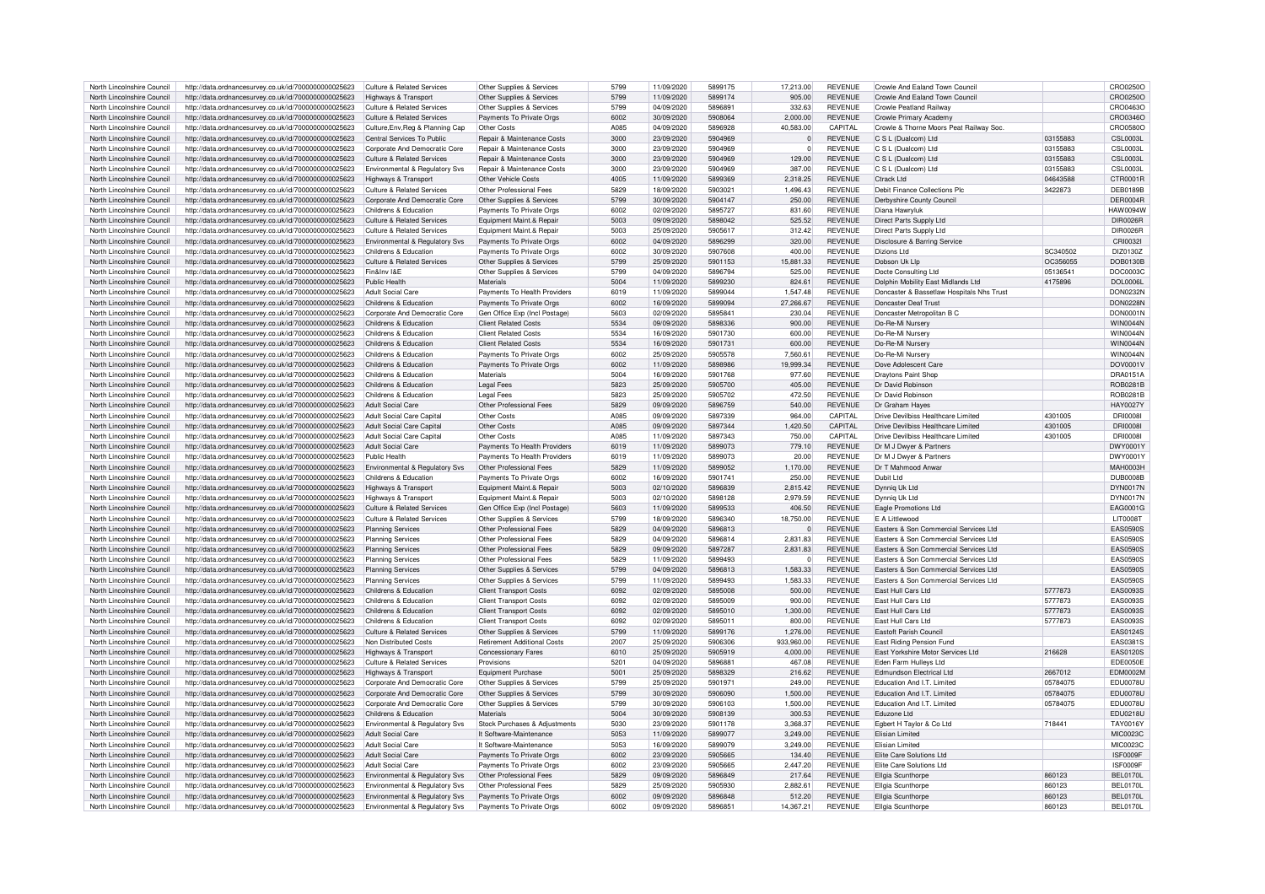| North Lincolnshire Council | http://data.ordnancesurvey.co.uk/id/7000000000025623 | Culture & Related Services                 | Other Supplies & Services          | 5799 | 11/09/2020 | 5899175 | 17,213,00      | <b>REVENUE</b> | Crowle And Ealand Town Council            |          | CRO0250O         |
|----------------------------|------------------------------------------------------|--------------------------------------------|------------------------------------|------|------------|---------|----------------|----------------|-------------------------------------------|----------|------------------|
| North Lincolnshire Council | http://data.ordnancesurvey.co.uk/id/7000000000025623 | Highways & Transport                       | Other Supplies & Services          | 5799 | 11/09/2020 | 5899174 | 905.00         | <b>REVENUE</b> | Crowle And Faland Town Council            |          | CRO0250O         |
|                            |                                                      |                                            |                                    |      |            | 5896891 |                |                |                                           |          |                  |
| North Lincolnshire Council | http://data.ordnancesurvey.co.uk/id/7000000000025623 | <b>Culture &amp; Related Services</b>      | Other Supplies & Services          | 5799 | 04/09/2020 |         | 332.63         | <b>REVENUE</b> | Crowle Peatland Railway                   |          | CRO0463C         |
| North Lincolnshire Council | http://data.ordnancesurvey.co.uk/id/7000000000025623 | Culture & Related Services                 | Payments To Private Orgs           | 6002 | 30/09/2020 | 5908064 | 2,000.00       | <b>REVENUE</b> | Crowle Primary Academy                    |          | CRO0346C         |
| North Lincolnshire Council | http://data.ordnancesurvey.co.uk/id/7000000000025623 | Culture, Env, Reg & Planning Cap           | Other Costs                        | A085 | 04/09/2020 | 5896928 | 40.583.00      | CAPITAL        | Crowle & Thorne Moors Peat Railway Soc.   |          | CRO05800         |
| North Lincolnshire Council | http://data.ordnancesurvey.co.uk/id/7000000000025623 | Central Services To Public                 | Repair & Maintenance Costs         | 3000 | 23/09/2020 | 5904969 | $\Omega$       | <b>REVENUE</b> | C S L (Dualcom) Ltd                       | 03155883 | <b>CSL0003L</b>  |
|                            |                                                      |                                            |                                    |      |            |         |                |                |                                           |          |                  |
| North Lincolnshire Council | http://data.ordnancesurvey.co.uk/id/7000000000025623 | Corporate And Democratic Core              | Repair & Maintenance Costs         | 3000 | 23/09/2020 | 5904969 | $\circ$        | REVENUE        | C S L (Dualcom) Ltd                       | 03155883 | <b>CSL0003L</b>  |
| North Lincolnshire Council | http://data.ordnancesurvey.co.uk/id/7000000000025623 | <b>Culture &amp; Related Services</b>      | Repair & Maintenance Costs         | 3000 | 23/09/2020 | 5904969 | 129.00         | <b>REVENUE</b> | C S L (Dualcom) Ltd                       | 03155883 | <b>CSL0003L</b>  |
|                            |                                                      |                                            |                                    |      |            |         |                |                |                                           |          |                  |
| North Lincolnshire Council | http://data.ordnancesurvey.co.uk/id/7000000000025623 | Environmental & Regulatory Svs             | Repair & Maintenance Costs         | 3000 | 23/09/2020 | 5904969 | 387.00         | <b>REVENUE</b> | C S L (Dualcom) Ltd                       | 03155883 | <b>CSL0003L</b>  |
| North Lincolnshire Council | http://data.ordnancesurvey.co.uk/id/7000000000025623 | Highways & Transport                       | Other Vehicle Costs                | 4005 | 11/09/2020 | 5899369 | 2,318.25       | REVENUE        | Ctrack I td                               | 04643588 | CTR0001F         |
| North Lincolnshire Council | http://data.ordnancesurvey.co.uk/id/7000000000025623 | Culture & Related Services                 | Other Professional Fees            | 5829 | 18/09/2020 | 5903021 | 1.496.43       | <b>REVENUE</b> | Debit Finance Collections Plc             | 3422873  | <b>DEB0189E</b>  |
|                            |                                                      |                                            |                                    |      |            |         |                |                |                                           |          |                  |
| North Lincolnshire Council | http://data.ordnancesurvey.co.uk/id/7000000000025623 | Corporate And Democratic Core              | Other Supplies & Services          | 5799 | 30/09/2020 | 5904147 | 250.00         | <b>REVENUE</b> | Derbyshire County Council                 |          | DER0004F         |
| North Lincolnshire Council | http://data.ordnancesurvey.co.uk/id/7000000000025623 | Childrens & Education                      | Payments To Private Orgs           | 6002 | 02/09/2020 | 5895727 | 831.60         | <b>REVENUE</b> | Diana Hawryluk                            |          | <b>HAW0094V</b>  |
| North Lincolnshire Council | http://data.ordnancesurvey.co.uk/id/7000000000025623 | <b>Culture &amp; Related Services</b>      | Equipment Maint.& Repair           | 5003 | 09/09/2020 | 5898042 | 525.52         | REVENUE        | Direct Parts Supply Ltd                   |          | DIR0026R         |
|                            |                                                      |                                            |                                    |      |            |         |                |                |                                           |          |                  |
| North Lincolnshire Council | http://data.ordnancesurvey.co.uk/id/7000000000025623 | <b>Culture &amp; Related Services</b>      | Equipment Maint.& Repair           | 5003 | 25/09/2020 | 5905617 | 312.42         | <b>REVENUE</b> | Direct Parts Supply Ltd                   |          | <b>DIR0026F</b>  |
| North Lincolnshire Council | http://data.ordnancesurvey.co.uk/id/7000000000025623 | Environmental & Regulatory Sys             | Payments To Private Orgs           | 6002 | 04/09/2020 | 5896299 | 320.00         | <b>REVENUE</b> | Disclosure & Barring Service              |          | CRI0032I         |
| North Lincolnshire Council | http://data.ordnancesurvey.co.uk/id/7000000000025623 | Childrens & Education                      | Payments To Private Orgs           | 6002 | 30/09/2020 | 5907608 | 400.00         | <b>REVENUE</b> | Dizions I td                              | SC340502 | DIZ0130Z         |
|                            |                                                      |                                            |                                    |      |            |         |                |                |                                           |          |                  |
| North Lincolnshire Council | http://data.ordnancesurvey.co.uk/id/7000000000025623 | Culture & Related Services                 | Other Supplies & Services          | 5799 | 25/09/2020 | 5901153 | 15,881.33      | <b>REVENUE</b> | Dobson Uk Lin                             | OC356055 | <b>DOB0130B</b>  |
| North Lincolnshire Council | http://data.ordnancesurvey.co.uk/id/7000000000025623 | Fin&Inv I&F                                | Other Supplies & Services          | 5799 | 04/09/2020 | 5896794 | 525.00         | REVENUE        | Docte Consulting Ltd                      | 05136541 | DOC0003C         |
| North Lincolnshire Council | http://data.ordnancesurvey.co.uk/id/7000000000025623 | Public Health                              | Materials                          | 5004 | 11/09/2020 | 5899230 | 824.61         | REVENUE        | Dolphin Mobility East Midlands Ltd        | 4175896  | <b>DOL0006L</b>  |
|                            |                                                      |                                            |                                    |      |            |         |                |                |                                           |          |                  |
| North Lincolnshire Council | http://data.ordnancesurvey.co.uk/id/7000000000025623 | Adult Social Care                          | Payments To Health Providers       | 6019 | 11/09/2020 | 5899044 | 1.547.48       | <b>REVENUE</b> | Doncaster & Bassetlaw Hospitals Nhs Trust |          | DON0232N         |
| North Lincolnshire Council | http://data.ordnancesurvey.co.uk/id/7000000000025623 | Childrens & Education                      | Payments To Private Orgs           | 6002 | 16/09/2020 | 5899094 | 27,266.67      | <b>REVENUE</b> | Doncaster Deaf Trust                      |          | <b>DON0228N</b>  |
| North Lincolnshire Council | http://data.ordnancesurvey.co.uk/id/7000000000025623 | Corporate And Democratic Core              | Gen Office Exp (Incl Postage)      | 5603 | 02/09/2020 | 5895841 | 230.04         | REVENUE        | Doncaster Metropolitan B C                |          | DON0001N         |
|                            |                                                      |                                            |                                    |      |            |         |                |                |                                           |          |                  |
| North Lincolnshire Council | http://data.ordnancesurvey.co.uk/id/7000000000025623 | Childrens & Education                      | <b>Client Related Costs</b>        | 5534 | 09/09/2020 | 5898336 | 900.00         | REVENUE        | Do-Re-Mi Nursen                           |          | WIN0044N         |
| North Lincolnshire Council | http://data.ordnancesurvey.co.uk/id/7000000000025623 | Childrens & Education                      | <b>Client Related Costs</b>        | 5534 | 16/09/2020 | 5901730 | 600.00         | REVENUE        | Do-Re-Mi Nurser                           |          | <b>WIN0044N</b>  |
| North Lincolnshire Council | http://data.ordnancesurvey.co.uk/id/7000000000025623 | Childrens & Education                      | <b>Client Related Costs</b>        | 5534 | 16/09/2020 | 5901731 | 600.00         | REVENUE        | Do-Re-Mi Nursen                           |          | <b>WIN0044N</b>  |
|                            |                                                      |                                            |                                    |      |            |         |                |                |                                           |          |                  |
| North Lincolnshire Council | http://data.ordnancesurvey.co.uk/id/7000000000025623 | Childrens & Education                      | Payments To Private Orgs           | 6002 | 25/09/2020 | 5905578 | 7.560.61       | REVENUE        | Do-Re-Mi Nursery                          |          | <b>WIN0044N</b>  |
| North Lincolnshire Council | http://data.ordnancesurvey.co.uk/id/7000000000025623 | Childrens & Education                      | Payments To Private Orgs           | 6002 | 11/09/2020 | 5898986 | 19,999.34      | <b>REVENUE</b> | Dove Adolescent Care                      |          | DOV0001V         |
| North Lincolnshire Council | http://data.ordnancesurvey.co.uk/id/7000000000025623 | Childrens & Education                      | Materials                          | 5004 | 16/09/2020 | 5901768 | 977.60         | <b>REVENUE</b> | Draytons Paint Shop                       |          | DRA0151A         |
|                            |                                                      |                                            |                                    |      |            |         |                |                |                                           |          |                  |
| North Lincolnshire Council | http://data.ordnancesurvey.co.uk/id/7000000000025623 | Childrens & Education                      | <b>Legal Fees</b>                  | 5823 | 25/09/2020 | 5905700 | 405.00         | <b>REVENUE</b> | Dr David Robinson                         |          | ROB0281E         |
| North Lincolnshire Council | http://data.ordnancesurvey.co.uk/id/7000000000025623 | Childrens & Education                      | <b>Legal Fees</b>                  | 5823 | 25/09/2020 | 5905702 | 472.50         | REVENUE        | Dr David Robinson                         |          | ROB0281E         |
|                            |                                                      | Adult Social Care                          | Other Professional Fees            | 5829 |            | 5896759 |                | <b>REVENUE</b> | Dr Graham Hayes                           |          | <b>HAY0027Y</b>  |
| North Lincolnshire Council | http://data.ordnancesurvey.co.uk/id/7000000000025623 |                                            |                                    |      | 09/09/2020 |         | 540.00         |                |                                           |          |                  |
| North Lincolnshire Council | http://data.ordnancesurvey.co.uk/id/7000000000025623 | Adult Social Care Capital                  | Other Costs                        | A085 | 09/09/2020 | 5897339 | 964.00         | CAPITAL        | Drive Devilbiss Healthcare Limited        | 4301005  | <b>DRI0008</b>   |
| North Lincolnshire Council | http://data.ordnancesurvey.co.uk/id/7000000000025623 | <b>Adult Social Care Capital</b>           | Other Costs                        | A085 | 09/09/2020 | 5897344 | 1,420.50       | CAPITAL        | Drive Devilbiss Healthcare Limited        | 4301005  | <b>DRI0008I</b>  |
| North Lincolnshire Council | http://data.ordnancesurvey.co.uk/id/7000000000025623 | Adult Social Care Capital                  | Other Costs                        | A085 | 11/09/2020 | 5897343 | 750.00         | CAPITAL        | Drive Devilbiss Healthcare Limited        | 4301005  | <b>DRI0008I</b>  |
|                            |                                                      |                                            |                                    |      |            |         |                |                |                                           |          |                  |
| North Lincolnshire Council | http://data.ordnancesurvey.co.uk/id/7000000000025623 | <b>Adult Social Care</b>                   | Payments To Health Providers       | 6019 | 11/09/2020 | 5899073 | 779.10         | REVENUE        | Dr M J Dwyer & Partners                   |          | DWY0001\         |
| North Lincolnshire Council | http://data.ordnancesurvey.co.uk/id/7000000000025623 | Public Health                              | Payments To Health Providers       | 6019 | 11/09/2020 | 5899073 | 20.00          | <b>REVENUE</b> | Dr M J Dwyer & Partners                   |          | DWY00011         |
| North Lincolnshire Council |                                                      | <b>Environmental &amp; Requiatory Sys.</b> | Other Professional Fees            | 5829 | 11/09/2020 | 5899052 | 1.170.00       | <b>REVENUE</b> | Dr T Mahmood Anwar                        |          | <b>MAH0003H</b>  |
|                            | http://data.ordnancesurvey.co.uk/id/7000000000025623 |                                            |                                    |      |            |         |                |                |                                           |          |                  |
| North Lincolnshire Council | http://data.ordnancesurvey.co.uk/id/7000000000025623 | Childrens & Education                      | Payments To Private Orgs           | 6002 | 16/09/2020 | 5901741 | 250.00         | <b>REVENUE</b> | <b>Dubit Ltd</b>                          |          | <b>DUB0008B</b>  |
| North Lincolnshire Council | http://data.ordnancesurvey.co.uk/id/7000000000025623 | <b>Highways &amp; Transport</b>            | Equipment Maint.& Repair           | 5003 | 02/10/2020 | 5896839 | 2.815.42       | <b>REVENUE</b> | Dynnig Uk Ltd                             |          | <b>DYN0017N</b>  |
|                            |                                                      |                                            |                                    |      |            |         |                |                |                                           |          |                  |
| North Lincolnshire Council | http://data.ordnancesurvey.co.uk/id/7000000000025623 | Highways & Transport                       | Equipment Maint.& Repair           | 5003 | 02/10/2020 | 5898128 | 2,979.59       | REVENUE        | Dynnig Uk Ltd                             |          | DYN0017N         |
| North Lincolnshire Council | http://data.ordnancesurvey.co.uk/id/7000000000025623 | <b>Culture &amp; Related Services</b>      | Gen Office Exp (Incl Postage       | 5603 | 11/09/2020 | 5899533 | 406.50         | <b>REVENUE</b> | Eagle Promotions Ltd                      |          | EAG0001G         |
| North Lincolnshire Council | http://data.ordnancesurvey.co.uk/id/7000000000025623 | Culture & Related Services                 | Other Supplies & Services          | 5799 | 18/09/2020 | 5896340 | 18.750.00      | REVENUE        | F A Littlewood                            |          | <b>I IT0008T</b> |
|                            |                                                      |                                            |                                    |      |            |         |                |                |                                           |          |                  |
| North Lincolnshire Council | http://data.ordnancesurvey.co.uk/id/7000000000025623 | <b>Planning Services</b>                   | Other Professional Fees            | 5829 | 04/09/2020 | 5896813 | $\Omega$       | REVENUE        | Easters & Son Commercial Services Ltd     |          | FAS0590S         |
| North Lincolnshire Council | http://data.ordnancesurvey.co.uk/id/7000000000025623 | <b>Planning Services</b>                   | Other Professional Fees            | 5829 | 04/09/2020 | 5896814 | 2,831.83       | REVENUE        | Easters & Son Commercial Services Ltd     |          | EAS0590S         |
| North Lincolnshire Council | http://data.ordnancesurvey.co.uk/id/7000000000025623 | <b>Planning Services</b>                   | Other Professional Fees            | 5829 | 09/09/2020 | 5897287 | 2.831.83       | REVENUE        | Easters & Son Commercial Services Ltd     |          | <b>EAS0590S</b>  |
|                            |                                                      |                                            |                                    | 5829 |            | 5899493 | $\overline{0}$ |                |                                           |          |                  |
| North Lincolnshire Council | http://data.ordnancesurvey.co.uk/id/7000000000025623 | <b>Planning Services</b>                   | Other Professional Fees            |      | 11/09/2020 |         |                | REVENUE        | Easters & Son Commercial Services Ltd     |          | <b>EAS0590S</b>  |
| North Lincolnshire Council | http://data.ordnancesurvey.co.uk/id/7000000000025623 | <b>Planning Services</b>                   | Other Supplies & Services          | 5799 | 04/09/2020 | 5896813 | 1.583.33       | <b>REVENUE</b> | Fasters & Son Commercial Services Ltd     |          | EAS0590S         |
| North Lincolnshire Council | http://data.ordnancesurvey.co.uk/id/7000000000025623 | <b>Planning Services</b>                   | Other Supplies & Services          | 5799 | 11/09/2020 | 5899493 | 1,583.33       | <b>REVENUE</b> | Easters & Son Commercial Services Ltd     |          | <b>EAS0590S</b>  |
|                            |                                                      |                                            |                                    |      |            |         |                |                |                                           |          |                  |
| North Lincolnshire Council | http://data.ordnancesurvey.co.uk/id/7000000000025623 | Childrens & Education                      | <b>Client Transport Costs</b>      | 6092 | 02/09/2020 | 5895008 | 500.00         | <b>REVENUE</b> | East Hull Cars Ltd                        | 5777873  | EAS0093S         |
| North Lincolnshire Council | http://data.ordnancesurvey.co.uk/id/7000000000025623 | Childrens & Education                      | <b>Client Transport Costs</b>      | 6092 | 02/09/2020 | 5895009 | 900.00         | <b>REVENUE</b> | East Hull Cars Ltd                        | 5777873  | EAS0093S         |
| North Lincolnshire Council | http://data.ordnancesurvey.co.uk/id/7000000000025623 | Childrens & Education                      | <b>Client Transport Costs</b>      | 6092 | 02/09/2020 | 5895010 | 1,300.00       | <b>REVENUE</b> | East Hull Cars Ltd                        | 5777873  | EAS0093S         |
| North Lincolnshire Council | http://data.ordnancesurvey.co.uk/id/7000000000025623 | Childrens & Education                      | <b>Client Transport Costs</b>      | 6092 | 02/09/2020 | 5895011 | 800.00         | <b>REVENUE</b> | <b>Fast Hull Cars Ltd</b>                 | 5777873  | <b>EAS0093S</b>  |
|                            |                                                      |                                            |                                    |      |            |         |                |                |                                           |          |                  |
| North Lincolnshire Council | http://data.ordnancesurvey.co.uk/id/7000000000025623 | Culture & Related Services                 | Other Supplies & Services          | 5799 | 11/09/2020 | 5899176 | 1,276.00       | REVENUE        | Eastoft Parish Council                    |          | EAS0124S         |
| North Lincolnshire Council | http://data.ordnancesurvey.co.uk/id/7000000000025623 | Non Distributed Costs                      | <b>Retirement Additional Costs</b> | 2007 | 25/09/2020 | 5906306 | 933,960.00     | REVENUE        | East Riding Pension Fund                  |          | FAS0381S         |
| North Lincolnshire Council | http://data.ordnancesurvey.co.uk/id/7000000000025623 | Highways & Transport                       | <b>Concessionary Fares</b>         | 6010 | 25/09/2020 | 5905919 | 4,000.00       | REVENUE        | East Yorkshire Motor Services Ltd         | 216628   | EAS0120S         |
|                            |                                                      |                                            |                                    |      |            |         |                |                |                                           |          |                  |
| North Lincolnshire Council | http://data.ordnancesurvey.co.uk/id/7000000000025623 | Culture & Related Services                 | Provisions                         | 5201 | 04/09/2020 | 5896881 | 467.08         | REVENUE        | Eden Farm Hullevs Ltd                     |          | <b>EDE0050E</b>  |
| North Lincolnshire Council | http://data.ordnancesurvey.co.uk/id/7000000000025623 | Highways & Transport                       | <b>Equipment Purchase</b>          | 5001 | 25/09/2020 | 5898329 | 216.62         | <b>REVENUE</b> | <b>Edmundson Electrical Ltd</b>           | 2667012  | <b>EDM0002N</b>  |
| North Lincolnshire Council | http://data.ordnancesurvey.co.uk/id/7000000000025623 | Corporate And Democratic Core              | Other Supplies & Services          | 5799 | 25/09/2020 | 5901971 | 249.00         | REVENUE        | Education And I T Limited                 | 05784075 | EDU0078U         |
|                            |                                                      |                                            |                                    |      |            |         |                |                |                                           |          |                  |
| North Lincolnshire Council | http://data.ordnancesurvey.co.uk/id/7000000000025623 | Corporate And Democratic Core              | Other Supplies & Services          | 5799 | 30/09/2020 | 5906090 | 1,500.00       | REVENUE        | Education And I.T. Limited                | 05784075 | <b>EDU0078U</b>  |
| North Lincolnshire Council | http://data.ordnancesurvey.co.uk/id/7000000000025623 | Corporate And Democratic Core              | Other Supplies & Services          | 5799 | 30/09/2020 | 5906103 | 1.500.00       | REVENUE        | Education And I.T. Limited                | 05784075 | EDU0078U         |
| North Lincolnshire Council | http://data.ordnancesurvey.co.uk/id/7000000000025623 | Childrens & Education                      | Materials                          | 5004 | 30/09/2020 | 5908139 | 300.53         | REVENUE        | Eduzone Ltd                               |          | EDU0218U         |
|                            |                                                      |                                            |                                    |      |            |         |                |                |                                           |          |                  |
| North Lincolnshire Council | http://data.ordnancesurvey.co.uk/id/7000000000025623 | Environmental & Regulatory Svs             | Stock Purchases & Adjustments      | 5030 | 23/09/2020 | 5901178 | 3.368.37       | REVENUE        | Egbert H Taylor & Co Ltd                  | 718441   | TAY0016Y         |
| North Lincolnshire Council | http://data.ordnancesurvey.co.uk/id/7000000000025623 | Adult Social Care                          | It Software-Maintenance            | 5053 | 11/09/2020 | 5899077 | 3,249.00       | <b>REVENUE</b> | Flisian Limited                           |          | MIC0023C         |
| North Lincolnshire Council | http://data.ordnancesurvey.co.uk/id/7000000000025623 | <b>Adult Social Care</b>                   | It Software-Maintenance            | 5053 | 16/09/2020 | 5899079 | 3,249.00       | <b>REVENUE</b> | Flisian I imited                          |          | MIC0023C         |
|                            |                                                      |                                            |                                    |      |            |         |                |                |                                           |          |                  |
| North Lincolnshire Council | http://data.ordnancesurvey.co.uk/id/7000000000025623 | <b>Adult Social Care</b>                   | Payments To Private Orgs           | 6002 | 23/09/2020 | 5905665 | 134.40         | REVENUE        | Flite Care Solutions Ltd                  |          | ISF0009F         |
| North Lincolnshire Council | http://data.ordnancesurvey.co.uk/id/7000000000025623 | <b>Adult Social Care</b>                   | Payments To Private Orgs           | 6002 | 23/09/2020 | 5905665 | 2,447.20       | REVENUE        | Elite Care Solutions Ltd                  |          | ISF0009F         |
| North Lincolnshire Council | http://data.ordnancesurvey.co.uk/id/7000000000025623 | <b>Environmental &amp; Requiatory Sys.</b> | Other Professional Fees            | 5829 | 09/09/2020 | 5896849 | 217.64         | <b>REVENUE</b> | Ellgia Scunthorpe                         | 860123   | <b>BEL0170L</b>  |
|                            |                                                      |                                            |                                    |      |            |         |                |                |                                           |          |                  |
|                            |                                                      |                                            |                                    |      |            |         |                |                |                                           |          |                  |
| North Lincolnshire Council | http://data.ordnancesurvey.co.uk/id/7000000000025623 | Environmental & Regulatory Sys             | Other Professional Fees            | 5829 | 25/09/2020 | 5905930 | 2.882.61       | <b>REVENUE</b> | Ellgia Scunthorpe                         | 860123   | <b>BEL0170L</b>  |
| North Lincolnshire Council | http://data.ordnancesurvey.co.uk/id/7000000000025623 | Environmental & Regulatory Svs             | Payments To Private Orgs           | 5002 | 09/09/2020 | 5896848 | 512.20         | <b>REVENUE</b> | Ellgia Scunthorpe                         | 860123   | <b>BEL0170L</b>  |
| North Lincolnshire Council | http://data.ordnancesurvey.co.uk/id/7000000000025623 | Environmental & Regulatory Svs             | Payments To Private Orgs           | 6002 | 09/09/2020 | 5896851 | 14,367.21      | <b>REVENUE</b> | Ellgia Scunthorpe                         | 860123   | <b>BEL0170L</b>  |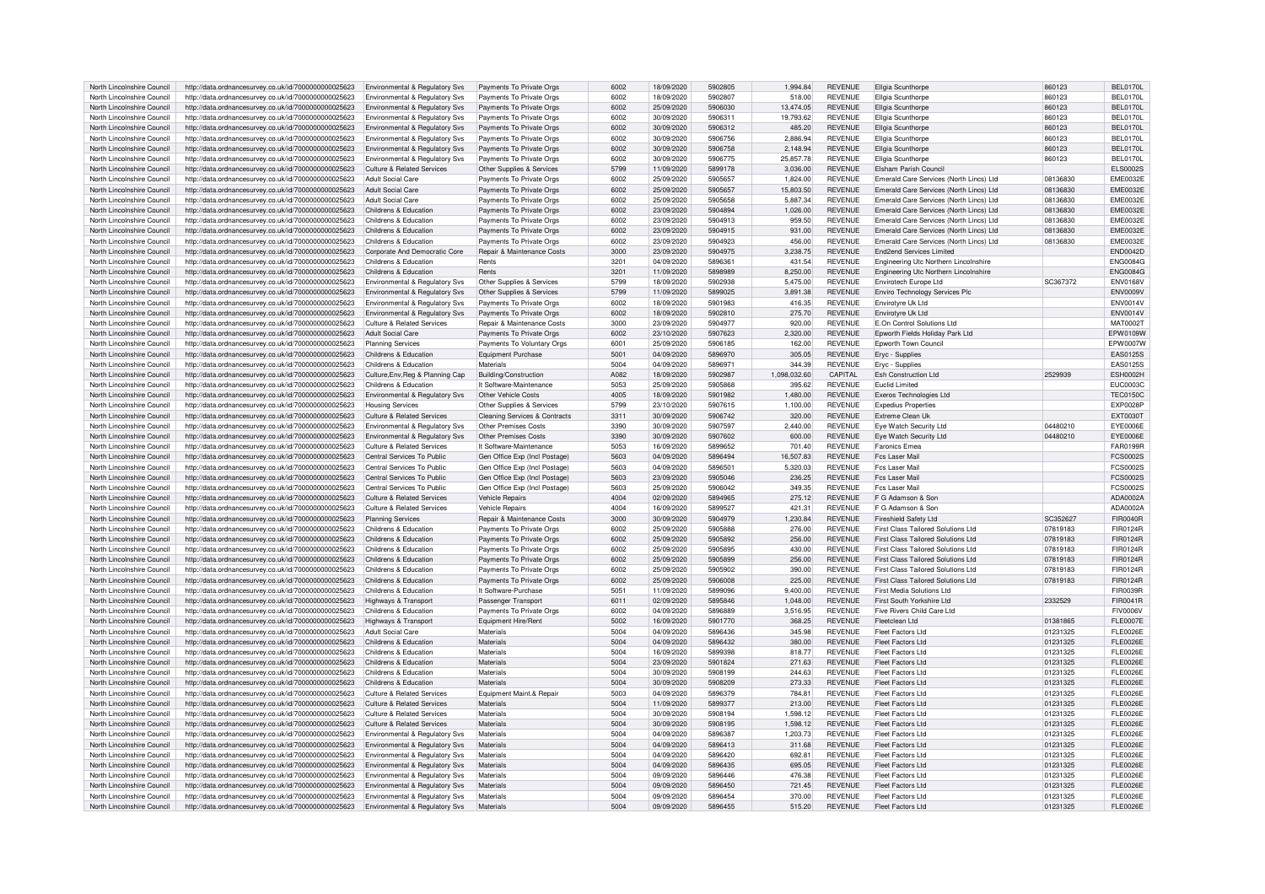| North Lincolnshire Council | http://data.ordnancesurvey.co.uk/id/7000000000025623 | Environmental & Regulatory Svs             | Payments To Private Orgs                 | 6002 | 18/09/2020 | 5902805 | 1.994.84     | <b>REVENUE</b> | Ellgia Scunthorpe                       | 860123   | <b>BEL0170L</b> |
|----------------------------|------------------------------------------------------|--------------------------------------------|------------------------------------------|------|------------|---------|--------------|----------------|-----------------------------------------|----------|-----------------|
| North Lincolnshire Council | http://data.ordnancesurvey.co.uk/id/7000000000025623 | Environmental & Regulatory Svs             | Payments To Private Orgs                 | 6002 | 18/09/2020 | 5902807 | 518.00       | <b>REVENUE</b> | Ellgia Scunthorpe                       | 860123   | <b>BEL0170L</b> |
| North Lincolnshire Council | http://data.ordnancesurvey.co.uk/id/7000000000025623 | Environmental & Regulatory Svs             | Payments To Private Orgs                 | 6002 | 25/09/2020 | 5906030 | 13.474.05    | REVENUE        | <b>Fligia Scunthorne</b>                | 860123   | <b>BEL0170L</b> |
| North Lincolnshire Council | http://data.ordnancesurvey.co.uk/id/7000000000025623 | Environmental & Regulatory Svs             | Payments To Private Orgs                 | 6002 | 30/09/2020 | 5906311 | 19,793.62    | REVENUE        | Ellgia Scunthorpe                       | 860123   | <b>BEL0170L</b> |
| North Lincolnshire Council | http://data.ordnancesurvey.co.uk/id/7000000000025623 |                                            |                                          | 6002 | 30/09/2020 | 5906312 | 485.20       | <b>REVENUE</b> | <b>Fligia Scunthorne</b>                | 860123   | <b>BEL0170L</b> |
|                            |                                                      | Environmental & Regulatory Svs             | Payments To Private Orgs                 |      |            | 5906756 |              |                |                                         |          |                 |
| North Lincolnshire Council | http://data.ordnancesurvey.co.uk/id/7000000000025623 | Environmental & Regulatory Svs             | Payments To Private Orgs                 | 6002 | 30/09/2020 |         | 2,886.94     | <b>REVENUE</b> | Ellgia Scunthorpe                       | 860123   | <b>BEL0170L</b> |
| North Lincolnshire Council | http://data.ordnancesurvey.co.uk/id/7000000000025623 | Environmental & Regulatory Svs             | Payments To Private Orgs                 | 6002 | 30/09/2020 | 5906758 | 2,148.94     | <b>REVENUE</b> | Ellgia Scunthorpe                       | 860123   | <b>BEL0170L</b> |
| North Lincolnshire Council | http://data.ordnancesurvey.co.uk/id/7000000000025623 | Environmental & Regulatory Svs             | Payments To Private Orgs                 | 6002 | 30/09/2020 | 5906775 | 25.857.78    | <b>REVENUE</b> | <b>Ellgia Scunthorne</b>                | 860123   | <b>BEL0170L</b> |
| North Lincolnshire Council | http://data.ordnancesurvey.co.uk/id/7000000000025623 | Culture & Related Services                 | Other Supplies & Services                | 5799 | 11/09/2020 | 5899178 | 3,036.00     | <b>REVENUE</b> | Elsham Parish Council                   |          | <b>ELS0002S</b> |
| North Lincolnshire Council | http://data.ordnancesurvey.co.uk/id/7000000000025623 | Adult Social Care                          | Payments To Private Orgs                 | 6002 | 25/09/2020 | 5905657 | 1.824.00     | <b>REVENUE</b> | Emerald Care Services (North Lincs) Ltd | 08136830 | <b>EME0032E</b> |
| North Lincolnshire Council | http://data.ordnancesurvey.co.uk/id/7000000000025623 | <b>Adult Social Care</b>                   | Payments To Private Orgs                 | 6002 | 25/09/2020 | 5905657 | 15,803.50    | <b>REVENUE</b> | Emerald Care Services (North Lincs) Ltd | 08136830 | <b>EME0032E</b> |
| North Lincolnshire Council | http://data.ordnancesurvey.co.uk/id/7000000000025623 | <b>Adult Social Care</b>                   | Payments To Private Orgs                 | 6002 | 25/09/2020 | 5905658 | 5.887.34     | REVENUE        | Emerald Care Services (North Lincs) Ltd | 08136830 | <b>EME0032E</b> |
| North Lincolnshire Council | http://data.ordnancesurvey.co.uk/id/7000000000025623 | Childrens & Education                      | Payments To Private Orgs                 | 6002 | 23/09/2020 | 5904894 | 1,026.00     | REVENUE        | Emerald Care Services (North Lincs) Ltd | 08136830 | <b>EME0032E</b> |
| North Lincolnshire Council | http://data.ordnancesurvey.co.uk/id/7000000000025623 | Childrens & Education                      | Payments To Private Orgs                 | 6002 | 23/09/2020 | 5904913 | 959.50       | REVENUE        | Emerald Care Services (North Lincs) Ltd | 08136830 | <b>EME0032E</b> |
| North Lincolnshire Council | http://data.ordnancesurvey.co.uk/id/7000000000025623 | Childrens & Education                      | Payments To Private Orgs                 | 6002 | 23/09/2020 | 5904915 | 931.00       | <b>REVENUE</b> | Emerald Care Services (North Lincs) Ltd | 08136830 | <b>EME0032E</b> |
| North Lincolnshire Council | http://data.ordnancesurvey.co.uk/id/7000000000025623 | Childrens & Education                      | Payments To Private Orgs                 | 6002 | 23/09/2020 | 5904923 | 456.00       | <b>REVENUE</b> | Emerald Care Services (North Lincs) Ltd | 08136830 | EME0032E        |
| North Lincolnshire Council | http://data.ordnancesurvey.co.uk/id/7000000000025623 | Corporate And Democratic Core              | Repair & Maintenance Costs               | 3000 | 23/09/2020 | 5904975 | 3,238.75     | REVENUE        | <b>End2end Services Limited</b>         |          | <b>END0042D</b> |
| North Lincolnshire Council | http://data.ordnancesurvey.co.uk/id/7000000000025623 | Childrens & Education                      | Rents                                    | 3201 | 04/09/2020 | 5896361 | 431.54       | REVENUE        | Engineering Utc Northern Lincolnshire   |          | <b>ENG0084G</b> |
|                            |                                                      |                                            |                                          |      |            |         |              |                |                                         |          |                 |
| North Lincolnshire Council | http://data.ordnancesurvey.co.uk/id/7000000000025623 | Childrens & Education                      | Rents                                    | 3201 | 11/09/2020 | 5898989 | 8,250.00     | REVENUE        | Engineering Utc Northern Lincolnshire   |          | <b>ENG0084G</b> |
| North Lincolnshire Council | http://data.ordnancesurvey.co.uk/id/7000000000025623 | Environmental & Regulatory Svs             | Other Supplies & Services                | 5799 | 18/09/2020 | 5902938 | 5.475.00     | REVENUE        | <b>Envirotech Europe Ltd</b>            | SC367372 | <b>ENV0168V</b> |
| North Lincolnshire Council | http://data.ordnancesurvey.co.uk/id/7000000000025623 | Environmental & Regulatory Svs             | Other Supplies & Services                | 5799 | 11/09/2020 | 5899025 | 3.891.38     | <b>REVENUE</b> | Enviro Technology Services Plc          |          | ENV0009V        |
| North Lincolnshire Council | http://data.ordnancesurvey.co.uk/id/7000000000025623 | Environmental & Regulatory Svs             | Payments To Private Oras                 | 6002 | 18/09/2020 | 5901983 | 416.35       | <b>REVENUE</b> | Envirotvre Uk Ltd                       |          | <b>ENV0014V</b> |
| North Lincolnshire Council | http://data.ordnancesurvey.co.uk/id/7000000000025623 | Environmental & Regulatory Svs             | Payments To Private Orgs                 | 6002 | 18/09/2020 | 5902810 | 275.70       | <b>REVENUE</b> | Envirotyre Uk Ltd                       |          | <b>ENV0014V</b> |
| North Lincolnshire Council | http://data.ordnancesurvey.co.uk/id/7000000000025623 | <b>Culture &amp; Related Services</b>      | Repair & Maintenance Costs               | 3000 | 23/09/2020 | 5904977 | 920.00       | REVENUE        | E.On Control Solutions Ltd              |          | <b>MAT0002T</b> |
| North Lincolnshire Council | http://data.ordnancesurvey.co.uk/id/7000000000025623 | <b>Adult Social Care</b>                   | Payments To Private Orgs                 | 6002 | 23/10/2020 | 5907623 | 2.320.00     | <b>REVENUE</b> | Epworth Fields Holiday Park Ltd         |          | EPW0109W        |
| North Lincolnshire Council | http://data.ordnancesurvey.co.uk/id/7000000000025623 | <b>Planning Services</b>                   | Payments To Voluntary Orgs               | 6001 | 25/09/2020 | 5906185 | 162.00       | <b>REVENUE</b> | <b>Foworth Town Council</b>             |          | EPW0007W        |
| North Lincolnshire Council | http://data.ordnancesurvey.co.uk/id/7000000000025623 | Childrens & Education                      | Equipment Purchase                       | 5001 | 04/09/2020 | 5896970 | 305.05       | <b>REVENUE</b> | Eryc - Supplies                         |          | EAS0125S        |
| North Lincolnshire Council | http://data.ordnancesurvey.co.uk/id/7000000000025623 | Childrens & Education                      | Materials                                | 5004 | 04/09/2020 | 5896971 | 344.39       | <b>REVENUE</b> | Eryc - Supplies                         |          | EAS0125S        |
| North Lincolnshire Council | http://data.ordnancesurvey.co.uk/id/7000000000025623 | Culture, Env, Reg & Planning Cap           | Building/Construction                    | A082 | 18/09/2020 | 5902987 | 1,098,032.60 | CAPITAL        | <b>Esh Construction Ltd</b>             | 2529939  | <b>ESH0002H</b> |
| North Lincolnshire Council | http://data.ordnancesurvey.co.uk/id/7000000000025623 | Childrens & Education                      | It Software-Maintenance                  | 5053 | 25/09/2020 | 5905868 | 395.62       | REVENUE        | Fuclid Limited                          |          | <b>EUC0003C</b> |
| North Lincolnshire Council | http://data.ordnancesurvey.co.uk/id/7000000000025623 | <b>Environmental &amp; Requlatory Sys.</b> | Other Vehicle Costs                      | 4005 | 18/09/2020 | 5901982 | 1.480.00     | <b>REVENUE</b> | Exeros Technologies Ltd                 |          | <b>TEC0150C</b> |
|                            |                                                      |                                            |                                          |      |            |         |              |                |                                         |          |                 |
| North Lincolnshire Council | http://data.ordnancesurvey.co.uk/id/7000000000025623 | <b>Housing Services</b>                    | Other Supplies & Services                | 5799 | 23/10/2020 | 5907615 | 1,100.00     | REVENUE        | <b>Expedius Properties</b>              |          | <b>EXP0028P</b> |
| North Lincolnshire Council | http://data.ordnancesurvey.co.uk/id/7000000000025623 | <b>Culture &amp; Related Services</b>      | <b>Cleaning Services &amp; Contracts</b> | 3311 | 30/09/2020 | 5906742 | 320.00       | REVENUE        | Extreme Clean Uk                        |          | <b>EXT0030T</b> |
| North Lincolnshire Council | http://data.ordnancesurvey.co.uk/id/7000000000025623 | Environmental & Regulatory Svs             | Other Premises Costs                     | 3390 | 30/09/2020 | 5907597 | 2,440.00     | <b>REVENUE</b> | Eye Watch Security Ltd                  | 04480210 | <b>EYE0006E</b> |
| North Lincolnshire Council | http://data.ordnancesurvey.co.uk/id/7000000000025623 | Environmental & Regulatory Svs             | Other Premises Costs                     | 3390 | 30/09/2020 | 5907602 | 600.00       | REVENUE        | Eye Watch Security Ltd                  | 04480210 | <b>EYE0006E</b> |
| North Lincolnshire Council | http://data.ordnancesurvey.co.uk/id/7000000000025623 | Culture & Related Services                 | It Software-Maintenance                  | 5053 | 16/09/2020 | 5899652 | 701.40       | <b>REVENUE</b> | <b>Earonics Emea</b>                    |          | FAR0199R        |
| North Lincolnshire Council | http://data.ordnancesurvey.co.uk/id/7000000000025623 | Central Services To Public                 | Gen Office Exp (Incl Postage             | 5603 | 04/09/2020 | 5896494 | 16,507.83    | REVENUE        | Fcs Laser Mai                           |          | <b>FCS0002S</b> |
| North Lincolnshire Council | http://data.ordnancesurvey.co.uk/id/7000000000025623 | Central Services To Public                 | Gen Office Exp (Incl Postage)            | 5603 | 04/09/2020 | 5896501 | 5,320.03     | <b>REVENUE</b> | Fcs Laser Mai                           |          | <b>FCS0002S</b> |
| North Lincolnshire Council | http://data.ordnancesurvey.co.uk/id/7000000000025623 | Central Services To Public                 | Gen Office Exp (Incl Postage             | 5603 | 23/09/2020 | 5905046 | 236.25       | REVENUE        | Fcs Laser Mail                          |          | <b>FCS0002S</b> |
| North Lincolnshire Council | http://data.ordnancesurvey.co.uk/id/7000000000025623 | Central Services To Public                 | Gen Office Exp (Incl Postage)            | 5603 | 25/09/2020 | 5906042 | 349.35       | <b>REVENUE</b> | Fes Laser Mai                           |          | FCS0002S        |
| North Lincolnshire Council | http://data.ordnancesurvey.co.uk/id/7000000000025623 | Culture & Related Services                 | <b>Vehicle Repairs</b>                   | 4004 | 02/09/2020 | 5894965 | 275.12       | <b>REVENUE</b> | F G Adamson & Sor                       |          | ADA0002A        |
| North Lincolnshire Council | http://data.ordnancesurvey.co.uk/id/7000000000025623 | Culture & Related Services                 | Vehicle Renairs                          | 4004 | 16/09/2020 | 5899527 | 421.31       | <b>REVENUE</b> | F G Adamson & Sor                       |          | ADA0002A        |
| North Lincolnshire Council | http://data.ordnancesurvey.co.uk/id/7000000000025623 | <b>Planning Services</b>                   | Repair & Maintenance Costs               | 3000 | 30/09/2020 | 5904979 | 1,230.84     | <b>REVENUE</b> | <b>Fireshield Safety Ltd</b>            | SC352627 | <b>FIR0040R</b> |
| North Lincolnshire Council |                                                      | Childrens & Education                      |                                          | 6002 | 25/09/2020 | 5905888 | 276.00       | REVENUE        | First Class Tailored Solutions Ltd      | 07819183 | FIR0124R        |
|                            | http://data.ordnancesurvey.co.uk/id/7000000000025623 |                                            | Payments To Private Orgs                 |      |            |         |              |                |                                         |          |                 |
| North Lincolnshire Council | http://data.ordnancesurvey.co.uk/id/7000000000025623 | Childrens & Education                      | Payments To Private Orgs                 | 6002 | 25/09/2020 | 5905892 | 256.00       | REVENUE        | First Class Tailored Solutions Ltd      | 07819183 | FIR0124R        |
| North Lincolnshire Council | http://data.ordnancesurvey.co.uk/id/7000000000025623 | Childrens & Education                      | Payments To Private Orgs                 | 6002 | 25/09/2020 | 5905895 | 430.00       | <b>REVENUE</b> | First Class Tailored Solutions Ltd      | 07819183 | FIR0124R        |
| North Lincolnshire Council | http://data.ordnancesurvey.co.uk/id/7000000000025623 | Childrens & Education                      | Payments To Private Orgs                 | 6002 | 25/09/2020 | 5905899 | 256.00       | <b>REVENUE</b> | First Class Tailored Solutions Ltd      | 07819183 | FIR0124R        |
| North Lincolnshire Council | http://data.ordnancesurvey.co.uk/id/7000000000025623 | Childrens & Education                      | Payments To Private Orgs                 | 6002 | 25/09/2020 | 5905902 | 390.00       | <b>REVENUE</b> | First Class Tailored Solutions Ltd      | 07819183 | FIR0124R        |
| North Lincolnshire Council | http://data.ordnancesurvey.co.uk/id/7000000000025623 | Childrens & Education                      | Payments To Private Orgs                 | 6002 | 25/09/2020 | 5906008 | 225.00       | <b>REVENUE</b> | First Class Tailored Solutions Ltd      | 07819183 | FIR0124R        |
| North Lincolnshire Council | http://data.ordnancesurvey.co.uk/id/7000000000025623 | Childrens & Education                      | It Software-Purchase                     | 5051 | 11/09/2020 | 5899096 | 9,400.00     | <b>REVENUE</b> | First Media Solutions Ltd               |          | FIR0039R        |
| North Lincolnshire Council | http://data.ordnancesurvey.co.uk/id/7000000000025623 | Highways & Transport                       | Passenger Transport                      | 6011 | 02/09/2020 | 5895846 | 1,048.00     | <b>REVENUE</b> | First South Yorkshire Ltd               | 2332529  | FIR0041R        |
| North Lincolnshire Council | http://data.ordnancesurvey.co.uk/id/7000000000025623 | Childrens & Education                      | Payments To Private Orgs                 | 6002 | 04/09/2020 | 5896889 | 3,516.95     | <b>REVENUE</b> | Five Rivers Child Care I to             |          | <b>FIV0006V</b> |
| North Lincolnshire Council | http://data.ordnancesurvey.co.uk/id/7000000000025623 | Highways & Transport                       | Equipment Hire/Rent                      | 5002 | 16/09/2020 | 5901770 | 368.25       | <b>REVENUE</b> | Fleetclean I td                         | 01381865 | <b>FLE0007E</b> |
| North Lincolnshire Council | http://data.ordnancesurvey.co.uk/id/7000000000025623 | Adult Social Care                          | Materials                                | 5004 | 04/09/2020 | 5896436 | 345.98       | REVENUE        | <b>Fleet Factors Ltd</b>                | 01231325 | <b>FLE0026E</b> |
| North Lincolnshire Council | http://data.ordnancesurvey.co.uk/id/7000000000025623 | Childrens & Education                      | Materials                                | 5004 | 04/09/2020 | 5896432 | 380.00       | <b>REVENUE</b> | Fleet Factors Ltd                       | 01231325 | <b>FLE0026E</b> |
| North Lincolnshire Council | http://data.ordnancesurvey.co.uk/id/7000000000025623 | Childrens & Education                      | Materials                                | 5004 | 16/09/2020 | 5899398 | 818.77       | REVENUE        | Fleet Factors Ltd                       | 01231325 | <b>FLE0026E</b> |
| North Lincolnshire Council | http://data.ordnancesurvey.co.uk/id/7000000000025623 | Childrens & Education                      | Materials                                | 5004 | 23/09/2020 | 5901824 | 271.63       | <b>REVENUE</b> | Fleet Factors Ltd                       | 01231325 | <b>FLE0026E</b> |
| North Lincolnshire Council |                                                      | Childrens & Education                      | Materials                                | 5004 | 30/09/2020 | 5908199 | 244.63       | <b>REVENUE</b> | Fleet Factors I to                      |          | <b>FLE0026E</b> |
|                            | http://data.ordnancesurvey.co.uk/id/7000000000025623 |                                            |                                          |      |            |         |              |                |                                         | 01231325 |                 |
| North Lincolnshire Council | http://data.ordnancesurvey.co.uk/id/7000000000025623 | Childrens & Education                      | Materials                                | 5004 | 30/09/2020 | 5908209 | 273.33       | REVENUE        | Fleet Factors Ltd                       | 01231325 | <b>FLE0026E</b> |
| North Lincolnshire Council | http://data.ordnancesurvey.co.uk/id/7000000000025623 | <b>Culture &amp; Related Services</b>      | Equipment Maint.& Repair                 | 5003 | 04/09/2020 | 5896379 | 784.81       | REVENUE        | <b>Fleet Factors Ltd</b>                | 01231325 | <b>FLE0026E</b> |
| North Lincolnshire Council | http://data.ordnancesurvey.co.uk/id/7000000000025623 | Culture & Related Services                 | Materials                                | 5004 | 11/09/2020 | 5899377 | 213.00       | <b>REVENUE</b> | <b>Fleet Factors Ltd</b>                | 01231325 | <b>FLE0026E</b> |
| North Lincolnshire Council | http://data.ordnancesurvey.co.uk/id/7000000000025623 | Culture & Related Services                 | Materials                                | 5004 | 30/09/2020 | 5908194 | 1,598.12     | <b>REVENUE</b> | <b>Fleet Factors Ltd</b>                | 01231325 | <b>FLE0026E</b> |
| North Lincolnshire Council | http://data.ordnancesurvey.co.uk/id/7000000000025623 | Culture & Related Services                 | Materials                                | 5004 | 30/09/2020 | 5908195 | 1.598.12     | <b>REVENUE</b> | <b>Fleet Factors Ltd</b>                | 01231325 | <b>FLE0026E</b> |
| North Lincolnshire Council | http://data.ordnancesurvey.co.uk/id/7000000000025623 | Environmental & Regulatory Svs             | Materials                                | 5004 | 04/09/2020 | 5896387 | 1.203.73     | <b>REVENUE</b> | <b>Fleet Factors Ltd</b>                | 01231325 | <b>FLE0026E</b> |
| North Lincolnshire Council | http://data.ordnancesurvey.co.uk/id/7000000000025623 | Environmental & Regulatory Svs             | Materials                                | 5004 | 04/09/2020 | 5896413 | 311.68       | REVENUE        | Fleet Factors Ltd                       | 01231325 | FI F0026F       |
| North Lincolnshire Council | http://data.ordnancesurvey.co.uk/id/7000000000025623 | Environmental & Regulatory Svs             | Materials                                | 5004 | 04/09/2020 | 5896420 | 692.81       | REVENUE        | Fleet Factors Ltd                       | 01231325 | <b>FLE0026E</b> |
| North Lincolnshire Council | http://data.ordnancesurvey.co.uk/id/7000000000025623 | Environmental & Regulatory Svs             | Materials                                | 5004 | 04/09/2020 | 5896435 | 695.05       | <b>REVENUE</b> | Fleet Factors Ltd                       | 01231325 | <b>FLE0026E</b> |
| North Lincolnshire Council | http://data.ordnancesurvey.co.uk/id/7000000000025623 | Environmental & Regulatory Svs             | Materials                                | 5004 | 09/09/2020 | 5896446 | 476.38       | <b>REVENUE</b> | <b>Fleet Factors Ltd</b>                | 01231325 | <b>FLE0026E</b> |
| North Lincolnshire Council | http://data.ordnancesurvey.co.uk/id/7000000000025623 | Environmental & Regulatory Svs             | Materials                                | 5004 | 09/09/2020 | 5896450 | 721.45       | <b>REVENUE</b> | <b>Fleet Factors Ltd</b>                | 01231325 | <b>FLE0026E</b> |
| North Lincolnshire Council | http://data.ordnancesurvey.co.uk/id/7000000000025623 | Environmental & Regulatory Sys             | Materials                                | 5004 | 09/09/2020 | 5896454 | 370.00       | <b>REVENUE</b> | Fleet Factors I td                      | 01231325 | <b>FLE0026E</b> |
| North Lincolnshire Council | http://data.ordnancesurvey.co.uk/id/7000000000025623 | Environmental & Regulatory Svs             | Materials                                | 5004 | 09/09/2020 | 5896455 | 515.20       | <b>REVENUE</b> | Fleet Factors I to                      | 01231325 | <b>FLE0026E</b> |
|                            |                                                      |                                            |                                          |      |            |         |              |                |                                         |          |                 |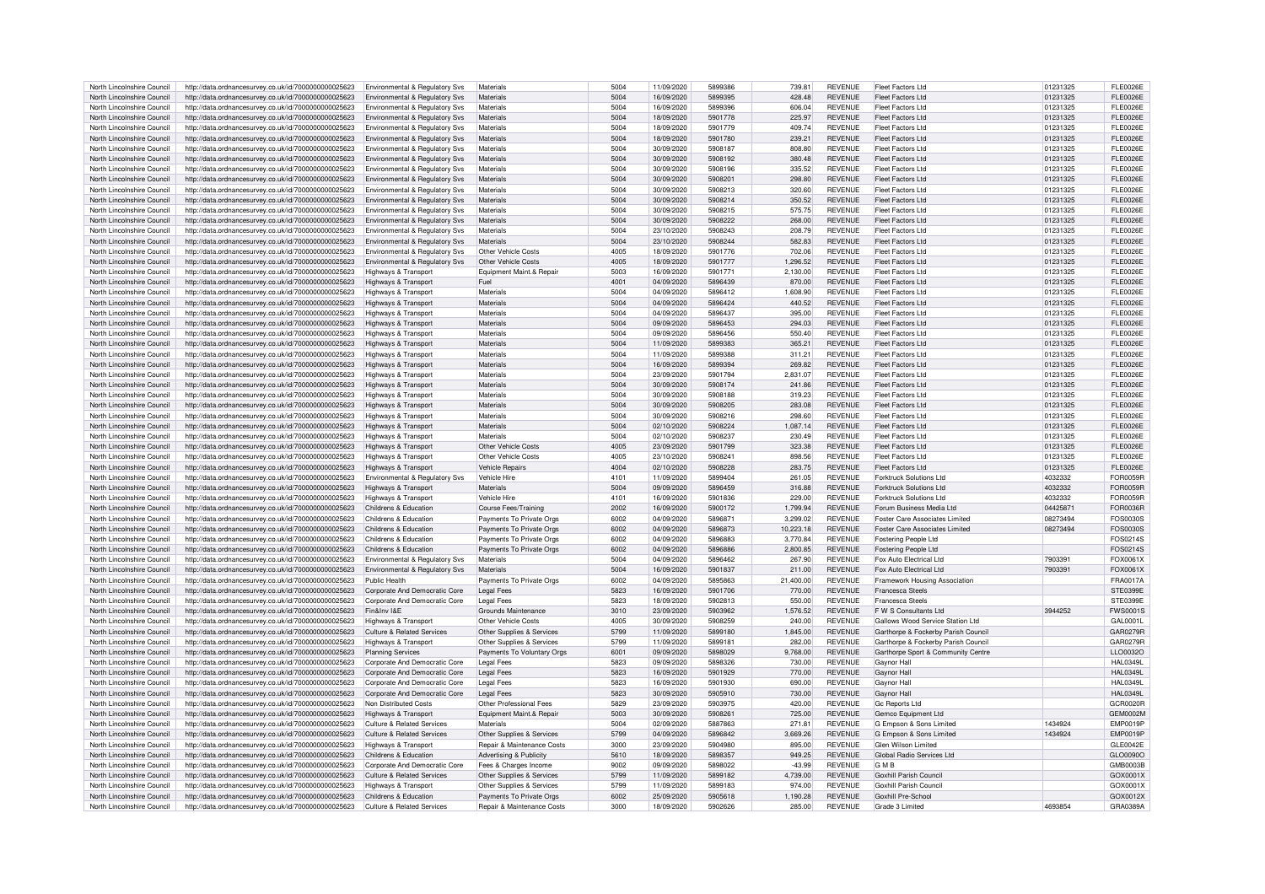| North Lincolnshire Council | http://data.ordnancesurvey.co.uk/id/7000000000025623 | Environmental & Regulatory Svs            | Materials                             | 5004    | 11/09/2020 | 5899386 | 739.81    | <b>REVENUE</b> | Fleet Factors Ltd                   | 01231325 | <b>FLE0026E</b> |
|----------------------------|------------------------------------------------------|-------------------------------------------|---------------------------------------|---------|------------|---------|-----------|----------------|-------------------------------------|----------|-----------------|
|                            |                                                      |                                           |                                       |         |            |         |           |                |                                     |          |                 |
| North Lincolnshire Council | http://data.ordnancesurvey.co.uk/id/7000000000025623 | Environmental & Regulatory Svs            | Materials                             | 5004    | 16/09/2020 | 5899395 | 428.48    | <b>REVENUE</b> | <b>Fleet Factors Ltd</b>            | 01231325 | <b>FLE0026E</b> |
| North Lincolnshire Council | http://data.ordnancesurvey.co.uk/id/7000000000025623 | Environmental & Regulatory Svs            | Materials                             | 5004    | 16/09/2020 | 5899396 | 606.04    | <b>REVENUE</b> | Fleet Factors Ltd                   | 01231325 | <b>FLE0026E</b> |
| North Lincolnshire Council | http://data.ordnancesurvey.co.uk/id/7000000000025623 | <b>Environmental &amp; Regulatory Svs</b> | Materials                             | 5004    | 18/09/2020 | 5901778 | 225.97    | <b>REVENUE</b> | <b>Fleet Factors Ltd</b>            | 01231325 | <b>FLE0026E</b> |
| North Lincolnshire Council | http://data.ordnancesurvey.co.uk/id/7000000000025623 | Environmental & Regulatory Svs            | Materials                             | 5004    | 18/09/2020 | 5901779 | 409.74    | <b>REVENUE</b> | Fleet Factors Ltd                   | 01231325 | <b>FLE0026E</b> |
| North Lincolnshire Council |                                                      |                                           | Materials                             | 5004    | 18/09/2020 | 5901780 | 239.21    | <b>REVENUE</b> | Fleet Factors Ltd                   | 01231325 | <b>FLE0026E</b> |
|                            | http://data.ordnancesurvey.co.uk/id/7000000000025623 | Environmental & Regulatory Svs            |                                       |         |            |         |           |                |                                     |          |                 |
| North Lincolnshire Council | http://data.ordnancesurvey.co.uk/id/7000000000025623 | Environmental & Regulatory Svs            | Materials                             | 5004    | 30/09/2020 | 5908187 | 808.80    | <b>REVENUE</b> | <b>Fleet Factors Ltd</b>            | 01231325 | <b>FLE0026E</b> |
| North Lincolnshire Council | http://data.ordnancesurvey.co.uk/id/7000000000025623 | <b>Environmental &amp; Regulatory Svs</b> | Materials                             | 5004    | 30/09/2020 | 5908192 | 380.48    | <b>REVENUE</b> | Fleet Factors Ltd                   | 01231325 | <b>FLE0026E</b> |
| North Lincolnshire Council | http://data.ordnancesurvey.co.uk/id/7000000000025623 | Environmental & Regulatory Svs            | Materials                             | 5004    | 30/09/2020 | 5908196 | 335.52    | <b>REVENUE</b> | Fleet Factors Ltd                   | 01231325 | <b>FLE0026E</b> |
| North Lincolnshire Council | http://data.ordnancesurvey.co.uk/id/7000000000025623 | Environmental & Regulatory Svs            | Materials                             | 5004    | 30/09/2020 | 5908201 | 298.80    | <b>REVENUE</b> | <b>Fleet Factors Ltd</b>            | 01231325 | <b>FLE0026E</b> |
|                            |                                                      |                                           |                                       |         |            |         |           |                |                                     |          |                 |
| North Lincolnshire Council | http://data.ordnancesurvey.co.uk/id/7000000000025623 | Environmental & Regulatory Svs            | Materials                             | 5004    | 30/09/2020 | 5908213 | 320.60    | <b>REVENUE</b> | Fleet Factors Ltd                   | 01231325 | <b>FLE0026E</b> |
| North Lincolnshire Council | http://data.ordnancesurvey.co.uk/id/7000000000025623 | <b>Environmental &amp; Regulatory Svs</b> | Materials                             | 5004    | 30/09/2020 | 5908214 | 350.52    | <b>REVENUE</b> | <b>Fleet Factors Ltd</b>            | 01231325 | <b>FLE0026E</b> |
| North Lincolnshire Council | http://data.ordnancesurvey.co.uk/id/7000000000025623 | Environmental & Regulatory Svs            | Materials                             | 5004    | 30/09/2020 | 5908215 | 575.75    | <b>REVENUE</b> | <b>Fleet Factors Ltd</b>            | 01231325 | <b>FLE0026E</b> |
| North Lincolnshire Council | http://data.ordnancesurvey.co.uk/id/7000000000025623 | <b>Environmental &amp; Regulatory Svs</b> | Materials                             | 5004    | 30/09/2020 | 5908222 | 268.00    | <b>REVENUE</b> | Fleet Factors Ltd                   | 01231325 | FI F0026F       |
| North Lincolnshire Council | http://data.ordnancesurvey.co.uk/id/7000000000025623 | Environmental & Regulatory Svs            | Materials                             | 5004    | 23/10/2020 | 5908243 | 208.79    | <b>REVENUE</b> | <b>Fleet Factors Ltd</b>            | 01231325 | <b>FLE0026E</b> |
|                            |                                                      |                                           |                                       |         |            |         |           |                |                                     |          |                 |
| North Lincolnshire Council | http://data.ordnancesurvey.co.uk/id/7000000000025623 | Environmental & Regulatory Svs            | Materials                             | 5004    | 23/10/2020 | 5908244 | 582.83    | <b>REVENUE</b> | Fleet Factors Ltd                   | 01231325 | <b>FLE0026E</b> |
| North Lincolnshire Council | http://data.ordnancesurvey.co.uk/id/7000000000025623 | Environmental & Regulatory Svs            | Other Vehicle Costs                   | 4005    | 18/09/2020 | 5901776 | 702.06    | <b>REVENUE</b> | Fleet Factors Ltd                   | 01231325 | FI F0026F       |
| North Lincolnshire Council | http://data.ordnancesurvey.co.uk/id/7000000000025623 | <b>Environmental &amp; Regulatory Svs</b> | Other Vehicle Costs                   | 4005    | 18/09/2020 | 5901777 | 1,296.52  | <b>REVENUE</b> | <b>Fleet Factors Ltd</b>            | 01231325 | <b>FLE0026E</b> |
| North Lincolnshire Council | http://data.ordnancesurvey.co.uk/id/7000000000025623 | <b>Highways &amp; Transport</b>           | Equipment Maint.& Repair              | 5003    | 16/09/2020 | 5901771 | 2.130.00  | <b>REVENUE</b> | Fleet Factors Ltd                   | 01231325 | <b>FLE0026E</b> |
|                            |                                                      |                                           |                                       |         |            |         |           |                |                                     |          |                 |
| North Lincolnshire Council | http://data.ordnancesurvey.co.uk/id/7000000000025623 | Highways & Transport                      | Fuel                                  | 4001    | 04/09/2020 | 5896439 | 870.00    | <b>REVENUE</b> | Fleet Factors Ltd                   | 01231325 | <b>FLE0026E</b> |
| North Lincolnshire Council | http://data.ordnancesurvey.co.uk/id/7000000000025623 | Highways & Transport                      | Materials                             | 5004    | 04/09/2020 | 5896412 | 1.608.90  | <b>REVENUE</b> | <b>Fleet Factors Ltd</b>            | 01231325 | <b>FLE0026E</b> |
| North Lincolnshire Council | http://data.ordnancesurvey.co.uk/id/7000000000025623 | Highways & Transport                      | Materials                             | 5004    | 04/09/2020 | 5896424 | 440.52    | <b>REVENUE</b> | <b>Fleet Factors Ltd</b>            | 01231325 | <b>FLE0026E</b> |
| North Lincolnshire Council | http://data.ordnancesurvey.co.uk/id/7000000000025623 | Highways & Transport                      | Materials                             | 5004    | 04/09/2020 | 5896437 | 395.00    | <b>REVENUE</b> | <b>Fleet Factors Ltd</b>            | 01231325 | <b>FLE0026E</b> |
| North Lincolnshire Council | http://data.ordnancesurvey.co.uk/id/7000000000025623 | Highways & Transport                      | Materials                             | 5004    | 09/09/2020 | 5896453 | 294.03    | <b>REVENUE</b> | <b>Fleet Factors Ltd</b>            | 01231325 | <b>FLE0026E</b> |
|                            |                                                      |                                           |                                       |         |            |         |           |                |                                     |          |                 |
| North Lincolnshire Council | http://data.ordnancesurvey.co.uk/id/7000000000025623 | Highways & Transport                      | Materials                             | 5004    | 09/09/2020 | 5896456 | 550.40    | <b>REVENUE</b> | Fleet Factors Ltd                   | 01231325 | <b>FLE0026E</b> |
| North Lincolnshire Council | http://data.ordnancesurvey.co.uk/id/7000000000025623 | Highways & Transport                      | Materials                             | 5004    | 11/09/2020 | 5899383 | 365.21    | <b>REVENUE</b> | <b>Fleet Factors Ltd</b>            | 01231325 | FL E0026E       |
| North Lincolnshire Council | http://data.ordnancesurvey.co.uk/id/7000000000025623 | Highways & Transport                      | Materials                             | 5004    | 11/09/2020 | 5899388 | 311.21    | <b>REVENUE</b> | <b>Fleet Factors Ltd</b>            | 01231325 | <b>FLE0026E</b> |
| North Lincolnshire Council | http://data.ordnancesurvey.co.uk/id/7000000000025623 | Highways & Transport                      | Materials                             | 5004    | 16/09/2020 | 5899394 | 269.82    | <b>REVENUE</b> | Fleet Factors Ltd                   | 01231325 | <b>FLE0026E</b> |
|                            |                                                      |                                           | Materials                             | 5004    |            | 5901794 |           |                | Fleet Factors Ltd                   |          | FL E0026E       |
| North Lincolnshire Council | http://data.ordnancesurvey.co.uk/id/7000000000025623 | <b>Highways &amp; Transport</b>           |                                       |         | 23/09/2020 |         | 2,831.07  | <b>REVENUE</b> |                                     | 01231325 |                 |
| North Lincolnshire Council | http://data.ordnancesurvey.co.uk/id/7000000000025623 | Highways & Transport                      | Materials                             | 5004    | 30/09/2020 | 5908174 | 241.86    | <b>REVENUE</b> | <b>Fleet Factors Ltd</b>            | 01231325 | <b>FLE0026E</b> |
| North Lincolnshire Council | http://data.ordnancesurvey.co.uk/id/7000000000025623 | Highways & Transport                      | Materials                             | 5004    | 30/09/2020 | 5908188 | 319.23    | <b>REVENUE</b> | Fleet Factors Ltd                   | 01231325 | <b>FLE0026E</b> |
| North Lincolnshire Council | http://data.ordnancesurvey.co.uk/id/7000000000025623 | Highways & Transport                      | Materials                             | 5004    | 30/09/2020 | 5908205 | 283.08    | <b>REVENUE</b> | Fleet Factors Ltd                   | 01231325 | <b>FLE0026E</b> |
| North Lincolnshire Council | http://data.ordnancesurvey.co.uk/id/7000000000025623 | Highways & Transport                      | Materials                             | 5004    | 30/09/2020 | 5908216 | 298.60    | <b>REVENUE</b> | <b>Fleet Factors Ltd</b>            | 01231325 | <b>FLE0026E</b> |
|                            |                                                      |                                           |                                       |         |            |         |           |                |                                     |          |                 |
| North Lincolnshire Council | http://data.ordnancesurvey.co.uk/id/7000000000025623 | Highways & Transport                      | <b>Materials</b>                      | 5004    | 02/10/2020 | 5908224 | 1.087.14  | <b>REVENUE</b> | Fleet Factors Ltd                   | 01231325 | FL E0026E       |
| North Lincolnshire Council | http://data.ordnancesurvey.co.uk/id/7000000000025623 | Highways & Transport                      | Materials                             | 5004    | 02/10/2020 | 5908237 | 230.49    | <b>REVENUE</b> | <b>Fleet Factors Ltd</b>            | 01231325 | <b>FLE0026E</b> |
| North Lincolnshire Council | http://data.ordnancesurvey.co.uk/id/7000000000025623 | Highways & Transport                      | Other Vehicle Costs                   | 4005    | 23/09/2020 | 5901799 | 323.38    | <b>REVENUE</b> | Fleet Factors Ltd                   | 01231325 | <b>FLE0026E</b> |
| North Lincolnshire Council | http://data.ordnancesurvey.co.uk/id/7000000000025623 | Highways & Transport                      | Other Vehicle Costs                   | 4005    | 23/10/2020 | 5908241 | 898.56    | <b>REVENUE</b> | Fleet Factors Ltd                   | 01231325 | <b>FLE0026E</b> |
|                            |                                                      |                                           |                                       |         |            |         |           |                |                                     |          |                 |
| North Lincolnshire Council | http://data.ordnancesurvey.co.uk/id/7000000000025623 | Highways & Transport                      | <b>Vehicle Repairs</b>                | 4004    | 02/10/2020 | 5908228 | 283.75    | <b>REVENUE</b> | <b>Fleet Factors Ltd</b>            | 01231325 | <b>FLE0026E</b> |
| North Lincolnshire Council | http://data.ordnancesurvey.co.uk/id/7000000000025623 | Environmental & Regulatory Svs            | Vehicle Hire                          | $410 -$ | 11/09/2020 | 5899404 | 261.05    | <b>REVENUE</b> | Forktruck Solutions Ltd             | 4032332  | FOR0059R        |
| North Lincolnshire Council | http://data.ordnancesurvey.co.uk/id/7000000000025623 | Highways & Transport                      | Materials                             | 5004    | 09/09/2020 | 5896459 | 316.88    | <b>REVENUE</b> | Forktruck Solutions Ltd             | 4032332  | FOR0059R        |
| North Lincolnshire Council | http://data.ordnancesurvey.co.uk/id/7000000000025623 | Highways & Transport                      | Vehicle Hire                          | 4101    | 16/09/2020 | 5901836 | 229.00    | <b>REVENUE</b> | Forktruck Solutions Ltd             | 4032332  | FOR0059R        |
| North Lincolnshire Council | http://data.ordnancesurvey.co.uk/id/7000000000025623 | Childrens & Education                     | <b>Course Fees/Training</b>           | 2002    | 16/09/2020 | 5900172 | 1.799.94  | <b>REVENUE</b> | Forum Business Media Ltd            | 0442587  | FOR0036R        |
|                            |                                                      |                                           |                                       | 6002    |            | 5896871 |           |                |                                     |          |                 |
| North Lincolnshire Council | http://data.ordnancesurvey.co.uk/id/7000000000025623 | Childrens & Education                     | Payments To Private Orgs              |         | 04/09/2020 |         | 3,299.02  | <b>REVENUE</b> | Foster Care Associates Limited      | 08273494 | FOS0030S        |
| North Lincolnshire Council | http://data.ordnancesurvey.co.uk/id/7000000000025623 | Childrens & Education                     | Payments To Private Orgs              | 6002    | 04/09/2020 | 5896873 | 10.223.18 | <b>REVENUE</b> | Foster Care Associates Limited      | 08273494 | FOS0030S        |
| North Lincolnshire Council | http://data.ordnancesurvey.co.uk/id/7000000000025623 | Childrens & Education                     | Payments To Private Orgs              | 6002    | 04/09/2020 | 5896883 | 3.770.84  | <b>REVENUE</b> | Fostering People Ltd                |          | FOS0214S        |
| North Lincolnshire Council | http://data.ordnancesurvey.co.uk/id/7000000000025623 | Childrens & Education                     | Payments To Private Orgs              | 6002    | 04/09/2020 | 5896886 | 2.800.85  | <b>REVENUE</b> | Fostering People Ltd                |          | FOS0214S        |
| North Lincolnshire Council | http://data.ordnancesurvey.co.uk/id/7000000000025623 | Environmental & Regulatory Sys            | Materials                             | 5004    | 04/09/2020 | 5896462 | 267.90    | <b>REVENUE</b> | Fox Auto Electrical Ltd             | 790339   | FOX0061X        |
|                            |                                                      |                                           |                                       |         |            |         |           |                |                                     |          |                 |
| North Lincolnshire Council | http://data.ordnancesurvey.co.uk/id/7000000000025623 | Environmental & Regulatory Svs            | Materials                             | 5004    | 16/09/2020 | 5901837 | 211.00    | <b>REVENUE</b> | Fox Auto Electrical Ltd             | 790339   | FOX0061X        |
| North Lincolnshire Council | http://data.ordnancesurvey.co.uk/id/7000000000025623 | Public Health                             | Payments To Private Orgs              | 6002    | 04/09/2020 | 5895863 | 21,400.00 | <b>REVENUE</b> | Framework Housing Association       |          | FRA0017A        |
| North Lincolnshire Council | http://data.ordnancesurvey.co.uk/id/7000000000025623 | Corporate And Democratic Core             | Legal Fees                            | 5823    | 16/09/2020 | 5901706 | 770.00    | <b>REVENUE</b> | <b>Francesca Steels</b>             |          | <b>STE0399E</b> |
| North Lincolnshire Council | http://data.ordnancesurvey.co.uk/id/7000000000025623 | Corporate And Democratic Core             | <b>Legal Fees</b>                     | 5823    | 18/09/2020 | 5902813 | 550.00    | <b>REVENUE</b> | <b>Francesca Steels</b>             |          | STE0399E        |
| North Lincolnshire Council | http://data.ordnancesurvey.co.uk/id/7000000000025623 | Fin&Inv I&F                               | Grounds Maintenance                   | 3010    | 23/09/2020 | 5903962 | 1,576.52  | <b>REVENUE</b> | F W S Consultants Ltd               | 3944252  | <b>FWS0001S</b> |
|                            |                                                      |                                           |                                       |         |            |         |           |                |                                     |          |                 |
| North Lincolnshire Council | http://data.ordnancesurvey.co.uk/id/7000000000025623 | Highways & Transport                      | Other Vehicle Costs                   | 4005    | 30/09/2020 | 5908259 | 240.00    | <b>REVENUE</b> | Gallows Wood Service Station Ltd    |          | GAL0001L        |
| North Lincolnshire Council | http://data.ordnancesurvey.co.uk/id/7000000000025623 | <b>Culture &amp; Related Services</b>     | Other Supplies & Services             | 5799    | 11/09/2020 | 5899180 | 1.845.00  | <b>REVENUE</b> | Garthorpe & Fockerby Parish Council |          | GAR0279F        |
| North Lincolnshire Council | http://data.ordnancesurvey.co.uk/id/7000000000025623 | Highways & Transport                      | Other Supplies & Services             | 5799    | 11/09/2020 | 5899181 | 282.00    | <b>REVENUE</b> | Garthorpe & Fockerby Parish Council |          | GAR0279R        |
| North Lincolnshire Council | http://data.ordnancesurvey.co.uk/id/7000000000025623 | <b>Planning Services</b>                  | Payments To Voluntary Orgs            | 6001    | 09/09/2020 | 5898029 | 9.768.00  | <b>REVENUE</b> | Garthorpe Sport & Community Centre  |          | LLO0032O        |
| North Lincolnshire Council | http://data.ordnancesurvey.co.uk/id/7000000000025623 | Corporate And Democratic Core             | <b>Legal Fees</b>                     | 5823    | 09/09/2020 | 5898326 | 730.00    | <b>REVENUE</b> | Gaynor Hal                          |          | <b>HAL0349L</b> |
|                            |                                                      |                                           |                                       |         |            |         |           |                |                                     |          |                 |
| North Lincolnshire Council | http://data.ordnancesurvey.co.uk/id/7000000000025623 | Corporate And Democratic Core             | Legal Fees                            | 5823    | 16/09/2020 | 5901929 | 770.00    | <b>REVENUE</b> | Gavnor Hal                          |          | <b>HAL0349L</b> |
| North Lincolnshire Council | http://data.ordnancesurvey.co.uk/id/7000000000025623 | Corporate And Democratic Core             | Legal Fees                            | 5823    | 16/09/2020 | 5901930 | 690.00    | <b>REVENUE</b> | Gavnor Hal                          |          | <b>HAL0349L</b> |
| North Lincolnshire Council | http://data.ordnancesurvey.co.uk/id/7000000000025623 | Corporate And Democratic Core             | <b>Legal Fees</b>                     | 5823    | 30/09/2020 | 5905910 | 730.00    | <b>REVENUE</b> | Gaynor Hall                         |          | <b>HAL0349L</b> |
| North Lincolnshire Council | http://data.ordnancesurvey.co.uk/id/7000000000025623 | Non Distributed Costs                     | Other Professional Fees               | 5829    | 23/09/2020 | 5903975 | 420.00    | <b>REVENUE</b> | Gc Reports Ltd                      |          | GCR0020B        |
| North Lincolnshire Council | http://data.ordnancesurvey.co.uk/id/7000000000025623 | Highways & Transport                      | Equipment Maint.& Repair              | 5003    | 30/09/2020 | 5908261 | 725.00    | <b>REVENUE</b> | Gemco Equipment Ltd                 |          | <b>GEM0002M</b> |
|                            |                                                      |                                           |                                       |         |            |         |           |                |                                     |          |                 |
| North Lincolnshire Council | http://data.ordnancesurvey.co.uk/id/7000000000025623 | <b>Culture &amp; Related Services</b>     | <b>Materials</b>                      | 5004    | 02/09/2020 | 5887863 | 271.81    | <b>REVENUE</b> | G Empson & Sons Limited             | 1434924  | <b>EMP0019P</b> |
| North Lincolnshire Council | http://data.ordnancesurvey.co.uk/id/7000000000025623 | <b>Culture &amp; Related Services</b>     | Other Supplies & Services             | 5799    | 04/09/2020 | 5896842 | 3,669.26  | <b>REVENUE</b> | G Empson & Sons Limited             | 1434924  | <b>EMP0019P</b> |
| North Lincolnshire Council | http://data.ordnancesurvey.co.uk/id/7000000000025623 | Highways & Transport                      | Repair & Maintenance Costs            | 3000    | 23/09/2020 | 5904980 | 895.00    | <b>REVENUE</b> | Glen Wilson Limited                 |          | GLE0042E        |
| North Lincolnshire Council | http://data.ordnancesurvey.co.uk/id/7000000000025623 | Childrens & Education                     | <b>Advertising &amp; Publicity</b>    | 5610    | 18/09/2020 | 5898357 | 949.25    | <b>REVENUE</b> | Global Radio Services Ltd           |          | GLO0090O        |
| North Lincolnshire Council | http://data.ordnancesurvey.co.uk/id/7000000000025623 | Corporate And Democratic Core             | Fees & Charges Income                 | 9002    | 09/09/2020 | 5898022 | $-43.99$  | <b>REVENUE</b> | <b>GMB</b>                          |          | GMB0003B        |
|                            |                                                      |                                           |                                       | 5799    |            | 5899182 |           | <b>REVENUE</b> | Goxhill Parish Council              |          | GOX0001X        |
| North Lincolnshire Council | http://data.ordnancesurvey.co.uk/id/7000000000025623 | Culture & Related Services                | Other Supplies & Services             |         | 11/09/2020 |         | 4,739.00  |                |                                     |          |                 |
| North Lincolnshire Council | http://data.ordnancesurvey.co.uk/id/7000000000025623 | <b>Highways &amp; Transport</b>           | Other Supplies & Services             | 5799    | 11/09/2020 | 5899183 | 974.00    | <b>REVENUE</b> | Goxhill Parish Council              |          | GOX0001X        |
| North Lincolnshire Council | http://data.ordnancesurvey.co.uk/id/7000000000025623 | Childrens & Education                     | Payments To Private Orgs              | 6002    | 25/09/2020 | 5905618 | 1,190.28  | <b>REVENUE</b> | Goxhill Pre-School                  |          | GOX0012X        |
| North Lincolnshire Council | http://data.ordnancesurvey.co.uk/id/7000000000025623 | Culture & Related Services                | <b>Benair &amp; Maintenance Costs</b> | 3000    | 18/09/2020 | 5902626 | 285.00    | <b>REVENUE</b> | Grade 3 Limited                     | 4693854  | GRA0389A        |
|                            |                                                      |                                           |                                       |         |            |         |           |                |                                     |          |                 |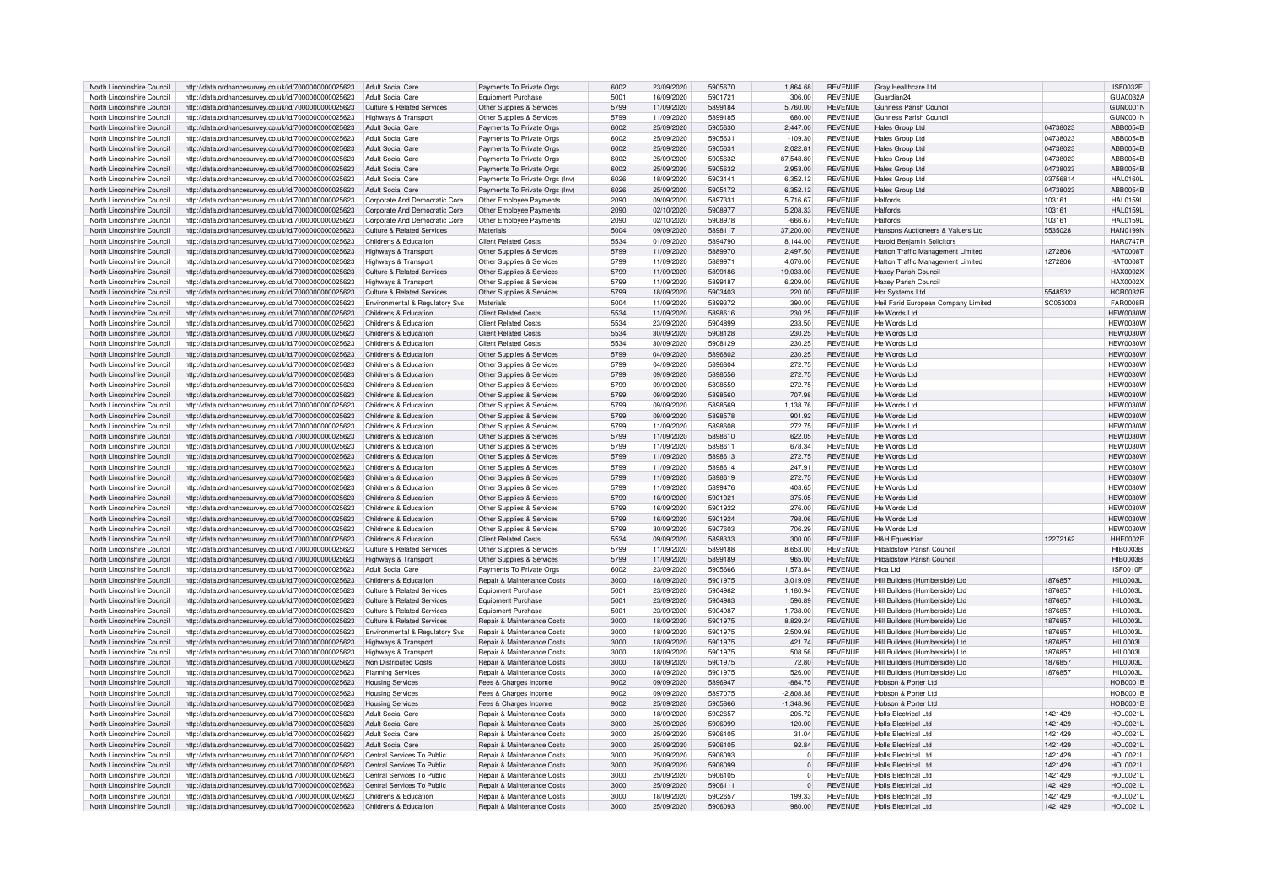| North Lincolnshire Council                               | http://data.ordnancesurvey.co.uk/id/7000000000025623                                                         | Adult Social Care               | Payments To Private Orgs              | 6002 | 23/09/2020               | 5905670 | 1,864.68             | <b>REVENUE</b> | Gray Healthcare Ltd                 |          | <b>ISF0032F</b> |
|----------------------------------------------------------|--------------------------------------------------------------------------------------------------------------|---------------------------------|---------------------------------------|------|--------------------------|---------|----------------------|----------------|-------------------------------------|----------|-----------------|
| North Lincolnshire Council                               | http://data.ordnancesurvey.co.uk/id/7000000000025623                                                         | Adult Social Care               | Foujoment Purchase                    | 5001 | 16/09/2020               | 5901721 | 306.00               | <b>REVENUE</b> | Guardian24                          |          | <b>GUA0032A</b> |
| North Lincolnshire Council                               | http://data.ordnancesurvey.co.uk/id/7000000000025623                                                         | Culture & Related Services      | Other Supplies & Services             | 5799 | 11/09/2020               | 5899184 | 5,760.00             | <b>REVENUE</b> | Gunness Parish Counci               |          | <b>GUN0001N</b> |
| North Lincolnshire Council                               | http://data.ordnancesurvey.co.uk/id/7000000000025623                                                         | Highways & Transpor             | Other Supplies & Services             | 5799 | 11/09/2020               | 5899185 | 680.00               | <b>REVENUE</b> | Gunness Parish Council              |          | <b>GUN0001N</b> |
| North Lincolnshire Council                               | http://data.ordnancesurvey.co.uk/id/7000000000025623                                                         | <b>Adult Social Care</b>        | Payments To Private Orgs              | 6002 | 25/09/2020               | 5905630 | 2.447.00             | <b>REVENUE</b> | Hales Group Ltd                     | 04738023 | ABB0054B        |
| North Lincolnshire Council                               | http://data.ordnancesurvey.co.uk/id/7000000000025623                                                         | <b>Adult Social Care</b>        | Payments To Private Orgs              | 6002 | 25/09/2020               | 590563  | $-109.30$            | <b>REVENUE</b> | <b>Hales Group Ltd</b>              | 04738023 | ABB0054B        |
|                                                          |                                                                                                              |                                 |                                       |      |                          | 5905631 |                      |                |                                     |          |                 |
| North Lincolnshire Council                               | http://data.ordnancesurvey.co.uk/id/7000000000025623                                                         | <b>Adult Social Care</b>        | Payments To Private Orgs              | 6002 | 25/09/2020               |         | 2,022.81             | <b>REVENUE</b> | <b>Hales Group Ltd</b>              | 04738023 | ABB0054B        |
| North Lincolnshire Council                               | http://data.ordnancesurvey.co.uk/id/7000000000025623                                                         | Adult Social Care               | Payments To Private Orgs              | 6002 | 25/09/2020               | 5905632 | 87,548.80            | <b>REVENUE</b> | <b>Hales Group Ltd</b>              | 04738023 | ABB0054B        |
| North Lincolnshire Council                               | http://data.ordnancesurvey.co.uk/id/7000000000025623                                                         | Adult Social Care               | Payments To Private Orgs              | 6002 | 25/09/2020               | 5905632 | 2.953.00             | <b>REVENUE</b> | <b>Hales Group Ltd</b>              | 04738023 | ABB0054B        |
| North Lincolnshire Council                               | http://data.ordnancesurvey.co.uk/id/7000000000025623                                                         | Adult Social Care               | Payments To Private Orgs (Inv)        | 6026 | 18/09/2020               | 5903141 | 6,352.12             | <b>REVENUE</b> | Hales Group Ltd                     | 03756814 | <b>HAL0160L</b> |
| North Lincolnshire Council                               | http://data.ordnancesurvey.co.uk/id/7000000000025623                                                         | Adult Social Care               | Payments To Private Orgs (Inv)        | 6026 | 25/09/2020               | 5905172 | 6.352.12             | <b>REVENUE</b> | Hales Group Ltd                     | 04738023 | ABB0054B        |
| North Lincolnshire Council                               | http://data.ordnancesurvey.co.uk/id/7000000000025623                                                         | Corporate And Democratic Core   | Other Employee Payments               | 2090 | 09/09/2020               | 589733  | 5,716.67             | <b>REVENUE</b> | Halfords                            | 103161   | <b>HAL0159L</b> |
| North Lincolnshire Council                               | http://data.ordnancesurvey.co.uk/id/7000000000025623                                                         | Cornorate And Democratic Core   | Other Employee Payments               | 2090 | 02/10/2020               | 5908977 | 5,208,33             | <b>REVENUE</b> | Halfords                            | 103161   | <b>HAL0159L</b> |
| North Lincolnshire Council                               | http://data.ordnancesurvey.co.uk/id/7000000000025623                                                         | Corporate And Democratic Core   | Other Employee Payments               | 2090 | 02/10/2020               | 5908978 | $-666.67$            | <b>REVENUE</b> | Halfords                            | 103161   | <b>HAL0159L</b> |
| North Lincolnshire Council                               | http://data.ordnancesurvey.co.uk/id/7000000000025623                                                         | Culture & Related Services      | Materials                             | 5004 | 09/09/2020               | 5898117 | 37,200.00            | <b>REVENUE</b> | Hansons Auctioneers & Valuers Ltd   | 5535028  | <b>HAN0199N</b> |
| North Lincolnshire Council                               | http://data.ordnancesurvey.co.uk/id/7000000000025623                                                         | Childrens & Education           | <b>Client Related Costs</b>           | 5534 | 01/09/2020               | 5894790 | 8.144.00             | <b>REVENUE</b> | <b>Harold Benjamin Solicitors</b>   |          | <b>HAR0747R</b> |
| North Lincolnshire Council                               | http://data.ordnancesurvey.co.uk/id/7000000000025623                                                         | <b>Highways &amp; Transport</b> | Other Supplies & Services             | 5799 | 11/09/2020               | 5889970 | 2,497.50             | <b>REVENUE</b> | Hatton Traffic Management Limited   | 1272806  | <b>HAT0008T</b> |
| North Lincolnshire Council                               | http://data.ordnancesurvey.co.uk/id/7000000000025623                                                         | Highways & Transport            | Other Supplies & Services             | 5799 | 11/09/2020               | 5889971 | 4.076.00             | <b>REVENUE</b> | Hatton Traffic Management Limited   | 1272806  | <b>HAT0008T</b> |
| North Lincolnshire Council                               |                                                                                                              | Culture & Related Services      | Other Supplies & Services             | 5799 | 11/09/2020               | 5899186 | 19,033.00            | <b>REVENUE</b> | <b>Haxey Parish Council</b>         |          | <b>HAX0002X</b> |
|                                                          | http://data.ordnancesurvey.co.uk/id/7000000000025623                                                         |                                 |                                       |      |                          |         |                      |                |                                     |          |                 |
| North Lincolnshire Council                               | http://data.ordnancesurvey.co.uk/id/7000000000025623                                                         | Highways & Transport            | Other Supplies & Services             | 5799 | 11/09/2020               | 5899187 | 6,209.00             | <b>REVENUE</b> | Haxey Parish Counci                 |          | <b>HAX0002X</b> |
| North Lincolnshire Council                               | http://data.ordnancesurvey.co.uk/id/7000000000025623                                                         | Culture & Related Services      | Other Supplies & Services             | 5799 | 18/09/2020               | 5903403 | 220.00               | <b>REVENUE</b> | Hcr Systems Ltd                     | 5548532  | <b>HCR0032R</b> |
| North Lincolnshire Council                               | http://data.ordnancesurvey.co.uk/id/7000000000025623                                                         | Environmental & Regulatory Svs  | Materials                             | 5004 | 11/09/2020               | 5899372 | 390.00               | <b>REVENUE</b> | Heil Farid European Company Limited | SC053003 | <b>FAR0008R</b> |
| North Lincolnshire Council                               | http://data.ordnancesurvey.co.uk/id/7000000000025623                                                         | Childrens & Education           | <b>Client Related Costs</b>           | 5534 | 11/09/2020               | 5898616 | 230.25               | <b>REVENUE</b> | He Words Ltd                        |          | <b>HEW0030W</b> |
| North Lincolnshire Council                               | http://data.ordnancesurvey.co.uk/id/7000000000025623                                                         | Childrens & Education           | <b>Client Related Costs</b>           | 5534 | 23/09/2020               | 5904899 | 233.50               | <b>REVENUE</b> | He Words I to                       |          | <b>HEW0030W</b> |
| North Lincolnshire Council                               | http://data.ordnancesurvey.co.uk/id/7000000000025623                                                         | Childrens & Education           | <b>Client Related Costs</b>           | 5534 | 30/09/2020               | 5908128 | 230.25               | <b>REVENUE</b> | He Words I td                       |          | <b>HEW0030W</b> |
| North Lincolnshire Council                               | http://data.ordnancesurvey.co.uk/id/7000000000025623                                                         | Childrens & Education           | <b>Client Related Costs</b>           | 5534 | 30/09/2020               | 5908129 | 230.25               | <b>REVENUE</b> | He Words Ltd                        |          | <b>HEW0030W</b> |
| North Lincolnshire Council                               | http://data.ordnancesurvey.co.uk/id/7000000000025623                                                         | Childrens & Education           | Other Supplies & Services             | 5799 | 04/09/2020               | 5896802 | 230.25               | <b>REVENUE</b> | He Words I td                       |          | <b>HEW0030W</b> |
| North Lincolnshire Council                               | http://data.ordnancesurvey.co.uk/id/7000000000025623                                                         | Childrens & Education           | Other Supplies & Services             | 5799 | 04/09/2020               | 5896804 | 272.75               | <b>REVENUE</b> | He Words I to                       |          | <b>HEW0030W</b> |
| North Lincolnshire Council                               |                                                                                                              | Childrens & Education           |                                       | 5799 | 09/09/2020               | 5898556 | 272.75               | <b>REVENUE</b> | He Words I td                       |          | <b>HEW0030W</b> |
|                                                          | http://data.ordnancesurvey.co.uk/id/7000000000025623                                                         |                                 | Other Supplies & Services             |      |                          |         |                      |                |                                     |          |                 |
| North Lincolnshire Council                               | http://data.ordnancesurvey.co.uk/id/7000000000025623                                                         | Childrens & Education           | Other Supplies & Services             | 5799 | 09/09/2020               | 5898559 | 272.75               | <b>REVENUE</b> | He Words I td                       |          | HFW0030W        |
| North Lincolnshire Council                               | http://data.ordnancesurvey.co.uk/id/7000000000025623                                                         | Childrens & Education           | Other Supplies & Services             | 5799 | 09/09/2020               | 5898560 | 707.98               | <b>REVENUE</b> | He Words Ltd                        |          | <b>HEW0030W</b> |
| North Lincolnshire Council                               | http://data.ordnancesurvey.co.uk/id/7000000000025623                                                         | Childrens & Education           | Other Supplies & Services             | 5799 | 09/09/2020               | 5898569 | 1.138.76             | <b>REVENUE</b> | He Words Ltd                        |          | <b>HEW0030W</b> |
| North Lincolnshire Council                               | http://data.ordnancesurvey.co.uk/id/7000000000025623                                                         | Childrens & Education           | Other Supplies & Services             | 5799 | 09/09/2020               | 5898578 | 901.92               | <b>REVENUE</b> | He Words I td                       |          | HFW0030W        |
| North Lincolnshire Council                               | http://data.ordnancesurvey.co.uk/id/7000000000025623                                                         | Childrens & Education           | Other Supplies & Services             | 5799 | 11/09/2020               | 5898608 | 272.75               | <b>REVENUE</b> | He Words I td                       |          | HFW0030W        |
| North Lincolnshire Council                               | http://data.ordnancesurvey.co.uk/id/7000000000025623                                                         | Childrens & Education           | Other Supplies & Services             | 5799 | 11/09/2020               | 5898610 | 622.05               | <b>REVENUE</b> | He Words I td                       |          | HFW0030W        |
| North Lincolnshire Council                               | http://data.ordnancesurvey.co.uk/id/7000000000025623                                                         | Childrens & Education           | Other Supplies & Services             | 5799 | 11/09/2020               | 589861  | 678.34               | <b>REVENUE</b> | He Words I td                       |          | HFW0030W        |
| North Lincolnshire Council                               | http://data.ordnancesurvey.co.uk/id/7000000000025623                                                         | Childrens & Education           | Other Supplies & Services             | 5799 | 11/09/2020               | 5898613 | 272.75               | <b>REVENUE</b> | He Words Ltd                        |          | <b>HEW0030W</b> |
| North Lincolnshire Council                               | http://data.ordnancesurvey.co.uk/id/7000000000025623                                                         | Childrens & Education           | Other Supplies & Services             | 5799 | 11/09/2020               | 5898614 | 247.91               | <b>REVENUE</b> | He Words Ltd                        |          | <b>HEW0030W</b> |
| North Lincolnshire Council                               | http://data.ordnancesurvey.co.uk/id/7000000000025623                                                         | Childrens & Education           | Other Supplies & Services             | 5799 | 11/09/2020               | 5898619 | 272.75               | <b>REVENUE</b> | He Words Ltd                        |          | <b>HEW0030W</b> |
|                                                          |                                                                                                              |                                 |                                       |      |                          |         |                      |                |                                     |          |                 |
| North Lincolnshire Council                               | http://data.ordnancesurvey.co.uk/id/7000000000025623                                                         | Childrens & Education           | Other Supplies & Services             | 5799 | 11/09/2020               | 5899476 | 403.65               | <b>REVENUE</b> | He Words Ltd                        |          | <b>HEW0030W</b> |
| North Lincolnshire Council                               | http://data.ordnancesurvey.co.uk/id/7000000000025623                                                         | Childrens & Education           | Other Supplies & Services             | 5799 | 16/09/2020               | 5901921 | 375.05               | <b>REVENUE</b> | He Words I td                       |          | <b>HEW0030W</b> |
| North Lincolnshire Council                               | http://data.ordnancesurvey.co.uk/id/7000000000025623                                                         | Childrens & Education           | Other Supplies & Services             | 5799 | 16/09/2020               | 5901922 | 276.00               | <b>REVENUE</b> | He Words Ltd                        |          | <b>HEW0030W</b> |
| North Lincolnshire Council                               | http://data.ordnancesurvey.co.uk/id/7000000000025623                                                         | Childrens & Education           | Other Supplies & Services             | 5799 | 16/09/2020               | 5901924 | 798.06               | <b>REVENUE</b> | He Words Ltd                        |          | <b>HEW0030W</b> |
| North Lincolnshire Council                               | http://data.ordnancesurvey.co.uk/id/7000000000025623                                                         | Childrens & Education           | Other Supplies & Services             | 5799 | 30/09/2020               | 5907603 | 706.29               | <b>REVENUE</b> | He Words I td                       |          | <b>HEW0030W</b> |
| North Lincolnshire Council                               | http://data.ordnancesurvey.co.uk/id/7000000000025623                                                         | Childrens & Education           | <b>Client Related Costs</b>           | 5534 | 09/09/2020               | 5898333 | 300.00               | <b>REVENUE</b> | <b>H&amp;H Equestrian</b>           | 12272162 | HHE0002E        |
| North Lincolnshire Council                               | http://data.ordnancesurvey.co.uk/id/7000000000025623                                                         | Culture & Related Services      | Other Supplies & Services             | 5799 | 11/09/2020               | 5899188 | 8.653.00             | <b>REVENUE</b> | <b>Hibaldstow Parish Council</b>    |          | <b>HIB0003B</b> |
| North Lincolnshire Council                               | http://data.ordnancesurvey.co.uk/id/7000000000025623                                                         | Highways & Transport            | Other Supplies & Services             | 5799 | 11/09/2020               | 5899189 | 965.00               | <b>REVENUE</b> | Hibaldstow Parish Counci            |          | <b>HIB0003B</b> |
| North Lincolnshire Council                               | http://data.ordnancesurvey.co.uk/id/7000000000025623                                                         | Adult Social Care               | Payments To Private Orgs              | 6002 | 23/09/2020               | 5905666 | 1.573.84             | <b>REVENUE</b> | Hica Ltd                            |          | ISF0010F        |
|                                                          |                                                                                                              | Childrens & Education           | Repair & Maintenance Costs            | 3000 |                          | 5901975 |                      | <b>REVENUE</b> | Hill Builders (Humberside) Ltd      | 1876857  | <b>HIL0003L</b> |
| North Lincolnshire Council<br>North Lincolnshire Council | http://data.ordnancesurvey.co.uk/id/7000000000025623<br>http://data.ordnancesurvey.co.uk/id/7000000000025623 | Culture & Related Services      | <b>Equipment Purchase</b>             | 5001 | 18/09/2020<br>23/09/2020 | 5904982 | 3,019.09<br>1,180.94 | <b>REVENUE</b> | Hill Builders (Humberside) Ltd      | 1876857  | <b>HIL0003L</b> |
| North Lincolnshire Council                               |                                                                                                              | Culture & Related Services      |                                       | 5001 | 23/09/2020               | 5904983 | 596.89               | <b>REVENUE</b> | Hill Builders (Humberside) I to     |          | <b>HIL0003L</b> |
|                                                          | http://data.ordnancesurvey.co.uk/id/7000000000025623                                                         |                                 | Equipment Purchase                    |      |                          |         |                      |                |                                     | 1876857  |                 |
| North Lincolnshire Council                               | http://data.ordnancesurvey.co.uk/id/7000000000025623                                                         | Culture & Related Services      | Foujoment Purchase                    | 5001 | 23/09/2020               | 5904987 | 1,738.00             | <b>REVENUE</b> | Hill Builders (Humberside) Ltd      | 1876857  | <b>HIL0003L</b> |
| North Lincolnshire Council                               | http://data.ordnancesurvey.co.uk/id/7000000000025623                                                         | Culture & Related Services      | Repair & Maintenance Costs            | 3000 | 18/09/2020               | 5901975 | 8,829.24             | <b>REVENUE</b> | Hill Builders (Humberside) Ltd      | 1876857  | <b>HIL0003L</b> |
| North Lincolnshire Council                               | http://data.ordnancesurvey.co.uk/id/7000000000025623                                                         | Environmental & Regulatory Svs  | Repair & Maintenance Costs            | 3000 | 18/09/2020               | 5901975 | 2,509.98             | <b>REVENUE</b> | Hill Builders (Humberside) Ltd      | 1876857  | <b>HIL0003L</b> |
| North Lincolnshire Council                               | http://data.ordnancesurvey.co.uk/id/7000000000025623                                                         | Highways & Transport            | Repair & Maintenance Costs            | 3000 | 18/09/2020               | 5901975 | 421.74               | <b>REVENUE</b> | Hill Builders (Humberside) Ltd      | 1876857  | <b>HIL0003L</b> |
| North Lincolnshire Council                               | http://data.ordnancesurvey.co.uk/id/7000000000025623                                                         | Highways & Transport            | <b>Benair &amp; Maintenance Costs</b> | 3000 | 18/09/2020               | 5901975 | 508.56               | <b>REVENUE</b> | Hill Builders (Humberside) I to     | 1876857  | HII 0003I       |
| North Lincolnshire Council                               | http://data.ordnancesurvey.co.uk/id/7000000000025623                                                         | Non Distributed Costs           | Repair & Maintenance Costs            | 3000 | 18/09/2020               | 5901975 | 72.80                | <b>REVENUE</b> | Hill Builders (Humberside) Ltd      | 1876857  | <b>HIL0003L</b> |
| North Lincolnshire Council                               | http://data.ordnancesurvey.co.uk/id/7000000000025623                                                         | <b>Planning Services</b>        | Repair & Maintenance Costs            | 3000 | 18/09/2020               | 5901975 | 526.00               | <b>REVENUE</b> | Hill Builders (Humberside) Ltd      | 187685   | <b>HIL0003L</b> |
| North Lincolnshire Council                               | http://data.ordnancesurvey.co.uk/id/7000000000025623                                                         | <b>Housing Services</b>         | Fees & Charges Income                 | 9002 | 09/09/2020               | 5896947 | $-884.75$            | <b>REVENUE</b> | Hobson & Porter Ltd                 |          | <b>HOB0001B</b> |
| North Lincolnshire Council                               | http://data.ordnancesurvey.co.uk/id/7000000000025623                                                         | <b>Housing Services</b>         | Fees & Charges Income                 | 9002 | 09/09/2020               | 5897075 | $-2,808.38$          | <b>REVENUE</b> | Hobson & Porter Ltd                 |          | <b>HOB0001B</b> |
| North Lincolnshire Council                               | http://data.ordnancesurvey.co.uk/id/7000000000025623                                                         | <b>Housing Services</b>         | Fees & Charges Income                 | 9002 | 25/09/2020               | 5905866 | $-1,348.96$          | <b>REVENUE</b> | Hobson & Porter Ltd                 |          | <b>HOB0001B</b> |
| North Lincolnshire Council                               | http://data.ordnancesurvey.co.uk/id/7000000000025623                                                         | <b>Adult Social Care</b>        | <b>Benair &amp; Maintenance Costs</b> | 3000 | 18/09/2020               | 5902657 | 205.72               | <b>REVENUE</b> | <b>Holls Electrical Ltd</b>         | 1421429  | <b>HOL0021L</b> |
| North Lincolnshire Council                               |                                                                                                              | <b>Adult Social Care</b>        | Repair & Maintenance Costs            | 3000 | 25/09/2020               | 5906099 | 120.00               | <b>REVENUE</b> | Holls Electrical Ltd                | 1421429  | <b>HOL0021L</b> |
|                                                          | http://data.ordnancesurvey.co.uk/id/7000000000025623                                                         |                                 |                                       |      |                          |         |                      |                |                                     |          |                 |
| North Lincolnshire Council                               | http://data.ordnancesurvey.co.uk/id/7000000000025623                                                         | <b>Adult Social Care</b>        | Repair & Maintenance Costs            | 3000 | 25/09/2020               | 5906105 | 31.04                | <b>REVENUE</b> | Holls Flectrical I td               | 1421429  | <b>HOL0021L</b> |
| North Lincolnshire Council                               | http://data.ordnancesurvey.co.uk/id/7000000000025623                                                         | <b>Adult Social Care</b>        | Repair & Maintenance Costs            | 3000 | 25/09/2020               | 5906105 | 92.84                | <b>REVENUE</b> | Holls Flectrical I td               | 1421429  | <b>HOL0021L</b> |
| North Lincolnshire Council                               | http://data.ordnancesurvey.co.uk/id/7000000000025623                                                         | Central Services To Public      | Repair & Maintenance Costs            | 3000 | 25/09/2020               | 5906093 | $\Omega$             | REVENUE        | Holls Flectrical Ltd                | 1421429  | <b>HOL0021L</b> |
| North Lincolnshire Council                               | http://data.ordnancesurvey.co.uk/id/7000000000025623                                                         | Central Services To Public      | Repair & Maintenance Costs            | 3000 | 25/09/2020               | 5906099 | $\Omega$             | <b>REVENUE</b> | <b>Holls Electrical Ltd</b>         | 1421429  | <b>HOL0021L</b> |
| North Lincolnshire Council                               | http://data.ordnancesurvey.co.uk/id/7000000000025623                                                         | Central Services To Public      | Repair & Maintenance Costs            | 3000 | 25/09/2020               | 5906105 | $\Omega$             | REVENUE        | Holls Electrical Ltd                | 1421429  | <b>HOL0021L</b> |
| North Lincolnshire Council                               | http://data.ordnancesurvey.co.uk/id/7000000000025623                                                         | Central Services To Public      | Repair & Maintenance Costs            | 3000 | 25/09/2020               | 5906111 | $\Omega$             | <b>REVENUE</b> | <b>Holls Electrical Ltd</b>         | 1421429  | <b>HOL0021L</b> |
| North Lincolnshire Council                               | http://data.ordnancesurvey.co.uk/id/7000000000025623                                                         | Childrens & Education           | Repair & Maintenance Costs            | 3000 | 18/09/2020               | 5902657 | 199.33               | <b>REVENUE</b> | <b>Holls Electrical Ltd</b>         | 1421429  | <b>HOL0021L</b> |
| North Lincolnshire Council                               | http://data.ordnancesurvey.co.uk/id/7000000000025623                                                         | Childrens & Education           | Repair & Maintenance Costs            | 3000 | 25/09/2020               | 5906093 | 980.00               | <b>REVENUE</b> | Holls Flectrical I td               | 1421429  | <b>HOL0021L</b> |
|                                                          |                                                                                                              |                                 |                                       |      |                          |         |                      |                |                                     |          |                 |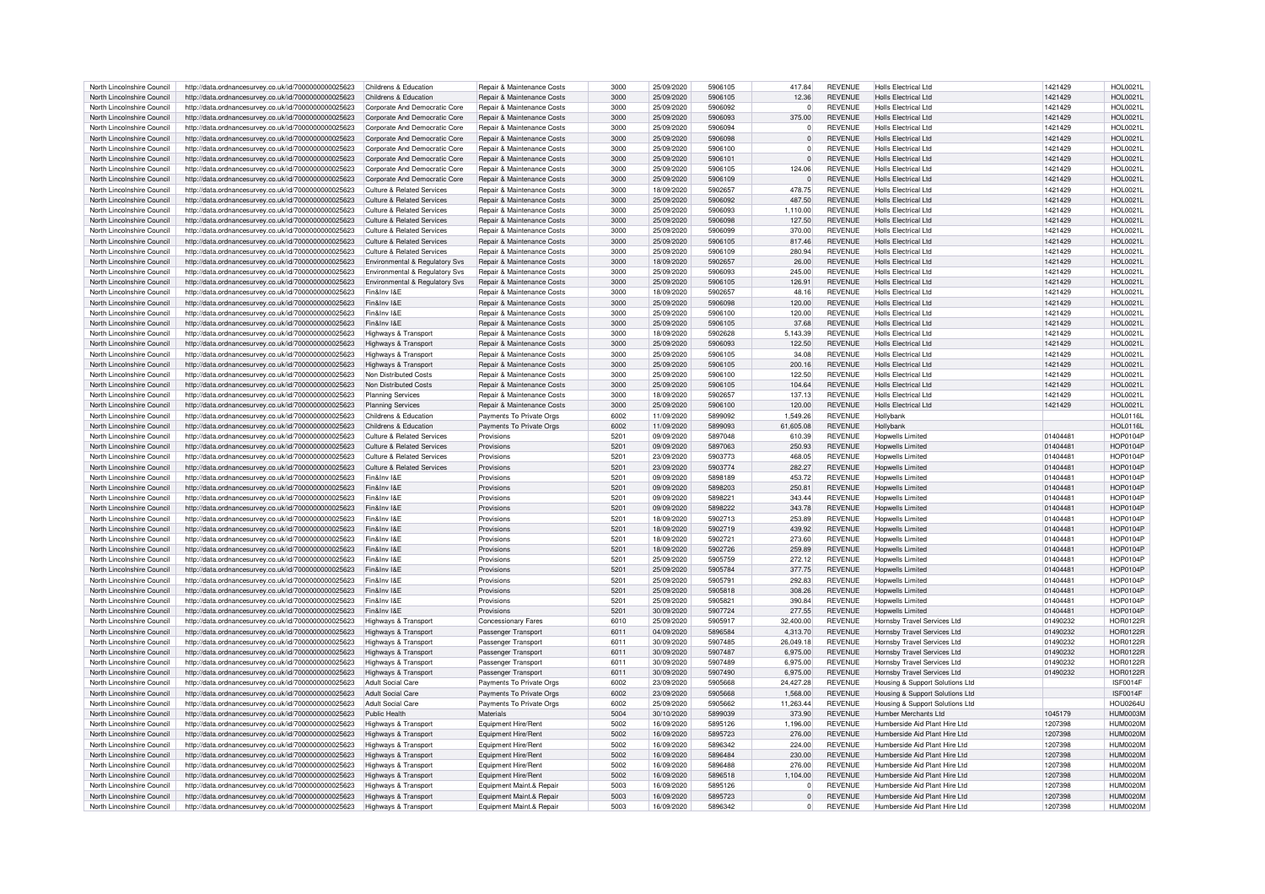| North Lincolnshire Council                               | http://data.ordnancesurvey.co.uk/id/7000000000025623                                                         | Childrens & Education                        | Repair & Maintenance Costs                           | 3000             | 25/09/2020               | 5906105            | 417.84               | <b>REVENUE</b>                   | Holls Flectrical Ltd                                            | 1421429            | HOI 0021I                          |
|----------------------------------------------------------|--------------------------------------------------------------------------------------------------------------|----------------------------------------------|------------------------------------------------------|------------------|--------------------------|--------------------|----------------------|----------------------------------|-----------------------------------------------------------------|--------------------|------------------------------------|
| North Lincolnshire Council                               | http://data.ordnancesurvey.co.uk/id/7000000000025623                                                         | Childrens & Education                        | Repair & Maintenance Costs                           | 3000             | 25/09/2020               | 5906105            | 12.36                | <b>REVENUE</b>                   | Holls Electrical Ltd                                            | 1421429            | <b>HOL0021L</b>                    |
|                                                          |                                                                                                              |                                              |                                                      |                  |                          |                    |                      |                                  |                                                                 |                    |                                    |
| North Lincolnshire Council                               | http://data.ordnancesurvey.co.uk/id/7000000000025623                                                         | Corporate And Democratic Core                | Repair & Maintenance Costs                           | 3000             | 25/09/2020               | 5906092            | $\Omega$             | <b>REVENUE</b>                   | Holls Flectrical Ltd                                            | 1421429            | <b>HOL0021L</b>                    |
| North Lincolnshire Council                               | http://data.ordnancesurvey.co.uk/id/7000000000025623                                                         | Corporate And Democratic Core                | Repair & Maintenance Costs                           | 3000             | 25/09/2020               | 5906093            | 375.00               | <b>REVENUE</b>                   | Holls Flectrical I td                                           | 1421429            | <b>HOL0021L</b>                    |
| North Lincolnshire Council                               | http://data.ordnancesurvey.co.uk/id/7000000000025623                                                         | Corporate And Democratic Core                | Repair & Maintenance Costs                           | 3000             | 25/09/2020               | 5906094            | 0                    | <b>REVENUE</b>                   | <b>Holls Electrical Ltd</b>                                     | 1421429            | HOL0021L                           |
| North Lincolnshire Council                               | http://data.ordnancesurvey.co.uk/id/7000000000025623                                                         | Corporate And Democratic Core                | Repair & Maintenance Costs                           | 3000             | 25/09/2020               | 5906098            | $\Omega$             | <b>REVENUE</b>                   | Holls Flectrical Ltd                                            | 1421429            | HOI 0021                           |
| North Lincolnshire Council                               | http://data.ordnancesurvey.co.uk/id/7000000000025623                                                         | Corporate And Democratic Core                | Repair & Maintenance Costs                           | 3000             | 25/09/2020               | 5906100            | $\Omega$             | <b>REVENUE</b>                   | Holls Electrical Ltd                                            | 1421429            | HOL0021L                           |
| North Lincolnshire Council                               |                                                                                                              | Corporate And Democratic Core                | Repair & Maintenance Costs                           | 3000             | 25/09/2020               | 590610             | $\Omega$             | <b>REVENUE</b>                   | Holls Flectrical Ltd                                            | 1421429            | <b>HOL0021L</b>                    |
|                                                          | http://data.ordnancesurvey.co.uk/id/7000000000025623                                                         |                                              |                                                      |                  |                          |                    |                      |                                  |                                                                 |                    |                                    |
| North Lincolnshire Council                               | http://data.ordnancesurvey.co.uk/id/7000000000025623                                                         | Corporate And Democratic Core                | Repair & Maintenance Costs                           | 3000             | 25/09/2020               | 5906105            | 124.06               | REVENUE                          | Holls Flectrical Ltd                                            | 1421429            | HOI 0021I                          |
| North Lincolnshire Council                               | http://data.ordnancesurvey.co.uk/id/7000000000025623                                                         | Corporate And Democratic Core                | Repair & Maintenance Costs                           | 3000             | 25/09/2020               | 5906109            | $\Omega$             | <b>REVENUE</b>                   | <b>Holls Electrical Ltd</b>                                     | 1421429            | <b>HOL0021L</b>                    |
| North Lincolnshire Council                               | http://data.ordnancesurvey.co.uk/id/7000000000025623                                                         | Culture & Related Services                   | Repair & Maintenance Costs                           | 3000             | 18/09/2020               | 5902657            | 478.75               | <b>REVENUE</b>                   | <b>Holls Electrical Ltd</b>                                     | 1421429            | <b>HOL0021L</b>                    |
| North Lincolnshire Council                               | http://data.ordnancesurvey.co.uk/id/7000000000025623                                                         | Culture & Related Services                   | Repair & Maintenance Costs                           | 3000             | 25/09/2020               | 5906092            | 487.50               | <b>REVENUE</b>                   | Holls Flectrical Ltd                                            | 1421429            | HOI 0021I                          |
| North Lincolnshire Council                               | http://data.ordnancesurvey.co.uk/id/7000000000025623                                                         | Culture & Related Services                   | Repair & Maintenance Costs                           | 3000             | 25/09/2020               | 5906093            | 1,110.00             | <b>REVENUE</b>                   | Holls Flectrical Ltd                                            | 1421429            | HOL0021L                           |
|                                                          |                                                                                                              |                                              |                                                      |                  |                          |                    |                      |                                  |                                                                 |                    |                                    |
| North Lincolnshire Council                               | http://data.ordnancesurvey.co.uk/id/7000000000025623                                                         | Culture & Related Services                   | Repair & Maintenance Costs                           | 3000             | 25/09/2020               | 5906098            | 127.50               | <b>REVENUE</b>                   | Holls Flectrical I td                                           | 1421429            | HOI 0021I                          |
| North Lincolnshire Council                               | http://data.ordnancesurvey.co.uk/id/7000000000025623                                                         | <b>Culture &amp; Related Services</b>        | Repair & Maintenance Costs                           | 3000             | 25/09/2020               | 5906099            | 370.00               | <b>REVENUE</b>                   | <b>Holls Electrical Ltd</b>                                     | 1421429            | <b>HOL0021L</b>                    |
| North Lincolnshire Council                               | http://data.ordnancesurvey.co.uk/id/7000000000025623                                                         | Culture & Related Services                   | Repair & Maintenance Costs                           | 3000             | 25/09/2020               | 5906105            | 817.46               | <b>REVENUE</b>                   | <b>Holls Electrical Ltd</b>                                     | 1421429            | <b>HOL0021L</b>                    |
| North Lincolnshire Council                               | http://data.ordnancesurvey.co.uk/id/7000000000025623                                                         | Culture & Related Services                   | <b>Benair &amp; Maintenance Costs</b>                | 3000             | 25/09/2020               | 5906109            | 280.94               | <b>REVENUE</b>                   | <b>Holls Electrical Ltd</b>                                     | 1421429            | <b>HOL0021L</b>                    |
| North Lincolnshire Council                               | http://data.ordnancesurvey.co.uk/id/7000000000025623                                                         | Environmental & Regulatory Svs               | Repair & Maintenance Costs                           | 3000             | 18/09/2020               | 5902657            | 26.00                | <b>REVENUE</b>                   | <b>Holls Electrical Ltd</b>                                     | 1421429            | <b>HOL0021L</b>                    |
|                                                          |                                                                                                              |                                              |                                                      |                  |                          |                    |                      |                                  |                                                                 |                    |                                    |
| North Lincolnshire Council                               | http://data.ordnancesurvey.co.uk/id/7000000000025623                                                         | Environmental & Regulatory Svs               | Repair & Maintenance Costs                           | 3000             | 25/09/2020               | 5906093            | 245.00               | <b>REVENUE</b>                   | <b>Holls Electrical Ltd</b>                                     | 1421429            | <b>HOL0021L</b>                    |
| North Lincolnshire Council                               | http://data.ordnancesurvey.co.uk/id/7000000000025623                                                         | Environmental & Regulatory Svs               | <b>Benair &amp; Maintenance Costs</b>                | 3000             | 25/09/2020               | 5906105            | 126.91               | <b>REVENUE</b>                   | Holls Electrical Ltd                                            | 1421429            | HOI 0021                           |
| North Lincolnshire Council                               | http://data.ordnancesurvey.co.uk/id/7000000000025623                                                         | Fin&Inv I&F                                  | Repair & Maintenance Costs                           | 3000             | 18/09/2020               | 5902657            | 48.16                | <b>REVENUE</b>                   | <b>Holls Electrical Ltd</b>                                     | 1421429            | HOL0021L                           |
| North Lincolnshire Council                               | http://data.ordnancesurvey.co.uk/id/7000000000025623                                                         | Fin&Inv I&F                                  | Repair & Maintenance Costs                           | 3000             | 25/09/2020               | 5906098            | 120.00               | <b>REVENUE</b>                   | Holls Flectrical Ltd                                            | 1421429            | <b>HOL0021L</b>                    |
| North Lincolnshire Council                               | http://data.ordnancesurvey.co.uk/id/7000000000025623                                                         | Fin&Inv I&F                                  | Repair & Maintenance Costs                           | 3000             | 25/09/2020               | 5906100            | 120.00               | <b>REVENUE</b>                   | Holls Flectrical Ltd                                            | 1421429            | <b>HOL0021L</b>                    |
|                                                          |                                                                                                              |                                              |                                                      |                  |                          |                    |                      |                                  |                                                                 |                    |                                    |
| North Lincolnshire Council                               | http://data.ordnancesurvey.co.uk/id/7000000000025623                                                         | Fin&Inv I&E                                  | Repair & Maintenance Costs                           | 3000             | 25/09/2020               | 5906105            | 37.68                | <b>REVENUE</b>                   | <b>Holls Electrical Ltd</b>                                     | 1421429            | <b>HOL0021L</b>                    |
| North Lincolnshire Council                               | http://data.ordnancesurvey.co.uk/id/7000000000025623                                                         | <b>Highways &amp; Transport</b>              | <b>Benair &amp; Maintenance Costs</b>                | 3000             | 18/09/2020               | 5902628            | 5,143.39             | <b>REVENUE</b>                   | Holls Flectrical Ltd                                            | 1421429            | HOI 0021                           |
| North Lincolnshire Council                               | http://data.ordnancesurvey.co.uk/id/7000000000025623                                                         | Highways & Transpor                          | Repair & Maintenance Costs                           | 3000             | 25/09/2020               | 5906093            | 122.50               | <b>REVENUE</b>                   | Holls Flectrical Ltd                                            | 1421429            | <b>HOL0021L</b>                    |
| North Lincolnshire Council                               | http://data.ordnancesurvey.co.uk/id/7000000000025623                                                         | Highways & Transpor                          | Repair & Maintenance Costs                           | 3000             | 25/09/2020               | 5906105            | 34.08                | <b>REVENUE</b>                   | Holls Flectrical Ltd                                            | 1421429            | <b>HOL0021L</b>                    |
| North Lincolnshire Council                               | http://data.ordnancesurvey.co.uk/id/7000000000025623                                                         | Highways & Transport                         | Repair & Maintenance Costs                           | 3000             | 25/09/2020               | 5906105            | 200.16               | REVENUE                          | <b>Holls Electrical Ltd</b>                                     | 1421429            | <b>HOL0021L</b>                    |
|                                                          |                                                                                                              |                                              |                                                      |                  |                          |                    |                      |                                  |                                                                 |                    |                                    |
| North Lincolnshire Council                               | http://data.ordnancesurvey.co.uk/id/7000000000025623                                                         | Non Distributed Costs                        | Repair & Maintenance Costs                           | 3000             | 25/09/2020               | 5906100            | 122.50               | <b>REVENUE</b>                   | <b>Holls Electrical Ltd</b>                                     | 1421429            | <b>HOL0021L</b>                    |
| North Lincolnshire Council                               | http://data.ordnancesurvey.co.uk/id/7000000000025623                                                         | Non Distributed Costs                        | Repair & Maintenance Costs                           | 3000             | 25/09/2020               | 5906105            | 104.64               | <b>REVENUE</b>                   | Holls Flectrical Ltd                                            | 1421429            | <b>HOL0021L</b>                    |
| North Lincolnshire Council                               | http://data.ordnancesurvey.co.uk/id/7000000000025623                                                         | <b>Planning Services</b>                     | Repair & Maintenance Costs                           | 3000             | 18/09/2020               | 5902657            | 137.13               | <b>REVENUE</b>                   | <b>Holls Electrical Ltd</b>                                     | 1421429            | <b>HOL0021L</b>                    |
| North Lincolnshire Council                               | http://data.ordnancesurvey.co.uk/id/7000000000025623                                                         | <b>Planning Services</b>                     | Repair & Maintenance Costs                           | 3000             | 25/09/2020               | 5906100            | 120.00               | <b>REVENUE</b>                   | Holls Flectrical I td                                           | 1421429            | <b>HOL0021L</b>                    |
| North Lincolnshire Council                               | http://data.ordnancesurvey.co.uk/id/7000000000025623                                                         | Childrens & Education                        | Payments To Private Orgs                             | 6002             | 11/09/2020               | 5899092            | 1,549.26             | <b>REVENUE</b>                   | Hollybank                                                       |                    | <b>HOL0116I</b>                    |
| North Lincolnshire Council                               | http://data.ordnancesurvey.co.uk/id/7000000000025623                                                         | Childrens & Education                        | Payments To Private Orgs                             | 6002             | 11/09/2020               | 5899093            | 61,605.08            | <b>REVENUE</b>                   | Hollybank                                                       |                    | <b>HOL0116L</b>                    |
|                                                          |                                                                                                              |                                              |                                                      |                  |                          |                    |                      |                                  |                                                                 |                    |                                    |
| North Lincolnshire Council                               | http://data.ordnancesurvey.co.uk/id/7000000000025623                                                         | Culture & Related Services                   | Provisions                                           | $520 -$          | 09/09/2020               | 5897048            | 610.39               | <b>REVENUE</b>                   | Honwells Limited                                                | 01404481           | <b>HOP0104F</b>                    |
| North Lincolnshire Council                               | http://data.ordnancesurvey.co.uk/id/7000000000025623                                                         | Culture & Related Services                   | Provisions                                           | 5201             | 09/09/2020               | 5897063            | 250.93               | <b>REVENUE</b>                   | Honwells I imited                                               | 01404481           | <b>HOP0104P</b>                    |
| North Lincolnshire Council                               | http://data.ordnancesurvey.co.uk/id/7000000000025623                                                         | Culture & Related Services                   | Provisions                                           | 5201             | 23/09/2020               | 5903773            | 468.05               | <b>REVENUE</b>                   | Honwells Limited                                                | 01404481           | <b>HOP0104P</b>                    |
| North Lincolnshire Council                               | http://data.ordnancesurvey.co.uk/id/7000000000025623                                                         | <b>Culture &amp; Related Services</b>        | Provisions                                           | 520 <sup>°</sup> | 23/09/2020               | 5903774            | 282.27               | <b>REVENUE</b>                   | <b>Hopwells Limited</b>                                         | 01404481           | HOP0104P                           |
| North Lincolnshire Council                               | http://data.ordnancesurvey.co.uk/id/7000000000025623                                                         | Fin&Inv I&F                                  | Provisions                                           | 5201             | 09/09/2020               | 5898189            | 453.72               | <b>REVENUE</b>                   | <b>Hopwells Limited</b>                                         | 01404481           | HOP0104P                           |
|                                                          |                                                                                                              |                                              |                                                      |                  |                          |                    |                      |                                  |                                                                 |                    |                                    |
| North Lincolnshire Council                               | http://data.ordnancesurvey.co.uk/id/7000000000025623                                                         | Fin&Inv I&F                                  | Provisions                                           | 5201             | 09/09/2020               | 5898203            | 250.81               | <b>REVENUE</b>                   | <b>Hopwells Limited</b>                                         | 01404481           | HOP0104P                           |
| North Lincolnshire Council                               | http://data.ordnancesurvey.co.uk/id/7000000000025623                                                         | Fin&Inv I&F                                  | Provisions                                           | 5201             | 09/09/2020               | 589822             | 343.44               | <b>REVENUE</b>                   | Honwells I imited                                               | 01404481           | <b>HOP0104P</b>                    |
| North Lincolnshire Council                               | http://data.ordnancesurvey.co.uk/id/7000000000025623                                                         | Fin&Inv I&F                                  | Provisions                                           | 5201             | 09/09/2020               | 5898222            | 343.78               | <b>REVENUE</b>                   | <b>Hopwells Limited</b>                                         | 01404481           | HOP0104P                           |
| North Lincolnshire Council                               | http://data.ordnancesurvey.co.uk/id/7000000000025623                                                         | Fin&Inv I&E                                  | Provisions                                           | 520 <sup>°</sup> | 18/09/2020               | 5902713            | 253.89               | <b>REVENUE</b>                   | <b>Hopwells Limited</b>                                         | 01404481           | <b>HOP0104F</b>                    |
| North Lincolnshire Council                               |                                                                                                              | Fin&Inv I&F                                  | Provisions                                           | 520 <sup>1</sup> | 18/09/2020               | 5902719            | 439.92               | <b>REVENUE</b>                   | Honwells I imited                                               | 01404481           | HOP0104P                           |
|                                                          | http://data.ordnancesurvey.co.uk/id/7000000000025623                                                         |                                              |                                                      |                  |                          |                    |                      |                                  |                                                                 |                    |                                    |
| North Lincolnshire Council                               | http://data.ordnancesurvey.co.uk/id/7000000000025623                                                         | Fin&Inv I&F                                  | Provisions                                           | 5201             | 18/09/2020               | 590272             | 273.60               | <b>REVENUE</b>                   | <b>Hopwells Limited</b>                                         | 01404481           | HOP0104P                           |
| North Lincolnshire Council                               | http://data.ordnancesurvey.co.uk/id/7000000000025623                                                         | Fin&Inv I&E                                  | Provisions                                           | 5201             | 18/09/2020               | 5902726            | 259.89               | <b>REVENUE</b>                   | <b>Hopwells Limited</b>                                         | 01404481           | <b>HOP0104P</b>                    |
| North Lincolnshire Council                               | http://data.ordnancesurvey.co.uk/id/7000000000025623                                                         | Fin&Inv I&F                                  | Provisions                                           | 5201             | 25/09/2020               | 5905759            | 272.12               | <b>REVENUE</b>                   | <b>Hopwells Limited</b>                                         | 01404481           | <b>HOP0104F</b>                    |
| North Lincolnshire Council                               | http://data.ordnancesurvey.co.uk/id/7000000000025623                                                         | Fin&Inv I&F                                  | Provisions                                           | 5201             | 25/09/2020               | 5905784            | 377.75               | <b>REVENUE</b>                   | <b>Hopwells Limited</b>                                         | 01404481           | HOP0104P                           |
| North Lincolnshire Council                               | http://data.ordnancesurvey.co.uk/id/7000000000025623                                                         | Fin&Inv I&E                                  | Provisions                                           | 520 <sup>°</sup> | 25/09/2020               | 590579             | 292.83               | <b>REVENUE</b>                   | <b>Hopwells Limited</b>                                         | 01404481           | HOP0104P                           |
|                                                          |                                                                                                              |                                              |                                                      |                  |                          |                    |                      |                                  |                                                                 |                    |                                    |
| North Lincolnshire Council                               | http://data.ordnancesurvey.co.uk/id/7000000000025623                                                         | Fin&Inv I&F                                  | Provisions                                           | 5201             | 25/09/2020               | 5905818            | 308.26               | <b>REVENUE</b>                   | <b>Hopwells Limited</b>                                         | 01404481           | HOP0104P                           |
| North Lincolnshire Council                               | http://data.ordnancesurvey.co.uk/id/7000000000025623                                                         | Fin&Inv I&E                                  | Provisions                                           | 5201             | 25/09/2020               | 5905821            | 390.84               | <b>REVENUE</b>                   | <b>Hopwells Limited</b>                                         | 01404481           | <b>HOP0104P</b>                    |
| North Lincolnshire Council                               | http://data.ordnancesurvey.co.uk/id/7000000000025623                                                         | Fin&Inv I&E                                  | Provisions                                           | 5201             | 30/09/2020               | 5907724            | 277.55               | <b>REVENUE</b>                   | Honwells I imited                                               | 01404481           | HOP0104P                           |
| North Lincolnshire Council                               | http://data.ordnancesurvey.co.uk/id/7000000000025623                                                         | Highways & Transport                         | Concessionary Fares                                  | 6010             | 25/09/2020               | 5905917            | 32,400.00            | <b>REVENUE</b>                   | Hornsby Travel Services Ltd                                     | 01490232           | <b>HOR0122R</b>                    |
| North Lincolnshire Council                               | http://data.ordnancesurvey.co.uk/id/7000000000025623                                                         | Highways & Transport                         | Passenger Transpor                                   | 6011             | 04/09/2020               | 5896584            | 4.313.70             | <b>REVENUE</b>                   | Hornsby Travel Services Ltd                                     | 01490232           | <b>HOR0122R</b>                    |
| North Lincolnshire Council                               |                                                                                                              |                                              |                                                      | 6011             |                          | 5907485            |                      | <b>REVENUE</b>                   |                                                                 |                    |                                    |
|                                                          | http://data.ordnancesurvey.co.uk/id/7000000000025623                                                         | Highways & Transport                         | Passenger Transport                                  |                  | 30/09/2020               |                    | 26,049.18            |                                  | Hornsby Travel Services Ltd                                     | 01490232           | <b>HOR0122R</b>                    |
| North Lincolnshire Council                               | http://data.ordnancesurvey.co.uk/id/7000000000025623                                                         | Highways & Transport                         | Passenger Transport                                  | 6011             | 30/09/2020               | 5907487            | 6,975.00             | <b>REVENUE</b>                   | Hornsby Travel Services Ltd                                     | 01490232           | <b>HOR0122R</b>                    |
| North Lincolnshire Council                               | http://data.ordnancesurvey.co.uk/id/7000000000025623                                                         | Highways & Transport                         | Passenger Transport                                  | 6011             | 30/09/2020               | 5907489            | 6,975.00             | <b>REVENUE</b>                   | Hornsby Travel Services Ltd                                     | 01490232           | <b>HOR0122F</b>                    |
| North Lincolnshire Council                               | http://data.ordnancesurvey.co.uk/id/7000000000025623                                                         | Highways & Transport                         | Passenger Transport                                  | 6011             | 30/09/2020               | 5907490            | 6,975.00             | <b>REVENUE</b>                   | Hornsby Travel Services Ltd                                     | 01490232           | <b>HOR0122R</b>                    |
| North Lincolnshire Council                               | http://data.ordnancesurvey.co.uk/id/7000000000025623                                                         | <b>Adult Social Care</b>                     | Payments To Private Orgs                             | 6002             | 23/09/2020               | 5905668            | 24,427.28            | <b>REVENUE</b>                   | Housing & Support Solutions Ltd                                 |                    | <b>ISF0014F</b>                    |
| North Lincolnshire Council                               | http://data.ordnancesurvey.co.uk/id/7000000000025623                                                         | Adult Social Care                            | Payments To Private Orgs                             | 6002             | 23/09/2020               | 5905668            | 1,568.00             | <b>REVENUE</b>                   | Housing & Support Solutions Ltd                                 |                    | <b>ISF0014F</b>                    |
|                                                          |                                                                                                              |                                              |                                                      |                  |                          |                    |                      |                                  |                                                                 |                    |                                    |
| North Lincolnshire Council                               | http://data.ordnancesurvey.co.uk/id/7000000000025623                                                         | Adult Social Care                            | Payments To Private Orgs                             | 6002             | 25/09/2020               | 5905662            | 11,263.44            | <b>REVENUE</b>                   | Housing & Support Solutions Ltd                                 |                    | <b>HOU0264L</b>                    |
| North Lincolnshire Council                               | http://data.ordnancesurvey.co.uk/id/7000000000025623                                                         | Public Health                                | Materials                                            | 5004             | 30/10/2020               | 5899039            | 373.90               | <b>REVENUE</b>                   | Humber Merchants I td                                           | 1045179            | HUM0003M                           |
| North Lincolnshire Council                               | http://data.ordnancesurvey.co.uk/id/7000000000025623                                                         | Highways & Transport                         | Equipment Hire/Rent                                  | 5002             | 16/09/2020               | 5895126            | 1,196.00             | <b>REVENUE</b>                   | Humberside Aid Plant Hire Ltd                                   | 1207398            | HUM0020M                           |
| North Lincolnshire Council                               | http://data.ordnancesurvey.co.uk/id/7000000000025623                                                         | Highways & Transpor                          | Equipment Hire/Rent                                  | 5002             | 16/09/2020               | 5895723            | 276.00               | <b>REVENUE</b>                   | Humberside Aid Plant Hire Ltd                                   | 1207398            | <b>HUM0020M</b>                    |
| North Lincolnshire Council                               | http://data.ordnancesurvey.co.uk/id/7000000000025623                                                         | Highways & Transpor                          | Equipment Hire/Rent                                  | 5002             | 16/09/2020               | 5896342            | 224.00               | <b>REVENUE</b>                   | Humberside Aid Plant Hire Ltd                                   | 1207398            | HUM0020M                           |
|                                                          |                                                                                                              |                                              |                                                      |                  |                          |                    |                      |                                  |                                                                 |                    |                                    |
| North Lincolnshire Council                               | http://data.ordnancesurvey.co.uk/id/7000000000025623                                                         | Highways & Transport                         | Equipment Hire/Rent                                  | 5002             | 16/09/2020               | 5896484            | 230.00               | <b>REVENUE</b>                   | Humberside Aid Plant Hire I to                                  | 1207398            | <b>HUM0020M</b>                    |
| North Lincolnshire Council                               | http://data.ordnancesurvey.co.uk/id/7000000000025623                                                         | Highways & Transport                         | Equipment Hire/Rent                                  | 5002             | 16/09/2020               | 5896488            | 276.00               | <b>REVENUE</b>                   | Humberside Aid Plant Hire I to                                  | 1207398            | HUM0020M                           |
| North Lincolnshire Council                               | http://data.ordnancesurvey.co.uk/id/7000000000025623                                                         | Highways & Transport                         | Equipment Hire/Rent                                  | 5002             | 16/09/2020               | 5896518            | 1,104.00             | <b>REVENUE</b>                   | Humberside Aid Plant Hire Ltd                                   | 1207398            | <b>HUM0020M</b>                    |
| North Lincolnshire Council                               | http://data.ordnancesurvey.co.uk/id/7000000000025623                                                         | Highways & Transport                         | Equipment Maint.& Repair                             | 5003             | 16/09/2020               | 5895126            | $\Omega$             | REVENUE                          | Humberside Aid Plant Hire I to                                  | 1207398            | HUM0020M                           |
|                                                          |                                                                                                              |                                              |                                                      |                  |                          |                    |                      |                                  |                                                                 |                    |                                    |
|                                                          |                                                                                                              |                                              |                                                      |                  |                          |                    |                      |                                  |                                                                 |                    |                                    |
| North Lincolnshire Council<br>North Lincolnshire Council | http://data.ordnancesurvey.co.uk/id/7000000000025623<br>http://data.ordnancesurvey.co.uk/id/7000000000025623 | Highways & Transport<br>Highways & Transport | Equipment Maint.& Repair<br>Equipment Maint.& Repair | 5003<br>5003     | 16/09/2020<br>16/09/2020 | 5895723<br>5896342 | $\Omega$<br>$\Omega$ | <b>REVENUE</b><br><b>REVENUE</b> | Humberside Aid Plant Hire Ltd<br>Humberside Aid Plant Hire I to | 1207398<br>1207398 | <b>HUM0020M</b><br><b>HUM0020M</b> |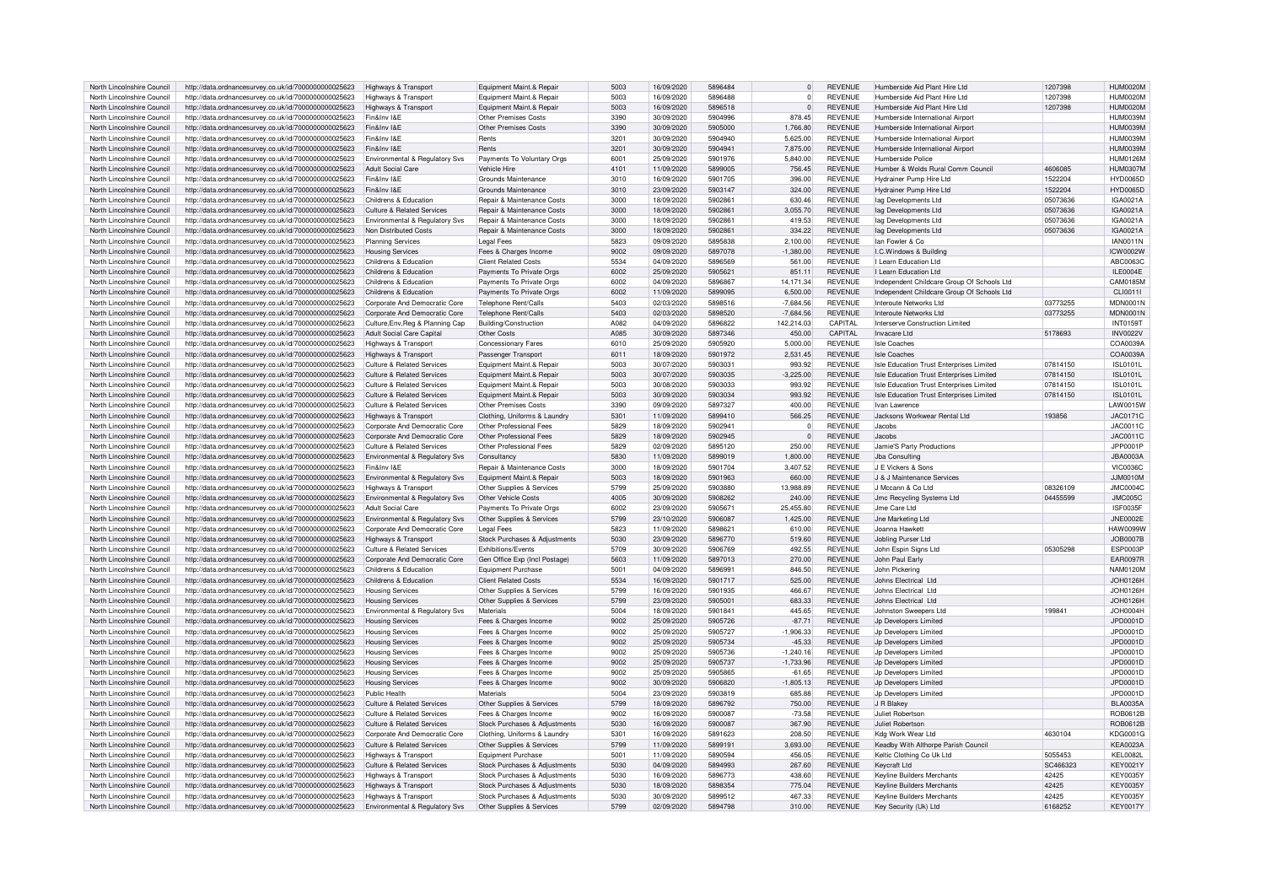| North Lincolnshire Council | http://data.ordnancesurvey.co.uk/id/7000000000025623 | Highways & Transport                  | Equipment Maint.& Repair      | 5003             | 16/09/2020 | 5896484 | $\Omega$       | <b>REVENUE</b> | Humberside Aid Plant Hire Ltd              | 1207398  | <b>HUM0020M</b>  |
|----------------------------|------------------------------------------------------|---------------------------------------|-------------------------------|------------------|------------|---------|----------------|----------------|--------------------------------------------|----------|------------------|
| North Lincolnshire Council | http://data.ordnancesurvey.co.uk/id/7000000000025623 | Highways & Transport                  | Foujoment Maint & Repair      | 5003             | 16/09/2020 | 5896488 | $\Omega$       | <b>REVENUE</b> | Humberside Aid Plant Hire I to             | 1207398  | HUM0020M         |
|                            |                                                      |                                       |                               |                  |            |         |                |                |                                            |          |                  |
| North Lincolnshire Council | http://data.ordnancesurvey.co.uk/id/7000000000025623 | <b>Highways &amp; Transport</b>       | Equipment Maint.& Repair      | 5003             | 16/09/2020 | 5896518 | $\overline{0}$ | <b>REVENUE</b> | Humberside Aid Plant Hire Ltd              | 1207398  | <b>HUM0020M</b>  |
| North Lincolnshire Council | http://data.ordnancesurvey.co.uk/id/7000000000025623 | Fin&Inv I&F                           | Other Premises Costs          | 3390             | 30/09/2020 | 5904996 | 878.45         | <b>REVENUE</b> | Humberside International Airpor            |          | <b>HUM0039N</b>  |
| North Lincolnshire Council | http://data.ordnancesurvey.co.uk/id/7000000000025623 | Fin&Inv I&F                           | Other Premises Costs          | 3390             | 30/09/2020 | 5905000 | 1.766.80       | <b>REVENUE</b> | Humberside International Airpor            |          | HUM0039M         |
| North Lincolnshire Council | http://data.ordnancesurvey.co.uk/id/7000000000025623 | Fin&Inv I&F                           | Rents                         | 320 <sup>1</sup> | 30/09/2020 | 5904940 | 5.625.00       | <b>REVENUE</b> | Humberside International Airpor            |          | HUM0039M         |
| North Lincolnshire Council | http://data.ordnancesurvey.co.uk/id/7000000000025623 | Fin&Inv I&E                           | Rents                         | 3201             | 30/09/2020 | 5904941 | 7,875.00       | <b>REVENUE</b> | Humberside International Airpor            |          | <b>HUM0039M</b>  |
|                            |                                                      |                                       |                               |                  |            |         |                |                |                                            |          |                  |
| North Lincolnshire Council | http://data.ordnancesurvey.co.uk/id/7000000000025623 | Environmental & Regulatory Svs        | Payments To Voluntary Orgs    | 600              | 25/09/2020 | 5901976 | 5,840.00       | <b>REVENUE</b> | Humberside Police                          |          | HUM0126M         |
| North Lincolnshire Council | http://data.ordnancesurvey.co.uk/id/7000000000025623 | Adult Social Care                     | Vehicle Hire                  | 4101             | 11/09/2020 | 5899005 | 756.45         | <b>REVENUE</b> | Humber & Wolds Rural Comm Council          | 4606085  | <b>HUM0307M</b>  |
| North Lincolnshire Council | http://data.ordnancesurvey.co.uk/id/7000000000025623 | Fin&Inv I&F                           | Grounds Maintenance           | 3010             | 16/09/2020 | 5901705 | 396.00         | <b>REVENUE</b> | Hydrainer Pump Hire Ltd                    | 1522204  | <b>HYD0065D</b>  |
| North Lincolnshire Council | http://data.ordnancesurvey.co.uk/id/7000000000025623 | Fin&Inv I&F                           | Grounds Maintenance           | 3010             | 23/09/2020 | 5903147 | 324.00         | <b>REVENUE</b> | Hydrainer Pump Hire I td                   | 1522204  | <b>HYD0065D</b>  |
| North Lincolnshire Council | http://data.ordnancesurvey.co.uk/id/7000000000025623 | Childrens & Education                 | Repair & Maintenance Costs    | 3000             | 18/09/2020 | 590286  | 630.46         | <b>REVENUE</b> | lag Developments Ltd                       | 05073636 | IGA0021A         |
| North Lincolnshire Council |                                                      | Culture & Related Services            | Repair & Maintenance Costs    | 3000             | 18/09/2020 | 590286  | 3,055.70       | <b>REVENUE</b> |                                            | 05073636 | IGA0021A         |
|                            | http://data.ordnancesurvey.co.uk/id/7000000000025623 |                                       |                               |                  |            |         |                |                | lag Developments Ltd                       |          |                  |
| North Lincolnshire Council | http://data.ordnancesurvey.co.uk/id/7000000000025623 | Environmental & Regulatory Svs        | Repair & Maintenance Costs    | 3000             | 18/09/2020 | 590286  | 419.53         | <b>REVENUE</b> | lag Developments Ltd                       | 05073636 | IGA0021A         |
| North Lincolnshire Council | http://data.ordnancesurvey.co.uk/id/7000000000025623 | Non Distributed Costs                 | Repair & Maintenance Costs    | 3000             | 18/09/2020 | 5902861 | 334.22         | <b>REVENUE</b> | lag Developments Ltd                       | 05073636 | IGA0021A         |
| North Lincolnshire Council | http://data.ordnancesurvey.co.uk/id/7000000000025623 | <b>Planning Services</b>              | <b>Legal Fees</b>             | 5823             | 09/09/2020 | 5895838 | 2.100.00       | <b>REVENUE</b> | lan Fowler & Co.                           |          | <b>IAN0011N</b>  |
| North Lincolnshire Council | http://data.ordnancesurvey.co.uk/id/7000000000025623 | <b>Housing Services</b>               | Fees & Charges Income         | 9002             | 09/09/2020 | 5897078 | $-1,380.00$    | <b>REVENUE</b> | LC Windows & Building                      |          | ICW0002W         |
| North Lincolnshire Council | http://data.ordnancesurvey.co.uk/id/7000000000025623 | Childrens & Education                 | <b>Client Related Costs</b>   | 5534             | 04/09/2020 | 5896569 | 561.00         | <b>REVENUE</b> | I Learn Education Ltd                      |          | ABC0063C         |
| North Lincolnshire Council |                                                      | Childrens & Education                 |                               |                  |            | 590562  | 851.11         |                | I Learn Education Ltd                      |          | <b>II F0004F</b> |
|                            | http://data.ordnancesurvey.co.uk/id/7000000000025623 |                                       | Payments To Private Orgs      | 6002             | 25/09/2020 |         |                | <b>REVENUE</b> |                                            |          |                  |
| North Lincolnshire Council | http://data.ordnancesurvey.co.uk/id/7000000000025623 | Childrens & Education                 | Payments To Private Orgs      | 6002             | 04/09/2020 | 5896867 | 14.171.34      | <b>REVENUE</b> | Independent Childcare Group Of Schools Ltd |          | CAM0185N         |
| North Lincolnshire Council | http://data.ordnancesurvey.co.uk/id/7000000000025623 | Childrens & Education                 | Payments To Private Orgs      | 6002             | 11/09/2020 | 5899095 | 6,500.00       | <b>REVENUE</b> | Independent Childcare Group Of Schools Ltd |          | CLI0011I         |
| North Lincolnshire Council | http://data.ordnancesurvey.co.uk/id/7000000000025623 | Corporate And Democratic Core         | Telephone Rent/Calls          | 5403             | 02/03/2020 | 5898516 | $-7.684.56$    | <b>REVENUE</b> | Interoute Networks Ltd                     | 03773255 | <b>MDN0001N</b>  |
| North Lincolnshire Council | http://data.ordnancesurvey.co.uk/id/7000000000025623 | Corporate And Democratic Core         | Telephone Rent/Calls          | 5403             | 02/03/2020 | 5898520 | $-7.684.56$    | <b>REVENUE</b> | Interoute Networks Ltd                     | 03773255 | <b>MDN0001N</b>  |
|                            |                                                      |                                       |                               | A082             |            |         |                | CAPITAI        |                                            |          |                  |
| North Lincolnshire Council | http://data.ordnancesurvey.co.uk/id/7000000000025623 | Culture, Env, Reg & Planning Cap      | Building/Construction         |                  | 04/09/2020 | 5896822 | 142,214.03     |                | Interserve Construction Limited            |          | <b>INT0159T</b>  |
| North Lincolnshire Council | http://data.ordnancesurvey.co.uk/id/7000000000025623 | <b>Adult Social Care Capital</b>      | Other Costs                   | A085             | 30/09/2020 | 5897346 | 450.00         | CAPITAL        | Invacare I td                              | 5178693  | <b>INV0022V</b>  |
| North Lincolnshire Council | http://data.ordnancesurvey.co.uk/id/7000000000025623 | <b>Highways &amp; Transport</b>       | <b>Concessionary Fares</b>    | 6010             | 25/09/2020 | 5905920 | 5.000.00       | <b>REVENUE</b> | Isle Coaches                               |          | COA0039A         |
| North Lincolnshire Council | http://data.ordnancesurvey.co.uk/id/7000000000025623 | Highways & Transport                  | Passenger Transport           | 6011             | 18/09/2020 | 5901972 | 2.531.45       | <b>REVENUE</b> | <b>Isle Coaches</b>                        |          | COA0039A         |
| North Lincolnshire Council | http://data.ordnancesurvey.co.uk/id/7000000000025623 | <b>Culture &amp; Related Services</b> | Equipment Maint.& Repair      | 5003             | 30/07/2020 | 5903031 | 993.92         | <b>REVENUE</b> | Isle Education Trust Enterprises Limited   | 07814150 | <b>ISL0101L</b>  |
|                            |                                                      |                                       |                               | 5003             |            | 5903035 |                | <b>REVENUE</b> |                                            |          |                  |
| North Lincolnshire Council | http://data.ordnancesurvey.co.uk/id/7000000000025623 | <b>Culture &amp; Related Services</b> | Equipment Maint.& Repair      |                  | 30/07/2020 |         | $-3,225.00$    |                | Isle Education Trust Enterprises Limited   | 07814150 | <b>ISL0101L</b>  |
| North Lincolnshire Council | http://data.ordnancesurvey.co.uk/id/7000000000025623 | <b>Culture &amp; Related Services</b> | Equipment Maint.& Repair      | 5003             | 30/08/2020 | 5903033 | 993.92         | <b>REVENUE</b> | Isle Education Trust Enterprises Limited   | 07814150 | <b>ISL0101L</b>  |
| North Lincolnshire Council | http://data.ordnancesurvey.co.uk/id/7000000000025623 | Culture & Related Services            | Equipment Maint.& Repair      | 5003             | 30/09/2020 | 5903034 | 993.92         | <b>REVENUE</b> | Isle Education Trust Enterprises Limited   | 07814150 | ISL0101L         |
| North Lincolnshire Council | http://data.ordnancesurvey.co.uk/id/7000000000025623 | Culture & Related Services            | Other Premises Costs          | 3390             | 09/09/2020 | 5897327 | 400.00         | <b>REVENUE</b> | Ivan Lawrence                              |          | LAW0015W         |
| North Lincolnshire Council | http://data.ordnancesurvey.co.uk/id/7000000000025623 | Highways & Transport                  | Clothing, Uniforms & Laundry  | 5301             | 11/09/2020 | 5899410 | 566.25         | <b>REVENUE</b> | Jacksons Workwear Rental Ltd               | 193856   | JAC0171C         |
| North Lincolnshire Council |                                                      | Corporate And Democratic Core         | Other Professional Fees       | 5829             | 18/09/2020 | 5902941 | $\Omega$       | <b>REVENUE</b> | .lacobs                                    |          |                  |
|                            | http://data.ordnancesurvey.co.uk/id/7000000000025623 |                                       |                               |                  |            |         |                |                |                                            |          | JAC0011C         |
| North Lincolnshire Council | http://data.ordnancesurvey.co.uk/id/7000000000025623 | Corporate And Democratic Core         | Other Professional Fees       | 5829             | 18/09/2020 | 5902945 | $\mathbf 0$    | <b>REVENUE</b> | Jacobs                                     |          | JAC0011C         |
| North Lincolnshire Council | http://data.ordnancesurvey.co.uk/id/7000000000025623 | <b>Culture &amp; Related Services</b> | Other Professional Fees       | 5829             | 02/09/2020 | 5895120 | 250.00         | <b>REVENUE</b> | Jamie'S Party Productions                  |          | JPP0001P         |
| North Lincolnshire Council | http://data.ordnancesurvey.co.uk/id/7000000000025623 | Environmental & Regulatory Svs        | Consultancy                   | 5830             | 11/09/2020 | 5899019 | 1.800.00       | <b>REVENUE</b> | Jba Consulting                             |          | <b>JBA0003A</b>  |
| North Lincolnshire Council | http://data.ordnancesurvey.co.uk/id/7000000000025623 | Fin&Inv I&F                           | Repair & Maintenance Costs    | 3000             | 18/09/2020 | 5901704 | 3.407.52       | <b>REVENUE</b> | <b>IF Vickers &amp; Sons</b>               |          | <b>VIC0036C</b>  |
| North Lincolnshire Council | http://data.ordnancesurvey.co.uk/id/7000000000025623 | Environmental & Regulatory Sys        | Equipment Maint.& Repair      | 5003             | 18/09/2020 | 5901963 | 660.00         | <b>REVENUE</b> | J & J Maintenance Services                 |          | <b>JJM0010M</b>  |
|                            |                                                      |                                       |                               |                  |            |         |                |                |                                            |          |                  |
| North Lincolnshire Council | http://data.ordnancesurvey.co.uk/id/7000000000025623 | Highways & Transport                  | Other Supplies & Services     | 5799             | 25/09/2020 | 5903880 | 13.988.89      | <b>REVENUE</b> | J Mccann & Co Ltd                          | 08326109 | <b>JMC0004C</b>  |
| North Lincolnshire Council | http://data.ordnancesurvey.co.uk/id/7000000000025623 | Environmental & Regulatory Svs        | Other Vehicle Costs           | 4005             | 30/09/2020 | 5908262 | 240.00         | <b>REVENUE</b> | Jmc Recycling Systems Ltd                  | 04455599 | JMC005C          |
| North Lincolnshire Council | http://data.ordnancesurvey.co.uk/id/7000000000025623 | <b>Adult Social Care</b>              | Payments To Private Orgs      | 6002             | 23/09/2020 | 5905671 | 25.455.80      | <b>REVENUE</b> | Jme Care Ltd                               |          | <b>ISF0035F</b>  |
| North Lincolnshire Council | http://data.ordnancesurvey.co.uk/id/7000000000025623 | Environmental & Regulatory Sys        | Other Supplies & Services     | 5799             | 23/10/2020 | 5906087 | 1,425.00       | <b>REVENUE</b> | Jne Marketing Ltd                          |          | <b>JNE0002E</b>  |
| North Lincolnshire Council | http://data.ordnancesurvey.co.uk/id/7000000000025623 | Corporate And Democratic Core         | <b>Legal Fees</b>             | 5823             | 11/09/2020 | 589862  | 610.00         | <b>REVENUE</b> | Joanna Hawket                              |          | <b>HAW0099V</b>  |
|                            |                                                      |                                       |                               |                  |            |         |                |                |                                            |          |                  |
| North Lincolnshire Council | http://data.ordnancesurvey.co.uk/id/7000000000025623 | <b>Highways &amp; Transport</b>       | Stock Purchases & Adjustments | 5030             | 23/09/2020 | 5896770 | 519.60         | <b>REVENUE</b> | <b>Jobling Purser Ltd</b>                  |          | <b>JOB0007B</b>  |
| North Lincolnshire Council | http://data.ordnancesurvey.co.uk/id/7000000000025623 | Culture & Related Services            | <b>Exhibitions/Events</b>     | 5709             | 30/09/2020 | 5906769 | 492.55         | <b>REVENUE</b> | John Espin Signs Ltd                       | 05305298 | <b>ESP0003F</b>  |
| North Lincolnshire Council | http://data.ordnancesurvey.co.uk/id/7000000000025623 | Corporate And Democratic Core         | Gen Office Exp (Incl Postage) | 5603             | 11/09/2020 | 5897013 | 270.00         | <b>REVENUE</b> | John Paul Early                            |          | <b>EAR0097R</b>  |
| North Lincolnshire Council | http://data.ordnancesurvey.co.uk/id/7000000000025623 | Childrens & Education                 | <b>Equipment Purchase</b>     | 5001             | 04/09/2020 | 589699  | 846.50         | <b>REVENUE</b> | John Pickering                             |          | <b>NAM0120M</b>  |
| North Lincolnshire Council | http://data.ordnancesurvey.co.uk/id/7000000000025623 | Childrens & Education                 | <b>Client Related Costs</b>   | 5534             | 16/09/2020 | 5901717 | 525.00         | <b>REVENUE</b> | Johns Electrical Ltd                       |          | JOH0126H         |
|                            |                                                      |                                       |                               | 5799             |            |         |                | <b>REVENUE</b> |                                            |          |                  |
| North Lincolnshire Council | http://data.ordnancesurvey.co.uk/id/7000000000025623 | <b>Housing Services</b>               | Other Supplies & Services     |                  | 16/09/2020 | 5901935 | 466.67         |                | Johns Electrical Ltd                       |          | JOH0126H         |
| North Lincolnshire Council | http://data.ordnancesurvey.co.uk/id/7000000000025623 | <b>Housing Services</b>               | Other Supplies & Services     | 5799             | 23/09/2020 | 5905001 | 683.33         | <b>REVENUE</b> | Johns Electrical Ltd                       |          | JOH0126H         |
| North Lincolnshire Council | http://data.ordnancesurvey.co.uk/id/7000000000025623 | Environmental & Regulatory Svs        | Materials                     | 5004             | 18/09/2020 | 5901841 | 445.65         | <b>REVENUE</b> | Johnston Sweepers Ltd                      | 199841   | JOH0004H         |
| North Lincolnshire Council | http://data.ordnancesurvey.co.uk/id/7000000000025623 | <b>Housing Services</b>               | Fees & Charges Income         | 9002             | 25/09/2020 | 5905726 | $-87.71$       | <b>REVENUE</b> | Jn Developers Limited                      |          | JPD0001D         |
| North Lincolnshire Council | http://data.ordnancesurvey.co.uk/id/7000000000025623 | <b>Housing Services</b>               | Fees & Charges Income         | 9002             | 25/09/2020 | 5905727 | $-1,906.33$    | <b>REVENUE</b> | Jn Developers Limited                      |          | JPD0001D         |
| North Lincolnshire Council | http://data.ordnancesurvey.co.uk/id/7000000000025623 | <b>Housing Services</b>               | Fees & Charges Income         | 9002             | 25/09/2020 | 5905734 | $-45.33$       | <b>REVENUE</b> | Jp Developers Limited                      |          | JPD0001D         |
|                            |                                                      |                                       |                               |                  |            |         |                |                |                                            |          |                  |
| North Lincolnshire Council | http://data.ordnancesurvey.co.uk/id/7000000000025623 | <b>Housing Services</b>               | Fees & Charges Income         | 9002             | 25/09/2020 | 5905736 | $-1,240.16$    | <b>REVENUE</b> | Jp Developers Limited                      |          | JPD0001D         |
| North Lincolnshire Council | http://data.ordnancesurvey.co.uk/id/7000000000025623 | <b>Housing Services</b>               | Fees & Charges Income         | 9002             | 25/09/2020 | 5905737 | $-1.733.96$    | <b>REVENUE</b> | Jo Developers Limited                      |          | JPD0001D         |
| North Lincolnshire Council | http://data.ordnancesurvey.co.uk/id/7000000000025623 | <b>Housing Services</b>               | Fees & Charges Income         | 9002             | 25/09/2020 | 5905865 | $-61.65$       | <b>REVENUE</b> | Jn Developers Limited                      |          | JPD0001D         |
| North Lincolnshire Council | http://data.ordnancesurvey.co.uk/id/7000000000025623 | <b>Housing Services</b>               | Fees & Charges Income         | 9002             | 30/09/2020 | 5906820 | $-1.805.13$    | <b>REVENUE</b> | Jn Developers Limited                      |          | JPD0001D         |
| North Lincolnshire Council | http://data.ordnancesurvey.co.uk/id/7000000000025623 | Public Health                         | Materials                     | 5004             | 23/09/2020 | 5903819 | 685.88         | <b>REVENUE</b> | Jp Developers Limited                      |          | JPD0001D         |
| North Lincolnshire Council |                                                      | Culture & Related Services            |                               | 5799             | 18/09/2020 | 5896792 | 750.00         | <b>REVENUE</b> | J R Blakey                                 |          | <b>BLA0035A</b>  |
|                            | http://data.ordnancesurvey.co.uk/id/7000000000025623 |                                       | Other Supplies & Services     |                  |            |         |                |                |                                            |          |                  |
| North Lincolnshire Council | http://data.ordnancesurvey.co.uk/id/7000000000025623 | <b>Culture &amp; Related Services</b> | Fees & Charges Income         | 9002             | 16/09/2020 | 5900087 | $-73.58$       | <b>REVENUE</b> | Juliet Robertson                           |          | ROB0612B         |
| North Lincolnshire Council | http://data.ordnancesurvey.co.uk/id/7000000000025623 | Culture & Related Services            | Stock Purchases & Adjustments | 5030             | 16/09/2020 | 5900087 | 367.90         | <b>REVENUE</b> | Juliet Robertson                           |          | ROB0612B         |
| North Lincolnshire Council | http://data.ordnancesurvey.co.uk/id/7000000000025623 | Corporate And Democratic Core         | Clothing, Uniforms & Laundry  | 5301             | 16/09/2020 | 5891623 | 208.50         | <b>REVENUE</b> | Kdg Work Wear I td                         | 4630104  | KDG0001G         |
| North Lincolnshire Council | http://data.ordnancesurvey.co.uk/id/7000000000025623 | <b>Culture &amp; Related Services</b> | Other Supplies & Services     | 5799             | 11/09/2020 | 5899191 | 3,693.00       | <b>REVENUE</b> | Keadby With Althorpe Parish Council        |          | <b>KEA0023A</b>  |
| North Lincolnshire Council | http://data.ordnancesurvey.co.uk/id/7000000000025623 | <b>Highways &amp; Transport</b>       | <b>Foujoment Purchase</b>     | 500              | 11/09/2020 | 5890594 | 456.05         | <b>REVENUE</b> | Keltic Clothing Co Uk Ltd                  | 5055453  | <b>KEL0082L</b>  |
|                            |                                                      |                                       |                               |                  |            |         |                |                |                                            |          |                  |
| North Lincolnshire Council | http://data.ordnancesurvey.co.uk/id/7000000000025623 | <b>Culture &amp; Related Services</b> | Stock Purchases & Adjustments | 5030             | 04/09/2020 | 5894993 | 267.60         | <b>REVENUE</b> | <b>Keycraft Ltd</b>                        | SC466323 | <b>KEY0021Y</b>  |
| North Lincolnshire Council | http://data.ordnancesurvev.co.uk/id/7000000000025623 | <b>Highways &amp; Transport</b>       | Stock Purchases & Adiustments | 5030             | 16/09/2020 | 5896773 | 438.60         | <b>REVENUE</b> | Kevline Builders Merchants                 | 42425    | <b>KEY0035Y</b>  |
| North Lincolnshire Council | http://data.ordnancesurvey.co.uk/id/7000000000025623 | Highways & Transpor                   | Stock Purchases & Adjustments | 5030             | 18/09/2020 | 5898354 | 775.04         | <b>REVENUE</b> | <b>Keyline Builders Merchants</b>          | 42425    | <b>KEY0035Y</b>  |
| North Lincolnshire Council | http://data.ordnancesurvey.co.uk/id/7000000000025623 | Highways & Transport                  | Stock Purchases & Adjustments | 5030             | 30/09/2020 | 5899512 | 467.33         | <b>REVENUE</b> | Keyline Builders Merchants                 | 42425    | <b>KEY0035Y</b>  |
| North Lincolnshire Council | http://data.ordnancesurvey.co.uk/id/7000000000025623 | Environmental & Regulatory Svs        | Other Supplies & Services     | 5799             | 02/09/2020 | 5894798 | 310.00         | <b>REVENUE</b> | Key Security (Uk) Ltd                      | 6168252  | <b>KEY0017Y</b>  |
|                            |                                                      |                                       |                               |                  |            |         |                |                |                                            |          |                  |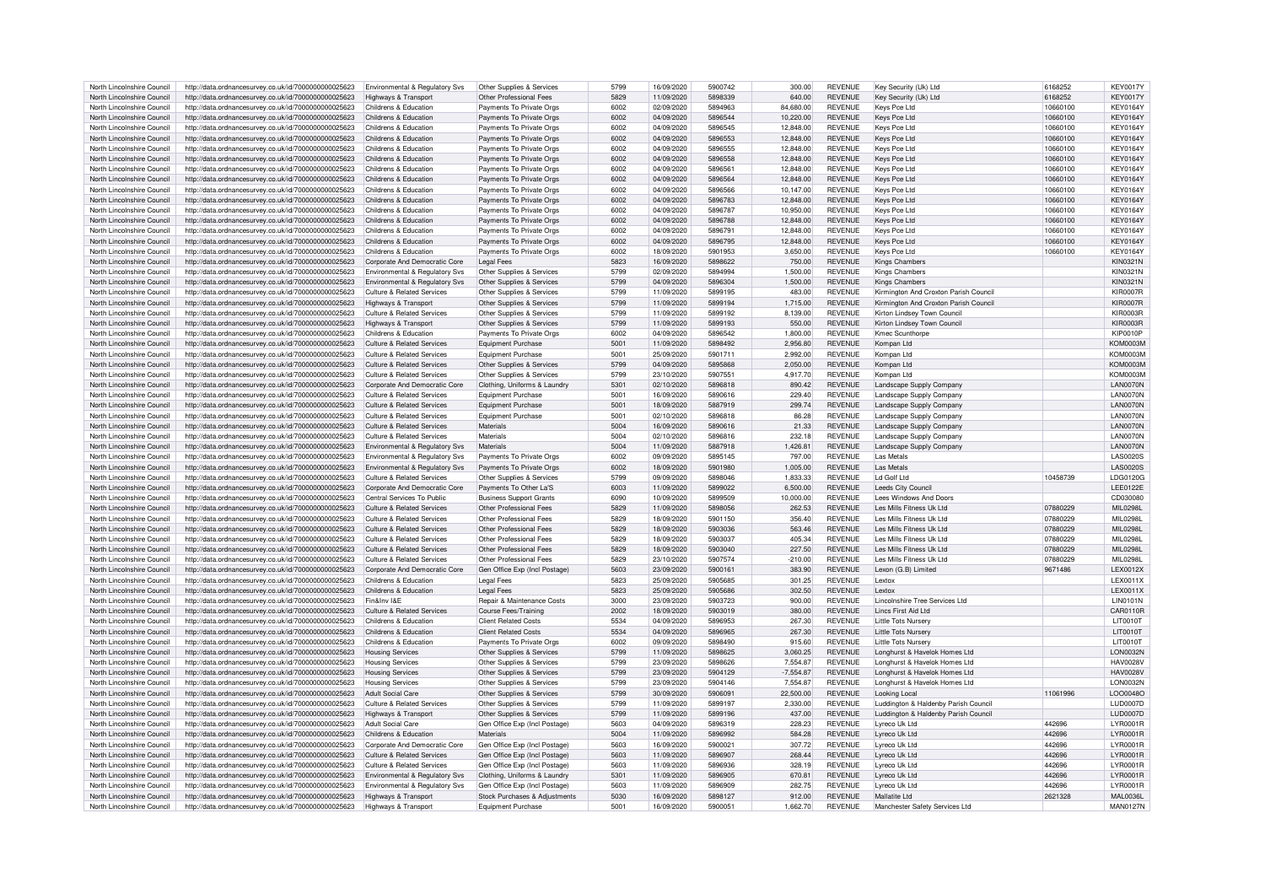| North Lincolnshire Council | http://data.ordnancesurvey.co.uk/id/7000000000025623                                                         | Environmental & Regulatory Svs        | Other Supplies & Services      | 5799 | 16/09/2020 | 5900742 | 300.00      | <b>REVENUE</b> | Key Security (Uk) Ltd                 | 6168252  | KFY0017\         |
|----------------------------|--------------------------------------------------------------------------------------------------------------|---------------------------------------|--------------------------------|------|------------|---------|-------------|----------------|---------------------------------------|----------|------------------|
|                            |                                                                                                              |                                       |                                |      |            |         |             |                |                                       |          |                  |
| North Lincolnshire Council | http://data.ordnancesurvey.co.uk/id/7000000000025623                                                         | Highways & Transport                  | Other Professional Fees        | 5829 | 11/09/2020 | 5898339 | 640.00      | <b>REVENUE</b> | Key Security (Uk) Ltd                 | 6168252  | <b>KEY0017Y</b>  |
| North Lincolnshire Council | http://data.ordnancesurvey.co.uk/id/7000000000025623                                                         | Childrens & Education                 | Payments To Private Orgs       | 6002 | 02/09/2020 | 5894963 | 84,680.00   | <b>REVENUE</b> | Kevs Pce Ltd                          | 10660100 | <b>KEY0164Y</b>  |
|                            |                                                                                                              |                                       |                                |      |            |         |             |                |                                       |          |                  |
| North Lincolnshire Council | http://data.ordnancesurvey.co.uk/id/7000000000025623                                                         | Childrens & Education                 | Payments To Private Orgs       | 6002 | 04/09/2020 | 5896544 | 10,220.00   | <b>REVENUE</b> | Keys Pce Ltd                          | 10660100 | <b>KEY0164Y</b>  |
| North Lincolnshire Council | http://data.ordnancesurvey.co.uk/id/7000000000025623                                                         | Childrens & Education                 | Payments To Private Orgs       | 6002 | 04/09/2020 | 5896545 | 12,848.00   | <b>REVENUE</b> | Keys Pce Ltd                          | 10660100 | <b>KEY0164Y</b>  |
| North Lincolnshire Council | http://data.ordnancesurvey.co.uk/id/7000000000025623                                                         | Childrens & Education                 | Payments To Private Orgs       | 6002 | 04/09/2020 | 5896553 | 12,848.00   | <b>REVENUE</b> | Keys Pce Ltd                          | 10660100 | <b>KEY0164Y</b>  |
|                            |                                                                                                              |                                       |                                |      |            |         |             |                |                                       |          |                  |
| North Lincolnshire Council | http://data.ordnancesurvey.co.uk/id/7000000000025623                                                         | Childrens & Education                 | Payments To Private Orgs       | 6002 | 04/09/2020 | 5896555 | 12,848.00   | <b>REVENUE</b> | Keys Pce Ltd                          | 10660100 | <b>KEY0164Y</b>  |
| North Lincolnshire Council | http://data.ordnancesurvey.co.uk/id/7000000000025623                                                         | Childrens & Education                 | Payments To Private Orgs       | 6002 | 04/09/2020 | 5896558 | 12,848.00   | <b>REVENUE</b> | Keys Pce Ltd                          | 10660100 | <b>KEY0164Y</b>  |
|                            |                                                                                                              |                                       |                                |      |            |         |             |                |                                       |          |                  |
| North Lincolnshire Council | http://data.ordnancesurvey.co.uk/id/7000000000025623                                                         | Childrens & Education                 | Payments To Private Orgs       | 6002 | 04/09/2020 | 5896561 | 12,848.00   | <b>REVENUE</b> | Keys Pce Ltd                          | 10660100 | <b>KEY0164Y</b>  |
| North Lincolnshire Council | http://data.ordnancesurvey.co.uk/id/7000000000025623                                                         | Childrens & Education                 | Payments To Private Orgs       | 6002 | 04/09/2020 | 5896564 | 12,848.00   | <b>REVENUE</b> | Keys Pce Ltd                          | 10660100 | <b>KEY0164Y</b>  |
| North Lincolnshire Council | http://data.ordnancesurvey.co.uk/id/7000000000025623                                                         | Childrens & Education                 | Payments To Private Orgs       | 6002 | 04/09/2020 | 5896566 | 10.147.00   | <b>REVENUE</b> | Kevs Pce Ltd                          | 10660100 | <b>KEY0164Y</b>  |
|                            |                                                                                                              |                                       |                                |      |            |         |             |                |                                       |          |                  |
| North Lincolnshire Council | http://data.ordnancesurvey.co.uk/id/7000000000025623                                                         | Childrens & Education                 | Payments To Private Orgs       | 6002 | 04/09/2020 | 5896783 | 12.848.00   | <b>REVENUE</b> | Keys Pce Ltd                          | 10660100 | <b>KEY0164Y</b>  |
| North Lincolnshire Council | http://data.ordnancesurvey.co.uk/id/7000000000025623                                                         | Childrens & Education                 | Payments To Private Orgs       | 6002 | 04/09/2020 | 5896787 | 10,950.00   | <b>REVENUE</b> | Keys Pce Ltd                          | 10660100 | <b>KEY0164Y</b>  |
| North Lincolnshire Council |                                                                                                              | Childrens & Education                 |                                | 6002 | 04/09/2020 | 5896788 | 12.848.00   | <b>REVENUE</b> |                                       | 10660100 | <b>KEY0164Y</b>  |
|                            | http://data.ordnancesurvey.co.uk/id/7000000000025623                                                         |                                       | Payments To Private Orgs       |      |            |         |             |                | Keys Pce Ltd                          |          |                  |
| North Lincolnshire Council | http://data.ordnancesurvey.co.uk/id/7000000000025623                                                         | Childrens & Education                 | Payments To Private Orgs       | 6002 | 04/09/2020 | 5896791 | 12,848.00   | <b>REVENUE</b> | Keys Pce Ltd                          | 10660100 | <b>KEY0164Y</b>  |
| North Lincolnshire Council | http://data.ordnancesurvey.co.uk/id/7000000000025623                                                         | Childrens & Education                 | Payments To Private Orgs       | 6002 | 04/09/2020 | 5896795 | 12,848.00   | <b>REVENUE</b> | Keys Pce Ltd                          | 10660100 | <b>KEY0164Y</b>  |
|                            |                                                                                                              |                                       |                                |      |            |         |             |                |                                       |          |                  |
| North Lincolnshire Council | http://data.ordnancesurvey.co.uk/id/7000000000025623                                                         | Childrens & Education                 | Payments To Private Orgs       | 6002 | 18/09/2020 | 5901953 | 3.650.00    | <b>REVENUE</b> | Kevs Pce Ltd                          | 10660100 | <b>KEY0164Y</b>  |
| North Lincolnshire Council | http://data.ordnancesurvey.co.uk/id/7000000000025623                                                         | Corporate And Democratic Core         | <b>Legal Fees</b>              | 5823 | 16/09/2020 | 5898622 | 750.00      | <b>REVENUE</b> | <b>Kings Chambers</b>                 |          | <b>KIN0321N</b>  |
| North Lincolnshire Council | http://data.ordnancesurvey.co.uk/id/7000000000025623                                                         | Environmental & Regulatory Svs        | Other Supplies & Services      | 5799 | 02/09/2020 | 5894994 | 1,500.00    | <b>REVENUE</b> | Kings Chambers                        |          | KIN0321N         |
|                            |                                                                                                              |                                       |                                |      |            |         |             |                |                                       |          |                  |
| North Lincolnshire Council | http://data.ordnancesurvey.co.uk/id/7000000000025623                                                         | Environmental & Regulatory Svs        | Other Supplies & Services      | 5799 | 04/09/2020 | 5896304 | 1.500.00    | <b>REVENUE</b> | Kings Chambers                        |          | <b>KIN0321N</b>  |
| North Lincolnshire Council | http://data.ordnancesurvey.co.uk/id/7000000000025623                                                         | <b>Culture &amp; Related Services</b> | Other Supplies & Services      | 5799 | 11/09/2020 | 5899195 | 483.00      | REVENUE        | Kirmington And Croxton Parish Council |          | <b>KIR0007R</b>  |
| North Lincolnshire Council |                                                                                                              |                                       | Other Supplies & Services      | 5799 | 11/09/2020 | 5899194 | 1.715.00    | <b>REVENUE</b> | Kirmington And Croxton Parish Council |          | <b>KIR0007R</b>  |
|                            | http://data.ordnancesurvey.co.uk/id/7000000000025623                                                         | Highways & Transport                  |                                |      |            |         |             |                |                                       |          |                  |
| North Lincolnshire Council | http://data.ordnancesurvey.co.uk/id/7000000000025623                                                         | <b>Culture &amp; Related Services</b> | Other Supplies & Services      | 5799 | 11/09/2020 | 5899192 | 8,139.00    | <b>REVENUE</b> | Kirton Lindsey Town Council           |          | <b>KIR0003R</b>  |
| North Lincolnshire Council | http://data.ordnancesurvey.co.uk/id/7000000000025623                                                         | <b>Highways &amp; Transport</b>       | Other Supplies & Services      | 5799 | 11/09/2020 | 5899193 | 550.00      | <b>REVENUE</b> | Kirton Lindsey Town Council           |          | <b>KIR0003R</b>  |
|                            |                                                                                                              |                                       |                                |      |            |         |             |                |                                       |          |                  |
| North Lincolnshire Council | http://data.ordnancesurvey.co.uk/id/7000000000025623                                                         | Childrens & Education                 | Payments To Private Orgs       | 6002 | 04/09/2020 | 5896542 | 1,800.00    | <b>REVENUE</b> | Kmec Scunthorpe                       |          | <b>KIP0010P</b>  |
| North Lincolnshire Council | http://data.ordnancesurvey.co.uk/id/7000000000025623                                                         | Culture & Related Services            | <b>Equipment Purchase</b>      | 5001 | 11/09/2020 | 5898492 | 2.956.80    | REVENUE        | Kompan Ltd                            |          | <b>KOM0003M</b>  |
| North Lincolnshire Council | http://data.ordnancesurvey.co.uk/id/7000000000025623                                                         | <b>Culture &amp; Related Services</b> | Equipment Purchase             | 5001 | 25/09/2020 | 5901711 | 2.992.00    | <b>REVENUE</b> | Kompan Ltd                            |          | <b>KOM0003M</b>  |
|                            |                                                                                                              |                                       |                                |      |            |         |             |                |                                       |          |                  |
| North Lincolnshire Council | http://data.ordnancesurvey.co.uk/id/7000000000025623                                                         | <b>Culture &amp; Related Services</b> | Other Supplies & Services      | 5799 | 04/09/2020 | 5895868 | 2,050.00    | <b>REVENUE</b> | Kompan Ltd                            |          | <b>KOM0003M</b>  |
| North Lincolnshire Council | http://data.ordnancesurvey.co.uk/id/7000000000025623                                                         | Culture & Related Services            | Other Supplies & Services      | 5799 | 23/10/2020 | 5907551 | 4,917.70    | <b>REVENUE</b> | Kompan Ltd                            |          | KOM0003M         |
|                            |                                                                                                              |                                       |                                |      |            |         |             |                |                                       |          |                  |
| North Lincolnshire Council | http://data.ordnancesurvey.co.uk/id/7000000000025623                                                         | Corporate And Democratic Core         | Clothing, Uniforms & Laundry   | 5301 | 02/10/2020 | 5896818 | 890.42      | <b>REVENUE</b> | Landscape Supply Company              |          | LAN0070N         |
| North Lincolnshire Council | http://data.ordnancesurvey.co.uk/id/7000000000025623                                                         | Culture & Related Services            | <b>Equipment Purchase</b>      | 500  | 16/09/2020 | 5890616 | 229.40      | <b>REVENUE</b> | Landscape Supply Company              |          | LAN0070N         |
| North Lincolnshire Council |                                                                                                              | Culture & Related Services            | <b>Equipment Purchase</b>      | 5001 | 18/09/2020 | 5887919 | 299.74      | <b>REVENUE</b> |                                       |          | <b>LAN0070N</b>  |
|                            | http://data.ordnancesurvey.co.uk/id/7000000000025623                                                         |                                       |                                |      |            |         |             |                | Landscape Supply Company              |          |                  |
| North Lincolnshire Council | http://data.ordnancesurvey.co.uk/id/7000000000025623                                                         | Culture & Related Services            | <b>Equipment Purchase</b>      | 5001 | 02/10/2020 | 5896818 | 86.28       | <b>REVENUE</b> | Landscape Supply Company              |          | <b>I AN0070N</b> |
| North Lincolnshire Council | http://data.ordnancesurvey.co.uk/id/7000000000025623                                                         | Culture & Related Services            | Materials                      | 5004 | 16/09/2020 | 5890616 | 21.33       | <b>REVENUE</b> | Landscape Supply Company              |          | LAN0070N         |
|                            |                                                                                                              |                                       |                                |      |            |         |             |                |                                       |          |                  |
| North Lincolnshire Council | http://data.ordnancesurvey.co.uk/id/7000000000025623                                                         | Culture & Related Services            | Materials                      | 5004 | 02/10/2020 | 5896816 | 232.18      | <b>REVENUE</b> | Landscape Supply Company              |          | LAN0070N         |
| North Lincolnshire Council | http://data.ordnancesurvey.co.uk/id/7000000000025623                                                         | Environmental & Regulatory Svs        | Materials                      | 5004 | 11/09/2020 | 5887918 | 1,426.81    | REVENUE        | Landscape Supply Company              |          | LAN0070N         |
| North Lincolnshire Council | http://data.ordnancesurvey.co.uk/id/7000000000025623                                                         | Environmental & Regulatory Svs        | Payments To Private Orgs       | 6002 | 09/09/2020 | 5895145 | 797.00      | <b>REVENUE</b> | Las Metals                            |          | <b>LAS0020S</b>  |
|                            |                                                                                                              |                                       |                                |      |            |         |             |                |                                       |          |                  |
| North Lincolnshire Council | http://data.ordnancesurvey.co.uk/id/7000000000025623                                                         | Environmental & Regulatory Svs        | Payments To Private Orgs       | 6002 | 18/09/2020 | 5901980 | 1,005.00    | <b>REVENUE</b> | Las Metals                            |          | <b>LAS0020S</b>  |
| North Lincolnshire Council | http://data.ordnancesurvey.co.uk/id/7000000000025623                                                         | Culture & Related Services            | Other Supplies & Services      | 5799 | 09/09/2020 | 5898046 | 1.833.33    | <b>REVENUE</b> | Ld Golf Ltd                           | 10458739 | LDG0120G         |
| North Lincolnshire Council |                                                                                                              |                                       |                                |      |            |         |             |                |                                       |          |                  |
|                            | http://data.ordnancesurvey.co.uk/id/7000000000025623                                                         | Corporate And Democratic Core         | Payments To Other La'S         | 6003 | 11/09/2020 | 5899022 | 6.500.00    | <b>REVENUE</b> | Leeds City Council                    |          | <b>LEE0122E</b>  |
|                            |                                                                                                              |                                       | <b>Business Support Grants</b> | 6090 | 10/09/2020 | 5899509 | 10,000.00   | <b>REVENUE</b> | Lees Windows And Doors                |          |                  |
| North Lincolnshire Council | http://data.ordnancesurvey.co.uk/id/7000000000025623                                                         | Central Services To Public            |                                |      |            |         |             |                | Les Mills Fitness Uk Ltd              |          | CD030080         |
|                            |                                                                                                              |                                       |                                |      |            |         |             |                |                                       |          |                  |
| North Lincolnshire Council | http://data.ordnancesurvey.co.uk/id/7000000000025623                                                         | Culture & Related Services            | Other Professional Fees        | 5829 | 11/09/2020 | 5898056 | 262.53      | <b>REVENUE</b> |                                       | 07880229 | MIL0298L         |
| North Lincolnshire Council | http://data.ordnancesurvey.co.uk/id/7000000000025623                                                         | Culture & Related Services            | Other Professional Fees        | 5829 | 18/09/2020 | 5901150 | 356.40      | <b>REVENUE</b> | Les Mills Fitness Lik Ltd             | 07880229 | MIL0298L         |
|                            |                                                                                                              |                                       |                                | 5829 |            |         |             | <b>REVENUE</b> |                                       |          |                  |
| North Lincolnshire Council | http://data.ordnancesurvey.co.uk/id/7000000000025623                                                         | <b>Culture &amp; Related Services</b> | Other Professional Fees        |      | 18/09/2020 | 5903036 | 563.46      |                | Les Mills Fitness Uk Ltd              | 07880229 | MIL0298L         |
| North Lincolnshire Council | http://data.ordnancesurvey.co.uk/id/7000000000025623                                                         | Culture & Related Services            | Other Professional Fees        | 5829 | 18/09/2020 | 5903037 | 405.34      | <b>REVENUE</b> | Les Mills Fitness Uk Ltd              | 07880229 | MIL0298L         |
| North Lincolnshire Council | http://data.ordnancesurvey.co.uk/id/7000000000025623                                                         | <b>Culture &amp; Related Services</b> | Other Professional Fees        | 5829 | 18/09/2020 | 5903040 | 227.50      | REVENUE        | Les Mills Fitness Uk Ltd              | 07880229 | MII 0298I        |
|                            |                                                                                                              |                                       |                                |      |            |         |             |                |                                       |          |                  |
| North Lincolnshire Council | http://data.ordnancesurvey.co.uk/id/7000000000025623                                                         | <b>Culture &amp; Related Services</b> | Other Professional Fees        | 5829 | 23/10/2020 | 5907574 | $-210.00$   | <b>REVENUE</b> | Les Mills Fitness Uk Ltd              | 07880229 | MIL0298L         |
| North Lincolnshire Council | http://data.ordnancesurvey.co.uk/id/7000000000025623                                                         | Corporate And Democratic Core         | Gen Office Exp (Incl Postage)  | 5603 | 23/09/2020 | 5900161 | 383.90      | <b>REVENUE</b> | Lexon (G.B) Limited                   | 9671486  | <b>LEX0012X</b>  |
| North Lincolnshire Council | http://data.ordnancesurvey.co.uk/id/7000000000025623                                                         | Childrens & Education                 | <b>Legal Fees</b>              | 5823 | 25/09/2020 | 5905685 | 301.25      | REVENUE        | <b>Lextox</b>                         |          | <b>I EX0011X</b> |
|                            |                                                                                                              |                                       |                                |      |            |         |             |                |                                       |          |                  |
| North Lincolnshire Council | http://data.ordnancesurvey.co.uk/id/7000000000025623                                                         | Childrens & Education                 | Legal Fees                     | 5823 | 25/09/2020 | 5905686 | 302.50      | <b>REVENUE</b> | Lextox                                |          | LEX0011X         |
| North Lincolnshire Council | http://data.ordnancesurvey.co.uk/id/7000000000025623                                                         | Fin&Inv I&F                           | Repair & Maintenance Costs     | 3000 | 23/09/2020 | 5903723 | 900.00      | <b>REVENUE</b> | Lincolnshire Tree Services Ltd        |          | <b>LIN0101N</b>  |
|                            |                                                                                                              |                                       |                                | 2002 |            | 5903019 |             | <b>REVENUE</b> | Lincs First Aid Ltd                   |          |                  |
| North Lincolnshire Council | http://data.ordnancesurvey.co.uk/id/7000000000025623                                                         | <b>Culture &amp; Related Services</b> | Course Fees/Training           |      | 18/09/2020 |         | 380.00      |                |                                       |          | CAR0110R         |
| North Lincolnshire Council | http://data.ordnancesurvey.co.uk/id/7000000000025623                                                         | Childrens & Education                 | <b>Client Related Costs</b>    | 5534 | 04/09/2020 | 5896953 | 267.30      | <b>REVENUE</b> | Little Tots Nursery                   |          | LIT0010T         |
| North Lincolnshire Council | http://data.ordnancesurvey.co.uk/id/7000000000025623                                                         | Childrens & Education                 | <b>Client Related Costs</b>    | 5534 | 04/09/2020 | 5896965 | 267.30      | <b>REVENUE</b> | Little Tots Nursery                   |          | LIT0010T         |
|                            |                                                                                                              |                                       |                                |      |            | 5898490 |             |                |                                       |          |                  |
| North Lincolnshire Council | http://data.ordnancesurvey.co.uk/id/7000000000025623                                                         | Childrens & Education                 | Payments To Private Orgs       | 6002 | 09/09/2020 |         | 915.60      | <b>REVENUE</b> | Little Tots Nursery                   |          | LIT0010T         |
| North Lincolnshire Council | http://data.ordnancesurvey.co.uk/id/7000000000025623                                                         | <b>Housing Services</b>               | Other Supplies & Services      | 5799 | 11/09/2020 | 5898625 | 3.060.25    | REVENUE        | Longhurst & Havelok Homes Ltd         |          | LON0032M         |
| North Lincolnshire Council | http://data.ordnancesurvey.co.uk/id/7000000000025623                                                         | <b>Housing Services</b>               | Other Supplies & Services      | 5799 | 23/09/2020 | 5898626 | 7.554.87    | <b>REVENUE</b> | Longhurst & Havelok Homes Ltd         |          | <b>HAV0028V</b>  |
|                            |                                                                                                              |                                       |                                |      |            |         |             |                |                                       |          |                  |
| North Lincolnshire Council | http://data.ordnancesurvey.co.uk/id/7000000000025623                                                         | <b>Housing Services</b>               | Other Supplies & Services      | 5799 | 23/09/2020 | 5904129 | $-7.554.87$ | <b>REVENUE</b> | Longhurst & Havelok Homes Ltd         |          | <b>HAV0028V</b>  |
| North Lincolnshire Council | http://data.ordnancesurvey.co.uk/id/7000000000025623                                                         | <b>Housing Services</b>               | Other Supplies & Services      | 5799 | 23/09/2020 | 5904146 | 7.554.87    | <b>REVENUE</b> | Longhurst & Havelok Homes Ltd         |          | LON0032N         |
| North Lincolnshire Council | http://data.ordnancesurvey.co.uk/id/7000000000025623                                                         | <b>Adult Social Care</b>              | Other Supplies & Services      | 5799 | 30/09/2020 | 5906091 | 22,500.00   | REVENUE        | Looking Local                         | 11061996 | LOO0048O         |
|                            |                                                                                                              |                                       |                                |      |            |         |             |                |                                       |          |                  |
| North Lincolnshire Council | http://data.ordnancesurvey.co.uk/id/7000000000025623                                                         | Culture & Related Services            | Other Supplies & Services      | 5799 | 11/09/2020 | 5899197 | 2,330.00    | <b>REVENUE</b> | Luddington & Haldenby Parish Council  |          | <b>LUD0007D</b>  |
| North Lincolnshire Council | http://data.ordnancesurvey.co.uk/id/7000000000025623                                                         | Highways & Transport                  | Other Supplies & Services      | 5799 | 11/09/2020 | 5899196 | 437.00      | <b>REVENUE</b> | Luddington & Haldenby Parish Council  |          | <b>LUD0007D</b>  |
| North Lincolnshire Council |                                                                                                              | Adult Social Care                     |                                |      | 04/09/2020 | 5896319 | 228.23      |                |                                       | 442696   |                  |
|                            | http://data.ordnancesurvey.co.uk/id/7000000000025623                                                         |                                       | Gen Office Exp (Incl Postage)  | 5603 |            |         |             | <b>REVENUE</b> | Lyreco Uk Ltd                         |          | LYR0001R         |
| North Lincolnshire Council | http://data.ordnancesurvey.co.uk/id/7000000000025623                                                         | Childrens & Education                 | Materials                      | 5004 | 11/09/2020 | 5896992 | 584.28      | <b>REVENUE</b> | Lyreco Uk Ltd                         | 442696   | LYR0001R         |
| North Lincolnshire Council | http://data.ordnancesurvey.co.uk/id/7000000000025623                                                         | Corporate And Democratic Core         |                                | 5603 | 16/09/2020 | 590002  | 307.72      | <b>REVENUE</b> | I vreco Uk I td                       | 442696   | <b>LYR0001R</b>  |
|                            |                                                                                                              |                                       | Gen Office Exp (Incl Postage)  |      |            |         |             |                |                                       |          |                  |
| North Lincolnshire Council | http://data.ordnancesurvey.co.uk/id/7000000000025623                                                         | <b>Culture &amp; Related Services</b> | Gen Office Exp (Incl Postage)  | 5603 | 11/09/2020 | 5896907 | 268.44      | <b>REVENUE</b> | Lyreco Uk Ltd                         | 442696   | LYR0001R         |
| North Lincolnshire Council | http://data.ordnancesurvey.co.uk/id/7000000000025623                                                         | Culture & Related Services            | Gen Office Exp (Incl Postage)  | 5603 | 11/09/2020 | 5896936 | 328.19      | <b>REVENUE</b> | Lyreco Uk Ltd                         | 442696   | LYR0001R         |
| North Lincolnshire Council |                                                                                                              |                                       |                                |      |            | 5896905 |             |                |                                       | 442696   |                  |
|                            | http://data.ordnancesurvey.co.uk/id/7000000000025623                                                         | Environmental & Regulatory Svs        | Clothing, Uniforms & Laundry   | 5301 | 11/09/2020 |         | 670.81      | <b>REVENUE</b> | Lyreco Uk Ltd                         |          | LYR0001R         |
| North Lincolnshire Council | http://data.ordnancesurvey.co.uk/id/7000000000025623                                                         | Environmental & Regulatory Svs        | Gen Office Exp (Incl Postage)  | 5603 | 11/09/2020 | 5896909 | 282.75      | <b>REVENUE</b> | Lyreco Uk Ltd                         | 442696   | LYR0001R         |
| North Lincolnshire Council |                                                                                                              | Highways & Transport                  | Stock Purchases & Adjustments  | 5030 | 16/09/2020 | 5898127 | 912.00      | <b>REVENUE</b> | Mallatite Ltd                         | 2621328  | <b>MAL0036L</b>  |
| North Lincolnshire Council | http://data.ordnancesurvey.co.uk/id/7000000000025623<br>http://data.ordnancesurvey.co.uk/id/7000000000025623 | Highways & Transport                  | Foujoment Purchase             | 5001 | 16/09/2020 | 5900051 | 1,662.70    | <b>REVENUE</b> | Manchester Safety Services Ltd        |          | <b>MAN0127N</b>  |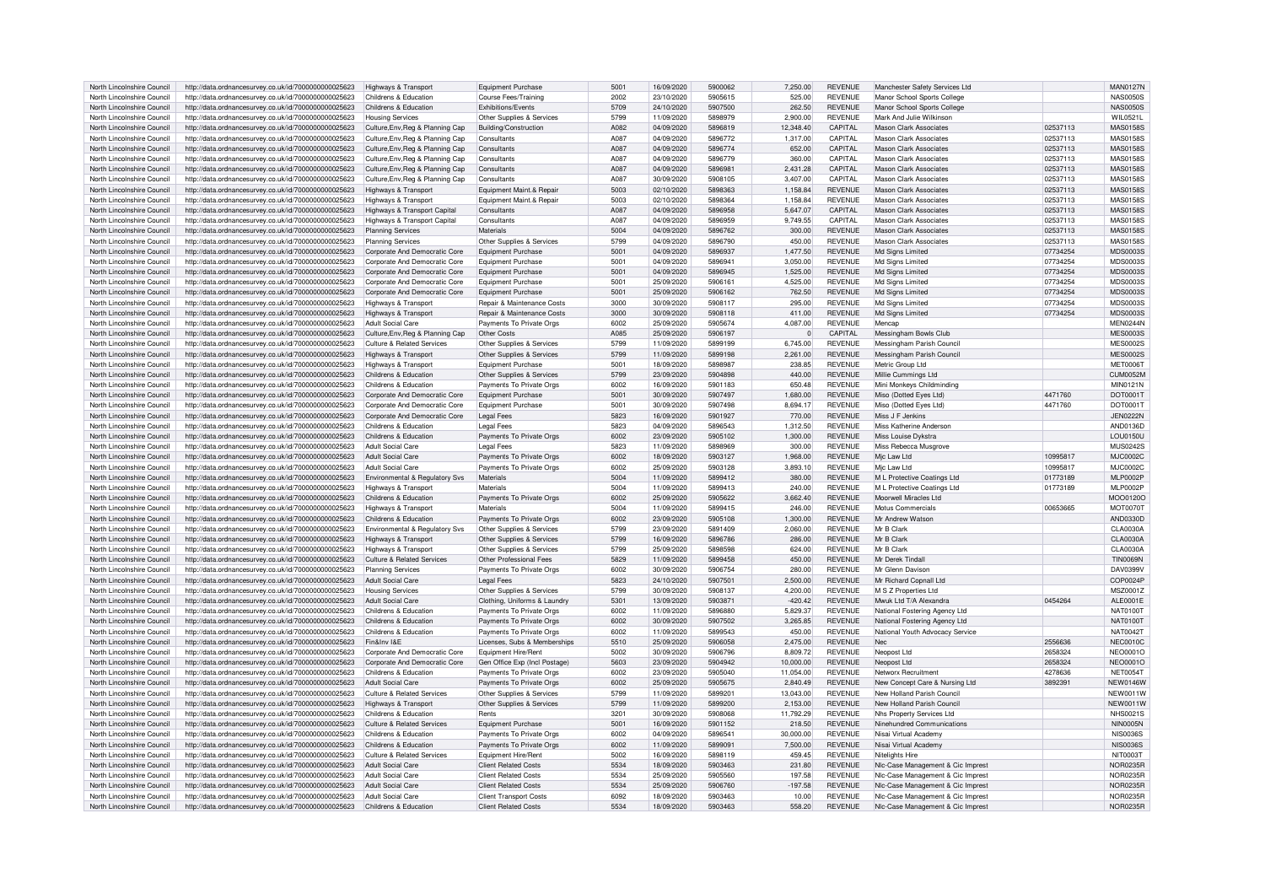| North Lincolnshire Council                               | http://data.ordnancesurvey.co.uk/id/7000000000025623                                                         | Highways & Transport                                       | <b>Equipment Purchase</b>               | 5001             | 16/09/2020 | 5900062 | 7.250.00             | <b>REVENUE</b> | Manchester Safety Services Ltd    |          | <b>MAN0127N</b>             |
|----------------------------------------------------------|--------------------------------------------------------------------------------------------------------------|------------------------------------------------------------|-----------------------------------------|------------------|------------|---------|----------------------|----------------|-----------------------------------|----------|-----------------------------|
| North Lincolnshire Council                               | http://data.ordnancesurvey.co.uk/id/7000000000025623                                                         | Childrens & Education                                      | Course Fees/Training                    | 2002             | 23/10/2020 | 5905615 | 525.00               | <b>REVENUE</b> | Manor School Sports College       |          | <b>NAS0050S</b>             |
| North Lincolnshire Council                               | http://data.ordnancesurvey.co.uk/id/7000000000025623                                                         | Childrens & Education                                      | Exhibitions/Events                      | 5709             | 24/10/2020 | 5907500 | 262.50               | <b>REVENUE</b> | Manor School Sports College       |          | NAS0050S                    |
| North Lincolnshire Council                               | http://data.ordnancesurvey.co.uk/id/7000000000025623                                                         | <b>Housing Services</b>                                    | Other Supplies & Services               | 5799             | 11/09/2020 | 5898979 | 2,900.00             | <b>REVENUE</b> | Mark And Julie Wilkinson          |          | WIL0521L                    |
| North Lincolnshire Council                               | http://data.ordnancesurvey.co.uk/id/7000000000025623                                                         | Culture, Env, Reg & Planning Cap                           | Building/Construction                   | A082             | 04/09/2020 | 5896819 | 12.348.40            | CAPITAL        | <b>Mason Clark Associates</b>     | 02537113 | <b>MAS0158S</b>             |
| North Lincolnshire Council                               |                                                                                                              |                                                            | Consultants                             | A <sub>08</sub>  | 04/09/2020 | 5896772 | 1,317.00             | <b>CAPITAL</b> | Mason Clark Associates            | 02537113 | <b>MAS0158S</b>             |
|                                                          | http://data.ordnancesurvey.co.uk/id/7000000000025623                                                         | Culture, Env, Reg & Planning Cap                           |                                         |                  |            |         |                      |                |                                   |          |                             |
| North Lincolnshire Council                               | http://data.ordnancesurvey.co.uk/id/7000000000025623                                                         | Culture, Env, Reg & Planning Cap                           | Consultants                             | A087             | 04/09/2020 | 5896774 | 652.00               | CAPITAL        | <b>Mason Clark Associates</b>     | 02537113 | <b>MAS0158S</b>             |
| North Lincolnshire Council                               | http://data.ordnancesurvey.co.uk/id/7000000000025623                                                         | Culture, Env, Reg & Planning Cap                           | Consultants                             | A087             | 04/09/2020 | 5896779 | 360.00               | CAPITAL        | <b>Mason Clark Associates</b>     | 02537113 | <b>MAS0158S</b>             |
| North Lincolnshire Council                               | http://data.ordnancesurvey.co.uk/id/7000000000025623                                                         | Culture, Env, Reg & Planning Cap                           | Consultants                             | A087             | 04/09/2020 | 589698  | 2,431.28             | CAPITAL        | Mason Clark Associates            | 02537113 | <b>MAS0158S</b>             |
| North Lincolnshire Council                               | http://data.ordnancesurvey.co.uk/id/7000000000025623                                                         | Culture, Env, Reg & Planning Cap                           | Consultants                             | A087             | 30/09/2020 | 5908105 | 3.407.00             | CAPITAL        | Mason Clark Associates            | 02537113 | <b>MAS0158S</b>             |
| North Lincolnshire Council                               | http://data.ordnancesurvey.co.uk/id/7000000000025623                                                         | Highways & Transport                                       | Equipment Maint.& Repai                 | 5003             | 02/10/2020 | 5898363 | 1,158.84             | <b>REVENUE</b> | <b>Mason Clark Associates</b>     | 02537113 | <b>MAS0158S</b>             |
| North Lincolnshire Council                               | http://data.ordnancesurvey.co.uk/id/7000000000025623                                                         | Highways & Transport                                       | Equipment Maint.& Repair                | 5003             | 02/10/2020 | 5898364 | 1,158.84             | <b>REVENUE</b> | Mason Clark Associates            | 02537113 | MAS01585                    |
| North Lincolnshire Council                               | http://data.ordnancesurvey.co.uk/id/7000000000025623                                                         | Highways & Transport Capital                               | Consultants                             | A087             | 04/09/2020 | 5896958 | 5,647.07             | CAPITAL        | Mason Clark Associates            | 02537113 | <b>MAS0158S</b>             |
| North Lincolnshire Council                               | http://data.ordnancesurvey.co.uk/id/7000000000025623                                                         | Highways & Transport Capital                               | Consultants                             | A087             | 04/09/2020 | 5896959 | 9.749.55             | CAPITAL        | Mason Clark Associates            | 02537113 | <b>MAS0158S</b>             |
| North Lincolnshire Council                               | http://data.ordnancesurvey.co.uk/id/7000000000025623                                                         | <b>Planning Services</b>                                   | Materials                               | 5004             | 04/09/2020 | 5896762 | 300.00               | <b>REVENUE</b> | Mason Clark Associates            | 02537113 | <b>MAS0158S</b>             |
| North Lincolnshire Council                               | http://data.ordnancesurvey.co.uk/id/7000000000025623                                                         | <b>Planning Services</b>                                   | Other Supplies & Services               | 5799             | 04/09/2020 | 5896790 | 450.00               | <b>REVENUE</b> | Mason Clark Associates            | 02537113 | <b>MAS0158S</b>             |
| North Lincolnshire Council                               | http://data.ordnancesurvey.co.uk/id/7000000000025623                                                         | Corporate And Democratic Core                              | Equipment Purchase                      | 500              | 04/09/2020 | 5896937 | 1,477.50             | <b>REVENUE</b> | Md Signs Limited                  | 07734254 | <b>MDS0003S</b>             |
| North Lincolnshire Council                               | http://data.ordnancesurvey.co.uk/id/7000000000025623                                                         | Corporate And Democratic Core                              | <b>Equipment Purchase</b>               | 5001             | 04/09/2020 | 5896941 | 3,050.00             | <b>REVENUE</b> | Md Signs Limited                  | 07734254 | <b>MDS0003S</b>             |
| North Lincolnshire Council                               | http://data.ordnancesurvey.co.uk/id/7000000000025623                                                         | Corporate And Democratic Core                              | <b>Equipment Purchase</b>               | 500              | 04/09/2020 | 5896945 | 1.525.00             | <b>REVENUE</b> | Md Signs Limited                  | 07734254 | <b>MDS0003S</b>             |
| North Lincolnshire Council                               | http://data.ordnancesurvey.co.uk/id/7000000000025623                                                         | Corporate And Democratic Core                              | <b>Foujoment Purchase</b>               | 5001             | 25/09/2020 | 5906161 | 4.525.00             | <b>REVENUE</b> | Md Signs Limited                  | 07734254 | <b>MDS0003S</b>             |
| North Lincolnshire Council                               | http://data.ordnancesurvey.co.uk/id/7000000000025623                                                         | Corporate And Democratic Core                              | Foujoment Purchase                      | 5001             | 25/09/2020 | 5906162 | 762.50               | <b>REVENUE</b> | Md Signs Limited                  | 07734254 | MDS0003S                    |
| North Lincolnshire Council                               | http://data.ordnancesurvey.co.uk/id/7000000000025623                                                         | Highways & Transport                                       | Repair & Maintenance Costs              | 3000             | 30/09/2020 | 5908117 | 295.00               | <b>REVENUE</b> | Md Signs Limited                  | 07734254 | MDS0003S                    |
| North Lincolnshire Council                               | http://data.ordnancesurvey.co.uk/id/7000000000025623                                                         | Highways & Transport                                       | Repair & Maintenance Costs              | 3000             | 30/09/2020 | 5908118 | 411.00               | <b>REVENUE</b> | Md Signs Limited                  | 07734254 | MDS0003S                    |
|                                                          |                                                                                                              |                                                            |                                         | 6002             | 25/09/2020 | 5905674 |                      | <b>REVENUE</b> | Mencan                            |          |                             |
| North Lincolnshire Council<br>North Lincolnshire Council | http://data.ordnancesurvey.co.uk/id/7000000000025623<br>http://data.ordnancesurvey.co.uk/id/7000000000025623 | <b>Adult Social Care</b><br>Culture.Env.Reg & Planning Cap | Payments To Private Orgs<br>Other Costs | A085             | 25/09/2020 | 5906197 | 4,087.00<br>$\Omega$ | CAPITAL        | Messingham Bowls Club             |          | MEN0244N<br><b>MES0003S</b> |
|                                                          |                                                                                                              |                                                            |                                         |                  |            |         |                      |                |                                   |          |                             |
| North Lincolnshire Council                               | http://data.ordnancesurvey.co.uk/id/7000000000025623                                                         | <b>Culture &amp; Related Services</b>                      | Other Supplies & Services               | 5799             | 11/09/2020 | 5899199 | 6.745.00             | <b>REVENUE</b> | Messingham Parish Council         |          | <b>MES0002S</b>             |
| North Lincolnshire Council                               | http://data.ordnancesurvey.co.uk/id/7000000000025623                                                         | Highways & Transport                                       | Other Supplies & Services               | 5799             | 11/09/2020 | 5899198 | 2,261.00             | <b>REVENUE</b> | Messingham Parish Council         |          | <b>MES0002S</b>             |
| North Lincolnshire Council                               | http://data.ordnancesurvey.co.uk/id/7000000000025623                                                         | <b>Highways &amp; Transport</b>                            | Equipment Purchase                      | 5001             | 18/09/2020 | 5898987 | 238.85               | <b>REVENUE</b> | Metric Group Ltd                  |          | <b>MET0006T</b>             |
| North Lincolnshire Council                               | http://data.ordnancesurvey.co.uk/id/7000000000025623                                                         | Childrens & Education                                      | Other Supplies & Services               | 5799             | 23/09/2020 | 5904898 | 440.00               | <b>REVENUE</b> | Millie Cummings Ltd               |          | <b>CUM0052M</b>             |
| North Lincolnshire Council                               | http://data.ordnancesurvey.co.uk/id/7000000000025623                                                         | Childrens & Education                                      | Payments To Private Orgs                | 6002             | 16/09/2020 | 5901183 | 650.48               | <b>REVENUE</b> | Mini Monkeys Childminding         |          | MIN0121N                    |
| North Lincolnshire Council                               | http://data.ordnancesurvey.co.uk/id/7000000000025623                                                         | Corporate And Democratic Core                              | Foujoment Purchase                      | 5001             | 30/09/2020 | 5907497 | 1.680.00             | <b>REVENUE</b> | Miso (Dotted Eyes Ltd)            | 4471760  | DOT0001T                    |
| North Lincolnshire Council                               | http://data.ordnancesurvey.co.uk/id/7000000000025623                                                         | Corporate And Democratic Core                              | <b>Equipment Purchase</b>               | 5001             | 30/09/2020 | 5907498 | 8,694.17             | <b>REVENUE</b> | Miso (Dotted Eyes Ltd)            | 4471760  | DOT0001T                    |
| North Lincolnshire Council                               | http://data.ordnancesurvey.co.uk/id/7000000000025623                                                         | Corporate And Democratic Core                              | <b>Legal Fees</b>                       | 5823             | 16/09/2020 | 5901927 | 770.00               | <b>REVENUE</b> | Miss J F Jenkins                  |          | <b>JEN0222N</b>             |
| North Lincolnshire Council                               | http://data.ordnancesurvey.co.uk/id/7000000000025623                                                         | Childrens & Education                                      | Legal Fees                              | 5823             | 04/09/2020 | 5896543 | 1.312.50             | <b>REVENUE</b> | Miss Katherine Andersor           |          | AND0136D                    |
| North Lincolnshire Council                               | http://data.ordnancesurvey.co.uk/id/7000000000025623                                                         | Childrens & Education                                      | Payments To Private Orgs                | 6002             | 23/09/2020 | 5905102 | 1,300.00             | <b>REVENUE</b> | Miss Louise Dykstra               |          | LOU0150U                    |
| North Lincolnshire Council                               | http://data.ordnancesurvey.co.uk/id/7000000000025623                                                         | Adult Social Care                                          | <b>Legal Fees</b>                       | 5823             | 11/09/2020 | 5898969 | 300.00               | <b>REVENUE</b> | Miss Rebecca Musgrove             |          | <b>MUS0242S</b>             |
| North Lincolnshire Council                               | http://data.ordnancesurvey.co.uk/id/7000000000025623                                                         | <b>Adult Social Care</b>                                   | Payments To Private Orgs                | 6002             | 18/09/2020 | 5903127 | 1.968.00             | <b>REVENUE</b> | Mjc Law Ltd                       | 10995817 | MJC0002C                    |
| North Lincolnshire Council                               | http://data.ordnancesurvey.co.uk/id/7000000000025623                                                         | Adult Social Care                                          | Payments To Private Orgs                | 6002             | 25/09/2020 | 5903128 | 3.893.10             | <b>REVENUE</b> | Mic I aw I td                     | 1099581  | MJC0002C                    |
| North Lincolnshire Council                               | http://data.ordnancesurvey.co.uk/id/7000000000025623                                                         | Environmental & Regulatory Svs                             | Materials                               | 5004             | 11/09/2020 | 5899412 | 380.00               | <b>REVENUE</b> | M L Protective Coatings Ltd       | 01773189 | <b>MLP0002P</b>             |
| North Lincolnshire Council                               | http://data.ordnancesurvey.co.uk/id/7000000000025623                                                         | Highways & Transport                                       | Materials                               | 5004             | 11/09/2020 | 5899413 | 240.00               | <b>REVENUE</b> | M L Protective Coatings Ltd       |          | <b>MLP0002P</b>             |
| North Lincolnshire Council                               |                                                                                                              |                                                            |                                         | 6002             | 25/09/2020 | 5905622 | 3.662.40             | <b>REVENUE</b> | Moorwell Miracles I to            | 01773189 | MOO0120C                    |
|                                                          | http://data.ordnancesurvey.co.uk/id/7000000000025623                                                         | Childrens & Education                                      | Payments To Private Orgs<br>Materials   | 5004             | 11/09/2020 | 5899415 | 246.00               | <b>REVENUE</b> | Motus Commercials                 | 00653665 |                             |
| North Lincolnshire Council                               | http://data.ordnancesurvey.co.uk/id/7000000000025623                                                         | Highways & Transport                                       |                                         | 6002             |            |         |                      | <b>REVENUE</b> |                                   |          | <b>MOT0070T</b>             |
| North Lincolnshire Council                               | http://data.ordnancesurvey.co.uk/id/7000000000025623                                                         | Childrens & Education                                      | Payments To Private Orgs                |                  | 23/09/2020 | 5905108 | 1,300.00             |                | Mr Andrew Watson                  |          | AND0330D                    |
| North Lincolnshire Council                               | http://data.ordnancesurvey.co.uk/id/7000000000025623                                                         | <b>Environmental &amp; Regulatory Sys.</b>                 | Other Supplies & Services               | 5799             | 23/09/2020 | 5891409 | 2.060.00             | <b>REVENUE</b> | Mr B Clark                        |          | CLA0030A                    |
| North Lincolnshire Council                               | http://data.ordnancesurvey.co.uk/id/7000000000025623                                                         | Highways & Transport                                       | Other Supplies & Services               | 5799             | 16/09/2020 | 5896786 | 286.00               | <b>REVENUE</b> | Mr B Clark                        |          | CLA0030A                    |
| North Lincolnshire Council                               | http://data.ordnancesurvey.co.uk/id/7000000000025623                                                         | Highways & Transport                                       | Other Supplies & Services               | 5799             | 25/09/2020 | 5898598 | 624.00               | <b>REVENUE</b> | Mr B Clark                        |          | <b>CLA0030A</b>             |
| North Lincolnshire Council                               | http://data.ordnancesurvey.co.uk/id/7000000000025623                                                         | <b>Culture &amp; Related Services</b>                      | Other Professional Fees                 | 5829             | 11/09/2020 | 5899458 | 450.00               | <b>REVENUE</b> | Mr Derek Tindall                  |          | <b>TIN0069N</b>             |
| North Lincolnshire Council                               | http://data.ordnancesurvey.co.uk/id/7000000000025623                                                         | <b>Planning Services</b>                                   | Payments To Private Orgs                | 6002             | 30/09/2020 | 5906754 | 280.00               | <b>REVENUE</b> | Mr Glenn Davison                  |          | DAV0399V                    |
| North Lincolnshire Council                               | http://data.ordnancesurvey.co.uk/id/7000000000025623                                                         | Adult Social Care                                          | Legal Fees                              | 5823             | 24/10/2020 | 5907501 | 2,500.00             | <b>REVENUE</b> | Mr Richard Copnall Ltd            |          | COP0024P                    |
| North Lincolnshire Council                               | http://data.ordnancesurvey.co.uk/id/7000000000025623                                                         | <b>Housing Services</b>                                    | Other Supplies & Services               | 5799             | 30/09/2020 | 5908137 | 4,200.00             | <b>REVENUE</b> | M S Z Properties Ltd              |          | MSZ0001Z                    |
| North Lincolnshire Council                               | http://data.ordnancesurvey.co.uk/id/7000000000025623                                                         | Adult Social Care                                          | Clothing, Uniforms & Laundry            | 5301             | 13/09/2020 | 5903871 | $-420.42$            | <b>REVENUE</b> | Mwuk Ltd T/A Alexandra            | 0454264  | ALE0001E                    |
| North Lincolnshire Council                               | http://data.ordnancesurvey.co.uk/id/7000000000025623                                                         | Childrens & Education                                      | Payments To Private Orgs                | 6002             | 11/09/2020 | 5896880 | 5.829.37             | <b>REVENUE</b> | National Fostering Agency Ltd     |          | NAT0100T                    |
| North Lincolnshire Council                               | http://data.ordnancesurvey.co.uk/id/7000000000025623                                                         | Childrens & Education                                      | Payments To Private Orgs                | 6002             | 30/09/2020 | 5907502 | 3,265.85             | <b>REVENUE</b> | National Fostering Agency Ltd     |          | NAT01001                    |
| North Lincolnshire Council                               | http://data.ordnancesurvey.co.uk/id/7000000000025623                                                         | Childrens & Education                                      | Payments To Private Orgs                | 6002             | 11/09/2020 | 5899543 | 450.00               | <b>REVENUE</b> | National Youth Advocacy Service   |          | <b>NAT0042T</b>             |
| North Lincolnshire Council                               | http://data.ordnancesurvey.co.uk/id/7000000000025623                                                         | Fin&Inv I&F                                                | Licenses, Subs & Memberships            | 5510             | 25/09/2020 | 5906058 | 2.475.00             | <b>REVENUE</b> | Nec                               | 2556636  | <b>NEC0010C</b>             |
| North Lincolnshire Council                               | http://data.ordnancesurvey.co.uk/id/7000000000025623                                                         | Corporate And Democratic Core                              | Equipment Hire/Rent                     | 5002             | 30/09/2020 | 5906796 | 8.809.72             | <b>REVENUE</b> | Neopost Ltd                       | 2658324  | NEO0001O                    |
| North Lincolnshire Council                               | http://data.ordnancesurvey.co.uk/id/7000000000025623                                                         | Corporate And Democratic Core                              | Gen Office Exp (Incl Postage)           | 5603             | 23/09/2020 | 5904942 | 10.000.00            | <b>REVENUE</b> | Neopost Ltd                       | 2658324  | NEO0001C                    |
| North Lincolnshire Council                               | http://data.ordnancesurvey.co.uk/id/7000000000025623                                                         | Childrens & Education                                      | Payments To Private Orgs                | 6002             | 23/09/2020 | 5905040 | 11,054.00            | <b>REVENUE</b> | Networx Recruitment               | 4278636  | <b>NET0054T</b>             |
| North Lincolnshire Council                               | http://data.ordnancesurvey.co.uk/id/7000000000025623                                                         | Adult Social Care                                          | Payments To Private Orgs                | 6002             | 25/09/2020 | 5905675 | 2,840.49             | <b>REVENUE</b> | New Concept Care & Nursing Ltd    | 3892391  | <b>NEW0146W</b>             |
| North Lincolnshire Council                               | http://data.ordnancesurvey.co.uk/id/7000000000025623                                                         | <b>Culture &amp; Related Services</b>                      | Other Supplies & Services               | 5799             | 11/09/2020 | 589920  | 13,043.00            | <b>REVENUE</b> | New Holland Parish Counci         |          | <b>NEW0011W</b>             |
| North Lincolnshire Council                               | http://data.ordnancesurvey.co.uk/id/7000000000025623                                                         | Highways & Transport                                       | Other Supplies & Services               | 5799             | 11/09/2020 | 5899200 | 2.153.00             | <b>REVENUE</b> | New Holland Parish Council        |          | <b>NEW0011W</b>             |
|                                                          |                                                                                                              | Childrens & Education                                      | Rents                                   | 320 <sup>1</sup> | 30/09/2020 | 5908068 |                      | <b>REVENUE</b> |                                   |          | NHS00215                    |
| North Lincolnshire Council                               | http://data.ordnancesurvey.co.uk/id/7000000000025623                                                         |                                                            |                                         |                  |            |         | 11,792.29            |                | Nhs Property Services Ltd         |          |                             |
| North Lincolnshire Council                               | http://data.ordnancesurvey.co.uk/id/7000000000025623                                                         | Culture & Related Services                                 | <b>Equipment Purchase</b>               | 5001             | 16/09/2020 | 5901152 | 218.50               | <b>REVENUE</b> | Ninehundred Communications        |          | NIN0005N                    |
| North Lincolnshire Council                               | http://data.ordnancesurvey.co.uk/id/7000000000025623                                                         | Childrens & Education                                      | Payments To Private Orgs                | 6002             | 04/09/2020 | 589654  | 30,000.00            | <b>REVENUE</b> | Nisai Virtual Academy             |          | <b>NIS00369</b>             |
| North Lincolnshire Council                               | http://data.ordnancesurvey.co.uk/id/7000000000025623                                                         | Childrens & Education                                      | Payments To Private Orgs                | 6002             | 11/09/2020 | 589909  | 7.500.00             | <b>REVENUE</b> | Nisai Virtual Academy             |          | NIS0036S                    |
| North Lincolnshire Council                               | http://data.ordnancesurvey.co.uk/id/7000000000025623                                                         | Culture & Related Services                                 | Equipment Hire/Rent                     | 5002             | 16/09/2020 | 5898119 | 459.45               | <b>REVENUE</b> | Nitelights Hire                   |          | <b>NIT0003T</b>             |
| North Lincolnshire Council                               | http://data.ordnancesurvey.co.uk/id/7000000000025623                                                         | <b>Adult Social Care</b>                                   | <b>Client Related Costs</b>             | 5534             | 18/09/2020 | 5903463 | 231.80               | <b>REVENUE</b> | NIc-Case Management & Cic Imprest |          | <b>NOR0235R</b>             |
| North Lincolnshire Council                               | http://data.ordnancesurvey.co.uk/id/7000000000025623                                                         | <b>Adult Social Care</b>                                   | <b>Client Related Costs</b>             | 5534             | 25/09/2020 | 5905560 | 197.58               | <b>REVENUE</b> | NIc-Case Management & Cic Imprest |          | <b>NOR0235R</b>             |
| North Lincolnshire Council                               | http://data.ordnancesurvey.co.uk/id/7000000000025623                                                         | Adult Social Care                                          | <b>Client Related Costs</b>             | 5534             | 25/09/2020 | 5906760 | $-197.58$            | <b>REVENUE</b> | NIc-Case Management & Cic Imprest |          | NOR0235R                    |
| North Lincolnshire Council                               | http://data.ordnancesurvey.co.uk/id/7000000000025623                                                         | Adult Social Care                                          | <b>Client Transport Costs</b>           | 6092             | 18/09/2020 | 5903463 | 10.00                | <b>REVENUE</b> | NIc-Case Management & Cic Imprest |          | <b>NOR0235R</b>             |
| North Lincolnshire Council                               | http://data.ordnancesurvey.co.uk/id/7000000000025623                                                         | Childrens & Education                                      | <b>Client Related Costs</b>             | 5534             | 18/09/2020 | 5903463 | 558.20               | <b>REVENUE</b> | NIc-Case Management & Cic Imprest |          | <b>NOR0235R</b>             |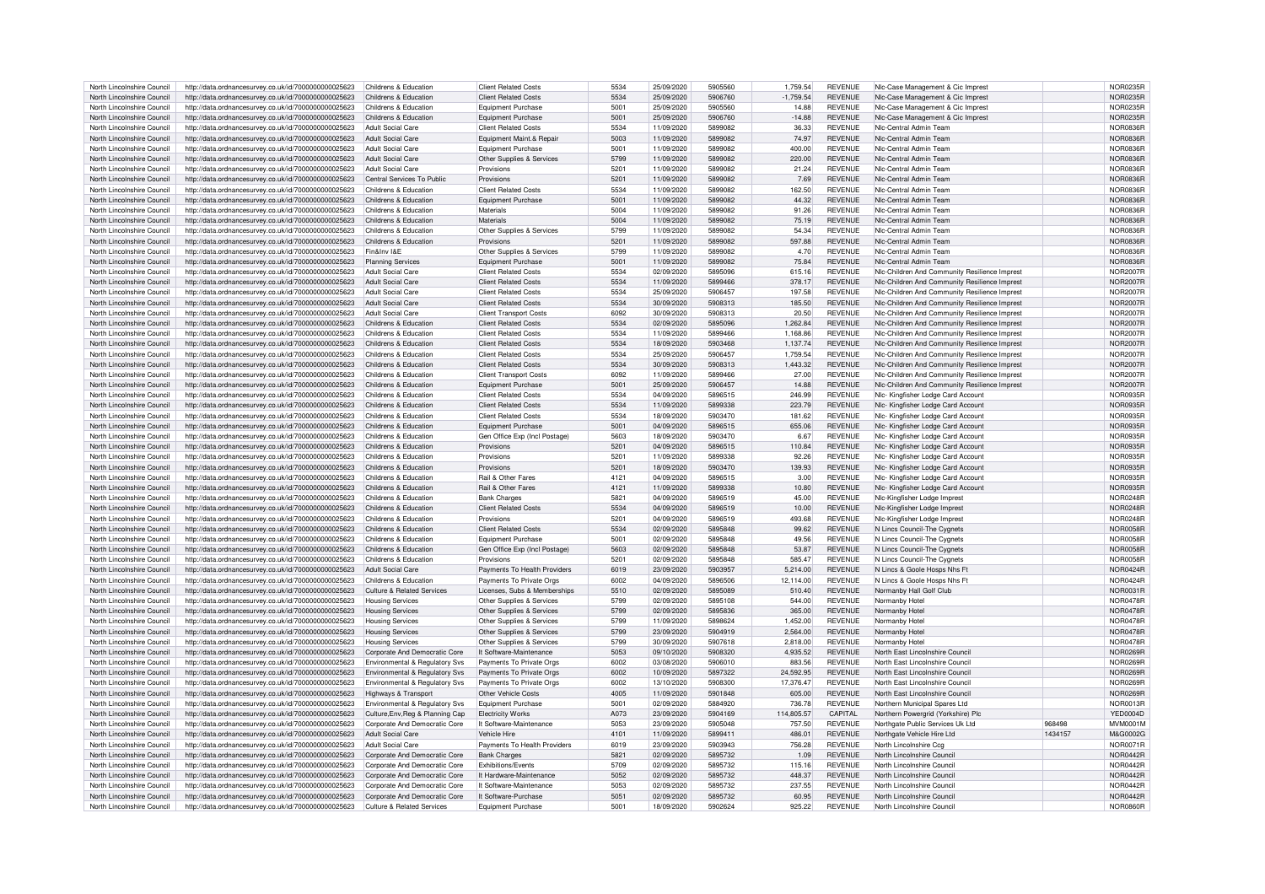| North Lincolnshire Council | http://data.ordnancesurvey.co.uk/id/7000000000025623 | Childrens & Education                 | <b>Client Related Costs</b>   | 5534             | 25/09/2020 | 5905560 | 1,759.54    | <b>REVENUE</b> | NIc-Case Management & Cic Imprest             |         | NOR0235F        |
|----------------------------|------------------------------------------------------|---------------------------------------|-------------------------------|------------------|------------|---------|-------------|----------------|-----------------------------------------------|---------|-----------------|
| North Lincolnshire Council | http://data.ordnancesurvey.co.uk/id/7000000000025623 | Childrens & Education                 | <b>Client Related Costs</b>   | 5534             | 25/09/2020 | 5906760 | $-1.759.54$ | <b>REVENUE</b> | Nic-Case Management & Cic Imprest             |         | <b>NOR0235R</b> |
|                            |                                                      |                                       |                               |                  |            |         |             |                |                                               |         |                 |
| North Lincolnshire Council | http://data.ordnancesurvey.co.uk/id/7000000000025623 | Childrens & Education                 | <b>Equipment Purchase</b>     | 5001             | 25/09/2020 | 5905560 | 14.88       | <b>REVENUE</b> | Nic-Case Management & Cic Imprest             |         | NOR0235R        |
| North Lincolnshire Council | http://data.ordnancesurvey.co.uk/id/7000000000025623 | Childrens & Education                 | <b>Equipment Purchase</b>     | 5001             | 25/09/2020 | 5906760 | $-14.88$    | <b>REVENUE</b> | NIc-Case Management & Cic Imprest             |         | NOR0235F        |
| North Lincolnshire Council | http://data.ordnancesurvey.co.uk/id/7000000000025623 | <b>Adult Social Care</b>              | <b>Client Related Costs</b>   | 5534             | 11/09/2020 | 5899082 | 36.33       | <b>REVENUE</b> | Nic-Central Admin Team                        |         | NOR0836R        |
| North Lincolnshire Council | http://data.ordnancesurvey.co.uk/id/7000000000025623 | <b>Adult Social Care</b>              | Equipment Maint.& Repair      | 5003             | 11/09/2020 | 5899082 | 74.97       | <b>REVENUE</b> | Nic-Central Admin Team                        |         | NOR0836F        |
| North Lincolnshire Council | http://data.ordnancesurvey.co.uk/id/7000000000025623 | Adult Social Care                     | <b>Equipment Purchase</b>     | 5001             | 11/09/2020 | 5899082 | 400.00      | <b>REVENUE</b> | Nic-Central Admin Team                        |         | NOR0836R        |
|                            |                                                      |                                       |                               |                  |            |         |             |                |                                               |         |                 |
| North Lincolnshire Council | http://data.ordnancesurvey.co.uk/id/7000000000025623 | Adult Social Care                     | Other Supplies & Services     | 5799             | 11/09/2020 | 5899082 | 220.00      | <b>REVENUE</b> | Nic-Central Admin Team                        |         | <b>NOR0836R</b> |
| North Lincolnshire Council | http://data.ordnancesurvey.co.uk/id/7000000000025623 | Adult Social Care                     | Provisions                    | $520 -$          | 11/09/2020 | 5899082 | 21.24       | REVENUE        | Nic-Central Admin Team                        |         | <b>NOR0836R</b> |
| North Lincolnshire Council | http://data.ordnancesurvey.co.uk/id/7000000000025623 | Central Services To Public            | Provisions                    | 5201             | 11/09/2020 | 5899082 | 7.69        | <b>REVENUE</b> | Nlc-Central Admin Team                        |         | <b>NOR0836R</b> |
| North Lincolnshire Council | http://data.ordnancesurvey.co.uk/id/7000000000025623 | Childrens & Education                 | <b>Client Related Costs</b>   | 5534             | 11/09/2020 | 5899082 | 162.50      | <b>REVENUE</b> | Nic-Central Admin Team                        |         | <b>NOR0836R</b> |
| North Lincolnshire Council |                                                      | Childrens & Education                 |                               | 5001             | 11/09/2020 | 5899082 | 44.32       | <b>REVENUE</b> | Nic-Central Admin Team                        |         | <b>NOR0836R</b> |
|                            | http://data.ordnancesurvey.co.uk/id/7000000000025623 |                                       | <b>Equipment Purchase</b>     |                  |            |         |             |                |                                               |         |                 |
| North Lincolnshire Council | http://data.ordnancesurvey.co.uk/id/7000000000025623 | Childrens & Education                 | Materials                     | 5004             | 11/09/2020 | 5899082 | 91.26       | <b>REVENUE</b> | Nic-Central Admin Team                        |         | <b>NOR0836R</b> |
| North Lincolnshire Council | http://data.ordnancesurvey.co.uk/id/7000000000025623 | Childrens & Education                 | <b>Materials</b>              | 5004             | 11/09/2020 | 5899082 | 75.19       | <b>REVENUE</b> | Nic-Central Admin Team                        |         | <b>NOR0836R</b> |
| North Lincolnshire Council | http://data.ordnancesurvey.co.uk/id/7000000000025623 | Childrens & Education                 | Other Supplies & Services     | 5799             | 11/09/2020 | 5899082 | 54.34       | <b>REVENUE</b> | Nic-Central Admin Team                        |         | NOR0836R        |
|                            |                                                      | Childrens & Education                 |                               | 520 <sup>1</sup> |            | 5899082 |             | <b>REVENUE</b> | Nic-Central Admin Team                        |         | NOR0836F        |
| North Lincolnshire Council | http://data.ordnancesurvey.co.uk/id/7000000000025623 |                                       | Provisions                    |                  | 11/09/2020 |         | 597.88      |                |                                               |         |                 |
| North Lincolnshire Council | http://data.ordnancesurvey.co.uk/id/7000000000025623 | Fin&Inv I&F                           | Other Supplies & Services     | 5799             | 11/09/2020 | 5899082 | 4.70        | <b>REVENUE</b> | Nic-Central Admin Team                        |         | <b>NOR0836R</b> |
| North Lincolnshire Council | http://data.ordnancesurvey.co.uk/id/7000000000025623 | <b>Planning Services</b>              | <b>Equipment Purchase</b>     | 5001             | 11/09/2020 | 5899082 | 75.84       | <b>REVENUE</b> | Nic-Central Admin Team                        |         | <b>NOR0836R</b> |
| North Lincolnshire Council | http://data.ordnancesurvey.co.uk/id/7000000000025623 | Adult Social Care                     | <b>Client Related Costs</b>   | 5534             | 02/09/2020 | 5895096 | 615.16      | <b>REVENUE</b> | Nic-Children And Community Resilience Imprest |         | <b>NOR2007R</b> |
| North Lincolnshire Council | http://data.ordnancesurvey.co.uk/id/7000000000025623 | Adult Social Care                     | <b>Client Related Costs</b>   | 5534             | 11/09/2020 | 5899466 | 378.17      | <b>REVENUE</b> | Nlc-Children And Community Resilience Imprest |         | <b>NOR2007R</b> |
|                            |                                                      |                                       |                               |                  |            |         |             |                |                                               |         |                 |
| North Lincolnshire Council | http://data.ordnancesurvey.co.uk/id/7000000000025623 | <b>Adult Social Care</b>              | <b>Client Related Costs</b>   | 5534             | 25/09/2020 | 5906457 | 197.58      | <b>REVENUE</b> | NIc-Children And Community Resilience Imprest |         | <b>NOR2007R</b> |
| North Lincolnshire Council | http://data.ordnancesurvey.co.uk/id/7000000000025623 | Adult Social Care                     | <b>Client Related Costs</b>   | 5534             | 30/09/2020 | 5908313 | 185.50      | <b>REVENUE</b> | Nic-Children And Community Resilience Imprest |         | <b>NOR2007R</b> |
| North Lincolnshire Council | http://data.ordnancesurvey.co.uk/id/7000000000025623 | <b>Adult Social Care</b>              | <b>Client Transport Costs</b> | 6092             | 30/09/2020 | 5908313 | 20.50       | <b>REVENUE</b> | Nic-Children And Community Resilience Imprest |         | <b>NOR2007R</b> |
| North Lincolnshire Council | http://data.ordnancesurvey.co.uk/id/7000000000025623 | Childrens & Education                 | <b>Client Related Costs</b>   | 5534             | 02/09/2020 | 5895096 | 1,262.84    | <b>REVENUE</b> | NIc-Children And Community Resilience Imprest |         | <b>NOR2007R</b> |
|                            |                                                      |                                       |                               |                  |            |         |             |                |                                               |         |                 |
| North Lincolnshire Council | http://data.ordnancesurvey.co.uk/id/7000000000025623 | Childrens & Education                 | <b>Client Related Costs</b>   | 5534             | 11/09/2020 | 5899466 | 1.168.86    | <b>REVENUE</b> | Nic-Children And Community Resilience Imprest |         | <b>NOR2007R</b> |
| North Lincolnshire Council | http://data.ordnancesurvey.co.uk/id/7000000000025623 | Childrens & Education                 | <b>Client Related Costs</b>   | 5534             | 18/09/2020 | 5903468 | 1.137.74    | <b>REVENUE</b> | Nic-Children And Community Resilience Imprest |         | <b>NOR2007R</b> |
| North Lincolnshire Council | http://data.ordnancesurvey.co.uk/id/7000000000025623 | Childrens & Education                 | <b>Client Related Costs</b>   | 5534             | 25/09/2020 | 5906457 | 1.759.54    | <b>REVENUE</b> | Nic-Children And Community Resilience Imprest |         | <b>NOR2007R</b> |
| North Lincolnshire Council | http://data.ordnancesurvey.co.uk/id/7000000000025623 | Childrens & Education                 | <b>Client Related Costs</b>   | 5534             | 30/09/2020 | 5908313 | 1,443.32    | <b>REVENUE</b> | NIc-Children And Community Resilience Imprest |         | <b>NOR2007R</b> |
|                            |                                                      |                                       |                               |                  |            |         |             |                |                                               |         |                 |
| North Lincolnshire Council | http://data.ordnancesurvey.co.uk/id/7000000000025623 | Childrens & Education                 | <b>Client Transport Costs</b> | 6092             | 11/09/2020 | 5899466 | 27.00       | <b>REVENUE</b> | NIc-Children And Community Resilience Imprest |         | NOR2007R        |
| North Lincolnshire Council | http://data.ordnancesurvey.co.uk/id/7000000000025623 | Childrens & Education                 | <b>Equipment Purchase</b>     | 5001             | 25/09/2020 | 5906457 | 14.88       | <b>REVENUE</b> | NIc-Children And Community Resilience Imprest |         | <b>NOR2007R</b> |
| North Lincolnshire Council | http://data.ordnancesurvey.co.uk/id/7000000000025623 | Childrens & Education                 | <b>Client Related Costs</b>   | 5534             | 04/09/2020 | 5896515 | 246.99      | <b>REVENUE</b> | Nlc- Kingfisher Lodge Card Account            |         | NOR0935R        |
| North Lincolnshire Council | http://data.ordnancesurvey.co.uk/id/7000000000025623 | Childrens & Education                 | <b>Client Related Costs</b>   | 5534             | 11/09/2020 | 5899338 | 223.79      | <b>REVENUE</b> | NIc- Kingfisher Lodge Card Account            |         | <b>NOR0935R</b> |
|                            |                                                      |                                       |                               |                  |            |         |             |                |                                               |         |                 |
| North Lincolnshire Council | http://data.ordnancesurvey.co.uk/id/7000000000025623 | Childrens & Education                 | <b>Client Related Costs</b>   | 5534             | 18/09/2020 | 5903470 | 181.62      | <b>REVENUE</b> | Nlc- Kingfisher Lodge Card Account            |         | NOR0935F        |
| North Lincolnshire Council | http://data.ordnancesurvey.co.uk/id/7000000000025623 | Childrens & Education                 | <b>Equipment Purchase</b>     | 5001             | 04/09/2020 | 5896515 | 655.06      | <b>REVENUE</b> | Nlc- Kingfisher Lodge Card Account            |         | <b>NOR0935F</b> |
| North Lincolnshire Council | http://data.ordnancesurvey.co.uk/id/7000000000025623 | Childrens & Education                 | Gen Office Exp (Incl Postage) | 5603             | 18/09/2020 | 5903470 | 6.67        | <b>REVENUE</b> | NIc- Kingfisher Lodge Card Account            |         | NOR0935R        |
| North Lincolnshire Council | http://data.ordnancesurvey.co.uk/id/7000000000025623 | Childrens & Education                 | Provisions                    | 5201             | 04/09/2020 | 5896515 | 110.84      | <b>REVENUE</b> | Nic- Kingfisher Lodge Card Account            |         | NOR0935R        |
|                            |                                                      |                                       |                               |                  |            |         |             |                |                                               |         |                 |
| North Lincolnshire Council | http://data.ordnancesurvey.co.uk/id/7000000000025623 | Childrens & Education                 | Provisions                    | 5201             | 11/09/2020 | 5899338 | 92.26       | <b>REVENUE</b> | Nic- Kingfisher Lodge Card Account            |         | <b>NOR0935R</b> |
| North Lincolnshire Council | http://data.ordnancesurvey.co.uk/id/7000000000025623 | Childrens & Education                 | Provisions                    | 5201             | 18/09/2020 | 5903470 | 139.93      | <b>REVENUE</b> | Nic- Kingfisher Lodge Card Account            |         | <b>NOR0935R</b> |
| North Lincolnshire Council | http://data.ordnancesurvey.co.uk/id/7000000000025623 | Childrens & Education                 | Rail & Other Fares            | 4121             | 04/09/2020 | 5896515 | 3.00        | <b>REVENUE</b> | Nic- Kingfisher Lodge Card Account            |         | NOR0935R        |
| North Lincolnshire Council | http://data.ordnancesurvey.co.uk/id/7000000000025623 | Childrens & Education                 | Rail & Other Fares            | 4121             | 11/09/2020 | 5899338 | 10.80       | <b>REVENUE</b> | Nic- Kingfisher Lodge Card Account            |         | NOR0935R        |
|                            |                                                      |                                       |                               | 5821             |            | 5896519 |             |                |                                               |         |                 |
| North Lincolnshire Council | http://data.ordnancesurvey.co.uk/id/7000000000025623 | Childrens & Education                 | <b>Bank Charges</b>           |                  | 04/09/2020 |         | 45.00       | <b>REVENUE</b> | NIc-Kingfisher Lodge Imprest                  |         | NOR0248R        |
| North Lincolnshire Council | http://data.ordnancesurvey.co.uk/id/7000000000025623 | Childrens & Education                 | <b>Client Related Costs</b>   | 5534             | 04/09/2020 | 5896519 | 10.00       | <b>REVENUE</b> | NIc-Kingfisher Lodge Imprest                  |         | <b>NOR0248R</b> |
| North Lincolnshire Council | http://data.ordnancesurvey.co.uk/id/7000000000025623 | Childrens & Education                 | Provisions                    | 5201             | 04/09/2020 | 5896519 | 493.68      | <b>REVENUE</b> | NIc-Kingfisher Lodge Imprest                  |         | NOR0248R        |
| North Lincolnshire Council | http://data.ordnancesurvey.co.uk/id/7000000000025623 | Childrens & Education                 | <b>Client Related Costs</b>   | 5534             | 02/09/2020 | 5895848 | 99.62       | <b>REVENUE</b> | N Lincs Council-The Cygnets                   |         | NOR0058R        |
| North Lincolnshire Council | http://data.ordnancesurvey.co.uk/id/7000000000025623 | Childrens & Education                 | Foujoment Purchase            | 5001             | 02/09/2020 | 5895848 | 49.56       | <b>REVENUE</b> | N Lincs Council-The Cvanets                   |         | NOR0058F        |
|                            |                                                      |                                       |                               |                  |            |         |             |                |                                               |         |                 |
| North Lincolnshire Council | http://data.ordnancesurvey.co.uk/id/7000000000025623 | Childrens & Education                 | Gen Office Exp (Incl Postage) | 5603             | 02/09/2020 | 5895848 | 53.87       | <b>REVENUE</b> | N Lincs Council-The Cygnets                   |         | NOR0058R        |
| North Lincolnshire Council | http://data.ordnancesurvey.co.uk/id/7000000000025623 | Childrens & Education                 | Provisions                    | 5201             | 02/09/2020 | 5895848 | 585.47      | <b>REVENUE</b> | N Lincs Council-The Cvanets                   |         | <b>NOR0058R</b> |
| North Lincolnshire Council | http://data.ordnancesurvey.co.uk/id/7000000000025623 | Adult Social Care                     | Payments To Health Providers  | 6019             | 23/09/2020 | 5903957 | 5,214.00    | <b>REVENUE</b> | N Lincs & Goole Hosps Nhs F                   |         | <b>NOR0424R</b> |
| North Lincolnshire Council | http://data.ordnancesurvey.co.uk/id/7000000000025623 | Childrens & Education                 | Payments To Private Orgs      | 6002             | 04/09/2020 | 5896506 | 12,114.00   | <b>REVENUE</b> | N Lincs & Goole Hosps Nhs Ft                  |         | NOR0424R        |
|                            |                                                      |                                       |                               |                  |            |         |             |                |                                               |         |                 |
| North Lincolnshire Council | http://data.ordnancesurvey.co.uk/id/7000000000025623 | <b>Culture &amp; Related Services</b> | Licenses, Subs & Memberships  | 5510             | 02/09/2020 | 5895089 | 510.40      | <b>REVENUE</b> | Normanby Hall Golf Club                       |         | NOR0031R        |
| North Lincolnshire Council | http://data.ordnancesurvey.co.uk/id/7000000000025623 | <b>Housing Services</b>               | Other Supplies & Services     | 5799             | 02/09/2020 | 5895108 | 544.00      | <b>REVENUE</b> | Normanby Hotel                                |         | NOR0478R        |
| North Lincolnshire Council | http://data.ordnancesurvey.co.uk/id/7000000000025623 | <b>Housing Services</b>               | Other Supplies & Services     | 5799             | 02/09/2020 | 5895836 | 365.00      | <b>REVENUE</b> | Normanby Hotel                                |         | <b>NOR0478R</b> |
| North Lincolnshire Council | http://data.ordnancesurvey.co.uk/id/7000000000025623 | <b>Housing Services</b>               | Other Supplies & Services     | 5799             | 11/09/2020 | 5898624 | 1,452.00    | <b>REVENUE</b> | Normanby Hotel                                |         | <b>NOR0478F</b> |
| North Lincolnshire Council |                                                      |                                       |                               | 5799             |            | 5904919 |             | <b>REVENUE</b> |                                               |         | <b>NOR0478F</b> |
|                            | http://data.ordnancesurvey.co.uk/id/7000000000025623 | <b>Housing Services</b>               | Other Supplies & Services     |                  | 23/09/2020 |         | 2,564.00    |                | Normanby Hotel                                |         |                 |
| North Lincolnshire Council | http://data.ordnancesurvey.co.uk/id/7000000000025623 | <b>Housing Services</b>               | Other Supplies & Services     | 5799             | 30/09/2020 | 5907618 | 2,818.00    | <b>REVENUE</b> | Normanby Hotel                                |         | <b>NOR0478R</b> |
| North Lincolnshire Council | http://data.ordnancesurvey.co.uk/id/7000000000025623 | Corporate And Democratic Core         | It Software-Maintenance       | 5053             | 09/10/2020 | 5908320 | 4,935.52    | <b>REVENUE</b> | North Fast Lincolnshire Council               |         | NOR0269F        |
| North Lincolnshire Council | http://data.ordnancesurvey.co.uk/id/7000000000025623 | Environmental & Regulatory Svs        | Payments To Private Orgs      | 6002             | 03/08/2020 | 5906010 | 883.56      | <b>REVENUE</b> | North East Lincolnshire Council               |         | <b>NOR0269R</b> |
| North Lincolnshire Council | http://data.ordnancesurvey.co.uk/id/7000000000025623 | Environmental & Regulatory Svs        | Payments To Private Orgs      | 6002             | 10/09/2020 | 5897322 | 24,592.95   | <b>REVENUE</b> | North East Lincolnshire Council               |         | <b>NOR0269R</b> |
|                            |                                                      |                                       |                               |                  |            |         |             |                |                                               |         |                 |
| North Lincolnshire Council | http://data.ordnancesurvey.co.uk/id/7000000000025623 | Environmental & Regulatory Svs        | Payments To Private Orgs      | 6002             | 13/10/2020 | 5908300 | 17,376.47   | <b>REVENUE</b> | North East Lincolnshire Council               |         | NOR0269R        |
| North Lincolnshire Council | http://data.ordnancesurvey.co.uk/id/7000000000025623 | Highways & Transport                  | Other Vehicle Costs           | 4005             | 11/09/2020 | 5901848 | 605.00      | <b>REVENUE</b> | North East Lincolnshire Council               |         | NOR0269R        |
| North Lincolnshire Council | http://data.ordnancesurvey.co.uk/id/7000000000025623 | Environmental & Regulatory Svs        | <b>Equipment Purchase</b>     | 5001             | 02/09/2020 | 5884920 | 736.78      | REVENUE        | Northern Municipal Spares Ltd                 |         | NOR0013R        |
| North Lincolnshire Council | http://data.ordnancesurvey.co.uk/id/7000000000025623 | Culture, Env, Reg & Planning Cap      | <b>Electricity Works</b>      | A073             | 23/09/2020 | 5904169 | 114,805.57  | CAPITAL        | Northern Powergrid (Yorkshire) Plo            |         | <b>YED0004D</b> |
|                            |                                                      |                                       |                               | 5053             |            | 5905048 |             |                |                                               |         | MVM0001M        |
| North Lincolnshire Council | http://data.ordnancesurvey.co.uk/id/7000000000025623 | Cornorate And Democratic Core         | It Software-Maintenance       |                  | 23/09/2020 |         | 757.50      | <b>REVENUE</b> | Northgate Public Services Uk Ltd              | 968498  |                 |
| North Lincolnshire Council | http://data.ordnancesurvey.co.uk/id/7000000000025623 | <b>Adult Social Care</b>              | Vehicle Hire                  | 4101             | 11/09/2020 | 5899411 | 486.01      | <b>REVENUE</b> | Northgate Vehicle Hire Ltd                    | 1434157 | M&G0002G        |
| North Lincolnshire Council | http://data.ordnancesurvey.co.uk/id/7000000000025623 | <b>Adult Social Care</b>              | Payments To Health Providers  | 6019             | 23/09/2020 | 5903943 | 756.28      | <b>REVENUE</b> | North Lincolnshire Con                        |         | NOR0071F        |
| North Lincolnshire Council | http://data.ordnancesurvey.co.uk/id/7000000000025623 | Corporate And Democratic Core         | <b>Bank Charges</b>           | 5821             | 02/09/2020 | 5895732 | 1.09        | <b>REVENUE</b> | North Lincolnshire Council                    |         | NOR0442R        |
| North Lincolnshire Council | http://data.ordnancesurvey.co.uk/id/7000000000025623 | Corporate And Democratic Core         | Exhibitions/Events            | 5709             | 02/09/2020 | 5895732 | 115.16      | <b>REVENUE</b> | North Lincolnshire Council                    |         | NOR0442R        |
|                            |                                                      |                                       |                               |                  |            |         |             |                |                                               |         |                 |
| North Lincolnshire Council | http://data.ordnancesurvey.co.uk/id/7000000000025623 | Corporate And Democratic Core         | It Hardware-Maintenance       | 5052             | 02/09/2020 | 5895732 | 448.37      | <b>REVENUE</b> | North Lincolnshire Council                    |         | NOR0442F        |
| North Lincolnshire Council | http://data.ordnancesurvey.co.uk/id/7000000000025623 | Corporate And Democratic Core         | It Software-Maintenance       | 5053             | 02/09/2020 | 5895732 | 237.55      | <b>REVENUE</b> | North Lincolnshire Council                    |         | NOR0442R        |
| North Lincolnshire Council | http://data.ordnancesurvey.co.uk/id/7000000000025623 | Corporate And Democratic Core         | It Software-Purchase          | 5051             | 02/09/2020 | 5895732 | 60.95       | <b>REVENUE</b> | North Lincolnshire Council                    |         | <b>NOR0442R</b> |
| North Lincolnshire Council | http://data.ordnancesurvey.co.uk/id/7000000000025623 | Culture & Related Services            | Foujoment Purchase            | 5001             | 18/09/2020 | 5902624 | 925.22      | <b>REVENUE</b> | North Lincolnshire Council                    |         | NOR0860R        |
|                            |                                                      |                                       |                               |                  |            |         |             |                |                                               |         |                 |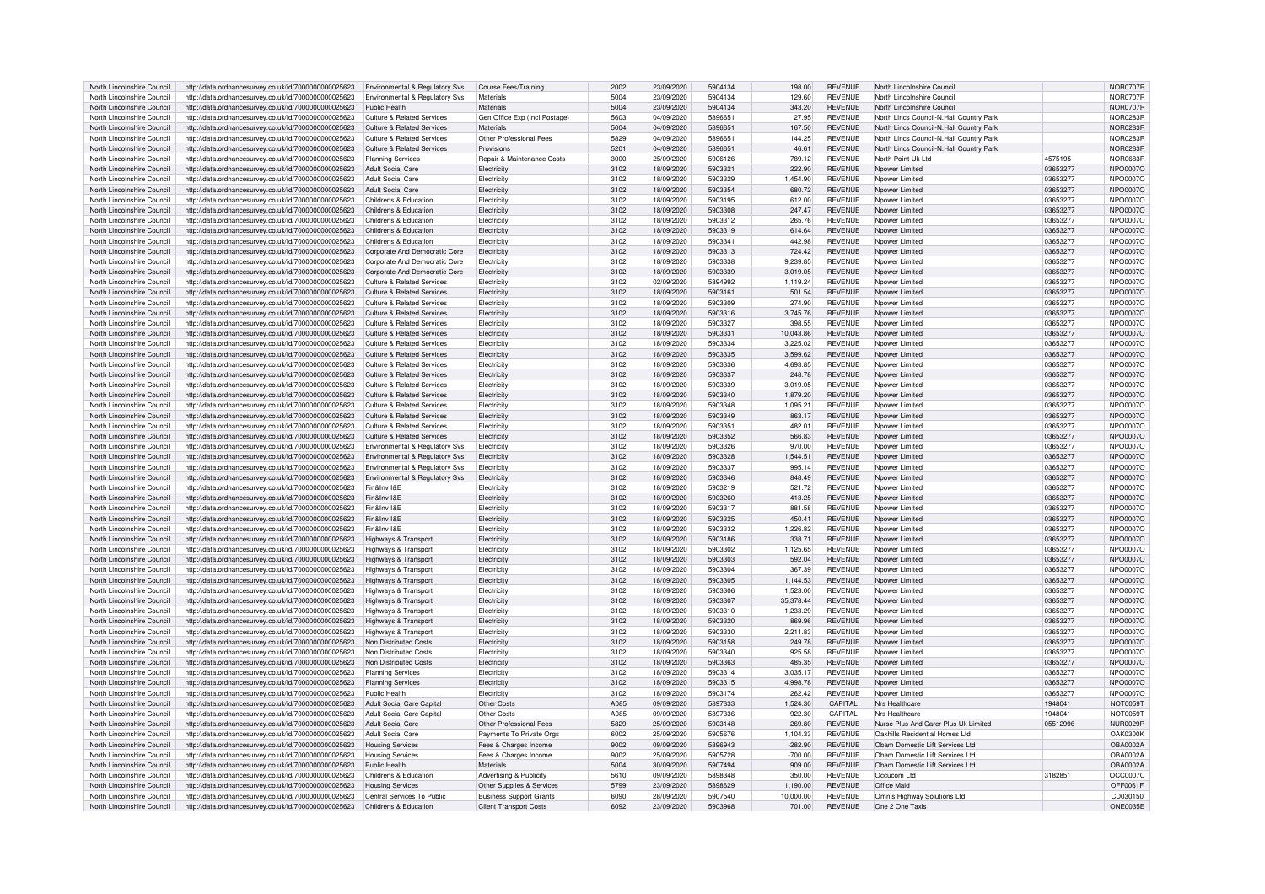| North Lincolnshire Council | http://data.ordnancesurvey.co.uk/id/7000000000025623 | Environmental & Regulatory Svs            | <b>Course Fees/Training</b>    | 2002             | 23/09/2020 | 5904134 | 198.00    | <b>REVENUE</b> | North Lincolnshire Council              |          | <b>NOR0707R</b> |
|----------------------------|------------------------------------------------------|-------------------------------------------|--------------------------------|------------------|------------|---------|-----------|----------------|-----------------------------------------|----------|-----------------|
| North Lincolnshire Council | http://data.ordnancesurvey.co.uk/id/7000000000025623 | <b>Environmental &amp; Regulatory Svs</b> | Materials                      | 5004             | 23/09/2020 | 5904134 | 129.60    | <b>REVENUE</b> | North Lincolnshire Counci               |          | <b>NOR0707R</b> |
| North Lincolnshire Council | http://data.ordnancesurvey.co.uk/id/7000000000025623 | Public Health                             | Materials                      | 5004             | 23/09/2020 | 5904134 | 343.20    | <b>REVENUE</b> | North Lincolnshire Council              |          | <b>NOR0707R</b> |
| North Lincolnshire Council | http://data.ordnancesurvey.co.uk/id/7000000000025623 | Culture & Related Services                | Gen Office Exp (Incl Postage)  | 5603             | 04/09/2020 | 5896651 | 27.95     | <b>REVENUE</b> | North Lincs Council-N.Hall Country Park |          | <b>NOR0283R</b> |
| North Lincolnshire Council | http://data.ordnancesurvey.co.uk/id/7000000000025623 | Culture & Related Services                | <b>Materials</b>               | 5004             | 04/09/2020 | 5896651 | 167.50    | <b>REVENUE</b> | North Lincs Council-N.Hall Country Park |          | <b>NOR0283R</b> |
| North Lincolnshire Council | http://data.ordnancesurvey.co.uk/id/7000000000025623 | <b>Culture &amp; Related Services</b>     | Other Professional Fees        | 5829             | 04/09/2020 | 5896651 | 144.25    | <b>REVENUE</b> | North Lincs Council-N.Hall Country Park |          | NOR0283R        |
| North Lincolnshire Council | http://data.ordnancesurvey.co.uk/id/7000000000025623 | Culture & Related Services                | Provisions                     | 520 <sup>1</sup> | 04/09/2020 | 5896651 | 46.61     | <b>REVENUE</b> | North Lincs Council-N.Hall Country Park |          | <b>NOR0283F</b> |
|                            |                                                      |                                           |                                | 3000             |            | 5906126 |           |                |                                         |          |                 |
| North Lincolnshire Council | http://data.ordnancesurvey.co.uk/id/7000000000025623 | <b>Planning Services</b>                  | Repair & Maintenance Costs     |                  | 25/09/2020 |         | 789.12    | <b>REVENUE</b> | North Point Uk Ltd                      | 4575195  | NOR0683R        |
| North Lincolnshire Council | http://data.ordnancesurvey.co.uk/id/7000000000025623 | Adult Social Care                         | Electricity                    | 3102             | 18/09/2020 | 5903321 | 222.90    | <b>REVENUE</b> | Nnower I imited                         | 03653277 | NPO0007O        |
| North Lincolnshire Council | http://data.ordnancesurvey.co.uk/id/7000000000025623 | <b>Adult Social Care</b>                  | Electricity                    | 3102             | 18/09/2020 | 5903329 | 1,454.90  | <b>REVENUE</b> | Nnower I imited                         | 03653277 | NPO0007O        |
| North Lincolnshire Council | http://data.ordnancesurvey.co.uk/id/7000000000025623 | <b>Adult Social Care</b>                  | Electricity                    | 3102             | 18/09/2020 | 5903354 | 680.72    | <b>REVENUE</b> | Noower Limited                          | 03653277 | NPO0007O        |
| North Lincolnshire Council | http://data.ordnancesurvey.co.uk/id/7000000000025623 | Childrens & Education                     | Flectricity                    | 3102             | 18/09/2020 | 5903195 | 612.00    | <b>REVENUE</b> | Nnower I imited                         | 03653277 | NPO0007C        |
| North Lincolnshire Council | http://data.ordnancesurvey.co.uk/id/7000000000025623 | Childrens & Education                     | Electricity                    | 3102             | 18/09/2020 | 5903308 | 247.47    | <b>REVENUE</b> | Npower Limited                          | 03653277 | NPO0007O        |
| North Lincolnshire Council | http://data.ordnancesurvey.co.uk/id/7000000000025623 | Childrens & Education                     | Flectricity                    | 3102             | 18/09/2020 | 5903312 | 265.76    | <b>REVENUE</b> | Nnower I imited                         | 03653277 | NPO0007O        |
| North Lincolnshire Council | http://data.ordnancesurvey.co.uk/id/7000000000025623 | Childrens & Education                     | Electricity                    | 3102             | 18/09/2020 | 5903319 | 614.64    | <b>REVENUE</b> | Noower Limited                          | 03653277 | NPO0007O        |
| North Lincolnshire Council | http://data.ordnancesurvey.co.uk/id/7000000000025623 | Childrens & Education                     | Electricity                    | 3102             | 18/09/2020 | 5903341 | 442.98    | <b>REVENUE</b> | Noower Limited                          | 03653277 | NPO0007O        |
| North Lincolnshire Council | http://data.ordnancesurvey.co.uk/id/7000000000025623 | Corporate And Democratic Core             | Flectricit                     | 3102             | 18/09/2020 | 5903313 | 724.42    | <b>REVENUE</b> | Nnower I imited                         | 03653277 | NPO0007O        |
| North Lincolnshire Council | http://data.ordnancesurvey.co.uk/id/7000000000025623 | Corporate And Democratic Core             | Electricity                    | 3102             | 18/09/2020 | 5903338 | 9,239.85  | <b>REVENUE</b> | Npower Limited                          | 03653277 | NPO0007O        |
| North Lincolnshire Council | http://data.ordnancesurvey.co.uk/id/7000000000025623 | Corporate And Democratic Core             | Flectricity                    | 3102             | 18/09/2020 | 5903339 | 3.019.05  | <b>REVENUE</b> | Nnower I imited                         | 03653277 | NPO0007O        |
| North Lincolnshire Council |                                                      | <b>Culture &amp; Related Services</b>     | Electricity                    | 3102             | 02/09/2020 | 5894992 | 1,119.24  | <b>REVENUE</b> | Noower Limited                          | 03653277 | NPO0007O        |
|                            | http://data.ordnancesurvey.co.uk/id/7000000000025623 |                                           |                                |                  |            |         |           |                |                                         |          |                 |
| North Lincolnshire Council | http://data.ordnancesurvey.co.uk/id/7000000000025623 | <b>Culture &amp; Related Services</b>     | Electricity                    | 3102             | 18/09/2020 | 5903161 | 501.54    | <b>REVENUE</b> | Noower Limited                          | 03653277 | NPO0007O        |
| North Lincolnshire Council | http://data.ordnancesurvey.co.uk/id/7000000000025623 | Culture & Related Services                | Flectricity                    | 3102             | 18/09/2020 | 5903309 | 274.90    | <b>REVENUE</b> | Nnower Limited                          | 03653277 | NPO0007C        |
| North Lincolnshire Council | http://data.ordnancesurvey.co.uk/id/7000000000025623 | <b>Culture &amp; Related Services</b>     | Electricity                    | 3102             | 18/09/2020 | 5903316 | 3,745.76  | <b>REVENUE</b> | Npower Limited                          | 03653277 | NPO0007O        |
| North Lincolnshire Council | http://data.ordnancesurvey.co.uk/id/7000000000025623 | Culture & Related Services                | Electricity                    | 3102             | 18/09/2020 | 5903327 | 398.55    | <b>REVENUE</b> | Nnower Limited                          | 03653277 | NPO0007C        |
| North Lincolnshire Council | http://data.ordnancesurvey.co.uk/id/7000000000025623 | <b>Culture &amp; Related Services</b>     | Electricity                    | 3102             | 18/09/2020 | 5903331 | 10.043.86 | <b>REVENUE</b> | Noower Limited                          | 03653277 | NPO0007O        |
| North Lincolnshire Council | http://data.ordnancesurvey.co.uk/id/7000000000025623 | <b>Culture &amp; Related Services</b>     | Electricity                    | 3102             | 18/09/2020 | 5903334 | 3,225.02  | <b>REVENUE</b> | Noower Limited                          | 03653277 | <b>NPO0007C</b> |
| North Lincolnshire Council | http://data.ordnancesurvey.co.uk/id/7000000000025623 | <b>Culture &amp; Related Services</b>     | Electricity                    | 3102             | 18/09/2020 | 5903335 | 3,599.62  | <b>REVENUE</b> | Noower Limited                          | 03653277 | NPO0007O        |
| North Lincolnshire Council | http://data.ordnancesurvey.co.uk/id/7000000000025623 | <b>Culture &amp; Related Services</b>     | Flectricity                    | 3102             | 18/09/2020 | 5903336 | 4.693.85  | <b>REVENUE</b> | Nnower I imited                         | 03653277 | NPO0007O        |
| North Lincolnshire Council | http://data.ordnancesurvey.co.uk/id/7000000000025623 | <b>Culture &amp; Related Services</b>     | Flectricity                    | 3102             | 18/09/2020 | 5903337 | 248.78    | <b>REVENUE</b> | Nnower Limited                          | 03653277 | NPO0007O        |
| North Lincolnshire Council | http://data.ordnancesurvey.co.uk/id/7000000000025623 | Culture & Related Services                | Electricity                    | 3102             | 18/09/2020 | 5903339 | 3.019.05  | <b>REVENUE</b> | Noower Limited                          | 03653277 | NPO0007O        |
| North Lincolnshire Council | http://data.ordnancesurvey.co.uk/id/7000000000025623 | <b>Culture &amp; Related Services</b>     | Electricity                    | 3102             | 18/09/2020 | 5903340 | 1,879.20  | <b>REVENUE</b> | Noower Limited                          | 03653277 | NPO0007O        |
| North Lincolnshire Council | http://data.ordnancesurvey.co.uk/id/7000000000025623 | <b>Culture &amp; Related Services</b>     | Electricity                    | 3102             | 18/09/2020 | 5903348 | 1,095.21  | <b>REVENUE</b> | Npower Limited                          | 03653277 | NPO0007O        |
|                            |                                                      |                                           |                                |                  |            |         |           |                |                                         |          |                 |
| North Lincolnshire Council | http://data.ordnancesurvey.co.uk/id/7000000000025623 | Culture & Related Services                | Flectricity                    | 3102             | 18/09/2020 | 5903349 | 863.17    | <b>REVENUE</b> | Nnower I imited                         | 03653277 | NPO0007O        |
| North Lincolnshire Council | http://data.ordnancesurvey.co.uk/id/7000000000025623 | Culture & Related Services                | Flectricity                    | 3102             | 18/09/2020 | 5903351 | 482.01    | <b>REVENUE</b> | Nnower Limited                          | 03653277 | NPO0007O        |
| North Lincolnshire Council | http://data.ordnancesurvey.co.uk/id/7000000000025623 | <b>Culture &amp; Related Services</b>     | Electricity                    | 3102             | 18/09/2020 | 5903352 | 566.83    | <b>REVENUE</b> | Noower Limited                          | 03653277 | NPO0007O        |
| North Lincolnshire Council | http://data.ordnancesurvey.co.uk/id/7000000000025623 | Environmental & Regulatory Svs            | Flectricity                    | 3102             | 18/09/2020 | 5903326 | 970.00    | <b>REVENUE</b> | Nnower I imited                         | 03653277 | NPO0007O        |
| North Lincolnshire Council | http://data.ordnancesurvey.co.uk/id/7000000000025623 | <b>Environmental &amp; Regulatory Svs</b> | Electricity                    | 3102             | 18/09/2020 | 5903328 | 1,544.51  | <b>REVENUE</b> | Npower Limited                          | 03653277 | NPO0007O        |
| North Lincolnshire Council | http://data.ordnancesurvey.co.uk/id/7000000000025623 | <b>Environmental &amp; Regulatory Svs</b> | Flectricity                    | 3102             | 18/09/2020 | 5903337 | 995.14    | <b>REVENUE</b> | Nnower I imited                         | 03653277 | NPO0007O        |
| North Lincolnshire Council | http://data.ordnancesurvey.co.uk/id/7000000000025623 | Environmental & Regulatory Svs            | Electricity                    | 3102             | 18/09/2020 | 5903346 | 848.49    | <b>REVENUE</b> | Nnower Limited                          | 03653277 | NPO0007O        |
| North Lincolnshire Council | http://data.ordnancesurvey.co.uk/id/7000000000025623 | Fin&Inv I&F                               | Electricity                    | 3102             | 18/09/2020 | 5903219 | 521.72    | <b>REVENUE</b> | Noower Limited                          | 03653277 | <b>NPO0007C</b> |
| North Lincolnshire Council | http://data.ordnancesurvey.co.uk/id/7000000000025623 | Fin&Inv I&F                               | Flectricity                    | 3102             | 18/09/2020 | 5903260 | 413.25    | <b>REVENUE</b> | Nnower I imited                         | 03653277 | NPO0007C        |
| North Lincolnshire Council | http://data.ordnancesurvey.co.uk/id/7000000000025623 | Fin&Inv I&F                               | Electricity                    | 3102             | 18/09/2020 | 5903317 | 881.58    | <b>REVENUE</b> | Npower Limited                          | 03653277 | <b>NPO0007C</b> |
| North Lincolnshire Council | http://data.ordnancesurvey.co.uk/id/7000000000025623 | Fin&Inv I&F                               | Flectricity                    | 3102             | 18/09/2020 | 5903325 | 450.41    | <b>REVENUE</b> | Nnower I imited                         | 03653277 | NPO0007O        |
| North Lincolnshire Council |                                                      | Fin&Inv I&E                               |                                | 3102             | 18/09/2020 | 5903332 | 1,226.82  | <b>REVENUE</b> | Noower Limited                          | 03653277 | <b>NPO0007C</b> |
|                            | http://data.ordnancesurvey.co.uk/id/7000000000025623 |                                           | Electricity                    |                  |            |         |           |                |                                         |          |                 |
| North Lincolnshire Council | http://data.ordnancesurvey.co.uk/id/7000000000025623 | Highways & Transport                      | Electricity                    | 3102             | 18/09/2020 | 5903186 | 338.71    | <b>REVENUE</b> | Noower Limited                          | 03653277 | <b>NPO0007C</b> |
| North Lincolnshire Council | http://data.ordnancesurvey.co.uk/id/7000000000025623 | Highways & Transport                      | Flectricit                     | 3102             | 18/09/2020 | 5903302 | 1.125.65  | <b>REVENUE</b> | Nnower I imited                         | 03653277 | NPO0007C        |
| North Lincolnshire Council | http://data.ordnancesurvey.co.uk/id/7000000000025623 | Highways & Transport                      | Electricity                    | 3102             | 18/09/2020 | 5903303 | 592.04    | <b>REVENUE</b> | Noower Limited                          | 03653277 | NPO0007O        |
| North Lincolnshire Council | http://data.ordnancesurvey.co.uk/id/7000000000025623 | Highways & Transport                      | Electricity                    | 3102             | 18/09/2020 | 5903304 | 367.39    | <b>REVENUE</b> | Nnower Limited                          | 03653277 | NPO0007C        |
| North Lincolnshire Council | http://data.ordnancesurvey.co.uk/id/7000000000025623 | Highways & Transport                      | Electricity                    | 3102             | 18/09/2020 | 5903305 | 1,144.53  | <b>REVENUE</b> | Noower Limited                          | 03653277 | NPO0007O        |
| North Lincolnshire Council | http://data.ordnancesurvey.co.uk/id/7000000000025623 | Highways & Transport                      | Electricity                    | 3102             | 18/09/2020 | 5903306 | 1,523.00  | <b>REVENUE</b> | Noower Limited                          | 03653277 | NPO0007O        |
| North Lincolnshire Council | http://data.ordnancesurvey.co.uk/id/7000000000025623 | Highways & Transport                      | Electricity                    | 3102             | 18/09/2020 | 5903307 | 35,378.44 | <b>REVENUE</b> | Noower Limited                          | 03653277 | NPO0007O        |
| North Lincolnshire Council | http://data.ordnancesurvey.co.uk/id/7000000000025623 | Highways & Transport                      | Flectricity                    | 3102             | 18/09/2020 | 5903310 | 1.233.29  | <b>REVENUE</b> | Nnower I imited                         | 03653277 | NPO0007O        |
| North Lincolnshire Council | http://data.ordnancesurvey.co.uk/id/7000000000025623 | Highways & Transport                      | Electricity                    | 3102             | 18/09/2020 | 5903320 | 869.96    | <b>REVENUE</b> | Nnower Limited                          | 03653277 | NPO0007O        |
| North Lincolnshire Council | http://data.ordnancesurvey.co.uk/id/7000000000025623 | Highways & Transport                      | Electricity                    | 3102             | 18/09/2020 | 5903330 | 2,211.83  | <b>REVENUE</b> | Noower Limited                          | 03653277 | <b>NPO0007C</b> |
| North Lincolnshire Council | http://data.ordnancesurvey.co.uk/id/7000000000025623 | Non Distributed Costs                     | Electricity                    | 3102             | 18/09/2020 | 5903158 | 249.78    | <b>REVENUE</b> | Noower Limited                          | 03653277 | NPO0007O        |
| North Lincolnshire Council | http://data.ordnancesurvey.co.uk/id/7000000000025623 | Non Distributed Costs                     | Electricit                     | 3102             | 18/09/2020 | 5903340 | 925.58    | <b>REVENUE</b> | Noower Limited                          | 03653277 | NPO0007O        |
| North Lincolnshire Council | http://data.ordnancesurvey.co.uk/id/7000000000025623 | Non Distributed Costs                     | Flectricity                    | 3102             | 18/09/2020 | 5903363 | 485.35    | <b>REVENUE</b> | Nnower I imited                         | 03653277 | NPO0007O        |
|                            |                                                      |                                           |                                | 3102             |            | 5903314 |           |                |                                         |          |                 |
| North Lincolnshire Council | http://data.ordnancesurvey.co.uk/id/7000000000025623 | Planning Services                         | Flectricity                    |                  | 18/09/2020 |         | 3,035.17  | <b>REVENUE</b> | Nnower Limited                          | 03653277 | NPO0007O        |
| North Lincolnshire Council | http://data.ordnancesurvey.co.uk/id/7000000000025623 | <b>Planning Services</b>                  | Electricity                    | 3102             | 18/09/2020 | 5903315 | 4,998.78  | <b>REVENUE</b> | Noower Limited                          | 03653277 | NPO0007O        |
| North Lincolnshire Council | http://data.ordnancesurvey.co.uk/id/7000000000025623 | Public Health                             | Electricity                    | 3102             | 18/09/2020 | 5903174 | 262.42    | <b>REVENUE</b> | Noower Limited                          | 03653277 | NPO0007O        |
| North Lincolnshire Council | http://data.ordnancesurvey.co.uk/id/7000000000025623 | Adult Social Care Capital                 | Other Costs                    | A085             | 09/09/2020 | 5897333 | 1,524.30  | CAPITAI        | Nrs Healthcare                          | 1948041  | <b>NOT0059T</b> |
| North Lincolnshire Council | http://data.ordnancesurvey.co.uk/id/7000000000025623 | Adult Social Care Capital                 | Other Costs                    | A085             | 09/09/2020 | 5897336 | 922.30    | CAPITAL        | Nrs Healthcare                          | 1948041  | <b>NOT0059T</b> |
| North Lincolnshire Council | http://data.ordnancesurvey.co.uk/id/7000000000025623 | <b>Adult Social Care</b>                  | Other Professional Fees        | 5829             | 25/09/2020 | 5903148 | 269.80    | <b>REVENUE</b> | Nurse Plus And Carer Plus Uk Limited    | 05512996 | <b>NUR0029R</b> |
| North Lincolnshire Council | http://data.ordnancesurvey.co.uk/id/7000000000025623 | <b>Adult Social Care</b>                  | Payments To Private Orgs       | 6002             | 25/09/2020 | 5905676 | 1.104.33  | <b>REVENUE</b> | Oakhills Residential Homes Ltd          |          | <b>OAK0300K</b> |
| North Lincolnshire Council | http://data.ordnancesurvey.co.uk/id/7000000000025623 | <b>Housing Services</b>                   | Fees & Charges Income          | 9002             | 09/09/2020 | 5896943 | $-282.90$ | <b>REVENUE</b> | Obam Domestic Lift Services Ltd         |          | <b>OBA0002A</b> |
| North Lincolnshire Council | http://data.ordnancesurvey.co.uk/id/7000000000025623 | <b>Housing Services</b>                   | Fees & Charges Income          | 9002             | 25/09/2020 | 5905728 | $-700.00$ | <b>REVENUE</b> | Obam Domestic Lift Services Ltd         |          | OBA0002A        |
| North Lincolnshire Council | http://data.ordnancesurvey.co.uk/id/7000000000025623 | Public Health                             | <b>Materials</b>               | 5004             | 30/09/2020 | 5907494 | 909.00    | <b>REVENUE</b> | Obam Domestic Lift Services Ltd         |          | OBA0002A        |
| North Lincolnshire Council | http://data.ordnancesurvey.co.uk/id/7000000000025623 | Childrens & Education                     | Advertising & Publicity        | 5610             | 09/09/2020 | 5898348 | 350.00    | <b>REVENUE</b> | Occucom Ltd                             | 318285   | OCC0007C        |
| North Lincolnshire Council | http://data.ordnancesurvey.co.uk/id/7000000000025623 | <b>Housing Services</b>                   | Other Supplies & Services      | 5799             | 23/09/2020 | 5898629 | 1,190.00  | <b>REVENUE</b> | Office Maid                             |          | OFF0061F        |
| North Lincolnshire Council |                                                      | Central Services To Public                |                                | 6090             | 28/09/2020 | 5907540 | 10.000.00 | <b>REVENUE</b> |                                         |          |                 |
|                            | http://data.ordnancesurvey.co.uk/id/7000000000025623 |                                           | <b>Business Support Grants</b> |                  |            |         |           |                | Omnis Highway Solutions Ltd             |          | CD030150        |
| North Lincolnshire Council | http://data.ordnancesurvey.co.uk/id/7000000000025623 | Childrens & Education                     | <b>Client Transport Costs</b>  | 6092             | 23/09/2020 | 5903968 | 701.00    | <b>REVENUE</b> | One 2 One Taxis                         |          | <b>ONE0035E</b> |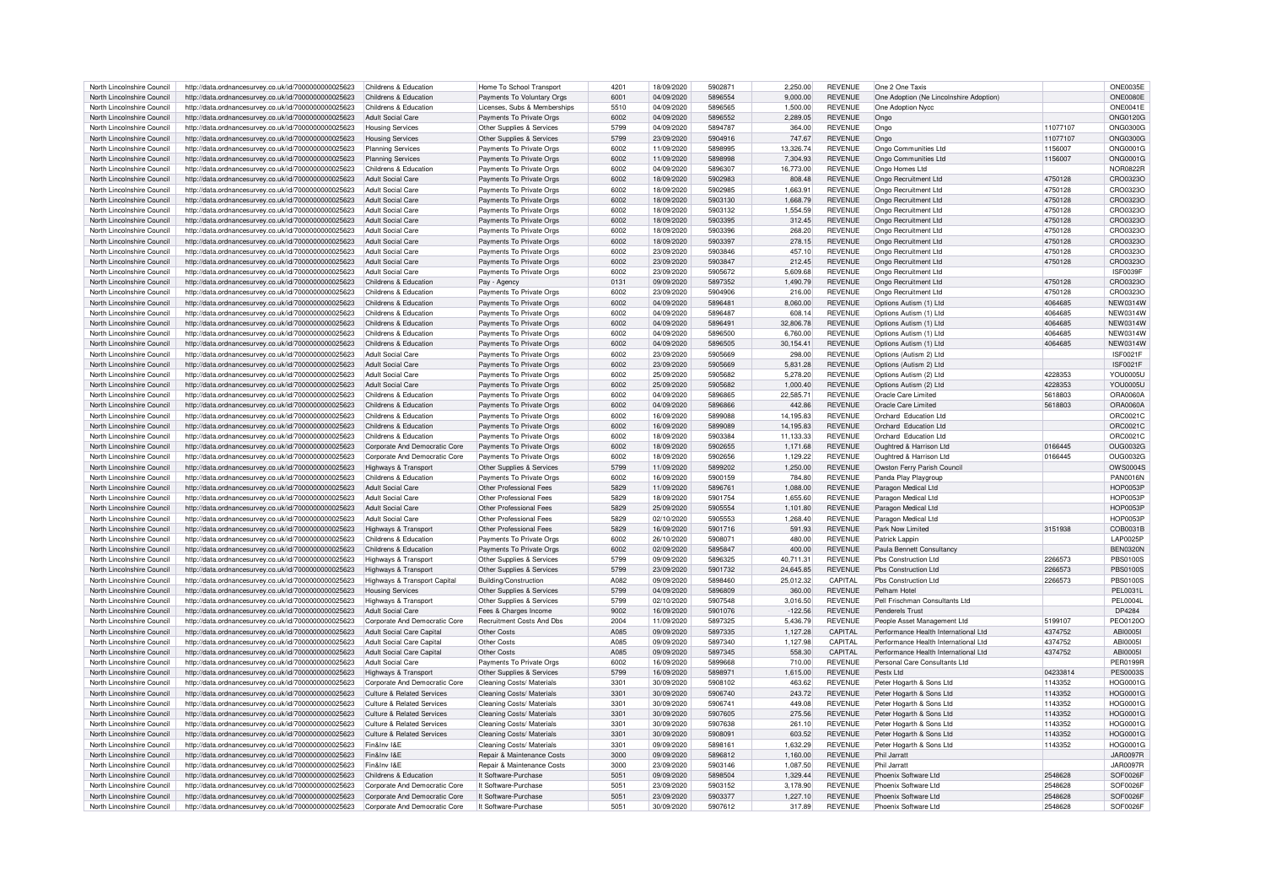| North Lincolnshire Council | http://data.ordnancesurvey.co.uk/id/7000000000025623 | Childrens & Education                 | Home To School Transport     | 4201             | 18/09/2020 | 5902871 | 2,250.00  | <b>REVENUE</b> | One 2 One Taxis                         |          | <b>ONE0035E</b> |
|----------------------------|------------------------------------------------------|---------------------------------------|------------------------------|------------------|------------|---------|-----------|----------------|-----------------------------------------|----------|-----------------|
| North Lincolnshire Council | http://data.ordnancesurvey.co.uk/id/7000000000025623 | Childrens & Education                 | Payments To Voluntary Orgs   | 6001             | 04/09/2020 | 5896554 | 9.000.00  | <b>REVENUE</b> | One Adoption (Ne Lincolnshire Adoption) |          | <b>ONE0080E</b> |
| North Lincolnshire Council | http://data.ordnancesurvey.co.uk/id/7000000000025623 | Childrens & Education                 | Licenses, Subs & Memberships | 5510             | 04/09/2020 | 5896565 | 1.500.00  | <b>REVENUE</b> | One Adoption Nycc                       |          | ONE0041E        |
| North Lincolnshire Council | http://data.ordnancesurvey.co.uk/id/7000000000025623 | <b>Adult Social Care</b>              | Payments To Private Orgs     | 6002             | 04/09/2020 | 5896552 | 2,289.05  | <b>REVENUE</b> | Ongo                                    |          | <b>ONG0120G</b> |
|                            |                                                      |                                       |                              |                  |            |         |           |                |                                         |          |                 |
| North Lincolnshire Council | http://data.ordnancesurvey.co.uk/id/7000000000025623 | <b>Housing Services</b>               | Other Supplies & Services    | 5799             | 04/09/2020 | 5894787 | 364.00    | REVENUE        | Ongo                                    | 11077107 | <b>ONG0300G</b> |
| North Lincolnshire Council | http://data.ordnancesurvey.co.uk/id/7000000000025623 | <b>Housing Services</b>               | Other Supplies & Services    | 5799             | 23/09/2020 | 5904916 | 747.67    | <b>REVENUE</b> | Ongo                                    | 11077107 | <b>ONG0300G</b> |
| North Lincolnshire Council | http://data.ordnancesurvey.co.uk/id/7000000000025623 | <b>Planning Services</b>              | Payments To Private Orgs     | 6002             | 11/09/2020 | 5898995 | 13,326.74 | <b>REVENUE</b> | Ongo Communities Ltd                    | 1156007  | ONG0001G        |
| North Lincolnshire Council | http://data.ordnancesurvey.co.uk/id/7000000000025623 | <b>Planning Services</b>              | Payments To Private Orgs     | 6002             | 11/09/2020 | 5898998 | 7.304.93  | <b>REVENUE</b> | Ongo Communities Ltd                    | 1156007  | <b>ONG0001G</b> |
| North Lincolnshire Council | http://data.ordnancesurvey.co.uk/id/7000000000025623 | Childrens & Education                 | Payments To Private Orgs     | sons             | 04/09/2020 | 5896307 | 16,773.00 | <b>REVENUE</b> | Ongo Homes I to                         |          | NOR0822B        |
| North Lincolnshire Council | http://data.ordnancesurvey.co.uk/id/7000000000025623 | Adult Social Care                     | Payments To Private Orgs     | 6002             | 18/09/2020 | 5902983 | 808.48    | <b>REVENUE</b> | Ongo Recruitment Ltd                    | 4750128  | CRO0323O        |
| North Lincolnshire Council | http://data.ordnancesurvey.co.uk/id/7000000000025623 | Adult Social Care                     | Payments To Private Orgs     | 6002             | 18/09/2020 | 5902985 | 1.663.91  | <b>REVENUE</b> | Ongo Recruitment Ltd                    | 4750128  | CRO0323O        |
| North Lincolnshire Council | http://data.ordnancesurvey.co.uk/id/7000000000025623 | Adult Social Care                     | Payments To Private Orgs     | 6002             | 18/09/2020 | 5903130 | 1,668.79  | <b>REVENUE</b> | Ongo Recruitment Ltd                    | 4750128  | CRO0323O        |
| North Lincolnshire Council |                                                      | Adult Social Care                     |                              | 6002             | 18/09/2020 | 5903132 | 1.554.59  | <b>REVENUE</b> | Ongo Recruitment Ltd                    |          | CRO0323O        |
|                            | http://data.ordnancesurvey.co.uk/id/7000000000025623 |                                       | Payments To Private Orgs     |                  |            |         |           |                |                                         | 4750128  |                 |
| North Lincolnshire Council | http://data.ordnancesurvey.co.uk/id/7000000000025623 | Adult Social Care                     | Payments To Private Orgs     | 6002             | 18/09/2020 | 5903395 | 312.45    | <b>REVENUE</b> | Ongo Recruitment Ltd                    | 4750128  | CRO0323O        |
| North Lincolnshire Council | http://data.ordnancesurvey.co.uk/id/7000000000025623 | Adult Social Care                     | Payments To Private Orgs     | 6002             | 18/09/2020 | 5903396 | 268.20    | <b>REVENUE</b> | Ongo Recruitment Ltd                    | 4750128  | CRO0323O        |
| North Lincolnshire Council | http://data.ordnancesurvey.co.uk/id/7000000000025623 | Adult Social Care                     | Payments To Private Orgs     | 6002             | 18/09/2020 | 5903397 | 278.15    | <b>REVENUE</b> | Ongo Recruitment Ltd                    | 4750128  | CRO0323C        |
| North Lincolnshire Council | http://data.ordnancesurvey.co.uk/id/7000000000025623 | <b>Adult Social Care</b>              | Payments To Private Orgs     | 6002             | 23/09/2020 | 5903846 | 457.10    | <b>REVENUE</b> | Ongo Recruitment Ltd                    | 4750128  | CRO0323O        |
| North Lincolnshire Council | http://data.ordnancesurvey.co.uk/id/7000000000025623 | Adult Social Care                     | Payments To Private Orgs     | 6002             | 23/09/2020 | 5903847 | 212.45    | <b>REVENUE</b> | Ongo Recruitment Ltd                    | 4750128  | CRO0323O        |
| North Lincolnshire Council | http://data.ordnancesurvey.co.uk/id/7000000000025623 | <b>Adult Social Care</b>              | Payments To Private Orgs     | 6002             | 23/09/2020 | 5905672 | 5,609.68  | <b>REVENUE</b> | Ongo Recruitment Ltd                    |          | ISE0039E        |
| North Lincolnshire Council | http://data.ordnancesurvey.co.uk/id/7000000000025623 | Childrens & Education                 | Pay - Agency                 | 0131             | 09/09/2020 | 5897352 | 1,490.79  | <b>REVENUE</b> | Ongo Recruitment Ltd                    | 4750128  | CRO0323O        |
|                            |                                                      |                                       |                              |                  |            |         |           |                |                                         |          |                 |
| North Lincolnshire Council | http://data.ordnancesurvey.co.uk/id/7000000000025623 | Childrens & Education                 | Payments To Private Orgs     | 6002             | 23/09/2020 | 5904906 | 216.00    | <b>REVENUE</b> | Ongo Recruitment Ltd                    | 4750128  | CRO0323C        |
| North Lincolnshire Council | http://data.ordnancesurvey.co.uk/id/7000000000025623 | Childrens & Education                 | Payments To Private Orgs     | 6002             | 04/09/2020 | 5896481 | 8,060.00  | <b>REVENUE</b> | Options Autism (1) Ltd                  | 4064685  | <b>NEW0314W</b> |
| North Lincolnshire Council | http://data.ordnancesurvey.co.uk/id/7000000000025623 | Childrens & Education                 | Payments To Private Orgs     | 6002             | 04/09/2020 | 5896487 | 608.14    | <b>REVENUE</b> | Options Autism (1) I td                 | 4064685  | <b>NEW0314W</b> |
| North Lincolnshire Council | http://data.ordnancesurvey.co.uk/id/7000000000025623 | Childrens & Education                 | Payments To Private Orgs     | 6002             | 04/09/2020 | 5896491 | 32,806.78 | <b>REVENUE</b> | Options Autism (1) Ltd                  | 4064685  | <b>NEW0314W</b> |
| North Lincolnshire Council | http://data.ordnancesurvey.co.uk/id/7000000000025623 | Childrens & Education                 | Payments To Private Orgs     | 6002             | 04/09/2020 | 5896500 | 6,760.00  | <b>REVENUE</b> | Options Autism (1) Ltd                  | 4064685  | <b>NEW0314W</b> |
| North Lincolnshire Council | http://data.ordnancesurvey.co.uk/id/7000000000025623 | Childrens & Education                 | Payments To Private Orgs     | 6002             | 04/09/2020 | 5896505 | 30.154.41 | <b>REVENUE</b> | Options Autism (1) Ltd                  | 4064685  | <b>NEW0314W</b> |
| North Lincolnshire Council | http://data.ordnancesurvey.co.uk/id/7000000000025623 | <b>Adult Social Care</b>              | Payments To Private Orgs     | 6002             | 23/09/2020 | 5905669 | 298.00    | <b>REVENUE</b> | Options (Autism 2) Ltd                  |          | <b>ISF0021F</b> |
|                            |                                                      |                                       |                              |                  |            | 5905669 |           | <b>REVENUE</b> |                                         |          |                 |
| North Lincolnshire Council | http://data.ordnancesurvey.co.uk/id/7000000000025623 | <b>Adult Social Care</b>              | Payments To Private Orgs     | 6002             | 23/09/2020 |         | 5,831.28  |                | Ontions (Autism 2) I td                 |          | <b>ISF0021F</b> |
| North Lincolnshire Council | http://data.ordnancesurvey.co.uk/id/7000000000025623 | Adult Social Care                     | Payments To Private Orgs     | 6002             | 25/09/2020 | 5905682 | 5.278.20  | <b>REVENUE</b> | Options Autism (2) Ltd                  | 4228353  | <b>YOU0005U</b> |
| North Lincolnshire Council | http://data.ordnancesurvey.co.uk/id/7000000000025623 | Adult Social Care                     | Payments To Private Orgs     | 6002             | 25/09/2020 | 5905682 | 1,000.40  | <b>REVENUE</b> | Options Autism (2) Ltd                  | 4228353  | <b>YOU0005U</b> |
| North Lincolnshire Council | http://data.ordnancesurvey.co.uk/id/7000000000025623 | Childrens & Education                 | Payments To Private Orgs     | 6002             | 04/09/2020 | 5896865 | 22,585.71 | <b>REVENUE</b> | Oracle Care Limited                     | 5618803  | ORA0060A        |
| North Lincolnshire Council | http://data.ordnancesurvey.co.uk/id/7000000000025623 | Childrens & Education                 | Payments To Private Orgs     | 6002             | 04/09/2020 | 5896866 | 442.86    | <b>REVENUE</b> | Oracle Care Limited                     | 5618803  | <b>ORA0060A</b> |
| North Lincolnshire Council | http://data.ordnancesurvey.co.uk/id/7000000000025623 | Childrens & Education                 | Payments To Private Orgs     | 6002             | 16/09/2020 | 5899088 | 14,195.83 | <b>REVENUE</b> | Orchard Education Ltd                   |          | OBC0021C        |
| North Lincolnshire Council | http://data.ordnancesurvey.co.uk/id/7000000000025623 | Childrens & Education                 | Payments To Private Orgs     | 6002             | 16/09/2020 | 5899089 | 14,195.83 | <b>REVENUE</b> | Orchard Education Ltd                   |          | OBC0021C        |
|                            |                                                      | Childrens & Education                 |                              | 6002             |            | 5903384 |           | <b>REVENUE</b> | Orchard Education Ltd                   |          |                 |
| North Lincolnshire Council | http://data.ordnancesurvey.co.uk/id/7000000000025623 |                                       | Payments To Private Orgs     |                  | 18/09/2020 |         | 11,133.33 |                |                                         |          | ORC0021C        |
| North Lincolnshire Council | http://data.ordnancesurvey.co.uk/id/7000000000025623 | Corporate And Democratic Core         | Payments To Private Orgs     | 6002             | 18/09/2020 | 5902655 | 1,171.68  | <b>REVENUE</b> | Oughtred & Harrison Ltd                 | 0166445  | OUG0032G        |
| North Lincolnshire Council | http://data.ordnancesurvey.co.uk/id/7000000000025623 | Cornorate And Democratic Core         | Payments To Private Orgs     | 6002             | 18/09/2020 | 5902656 | 1.129.22  | <b>REVENUE</b> | Oughtred & Harrison Ltd                 | 0166445  | OUG0032G        |
| North Lincolnshire Council | http://data.ordnancesurvey.co.uk/id/7000000000025623 | Highways & Transport                  | Other Supplies & Services    | 5799             | 11/09/2020 | 5899202 | 1,250.00  | <b>REVENUE</b> | Owston Ferry Parish Council             |          | OWS0004S        |
| North Lincolnshire Council | http://data.ordnancesurvey.co.uk/id/7000000000025623 | Childrens & Education                 | Payments To Private Orgs     | 6002             | 16/09/2020 | 5900159 | 784.80    | <b>REVENUE</b> | Panda Play Playgroup                    |          | <b>PAN0016N</b> |
| North Lincolnshire Council | http://data.ordnancesurvey.co.uk/id/7000000000025623 | <b>Adult Social Care</b>              | Other Professional Fees      | 5829             | 11/09/2020 | 5896761 | 1,088.00  | <b>REVENUE</b> | Paragon Medical Ltd                     |          | <b>HOP0053P</b> |
| North Lincolnshire Council | http://data.ordnancesurvey.co.uk/id/7000000000025623 | <b>Adult Social Care</b>              | Other Professional Fees      | 5829             | 18/09/2020 | 5901754 | 1,655.60  | <b>REVENUE</b> | Paragon Medical Ltd                     |          | <b>HOP0053F</b> |
| North Lincolnshire Council | http://data.ordnancesurvey.co.uk/id/7000000000025623 | <b>Adult Social Care</b>              | Other Professional Fees      | 5829             | 25/09/2020 | 5905554 | 1,101.80  | <b>REVENUE</b> | Paragon Medical Ltd                     |          | <b>HOP0053F</b> |
| North Lincolnshire Council |                                                      | Adult Social Care                     | Other Professional Fees      | 5829             |            | 5905553 | 1.268.40  | <b>REVENUE</b> |                                         |          | <b>HOP0053P</b> |
|                            | http://data.ordnancesurvey.co.uk/id/7000000000025623 |                                       |                              |                  | 02/10/2020 |         |           |                | Paragon Medical Ltd                     |          |                 |
| North Lincolnshire Council | http://data.ordnancesurvey.co.uk/id/7000000000025623 | Highways & Transport                  | Other Professional Fees      | 5829             | 16/09/2020 | 5901716 | 591.93    | <b>REVENUE</b> | Park Now Limited                        | 3151938  | COB0031B        |
| North Lincolnshire Council | http://data.ordnancesurvey.co.uk/id/7000000000025623 | Childrens & Education                 | Payments To Private Orgs     | 6002             | 26/10/2020 | 5908071 | 480.00    | <b>REVENUE</b> | Patrick Lappin                          |          | LAP0025P        |
| North Lincolnshire Council | http://data.ordnancesurvey.co.uk/id/7000000000025623 | Childrens & Education                 | Payments To Private Orgs     | 6002             | 02/09/2020 | 5895847 | 400.00    | <b>REVENUE</b> | Paula Bennett Consultancy               |          | <b>BEN0320N</b> |
| North Lincolnshire Council | http://data.ordnancesurvey.co.uk/id/7000000000025623 | Highways & Transport                  | Other Supplies & Services    | 5799             | 09/09/2020 | 5896325 | 40,711.31 | <b>REVENUE</b> | Pbs Construction Ltd                    | 2266573  | <b>PBS0100S</b> |
| North Lincolnshire Council | http://data.ordnancesurvey.co.uk/id/7000000000025623 | Highways & Transport                  | Other Supplies & Services    | 5799             | 23/09/2020 | 5901732 | 24,645.85 | <b>REVENUE</b> | Phs Construction Ltd                    | 2266573  | <b>PBS0100S</b> |
| North Lincolnshire Council | http://data.ordnancesurvey.co.uk/id/7000000000025623 | Highways & Transport Capital          | <b>Building/Construction</b> | A082             | 09/09/2020 | 5898460 | 25,012.32 | <b>CAPITAL</b> | Phs Construction Ltd                    | 2266573  | PBS0100S        |
| North Lincolnshire Council | http://data.ordnancesurvey.co.uk/id/7000000000025623 | <b>Housing Services</b>               | Other Supplies & Services    | 5799             | 04/09/2020 | 5896809 | 360.00    | <b>REVENUE</b> | Pelham Hotel                            |          | PEL0031L        |
|                            |                                                      |                                       |                              |                  |            |         |           |                |                                         |          |                 |
| North Lincolnshire Council | http://data.ordnancesurvey.co.uk/id/7000000000025623 | Highways & Transport                  | Other Supplies & Services    | 5799             | 02/10/2020 | 5907548 | 3.016.50  | <b>REVENUE</b> | Pell Frischman Consultants Ltd          |          | PFI 0004        |
| North Lincolnshire Council | http://data.ordnancesurvey.co.uk/id/7000000000025623 | Adult Social Care                     | Fees & Charges Income        | 9002             | 16/09/2020 | 5901076 | $-122.56$ | <b>REVENUE</b> | Penderels Trust                         |          | DP4284          |
| North Lincolnshire Council | http://data.ordnancesurvey.co.uk/id/7000000000025623 | Corporate And Democratic Core         | Recruitment Costs And Dbs    | 2004             | 11/09/2020 | 5897325 | 5.436.79  | <b>REVENUE</b> | People Asset Management I td            | 5199107  | PFO0120C        |
| North Lincolnshire Council | http://data.ordnancesurvey.co.uk/id/7000000000025623 | <b>Adult Social Care Capita</b>       | Other Costs                  | A085             | 09/09/2020 | 5897335 | 1,127.28  | CAPITAL        | Performance Health International Ltd    | 4374752  | ABI00051        |
| North Lincolnshire Council | http://data.ordnancesurvey.co.uk/id/7000000000025623 | Adult Social Care Capital             | Other Costs                  | A085             | 09/09/2020 | 5897340 | 1,127.98  | CAPITAI        | Performance Health International Ltd    | 4374752  | <b>ABI0005I</b> |
| North Lincolnshire Council | http://data.ordnancesurvey.co.uk/id/7000000000025623 | Adult Social Care Capital             | Other Costs                  | A085             | 09/09/2020 | 5897345 | 558.30    | CAPITAL        | Performance Health International Ltd    | 4374752  | <b>ABI0005I</b> |
| North Lincolnshire Council | http://data.ordnancesurvey.co.uk/id/7000000000025623 | Adult Social Care                     | Payments To Private Orgs     | 6002             | 16/09/2020 | 5899668 | 710.00    | <b>REVENUE</b> | Personal Care Consultants Ltd           |          | <b>PER0199R</b> |
| North Lincolnshire Council |                                                      |                                       |                              | 5799             | 16/09/2020 | 5898971 | 1.615.00  | <b>REVENUE</b> | Pesty I td                              | 04233814 | <b>PES0003S</b> |
|                            | http://data.ordnancesurvey.co.uk/id/7000000000025623 | Highways & Transport                  | Other Supplies & Services    |                  |            |         |           |                |                                         |          |                 |
| North Lincolnshire Council | http://data.ordnancesurvey.co.uk/id/7000000000025623 | Corporate And Democratic Core         | Cleaning Costs/ Materials    | 330 <sup>1</sup> | 30/09/2020 | 5908102 | 463.62    | <b>REVENUE</b> | Peter Hogarth & Sons Ltd                | 1143352  | <b>HOG0001G</b> |
| North Lincolnshire Council | http://data.ordnancesurvey.co.uk/id/7000000000025623 | <b>Culture &amp; Related Services</b> | Cleaning Costs/ Materials    | 3301             | 30/09/2020 | 5906740 | 243.72    | <b>REVENUE</b> | Peter Hogarth & Sons Ltd                | 1143352  | HOG0001G        |
| North Lincolnshire Council | http://data.ordnancesurvey.co.uk/id/7000000000025623 | <b>Culture &amp; Related Services</b> | Cleaning Costs/ Materials    | 3301             | 30/09/2020 | 5906741 | 449.08    | <b>REVENUE</b> | Peter Hogarth & Sons Ltd                | 1143352  | <b>HOG0001G</b> |
| North Lincolnshire Council | http://data.ordnancesurvey.co.uk/id/7000000000025623 | Culture & Related Services            | Cleaning Costs/ Materials    | 3301             | 30/09/2020 | 5907605 | 275.56    | <b>REVENUE</b> | Peter Hogarth & Sons Ltd                | 1143352  | HOG0001G        |
| North Lincolnshire Council | http://data.ordnancesurvey.co.uk/id/7000000000025623 | Culture & Related Services            | Cleaning Costs/ Materials    | 3301             | 30/09/2020 | 5907638 | 261.10    | <b>REVENUE</b> | Peter Hogarth & Sons Ltd                | 1143352  | HOG0001G        |
| North Lincolnshire Council | http://data.ordnancesurvey.co.uk/id/7000000000025623 | <b>Culture &amp; Related Services</b> | Cleaning Costs/ Materials    | 3301             | 30/09/2020 | 5908091 | 603.52    | <b>REVENUE</b> | Peter Hogarth & Sons Ltd                | 1143352  | HOG0001G        |
| North Lincolnshire Council | http://data.ordnancesurvey.co.uk/id/7000000000025623 | Fin&Inv I&F                           | Cleaning Costs/ Materials    | 330 <sup>4</sup> | 09/09/2020 | 5898161 | 1.632.29  | <b>REVENUE</b> | Peter Hogarth & Sons Ltd                | 1143352  | <b>HOG0001G</b> |
|                            |                                                      | Fin&Inv I&F                           |                              | 3000             |            | 5896812 |           | <b>REVENUE</b> | Phil Jarratt                            |          |                 |
| North Lincolnshire Council | http://data.ordnancesurvey.co.uk/id/7000000000025623 |                                       | Repair & Maintenance Costs   |                  | 09/09/2020 |         | 1,160.00  |                |                                         |          | <b>JAR0097R</b> |
| North Lincolnshire Council | http://data.ordnancesurvey.co.uk/id/7000000000025623 | Fin&Inv I&E                           | Repair & Maintenance Costs   | 3000             | 23/09/2020 | 5903146 | 1.087.50  | <b>REVENUE</b> | Phil Jarratt                            |          | <b>JAR0097R</b> |
| North Lincolnshire Council | http://data.ordnancesurvey.co.uk/id/7000000000025623 | Childrens & Education                 | It Software-Purchase         | 5051             | 09/09/2020 | 5898504 | 1,329.44  | <b>REVENUE</b> | Phoenix Software Ltd                    | 2548628  | SOF0026F        |
| North Lincolnshire Council | http://data.ordnancesurvey.co.uk/id/7000000000025623 | Corporate And Democratic Core         | It Software-Purchase         | 5051             | 23/09/2020 | 5903152 | 3,178.90  | <b>REVENUE</b> | Phoenix Software Ltd                    | 2548628  | SOF0026F        |
| North Lincolnshire Council | http://data.ordnancesurvey.co.uk/id/7000000000025623 | Corporate And Democratic Core         | It Software-Purchase         | $505 -$          | 23/09/2020 | 5903377 | 1.227.10  | <b>REVENUE</b> | Phoenix Software Ltd                    | 2548628  | SOF0026F        |
| North Lincolnshire Council | http://data.ordnancesurvey.co.uk/id/7000000000025623 | Corporate And Democratic Core         | It Software-Purchase         | 5051             | 30/09/2020 | 5907612 | 317.89    | <b>REVENUE</b> | Phoenix Software Ltd                    | 2548628  | SOF0026F        |
|                            |                                                      |                                       |                              |                  |            |         |           |                |                                         |          |                 |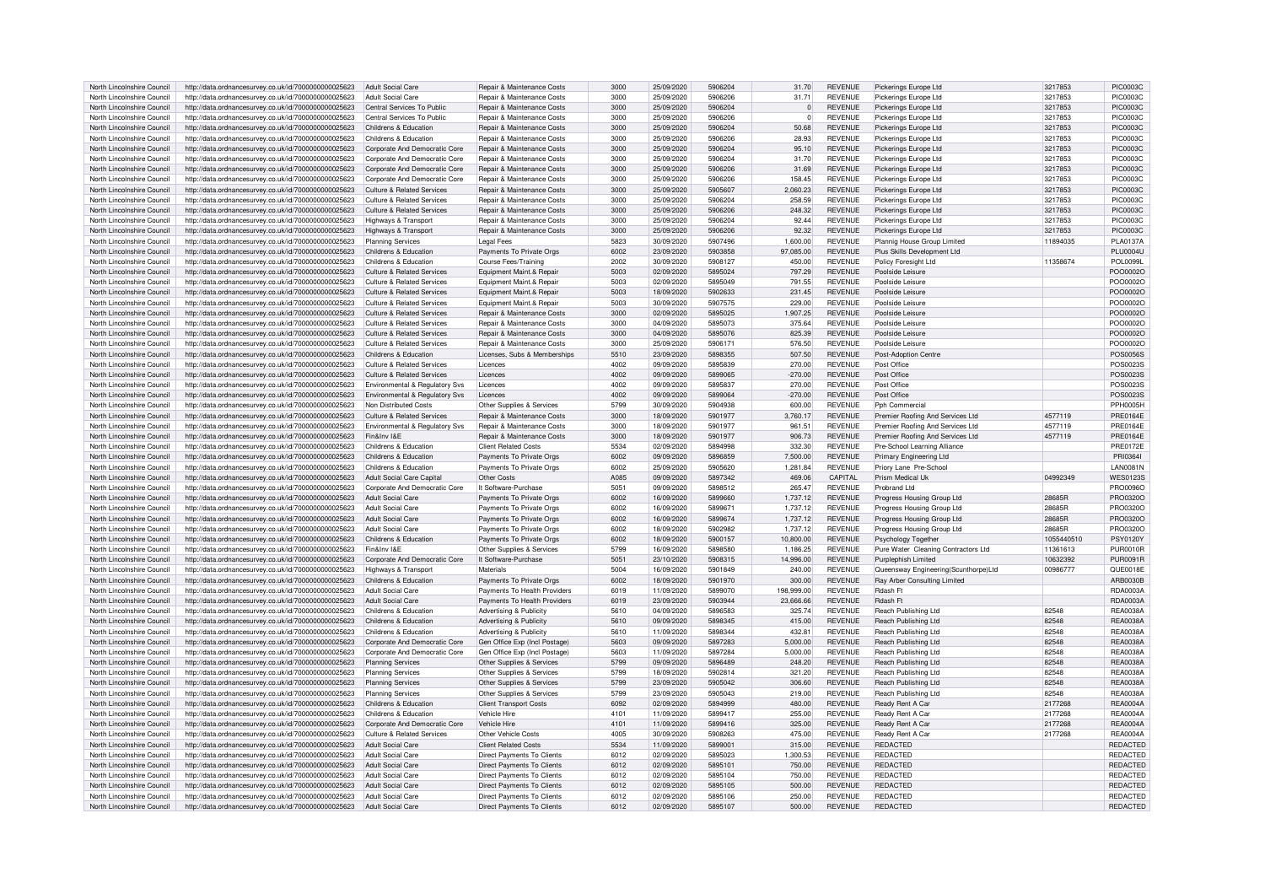| North Lincolnshire Council | http://data.ordnancesurvey.co.uk/id/7000000000025623                                                                          | Adult Social Care                     | Repair & Maintenance Costs                                      | 3000 | 25/09/2020 | 5906204 | 31.70      | <b>REVENUE</b> | Pickerings Europe Ltd                | 3217853       | PIC0003C             |
|----------------------------|-------------------------------------------------------------------------------------------------------------------------------|---------------------------------------|-----------------------------------------------------------------|------|------------|---------|------------|----------------|--------------------------------------|---------------|----------------------|
| North Lincolnshire Council | http://data.ordnancesurvey.co.uk/id/7000000000025623                                                                          | Adult Social Care                     | Repair & Maintenance Costs                                      | 3000 | 25/09/2020 | 5906206 | 31.71      | <b>REVENUE</b> | Pickerings Europe Ltd                | 3217853       | <b>PIC0003C</b>      |
| North Lincolnshire Council | http://data.ordnancesurvey.co.uk/id/7000000000025623                                                                          | Central Services To Public            | Repair & Maintenance Costs                                      | 3000 | 25/09/2020 | 5906204 | $\Omega$   | <b>REVENUE</b> | Pickerings Europe Ltd                | 3217853       | <b>PIC0003C</b>      |
|                            |                                                                                                                               |                                       |                                                                 |      |            |         |            |                |                                      |               |                      |
| North Lincolnshire Council | http://data.ordnancesurvey.co.uk/id/7000000000025623                                                                          | Central Services To Public            | Repair & Maintenance Costs                                      | 3000 | 25/09/2020 | 5906206 | $\Omega$   | <b>REVENUE</b> | Pickerings Europe Ltd                | 3217853       | <b>PIC0003C</b>      |
| North Lincolnshire Council | http://data.ordnancesurvey.co.uk/id/7000000000025623                                                                          | Childrens & Education                 | Repair & Maintenance Costs                                      | 3000 | 25/09/2020 | 5906204 | 50.68      | <b>REVENUE</b> | Pickerings Europe Ltd                | 3217853       | <b>PIC0003C</b>      |
| North Lincolnshire Council | http://data.ordnancesurvey.co.uk/id/7000000000025623                                                                          | Childrens & Education                 | Repair & Maintenance Costs                                      | 3000 | 25/09/2020 | 5906206 | 28.93      | <b>REVENUE</b> | Pickerings Europe Ltd                | 3217853       | PIC0003C             |
|                            |                                                                                                                               |                                       |                                                                 |      |            |         |            |                |                                      |               |                      |
| North Lincolnshire Council | http://data.ordnancesurvey.co.uk/id/7000000000025623                                                                          | Corporate And Democratic Core         | Repair & Maintenance Costs                                      | 3000 | 25/09/2020 | 5906204 | 95.10      | <b>REVENUE</b> | Pickerings Europe Ltd                | 3217853       | <b>PIC0003C</b>      |
| North Lincolnshire Council | http://data.ordnancesurvey.co.uk/id/7000000000025623                                                                          | Corporate And Democratic Core         | Repair & Maintenance Costs                                      | 3000 | 25/09/2020 | 5906204 | 31.70      | <b>REVENUE</b> | Pickerings Europe Ltd                | 3217853       | PIC0003C             |
|                            |                                                                                                                               |                                       |                                                                 |      |            |         |            |                |                                      |               |                      |
| North Lincolnshire Council | http://data.ordnancesurvey.co.uk/id/7000000000025623                                                                          | Corporate And Democratic Core         | Repair & Maintenance Costs                                      | 3000 | 25/09/2020 | 5906206 | 31.69      | <b>REVENUE</b> | Pickerings Europe Ltd                | 3217853       | <b>PIC0003C</b>      |
| North Lincolnshire Council | http://data.ordnancesurvey.co.uk/id/7000000000025623                                                                          | Corporate And Democratic Core         | Repair & Maintenance Costs                                      | 3000 | 25/09/2020 | 5906206 | 158.45     | <b>REVENUE</b> | Pickerings Europe Ltd                | 3217853       | <b>PIC0003C</b>      |
| North Lincolnshire Council | http://data.ordnancesurvey.co.uk/id/7000000000025623                                                                          | <b>Culture &amp; Related Services</b> | Repair & Maintenance Costs                                      | 3000 | 25/09/2020 | 5905607 | 2,060.23   | <b>REVENUE</b> | Pickerings Europe Ltd                | 3217853       | <b>PIC0003C</b>      |
|                            |                                                                                                                               |                                       |                                                                 |      |            |         |            |                |                                      |               |                      |
| North Lincolnshire Council | http://data.ordnancesurvey.co.uk/id/7000000000025623                                                                          | Culture & Related Services            | Repair & Maintenance Costs                                      | 3000 | 25/09/2020 | 5906204 | 258.59     | <b>REVENUE</b> | Pickerings Europe Ltd                | 3217853       | PIC0003C             |
| North Lincolnshire Council | http://data.ordnancesurvey.co.uk/id/7000000000025623                                                                          | Culture & Related Services            | Repair & Maintenance Costs                                      | 3000 | 25/09/2020 | 5906206 | 248.32     | <b>REVENUE</b> | Pickerings Europe Ltd                | 3217853       | PIC0003C             |
| North Lincolnshire Council | http://data.ordnancesurvey.co.uk/id/7000000000025623                                                                          |                                       | Repair & Maintenance Costs                                      | 3000 | 25/09/2020 | 5906204 | 92.44      | <b>REVENUE</b> | Pickerings Europe Ltd                | 3217853       | <b>PIC0003C</b>      |
|                            |                                                                                                                               | Highways & Transport                  |                                                                 |      |            |         |            |                |                                      |               |                      |
| North Lincolnshire Council | http://data.ordnancesurvey.co.uk/id/7000000000025623                                                                          | Highways & Transport                  | Repair & Maintenance Costs                                      | 3000 | 25/09/2020 | 5906206 | 92.32      | <b>REVENUE</b> | Pickerings Europe Ltd                | 3217853       | <b>PIC0003C</b>      |
| North Lincolnshire Council | http://data.ordnancesurvey.co.uk/id/7000000000025623                                                                          | <b>Planning Services</b>              | <b>Legal Fees</b>                                               | 5823 | 30/09/2020 | 5907496 | 1,600.00   | REVENUE        | Plannig House Group Limited          | 11894035      | <b>PLA0137A</b>      |
| North Lincolnshire Council | http://data.ordnancesurvey.co.uk/id/7000000000025623                                                                          | Childrens & Education                 | Payments To Private Orgs                                        | 6002 | 23/09/2020 | 5903858 | 97.085.00  | <b>REVENUE</b> | Plus Skills Development Ltd          |               | <b>PLU0004U</b>      |
|                            |                                                                                                                               |                                       |                                                                 |      |            |         |            |                |                                      |               |                      |
| North Lincolnshire Council | http://data.ordnancesurvey.co.uk/id/7000000000025623                                                                          | Childrens & Education                 | <b>Course Fees/Training</b>                                     | 2002 | 30/09/2020 | 5908127 | 450.00     | <b>REVENUE</b> | Policy Foresight Ltd                 | 11358674      | <b>POL0099L</b>      |
| North Lincolnshire Council | http://data.ordnancesurvey.co.uk/id/7000000000025623                                                                          | Culture & Related Services            | Equipment Maint.& Repair                                        | 5003 | 02/09/2020 | 5895024 | 797.29     | <b>REVENUE</b> | Poolside Leisure                     |               | POO0002C             |
|                            |                                                                                                                               |                                       |                                                                 |      |            |         |            |                |                                      |               |                      |
| North Lincolnshire Council | http://data.ordnancesurvey.co.uk/id/7000000000025623                                                                          | <b>Culture &amp; Related Services</b> | Equipment Maint.& Repair                                        | 5003 | 02/09/2020 | 5895049 | 791.55     | <b>REVENUE</b> | Poolside Leisure                     |               | POO0002C             |
| North Lincolnshire Council | http://data.ordnancesurvey.co.uk/id/7000000000025623                                                                          | Culture & Related Services            | Equipment Maint.& Repair                                        | 5003 | 18/09/2020 | 5902633 | 231.45     | <b>REVENUE</b> | Poolside Leisure                     |               | POO0002C             |
| North Lincolnshire Council | http://data.ordnancesurvey.co.uk/id/7000000000025623                                                                          | <b>Culture &amp; Related Services</b> | Equipment Maint.& Repair                                        | 5003 | 30/09/2020 | 5907575 | 229.00     | <b>REVENUE</b> | Poolside Leisure                     |               | POO0002C             |
|                            |                                                                                                                               |                                       |                                                                 |      |            |         |            |                |                                      |               |                      |
| North Lincolnshire Council | http://data.ordnancesurvey.co.uk/id/7000000000025623                                                                          | Culture & Related Services            | Repair & Maintenance Costs                                      | 3000 | 02/09/2020 | 5895025 | 1.907.25   | <b>REVENUE</b> | Poolside Leisure                     |               | POO0002C             |
| North Lincolnshire Council | http://data.ordnancesurvey.co.uk/id/7000000000025623                                                                          | Culture & Related Services            | Repair & Maintenance Costs                                      | 3000 | 04/09/2020 | 5895073 | 375.64     | <b>REVENUE</b> | Poolside Leisure                     |               | POO0002C             |
|                            |                                                                                                                               |                                       |                                                                 |      |            |         |            |                |                                      |               |                      |
| North Lincolnshire Council | http://data.ordnancesurvey.co.uk/id/7000000000025623                                                                          | <b>Culture &amp; Related Services</b> | Repair & Maintenance Costs                                      | 3000 | 04/09/2020 | 5895076 | 825.39     | <b>REVENUE</b> | Poolside Leisure                     |               | POO0002C             |
| North Lincolnshire Council | http://data.ordnancesurvey.co.uk/id/7000000000025623                                                                          | Culture & Related Services            | Repair & Maintenance Costs                                      | 3000 | 25/09/2020 | 590617  | 576.50     | <b>REVENUE</b> | Poolside Leisure                     |               | POO00020             |
| North Lincolnshire Council | http://data.ordnancesurvey.co.uk/id/7000000000025623                                                                          | Childrens & Education                 | Licenses, Subs & Memberships                                    | 5510 | 23/09/2020 | 5898355 | 507.50     | <b>REVENUE</b> | Post-Adoption Centre                 |               | <b>POS0056S</b>      |
|                            |                                                                                                                               |                                       |                                                                 |      |            |         |            |                |                                      |               |                      |
| North Lincolnshire Council | http://data.ordnancesurvey.co.uk/id/7000000000025623                                                                          | Culture & Related Services            | Licences                                                        | 4002 | 09/09/2020 | 5895839 | 270.00     | <b>REVENUE</b> | Post Office                          |               | POS0023S             |
| North Lincolnshire Council | http://data.ordnancesurvey.co.uk/id/7000000000025623                                                                          | Culture & Related Services            | Licences                                                        | 4002 | 09/09/2020 | 5899065 | $-270.00$  | <b>REVENUE</b> | Post Office                          |               | POS0023S             |
| North Lincolnshire Council | http://data.ordnancesurvey.co.uk/id/7000000000025623                                                                          | Environmental & Regulatory Svs        | Licences                                                        | 4002 | 09/09/2020 | 5895837 | 270.00     | <b>REVENUE</b> | Post Office                          |               | POS0023S             |
|                            |                                                                                                                               |                                       |                                                                 |      |            |         |            |                |                                      |               |                      |
| North Lincolnshire Council | http://data.ordnancesurvey.co.uk/id/7000000000025623                                                                          | Environmental & Regulatory Svs        | Licences                                                        | 4002 | 09/09/2020 | 5899064 | $-270.00$  | <b>REVENUE</b> | Post Office                          |               | POS0023S             |
| North Lincolnshire Council | http://data.ordnancesurvey.co.uk/id/7000000000025623                                                                          | Non Distributed Costs                 | Other Supplies & Services                                       | 5799 | 30/09/2020 | 5904938 | 600.00     | <b>REVENUE</b> | Pph Commercial                       |               | <b>PPH0005H</b>      |
| North Lincolnshire Council |                                                                                                                               |                                       |                                                                 | 3000 |            | 5901977 |            | <b>REVENUE</b> |                                      |               |                      |
|                            | http://data.ordnancesurvey.co.uk/id/7000000000025623                                                                          | <b>Culture &amp; Related Services</b> | Repair & Maintenance Costs                                      |      | 18/09/2020 |         | 3,760.17   |                | Premier Roofing And Services Ltd     | 4577119       | <b>PRE0164E</b>      |
| North Lincolnshire Council | http://data.ordnancesurvey.co.uk/id/7000000000025623                                                                          | Environmental & Regulatory Svs        | Repair & Maintenance Costs                                      | 3000 | 18/09/2020 | 5901977 | 961.51     | <b>REVENUE</b> | Premier Roofing And Services Ltd     | 4577119       | <b>PRE0164E</b>      |
| North Lincolnshire Council | http://data.ordnancesurvey.co.uk/id/7000000000025623                                                                          | Fin&Inv I&F                           | <b>Repair &amp; Maintenance Costs</b>                           | 3000 | 18/09/2020 | 5901977 | 906.73     | <b>REVENUE</b> | Premier Roofing And Services Ltd     | 4577119       | <b>PRE0164E</b>      |
|                            |                                                                                                                               |                                       |                                                                 |      |            |         |            |                |                                      |               |                      |
| North Lincolnshire Council | http://data.ordnancesurvey.co.uk/id/7000000000025623                                                                          | Childrens & Education                 | <b>Client Related Costs</b>                                     | 5534 | 02/09/2020 | 5894998 | 332.30     | REVENUE        | Pre-School Learning Alliance         |               | PRE0172E             |
| North Lincolnshire Council | http://data.ordnancesurvey.co.uk/id/7000000000025623                                                                          | Childrens & Education                 | Payments To Private Orgs                                        | 6002 | 09/09/2020 | 5896859 | 7.500.00   | <b>REVENUE</b> | Primary Engineering Ltd              |               | PRI0364              |
| North Lincolnshire Council | http://data.ordnancesurvey.co.uk/id/7000000000025623                                                                          | Childrens & Education                 | Payments To Private Orgs                                        | 6002 | 25/09/2020 | 5905620 | 1,281.84   | <b>REVENUE</b> | Priory Lane Pre-School               |               | <b>LAN0081N</b>      |
|                            |                                                                                                                               |                                       |                                                                 |      |            |         |            |                |                                      |               |                      |
| North Lincolnshire Council | http://data.ordnancesurvey.co.uk/id/7000000000025623                                                                          | Adult Social Care Capital             | Other Costs                                                     | A085 | 09/09/2020 | 5897342 | 469.06     | CAPITAL        | Prism Medical Uk                     | 04992349      | <b>WES01239</b>      |
| North Lincolnshire Council | http://data.ordnancesurvey.co.uk/id/7000000000025623                                                                          | Corporate And Democratic Core         | It Software-Purchase                                            | 5051 | 09/09/2020 | 5898512 | 265.47     | REVENUE        | Probrand Ltd                         |               | <b>PRO0096C</b>      |
|                            |                                                                                                                               |                                       |                                                                 |      |            |         |            |                |                                      |               |                      |
| North Lincolnshire Council | http://data.ordnancesurvey.co.uk/id/7000000000025623                                                                          | <b>Adult Social Care</b>              | Payments To Private Orgs                                        | 6002 | 16/09/2020 | 5899660 | 1,737.12   | REVENUE        | Progress Housing Group Ltd           | 28685F        | PRO0320C             |
| North Lincolnshire Council | http://data.ordnancesurvey.co.uk/id/7000000000025623                                                                          | <b>Adult Social Care</b>              | Payments To Private Orgs                                        | 6002 | 16/09/2020 | 5899671 | 1,737.12   | REVENUE        | Progress Housing Group Ltd           | 28685F        | PRO0320C             |
| North Lincolnshire Council |                                                                                                                               |                                       | Payments To Private Orgs                                        | 6002 | 16/09/2020 | 5899674 | 1.737.12   | <b>REVENUE</b> | Progress Housing Group Ltd           | 28685R        | PRO0320C             |
|                            |                                                                                                                               |                                       |                                                                 |      |            |         |            |                |                                      |               |                      |
|                            | http://data.ordnancesurvey.co.uk/id/7000000000025623                                                                          | Adult Social Care                     |                                                                 |      |            |         |            |                | Progress Housing Group Ltd           |               |                      |
| North Lincolnshire Council | http://data.ordnancesurvey.co.uk/id/7000000000025623                                                                          | <b>Adult Social Care</b>              | Payments To Private Orgs                                        | 6002 | 18/09/2020 | 5902982 | 1,737.12   | REVENUE        |                                      | <b>28685B</b> | PRO0320C             |
|                            |                                                                                                                               |                                       |                                                                 | 6002 |            | 5900157 |            |                |                                      |               |                      |
| North Lincolnshire Council | http://data.ordnancesurvey.co.uk/id/7000000000025623                                                                          | Childrens & Education                 | Payments To Private Orgs                                        |      | 18/09/2020 |         | 10,800.00  | <b>REVENUE</b> | Psychology Togethe                   | 1055440510    | <b>PSY0120Y</b>      |
| North Lincolnshire Council | http://data.ordnancesurvey.co.uk/id/7000000000025623                                                                          | Fin&Inv I&F                           | Other Supplies & Services                                       | 5799 | 16/09/2020 | 5898580 | 1.186.25   | <b>REVENUE</b> | Pure Water Cleaning Contractors Ltd  | 11361613      | PUR0010F             |
| North Lincolnshire Council | http://data.ordnancesurvey.co.uk/id/7000000000025623                                                                          | Corporate And Democratic Core         | It Software-Purchase                                            | 5051 | 23/10/2020 | 5908315 | 14.996.00  | <b>REVENUE</b> | Purplephish Limited                  | 10632392      | <b>PUR0091F</b>      |
|                            |                                                                                                                               |                                       | Materials                                                       | 5004 | 16/09/2020 | 5901849 |            | <b>REVENUE</b> |                                      |               |                      |
| North Lincolnshire Council | http://data.ordnancesurvey.co.uk/id/7000000000025623                                                                          | Highways & Transport                  |                                                                 |      |            |         | 240.00     |                | Queensway Engineering(Scunthorpe)Ltd | 00986777      | QUE0018E             |
| North Lincolnshire Council | http://data.ordnancesurvey.co.uk/id/7000000000025623                                                                          | Childrens & Education                 | Payments To Private Orgs                                        | 6002 | 18/09/2020 | 5901970 | 300.00     | <b>REVENUE</b> | Ray Arber Consulting Limited         |               | ARB0030B             |
| North Lincolnshire Council | http://data.ordnancesurvey.co.uk/id/7000000000025623                                                                          | Adult Social Care                     | Payments To Health Providers                                    | 6019 | 11/09/2020 | 5899070 | 198,999.00 | <b>REVENUE</b> | Rdash Ft                             |               | RDA0003A             |
|                            |                                                                                                                               |                                       |                                                                 |      | 23/09/2020 | 5903944 |            |                |                                      |               |                      |
| North Lincolnshire Council | http://data.ordnancesurvey.co.uk/id/7000000000025623                                                                          | Adult Social Care                     | Payments To Health Providers                                    | 6019 |            |         | 23,666.66  | <b>REVENUE</b> | Rdash Ft                             |               | RDA0003A             |
| North Lincolnshire Council | http://data.ordnancesurvey.co.uk/id/7000000000025623                                                                          | Childrens & Education                 | Advertising & Publicity                                         | 5610 | 04/09/2020 | 5896583 | 325.74     | <b>REVENUE</b> | Reach Publishing Ltd                 | 82548         | <b>REA0038A</b>      |
| North Lincolnshire Council | http://data.ordnancesurvey.co.uk/id/7000000000025623                                                                          | Childrens & Education                 | Advertising & Publicity                                         | 5610 | 09/09/2020 | 5898345 | 415.00     | <b>REVENUE</b> | Reach Publishing Ltd                 | 82548         | <b>REA0038A</b>      |
|                            |                                                                                                                               |                                       |                                                                 |      |            | 5898344 |            |                |                                      |               |                      |
| North Lincolnshire Council | http://data.ordnancesurvey.co.uk/id/7000000000025623                                                                          | Childrens & Education                 | Advertising & Publicity                                         | 5610 | 11/09/2020 |         | 432.81     | <b>REVENUE</b> | Reach Publishing Ltd                 | 82548         | REA0038A             |
| North Lincolnshire Council | http://data.ordnancesurvey.co.uk/id/7000000000025623                                                                          | Corporate And Democratic Core         | Gen Office Exp (Incl Postage)                                   | 5603 | 09/09/2020 | 5897283 | 5,000.00   | <b>REVENUE</b> | Reach Publishing Ltd                 | 82548         | REA0038A             |
| North Lincolnshire Council | http://data.ordnancesurvey.co.uk/id/7000000000025623                                                                          | Corporate And Democratic Core         | Gen Office Exp (Incl Postage)                                   | 5603 | 11/09/2020 | 5897284 | 5,000.00   | <b>REVENUE</b> | Reach Publishing Ltd                 | 82548         | <b>REA0038A</b>      |
|                            |                                                                                                                               |                                       |                                                                 |      |            |         |            |                |                                      |               |                      |
| North Lincolnshire Council | http://data.ordnancesurvey.co.uk/id/7000000000025623                                                                          | <b>Planning Services</b>              | Other Supplies & Services                                       | 5799 | 09/09/2020 | 5896489 | 248.20     | <b>REVENUE</b> | Reach Publishing Ltd                 | 82548         | <b>REA0038A</b>      |
| North Lincolnshire Council | http://data.ordnancesurvey.co.uk/id/7000000000025623                                                                          | <b>Planning Services</b>              | Other Supplies & Services                                       | 5799 | 18/09/2020 | 5902814 | 321.20     | <b>REVENUE</b> | Reach Publishing Ltd                 | 82548         | <b>REA0038A</b>      |
| North Lincolnshire Council |                                                                                                                               | <b>Planning Services</b>              | Other Supplies & Services                                       | 5799 | 23/09/2020 | 5905042 | 306.60     | <b>REVENUE</b> | Reach Publishing Ltd                 | 82548         | <b>REA0038A</b>      |
|                            | http://data.ordnancesurvey.co.uk/id/7000000000025623                                                                          |                                       |                                                                 |      |            |         |            |                |                                      |               |                      |
| North Lincolnshire Council | http://data.ordnancesurvey.co.uk/id/7000000000025623                                                                          | <b>Planning Services</b>              | Other Supplies & Services                                       | 5799 | 23/09/2020 | 5905043 | 219.00     | <b>REVENUE</b> | Reach Publishing Ltd                 | 82548         | <b>REA0038A</b>      |
| North Lincolnshire Council | http://data.ordnancesurvey.co.uk/id/7000000000025623                                                                          | Childrens & Education                 | <b>Client Transport Costs</b>                                   | 6092 | 02/09/2020 | 5894999 | 480.00     | <b>REVENUE</b> | Ready Rent A Car                     | 2177268       | <b>REA0004A</b>      |
|                            |                                                                                                                               | Childrens & Education                 | Vehicle Hire                                                    | 4101 |            | 5899417 |            |                |                                      |               | <b>RFA0004</b>       |
| North Lincolnshire Council | http://data.ordnancesurvey.co.uk/id/7000000000025623                                                                          |                                       |                                                                 |      | 11/09/2020 |         | 255.00     | <b>REVENUE</b> | Ready Rent A Car                     | 2177268       |                      |
| North Lincolnshire Council | http://data.ordnancesurvey.co.uk/id/7000000000025623                                                                          | Corporate And Democratic Core         | Vehicle Hire                                                    | 4101 | 11/09/2020 | 5899416 | 325.00     | <b>REVENUE</b> | Ready Rent A Car                     | 2177268       | <b>REA0004A</b>      |
| North Lincolnshire Council | http://data.ordnancesurvey.co.uk/id/7000000000025623                                                                          | Culture & Related Services            | Other Vehicle Costs                                             | 4005 | 30/09/2020 | 5908263 | 475.00     | <b>REVENUE</b> | Ready Rent A Car                     | 2177268       | <b>REA0004A</b>      |
|                            |                                                                                                                               |                                       |                                                                 |      |            |         |            |                |                                      |               |                      |
| North Lincolnshire Council | http://data.ordnancesurvey.co.uk/id/7000000000025623                                                                          | <b>Adult Social Care</b>              | <b>Client Related Costs</b>                                     | 5534 | 11/09/2020 | 5899001 | 315.00     | <b>REVENUE</b> | <b>REDACTED</b>                      |               | REDACTED             |
| North Lincolnshire Council | http://data.ordnancesurvey.co.uk/id/7000000000025623                                                                          | <b>Adult Social Care</b>              | <b>Direct Payments To Clients</b>                               | 6012 | 02/09/2020 | 5895023 | 1,300.53   | <b>REVENUE</b> | <b>REDACTED</b>                      |               | REDACTED             |
| North Lincolnshire Council | http://data.ordnancesurvey.co.uk/id/7000000000025623                                                                          | <b>Adult Social Care</b>              | Direct Payments To Clients                                      | 6012 | 02/09/2020 | 5895101 | 750.00     | <b>REVENUE</b> | <b>REDACTED</b>                      |               | REDACTED             |
|                            |                                                                                                                               |                                       |                                                                 |      |            |         |            |                |                                      |               |                      |
| North Lincolnshire Council | http://data.ordnancesurvey.co.uk/id/7000000000025623                                                                          | Adult Social Care                     | <b>Direct Payments To Clients</b>                               | 6012 | 02/09/2020 | 5895104 | 750.00     | <b>REVENUE</b> | <b>REDACTED</b>                      |               | REDACTED             |
| North Lincolnshire Council | http://data.ordnancesurvey.co.uk/id/7000000000025623                                                                          | <b>Adult Social Care</b>              | <b>Direct Payments To Clients</b>                               | 6012 | 02/09/2020 | 5895105 | 500.00     | <b>REVENUE</b> | <b>REDACTED</b>                      |               | REDACTED             |
| North Lincolnshire Council |                                                                                                                               | Adult Social Care                     |                                                                 | 6012 | 02/09/2020 | 5895106 | 250.00     | <b>REVENUE</b> | <b>REDACTED</b>                      |               |                      |
| North Lincolnshire Council | http://data.ordnancesurvey.co.uk/id/7000000000025623<br>http://data.ordnancesurvey.co.uk/id/700000000025623 Adult Social Care |                                       | Direct Payments To Clients<br><b>Direct Payments To Clients</b> | 6012 | 02/09/2020 | 5895107 | 500.00     | <b>REVENUE</b> | REDACTED                             |               | REDACTED<br>REDACTED |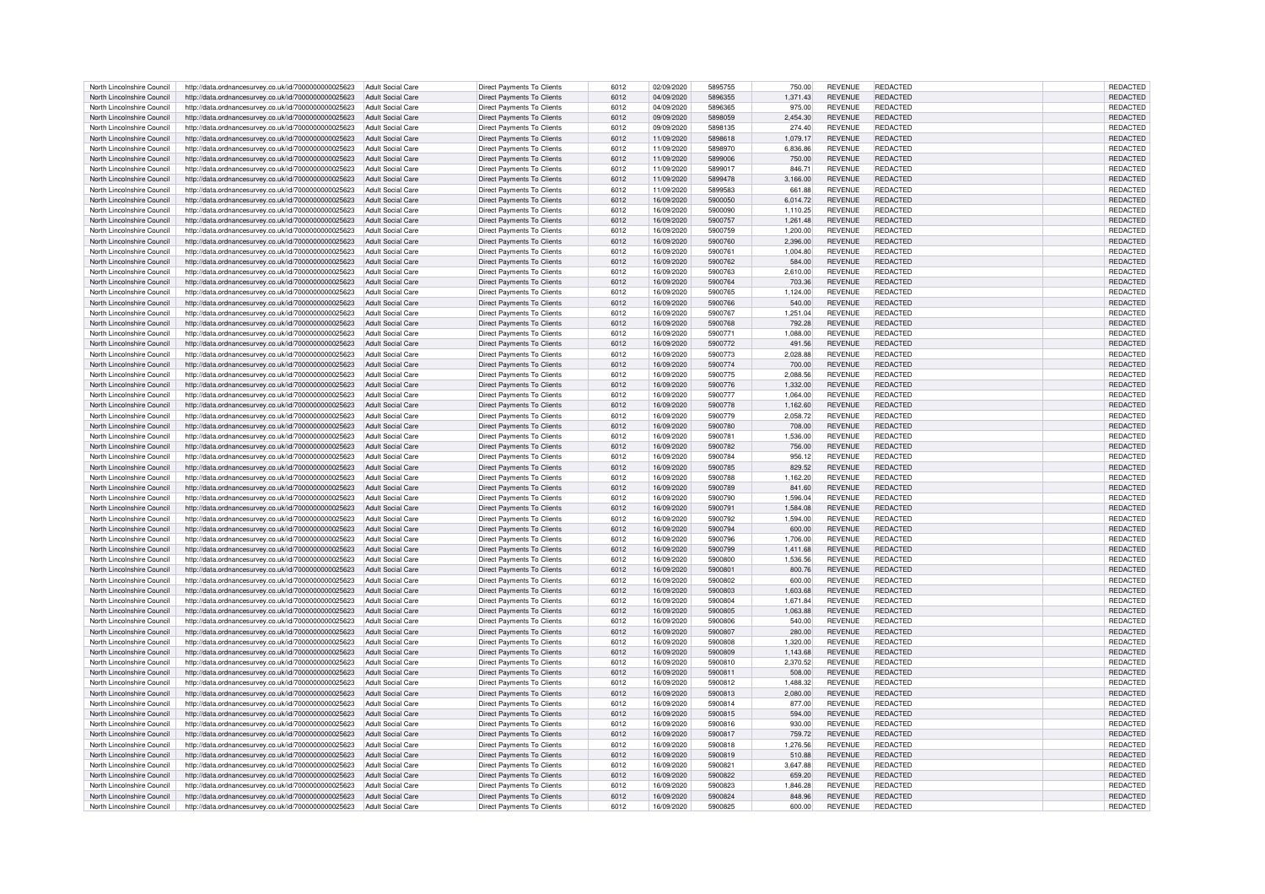| North Lincolnshire Council | http://data.ordnancesurvey.co.uk/id/7000000000025623 | <b>Adult Social Care</b> | Direct Payments To Clients        | 6012 | 02/09/2020 | 5895755 | 750.00   | <b>REVENUE</b> | REDACTED        | REDACTED        |
|----------------------------|------------------------------------------------------|--------------------------|-----------------------------------|------|------------|---------|----------|----------------|-----------------|-----------------|
| North Lincolnshire Council | http://data.ordnancesurvey.co.uk/id/7000000000025623 | <b>Adult Social Care</b> | <b>Direct Payments To Clients</b> | 6012 | 04/09/2020 | 5896355 | 1,371.43 | <b>REVENUE</b> | REDACTED        | REDACTED        |
| North Lincolnshire Council | http://data.ordnancesurvey.co.uk/id/7000000000025623 | <b>Adult Social Care</b> | Direct Payments To Clients        | 6012 | 04/09/2020 | 5896365 | 975.00   | REVENUE        | <b>REDACTED</b> | REDACTED        |
| North Lincolnshire Council | http://data.ordnancesurvey.co.uk/id/7000000000025623 | <b>Adult Social Care</b> | <b>Direct Payments To Clients</b> | 6012 | 09/09/2020 | 5898059 | 2.454.30 | <b>REVENUE</b> | REDACTED        | REDACTED        |
| North Lincolnshire Council | http://data.ordnancesurvey.co.uk/id/7000000000025623 | <b>Adult Social Care</b> | Direct Payments To Clients        | 6012 | 09/09/2020 | 5898135 | 274.40   | <b>REVENUE</b> | REDACTED        | REDACTED        |
| North Lincolnshire Council | http://data.ordnancesurvey.co.uk/id/7000000000025623 | <b>Adult Social Care</b> | Direct Payments To Clients        | 6012 | 11/09/2020 | 5898618 | 1,079.17 | <b>REVENUE</b> | REDACTED        | REDACTED        |
| North Lincolnshire Council |                                                      | <b>Adult Social Care</b> | Direct Payments To Clients        | 6012 | 11/09/2020 | 5898970 | 6.836.86 | <b>REVENUE</b> | REDACTED        | REDACTED        |
|                            | http://data.ordnancesurvey.co.uk/id/7000000000025623 |                          |                                   |      |            | 5899006 |          |                | <b>REDACTED</b> |                 |
| North Lincolnshire Council | http://data.ordnancesurvey.co.uk/id/7000000000025623 | <b>Adult Social Care</b> | Direct Payments To Clients        | 6012 | 11/09/2020 |         | 750.00   | <b>REVENUE</b> |                 | REDACTED        |
| North Lincolnshire Council | http://data.ordnancesurvey.co.uk/id/7000000000025623 | <b>Adult Social Care</b> | <b>Direct Payments To Clients</b> | 6012 | 11/09/2020 | 5899017 | 846.71   | <b>REVENUE</b> | REDACTED        | <b>REDACTED</b> |
| North Lincolnshire Council | http://data.ordnancesurvey.co.uk/id/7000000000025623 | <b>Adult Social Care</b> | Direct Payments To Clients        | 6012 | 11/09/2020 | 5899478 | 3,166.00 | <b>REVENUE</b> | <b>REDACTED</b> | REDACTED        |
| North Lincolnshire Council | http://data.ordnancesurvey.co.uk/id/7000000000025623 | <b>Adult Social Care</b> | <b>Direct Payments To Clients</b> | 6012 | 11/09/2020 | 5899583 | 661.88   | REVENUE        | <b>REDACTED</b> | REDACTED        |
| North Lincolnshire Council | http://data.ordnancesurvey.co.uk/id/7000000000025623 | <b>Adult Social Care</b> | Direct Payments To Clients        | 6012 | 16/09/2020 | 5900050 | 6,014.72 | REVENUE        | REDACTED        | REDACTED        |
| North Lincolnshire Council | http://data.ordnancesurvey.co.uk/id/7000000000025623 | <b>Adult Social Care</b> | Direct Payments To Clients        | 6012 | 16/09/2020 | 5900090 | 1,110.25 | REVENUE        | <b>REDACTED</b> | REDACTED        |
| North Lincolnshire Council | http://data.ordnancesurvey.co.uk/id/7000000000025623 | <b>Adult Social Care</b> | <b>Direct Payments To Clients</b> | 6012 | 16/09/2020 | 5900757 | 1.261.48 | <b>REVENUE</b> | REDACTED        | <b>REDACTED</b> |
| North Lincolnshire Council | http://data.ordnancesurvey.co.uk/id/7000000000025623 | <b>Adult Social Care</b> | Direct Payments To Clients        | 6012 | 16/09/2020 | 5900759 | 1,200.00 | REVENUE        | REDACTED        | REDACTED        |
| North Lincolnshire Council | http://data.ordnancesurvey.co.uk/id/7000000000025623 | <b>Adult Social Care</b> | <b>Direct Payments To Clients</b> | 6012 | 16/09/2020 | 5900760 | 2,396.00 | REVENUE        | REDACTED        | REDACTED        |
| North Lincolnshire Council | http://data.ordnancesurvey.co.uk/id/7000000000025623 | <b>Adult Social Care</b> | Direct Payments To Clients        | 6012 | 16/09/2020 | 5900761 | 1.004.80 | REVENUE        | REDACTED        | REDACTED        |
| North Lincolnshire Council | http://data.ordnancesurvey.co.uk/id/7000000000025623 | <b>Adult Social Care</b> | <b>Direct Payments To Clients</b> | 6012 | 16/09/2020 | 5900762 | 584.00   | REVENUE        | <b>REDACTED</b> | REDACTED        |
| North Lincolnshire Council | http://data.ordnancesurvey.co.uk/id/7000000000025623 | <b>Adult Social Care</b> | Direct Payments To Clients        | 6012 | 16/09/2020 | 5900763 | 2,610.00 | <b>REVENUE</b> | REDACTED        | REDACTED        |
| North Lincolnshire Council | http://data.ordnancesurvey.co.uk/id/7000000000025623 | <b>Adult Social Care</b> | Direct Payments To Clients        | 6012 | 16/09/2020 | 5900764 | 703.36   | <b>REVENUE</b> | REDACTED        | REDACTED        |
| North Lincolnshire Council | http://data.ordnancesurvey.co.uk/id/7000000000025623 | <b>Adult Social Care</b> | Direct Payments To Clients        | 6012 | 16/09/2020 | 5900765 | 1,124.00 | REVENUE        | <b>REDACTED</b> | REDACTED        |
| North Lincolnshire Council | http://data.ordnancesurvey.co.uk/id/7000000000025623 | <b>Adult Social Care</b> | <b>Direct Payments To Clients</b> | 6012 | 16/09/2020 | 5900766 | 540.00   | REVENUE        | REDACTED        | REDACTED        |
| North Lincolnshire Council | http://data.ordnancesurvey.co.uk/id/7000000000025623 | Adult Social Care        | Direct Payments To Clients        | 6012 | 16/09/2020 | 5900767 | 1,251.04 | REVENUE        | <b>REDACTED</b> | REDACTED        |
| North Lincolnshire Council |                                                      |                          |                                   | 6012 |            | 5900768 |          |                | REDACTED        | REDACTED        |
|                            | http://data.ordnancesurvey.co.uk/id/7000000000025623 | <b>Adult Social Care</b> | Direct Payments To Clients        |      | 16/09/2020 |         | 792.28   | <b>REVENUE</b> |                 |                 |
| North Lincolnshire Council | http://data.ordnancesurvey.co.uk/id/7000000000025623 | <b>Adult Social Care</b> | Direct Payments To Clients        | 6012 | 16/09/2020 | 5900771 | 1,088.00 | <b>REVENUE</b> | <b>REDACTED</b> | REDACTED        |
| North Lincolnshire Council | http://data.ordnancesurvey.co.uk/id/7000000000025623 | <b>Adult Social Care</b> | Direct Payments To Clients        | 6012 | 16/09/2020 | 5900772 | 491.56   | <b>REVENUE</b> | <b>REDACTED</b> | REDACTED        |
| North Lincolnshire Council | http://data.ordnancesurvey.co.uk/id/7000000000025623 | <b>Adult Social Care</b> | <b>Direct Payments To Clients</b> | 6012 | 16/09/2020 | 5900773 | 2,028.88 | <b>REVENUE</b> | REDACTED        | REDACTED        |
| North Lincolnshire Council | http://data.ordnancesurvey.co.uk/id/7000000000025623 | <b>Adult Social Care</b> | <b>Direct Payments To Clients</b> | 6012 | 16/09/2020 | 5900774 | 700.00   | <b>REVENUE</b> | REDACTED        | <b>REDACTED</b> |
| North Lincolnshire Council | http://data.ordnancesurvey.co.uk/id/7000000000025623 | <b>Adult Social Care</b> | <b>Direct Payments To Clients</b> | 6012 | 16/09/2020 | 5900775 | 2.088.56 | <b>REVENUE</b> | REDACTED        | REDACTED        |
| North Lincolnshire Council | http://data.ordnancesurvey.co.uk/id/7000000000025623 | <b>Adult Social Care</b> | Direct Payments To Clients        | 6012 | 16/09/2020 | 5900776 | 1,332.00 | <b>REVENUE</b> | REDACTED        | REDACTED        |
| North Lincolnshire Council | http://data.ordnancesurvey.co.uk/id/7000000000025623 | Adult Social Care        | Direct Payments To Clients        | 6012 | 16/09/2020 | 5900777 | 1,064.00 | <b>REVENUE</b> | REDACTED        | REDACTED        |
| North Lincolnshire Council | http://data.ordnancesurvey.co.uk/id/7000000000025623 | <b>Adult Social Care</b> | <b>Direct Payments To Clients</b> | 6012 | 16/09/2020 | 5900778 | 1,162.60 | REVENUE        | REDACTED        | REDACTED        |
| North Lincolnshire Council | http://data.ordnancesurvey.co.uk/id/7000000000025623 | <b>Adult Social Care</b> | Direct Payments To Clients        | 6012 | 16/09/2020 | 5900779 | 2,058.72 | REVENUE        | REDACTED        | REDACTED        |
| North Lincolnshire Council | http://data.ordnancesurvey.co.uk/id/7000000000025623 | <b>Adult Social Care</b> | Direct Payments To Clients        | 6012 | 16/09/2020 | 5900780 | 708.00   | <b>REVENUE</b> | REDACTED        | REDACTED        |
| North Lincolnshire Council | http://data.ordnancesurvey.co.uk/id/7000000000025623 | <b>Adult Social Care</b> | Direct Payments To Clients        | 6012 | 16/09/2020 | 5900781 | 1,536.00 | <b>REVENUE</b> | REDACTED        | REDACTED        |
| North Lincolnshire Council | http://data.ordnancesurvey.co.uk/id/7000000000025623 | <b>Adult Social Care</b> | Direct Payments To Clients        | 6012 | 16/09/2020 | 5900782 | 756.00   | REVENUE        | REDACTED        | REDACTED        |
| North Lincolnshire Council | http://data.ordnancesurvey.co.uk/id/7000000000025623 | Adult Social Care        | <b>Direct Payments To Clients</b> | 6012 | 16/09/2020 | 5900784 | 956.12   | REVENUE        | <b>REDACTED</b> | REDACTED        |
| North Lincolnshire Council | http://data.ordnancesurvey.co.uk/id/7000000000025623 | <b>Adult Social Care</b> | <b>Direct Payments To Clients</b> | 6012 | 16/09/2020 | 5900785 | 829.52   | <b>REVENUE</b> | REDACTED        | REDACTED        |
| North Lincolnshire Council | http://data.ordnancesurvey.co.uk/id/7000000000025623 | <b>Adult Social Care</b> | <b>Direct Payments To Clients</b> | 6012 | 16/09/2020 | 5900788 | 1,162.20 | REVENUE        | REDACTED        | REDACTED        |
|                            |                                                      |                          |                                   |      |            |         |          |                |                 |                 |
| North Lincolnshire Council | http://data.ordnancesurvey.co.uk/id/7000000000025623 | <b>Adult Social Care</b> | Direct Payments To Clients        | 6012 | 16/09/2020 | 5900789 | 841.60   | REVENUE        | REDACTED        | REDACTED        |
| North Lincolnshire Council | http://data.ordnancesurvey.co.uk/id/7000000000025623 | <b>Adult Social Care</b> | <b>Direct Payments To Clients</b> | 6012 | 16/09/2020 | 5900790 | 1,596.04 | REVENUE        | REDACTED        | REDACTED        |
| North Lincolnshire Council | http://data.ordnancesurvey.co.uk/id/7000000000025623 | <b>Adult Social Care</b> | Direct Payments To Clients        | 6012 | 16/09/2020 | 590079  | 1,584.08 | <b>REVENUE</b> | <b>REDACTED</b> | REDACTED        |
| North Lincolnshire Council | http://data.ordnancesurvey.co.uk/id/7000000000025623 | <b>Adult Social Care</b> | Direct Payments To Clients        | 6012 | 16/09/2020 | 5900792 | 1,594.00 | REVENUE        | REDACTED        | REDACTED        |
| North Lincolnshire Council | http://data.ordnancesurvey.co.uk/id/7000000000025623 | <b>Adult Social Care</b> | Direct Payments To Clients        | 6012 | 16/09/2020 | 5900794 | 600.00   | <b>REVENUE</b> | REDACTED        | REDACTED        |
| North Lincolnshire Council | http://data.ordnancesurvey.co.uk/id/7000000000025623 | <b>Adult Social Care</b> | Direct Payments To Clients        | 6012 | 16/09/2020 | 5900796 | 1,706.00 | <b>REVENUE</b> | REDACTED        | REDACTED        |
| North Lincolnshire Council | http://data.ordnancesurvey.co.uk/id/7000000000025623 | <b>Adult Social Care</b> | <b>Direct Payments To Clients</b> | 6012 | 16/09/2020 | 5900799 | 1,411.68 | REVENUE        | REDACTED        | REDACTED        |
| North Lincolnshire Council | http://data.ordnancesurvey.co.uk/id/7000000000025623 | <b>Adult Social Care</b> | Direct Payments To Clients        | 6012 | 16/09/2020 | 5900800 | 1.536.56 | <b>REVENUE</b> | REDACTED        | REDACTED        |
| North Lincolnshire Council | http://data.ordnancesurvey.co.uk/id/7000000000025623 | <b>Adult Social Care</b> | <b>Direct Payments To Clients</b> | 6012 | 16/09/2020 | 5900801 | 800.76   | <b>REVENUE</b> | REDACTED        | <b>REDACTED</b> |
| North Lincolnshire Council | http://data.ordnancesurvey.co.uk/id/7000000000025623 | <b>Adult Social Care</b> | Direct Payments To Clients        | 6012 | 16/09/2020 | 5900802 | 600.00   | <b>REVENUE</b> | <b>REDACTED</b> | REDACTED        |
| North Lincolnshire Council | http://data.ordnancesurvey.co.uk/id/7000000000025623 | <b>Adult Social Care</b> | Direct Payments To Clients        | 6012 | 16/09/2020 | 5900803 | 1,603.68 | <b>REVENUE</b> | <b>REDACTED</b> | REDACTED        |
| North Lincolnshire Council | http://data.ordnancesurvey.co.uk/id/7000000000025623 | <b>Adult Social Care</b> | <b>Direct Payments To Clients</b> | 6012 | 16/09/2020 | 5900804 | 1,671.84 | REVENUE        | REDACTED        | REDACTED        |
| North Lincolnshire Council | http://data.ordnancesurvey.co.uk/id/7000000000025623 | <b>Adult Social Care</b> | <b>Direct Payments To Clients</b> | 6012 | 16/09/2020 | 5900805 | 1,063.88 | REVENUE        | <b>REDACTED</b> | REDACTED        |
| North Lincolnshire Council | http://data.ordnancesurvey.co.uk/id/7000000000025623 | <b>Adult Social Care</b> | <b>Direct Payments To Clients</b> | 6012 | 16/09/2020 | 5900806 | 540.00   | REVENUE        | REDACTED        | <b>REDACTED</b> |
| North Lincolnshire Council | http://data.ordnancesurvey.co.uk/id/7000000000025623 | Adult Social Care        | Direct Payments To Clients        | 6012 | 16/09/2020 | 5900807 | 280.00   | REVENUE        | REDACTED        | REDACTED        |
| North Lincolnshire Council | http://data.ordnancesurvey.co.uk/id/7000000000025623 | <b>Adult Social Care</b> | Direct Payments To Clients        | 6012 | 16/09/2020 | 5900808 | 1,320.00 | <b>REVENUE</b> | REDACTED        | REDACTED        |
| North Lincolnshire Council | http://data.ordnancesurvey.co.uk/id/7000000000025623 | <b>Adult Social Care</b> | <b>Direct Payments To Clients</b> | 6012 | 16/09/2020 | 5900809 | 1,143.68 | <b>REVENUE</b> | <b>REDACTED</b> | <b>REDACTED</b> |
| North Lincolnshire Council | http://data.ordnancesurvey.co.uk/id/7000000000025623 | <b>Adult Social Care</b> | <b>Direct Payments To Clients</b> | 6012 | 16/09/2020 | 5900810 | 2,370.52 | <b>REVENUE</b> | <b>REDACTED</b> | REDACTED        |
| North Lincolnshire Council | http://data.ordnancesurvey.co.uk/id/7000000000025623 | <b>Adult Social Care</b> | <b>Direct Payments To Clients</b> | 6012 | 16/09/2020 | 5900811 | 508.00   | <b>REVENUE</b> | REDACTED        | <b>REDACTED</b> |
| North Lincolnshire Council |                                                      | <b>Adult Social Care</b> | <b>Direct Payments To Clients</b> | 6012 | 16/09/2020 | 5900812 | 1,488.32 | REVENUE        | <b>REDACTED</b> | REDACTED        |
|                            | http://data.ordnancesurvey.co.uk/id/7000000000025623 |                          |                                   | 6012 |            |         |          |                | <b>REDACTED</b> |                 |
| North Lincolnshire Council | http://data.ordnancesurvey.co.uk/id/7000000000025623 | <b>Adult Social Care</b> | Direct Payments To Clients        |      | 16/09/2020 | 5900813 | 2,080.00 | REVENUE        |                 | REDACTED        |
| North Lincolnshire Council | http://data.ordnancesurvey.co.uk/id/7000000000025623 | <b>Adult Social Care</b> | <b>Direct Payments To Clients</b> | 6012 | 16/09/2020 | 5900814 | 877.00   | REVENUE        | REDACTED        | REDACTED        |
| North Lincolnshire Council | http://data.ordnancesurvey.co.uk/id/7000000000025623 | <b>Adult Social Care</b> | Direct Payments To Clients        | 6012 | 16/09/2020 | 5900815 | 594.00   | REVENUE        | <b>REDACTED</b> | REDACTED        |
| North Lincolnshire Council | http://data.ordnancesurvey.co.uk/id/7000000000025623 | <b>Adult Social Care</b> | <b>Direct Payments To Clients</b> | 6012 | 16/09/2020 | 5900816 | 930.00   | <b>REVENUE</b> | REDACTED        | REDACTED        |
| North Lincolnshire Council | http://data.ordnancesurvey.co.uk/id/7000000000025623 | <b>Adult Social Care</b> | Direct Payments To Clients        | 6012 | 16/09/2020 | 5900817 | 759.72   | <b>REVENUE</b> | <b>REDACTED</b> | REDACTED        |
| North Lincolnshire Council | http://data.ordnancesurvey.co.uk/id/7000000000025623 | <b>Adult Social Care</b> | Direct Payments To Clients        | 6012 | 16/09/2020 | 5900818 | 1,276.56 | <b>REVENUE</b> | REDACTED        | REDACTED        |
| North Lincolnshire Council | http://data.ordnancesurvey.co.uk/id/7000000000025623 | <b>Adult Social Care</b> | Direct Payments To Clients        | 6012 | 16/09/2020 | 5900819 | 510.88   | <b>REVENUE</b> | REDACTED        | REDACTED        |
| North Lincolnshire Council | http://data.ordnancesurvey.co.uk/id/7000000000025623 | <b>Adult Social Care</b> | <b>Direct Payments To Clients</b> | 6012 | 16/09/2020 | 590082  | 3,647.88 | <b>REVENUE</b> | <b>REDACTED</b> | REDACTED        |
| North Lincolnshire Council | http://data.ordnancesurvey.co.uk/id/7000000000025623 | <b>Adult Social Care</b> | <b>Direct Payments To Clients</b> | 6012 | 16/09/2020 | 5900822 | 659.20   | <b>REVENUE</b> | REDACTED        | REDACTED        |
| North Lincolnshire Council | http://data.ordnancesurvey.co.uk/id/7000000000025623 | <b>Adult Social Care</b> | <b>Direct Payments To Clients</b> | 6012 | 16/09/2020 | 5900823 | 1,846.28 | <b>REVENUE</b> | REDACTED        | <b>REDACTED</b> |
| North Lincolnshire Council | http://data.ordnancesurvey.co.uk/id/7000000000025623 | Adult Social Care        | Direct Payments To Clients        | 6012 | 16/09/2020 | 5900824 | 848.96   | <b>REVENUE</b> | <b>REDACTED</b> | REDACTED        |
| North Lincolnshire Council | http://data.ordnancesurvey.co.uk/id/7000000000025623 | Adult Social Care        | Direct Payments To Clients        | 6012 | 16/09/2020 | 5900825 | 600.00   | <b>REVENUE</b> | REDACTED        | REDACTED        |
|                            |                                                      |                          |                                   |      |            |         |          |                |                 |                 |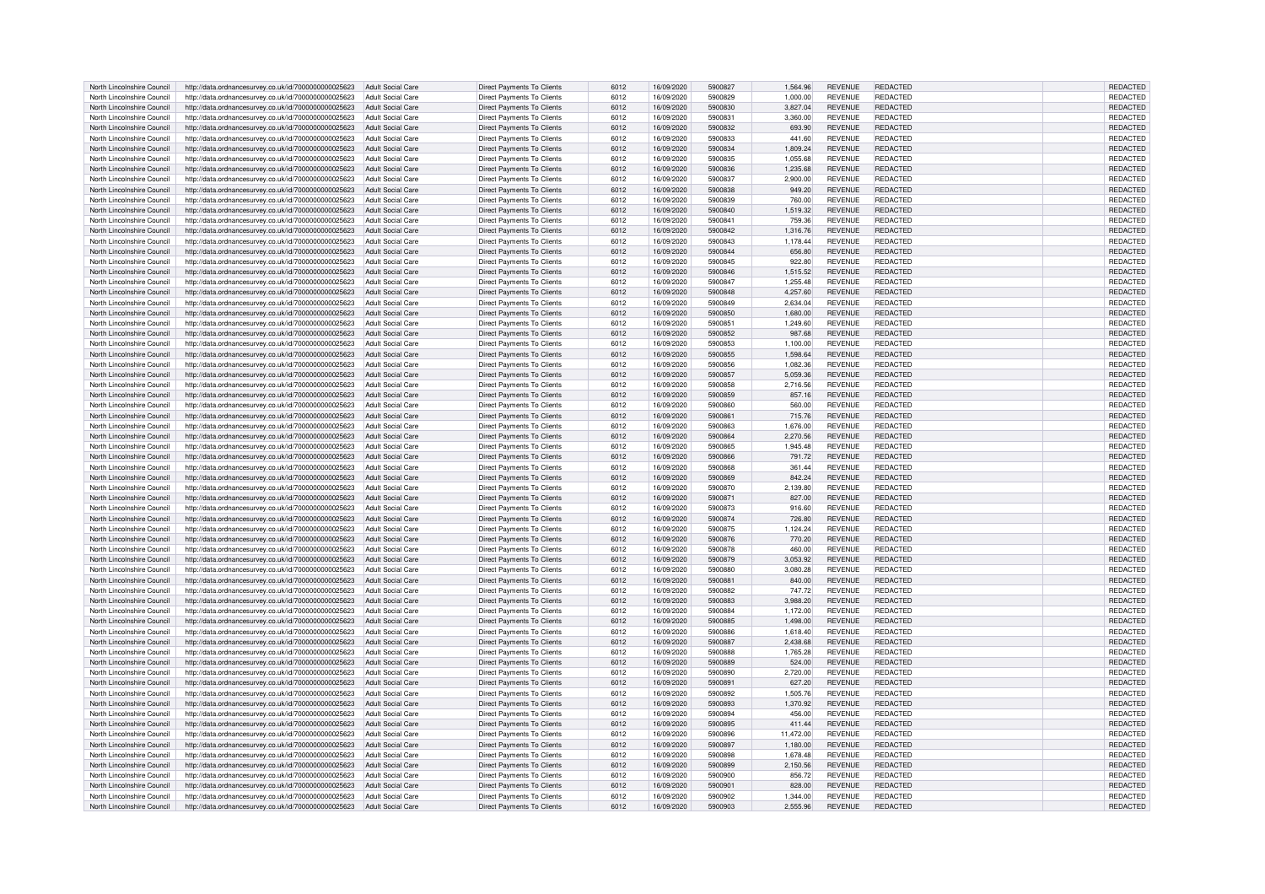| North Lincolnshire Council | http://data.ordnancesurvey.co.uk/id/7000000000025623 | Adult Social Care        | Direct Payments To Clients        | 6012 | 16/09/2020 | 5900827 | 1.564.96  | <b>REVENUE</b> | REDACTED        | REDACTED        |
|----------------------------|------------------------------------------------------|--------------------------|-----------------------------------|------|------------|---------|-----------|----------------|-----------------|-----------------|
| North Lincolnshire Council | http://data.ordnancesurvey.co.uk/id/7000000000025623 | <b>Adult Social Care</b> | Direct Payments To Clients        | 6012 | 16/09/2020 | 5900829 | 1,000.00  | <b>REVENUE</b> | REDACTED        | REDACTED        |
| North Lincolnshire Council | http://data.ordnancesurvey.co.uk/id/7000000000025623 | <b>Adult Social Care</b> | Direct Payments To Clients        | 6012 | 16/09/2020 | 5900830 | 3,827.04  | <b>REVENUE</b> | REDACTED        | REDACTED        |
|                            |                                                      |                          |                                   |      |            |         |           |                |                 |                 |
| North Lincolnshire Council | http://data.ordnancesurvey.co.uk/id/7000000000025623 | <b>Adult Social Care</b> | Direct Payments To Clients        | 6012 | 16/09/2020 | 5900831 | 3.360.00  | <b>REVENUE</b> | REDACTED        | REDACTED        |
| North Lincolnshire Council | http://data.ordnancesurvey.co.uk/id/7000000000025623 | <b>Adult Social Care</b> | Direct Payments To Clients        | 6012 | 16/09/2020 | 5900832 | 693.90    | <b>REVENUE</b> | REDACTED        | REDACTED        |
| North Lincolnshire Council | http://data.ordnancesurvey.co.uk/id/7000000000025623 | <b>Adult Social Care</b> | Direct Payments To Clients        | 6012 | 16/09/2020 | 5900833 | 441.60    | <b>REVENUE</b> | REDACTED        | REDACTED        |
| North Lincolnshire Council | http://data.ordnancesurvey.co.uk/id/7000000000025623 | <b>Adult Social Care</b> | Direct Payments To Clients        | 6012 | 16/09/2020 | 5900834 | 1.809.24  | <b>REVENUE</b> | REDACTED        | REDACTED        |
| North Lincolnshire Council | http://data.ordnancesurvey.co.uk/id/7000000000025623 | <b>Adult Social Care</b> | Direct Payments To Clients        | 6012 | 16/09/2020 | 5900835 | 1,055.68  | <b>REVENUE</b> | <b>REDACTED</b> | REDACTED        |
| North Lincolnshire Council | http://data.ordnancesurvey.co.uk/id/7000000000025623 | <b>Adult Social Care</b> | <b>Direct Payments To Clients</b> | 6012 | 16/09/2020 | 5900836 | 1.235.68  | <b>REVENUE</b> | REDACTED        | <b>REDACTED</b> |
|                            |                                                      |                          |                                   |      |            |         |           |                |                 |                 |
| North Lincolnshire Council | http://data.ordnancesurvey.co.uk/id/7000000000025623 | <b>Adult Social Care</b> | Direct Payments To Clients        | 6012 | 16/09/2020 | 5900837 | 2,900.00  | <b>REVENUE</b> | <b>REDACTED</b> | REDACTED        |
| North Lincolnshire Council | http://data.ordnancesurvey.co.uk/id/7000000000025623 | <b>Adult Social Care</b> | <b>Direct Payments To Clients</b> | 6012 | 16/09/2020 | 5900838 | 949.20    | <b>REVENUE</b> | REDACTED        | REDACTED        |
| North Lincolnshire Council | http://data.ordnancesurvey.co.uk/id/7000000000025623 | <b>Adult Social Care</b> | Direct Payments To Clients        | 6012 | 16/09/2020 | 5900839 | 760.00    | <b>REVENUE</b> | REDACTED        | REDACTED        |
| North Lincolnshire Council | http://data.ordnancesurvey.co.uk/id/7000000000025623 | <b>Adult Social Care</b> | Direct Payments To Clients        | 6012 | 16/09/2020 | 5900840 | 1,519.32  | <b>REVENUE</b> | REDACTED        | REDACTED        |
| North Lincolnshire Council | http://data.ordnancesurvey.co.uk/id/7000000000025623 | <b>Adult Social Care</b> | <b>Direct Payments To Clients</b> | 6012 | 16/09/2020 | 5900841 | 759.36    | <b>REVENUE</b> | REDACTED        | REDACTED        |
|                            |                                                      |                          |                                   |      |            |         |           |                |                 |                 |
| North Lincolnshire Council | http://data.ordnancesurvey.co.uk/id/7000000000025623 | <b>Adult Social Care</b> | Direct Payments To Clients        | 6012 | 16/09/2020 | 5900842 | 1,316.76  | <b>REVENUE</b> | REDACTED        | REDACTED        |
| North Lincolnshire Council | http://data.ordnancesurvey.co.uk/id/7000000000025623 | <b>Adult Social Care</b> | <b>Direct Payments To Clients</b> | 6012 | 16/09/2020 | 5900843 | 1,178.44  | <b>REVENUE</b> | <b>REDACTED</b> | REDACTED        |
| North Lincolnshire Council | http://data.ordnancesurvey.co.uk/id/7000000000025623 | <b>Adult Social Care</b> | Direct Payments To Clients        | 6012 | 16/09/2020 | 5900844 | 656.80    | <b>REVENUE</b> | REDACTED        | REDACTED        |
| North Lincolnshire Council | http://data.ordnancesurvey.co.uk/id/7000000000025623 | <b>Adult Social Care</b> | Direct Payments To Clients        | 6012 | 16/09/2020 | 5900845 | 922.80    | <b>REVENUE</b> | <b>REDACTED</b> | REDACTED        |
| North Lincolnshire Council | http://data.ordnancesurvey.co.uk/id/7000000000025623 | <b>Adult Social Care</b> | Direct Payments To Clients        | 6012 | 16/09/2020 | 5900846 | 1,515.52  | <b>REVENUE</b> | REDACTED        | REDACTED        |
|                            |                                                      |                          |                                   |      |            |         |           |                |                 |                 |
| North Lincolnshire Council | http://data.ordnancesurvey.co.uk/id/7000000000025623 | <b>Adult Social Care</b> | Direct Payments To Clients        | 6012 | 16/09/2020 | 5900847 | 1,255.48  | <b>REVENUE</b> | REDACTED        | REDACTED        |
| North Lincolnshire Council | http://data.ordnancesurvey.co.uk/id/7000000000025623 | Adult Social Care        | Direct Payments To Clients        | 6012 | 16/09/2020 | 5900848 | 4,257.60  | <b>REVENUE</b> | <b>REDACTED</b> | REDACTED        |
| North Lincolnshire Council | http://data.ordnancesurvey.co.uk/id/7000000000025623 | <b>Adult Social Care</b> | <b>Direct Payments To Clients</b> | 6012 | 16/09/2020 | 5900849 | 2,634.04  | <b>REVENUE</b> | REDACTED        | REDACTED        |
| North Lincolnshire Council | http://data.ordnancesurvey.co.uk/id/7000000000025623 | <b>Adult Social Care</b> | Direct Payments To Clients        | 6012 | 16/09/2020 | 5900850 | 1,680.00  | <b>REVENUE</b> | <b>REDACTED</b> | REDACTED        |
| North Lincolnshire Council | http://data.ordnancesurvey.co.uk/id/7000000000025623 | <b>Adult Social Care</b> | Direct Payments To Clients        | 6012 | 16/09/2020 | 5900851 | 1,249.60  | <b>REVENUE</b> | <b>REDACTED</b> | REDACTED        |
|                            |                                                      |                          |                                   |      |            |         |           |                |                 |                 |
| North Lincolnshire Council | http://data.ordnancesurvey.co.uk/id/7000000000025623 | <b>Adult Social Care</b> | Direct Payments To Clients        | 6012 | 16/09/2020 | 5900852 | 987.68    | <b>REVENUE</b> | <b>REDACTED</b> | REDACTED        |
| North Lincolnshire Council | http://data.ordnancesurvey.co.uk/id/7000000000025623 | <b>Adult Social Care</b> | Direct Payments To Clients        | 6012 | 16/09/2020 | 5900853 | 1,100.00  | <b>REVENUE</b> | <b>REDACTED</b> | REDACTED        |
| North Lincolnshire Council | http://data.ordnancesurvey.co.uk/id/7000000000025623 | <b>Adult Social Care</b> | <b>Direct Payments To Clients</b> | 6012 | 16/09/2020 | 5900855 | 1,598.64  | <b>REVENUE</b> | <b>REDACTED</b> | REDACTED        |
| North Lincolnshire Council | http://data.ordnancesurvey.co.uk/id/7000000000025623 | <b>Adult Social Care</b> | <b>Direct Payments To Clients</b> | 6012 | 16/09/2020 | 5900856 | 1.082.36  | <b>REVENUE</b> | REDACTED        | <b>REDACTED</b> |
| North Lincolnshire Council | http://data.ordnancesurvey.co.uk/id/7000000000025623 | <b>Adult Social Care</b> | <b>Direct Payments To Clients</b> | 6012 | 16/09/2020 | 5900857 | 5,059.36  | <b>REVENUE</b> | REDACTED        | REDACTED        |
|                            |                                                      |                          |                                   |      |            |         |           |                |                 |                 |
| North Lincolnshire Council | http://data.ordnancesurvey.co.uk/id/7000000000025623 | <b>Adult Social Care</b> | Direct Payments To Clients        | 6012 | 16/09/2020 | 5900858 | 2,716.56  | <b>REVENUE</b> | <b>REDACTED</b> | REDACTED        |
| North Lincolnshire Council | http://data.ordnancesurvey.co.uk/id/7000000000025623 | Adult Social Care        | Direct Payments To Clients        | 6012 | 16/09/2020 | 5900859 | 857.16    | <b>REVENUE</b> | REDACTED        | REDACTED        |
| North Lincolnshire Council | http://data.ordnancesurvey.co.uk/id/7000000000025623 | <b>Adult Social Care</b> | Direct Payments To Clients        | 6012 | 16/09/2020 | 5900860 | 560.00    | <b>REVENUE</b> | <b>REDACTED</b> | REDACTED        |
| North Lincolnshire Council | http://data.ordnancesurvey.co.uk/id/7000000000025623 | <b>Adult Social Care</b> | Direct Payments To Clients        | 6012 | 16/09/2020 | 5900861 | 715.76    | <b>REVENUE</b> | REDACTED        | REDACTED        |
| North Lincolnshire Council | http://data.ordnancesurvey.co.uk/id/7000000000025623 | <b>Adult Social Care</b> | Direct Payments To Clients        | 6012 | 16/09/2020 | 5900863 | 1,676.00  | <b>REVENUE</b> | REDACTED        | REDACTED        |
| North Lincolnshire Council |                                                      |                          |                                   | 6012 |            | 5900864 |           |                | REDACTED        |                 |
|                            | http://data.ordnancesurvey.co.uk/id/7000000000025623 | <b>Adult Social Care</b> | Direct Payments To Clients        |      | 16/09/2020 |         | 2,270.56  | <b>REVENUE</b> |                 | <b>REDACTED</b> |
| North Lincolnshire Council | http://data.ordnancesurvey.co.uk/id/7000000000025623 | <b>Adult Social Care</b> | <b>Direct Payments To Clients</b> | 6012 | 16/09/2020 | 5900865 | 1,945.48  | <b>REVENUE</b> | REDACTED        | REDACTED        |
| North Lincolnshire Council | http://data.ordnancesurvey.co.uk/id/7000000000025623 | <b>Adult Social Care</b> | <b>Direct Payments To Clients</b> | 6012 | 16/09/2020 | 5900866 | 791.72    | <b>REVENUE</b> | <b>REDACTED</b> | REDACTED        |
| North Lincolnshire Council | http://data.ordnancesurvey.co.uk/id/7000000000025623 | <b>Adult Social Care</b> | Direct Payments To Clients        | 6012 | 16/09/2020 | 5900868 | 361.44    | <b>REVENUE</b> | <b>REDACTED</b> | REDACTED        |
| North Lincolnshire Council | http://data.ordnancesurvey.co.uk/id/7000000000025623 | <b>Adult Social Care</b> | <b>Direct Payments To Clients</b> | 6012 | 16/09/2020 | 5900869 | 842.24    | <b>REVENUE</b> | REDACTED        | REDACTED        |
|                            |                                                      |                          |                                   |      |            |         |           |                |                 |                 |
| North Lincolnshire Council | http://data.ordnancesurvey.co.uk/id/7000000000025623 | <b>Adult Social Care</b> | Direct Payments To Clients        | 6012 | 16/09/2020 | 5900870 | 2,139.80  | <b>REVENUE</b> | REDACTED        | REDACTED        |
| North Lincolnshire Council | http://data.ordnancesurvey.co.uk/id/7000000000025623 | <b>Adult Social Care</b> | <b>Direct Payments To Clients</b> | 6012 | 16/09/2020 | 5900871 | 827.00    | <b>REVENUE</b> | REDACTED        | REDACTED        |
| North Lincolnshire Council | http://data.ordnancesurvey.co.uk/id/7000000000025623 | <b>Adult Social Care</b> | Direct Payments To Clients        | 6012 | 16/09/2020 | 5900873 | 916.60    | <b>REVENUE</b> | REDACTED        | REDACTED        |
| North Lincolnshire Council | http://data.ordnancesurvey.co.uk/id/7000000000025623 | <b>Adult Social Care</b> | Direct Payments To Clients        | 6012 | 16/09/2020 | 5900874 | 726.80    | <b>REVENUE</b> | REDACTED        | REDACTED        |
| North Lincolnshire Council | http://data.ordnancesurvey.co.uk/id/7000000000025623 | <b>Adult Social Care</b> | Direct Payments To Clients        | 6012 | 16/09/2020 | 5900875 | 1,124.24  | <b>REVENUE</b> | REDACTED        | REDACTED        |
|                            |                                                      |                          |                                   |      |            |         |           |                |                 |                 |
| North Lincolnshire Council | http://data.ordnancesurvey.co.uk/id/7000000000025623 | <b>Adult Social Care</b> | Direct Payments To Clients        | 6012 | 16/09/2020 | 5900876 | 770.20    | <b>REVENUE</b> | REDACTED        | REDACTED        |
| North Lincolnshire Council | http://data.ordnancesurvey.co.uk/id/7000000000025623 | <b>Adult Social Care</b> | <b>Direct Payments To Clients</b> | 6012 | 16/09/2020 | 5900878 | 460.00    | <b>REVENUE</b> | REDACTED        | REDACTED        |
| North Lincolnshire Council | http://data.ordnancesurvey.co.uk/id/7000000000025623 | <b>Adult Social Care</b> | Direct Payments To Clients        | 6012 | 16/09/2020 | 5900879 | 3.053.92  | <b>REVENUE</b> | <b>REDACTED</b> | REDACTED        |
| North Lincolnshire Council | http://data.ordnancesurvey.co.uk/id/7000000000025623 | <b>Adult Social Care</b> | <b>Direct Payments To Clients</b> | 6012 | 16/09/2020 | 5900880 | 3.080.28  | <b>REVENUE</b> | REDACTED        | REDACTED        |
| North Lincolnshire Council | http://data.ordnancesurvey.co.uk/id/7000000000025623 | <b>Adult Social Care</b> | Direct Payments To Clients        | 6012 | 16/09/2020 | 590088  | 840.00    | <b>REVENUE</b> | REDACTED        | <b>REDACTED</b> |
|                            |                                                      |                          |                                   |      |            | 5900882 |           |                |                 |                 |
| North Lincolnshire Council | http://data.ordnancesurvey.co.uk/id/7000000000025623 | <b>Adult Social Care</b> | Direct Payments To Clients        | 6012 | 16/09/2020 |         | 747.72    | <b>REVENUE</b> | REDACTED        | REDACTED        |
| North Lincolnshire Council | http://data.ordnancesurvey.co.uk/id/7000000000025623 | <b>Adult Social Care</b> | <b>Direct Payments To Clients</b> | 6012 | 16/09/2020 | 5900883 | 3,988.20  | <b>REVENUE</b> | REDACTED        | REDACTED        |
| North Lincolnshire Council | http://data.ordnancesurvey.co.uk/id/7000000000025623 | <b>Adult Social Care</b> | Direct Payments To Clients        | 6012 | 16/09/2020 | 5900884 | 1,172.00  | <b>REVENUE</b> | <b>REDACTED</b> | REDACTED        |
| North Lincolnshire Council | http://data.ordnancesurvey.co.uk/id/7000000000025623 | Adult Social Care        | <b>Direct Payments To Clients</b> | 6012 | 16/09/2020 | 5900885 | 1,498.00  | <b>REVENUE</b> | REDACTED        | REDACTED        |
| North Lincolnshire Council | http://data.ordnancesurvey.co.uk/id/7000000000025623 | Adult Social Care        | Direct Payments To Clients        | 6012 | 16/09/2020 | 5900886 | 1,618.40  | <b>REVENUE</b> | REDACTED        | REDACTED        |
| North Lincolnshire Council | http://data.ordnancesurvey.co.uk/id/7000000000025623 | <b>Adult Social Care</b> | Direct Payments To Clients        | 6012 | 16/09/2020 | 5900887 | 2,438.68  | <b>REVENUE</b> | REDACTED        | REDACTED        |
|                            |                                                      |                          |                                   |      |            |         |           |                |                 |                 |
| North Lincolnshire Council | http://data.ordnancesurvey.co.uk/id/7000000000025623 | <b>Adult Social Care</b> | <b>Direct Payments To Clients</b> | 6012 | 16/09/2020 | 5900888 | 1,765.28  | <b>REVENUE</b> | REDACTED        | <b>REDACTED</b> |
| North Lincolnshire Council | http://data.ordnancesurvey.co.uk/id/7000000000025623 | <b>Adult Social Care</b> | Direct Payments To Clients        | 6012 | 16/09/2020 | 5900889 | 524.00    | <b>REVENUE</b> | <b>REDACTED</b> | REDACTED        |
| North Lincolnshire Council | http://data.ordnancesurvey.co.uk/id/7000000000025623 | <b>Adult Social Care</b> | <b>Direct Payments To Clients</b> | 6012 | 16/09/2020 | 5900890 | 2,720.00  | <b>REVENUE</b> | REDACTED        | <b>REDACTED</b> |
| North Lincolnshire Council | http://data.ordnancesurvey.co.uk/id/7000000000025623 | <b>Adult Social Care</b> | Direct Payments To Clients        | 6012 | 16/09/2020 | 5900891 | 627.20    | <b>REVENUE</b> | <b>REDACTED</b> | REDACTED        |
| North Lincolnshire Council | http://data.ordnancesurvey.co.uk/id/7000000000025623 | <b>Adult Social Care</b> | Direct Payments To Clients        | 6012 | 16/09/2020 | 5900892 | 1,505.76  | <b>REVENUE</b> | <b>REDACTED</b> | REDACTED        |
|                            |                                                      |                          |                                   |      |            |         |           |                |                 |                 |
| North Lincolnshire Council | http://data.ordnancesurvey.co.uk/id/7000000000025623 | <b>Adult Social Care</b> | <b>Direct Payments To Clients</b> | 6012 | 16/09/2020 | 5900893 | 1,370.92  | <b>REVENUE</b> | REDACTED        | REDACTED        |
| North Lincolnshire Council | http://data.ordnancesurvey.co.uk/id/7000000000025623 | <b>Adult Social Care</b> | Direct Payments To Clients        | 6012 | 16/09/2020 | 5900894 | 456.00    | <b>REVENUE</b> | REDACTED        | REDACTED        |
| North Lincolnshire Council | http://data.ordnancesurvey.co.uk/id/7000000000025623 | Adult Social Care        | Direct Payments To Clients        | 6012 | 16/09/2020 | 5900895 | 411.44    | <b>REVENUE</b> | REDACTED        | REDACTED        |
| North Lincolnshire Council | http://data.ordnancesurvey.co.uk/id/7000000000025623 | <b>Adult Social Care</b> | Direct Payments To Clients        | 6012 | 16/09/2020 | 5900896 | 11,472.00 | <b>REVENUE</b> | REDACTED        | REDACTED        |
| North Lincolnshire Council | http://data.ordnancesurvey.co.uk/id/7000000000025623 | <b>Adult Social Care</b> | Direct Payments To Clients        | 6012 | 16/09/2020 | 5900897 | 1,180.00  | <b>REVENUE</b> | <b>REDACTED</b> | REDACTED        |
|                            |                                                      |                          |                                   |      |            |         |           |                |                 |                 |
| North Lincolnshire Council | http://data.ordnancesurvey.co.uk/id/7000000000025623 | <b>Adult Social Care</b> | Direct Payments To Clients        | 6012 | 16/09/2020 | 5900898 | 1.678.48  | <b>REVENUE</b> | REDACTED        | REDACTED        |
| North Lincolnshire Council | http://data.ordnancesurvey.co.uk/id/7000000000025623 | <b>Adult Social Care</b> | <b>Direct Payments To Clients</b> | 6012 | 16/09/2020 | 5900899 | 2,150.56  | <b>REVENUE</b> | <b>REDACTED</b> | REDACTED        |
| North Lincolnshire Council | http://data.ordnancesurvey.co.uk/id/7000000000025623 | <b>Adult Social Care</b> | Direct Payments To Clients        | 6012 | 16/09/2020 | 5900900 | 856.72    | <b>REVENUE</b> | REDACTED        | REDACTED        |
| North Lincolnshire Council | http://data.ordnancesurvey.co.uk/id/7000000000025623 | <b>Adult Social Care</b> | <b>Direct Payments To Clients</b> | 6012 | 16/09/2020 | 5900901 | 828.00    | <b>REVENUE</b> | REDACTED        | REDACTED        |
| North Lincolnshire Council | http://data.ordnancesurvey.co.uk/id/7000000000025623 | Adult Social Care        | Direct Payments To Clients        | 6012 | 16/09/2020 | 5900902 | 1.344.00  | <b>REVENUE</b> | <b>REDACTED</b> | REDACTED        |
| North Lincolnshire Council | http://data.ordnancesurvey.co.uk/id/7000000000025623 | Adult Social Care        | Direct Payments To Clients        | 6012 | 16/09/2020 | 5900903 | 2,555.96  | <b>REVENUE</b> | REDACTED        | REDACTED        |
|                            |                                                      |                          |                                   |      |            |         |           |                |                 |                 |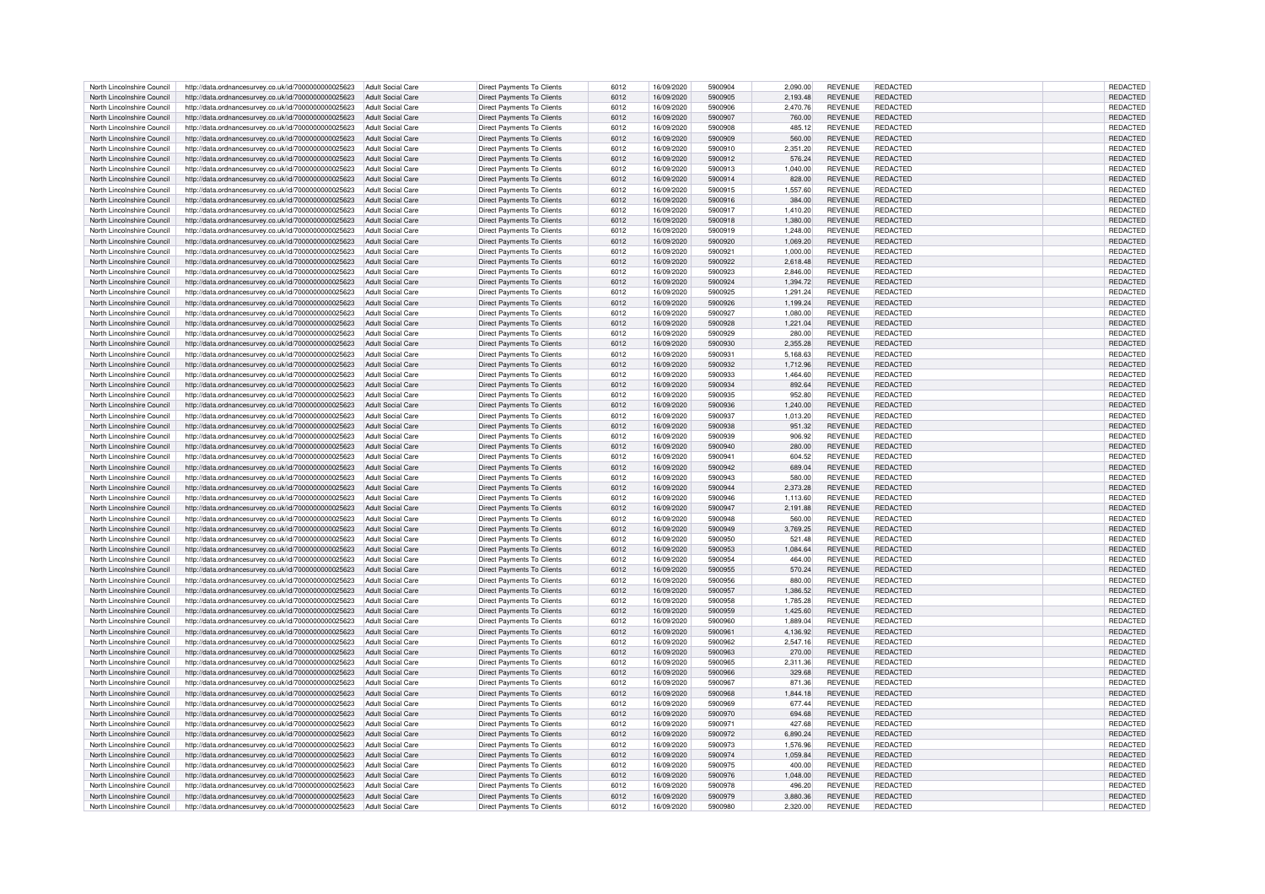| North Lincolnshire Council | http://data.ordnancesurvey.co.uk/id/7000000000025623                   | Adult Social Care        | Direct Payments To Clients        | 6012 | 16/09/2020 | 5900904 | 2.090.00 | <b>REVENUE</b> | <b>REDACTED</b> | REDACTED        |
|----------------------------|------------------------------------------------------------------------|--------------------------|-----------------------------------|------|------------|---------|----------|----------------|-----------------|-----------------|
| North Lincolnshire Council | http://data.ordnancesurvey.co.uk/id/7000000000025623                   | Adult Social Care        | <b>Direct Payments To Clients</b> | 6012 | 16/09/2020 | 5900905 | 2,193.48 | <b>REVENUE</b> | REDACTED        | REDACTED        |
| North Lincolnshire Council | http://data.ordnancesurvey.co.uk/id/7000000000025623                   | Adult Social Care        | <b>Direct Payments To Clients</b> | 6012 | 16/09/2020 | 5900906 | 2,470.76 | <b>REVENUE</b> | <b>REDACTED</b> | REDACTED        |
|                            |                                                                        |                          |                                   |      |            |         |          |                |                 |                 |
| North Lincolnshire Council | http://data.ordnancesurvey.co.uk/id/7000000000025623                   | Adult Social Care        | <b>Direct Payments To Clients</b> | 6012 | 16/09/2020 | 5900907 | 760.00   | <b>REVENUE</b> | REDACTED        | REDACTED        |
| North Lincolnshire Council | http://data.ordnancesurvey.co.uk/id/7000000000025623                   | <b>Adult Social Care</b> | Direct Payments To Clients        | 6012 | 16/09/2020 | 5900908 | 485.12   | <b>REVENUE</b> | REDACTED        | REDACTED        |
| North Lincolnshire Council | http://data.ordnancesurvey.co.uk/id/7000000000025623                   | <b>Adult Social Care</b> | Direct Payments To Clients        | 6012 | 16/09/2020 | 5900909 | 560.00   | <b>REVENUE</b> | <b>REDACTED</b> | REDACTED        |
| North Lincolnshire Council | http://data.ordnancesurvey.co.uk/id/7000000000025623                   | <b>Adult Social Care</b> | Direct Payments To Clients        | 6012 | 16/09/2020 | 5900910 | 2.351.20 | <b>REVENUE</b> | REDACTED        | REDACTED        |
| North Lincolnshire Council | http://data.ordnancesurvey.co.uk/id/7000000000025623                   | <b>Adult Social Care</b> | <b>Direct Payments To Clients</b> | 6012 | 16/09/2020 | 5900912 | 576.24   | <b>REVENUE</b> | <b>REDACTED</b> | REDACTED        |
| North Lincolnshire Council | http://data.ordnancesurvey.co.uk/id/7000000000025623                   | Adult Social Care        | <b>Direct Payments To Clients</b> | 6012 | 16/09/2020 | 5900913 | 1.040.00 | <b>REVENUE</b> | REDACTED        | REDACTED        |
| North Lincolnshire Council | http://data.ordnancesurvey.co.uk/id/7000000000025623                   | <b>Adult Social Care</b> | Direct Payments To Clients        | 6012 | 16/09/2020 | 5900914 | 828.00   | <b>REVENUE</b> | REDACTED        | REDACTED        |
|                            |                                                                        |                          |                                   |      |            |         |          |                |                 |                 |
| North Lincolnshire Council | http://data.ordnancesurvey.co.uk/id/7000000000025623                   | Adult Social Care        | Direct Payments To Clients        | 6012 | 16/09/2020 | 5900915 | 1,557.60 | <b>REVENUE</b> | REDACTED        | REDACTED        |
| North Lincolnshire Council | http://data.ordnancesurvey.co.uk/id/7000000000025623                   | Adult Social Care        | Direct Payments To Clients        | 6012 | 16/09/2020 | 5900916 | 384.00   | <b>REVENUE</b> | REDACTED        | REDACTED        |
| North Lincolnshire Council | http://data.ordnancesurvey.co.uk/id/7000000000025623                   | <b>Adult Social Care</b> | <b>Direct Payments To Clients</b> | 6012 | 16/09/2020 | 5900917 | 1,410.20 | <b>REVENUE</b> | <b>REDACTED</b> | REDACTED        |
| North Lincolnshire Council | http://data.ordnancesurvey.co.uk/id/7000000000025623                   | Adult Social Care        | <b>Direct Payments To Clients</b> | 6012 | 16/09/2020 | 5900918 | 1.380.00 | <b>REVENUE</b> | REDACTED        | REDACTED        |
| North Lincolnshire Council | http://data.ordnancesurvey.co.uk/id/7000000000025623                   | <b>Adult Social Care</b> | Direct Payments To Clients        | 6012 | 16/09/2020 | 5900919 | 1,248.00 | <b>REVENUE</b> | REDACTED        | REDACTED        |
| North Lincolnshire Council | http://data.ordnancesurvey.co.uk/id/7000000000025623                   | <b>Adult Social Care</b> | <b>Direct Payments To Clients</b> | 6012 | 16/09/2020 | 5900920 | 1,069.20 | <b>REVENUE</b> | <b>REDACTED</b> | REDACTED        |
| North Lincolnshire Council | http://data.ordnancesurvey.co.uk/id/7000000000025623                   | Adult Social Care        | Direct Payments To Clients        | 6012 | 16/09/2020 | 590092  | 1.000.00 | <b>REVENUE</b> | REDACTED        | REDACTED        |
|                            |                                                                        |                          |                                   |      |            |         |          |                |                 |                 |
| North Lincolnshire Council | http://data.ordnancesurvey.co.uk/id/7000000000025623                   | <b>Adult Social Care</b> | <b>Direct Payments To Clients</b> | 6012 | 16/09/2020 | 5900922 | 2,618.48 | <b>REVENUE</b> | <b>REDACTED</b> | REDACTED        |
| North Lincolnshire Council | http://data.ordnancesurvey.co.uk/id/7000000000025623                   | <b>Adult Social Care</b> | <b>Direct Payments To Clients</b> | 6012 | 16/09/2020 | 5900923 | 2,846.00 | <b>REVENUE</b> | REDACTED        | REDACTED        |
| North Lincolnshire Council | http://data.ordnancesurvey.co.uk/id/7000000000025623                   | Adult Social Care        | Direct Payments To Clients        | 6012 | 16/09/2020 | 5900924 | 1,394.72 | <b>REVENUE</b> | REDACTED        | REDACTED        |
| North Lincolnshire Council | http://data.ordnancesurvey.co.uk/id/7000000000025623                   | Adult Social Care        | Direct Payments To Clients        | 6012 | 16/09/2020 | 5900925 | 1,291.24 | <b>REVENUE</b> | <b>REDACTED</b> | REDACTED        |
| North Lincolnshire Council | http://data.ordnancesurvey.co.uk/id/7000000000025623                   | Adult Social Care        | <b>Direct Payments To Clients</b> | 6012 | 16/09/2020 | 5900926 | 1,199.24 | <b>REVENUE</b> | REDACTED        | REDACTED        |
| North Lincolnshire Council | http://data.ordnancesurvey.co.uk/id/7000000000025623                   | Adult Social Care        | <b>Direct Payments To Clients</b> | 6012 | 16/09/2020 | 5900927 | 1,080.00 | <b>REVENUE</b> | <b>REDACTED</b> | REDACTED        |
| North Lincolnshire Council |                                                                        |                          |                                   | 6012 |            |         |          | <b>REVENUE</b> | <b>REDACTED</b> | REDACTED        |
|                            | http://data.ordnancesurvey.co.uk/id/7000000000025623                   | Adult Social Care        | Direct Payments To Clients        |      | 16/09/2020 | 5900928 | 1,221.04 |                |                 |                 |
| North Lincolnshire Council | http://data.ordnancesurvey.co.uk/id/7000000000025623                   | <b>Adult Social Care</b> | Direct Payments To Clients        | 6012 | 16/09/2020 | 5900929 | 280.00   | <b>REVENUE</b> | REDACTED        | REDACTED        |
| North Lincolnshire Council | http://data.ordnancesurvey.co.uk/id/7000000000025623                   | Adult Social Care        | Direct Payments To Clients        | 6012 | 16/09/2020 | 5900930 | 2,355.28 | <b>REVENUE</b> | <b>REDACTED</b> | REDACTED        |
| North Lincolnshire Council | http://data.ordnancesurvey.co.uk/id/7000000000025623                   | <b>Adult Social Care</b> | Direct Payments To Clients        | 6012 | 16/09/2020 | 5900931 | 5,168.63 | <b>REVENUE</b> | REDACTED        | REDACTED        |
| North Lincolnshire Council | http://data.ordnancesurvey.co.uk/id/7000000000025623                   | Adult Social Care        | <b>Direct Payments To Clients</b> | 6012 | 16/09/2020 | 5900932 | 1.712.96 | <b>REVENUE</b> | <b>REDACTED</b> | REDACTED        |
| North Lincolnshire Council | http://data.ordnancesurvey.co.uk/id/7000000000025623                   | Adult Social Care        | <b>Direct Payments To Clients</b> | 6012 | 16/09/2020 | 5900933 | 1,464.60 | <b>REVENUE</b> | REDACTED        | REDACTED        |
| North Lincolnshire Council | http://data.ordnancesurvey.co.uk/id/7000000000025623                   | <b>Adult Social Care</b> | <b>Direct Payments To Clients</b> | 6012 | 16/09/2020 | 5900934 | 892.64   | <b>REVENUE</b> | REDACTED        | REDACTED        |
|                            |                                                                        |                          |                                   |      |            |         |          |                |                 |                 |
| North Lincolnshire Council | http://data.ordnancesurvey.co.uk/id/7000000000025623                   | Adult Social Care        | Direct Payments To Clients        | 6012 | 16/09/2020 | 5900935 | 952.80   | <b>REVENUE</b> | REDACTED        | REDACTED        |
| North Lincolnshire Council | http://data.ordnancesurvey.co.uk/id/7000000000025623                   | Adult Social Care        | <b>Direct Payments To Clients</b> | 6012 | 16/09/2020 | 5900936 | 1,240.00 | <b>REVENUE</b> | REDACTED        | REDACTED        |
| North Lincolnshire Council | http://data.ordnancesurvey.co.uk/id/7000000000025623                   | <b>Adult Social Care</b> | <b>Direct Payments To Clients</b> | 6012 | 16/09/2020 | 5900937 | 1,013.20 | <b>REVENUE</b> | REDACTED        | REDACTED        |
| North Lincolnshire Council | http://data.ordnancesurvey.co.uk/id/7000000000025623                   | Adult Social Care        | <b>Direct Payments To Clients</b> | 6012 | 16/09/2020 | 5900938 | 951.32   | <b>REVENUE</b> | <b>REDACTED</b> | REDACTED        |
| North Lincolnshire Council | http://data.ordnancesurvey.co.uk/id/7000000000025623                   | <b>Adult Social Care</b> | Direct Payments To Clients        | 6012 | 16/09/2020 | 5900939 | 906.92   | <b>REVENUE</b> | <b>REDACTED</b> | REDACTED        |
| North Lincolnshire Council | http://data.ordnancesurvey.co.uk/id/7000000000025623                   | <b>Adult Social Care</b> | Direct Payments To Clients        | 6012 | 16/09/2020 | 5900940 | 280.00   | <b>REVENUE</b> | <b>REDACTED</b> | REDACTED        |
| North Lincolnshire Council | http://data.ordnancesurvey.co.uk/id/7000000000025623                   | Adult Social Care        | <b>Direct Payments To Clients</b> | 6012 | 16/09/2020 | 590094  | 604.52   | <b>REVENUE</b> | <b>REDACTED</b> | REDACTED        |
|                            |                                                                        |                          |                                   |      |            |         |          |                |                 |                 |
| North Lincolnshire Council | http://data.ordnancesurvey.co.uk/id/7000000000025623                   | <b>Adult Social Care</b> | <b>Direct Payments To Clients</b> | 6012 | 16/09/2020 | 5900942 | 689.04   | <b>REVENUE</b> | REDACTED        | REDACTED        |
| North Lincolnshire Council | http://data.ordnancesurvey.co.uk/id/7000000000025623                   | Adult Social Care        | <b>Direct Payments To Clients</b> | 6012 | 16/09/2020 | 5900943 | 580.00   | <b>REVENUE</b> | REDACTED        | REDACTED        |
| North Lincolnshire Council | http://data.ordnancesurvey.co.uk/id/7000000000025623                   | <b>Adult Social Care</b> | Direct Payments To Clients        | 6012 | 16/09/2020 | 5900944 | 2,373.28 | <b>REVENUE</b> | REDACTED        | REDACTED        |
| North Lincolnshire Council | http://data.ordnancesurvey.co.uk/id/7000000000025623                   | <b>Adult Social Care</b> | <b>Direct Payments To Clients</b> | 6012 | 16/09/2020 | 5900946 | 1,113.60 | <b>REVENUE</b> | REDACTED        | REDACTED        |
| North Lincolnshire Council | http://data.ordnancesurvey.co.uk/id/7000000000025623                   | Adult Social Care        | Direct Payments To Clients        | 6012 | 16/09/2020 | 5900947 | 2.191.88 | <b>REVENUE</b> | <b>REDACTED</b> | REDACTED        |
| North Lincolnshire Council | http://data.ordnancesurvey.co.uk/id/7000000000025623                   | <b>Adult Social Care</b> | <b>Direct Payments To Clients</b> | 6012 | 16/09/2020 | 5900948 | 560.00   | <b>REVENUE</b> | REDACTED        | REDACTED        |
| North Lincolnshire Council | http://data.ordnancesurvey.co.uk/id/7000000000025623                   | <b>Adult Social Care</b> | Direct Payments To Clients        | 6012 | 16/09/2020 | 5900949 | 3,769.25 | <b>REVENUE</b> | <b>REDACTED</b> | REDACTED        |
|                            |                                                                        |                          |                                   |      |            |         |          |                |                 |                 |
| North Lincolnshire Council | http://data.ordnancesurvey.co.uk/id/7000000000025623                   | <b>Adult Social Care</b> | Direct Payments To Clients        | 6012 | 16/09/2020 | 5900950 | 521.48   | <b>REVENUE</b> | REDACTED        | REDACTED        |
| North Lincolnshire Council | http://data.ordnancesurvey.co.uk/id/7000000000025623                   | <b>Adult Social Care</b> | <b>Direct Payments To Clients</b> | 6012 | 16/09/2020 | 5900953 | 1,084.64 | <b>REVENUE</b> | <b>REDACTED</b> | REDACTED        |
| North Lincolnshire Council | http://data.ordnancesurvey.co.uk/id/7000000000025623                   | Adult Social Care        | Direct Payments To Clients        | 6012 | 16/09/2020 | 5900954 | 464.00   | <b>REVENUE</b> | <b>REDACTED</b> | REDACTED        |
| North Lincolnshire Council | http://data.ordnancesurvey.co.uk/id/7000000000025623                   | <b>Adult Social Care</b> | <b>Direct Payments To Clients</b> | 6012 | 16/09/2020 | 5900955 | 570.24   | <b>REVENUE</b> | REDACTED        | REDACTED        |
| North Lincolnshire Council | http://data.ordnancesurvey.co.uk/id/7000000000025623                   | Adult Social Care        | Direct Payments To Clients        | 6012 | 16/09/2020 | 5900956 | 880.00   | <b>REVENUE</b> | <b>REDACTED</b> | REDACTED        |
| North Lincolnshire Council | http://data.ordnancesurvey.co.uk/id/7000000000025623                   | Adult Social Care        | Direct Payments To Clients        | 6012 | 16/09/2020 | 5900957 | 1,386.52 | <b>REVENUE</b> | REDACTED        | REDACTED        |
| North Lincolnshire Council | http://data.ordnancesurvey.co.uk/id/7000000000025623                   | Adult Social Care        | <b>Direct Payments To Clients</b> | 6012 | 16/09/2020 | 5900958 | 1,785.28 | <b>REVENUE</b> | REDACTED        | REDACTED        |
|                            |                                                                        |                          |                                   |      |            |         |          |                |                 |                 |
| North Lincolnshire Council | http://data.ordnancesurvey.co.uk/id/7000000000025623                   | Adult Social Care        | <b>Direct Payments To Clients</b> | 6012 | 16/09/2020 | 5900959 | 1,425.60 | <b>REVENUE</b> | REDACTED        | REDACTED        |
| North Lincolnshire Council | http://data.ordnancesurvey.co.uk/id/7000000000025623                   | Adult Social Care        | <b>Direct Payments To Clients</b> | 6012 | 16/09/2020 | 5900960 | 1.889.04 | <b>REVENUE</b> | REDACTED        | REDACTED        |
| North Lincolnshire Council | http://data.ordnancesurvey.co.uk/id/7000000000025623                   | <b>Adult Social Care</b> | Direct Payments To Clients        | 6012 | 16/09/2020 | 5900961 | 4,136.92 | <b>REVENUE</b> | <b>REDACTED</b> | REDACTED        |
| North Lincolnshire Council | http://data.ordnancesurvey.co.uk/id/7000000000025623                   | <b>Adult Social Care</b> | Direct Payments To Clients        | 6012 | 16/09/2020 | 5900962 | 2,547.16 | <b>REVENUE</b> | REDACTED        | REDACTED        |
| North Lincolnshire Council | http://data.ordnancesurvey.co.uk/id/7000000000025623                   | <b>Adult Social Care</b> | <b>Direct Payments To Clients</b> | 6012 | 16/09/2020 | 5900963 | 270.00   | <b>REVENUE</b> | <b>REDACTED</b> | <b>REDACTED</b> |
| North Lincolnshire Council | http://data.ordnancesurvey.co.uk/id/7000000000025623                   | <b>Adult Social Care</b> | <b>Direct Payments To Clients</b> | 6012 | 16/09/2020 | 5900965 | 2,311.36 | <b>REVENUE</b> | <b>REDACTED</b> | REDACTED        |
| North Lincolnshire Council | http://data.ordnancesurvey.co.uk/id/7000000000025623                   | <b>Adult Social Care</b> | <b>Direct Payments To Clients</b> | 6012 | 16/09/2020 | 5900966 | 329.68   | <b>REVENUE</b> | REDACTED        | REDACTED        |
| North Lincolnshire Council | http://data.ordnancesurvey.co.uk/id/7000000000025623                   | <b>Adult Social Care</b> | <b>Direct Payments To Clients</b> | 6012 | 16/09/2020 | 5900967 | 871.36   | <b>REVENUE</b> | <b>REDACTED</b> | REDACTED        |
|                            |                                                                        |                          |                                   |      |            | 5900968 |          |                | <b>REDACTED</b> |                 |
| North Lincolnshire Council | http://data.ordnancesurvey.co.uk/id/7000000000025623                   | <b>Adult Social Care</b> | Direct Payments To Clients        | 6012 | 16/09/2020 |         | 1,844.18 | <b>REVENUE</b> |                 | REDACTED        |
| North Lincolnshire Council | http://data.ordnancesurvey.co.uk/id/7000000000025623                   | <b>Adult Social Care</b> | <b>Direct Payments To Clients</b> | 6012 | 16/09/2020 | 5900969 | 677.44   | <b>REVENUE</b> | REDACTED        | REDACTED        |
| North Lincolnshire Council | http://data.ordnancesurvey.co.uk/id/7000000000025623                   | <b>Adult Social Care</b> | <b>Direct Payments To Clients</b> | 6012 | 16/09/2020 | 5900970 | 694.68   | <b>REVENUE</b> | REDACTED        | REDACTED        |
| North Lincolnshire Council | http://data.ordnancesurvey.co.uk/id/7000000000025623                   | Adult Social Care        | Direct Payments To Clients        | 6012 | 16/09/2020 | 5900971 | 427.68   | <b>REVENUE</b> | REDACTED        | REDACTED        |
| North Lincolnshire Council | http://data.ordnancesurvey.co.uk/id/7000000000025623                   | <b>Adult Social Care</b> | Direct Payments To Clients        | 6012 | 16/09/2020 | 5900972 | 6,890.24 | <b>REVENUE</b> | REDACTED        | REDACTED        |
| North Lincolnshire Council | http://data.ordnancesurvey.co.uk/id/7000000000025623                   | <b>Adult Social Care</b> | Direct Payments To Clients        | 6012 | 16/09/2020 | 5900973 | 1,576.96 | <b>REVENUE</b> | REDACTED        | REDACTED        |
| North Lincolnshire Council | http://data.ordnancesurvey.co.uk/id/7000000000025623                   | <b>Adult Social Care</b> | Direct Payments To Clients        | 6012 | 16/09/2020 | 5900974 | 1.059.84 | <b>REVENUE</b> | REDACTED        | REDACTED        |
|                            |                                                                        |                          |                                   |      |            | 5900975 |          |                | <b>REDACTED</b> |                 |
| North Lincolnshire Council | http://data.ordnancesurvey.co.uk/id/7000000000025623                   | <b>Adult Social Care</b> | <b>Direct Payments To Clients</b> | 6012 | 16/09/2020 |         | 400.00   | <b>REVENUE</b> |                 | REDACTED        |
| North Lincolnshire Council | http://data.ordnancesurvey.co.uk/id/7000000000025623                   | <b>Adult Social Care</b> | <b>Direct Payments To Clients</b> | 6012 | 16/09/2020 | 5900976 | 1,048.00 | <b>REVENUE</b> | REDACTED        | REDACTED        |
| North Lincolnshire Council | http://data.ordnancesurvey.co.uk/id/7000000000025623                   | Adult Social Care        | <b>Direct Payments To Clients</b> | 6012 | 16/09/2020 | 5900978 | 496.20   | <b>REVENUE</b> | REDACTED        | REDACTED        |
| North Lincolnshire Council | http://data.ordnancesurvey.co.uk/id/7000000000025623                   | <b>Adult Social Care</b> | Direct Payments To Clients        | 6012 | 16/09/2020 | 5900979 | 3.880.36 | <b>REVENUE</b> | <b>REDACTED</b> | REDACTED        |
| North Lincolnshire Council | http://data.ordnancesurvey.co.uk/id/7000000000025623 Adult Social Care |                          | Direct Payments To Clients        | 6012 | 16/09/2020 | 5900980 | 2,320.00 | <b>REVENUE</b> | REDACTED        | REDACTED        |
|                            |                                                                        |                          |                                   |      |            |         |          |                |                 |                 |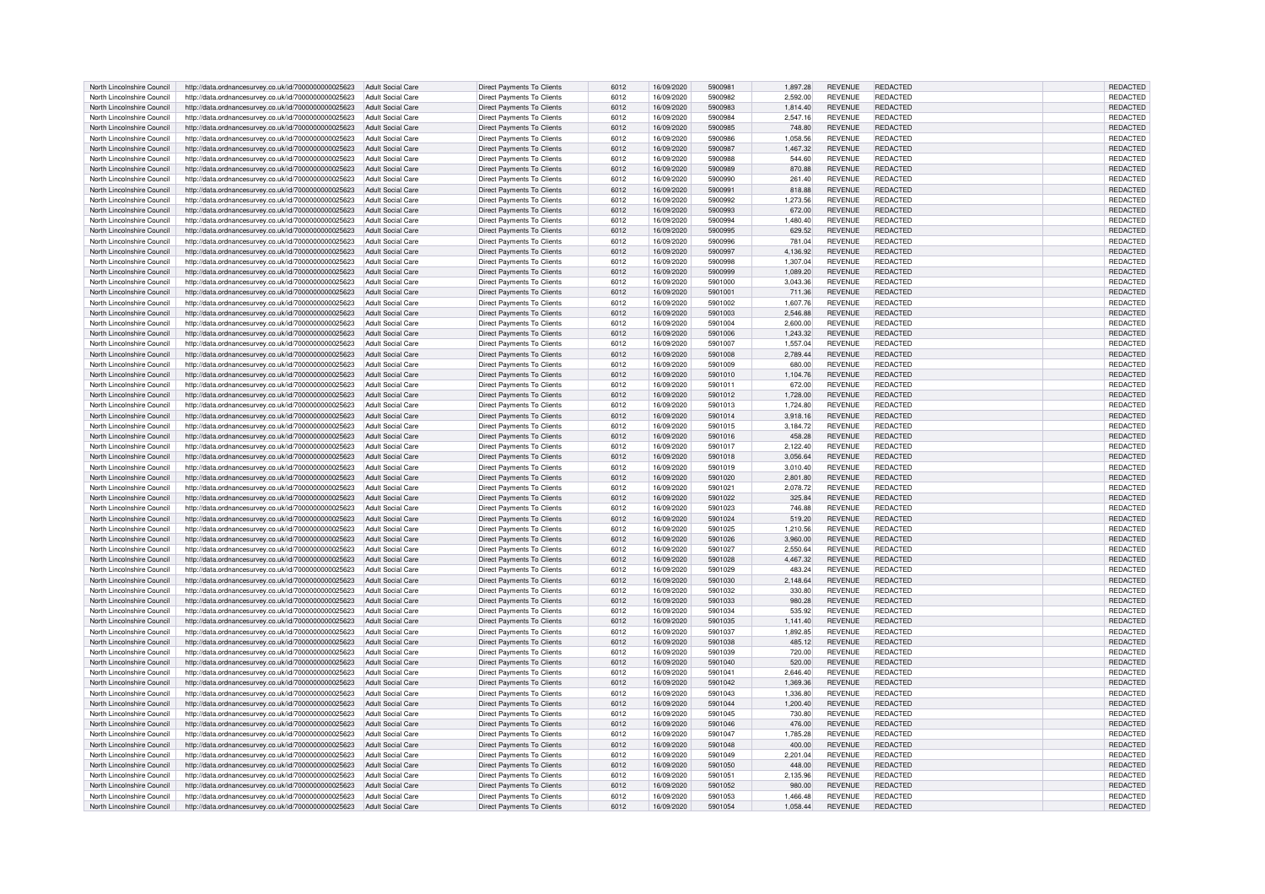| North Lincolnshire Council | http://data.ordnancesurvey.co.uk/id/7000000000025623 | Adult Social Care        | Direct Payments To Clients        | 6012 | 16/09/2020 | 5900981 | 1.897.28 | <b>REVENUE</b> | <b>REDACTED</b> | REDACTED        |
|----------------------------|------------------------------------------------------|--------------------------|-----------------------------------|------|------------|---------|----------|----------------|-----------------|-----------------|
| North Lincolnshire Council | http://data.ordnancesurvey.co.uk/id/7000000000025623 | <b>Adult Social Care</b> | Direct Payments To Clients        | 6012 | 16/09/2020 | 5900982 | 2,592.00 | <b>REVENUE</b> | REDACTED        | REDACTED        |
| North Lincolnshire Council | http://data.ordnancesurvey.co.uk/id/7000000000025623 | <b>Adult Social Care</b> | Direct Payments To Clients        | 6012 | 16/09/2020 | 5900983 | 1,814.40 | <b>REVENUE</b> | REDACTED        | REDACTED        |
|                            |                                                      |                          |                                   |      |            |         |          |                |                 |                 |
| North Lincolnshire Council | http://data.ordnancesurvey.co.uk/id/7000000000025623 | <b>Adult Social Care</b> | Direct Payments To Clients        | 6012 | 16/09/2020 | 5900984 | 2.547.16 | <b>REVENUE</b> | REDACTED        | REDACTED        |
| North Lincolnshire Council | http://data.ordnancesurvey.co.uk/id/7000000000025623 | <b>Adult Social Care</b> | Direct Payments To Clients        | 6012 | 16/09/2020 | 5900985 | 748.80   | <b>REVENUE</b> | REDACTED        | REDACTED        |
| North Lincolnshire Council | http://data.ordnancesurvey.co.uk/id/7000000000025623 | <b>Adult Social Care</b> | Direct Payments To Clients        | 6012 | 16/09/2020 | 5900986 | 1,058.56 | <b>REVENUE</b> | REDACTED        | REDACTED        |
| North Lincolnshire Council | http://data.ordnancesurvey.co.uk/id/7000000000025623 | <b>Adult Social Care</b> | Direct Payments To Clients        | 6012 | 16/09/2020 | 5900987 | 1,467.32 | <b>REVENUE</b> | REDACTED        | REDACTED        |
| North Lincolnshire Council | http://data.ordnancesurvey.co.uk/id/7000000000025623 | <b>Adult Social Care</b> | Direct Payments To Clients        | 6012 | 16/09/2020 | 5900988 | 544.60   | <b>REVENUE</b> | <b>REDACTED</b> | REDACTED        |
| North Lincolnshire Council | http://data.ordnancesurvey.co.uk/id/7000000000025623 | <b>Adult Social Care</b> | <b>Direct Payments To Clients</b> | 6012 | 16/09/2020 | 5900989 | 870.88   | <b>REVENUE</b> | REDACTED        | <b>REDACTED</b> |
|                            |                                                      |                          |                                   |      |            |         |          |                |                 |                 |
| North Lincolnshire Council | http://data.ordnancesurvey.co.uk/id/7000000000025623 | <b>Adult Social Care</b> | Direct Payments To Clients        | 6012 | 16/09/2020 | 5900990 | 261.40   | <b>REVENUE</b> | <b>REDACTED</b> | REDACTED        |
| North Lincolnshire Council | http://data.ordnancesurvey.co.uk/id/7000000000025623 | <b>Adult Social Care</b> | <b>Direct Payments To Clients</b> | 6012 | 16/09/2020 | 5900991 | 818.88   | <b>REVENUE</b> | REDACTED        | REDACTED        |
| North Lincolnshire Council | http://data.ordnancesurvey.co.uk/id/7000000000025623 | <b>Adult Social Care</b> | Direct Payments To Clients        | 6012 | 16/09/2020 | 5900992 | 1,273.56 | <b>REVENUE</b> | REDACTED        | REDACTED        |
| North Lincolnshire Council | http://data.ordnancesurvey.co.uk/id/7000000000025623 | <b>Adult Social Care</b> | Direct Payments To Clients        | 6012 | 16/09/2020 | 5900993 | 672.00   | <b>REVENUE</b> | REDACTED        | REDACTED        |
| North Lincolnshire Council | http://data.ordnancesurvey.co.uk/id/7000000000025623 | <b>Adult Social Care</b> | <b>Direct Payments To Clients</b> | 6012 | 16/09/2020 | 5900994 | 1,480.40 | <b>REVENUE</b> | REDACTED        | REDACTED        |
|                            |                                                      |                          |                                   |      |            |         |          |                |                 |                 |
| North Lincolnshire Council | http://data.ordnancesurvey.co.uk/id/7000000000025623 | <b>Adult Social Care</b> | Direct Payments To Clients        | 6012 | 16/09/2020 | 5900995 | 629.52   | <b>REVENUE</b> | REDACTED        | REDACTED        |
| North Lincolnshire Council | http://data.ordnancesurvey.co.uk/id/7000000000025623 | <b>Adult Social Care</b> | <b>Direct Payments To Clients</b> | 6012 | 16/09/2020 | 5900996 | 781.04   | <b>REVENUE</b> | REDACTED        | REDACTED        |
| North Lincolnshire Council | http://data.ordnancesurvey.co.uk/id/7000000000025623 | <b>Adult Social Care</b> | Direct Payments To Clients        | 6012 | 16/09/2020 | 5900997 | 4.136.92 | <b>REVENUE</b> | REDACTED        | REDACTED        |
| North Lincolnshire Council | http://data.ordnancesurvey.co.uk/id/7000000000025623 | <b>Adult Social Care</b> | Direct Payments To Clients        | 6012 | 16/09/2020 | 5900998 | 1,307.04 | <b>REVENUE</b> | <b>REDACTED</b> | REDACTED        |
| North Lincolnshire Council | http://data.ordnancesurvey.co.uk/id/7000000000025623 | <b>Adult Social Care</b> | Direct Payments To Clients        | 6012 | 16/09/2020 | 5900999 | 1,089.20 | <b>REVENUE</b> | REDACTED        | REDACTED        |
|                            |                                                      |                          |                                   |      |            |         |          |                |                 |                 |
| North Lincolnshire Council | http://data.ordnancesurvey.co.uk/id/7000000000025623 | <b>Adult Social Care</b> | Direct Payments To Clients        | 6012 | 16/09/2020 | 5901000 | 3,043.36 | <b>REVENUE</b> | REDACTED        | REDACTED        |
| North Lincolnshire Council | http://data.ordnancesurvey.co.uk/id/7000000000025623 | Adult Social Care        | Direct Payments To Clients        | 6012 | 16/09/2020 | 5901001 | 711.36   | <b>REVENUE</b> | <b>REDACTED</b> | REDACTED        |
| North Lincolnshire Council | http://data.ordnancesurvey.co.uk/id/7000000000025623 | <b>Adult Social Care</b> | Direct Payments To Clients        | 6012 | 16/09/2020 | 5901002 | 1,607.76 | <b>REVENUE</b> | REDACTED        | REDACTED        |
| North Lincolnshire Council | http://data.ordnancesurvey.co.uk/id/7000000000025623 | <b>Adult Social Care</b> | Direct Payments To Clients        | 6012 | 16/09/2020 | 5901003 | 2,546.88 | <b>REVENUE</b> | <b>REDACTED</b> | REDACTED        |
| North Lincolnshire Council | http://data.ordnancesurvey.co.uk/id/7000000000025623 | <b>Adult Social Care</b> | Direct Payments To Clients        | 6012 | 16/09/2020 | 5901004 | 2,600.00 | <b>REVENUE</b> | <b>REDACTED</b> | REDACTED        |
|                            |                                                      |                          |                                   |      |            |         |          |                |                 |                 |
| North Lincolnshire Council | http://data.ordnancesurvey.co.uk/id/7000000000025623 | <b>Adult Social Care</b> | Direct Payments To Clients        | 6012 | 16/09/2020 | 5901006 | 1,243.32 | <b>REVENUE</b> | <b>REDACTED</b> | REDACTED        |
| North Lincolnshire Council | http://data.ordnancesurvey.co.uk/id/7000000000025623 | <b>Adult Social Care</b> | Direct Payments To Clients        | 6012 | 16/09/2020 | 5901007 | 1,557.04 | <b>REVENUE</b> | REDACTED        | REDACTED        |
| North Lincolnshire Council | http://data.ordnancesurvey.co.uk/id/7000000000025623 | <b>Adult Social Care</b> | <b>Direct Payments To Clients</b> | 6012 | 16/09/2020 | 5901008 | 2,789.44 | <b>REVENUE</b> | <b>REDACTED</b> | REDACTED        |
| North Lincolnshire Council | http://data.ordnancesurvey.co.uk/id/7000000000025623 | <b>Adult Social Care</b> | <b>Direct Payments To Clients</b> | 6012 | 16/09/2020 | 5901009 | 680.00   | <b>REVENUE</b> | REDACTED        | <b>REDACTED</b> |
| North Lincolnshire Council | http://data.ordnancesurvey.co.uk/id/7000000000025623 | <b>Adult Social Care</b> | <b>Direct Payments To Clients</b> | 6012 | 16/09/2020 | 5901010 | 1,104.76 | <b>REVENUE</b> | REDACTED        | REDACTED        |
|                            |                                                      |                          |                                   |      |            |         |          |                |                 |                 |
| North Lincolnshire Council | http://data.ordnancesurvey.co.uk/id/7000000000025623 | <b>Adult Social Care</b> | Direct Payments To Clients        | 6012 | 16/09/2020 | 5901011 | 672.00   | <b>REVENUE</b> | REDACTED        | REDACTED        |
| North Lincolnshire Council | http://data.ordnancesurvey.co.uk/id/7000000000025623 | Adult Social Care        | Direct Payments To Clients        | 6012 | 16/09/2020 | 5901012 | 1,728.00 | <b>REVENUE</b> | REDACTED        | REDACTED        |
| North Lincolnshire Council | http://data.ordnancesurvey.co.uk/id/7000000000025623 | <b>Adult Social Care</b> | Direct Payments To Clients        | 6012 | 16/09/2020 | 5901013 | 1,724.80 | <b>REVENUE</b> | <b>REDACTED</b> | REDACTED        |
| North Lincolnshire Council | http://data.ordnancesurvey.co.uk/id/7000000000025623 | <b>Adult Social Care</b> | Direct Payments To Clients        | 6012 | 16/09/2020 | 5901014 | 3,918.16 | <b>REVENUE</b> | REDACTED        | REDACTED        |
| North Lincolnshire Council | http://data.ordnancesurvey.co.uk/id/7000000000025623 | <b>Adult Social Care</b> | Direct Payments To Clients        | 6012 | 16/09/2020 | 5901015 | 3,184.72 | <b>REVENUE</b> | REDACTED        | REDACTED        |
| North Lincolnshire Council |                                                      |                          |                                   | 6012 |            | 5901016 |          |                | REDACTED        |                 |
|                            | http://data.ordnancesurvey.co.uk/id/7000000000025623 | <b>Adult Social Care</b> | Direct Payments To Clients        |      | 16/09/2020 |         | 458.28   | <b>REVENUE</b> |                 | <b>REDACTED</b> |
| North Lincolnshire Council | http://data.ordnancesurvey.co.uk/id/7000000000025623 | <b>Adult Social Care</b> | <b>Direct Payments To Clients</b> | 6012 | 16/09/2020 | 5901017 | 2,122.40 | <b>REVENUE</b> | REDACTED        | REDACTED        |
| North Lincolnshire Council | http://data.ordnancesurvey.co.uk/id/7000000000025623 | <b>Adult Social Care</b> | <b>Direct Payments To Clients</b> | 6012 | 16/09/2020 | 5901018 | 3,056.64 | <b>REVENUE</b> | <b>REDACTED</b> | REDACTED        |
| North Lincolnshire Council | http://data.ordnancesurvey.co.uk/id/7000000000025623 | <b>Adult Social Care</b> | Direct Payments To Clients        | 6012 | 16/09/2020 | 5901019 | 3,010.40 | <b>REVENUE</b> | <b>REDACTED</b> | REDACTED        |
| North Lincolnshire Council | http://data.ordnancesurvey.co.uk/id/7000000000025623 | <b>Adult Social Care</b> | <b>Direct Payments To Clients</b> | 6012 | 16/09/2020 | 5901020 | 2,801.80 | <b>REVENUE</b> | REDACTED        | REDACTED        |
|                            |                                                      |                          |                                   |      |            |         |          |                |                 |                 |
| North Lincolnshire Council | http://data.ordnancesurvey.co.uk/id/7000000000025623 | <b>Adult Social Care</b> | Direct Payments To Clients        | 6012 | 16/09/2020 | 5901021 | 2,078.72 | <b>REVENUE</b> | REDACTED        | REDACTED        |
| North Lincolnshire Council | http://data.ordnancesurvey.co.uk/id/7000000000025623 | <b>Adult Social Care</b> | <b>Direct Payments To Clients</b> | 6012 | 16/09/2020 | 5901022 | 325.84   | <b>REVENUE</b> | REDACTED        | REDACTED        |
| North Lincolnshire Council | http://data.ordnancesurvey.co.uk/id/7000000000025623 | <b>Adult Social Care</b> | Direct Payments To Clients        | 6012 | 16/09/2020 | 5901023 | 746.88   | <b>REVENUE</b> | REDACTED        | REDACTED        |
| North Lincolnshire Council | http://data.ordnancesurvey.co.uk/id/7000000000025623 | <b>Adult Social Care</b> | Direct Payments To Clients        | 6012 | 16/09/2020 | 5901024 | 519.20   | <b>REVENUE</b> | REDACTED        | REDACTED        |
| North Lincolnshire Council | http://data.ordnancesurvey.co.uk/id/7000000000025623 | <b>Adult Social Care</b> | Direct Payments To Clients        | 6012 | 16/09/2020 | 5901025 | 1,210.56 | <b>REVENUE</b> | REDACTED        | REDACTED        |
|                            |                                                      |                          |                                   |      |            |         |          |                |                 |                 |
| North Lincolnshire Council | http://data.ordnancesurvey.co.uk/id/7000000000025623 | <b>Adult Social Care</b> | Direct Payments To Clients        | 6012 | 16/09/2020 | 5901026 | 3,960.00 | <b>REVENUE</b> | REDACTED        | REDACTED        |
| North Lincolnshire Council | http://data.ordnancesurvey.co.uk/id/7000000000025623 | <b>Adult Social Care</b> | <b>Direct Payments To Clients</b> | 6012 | 16/09/2020 | 5901027 | 2,550.64 | <b>REVENUE</b> | REDACTED        | REDACTED        |
| North Lincolnshire Council | http://data.ordnancesurvey.co.uk/id/7000000000025623 | <b>Adult Social Care</b> | Direct Payments To Clients        | 6012 | 16/09/2020 | 5901028 | 4.467.32 | <b>REVENUE</b> | <b>REDACTED</b> | REDACTED        |
| North Lincolnshire Council | http://data.ordnancesurvey.co.uk/id/7000000000025623 | <b>Adult Social Care</b> | <b>Direct Payments To Clients</b> | 6012 | 16/09/2020 | 5901029 | 483.24   | <b>REVENUE</b> | REDACTED        | REDACTED        |
| North Lincolnshire Council | http://data.ordnancesurvey.co.uk/id/7000000000025623 | <b>Adult Social Care</b> | Direct Payments To Clients        | 6012 | 16/09/2020 | 5901030 | 2,148.64 | <b>REVENUE</b> | <b>REDACTED</b> | <b>REDACTED</b> |
|                            |                                                      |                          |                                   |      |            |         |          |                |                 |                 |
| North Lincolnshire Council | http://data.ordnancesurvey.co.uk/id/7000000000025623 | <b>Adult Social Care</b> | Direct Payments To Clients        | 6012 | 16/09/2020 | 5901032 | 330.80   | <b>REVENUE</b> | REDACTED        | REDACTED        |
| North Lincolnshire Council | http://data.ordnancesurvey.co.uk/id/7000000000025623 | <b>Adult Social Care</b> | <b>Direct Payments To Clients</b> | 6012 | 16/09/2020 | 5901033 | 980.28   | <b>REVENUE</b> | REDACTED        | REDACTED        |
| North Lincolnshire Council | http://data.ordnancesurvey.co.uk/id/7000000000025623 | <b>Adult Social Care</b> | Direct Payments To Clients        | 6012 | 16/09/2020 | 5901034 | 535.92   | <b>REVENUE</b> | <b>REDACTED</b> | REDACTED        |
| North Lincolnshire Council | http://data.ordnancesurvey.co.uk/id/7000000000025623 | Adult Social Care        | <b>Direct Payments To Clients</b> | 6012 | 16/09/2020 | 5901035 | 1,141.40 | <b>REVENUE</b> | REDACTED        | REDACTED        |
| North Lincolnshire Council | http://data.ordnancesurvey.co.uk/id/7000000000025623 | Adult Social Care        | Direct Payments To Clients        | 6012 | 16/09/2020 | 5901037 | 1,892.85 | <b>REVENUE</b> | REDACTED        | REDACTED        |
| North Lincolnshire Council | http://data.ordnancesurvey.co.uk/id/7000000000025623 | <b>Adult Social Care</b> | Direct Payments To Clients        | 6012 | 16/09/2020 | 5901038 | 485.12   | <b>REVENUE</b> | REDACTED        | REDACTED        |
|                            |                                                      |                          |                                   |      |            |         |          |                |                 |                 |
| North Lincolnshire Council | http://data.ordnancesurvey.co.uk/id/7000000000025623 | <b>Adult Social Care</b> | <b>Direct Payments To Clients</b> | 6012 | 16/09/2020 | 5901039 | 720.00   | <b>REVENUE</b> | REDACTED        | <b>REDACTED</b> |
| North Lincolnshire Council | http://data.ordnancesurvey.co.uk/id/7000000000025623 | <b>Adult Social Care</b> | Direct Payments To Clients        | 6012 | 16/09/2020 | 5901040 | 520.00   | <b>REVENUE</b> | <b>REDACTED</b> | REDACTED        |
| North Lincolnshire Council | http://data.ordnancesurvey.co.uk/id/7000000000025623 | <b>Adult Social Care</b> | Direct Payments To Clients        | 6012 | 16/09/2020 | 5901041 | 2.646.40 | <b>REVENUE</b> | REDACTED        | <b>REDACTED</b> |
| North Lincolnshire Council | http://data.ordnancesurvey.co.uk/id/7000000000025623 | <b>Adult Social Care</b> | Direct Payments To Clients        | 6012 | 16/09/2020 | 5901042 | 1,369.36 | <b>REVENUE</b> | <b>REDACTED</b> | REDACTED        |
| North Lincolnshire Council | http://data.ordnancesurvey.co.uk/id/7000000000025623 | <b>Adult Social Care</b> | Direct Payments To Clients        | 6012 | 16/09/2020 | 5901043 | 1,336.80 | <b>REVENUE</b> | <b>REDACTED</b> | REDACTED        |
|                            |                                                      |                          |                                   |      |            |         |          |                |                 |                 |
| North Lincolnshire Council | http://data.ordnancesurvey.co.uk/id/7000000000025623 | <b>Adult Social Care</b> | <b>Direct Payments To Clients</b> | 6012 | 16/09/2020 | 5901044 | 1,200.40 | <b>REVENUE</b> | REDACTED        | REDACTED        |
| North Lincolnshire Council | http://data.ordnancesurvey.co.uk/id/7000000000025623 | <b>Adult Social Care</b> | Direct Payments To Clients        | 6012 | 16/09/2020 | 5901045 | 730.80   | <b>REVENUE</b> | REDACTED        | REDACTED        |
| North Lincolnshire Council | http://data.ordnancesurvey.co.uk/id/7000000000025623 | Adult Social Care        | Direct Payments To Clients        | 6012 | 16/09/2020 | 5901046 | 476.00   | <b>REVENUE</b> | REDACTED        | REDACTED        |
| North Lincolnshire Council | http://data.ordnancesurvey.co.uk/id/7000000000025623 | <b>Adult Social Care</b> | Direct Payments To Clients        | 6012 | 16/09/2020 | 5901047 | 1,785.28 | <b>REVENUE</b> | REDACTED        | REDACTED        |
| North Lincolnshire Council | http://data.ordnancesurvey.co.uk/id/7000000000025623 | <b>Adult Social Care</b> | Direct Payments To Clients        | 6012 | 16/09/2020 | 5901048 | 400.00   | <b>REVENUE</b> | <b>REDACTED</b> | REDACTED        |
|                            |                                                      |                          |                                   |      |            |         |          |                |                 |                 |
| North Lincolnshire Council | http://data.ordnancesurvey.co.uk/id/7000000000025623 | <b>Adult Social Care</b> | Direct Payments To Clients        | 6012 | 16/09/2020 | 5901049 | 2.201.04 | <b>REVENUE</b> | REDACTED        | REDACTED        |
| North Lincolnshire Council | http://data.ordnancesurvey.co.uk/id/7000000000025623 | <b>Adult Social Care</b> | <b>Direct Payments To Clients</b> | 6012 | 16/09/2020 | 5901050 | 448.00   | <b>REVENUE</b> | <b>REDACTED</b> | REDACTED        |
| North Lincolnshire Council | http://data.ordnancesurvey.co.uk/id/7000000000025623 | <b>Adult Social Care</b> | Direct Payments To Clients        | 6012 | 16/09/2020 | 5901051 | 2,135.96 | <b>REVENUE</b> | REDACTED        | REDACTED        |
| North Lincolnshire Council | http://data.ordnancesurvey.co.uk/id/7000000000025623 | <b>Adult Social Care</b> | <b>Direct Payments To Clients</b> | 6012 | 16/09/2020 | 5901052 | 980.00   | <b>REVENUE</b> | REDACTED        | REDACTED        |
| North Lincolnshire Council | http://data.ordnancesurvey.co.uk/id/7000000000025623 | Adult Social Care        | Direct Payments To Clients        | 6012 | 16/09/2020 | 5901053 | 1,466.48 | <b>REVENUE</b> | <b>REDACTED</b> | REDACTED        |
| North Lincolnshire Council | http://data.ordnancesurvey.co.uk/id/7000000000025623 | Adult Social Care        | Direct Payments To Clients        | 6012 | 16/09/2020 | 5901054 | 1,058.44 | <b>REVENUE</b> | REDACTED        | REDACTED        |
|                            |                                                      |                          |                                   |      |            |         |          |                |                 |                 |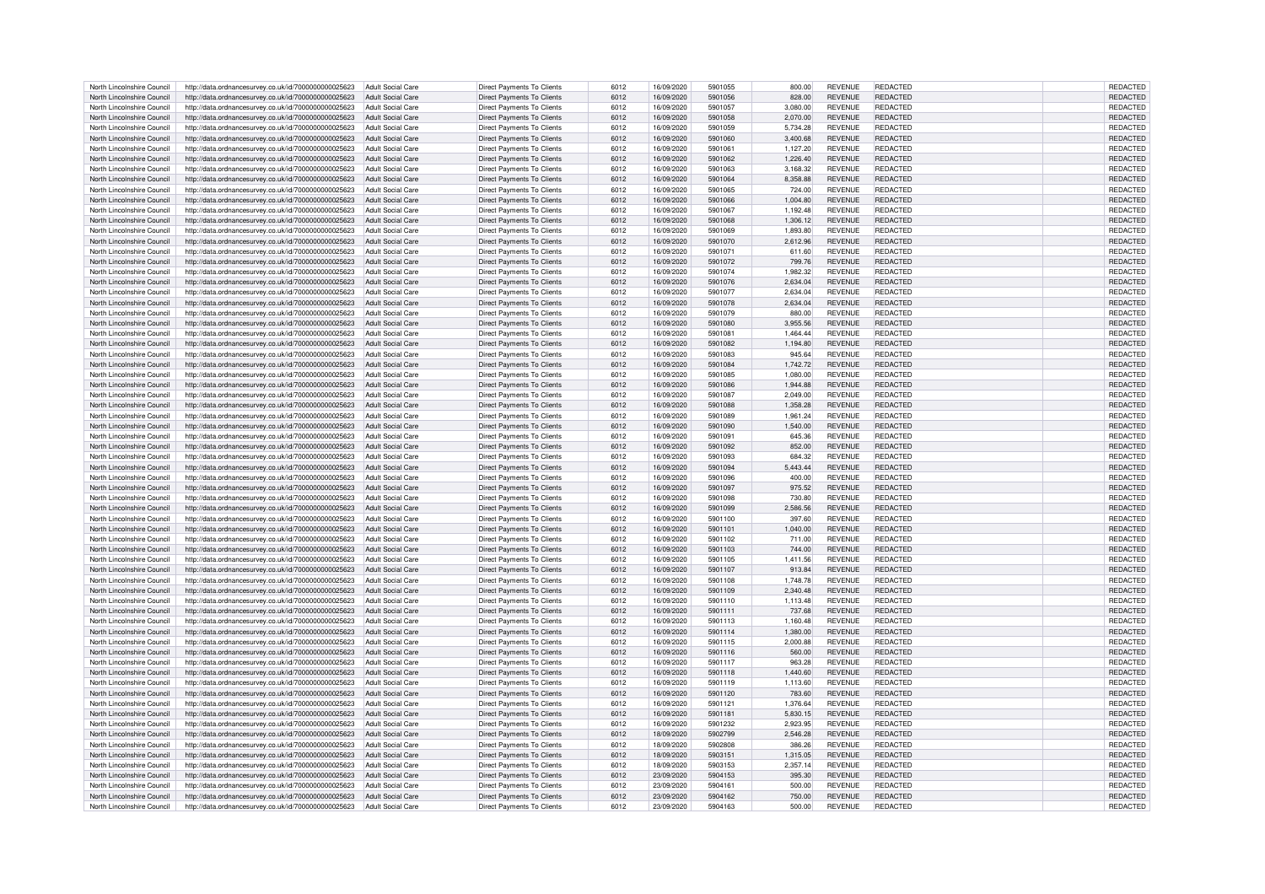| North Lincolnshire Council | http://data.ordnancesurvey.co.uk/id/7000000000025623                   | Adult Social Care        | <b>Direct Payments To Clients</b> | 6012 | 16/09/2020 | 5901055 | 800.00   | <b>REVENUE</b> | REDACTED        | REDACTED        |
|----------------------------|------------------------------------------------------------------------|--------------------------|-----------------------------------|------|------------|---------|----------|----------------|-----------------|-----------------|
| North Lincolnshire Council | http://data.ordnancesurvey.co.uk/id/7000000000025623                   | Adult Social Care        | <b>Direct Payments To Clients</b> | 6012 | 16/09/2020 | 5901056 | 828.00   | <b>REVENUE</b> | <b>REDACTED</b> | <b>REDACTED</b> |
| North Lincolnshire Council | http://data.ordnancesurvey.co.uk/id/7000000000025623                   | Adult Social Care        | Direct Payments To Clients        | 6012 | 16/09/2020 | 5901057 | 3.080.00 | <b>REVENUE</b> | REDACTED        | <b>REDACTED</b> |
|                            |                                                                        |                          |                                   |      |            |         |          |                |                 |                 |
| North Lincolnshire Council | http://data.ordnancesurvey.co.uk/id/7000000000025623                   | <b>Adult Social Care</b> | <b>Direct Payments To Clients</b> | 6012 | 16/09/2020 | 5901058 | 2,070.00 | <b>REVENUE</b> | <b>REDACTED</b> | <b>REDACTED</b> |
| North Lincolnshire Council | http://data.ordnancesurvey.co.uk/id/7000000000025623                   | <b>Adult Social Care</b> | Direct Payments To Clients        | 6012 | 16/09/2020 | 5901059 | 5.734.28 | <b>REVENUE</b> | REDACTED        | REDACTED        |
| North Lincolnshire Council | http://data.ordnancesurvey.co.uk/id/7000000000025623                   | <b>Adult Social Care</b> | <b>Direct Payments To Clients</b> | 6012 | 16/09/2020 | 5901060 | 3,400.68 | <b>REVENUE</b> | <b>REDACTED</b> | REDACTED        |
| North Lincolnshire Council | http://data.ordnancesurvey.co.uk/id/7000000000025623                   | <b>Adult Social Care</b> | Direct Payments To Clients        | 6012 | 16/09/2020 | 5901061 | 1,127.20 | <b>REVENUE</b> | <b>REDACTED</b> | REDACTED        |
| North Lincolnshire Council | http://data.ordnancesurvey.co.uk/id/7000000000025623                   | <b>Adult Social Care</b> | <b>Direct Payments To Clients</b> | 6012 | 16/09/2020 | 5901062 | 1.226.40 | <b>REVENUE</b> | REDACTED        | <b>REDACTED</b> |
| North Lincolnshire Council | http://data.ordnancesurvey.co.uk/id/7000000000025623                   | Adult Social Care        | Direct Payments To Clients        | 6012 | 16/09/2020 | 5901063 | 3.168.32 | <b>REVENUE</b> | <b>REDACTED</b> | <b>REDACTED</b> |
|                            |                                                                        |                          |                                   |      |            |         |          |                |                 |                 |
| North Lincolnshire Council | http://data.ordnancesurvey.co.uk/id/7000000000025623                   | Adult Social Care        | Direct Payments To Clients        | 6012 | 16/09/2020 | 5901064 | 8,358.88 | <b>REVENUE</b> | REDACTED        | REDACTED        |
| North Lincolnshire Council | http://data.ordnancesurvey.co.uk/id/7000000000025623                   | Adult Social Care        | Direct Payments To Clients        | 6012 | 16/09/2020 | 5901065 | 724.00   | <b>REVENUE</b> | REDACTED        | REDACTED        |
| North Lincolnshire Council | http://data.ordnancesurvey.co.uk/id/7000000000025623                   | Adult Social Care        | <b>Direct Payments To Clients</b> | 6012 | 16/09/2020 | 5901066 | 1,004.80 | <b>REVENUE</b> | REDACTED        | REDACTED        |
| North Lincolnshire Council | http://data.ordnancesurvey.co.uk/id/7000000000025623                   | Adult Social Care        | Direct Payments To Clients        | 6012 | 16/09/2020 | 5901067 | 1,192.48 | <b>REVENUE</b> | REDACTED        | <b>REDACTED</b> |
| North Lincolnshire Council | http://data.ordnancesurvey.co.uk/id/7000000000025623                   | Adult Social Care        | Direct Payments To Clients        | 6012 | 16/09/2020 | 5901068 | 1,306.12 | <b>REVENUE</b> | REDACTED        | REDACTED        |
| North Lincolnshire Council | http://data.ordnancesurvey.co.uk/id/7000000000025623                   | <b>Adult Social Care</b> | Direct Payments To Clients        | 6012 | 16/09/2020 | 5901069 | 1,893.80 | <b>REVENUE</b> | REDACTED        | REDACTED        |
| North Lincolnshire Council |                                                                        | <b>Adult Social Care</b> |                                   | 6012 | 16/09/2020 | 5901070 | 2,612.96 | <b>REVENUE</b> | REDACTED        | REDACTED        |
|                            | http://data.ordnancesurvey.co.uk/id/7000000000025623                   |                          | Direct Payments To Clients        |      |            |         |          |                |                 |                 |
| North Lincolnshire Council | http://data.ordnancesurvey.co.uk/id/7000000000025623                   | <b>Adult Social Care</b> | Direct Payments To Clients        | 6012 | 16/09/2020 | 5901071 | 611.60   | <b>REVENUE</b> | <b>REDACTED</b> | REDACTED        |
| North Lincolnshire Council | http://data.ordnancesurvey.co.uk/id/7000000000025623                   | <b>Adult Social Care</b> | <b>Direct Payments To Clients</b> | 6012 | 16/09/2020 | 5901072 | 799.76   | <b>REVENUE</b> | REDACTED        | <b>REDACTED</b> |
| North Lincolnshire Council | http://data.ordnancesurvey.co.uk/id/7000000000025623                   | Adult Social Care        | Direct Payments To Clients        | 6012 | 16/09/2020 | 5901074 | 1,982.32 | <b>REVENUE</b> | REDACTED        | REDACTED        |
| North Lincolnshire Council | http://data.ordnancesurvey.co.uk/id/7000000000025623                   | <b>Adult Social Care</b> | <b>Direct Payments To Clients</b> | 6012 | 16/09/2020 | 5901076 | 2,634.04 | <b>REVENUE</b> | REDACTED        | <b>REDACTED</b> |
| North Lincolnshire Council | http://data.ordnancesurvey.co.uk/id/7000000000025623                   | <b>Adult Social Care</b> | <b>Direct Payments To Clients</b> | 6012 | 16/09/2020 | 5901077 | 2,634.04 | <b>REVENUE</b> | REDACTED        | REDACTED        |
| North Lincolnshire Council | http://data.ordnancesurvey.co.uk/id/7000000000025623                   | Adult Social Care        | <b>Direct Payments To Clients</b> | 6012 | 16/09/2020 | 5901078 | 2,634.04 | <b>REVENUE</b> | <b>REDACTED</b> | REDACTED        |
|                            |                                                                        |                          |                                   |      |            |         |          |                |                 |                 |
| North Lincolnshire Council | http://data.ordnancesurvey.co.uk/id/7000000000025623                   | <b>Adult Social Care</b> | <b>Direct Payments To Clients</b> | 6012 | 16/09/2020 | 5901079 | 880.00   | <b>REVENUE</b> | REDACTED        | REDACTED        |
| North Lincolnshire Council | http://data.ordnancesurvey.co.uk/id/7000000000025623                   | <b>Adult Social Care</b> | Direct Payments To Clients        | 6012 | 16/09/2020 | 5901080 | 3,955.56 | <b>REVENUE</b> | REDACTED        | REDACTED        |
| North Lincolnshire Council | http://data.ordnancesurvey.co.uk/id/7000000000025623                   | Adult Social Care        | Direct Payments To Clients        | 6012 | 16/09/2020 | 5901081 | 1.464.44 | <b>REVENUE</b> | REDACTED        | REDACTED        |
| North Lincolnshire Council | http://data.ordnancesurvey.co.uk/id/7000000000025623                   | <b>Adult Social Care</b> | <b>Direct Payments To Clients</b> | 6012 | 16/09/2020 | 5901082 | 1,194.80 | <b>REVENUE</b> | <b>REDACTED</b> | REDACTED        |
| North Lincolnshire Council | http://data.ordnancesurvey.co.uk/id/7000000000025623                   | Adult Social Care        | Direct Payments To Clients        | 6012 | 16/09/2020 | 5901083 | 945.64   | <b>REVENUE</b> | <b>REDACTED</b> | REDACTED        |
| North Lincolnshire Council | http://data.ordnancesurvey.co.uk/id/7000000000025623                   | Adult Social Care        | <b>Direct Payments To Clients</b> | 6012 | 16/09/2020 | 5901084 | 1,742.72 | <b>REVENUE</b> | REDACTED        | REDACTED        |
| North Lincolnshire Council |                                                                        | Adult Social Care        |                                   | 6012 | 16/09/2020 | 5901085 |          | <b>REVENUE</b> | <b>REDACTED</b> | <b>REDACTED</b> |
|                            | http://data.ordnancesurvey.co.uk/id/7000000000025623                   |                          | Direct Payments To Clients        |      |            |         | 1,080.00 |                |                 |                 |
| North Lincolnshire Council | http://data.ordnancesurvey.co.uk/id/7000000000025623                   | Adult Social Care        | Direct Payments To Clients        | 6012 | 16/09/2020 | 5901086 | 1,944.88 | <b>REVENUE</b> | REDACTED        | REDACTED        |
| North Lincolnshire Council | http://data.ordnancesurvey.co.uk/id/7000000000025623                   | Adult Social Care        | <b>Direct Payments To Clients</b> | 6012 | 16/09/2020 | 5901087 | 2,049.00 | <b>REVENUE</b> | REDACTED        | REDACTED        |
| North Lincolnshire Council | http://data.ordnancesurvey.co.uk/id/7000000000025623                   | Adult Social Care        | <b>Direct Payments To Clients</b> | 6012 | 16/09/2020 | 5901088 | 1,358.28 | <b>REVENUE</b> | REDACTED        | REDACTED        |
| North Lincolnshire Council | http://data.ordnancesurvey.co.uk/id/7000000000025623                   | Adult Social Care        | Direct Payments To Clients        | 6012 | 16/09/2020 | 5901089 | 1,961.24 | <b>REVENUE</b> | REDACTED        | REDACTED        |
| North Lincolnshire Council | http://data.ordnancesurvey.co.uk/id/7000000000025623                   | <b>Adult Social Care</b> | Direct Payments To Clients        | 6012 | 16/09/2020 | 5901090 | 1,540.00 | <b>REVENUE</b> | REDACTED        | REDACTED        |
| North Lincolnshire Council |                                                                        | <b>Adult Social Care</b> |                                   | 6012 |            | 5901091 |          |                | <b>REDACTED</b> |                 |
|                            | http://data.ordnancesurvey.co.uk/id/7000000000025623                   |                          | Direct Payments To Clients        |      | 16/09/2020 |         | 645.36   | <b>REVENUE</b> |                 | REDACTED        |
| North Lincolnshire Council | http://data.ordnancesurvey.co.uk/id/7000000000025623                   | <b>Adult Social Care</b> | Direct Payments To Clients        | 6012 | 16/09/2020 | 5901092 | 852.00   | <b>REVENUE</b> | REDACTED        | REDACTED        |
| North Lincolnshire Council | http://data.ordnancesurvey.co.uk/id/7000000000025623                   | <b>Adult Social Care</b> | <b>Direct Payments To Clients</b> | 6012 | 16/09/2020 | 5901093 | 684.32   | <b>REVENUE</b> | REDACTED        | REDACTED        |
| North Lincolnshire Council | http://data.ordnancesurvey.co.uk/id/7000000000025623                   | <b>Adult Social Care</b> | <b>Direct Payments To Clients</b> | 6012 | 16/09/2020 | 5901094 | 5.443.44 | <b>REVENUE</b> | REDACTED        | <b>REDACTED</b> |
| North Lincolnshire Council | http://data.ordnancesurvey.co.uk/id/7000000000025623                   | <b>Adult Social Care</b> | <b>Direct Payments To Clients</b> | 6012 | 16/09/2020 | 5901096 | 400.00   | <b>REVENUE</b> | <b>REDACTED</b> | REDACTED        |
| North Lincolnshire Council | http://data.ordnancesurvey.co.uk/id/7000000000025623                   | <b>Adult Social Care</b> | <b>Direct Payments To Clients</b> | 6012 | 16/09/2020 | 5901097 | 975.52   | <b>REVENUE</b> | REDACTED        | REDACTED        |
| North Lincolnshire Council | http://data.ordnancesurvey.co.uk/id/7000000000025623                   | <b>Adult Social Care</b> | <b>Direct Payments To Clients</b> | 6012 | 16/09/2020 | 5901098 | 730.80   | <b>REVENUE</b> | REDACTED        | REDACTED        |
|                            |                                                                        |                          |                                   |      |            |         |          |                |                 |                 |
| North Lincolnshire Council | http://data.ordnancesurvey.co.uk/id/7000000000025623                   | Adult Social Care        | <b>Direct Payments To Clients</b> | 6012 | 16/09/2020 | 5901099 | 2,586.56 | <b>REVENUE</b> | REDACTED        | REDACTED        |
| North Lincolnshire Council | http://data.ordnancesurvey.co.uk/id/7000000000025623                   | Adult Social Care        | Direct Payments To Clients        | 6012 | 16/09/2020 | 5901100 | 397.60   | <b>REVENUE</b> | REDACTED        | REDACTED        |
| North Lincolnshire Council | http://data.ordnancesurvey.co.uk/id/7000000000025623                   | <b>Adult Social Care</b> | Direct Payments To Clients        | 6012 | 16/09/2020 | 5901101 | 1,040.00 | <b>REVENUE</b> | REDACTED        | REDACTED        |
| North Lincolnshire Council | http://data.ordnancesurvey.co.uk/id/7000000000025623                   | Adult Social Care        | Direct Payments To Clients        | 6012 | 16/09/2020 | 5901102 | 711.00   | <b>REVENUE</b> | <b>REDACTED</b> | REDACTED        |
| North Lincolnshire Council | http://data.ordnancesurvey.co.uk/id/7000000000025623                   | <b>Adult Social Care</b> | Direct Payments To Clients        | 6012 | 16/09/2020 | 5901103 | 744.00   | <b>REVENUE</b> | REDACTED        | REDACTED        |
| North Lincolnshire Council | http://data.ordnancesurvey.co.uk/id/7000000000025623                   | Adult Social Care        | Direct Payments To Clients        | 6012 | 16/09/2020 | 5901105 | 1.411.56 | <b>REVENUE</b> | <b>REDACTED</b> | REDACTED        |
|                            |                                                                        |                          |                                   |      |            |         |          |                |                 |                 |
| North Lincolnshire Council | http://data.ordnancesurvey.co.uk/id/7000000000025623                   | Adult Social Care        | <b>Direct Payments To Clients</b> | 6012 | 16/09/2020 | 5901107 | 913.84   | <b>REVENUE</b> | REDACTED        | <b>REDACTED</b> |
| North Lincolnshire Council | http://data.ordnancesurvey.co.uk/id/7000000000025623                   | Adult Social Care        | Direct Payments To Clients        | 6012 | 16/09/2020 | 5901108 | 1,748.78 | <b>REVENUE</b> | <b>REDACTED</b> | REDACTED        |
| North Lincolnshire Council | http://data.ordnancesurvey.co.uk/id/7000000000025623                   | Adult Social Care        | Direct Payments To Clients        | 6012 | 16/09/2020 | 5901109 | 2,340.48 | <b>REVENUE</b> | REDACTED        | REDACTED        |
| North Lincolnshire Council | http://data.ordnancesurvey.co.uk/id/7000000000025623                   | Adult Social Care        | <b>Direct Payments To Clients</b> | 6012 | 16/09/2020 | 5901110 | 1,113.48 | <b>REVENUE</b> | REDACTED        | REDACTED        |
| North Lincolnshire Council | http://data.ordnancesurvey.co.uk/id/7000000000025623                   | Adult Social Care        | <b>Direct Payments To Clients</b> | 6012 | 16/09/2020 | 5901111 | 737.68   | <b>REVENUE</b> | REDACTED        | REDACTED        |
| North Lincolnshire Council | http://data.ordnancesurvey.co.uk/id/7000000000025623                   | Adult Social Care        | Direct Payments To Clients        | 6012 | 16/09/2020 | 5901113 | 1,160.48 | <b>REVENUE</b> | REDACTED        | <b>REDACTED</b> |
| North Lincolnshire Council | http://data.ordnancesurvey.co.uk/id/7000000000025623                   | <b>Adult Social Care</b> | Direct Payments To Clients        | 6012 | 16/09/2020 | 5901114 | 1,380.00 | <b>REVENUE</b> | REDACTED        | REDACTED        |
|                            |                                                                        |                          |                                   |      |            |         |          |                |                 |                 |
| North Lincolnshire Council | http://data.ordnancesurvey.co.uk/id/7000000000025623                   | Adult Social Care        | Direct Payments To Clients        | 6012 | 16/09/2020 | 5901115 | 2,000.88 | <b>REVENUE</b> | <b>REDACTED</b> | REDACTED        |
| North Lincolnshire Council | http://data.ordnancesurvey.co.uk/id/7000000000025623                   | <b>Adult Social Care</b> | <b>Direct Payments To Clients</b> | 6012 | 16/09/2020 | 5901116 | 560.00   | <b>REVENUE</b> | <b>REDACTED</b> | REDACTED        |
| North Lincolnshire Council | http://data.ordnancesurvey.co.uk/id/7000000000025623                   | <b>Adult Social Care</b> | <b>Direct Payments To Clients</b> | 6012 | 16/09/2020 | 5901117 | 963.28   | <b>REVENUE</b> | <b>REDACTED</b> | REDACTED        |
| North Lincolnshire Council | http://data.ordnancesurvey.co.uk/id/7000000000025623                   | <b>Adult Social Care</b> | <b>Direct Payments To Clients</b> | 6012 | 16/09/2020 | 5901118 | 1.440.60 | <b>REVENUE</b> | REDACTED        | <b>REDACTED</b> |
| North Lincolnshire Council | http://data.ordnancesurvey.co.uk/id/7000000000025623                   | <b>Adult Social Care</b> | <b>Direct Payments To Clients</b> | 6012 | 16/09/2020 | 5901119 | 1,113.60 | <b>REVENUE</b> | <b>REDACTED</b> | REDACTED        |
| North Lincolnshire Council | http://data.ordnancesurvey.co.uk/id/7000000000025623                   | <b>Adult Social Care</b> | Direct Payments To Clients        | 6012 | 16/09/2020 | 5901120 | 783.60   | <b>REVENUE</b> | REDACTED        | REDACTED        |
| North Lincolnshire Council |                                                                        | Adult Social Care        | Direct Payments To Clients        | 6012 | 16/09/2020 | 5901121 | 1.376.64 | <b>REVENUE</b> | REDACTED        | REDACTED        |
|                            | http://data.ordnancesurvey.co.uk/id/7000000000025623                   |                          |                                   |      |            |         |          |                |                 |                 |
| North Lincolnshire Council | http://data.ordnancesurvey.co.uk/id/7000000000025623                   | <b>Adult Social Care</b> | <b>Direct Payments To Clients</b> | 6012 | 16/09/2020 | 5901181 | 5,830.15 | <b>REVENUE</b> | REDACTED        | REDACTED        |
| North Lincolnshire Council | http://data.ordnancesurvey.co.uk/id/7000000000025623                   | Adult Social Care        | <b>Direct Payments To Clients</b> | 6012 | 16/09/2020 | 5901232 | 2.923.95 | <b>REVENUE</b> | REDACTED        | REDACTED        |
| North Lincolnshire Council | http://data.ordnancesurvey.co.uk/id/7000000000025623                   | <b>Adult Social Care</b> | Direct Payments To Clients        | 6012 | 18/09/2020 | 5902799 | 2,546.28 | <b>REVENUE</b> | REDACTED        | REDACTED        |
| North Lincolnshire Council | http://data.ordnancesurvey.co.uk/id/7000000000025623                   | <b>Adult Social Care</b> | Direct Payments To Clients        | 6012 | 18/09/2020 | 5902808 | 386.26   | <b>REVENUE</b> | REDACTED        | REDACTED        |
| North Lincolnshire Council | http://data.ordnancesurvey.co.uk/id/7000000000025623                   | <b>Adult Social Care</b> | Direct Payments To Clients        | 6012 | 18/09/2020 | 5903151 | 1.315.05 | <b>REVENUE</b> | REDACTED        | REDACTED        |
| North Lincolnshire Council | http://data.ordnancesurvey.co.uk/id/7000000000025623                   | <b>Adult Social Care</b> | Direct Payments To Clients        | 6012 | 18/09/2020 | 5903153 | 2,357.14 | <b>REVENUE</b> | <b>REDACTED</b> | REDACTED        |
|                            |                                                                        |                          |                                   |      |            | 5904153 |          |                |                 |                 |
| North Lincolnshire Council | http://data.ordnancesurvey.co.uk/id/7000000000025623                   | <b>Adult Social Care</b> | <b>Direct Payments To Clients</b> | 6012 | 23/09/2020 |         | 395.30   | <b>REVENUE</b> | REDACTED        | REDACTED        |
| North Lincolnshire Council | http://data.ordnancesurvey.co.uk/id/7000000000025623                   | Adult Social Care        | Direct Payments To Clients        | 6012 | 23/09/2020 | 5904161 | 500.00   | <b>REVENUE</b> | REDACTED        | <b>REDACTED</b> |
| North Lincolnshire Council | http://data.ordnancesurvey.co.uk/id/7000000000025623                   | Adult Social Care        | Direct Payments To Clients        | 6012 | 23/09/2020 | 5904162 | 750.00   | <b>REVENUE</b> | REDACTED        | REDACTED        |
| North Lincolnshire Council | http://data.ordnancesurvey.co.uk/id/7000000000025623 Adult Social Care |                          | <b>Direct Payments To Clients</b> | 6012 | 23/09/2020 | 5904163 | 500.00   | <b>REVENUE</b> | REDACTED        | REDACTED        |
|                            |                                                                        |                          |                                   |      |            |         |          |                |                 |                 |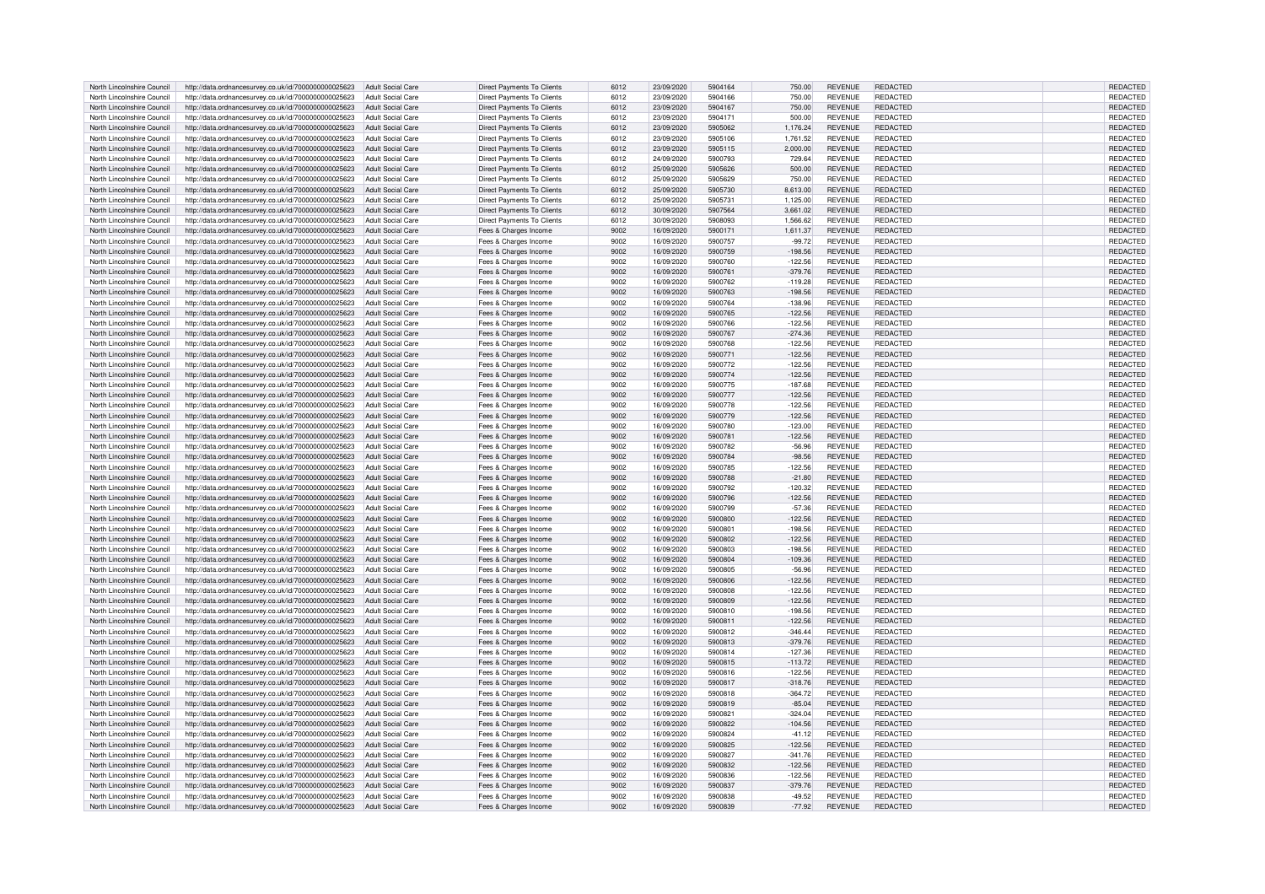| North Lincolnshire Council | http://data.ordnancesurvey.co.uk/id/7000000000025623 | Adult Social Care        | Direct Payments To Clients        | 6012 | 23/09/2020 | 5904164 | 750.00    | <b>REVENUE</b> | <b>REDACTED</b> | REDACTED        |
|----------------------------|------------------------------------------------------|--------------------------|-----------------------------------|------|------------|---------|-----------|----------------|-----------------|-----------------|
| North Lincolnshire Council | http://data.ordnancesurvey.co.uk/id/7000000000025623 | <b>Adult Social Care</b> | Direct Payments To Clients        | 6012 | 23/09/2020 | 5904166 | 750.00    | <b>REVENUE</b> | <b>REDACTED</b> | REDACTED        |
| North Lincolnshire Council | http://data.ordnancesurvey.co.uk/id/7000000000025623 | <b>Adult Social Care</b> | Direct Payments To Clients        | 6012 | 23/09/2020 | 5904167 | 750.00    | <b>REVENUE</b> | REDACTED        | REDACTED        |
|                            |                                                      |                          |                                   |      |            |         |           |                |                 |                 |
| North Lincolnshire Council | http://data.ordnancesurvey.co.uk/id/7000000000025623 | <b>Adult Social Care</b> | Direct Payments To Clients        | 6012 | 23/09/2020 | 5904171 | 500.00    | <b>REVENUE</b> | REDACTED        | REDACTED        |
| North Lincolnshire Council | http://data.ordnancesurvey.co.uk/id/7000000000025623 | <b>Adult Social Care</b> | Direct Payments To Clients        | 6012 | 23/09/2020 | 5905062 | 1,176.24  | <b>REVENUE</b> | REDACTED        | REDACTED        |
| North Lincolnshire Council | http://data.ordnancesurvey.co.uk/id/7000000000025623 | <b>Adult Social Care</b> | Direct Payments To Clients        | 6012 | 23/09/2020 | 5905106 | 1,761.52  | <b>REVENUE</b> | REDACTED        | REDACTED        |
| North Lincolnshire Council | http://data.ordnancesurvey.co.uk/id/7000000000025623 | <b>Adult Social Care</b> | Direct Payments To Clients        | 6012 | 23/09/2020 | 5905115 | 2,000.00  | <b>REVENUE</b> | REDACTED        | <b>REDACTED</b> |
| North Lincolnshire Council | http://data.ordnancesurvey.co.uk/id/7000000000025623 | <b>Adult Social Care</b> | Direct Payments To Clients        | 6012 | 24/09/2020 | 5900793 | 729.64    | <b>REVENUE</b> | <b>REDACTED</b> | REDACTED        |
| North Lincolnshire Council |                                                      | <b>Adult Social Care</b> |                                   | 6012 | 25/09/2020 | 5905626 | 500.00    | <b>REVENUE</b> | REDACTED        | <b>REDACTED</b> |
|                            | http://data.ordnancesurvey.co.uk/id/7000000000025623 |                          | <b>Direct Payments To Clients</b> |      |            |         |           |                |                 |                 |
| North Lincolnshire Council | http://data.ordnancesurvey.co.uk/id/7000000000025623 | <b>Adult Social Care</b> | Direct Payments To Clients        | 6012 | 25/09/2020 | 5905629 | 750.00    | <b>REVENUE</b> | <b>REDACTED</b> | REDACTED        |
| North Lincolnshire Council | http://data.ordnancesurvey.co.uk/id/7000000000025623 | <b>Adult Social Care</b> | <b>Direct Payments To Clients</b> | 6012 | 25/09/2020 | 5905730 | 8,613.00  | <b>REVENUE</b> | REDACTED        | REDACTED        |
| North Lincolnshire Council | http://data.ordnancesurvey.co.uk/id/7000000000025623 | <b>Adult Social Care</b> | Direct Payments To Clients        | 6012 | 25/09/2020 | 5905731 | 1,125.00  | <b>REVENUE</b> | REDACTED        | REDACTED        |
| North Lincolnshire Council | http://data.ordnancesurvey.co.uk/id/7000000000025623 | <b>Adult Social Care</b> | Direct Payments To Clients        | 6012 | 30/09/2020 | 5907564 | 3,661.02  | <b>REVENUE</b> | <b>REDACTED</b> | REDACTED        |
| North Lincolnshire Council | http://data.ordnancesurvey.co.uk/id/7000000000025623 | <b>Adult Social Care</b> | <b>Direct Payments To Clients</b> | 6012 | 30/09/2020 | 5908093 | 1.566.62  | <b>REVENUE</b> | REDACTED        | <b>REDACTED</b> |
|                            |                                                      |                          |                                   |      |            |         |           |                |                 |                 |
| North Lincolnshire Council | http://data.ordnancesurvey.co.uk/id/7000000000025623 | <b>Adult Social Care</b> | Fees & Charges Income             | 9002 | 16/09/2020 | 5900171 | 1,611.37  | <b>REVENUE</b> | REDACTED        | REDACTED        |
| North Lincolnshire Council | http://data.ordnancesurvey.co.uk/id/7000000000025623 | <b>Adult Social Care</b> | Fees & Charges Income             | 9002 | 16/09/2020 | 5900757 | $-99.72$  | <b>REVENUE</b> | <b>REDACTED</b> | REDACTED        |
| North Lincolnshire Council | http://data.ordnancesurvey.co.uk/id/7000000000025623 | <b>Adult Social Care</b> | Fees & Charges Income             | 9002 | 16/09/2020 | 5900759 | $-198.56$ | <b>REVENUE</b> | REDACTED        | REDACTED        |
| North Lincolnshire Council | http://data.ordnancesurvey.co.uk/id/7000000000025623 | <b>Adult Social Care</b> | Fees & Charges Income             | 9002 | 16/09/2020 | 5900760 | $-122.56$ | <b>REVENUE</b> | <b>REDACTED</b> | REDACTED        |
| North Lincolnshire Council | http://data.ordnancesurvey.co.uk/id/7000000000025623 | <b>Adult Social Care</b> | Fees & Charges Income             | 9002 | 16/09/2020 | 5900761 | $-379.76$ | <b>REVENUE</b> | REDACTED        | REDACTED        |
|                            |                                                      |                          |                                   |      |            | 5900762 |           |                | <b>REDACTED</b> |                 |
| North Lincolnshire Council | http://data.ordnancesurvey.co.uk/id/7000000000025623 | <b>Adult Social Care</b> | Fees & Charges Income             | 9002 | 16/09/2020 |         | $-119.28$ | <b>REVENUE</b> |                 | REDACTED        |
| North Lincolnshire Council | http://data.ordnancesurvey.co.uk/id/7000000000025623 | Adult Social Care        | Fees & Charges Income             | 9002 | 16/09/2020 | 5900763 | $-198.56$ | <b>REVENUE</b> | <b>REDACTED</b> | REDACTED        |
| North Lincolnshire Council | http://data.ordnancesurvey.co.uk/id/7000000000025623 | <b>Adult Social Care</b> | Fees & Charges Income             | 9002 | 16/09/2020 | 5900764 | $-138.96$ | <b>REVENUE</b> | REDACTED        | REDACTED        |
| North Lincolnshire Council | http://data.ordnancesurvey.co.uk/id/7000000000025623 | <b>Adult Social Care</b> | Fees & Charges Income             | 9002 | 16/09/2020 | 5900765 | $-122.56$ | <b>REVENUE</b> | <b>REDACTED</b> | REDACTED        |
| North Lincolnshire Council | http://data.ordnancesurvey.co.uk/id/7000000000025623 | <b>Adult Social Care</b> | Fees & Charges Income             | 9002 | 16/09/2020 | 5900766 | $-122.56$ | <b>REVENUE</b> | REDACTED        | REDACTED        |
|                            |                                                      |                          |                                   |      |            |         |           |                |                 |                 |
| North Lincolnshire Council | http://data.ordnancesurvey.co.uk/id/7000000000025623 | <b>Adult Social Care</b> | Fees & Charges Income             | 9002 | 16/09/2020 | 5900767 | $-274.36$ | <b>REVENUE</b> | REDACTED        | REDACTED        |
| North Lincolnshire Council | http://data.ordnancesurvey.co.uk/id/7000000000025623 | <b>Adult Social Care</b> | Fees & Charges Income             | 9002 | 16/09/2020 | 5900768 | $-122.56$ | <b>REVENUE</b> | <b>REDACTED</b> | REDACTED        |
| North Lincolnshire Council | http://data.ordnancesurvey.co.uk/id/7000000000025623 | <b>Adult Social Care</b> | Fees & Charges Income             | 9002 | 16/09/2020 | 5900771 | $-122.56$ | <b>REVENUE</b> | REDACTED        | REDACTED        |
| North Lincolnshire Council | http://data.ordnancesurvey.co.uk/id/7000000000025623 | <b>Adult Social Care</b> | Fees & Charges Income             | 9002 | 16/09/2020 | 5900772 | $-122.56$ | <b>REVENUE</b> | <b>REDACTED</b> | <b>REDACTED</b> |
| North Lincolnshire Council | http://data.ordnancesurvey.co.uk/id/7000000000025623 | <b>Adult Social Care</b> | Fees & Charges Income             | 9002 | 16/09/2020 | 5900774 | $-122.56$ | <b>REVENUE</b> | <b>REDACTED</b> | <b>REDACTED</b> |
|                            |                                                      |                          |                                   |      |            |         |           |                |                 |                 |
| North Lincolnshire Council | http://data.ordnancesurvey.co.uk/id/7000000000025623 | <b>Adult Social Care</b> | Fees & Charges Income             | 9002 | 16/09/2020 | 5900775 | $-187.68$ | <b>REVENUE</b> | <b>REDACTED</b> | REDACTED        |
| North Lincolnshire Council | http://data.ordnancesurvey.co.uk/id/7000000000025623 | Adult Social Care        | Fees & Charges Income             | 9002 | 16/09/2020 | 5900777 | $-122.56$ | <b>REVENUE</b> | REDACTED        | REDACTED        |
| North Lincolnshire Council | http://data.ordnancesurvey.co.uk/id/7000000000025623 | <b>Adult Social Care</b> | Fees & Charges Income             | 9002 | 16/09/2020 | 5900778 | $-122.56$ | <b>REVENUE</b> | REDACTED        | REDACTED        |
| North Lincolnshire Council | http://data.ordnancesurvey.co.uk/id/7000000000025623 | Adult Social Care        | Fees & Charges Income             | 9002 | 16/09/2020 | 5900779 | $-122.56$ | <b>REVENUE</b> | REDACTED        | REDACTED        |
| North Lincolnshire Council | http://data.ordnancesurvey.co.uk/id/7000000000025623 | <b>Adult Social Care</b> | Fees & Charges Income             | 9002 | 16/09/2020 | 5900780 | $-123.00$ | <b>REVENUE</b> | REDACTED        | REDACTED        |
| North Lincolnshire Council |                                                      |                          |                                   | 9002 |            | 5900781 |           | <b>REVENUE</b> | REDACTED        |                 |
|                            | http://data.ordnancesurvey.co.uk/id/7000000000025623 | <b>Adult Social Care</b> | Fees & Charges Income             |      | 16/09/2020 |         | $-122.56$ |                |                 | <b>REDACTED</b> |
| North Lincolnshire Council | http://data.ordnancesurvey.co.uk/id/7000000000025623 | <b>Adult Social Care</b> | Fees & Charges Income             | 9002 | 16/09/2020 | 5900782 | $-56.96$  | <b>REVENUE</b> | REDACTED        | REDACTED        |
| North Lincolnshire Council | http://data.ordnancesurvey.co.uk/id/7000000000025623 | <b>Adult Social Care</b> | Fees & Charges Income             | 9002 | 16/09/2020 | 5900784 | $-98.56$  | <b>REVENUE</b> | <b>REDACTED</b> | <b>REDACTED</b> |
| North Lincolnshire Council | http://data.ordnancesurvey.co.uk/id/7000000000025623 | <b>Adult Social Care</b> | Fees & Charges Income             | 9002 | 16/09/2020 | 5900785 | $-122.56$ | <b>REVENUE</b> | <b>REDACTED</b> | REDACTED        |
| North Lincolnshire Council | http://data.ordnancesurvey.co.uk/id/7000000000025623 | <b>Adult Social Care</b> | Fees & Charges Income             | 9002 | 16/09/2020 | 5900788 | $-21.80$  | <b>REVENUE</b> | REDACTED        | <b>REDACTED</b> |
|                            |                                                      |                          |                                   |      |            |         |           |                | <b>REDACTED</b> |                 |
| North Lincolnshire Council | http://data.ordnancesurvey.co.uk/id/7000000000025623 | <b>Adult Social Care</b> | Fees & Charges Income             | 9002 | 16/09/2020 | 5900792 | $-120.32$ | <b>REVENUE</b> |                 | REDACTED        |
| North Lincolnshire Council | http://data.ordnancesurvey.co.uk/id/7000000000025623 | <b>Adult Social Care</b> | Fees & Charges Income             | 9002 | 16/09/2020 | 5900796 | $-122.56$ | <b>REVENUE</b> | REDACTED        | REDACTED        |
| North Lincolnshire Council | http://data.ordnancesurvey.co.uk/id/7000000000025623 | <b>Adult Social Care</b> | Fees & Charges Income             | 9002 | 16/09/2020 | 5900799 | $-57.36$  | <b>REVENUE</b> | <b>REDACTED</b> | REDACTED        |
| North Lincolnshire Council | http://data.ordnancesurvey.co.uk/id/7000000000025623 | <b>Adult Social Care</b> | Fees & Charges Income             | 9002 | 16/09/2020 | 5900800 | $-122.56$ | <b>REVENUE</b> | REDACTED        | REDACTED        |
| North Lincolnshire Council | http://data.ordnancesurvey.co.uk/id/7000000000025623 | <b>Adult Social Care</b> | Fees & Charges Income             | 9002 | 16/09/2020 | 5900801 | $-198.56$ | <b>REVENUE</b> | REDACTED        | REDACTED        |
|                            |                                                      |                          |                                   |      |            |         |           |                |                 |                 |
| North Lincolnshire Council | http://data.ordnancesurvey.co.uk/id/7000000000025623 | <b>Adult Social Care</b> | Fees & Charges Income             | 9002 | 16/09/2020 | 5900802 | $-122.56$ | <b>REVENUE</b> | REDACTED        | REDACTED        |
| North Lincolnshire Council | http://data.ordnancesurvey.co.uk/id/7000000000025623 | <b>Adult Social Care</b> | Fees & Charges Income             | 9002 | 16/09/2020 | 5900803 | $-198.56$ | <b>REVENUE</b> | <b>REDACTED</b> | REDACTED        |
| North Lincolnshire Council | http://data.ordnancesurvey.co.uk/id/7000000000025623 | <b>Adult Social Care</b> | Fees & Charges Income             | 9002 | 16/09/2020 | 5900804 | $-109.36$ | <b>REVENUE</b> | <b>REDACTED</b> | REDACTED        |
| North Lincolnshire Council | http://data.ordnancesurvey.co.uk/id/7000000000025623 | <b>Adult Social Care</b> | Fees & Charges Income             | 9002 | 16/09/2020 | 5900805 | $-56.96$  | <b>REVENUE</b> | REDACTED        | REDACTED        |
| North Lincolnshire Council | http://data.ordnancesurvey.co.uk/id/7000000000025623 | <b>Adult Social Care</b> | Fees & Charges Income             | 9002 | 16/09/2020 | 5900806 | $-122.56$ | <b>REVENUE</b> | <b>REDACTED</b> | <b>REDACTED</b> |
|                            |                                                      |                          |                                   |      |            | 5900808 |           |                | <b>REDACTED</b> |                 |
| North Lincolnshire Council | http://data.ordnancesurvey.co.uk/id/7000000000025623 | <b>Adult Social Care</b> | Fees & Charges Income             | 9002 | 16/09/2020 |         | $-122.56$ | <b>REVENUE</b> |                 | REDACTED        |
| North Lincolnshire Council | http://data.ordnancesurvey.co.uk/id/7000000000025623 | Adult Social Care        | Fees & Charges Income             | 9002 | 16/09/2020 | 5900809 | $-122.56$ | <b>REVENUE</b> | <b>REDACTED</b> | REDACTED        |
| North Lincolnshire Council | http://data.ordnancesurvey.co.uk/id/7000000000025623 | <b>Adult Social Care</b> | Fees & Charges Income             | 9002 | 16/09/2020 | 5900810 | $-198.56$ | <b>REVENUE</b> | <b>REDACTED</b> | REDACTED        |
| North Lincolnshire Council | http://data.ordnancesurvey.co.uk/id/7000000000025623 | Adult Social Care        | Fees & Charges Income             | 9002 | 16/09/2020 | 5900811 | $-122.56$ | <b>REVENUE</b> | REDACTED        | REDACTED        |
| North Lincolnshire Council | http://data.ordnancesurvey.co.uk/id/7000000000025623 | <b>Adult Social Care</b> | Fees & Charges Income             | 9002 | 16/09/2020 | 5900812 | $-346.44$ | <b>REVENUE</b> | REDACTED        | REDACTED        |
| North Lincolnshire Council | http://data.ordnancesurvey.co.uk/id/7000000000025623 | <b>Adult Social Care</b> | Fees & Charges Income             | 9002 | 16/09/2020 | 5900813 | $-379.76$ | <b>REVENUE</b> | <b>REDACTED</b> | REDACTED        |
|                            |                                                      |                          |                                   |      |            |         |           |                |                 |                 |
| North Lincolnshire Council | http://data.ordnancesurvey.co.uk/id/7000000000025623 | <b>Adult Social Care</b> | Fees & Charges Income             | 9002 | 16/09/2020 | 5900814 | $-127.36$ | <b>REVENUE</b> | <b>REDACTED</b> | <b>REDACTED</b> |
| North Lincolnshire Council | http://data.ordnancesurvey.co.uk/id/7000000000025623 | <b>Adult Social Care</b> | Fees & Charges Income             | 9002 | 16/09/2020 | 5900815 | $-113.72$ | <b>REVENUE</b> | <b>REDACTED</b> | REDACTED        |
| North Lincolnshire Council | http://data.ordnancesurvey.co.uk/id/7000000000025623 | <b>Adult Social Care</b> | Fees & Charges Income             | 9002 | 16/09/2020 | 5900816 | $-122.56$ | <b>REVENUE</b> | REDACTED        | <b>REDACTED</b> |
| North Lincolnshire Council | http://data.ordnancesurvey.co.uk/id/7000000000025623 | <b>Adult Social Care</b> | Fees & Charges Income             | 9002 | 16/09/2020 | 5900817 | $-318.76$ | <b>REVENUE</b> | <b>REDACTED</b> | REDACTED        |
| North Lincolnshire Council | http://data.ordnancesurvey.co.uk/id/7000000000025623 | <b>Adult Social Care</b> | Fees & Charges Income             | 9002 | 16/09/2020 | 5900818 | $-364.72$ | <b>REVENUE</b> | <b>REDACTED</b> | REDACTED        |
|                            |                                                      |                          |                                   |      |            |         |           |                |                 |                 |
| North Lincolnshire Council | http://data.ordnancesurvey.co.uk/id/7000000000025623 | <b>Adult Social Care</b> | Fees & Charges Income             | 9002 | 16/09/2020 | 5900819 | $-85.04$  | <b>REVENUE</b> | REDACTED        | REDACTED        |
| North Lincolnshire Council | http://data.ordnancesurvey.co.uk/id/7000000000025623 | <b>Adult Social Care</b> | Fees & Charges Income             | 9002 | 16/09/2020 | 5900821 | $-324.04$ | <b>REVENUE</b> | <b>REDACTED</b> | REDACTED        |
| North Lincolnshire Council | http://data.ordnancesurvey.co.uk/id/7000000000025623 | <b>Adult Social Care</b> | Fees & Charges Income             | 9002 | 16/09/2020 | 5900822 | $-104.56$ | <b>REVENUE</b> | <b>REDACTED</b> | REDACTED        |
| North Lincolnshire Council | http://data.ordnancesurvey.co.uk/id/7000000000025623 | <b>Adult Social Care</b> | Fees & Charges Income             | 9002 | 16/09/2020 | 5900824 | $-41.12$  | <b>REVENUE</b> | REDACTED        | REDACTED        |
| North Lincolnshire Council | http://data.ordnancesurvey.co.uk/id/7000000000025623 | <b>Adult Social Care</b> | Fees & Charges Income             | 9002 | 16/09/2020 | 5900825 | $-122.56$ | <b>REVENUE</b> | <b>REDACTED</b> | REDACTED        |
|                            |                                                      |                          |                                   |      |            |         |           |                |                 |                 |
| North Lincolnshire Council | http://data.ordnancesurvey.co.uk/id/7000000000025623 | <b>Adult Social Care</b> | Fees & Charges Income             | 9002 | 16/09/2020 | 5900827 | $-341.76$ | <b>REVENUE</b> | REDACTED        | REDACTED        |
| North Lincolnshire Council | http://data.ordnancesurvey.co.uk/id/7000000000025623 | <b>Adult Social Care</b> | Fees & Charges Income             | 9002 | 16/09/2020 | 5900832 | $-122.56$ | <b>REVENUE</b> | <b>REDACTED</b> | REDACTED        |
| North Lincolnshire Council | http://data.ordnancesurvey.co.uk/id/7000000000025623 | <b>Adult Social Care</b> | Fees & Charges Income             | 9002 | 16/09/2020 | 5900836 | $-122.56$ | <b>REVENUE</b> | REDACTED        | REDACTED        |
| North Lincolnshire Council | http://data.ordnancesurvey.co.uk/id/7000000000025623 | <b>Adult Social Care</b> | Fees & Charges Income             | 9002 | 16/09/2020 | 5900837 | $-379.76$ | <b>REVENUE</b> | REDACTED        | <b>REDACTED</b> |
| North Lincolnshire Council | http://data.ordnancesurvey.co.uk/id/7000000000025623 | Adult Social Care        | Fees & Charges Income             | 9002 | 16/09/2020 | 5900838 | $-49.52$  | <b>REVENUE</b> | <b>REDACTED</b> | REDACTED        |
| North Lincolnshire Council | http://data.ordnancesurvey.co.uk/id/7000000000025623 | Adult Social Care        | Fees & Charges Income             | 9002 | 16/09/2020 | 5900839 | $-77.92$  | <b>REVENUE</b> | REDACTED        | REDACTED        |
|                            |                                                      |                          |                                   |      |            |         |           |                |                 |                 |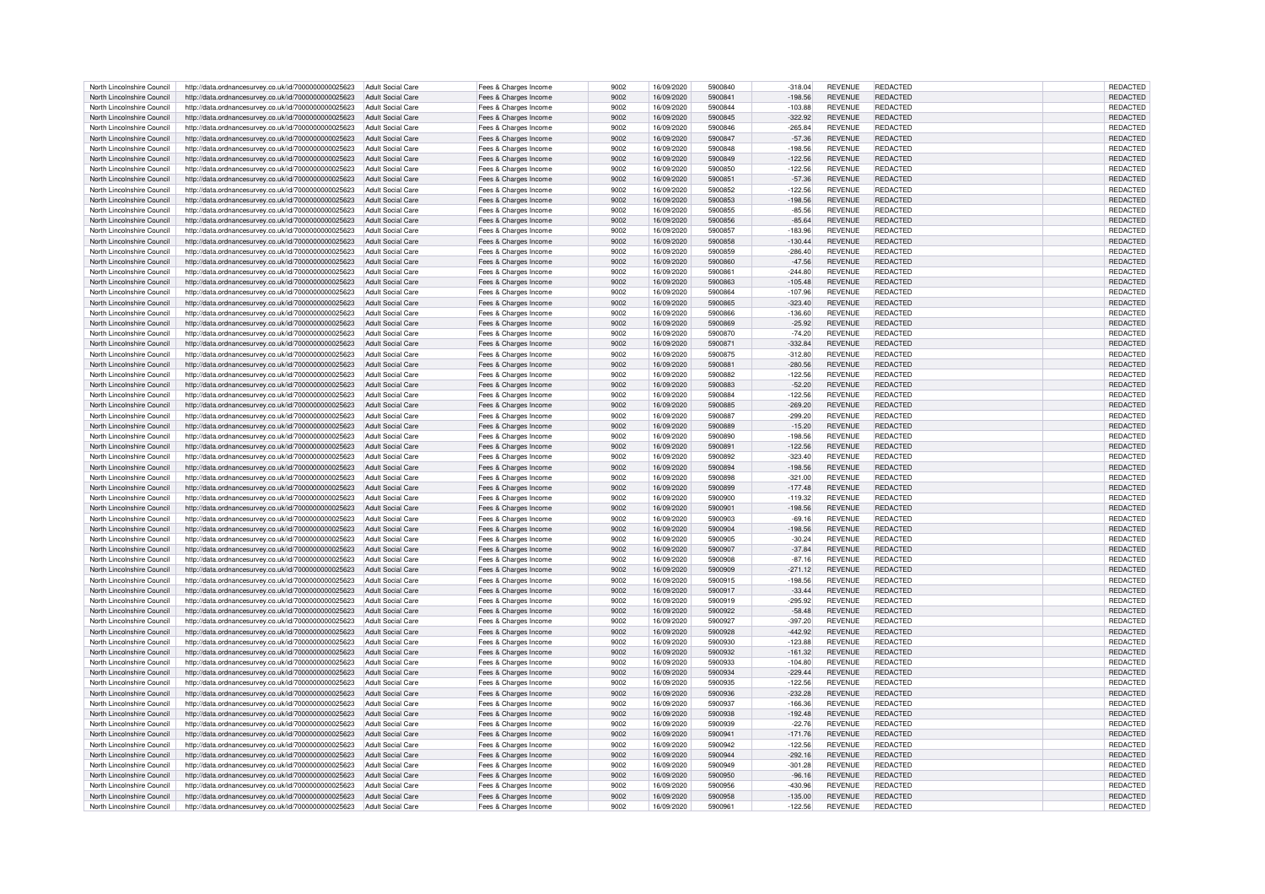| North Lincolnshire Council | http://data.ordnancesurvey.co.uk/id/7000000000025623                   | Adult Social Care        | Fees & Charges Income | 9002 | 16/09/2020 | 5900840 | $-318.04$ | <b>REVENUE</b> | REDACTED        | REDACTED        |
|----------------------------|------------------------------------------------------------------------|--------------------------|-----------------------|------|------------|---------|-----------|----------------|-----------------|-----------------|
| North Lincolnshire Council | http://data.ordnancesurvey.co.uk/id/7000000000025623                   | Adult Social Care        | Fees & Charges Income | 9002 | 16/09/2020 | 5900841 | $-198.56$ | <b>REVENUE</b> | REDACTED        | <b>REDACTED</b> |
| North Lincolnshire Council | http://data.ordnancesurvey.co.uk/id/7000000000025623                   | Adult Social Care        |                       | 9002 | 16/09/2020 | 5900844 | $-103.88$ | <b>REVENUE</b> | REDACTED        | <b>REDACTED</b> |
|                            |                                                                        |                          | Fees & Charges Income |      |            |         |           |                |                 |                 |
| North Lincolnshire Council | http://data.ordnancesurvey.co.uk/id/7000000000025623                   | Adult Social Care        | Fees & Charges Income | 9002 | 16/09/2020 | 5900845 | $-322.92$ | <b>REVENUE</b> | <b>REDACTED</b> | <b>REDACTED</b> |
| North Lincolnshire Council | http://data.ordnancesurvey.co.uk/id/7000000000025623                   | <b>Adult Social Care</b> | Fees & Charges Income | 9002 | 16/09/2020 | 5900846 | $-265.84$ | <b>REVENUE</b> | REDACTED        | REDACTED        |
| North Lincolnshire Council | http://data.ordnancesurvey.co.uk/id/7000000000025623                   | <b>Adult Social Care</b> | Fees & Charges Income | 9002 | 16/09/2020 | 5900847 | $-57.36$  | <b>REVENUE</b> | <b>REDACTED</b> | REDACTED        |
| North Lincolnshire Council | http://data.ordnancesurvey.co.uk/id/7000000000025623                   | <b>Adult Social Care</b> | Fees & Charges Income | 9002 | 16/09/2020 | 5900848 | $-198.56$ | <b>REVENUE</b> | <b>REDACTED</b> | REDACTED        |
| North Lincolnshire Council | http://data.ordnancesurvey.co.uk/id/7000000000025623                   | Adult Social Care        | Fees & Charges Income | 9002 | 16/09/2020 | 5900849 | $-122.56$ | <b>REVENUE</b> | REDACTED        | <b>REDACTED</b> |
|                            |                                                                        |                          |                       | 9002 |            | 5900850 |           | <b>REVENUE</b> | <b>REDACTED</b> |                 |
| North Lincolnshire Council | http://data.ordnancesurvey.co.uk/id/7000000000025623                   | Adult Social Care        | Fees & Charges Income |      | 16/09/2020 |         | $-122.56$ |                |                 | REDACTED        |
| North Lincolnshire Council | http://data.ordnancesurvey.co.uk/id/7000000000025623                   | Adult Social Care        | Fees & Charges Income | 9002 | 16/09/2020 | 5900851 | $-57.36$  | <b>REVENUE</b> | REDACTED        | REDACTED        |
| North Lincolnshire Council | http://data.ordnancesurvey.co.uk/id/7000000000025623                   | Adult Social Care        | Fees & Charges Income | 9002 | 16/09/2020 | 5900852 | $-122.56$ | <b>REVENUE</b> | REDACTED        | REDACTED        |
| North Lincolnshire Council | http://data.ordnancesurvey.co.uk/id/7000000000025623                   | Adult Social Care        | Fees & Charges Income | 9002 | 16/09/2020 | 5900853 | $-198.56$ | <b>REVENUE</b> | <b>REDACTED</b> | REDACTED        |
| North Lincolnshire Council | http://data.ordnancesurvey.co.uk/id/7000000000025623                   | Adult Social Care        | Fees & Charges Income | 9002 | 16/09/2020 | 5900855 | $-85.56$  | <b>REVENUE</b> | REDACTED        | REDACTED        |
| North Lincolnshire Council |                                                                        |                          |                       | 9002 |            | 5900856 |           |                | <b>REDACTED</b> |                 |
|                            | http://data.ordnancesurvey.co.uk/id/7000000000025623                   | <b>Adult Social Care</b> | Fees & Charges Income |      | 16/09/2020 |         | $-85.64$  | <b>REVENUE</b> |                 | REDACTED        |
| North Lincolnshire Council | http://data.ordnancesurvey.co.uk/id/7000000000025623                   | <b>Adult Social Care</b> | Fees & Charges Income | 9002 | 16/09/2020 | 5900857 | $-183.96$ | <b>REVENUE</b> | <b>REDACTED</b> | REDACTED        |
| North Lincolnshire Council | http://data.ordnancesurvey.co.uk/id/7000000000025623                   | <b>Adult Social Care</b> | Fees & Charges Income | 9002 | 16/09/2020 | 5900858 | $-130.44$ | <b>REVENUE</b> | REDACTED        | REDACTED        |
| North Lincolnshire Council | http://data.ordnancesurvey.co.uk/id/7000000000025623                   | <b>Adult Social Care</b> | Fees & Charges Income | 9002 | 16/09/2020 | 5900859 | $-286.40$ | <b>REVENUE</b> | <b>REDACTED</b> | REDACTED        |
| North Lincolnshire Council | http://data.ordnancesurvey.co.uk/id/7000000000025623                   | Adult Social Care        | Fees & Charges Income | 9002 | 16/09/2020 | 5900860 | $-47.56$  | <b>REVENUE</b> | <b>REDACTED</b> | <b>REDACTED</b> |
| North Lincolnshire Council |                                                                        | Adult Social Care        |                       | 9002 | 16/09/2020 | 5900861 | $-244.80$ | <b>REVENUE</b> | <b>REDACTED</b> | REDACTED        |
|                            | http://data.ordnancesurvey.co.uk/id/7000000000025623                   |                          | Fees & Charges Income |      |            |         |           |                |                 |                 |
| North Lincolnshire Council | http://data.ordnancesurvey.co.uk/id/7000000000025623                   | <b>Adult Social Care</b> | Fees & Charges Income | 9002 | 16/09/2020 | 5900863 | $-105.48$ | <b>REVENUE</b> | <b>REDACTED</b> | REDACTED        |
| North Lincolnshire Council | http://data.ordnancesurvey.co.uk/id/7000000000025623                   | <b>Adult Social Care</b> | Fees & Charges Income | 9002 | 16/09/2020 | 5900864 | $-107.96$ | <b>REVENUE</b> | REDACTED        | REDACTED        |
| North Lincolnshire Council | http://data.ordnancesurvey.co.uk/id/7000000000025623                   | Adult Social Care        | Fees & Charges Income | 9002 | 16/09/2020 | 5900865 | $-323.40$ | <b>REVENUE</b> | <b>REDACTED</b> | REDACTED        |
| North Lincolnshire Council | http://data.ordnancesurvey.co.uk/id/7000000000025623                   | <b>Adult Social Care</b> | Fees & Charges Income | 9002 | 16/09/2020 | 5900866 | $-136.60$ | <b>REVENUE</b> | REDACTED        | REDACTED        |
| North Lincolnshire Council |                                                                        |                          |                       | 9002 |            | 5900869 |           | <b>REVENUE</b> | <b>REDACTED</b> |                 |
|                            | http://data.ordnancesurvey.co.uk/id/7000000000025623                   | <b>Adult Social Care</b> | Fees & Charges Income |      | 16/09/2020 |         | $-25.92$  |                |                 | REDACTED        |
| North Lincolnshire Council | http://data.ordnancesurvey.co.uk/id/7000000000025623                   | <b>Adult Social Care</b> | Fees & Charges Income | 9002 | 16/09/2020 | 5900870 | $-74.20$  | <b>REVENUE</b> | REDACTED        | REDACTED        |
| North Lincolnshire Council | http://data.ordnancesurvey.co.uk/id/7000000000025623                   | <b>Adult Social Care</b> | Fees & Charges Income | 9002 | 16/09/2020 | 5900871 | $-332.84$ | <b>REVENUE</b> | <b>REDACTED</b> | REDACTED        |
| North Lincolnshire Council | http://data.ordnancesurvey.co.uk/id/7000000000025623                   | <b>Adult Social Care</b> | Fees & Charges Income | 9002 | 16/09/2020 | 5900875 | $-312.80$ | <b>REVENUE</b> | <b>REDACTED</b> | REDACTED        |
| North Lincolnshire Council | http://data.ordnancesurvey.co.uk/id/7000000000025623                   | Adult Social Care        | Fees & Charges Income | 9002 | 16/09/2020 | 5900881 | $-280.56$ | <b>REVENUE</b> | <b>REDACTED</b> | REDACTED        |
| North Lincolnshire Council |                                                                        | Adult Social Care        |                       | 9002 | 16/09/2020 | 5900882 | $-122.56$ | <b>REVENUE</b> | <b>REDACTED</b> | <b>REDACTED</b> |
|                            | http://data.ordnancesurvey.co.uk/id/7000000000025623                   |                          | Fees & Charges Income |      |            |         |           |                |                 |                 |
| North Lincolnshire Council | http://data.ordnancesurvey.co.uk/id/7000000000025623                   | Adult Social Care        | Fees & Charges Income | 9002 | 16/09/2020 | 5900883 | $-52.20$  | <b>REVENUE</b> | REDACTED        | REDACTED        |
| North Lincolnshire Council | http://data.ordnancesurvey.co.uk/id/7000000000025623                   | Adult Social Care        | Fees & Charges Income | 9002 | 16/09/2020 | 5900884 | $-122.56$ | <b>REVENUE</b> | REDACTED        | REDACTED        |
| North Lincolnshire Council | http://data.ordnancesurvey.co.uk/id/7000000000025623                   | Adult Social Care        | Fees & Charges Income | 9002 | 16/09/2020 | 5900885 | $-269.20$ | <b>REVENUE</b> | REDACTED        | REDACTED        |
| North Lincolnshire Council | http://data.ordnancesurvey.co.uk/id/7000000000025623                   | Adult Social Care        | Fees & Charges Income | 9002 | 16/09/2020 | 5900887 | $-299.20$ | <b>REVENUE</b> | REDACTED        | <b>REDACTED</b> |
| North Lincolnshire Council |                                                                        | Adult Social Care        |                       | 9002 | 16/09/2020 | 5900889 |           | <b>REVENUE</b> | REDACTED        |                 |
|                            | http://data.ordnancesurvey.co.uk/id/7000000000025623                   |                          | Fees & Charges Income |      |            |         | $-15.20$  |                |                 | REDACTED        |
| North Lincolnshire Council | http://data.ordnancesurvey.co.uk/id/7000000000025623                   | Adult Social Care        | Fees & Charges Income | 9002 | 16/09/2020 | 5900890 | $-198.56$ | <b>REVENUE</b> | REDACTED        | REDACTED        |
| North Lincolnshire Council | http://data.ordnancesurvey.co.uk/id/7000000000025623                   | <b>Adult Social Care</b> | Fees & Charges Income | 9002 | 16/09/2020 | 5900891 | $-122.56$ | <b>REVENUE</b> | <b>REDACTED</b> | <b>REDACTED</b> |
| North Lincolnshire Council | http://data.ordnancesurvey.co.uk/id/7000000000025623                   | <b>Adult Social Care</b> | Fees & Charges Income | 9002 | 16/09/2020 | 5900892 | $-323.40$ | <b>REVENUE</b> | <b>REDACTED</b> | REDACTED        |
| North Lincolnshire Council | http://data.ordnancesurvey.co.uk/id/7000000000025623                   | Adult Social Care        | Fees & Charges Income | 9002 | 16/09/2020 | 5900894 | $-198.56$ | <b>REVENUE</b> | <b>REDACTED</b> | <b>REDACTED</b> |
| North Lincolnshire Council |                                                                        | <b>Adult Social Care</b> |                       | 9002 | 16/09/2020 | 5900898 | $-321.00$ | <b>REVENUE</b> | REDACTED        | REDACTED        |
|                            | http://data.ordnancesurvey.co.uk/id/7000000000025623                   |                          | Fees & Charges Income |      |            |         |           |                |                 |                 |
| North Lincolnshire Council | http://data.ordnancesurvey.co.uk/id/7000000000025623                   | <b>Adult Social Care</b> | Fees & Charges Income | 9002 | 16/09/2020 | 5900899 | $-177.48$ | <b>REVENUE</b> | <b>REDACTED</b> | REDACTED        |
| North Lincolnshire Council | http://data.ordnancesurvey.co.uk/id/7000000000025623                   | <b>Adult Social Care</b> | Fees & Charges Income | 9002 | 16/09/2020 | 5900900 | $-119.32$ | <b>REVENUE</b> | REDACTED        | REDACTED        |
| North Lincolnshire Council | http://data.ordnancesurvey.co.uk/id/7000000000025623                   | Adult Social Care        | Fees & Charges Income | 9002 | 16/09/2020 | 5900901 | $-198.56$ | <b>REVENUE</b> | <b>REDACTED</b> | REDACTED        |
| North Lincolnshire Council | http://data.ordnancesurvey.co.uk/id/7000000000025623                   | Adult Social Care        | Fees & Charges Income | 9002 | 16/09/2020 | 5900903 | $-69.16$  | <b>REVENUE</b> | REDACTED        | REDACTED        |
| North Lincolnshire Council | http://data.ordnancesurvey.co.uk/id/7000000000025623                   | <b>Adult Social Care</b> | Fees & Charges Income | 9002 | 16/09/2020 | 5900904 | $-198.56$ | <b>REVENUE</b> | <b>REDACTED</b> | REDACTED        |
|                            |                                                                        |                          |                       |      |            |         |           |                |                 |                 |
| North Lincolnshire Council | http://data.ordnancesurvey.co.uk/id/7000000000025623                   | <b>Adult Social Care</b> | Fees & Charges Income | 9002 | 16/09/2020 | 5900905 | $-30.24$  | <b>REVENUE</b> | <b>REDACTED</b> | REDACTED        |
| North Lincolnshire Council | http://data.ordnancesurvey.co.uk/id/7000000000025623                   | <b>Adult Social Care</b> | Fees & Charges Income | 9002 | 16/09/2020 | 5900907 | $-37.84$  | <b>REVENUE</b> | <b>REDACTED</b> | REDACTED        |
| North Lincolnshire Council | http://data.ordnancesurvey.co.uk/id/7000000000025623                   | <b>Adult Social Care</b> | Fees & Charges Income | 9002 | 16/09/2020 | 5900908 | $-87.16$  | <b>REVENUE</b> | <b>REDACTED</b> | REDACTED        |
| North Lincolnshire Council | http://data.ordnancesurvey.co.uk/id/7000000000025623                   | Adult Social Care        | Fees & Charges Income | 9002 | 16/09/2020 | 5900909 | $-271.12$ | <b>REVENUE</b> | <b>REDACTED</b> | <b>REDACTED</b> |
| North Lincolnshire Council | http://data.ordnancesurvey.co.uk/id/7000000000025623                   | Adult Social Care        | Fees & Charges Income | 9002 | 16/09/2020 | 5900915 | $-198.56$ | <b>REVENUE</b> | <b>REDACTED</b> | REDACTED        |
|                            |                                                                        |                          |                       |      |            |         |           |                |                 |                 |
| North Lincolnshire Council | http://data.ordnancesurvey.co.uk/id/7000000000025623                   | Adult Social Care        | Fees & Charges Income | 9002 | 16/09/2020 | 5900917 | $-33.44$  | <b>REVENUE</b> | REDACTED        | REDACTED        |
| North Lincolnshire Council | http://data.ordnancesurvey.co.uk/id/7000000000025623                   | Adult Social Care        | Fees & Charges Income | 9002 | 16/09/2020 | 5900919 | $-295.92$ | <b>REVENUE</b> | REDACTED        | REDACTED        |
| North Lincolnshire Council | http://data.ordnancesurvey.co.uk/id/7000000000025623                   | Adult Social Care        | Fees & Charges Income | 9002 | 16/09/2020 | 5900922 | $-58.48$  | <b>REVENUE</b> | REDACTED        | REDACTED        |
| North Lincolnshire Council | http://data.ordnancesurvey.co.uk/id/7000000000025623                   | Adult Social Care        | Fees & Charges Income | 9002 | 16/09/2020 | 5900927 | $-397.20$ | <b>REVENUE</b> | REDACTED        | <b>REDACTED</b> |
| North Lincolnshire Council | http://data.ordnancesurvey.co.uk/id/7000000000025623                   | <b>Adult Social Care</b> | Fees & Charges Income | 9002 | 16/09/2020 | 5900928 | $-442.92$ | <b>REVENUE</b> | REDACTED        | REDACTED        |
| North Lincolnshire Council |                                                                        | Adult Social Care        |                       | 9002 | 16/09/2020 |         | $-123.88$ | <b>REVENUE</b> | REDACTED        | REDACTED        |
|                            | http://data.ordnancesurvey.co.uk/id/7000000000025623                   |                          | Fees & Charges Income |      |            | 5900930 |           |                |                 |                 |
| North Lincolnshire Council | http://data.ordnancesurvey.co.uk/id/7000000000025623                   | <b>Adult Social Care</b> | Fees & Charges Income | 9002 | 16/09/2020 | 5900932 | $-161.32$ | <b>REVENUE</b> | REDACTED        | REDACTED        |
| North Lincolnshire Council | http://data.ordnancesurvey.co.uk/id/7000000000025623                   | <b>Adult Social Care</b> | Fees & Charges Income | 9002 | 16/09/2020 | 5900933 | $-104.80$ | <b>REVENUE</b> | <b>REDACTED</b> | REDACTED        |
| North Lincolnshire Council | http://data.ordnancesurvey.co.uk/id/7000000000025623                   | Adult Social Care        | Fees & Charges Income | 9002 | 16/09/2020 | 5900934 | $-229.44$ | <b>REVENUE</b> | <b>REDACTED</b> | REDACTED        |
| North Lincolnshire Council | http://data.ordnancesurvey.co.uk/id/7000000000025623                   | <b>Adult Social Care</b> | Fees & Charges Income | 9002 | 16/09/2020 | 5900935 | $-122.56$ | <b>REVENUE</b> | <b>REDACTED</b> | REDACTED        |
| North Lincolnshire Council | http://data.ordnancesurvey.co.uk/id/7000000000025623                   | <b>Adult Social Care</b> | Fees & Charges Income | 9002 | 16/09/2020 | 5900936 | $-232.28$ | <b>REVENUE</b> | <b>REDACTED</b> | REDACTED        |
|                            |                                                                        |                          |                       |      |            |         |           |                |                 |                 |
| North Lincolnshire Council | http://data.ordnancesurvey.co.uk/id/7000000000025623                   | Adult Social Care        | Fees & Charges Income | 9002 | 16/09/2020 | 5900937 | $-166.36$ | <b>REVENUE</b> | <b>REDACTED</b> | REDACTED        |
| North Lincolnshire Council | http://data.ordnancesurvey.co.uk/id/7000000000025623                   | <b>Adult Social Care</b> | Fees & Charges Income | 9002 | 16/09/2020 | 5900938 | $-192.48$ | <b>REVENUE</b> | <b>REDACTED</b> | REDACTED        |
| North Lincolnshire Council | http://data.ordnancesurvey.co.uk/id/7000000000025623                   | Adult Social Care        | Fees & Charges Income | 9002 | 16/09/2020 | 5900939 | $-22.76$  | <b>REVENUE</b> | REDACTED        | REDACTED        |
| North Lincolnshire Council | http://data.ordnancesurvey.co.uk/id/7000000000025623                   | <b>Adult Social Care</b> | Fees & Charges Income | 9002 | 16/09/2020 | 5900941 | $-171.76$ | <b>REVENUE</b> | <b>REDACTED</b> | REDACTED        |
| North Lincolnshire Council | http://data.ordnancesurvey.co.uk/id/7000000000025623                   | <b>Adult Social Care</b> | Fees & Charges Income | 9002 | 16/09/2020 | 5900942 | $-122.56$ | <b>REVENUE</b> | REDACTED        | REDACTED        |
|                            |                                                                        |                          |                       |      |            |         |           |                |                 |                 |
| North Lincolnshire Council | http://data.ordnancesurvey.co.uk/id/7000000000025623                   | <b>Adult Social Care</b> | Fees & Charges Income | 9002 | 16/09/2020 | 5900944 | $-292.16$ | <b>REVENUE</b> | <b>REDACTED</b> | REDACTED        |
| North Lincolnshire Council | http://data.ordnancesurvey.co.uk/id/7000000000025623                   | <b>Adult Social Care</b> | Fees & Charges Income | 9002 | 16/09/2020 | 5900949 | $-301.28$ | <b>REVENUE</b> | <b>REDACTED</b> | REDACTED        |
| North Lincolnshire Council | http://data.ordnancesurvey.co.uk/id/7000000000025623                   | <b>Adult Social Care</b> | Fees & Charges Income | 9002 | 16/09/2020 | 5900950 | $-96.16$  | <b>REVENUE</b> | REDACTED        | REDACTED        |
| North Lincolnshire Council | http://data.ordnancesurvey.co.uk/id/7000000000025623                   | Adult Social Care        | Fees & Charges Income | 9002 | 16/09/2020 | 5900956 | $-430.96$ | <b>REVENUE</b> | REDACTED        | <b>REDACTED</b> |
| North Lincolnshire Council | http://data.ordnancesurvey.co.uk/id/7000000000025623                   | Adult Social Care        | Fees & Charges Income | 9002 | 16/09/2020 | 5900958 | $-135.00$ | <b>REVENUE</b> | REDACTED        | REDACTED        |
|                            |                                                                        |                          |                       |      |            |         |           |                |                 |                 |
| North Lincolnshire Council | http://data.ordnancesurvey.co.uk/id/7000000000025623 Adult Social Care |                          | Fees & Charges Income | 9002 | 16/09/2020 | 5900961 | $-122.56$ | <b>REVENUE</b> | REDACTED        | REDACTED        |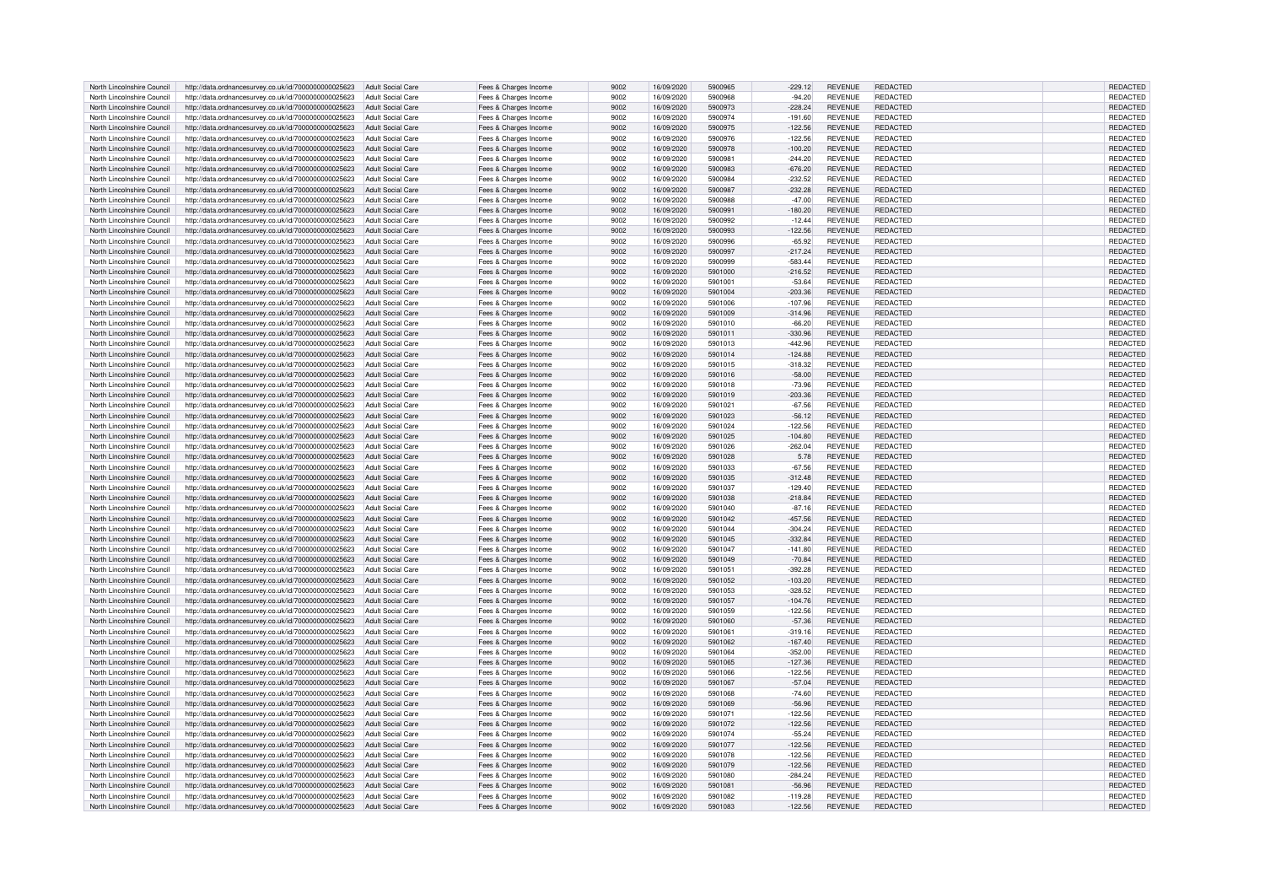| North Lincolnshire Council | http://data.ordnancesurvey.co.uk/id/7000000000025623 | <b>Adult Social Care</b> | Fees & Charges Income | 9002 | 16/09/2020 | 5900965 | $-229.12$ | <b>REVENUE</b> | REDACTED        | <b>REDACTED</b> |
|----------------------------|------------------------------------------------------|--------------------------|-----------------------|------|------------|---------|-----------|----------------|-----------------|-----------------|
| North Lincolnshire Council | http://data.ordnancesurvey.co.uk/id/7000000000025623 | <b>Adult Social Care</b> | Fees & Charges Income | 9002 | 16/09/2020 | 5900968 | $-94.20$  | REVENUE        | <b>REDACTED</b> | REDACTED        |
| North Lincolnshire Council | http://data.ordnancesurvey.co.uk/id/7000000000025623 | <b>Adult Social Care</b> | Fees & Charges Income | 9002 | 16/09/2020 | 5900973 | $-228.24$ | <b>REVENUE</b> | REDACTED        | REDACTED        |
| North Lincolnshire Council |                                                      | <b>Adult Social Care</b> |                       | 9002 | 16/09/2020 | 5900974 | $-191.60$ | <b>REVENUE</b> | REDACTED        |                 |
|                            | http://data.ordnancesurvey.co.uk/id/7000000000025623 |                          | Fees & Charges Income |      |            |         |           |                |                 | REDACTED        |
| North Lincolnshire Council | http://data.ordnancesurvey.co.uk/id/7000000000025623 | <b>Adult Social Care</b> | Fees & Charges Income | 9002 | 16/09/2020 | 5900975 | $-122.56$ | <b>REVENUE</b> | REDACTED        | REDACTED        |
| North Lincolnshire Council | http://data.ordnancesurvey.co.uk/id/7000000000025623 | <b>Adult Social Care</b> | Fees & Charges Income | 9002 | 16/09/2020 | 5900976 | $-122.56$ | <b>REVENUE</b> | REDACTED        | REDACTED        |
| North Lincolnshire Council | http://data.ordnancesurvey.co.uk/id/7000000000025623 | <b>Adult Social Care</b> | Fees & Charges Income | 9002 | 16/09/2020 | 5900978 | $-100.20$ | <b>REVENUE</b> | <b>REDACTED</b> | <b>REDACTED</b> |
| North Lincolnshire Council | http://data.ordnancesurvey.co.uk/id/7000000000025623 | <b>Adult Social Care</b> | Fees & Charges Income | 9002 | 16/09/2020 | 590098  | $-244.20$ | <b>REVENUE</b> | <b>REDACTED</b> | REDACTED        |
| North Lincolnshire Council | http://data.ordnancesurvey.co.uk/id/7000000000025623 | <b>Adult Social Care</b> | Fees & Charges Income | 9002 | 16/09/2020 | 5900983 | $-676.20$ | <b>REVENUE</b> | REDACTED        | <b>REDACTED</b> |
| North Lincolnshire Council | http://data.ordnancesurvey.co.uk/id/7000000000025623 | <b>Adult Social Care</b> | Fees & Charges Income | 9002 | 16/09/2020 | 5900984 | $-232.52$ | <b>REVENUE</b> | <b>REDACTED</b> | REDACTED        |
| North Lincolnshire Council | http://data.ordnancesurvey.co.uk/id/7000000000025623 | <b>Adult Social Care</b> | Fees & Charges Income | 9002 | 16/09/2020 | 5900987 | $-232.28$ | REVENUE        | <b>REDACTED</b> | REDACTED        |
| North Lincolnshire Council |                                                      | <b>Adult Social Care</b> |                       | 9002 | 16/09/2020 | 5900988 | $-47.00$  | REVENUE        | REDACTED        | REDACTED        |
|                            | http://data.ordnancesurvey.co.uk/id/7000000000025623 |                          | Fees & Charges Income |      |            |         |           |                |                 |                 |
| North Lincolnshire Council | http://data.ordnancesurvey.co.uk/id/7000000000025623 | <b>Adult Social Care</b> | Fees & Charges Income | 9002 | 16/09/2020 | 590099  | $-180.20$ | REVENUE        | <b>REDACTED</b> | REDACTED        |
| North Lincolnshire Council | http://data.ordnancesurvey.co.uk/id/7000000000025623 | <b>Adult Social Care</b> | Fees & Charges Income | 9002 | 16/09/2020 | 5900992 | $-12.44$  | REVENUE        | <b>REDACTED</b> | REDACTED        |
| North Lincolnshire Council | http://data.ordnancesurvey.co.uk/id/7000000000025623 | <b>Adult Social Care</b> | Fees & Charges Income | 9002 | 16/09/2020 | 5900993 | $-122.56$ | REVENUE        | REDACTED        | REDACTED        |
| North Lincolnshire Council | http://data.ordnancesurvey.co.uk/id/7000000000025623 | <b>Adult Social Care</b> | Fees & Charges Income | 9002 | 16/09/2020 | 5900996 | $-65.92$  | REVENUE        | <b>REDACTED</b> | REDACTED        |
| North Lincolnshire Council | http://data.ordnancesurvey.co.uk/id/7000000000025623 | <b>Adult Social Care</b> | Fees & Charges Income | 9002 | 16/09/2020 | 5900997 | $-217.24$ | <b>REVENUE</b> | <b>REDACTED</b> | REDACTED        |
| North Lincolnshire Council | http://data.ordnancesurvey.co.uk/id/7000000000025623 | <b>Adult Social Care</b> | Fees & Charges Income | 9002 | 16/09/2020 | 5900999 | $-583.44$ | REVENUE        | <b>REDACTED</b> | REDACTED        |
| North Lincolnshire Council | http://data.ordnancesurvey.co.uk/id/7000000000025623 | <b>Adult Social Care</b> | Fees & Charges Income | 9002 | 16/09/2020 | 5901000 | $-216.52$ | <b>REVENUE</b> | <b>REDACTED</b> | REDACTED        |
| North Lincolnshire Council | http://data.ordnancesurvey.co.uk/id/7000000000025623 | <b>Adult Social Care</b> | Fees & Charges Income | 9002 | 16/09/2020 | 5901001 | $-53.64$  | <b>REVENUE</b> | <b>REDACTED</b> | REDACTED        |
| North Lincolnshire Council | http://data.ordnancesurvey.co.uk/id/7000000000025623 | Adult Social Care        | Fees & Charges Income | 9002 | 16/09/2020 | 5901004 | $-203.36$ | REVENUE        | <b>REDACTED</b> | REDACTED        |
| North Lincolnshire Council | http://data.ordnancesurvev.co.uk/id/7000000000025623 | <b>Adult Social Care</b> |                       | 9002 | 16/09/2020 | 5901006 | $-107.96$ | REVENUE        | REDACTED        | REDACTED        |
|                            |                                                      |                          | Fees & Charges Income |      |            |         |           |                |                 |                 |
| North Lincolnshire Council | http://data.ordnancesurvey.co.uk/id/7000000000025623 | <b>Adult Social Care</b> | Fees & Charges Income | 9002 | 16/09/2020 | 5901009 | $-314.96$ | REVENUE        | <b>REDACTED</b> | REDACTED        |
| North Lincolnshire Council | http://data.ordnancesurvey.co.uk/id/7000000000025623 | <b>Adult Social Care</b> | Fees & Charges Income | 9002 | 16/09/2020 | 5901010 | $-66.20$  | <b>REVENUE</b> | <b>REDACTED</b> | REDACTED        |
| North Lincolnshire Council | http://data.ordnancesurvey.co.uk/id/7000000000025623 | <b>Adult Social Care</b> | Fees & Charges Income | 9002 | 16/09/2020 | 5901011 | $-330.96$ | REVENUE        | <b>REDACTED</b> | REDACTED        |
| North Lincolnshire Council | http://data.ordnancesurvey.co.uk/id/7000000000025623 | <b>Adult Social Care</b> | Fees & Charges Income | 9002 | 16/09/2020 | 5901013 | $-442.96$ | <b>REVENUE</b> | <b>REDACTED</b> | REDACTED        |
| North Lincolnshire Council | http://data.ordnancesurvey.co.uk/id/7000000000025623 | <b>Adult Social Care</b> | Fees & Charges Income | 9002 | 16/09/2020 | 5901014 | $-124.88$ | REVENUE        | <b>REDACTED</b> | REDACTED        |
| North Lincolnshire Council | http://data.ordnancesurvey.co.uk/id/7000000000025623 | <b>Adult Social Care</b> | Fees & Charges Income | 9002 | 16/09/2020 | 5901015 | $-318.32$ | <b>REVENUE</b> | <b>REDACTED</b> | <b>REDACTED</b> |
| North Lincolnshire Council | http://data.ordnancesurvey.co.uk/id/7000000000025623 | <b>Adult Social Care</b> | Fees & Charges Income | 9002 | 16/09/2020 | 5901016 | $-58.00$  | <b>REVENUE</b> | REDACTED        | <b>REDACTED</b> |
| North Lincolnshire Council | http://data.ordnancesurvey.co.uk/id/7000000000025623 | <b>Adult Social Care</b> | Fees & Charges Income | 9002 | 16/09/2020 | 5901018 | $-73.96$  | REVENUE        | <b>REDACTED</b> | <b>REDACTED</b> |
| North Lincolnshire Council | http://data.ordnancesurvey.co.uk/id/7000000000025623 | Adult Social Care        | Fees & Charges Income | 9002 | 16/09/2020 | 5901019 | $-203.36$ | <b>REVENUE</b> | REDACTED        | REDACTED        |
| North Lincolnshire Council | http://data.ordnancesurvey.co.uk/id/7000000000025623 | <b>Adult Social Care</b> | Fees & Charges Income | 9002 | 16/09/2020 | 5901021 | $-67.56$  | REVENUE        | <b>REDACTED</b> | REDACTED        |
| North Lincolnshire Council | http://data.ordnancesurvey.co.uk/id/7000000000025623 | <b>Adult Social Care</b> | Fees & Charges Income | 9002 | 16/09/2020 | 5901023 | $-56.12$  | <b>REVENUE</b> | REDACTED        | REDACTED        |
| North Lincolnshire Council | http://data.ordnancesurvey.co.uk/id/7000000000025623 | <b>Adult Social Care</b> | Fees & Charges Income | 9002 | 16/09/2020 | 5901024 | $-122.56$ | REVENUE        | REDACTED        | <b>REDACTED</b> |
| North Lincolnshire Council | http://data.ordnancesurvey.co.uk/id/7000000000025623 | <b>Adult Social Care</b> | Fees & Charges Income | 9002 | 16/09/2020 | 5901025 | $-104.80$ | <b>REVENUE</b> | REDACTED        | <b>REDACTED</b> |
|                            |                                                      |                          |                       |      |            |         |           |                |                 |                 |
| North Lincolnshire Council | http://data.ordnancesurvey.co.uk/id/7000000000025623 | <b>Adult Social Care</b> | Fees & Charges Income | 9002 | 16/09/2020 | 5901026 | $-262.04$ | REVENUE        | REDACTED        | REDACTED        |
| North Lincolnshire Council | http://data.ordnancesurvey.co.uk/id/7000000000025623 | <b>Adult Social Care</b> | Fees & Charges Income | 9002 | 16/09/2020 | 5901028 | 5.78      | REVENUE        | <b>REDACTED</b> | <b>REDACTED</b> |
| North Lincolnshire Council | http://data.ordnancesurvey.co.uk/id/7000000000025623 | <b>Adult Social Care</b> | Fees & Charges Income | 9002 | 16/09/2020 | 5901033 | $-67.56$  | REVENUE        | <b>REDACTED</b> | REDACTED        |
| North Lincolnshire Council | http://data.ordnancesurvey.co.uk/id/7000000000025623 | <b>Adult Social Care</b> | Fees & Charges Income | 9002 | 16/09/2020 | 5901035 | $-312.48$ | <b>REVENUE</b> | REDACTED        | REDACTED        |
| North Lincolnshire Council | http://data.ordnancesurvey.co.uk/id/7000000000025623 | <b>Adult Social Care</b> | Fees & Charges Income | 9002 | 16/09/2020 | 5901037 | $-129.40$ | REVENUE        | <b>REDACTED</b> | REDACTED        |
| North Lincolnshire Council | http://data.ordnancesurvey.co.uk/id/7000000000025623 | <b>Adult Social Care</b> | Fees & Charges Income | 9002 | 16/09/2020 | 5901038 | $-218.84$ | REVENUE        | REDACTED        | REDACTED        |
| North Lincolnshire Council | http://data.ordnancesurvey.co.uk/id/7000000000025623 | <b>Adult Social Care</b> | Fees & Charges Income | 9002 | 16/09/2020 | 5901040 | $-87.16$  | <b>REVENUE</b> | <b>REDACTED</b> | <b>REDACTED</b> |
| North Lincolnshire Council | http://data.ordnancesurvey.co.uk/id/7000000000025623 | <b>Adult Social Care</b> | Fees & Charges Income | 9002 | 16/09/2020 | 5901042 | $-457.56$ | REVENUE        | REDACTED        | REDACTED        |
| North Lincolnshire Council | http://data.ordnancesurvey.co.uk/id/7000000000025623 | <b>Adult Social Care</b> | Fees & Charges Income | 9002 | 16/09/2020 | 5901044 | $-304.24$ | REVENUE        | REDACTED        | REDACTED        |
| North Lincolnshire Council | http://data.ordnancesurvey.co.uk/id/7000000000025623 | <b>Adult Social Care</b> | Fees & Charges Income | 9002 | 16/09/2020 | 5901045 | $-332.84$ | <b>REVENUE</b> | <b>REDACTED</b> | REDACTED        |
| North Lincolnshire Council | http://data.ordnancesurvey.co.uk/id/7000000000025623 | <b>Adult Social Care</b> | Fees & Charges Income | 9002 | 16/09/2020 | 5901047 | $-141.80$ | <b>REVENUE</b> | REDACTED        | REDACTED        |
| North Lincolnshire Council | http://data.ordnancesurvey.co.uk/id/7000000000025623 | <b>Adult Social Care</b> | Fees & Charges Income | 9002 | 16/09/2020 | 5901049 | $-70.84$  | <b>REVENUE</b> | <b>REDACTED</b> | REDACTED        |
| North Lincolnshire Council |                                                      | <b>Adult Social Care</b> |                       | 9002 | 16/09/2020 | 5901051 | $-392.28$ | <b>REVENUE</b> | REDACTED        | REDACTED        |
|                            | http://data.ordnancesurvey.co.uk/id/7000000000025623 |                          | Fees & Charges Income |      |            |         |           |                |                 |                 |
| North Lincolnshire Council | http://data.ordnancesurvey.co.uk/id/7000000000025623 | <b>Adult Social Care</b> | Fees & Charges Income | 9002 | 16/09/2020 | 5901052 | $-103.20$ | <b>REVENUE</b> | <b>REDACTED</b> | <b>REDACTED</b> |
| North Lincolnshire Council | http://data.ordnancesurvey.co.uk/id/7000000000025623 | <b>Adult Social Care</b> | Fees & Charges Income | 9002 | 16/09/2020 | 5901053 | $-328.52$ | <b>REVENUE</b> | <b>REDACTED</b> | REDACTED        |
| North Lincolnshire Council | http://data.ordnancesurvey.co.uk/id/7000000000025623 | <b>Adult Social Care</b> | Fees & Charges Income | 9002 | 16/09/2020 | 5901057 | $-104.76$ | REVENUE        | <b>REDACTED</b> | REDACTED        |
| North Lincolnshire Council | http://data.ordnancesurvey.co.uk/id/7000000000025623 | <b>Adult Social Care</b> | Fees & Charges Income | 9002 | 16/09/2020 | 5901059 | $-122.56$ | REVENUE        | <b>REDACTED</b> | REDACTED        |
| North Lincolnshire Council | http://data.ordnancesurvey.co.uk/id/7000000000025623 | Adult Social Care        | Fees & Charges Income | 9002 | 16/09/2020 | 5901060 | $-57.36$  | <b>REVENUE</b> | REDACTED        | <b>REDACTED</b> |
| North Lincolnshire Council | http://data.ordnancesurvey.co.uk/id/7000000000025623 | Adult Social Care        | Fees & Charges Income | 9002 | 16/09/2020 | 5901061 | $-319.16$ | REVENUE        | <b>REDACTED</b> | REDACTED        |
| North Lincolnshire Council | http://data.ordnancesurvey.co.uk/id/7000000000025623 | <b>Adult Social Care</b> | Fees & Charges Income | 9002 | 16/09/2020 | 5901062 | $-167.40$ | REVENUE        | <b>REDACTED</b> | REDACTED        |
| North Lincolnshire Council | http://data.ordnancesurvey.co.uk/id/7000000000025623 | <b>Adult Social Care</b> | Fees & Charges Income | 9002 | 16/09/2020 | 5901064 | $-352.00$ | <b>REVENUE</b> | <b>REDACTED</b> | REDACTED        |
| North Lincolnshire Council | http://data.ordnancesurvey.co.uk/id/7000000000025623 | <b>Adult Social Care</b> | Fees & Charges Income | 9002 | 16/09/2020 | 5901065 | $-127.36$ | REVENUE        | <b>REDACTED</b> | REDACTED        |
| North Lincolnshire Council | http://data.ordnancesurvey.co.uk/id/7000000000025623 | Adult Social Care        | Fees & Charges Income | 9002 | 16/09/2020 | 5901066 | $-122.56$ | <b>REVENUE</b> | <b>REDACTED</b> | REDACTED        |
| North Lincolnshire Council | http://data.ordnancesurvey.co.uk/id/7000000000025623 | <b>Adult Social Care</b> | Fees & Charges Income | 9002 | 16/09/2020 | 5901067 | $-57.04$  | REVENUE        | <b>REDACTED</b> | REDACTED        |
| North Lincolnshire Council | http://data.ordnancesurvey.co.uk/id/7000000000025623 | <b>Adult Social Care</b> | Fees & Charges Income | 9002 | 16/09/2020 | 5901068 | $-74.60$  | <b>REVENUE</b> | <b>REDACTED</b> | REDACTED        |
|                            |                                                      |                          |                       |      |            |         |           |                |                 |                 |
| North Lincolnshire Council | http://data.ordnancesurvey.co.uk/id/7000000000025623 | <b>Adult Social Care</b> | Fees & Charges Income | 9002 | 16/09/2020 | 5901069 | $-56.96$  | REVENUE        | REDACTED        | REDACTED        |
| North Lincolnshire Council | http://data.ordnancesurvey.co.uk/id/7000000000025623 | <b>Adult Social Care</b> | Fees & Charges Income | 9002 | 16/09/2020 | 5901071 | $-122.56$ | REVENUE        | <b>REDACTED</b> | REDACTED        |
| North Lincolnshire Council | http://data.ordnancesurvey.co.uk/id/7000000000025623 | Adult Social Care        | Fees & Charges Income | 9002 | 16/09/2020 | 5901072 | $-122.56$ | <b>REVENUE</b> | REDACTED        | REDACTED        |
| North Lincolnshire Council | http://data.ordnancesurvey.co.uk/id/7000000000025623 | <b>Adult Social Care</b> | Fees & Charges Income | 9002 | 16/09/2020 | 5901074 | $-55.24$  | <b>REVENUE</b> | REDACTED        | REDACTED        |
| North Lincolnshire Council | http://data.ordnancesurvey.co.uk/id/7000000000025623 | <b>Adult Social Care</b> | Fees & Charges Income | 9002 | 16/09/2020 | 5901077 | $-122.56$ | <b>REVENUE</b> | REDACTED        | REDACTED        |
| North Lincolnshire Council | http://data.ordnancesurvey.co.uk/id/7000000000025623 | <b>Adult Social Care</b> | Fees & Charges Income | 9002 | 16/09/2020 | 5901078 | $-122.56$ | <b>REVENUE</b> | REDACTED        | REDACTED        |
| North Lincolnshire Council | http://data.ordnancesurvey.co.uk/id/7000000000025623 | <b>Adult Social Care</b> | Fees & Charges Income | 9002 | 16/09/2020 | 5901079 | $-122.56$ | <b>REVENUE</b> | <b>REDACTED</b> | REDACTED        |
| North Lincolnshire Council | http://data.ordnancesurvey.co.uk/id/7000000000025623 | <b>Adult Social Care</b> | Fees & Charges Income | 9002 | 16/09/2020 | 5901080 | $-284.24$ | <b>REVENUE</b> | REDACTED        | REDACTED        |
| North Lincolnshire Council | http://data.ordnancesurvey.co.uk/id/7000000000025623 | <b>Adult Social Care</b> | Fees & Charges Income | 9002 | 16/09/2020 | 5901081 | $-56.96$  | <b>REVENUE</b> | REDACTED        | <b>REDACTED</b> |
| North Lincolnshire Council | http://data.ordnancesurvey.co.uk/id/7000000000025623 | Adult Social Care        | Fees & Charges Income | 9002 | 16/09/2020 | 5901082 | $-119.28$ | <b>REVENUE</b> | <b>REDACTED</b> | <b>REDACTED</b> |
| North Lincolnshire Council | http://data.ordnancesurvey.co.uk/id/7000000000025623 | Adult Social Care        | Fees & Charges Income | 9002 | 16/09/2020 | 5901083 | $-122.56$ | <b>REVENUE</b> | REDACTED        | REDACTED        |
|                            |                                                      |                          |                       |      |            |         |           |                |                 |                 |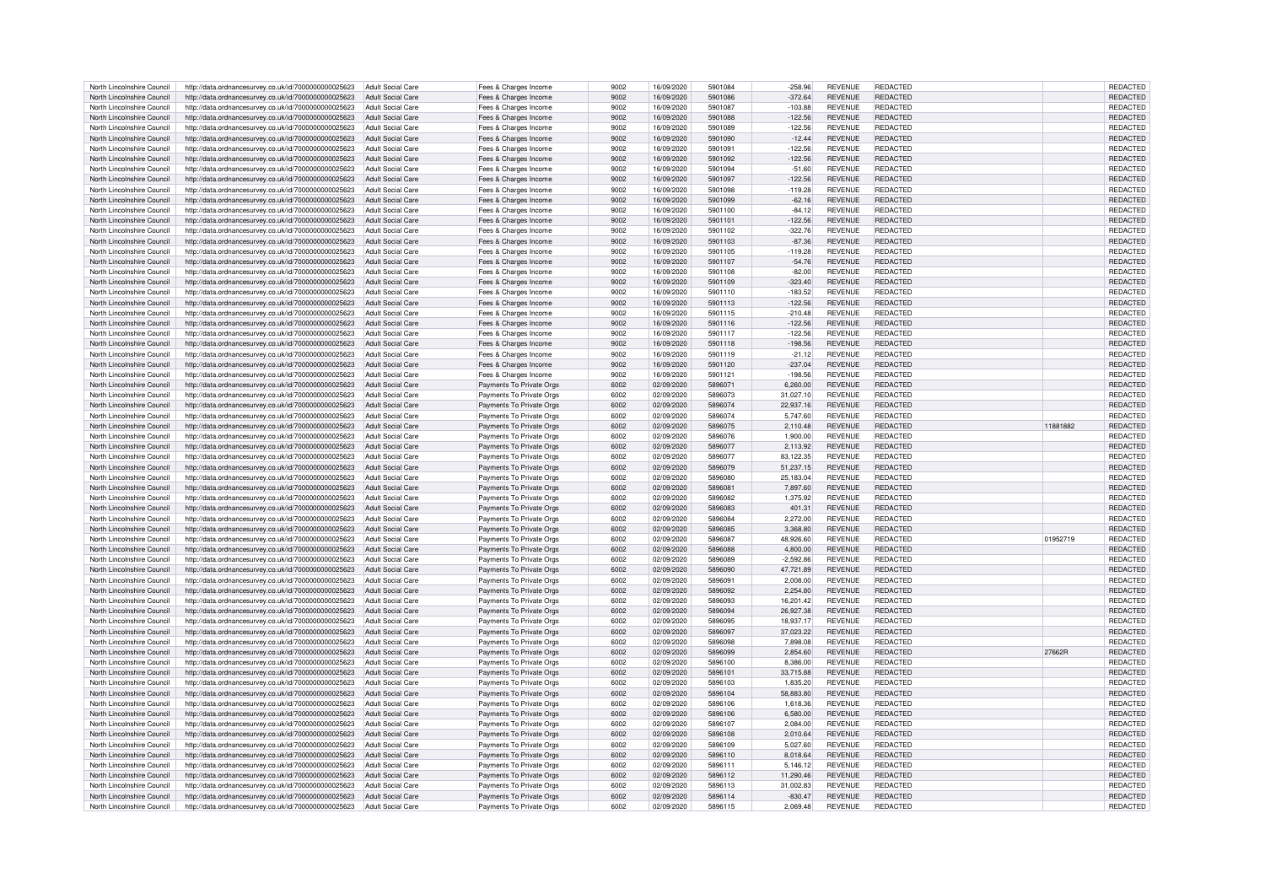| North Lincolnshire Council | http://data.ordnancesurvey.co.uk/id/7000000000025623 | Adult Social Care        | Fees & Charges Income    | 9002 | 16/09/2020 | 5901084 | $-258.96$   | <b>REVENUE</b> | <b>REDACTED</b> |          | REDACTED        |
|----------------------------|------------------------------------------------------|--------------------------|--------------------------|------|------------|---------|-------------|----------------|-----------------|----------|-----------------|
| North Lincolnshire Council | http://data.ordnancesurvey.co.uk/id/7000000000025623 | <b>Adult Social Care</b> | Fees & Charges Income    | 9002 | 16/09/2020 | 5901086 | $-372.64$   | <b>REVENUE</b> | REDACTED        |          | REDACTED        |
| North Lincolnshire Council | http://data.ordnancesurvey.co.uk/id/7000000000025623 | <b>Adult Social Care</b> | Fees & Charges Income    | 9002 | 16/09/2020 | 5901087 | $-103.88$   | <b>REVENUE</b> | <b>REDACTED</b> |          | REDACTED        |
|                            |                                                      |                          |                          |      |            |         |             |                |                 |          |                 |
| North Lincolnshire Council | http://data.ordnancesurvey.co.uk/id/7000000000025623 | Adult Social Care        | Fees & Charges Income    | 9002 | 16/09/2020 | 5901088 | $-122.56$   | <b>REVENUE</b> | REDACTED        |          | REDACTED        |
| North Lincolnshire Council | http://data.ordnancesurvey.co.uk/id/7000000000025623 | <b>Adult Social Care</b> | Fees & Charges Income    | 9002 | 16/09/2020 | 5901089 | $-122.56$   | <b>REVENUE</b> | <b>REDACTED</b> |          | REDACTED        |
| North Lincolnshire Council | http://data.ordnancesurvey.co.uk/id/7000000000025623 | <b>Adult Social Care</b> | Fees & Charges Income    | 9002 | 16/09/2020 | 5901090 | $-12.44$    | <b>REVENUE</b> | REDACTED        |          | REDACTED        |
| North Lincolnshire Council | http://data.ordnancesurvey.co.uk/id/7000000000025623 | <b>Adult Social Care</b> | Fees & Charges Income    | 9002 | 16/09/2020 | 5901091 | $-122.56$   | <b>REVENUE</b> | REDACTED        |          | REDACTED        |
| North Lincolnshire Council | http://data.ordnancesurvey.co.uk/id/7000000000025623 | <b>Adult Social Care</b> | Fees & Charges Income    | 9002 | 16/09/2020 | 5901092 | $-122.56$   | <b>REVENUE</b> | <b>REDACTED</b> |          | REDACTED        |
| North Lincolnshire Council | http://data.ordnancesurvey.co.uk/id/7000000000025623 | <b>Adult Social Care</b> | Fees & Charges Income    | 9002 | 16/09/2020 | 5901094 | $-51.60$    | <b>REVENUE</b> | REDACTED        |          | <b>REDACTED</b> |
| North Lincolnshire Council | http://data.ordnancesurvey.co.uk/id/7000000000025623 | <b>Adult Social Care</b> | Fees & Charges Income    | 9002 | 16/09/2020 | 5901097 | $-122.56$   | <b>REVENUE</b> | <b>REDACTED</b> |          | REDACTED        |
|                            |                                                      |                          |                          |      |            |         |             |                |                 |          |                 |
| North Lincolnshire Council | http://data.ordnancesurvey.co.uk/id/7000000000025623 | Adult Social Care        | Fees & Charges Income    | 9002 | 16/09/2020 | 5901098 | $-119.28$   | <b>REVENUE</b> | REDACTED        |          | REDACTED        |
| North Lincolnshire Council | http://data.ordnancesurvey.co.uk/id/7000000000025623 | Adult Social Care        | Fees & Charges Income    | 9002 | 16/09/2020 | 5901099 | $-62.16$    | <b>REVENUE</b> | REDACTED        |          | REDACTED        |
| North Lincolnshire Council | http://data.ordnancesurvey.co.uk/id/7000000000025623 | <b>Adult Social Care</b> | Fees & Charges Income    | 9002 | 16/09/2020 | 5901100 | $-84.12$    | <b>REVENUE</b> | <b>REDACTED</b> |          | REDACTED        |
| North Lincolnshire Council | http://data.ordnancesurvey.co.uk/id/7000000000025623 | Adult Social Care        | Fees & Charges Income    | 9002 | 16/09/2020 | 5901101 | $-122.56$   | <b>REVENUE</b> | <b>REDACTED</b> |          | <b>REDACTED</b> |
| North Lincolnshire Council | http://data.ordnancesurvey.co.uk/id/7000000000025623 | <b>Adult Social Care</b> | Fees & Charges Income    | 9002 | 16/09/2020 | 5901102 | $-322.76$   | <b>REVENUE</b> | REDACTED        |          | <b>REDACTED</b> |
| North Lincolnshire Council | http://data.ordnancesurvey.co.uk/id/7000000000025623 | <b>Adult Social Care</b> | Fees & Charges Income    | 9002 | 16/09/2020 | 5901103 | $-87.36$    | <b>REVENUE</b> | <b>REDACTED</b> |          | REDACTED        |
| North Lincolnshire Council |                                                      | <b>Adult Social Care</b> | Fees & Charges Income    | 9002 | 16/09/2020 | 5901105 | $-119.28$   | <b>REVENUE</b> | REDACTED        |          | REDACTED        |
|                            | http://data.ordnancesurvey.co.uk/id/7000000000025623 |                          |                          |      |            |         |             |                |                 |          |                 |
| North Lincolnshire Council | http://data.ordnancesurvey.co.uk/id/7000000000025623 | <b>Adult Social Care</b> | Fees & Charges Income    | 9002 | 16/09/2020 | 5901107 | $-54.76$    | <b>REVENUE</b> | <b>REDACTED</b> |          | REDACTED        |
| North Lincolnshire Council | http://data.ordnancesurvey.co.uk/id/7000000000025623 | <b>Adult Social Care</b> | Fees & Charges Income    | 9002 | 16/09/2020 | 5901108 | $-82.00$    | <b>REVENUE</b> | <b>REDACTED</b> |          | REDACTED        |
| North Lincolnshire Council | http://data.ordnancesurvey.co.uk/id/7000000000025623 | <b>Adult Social Care</b> | Fees & Charges Income    | 9002 | 16/09/2020 | 5901109 | $-323.40$   | <b>REVENUE</b> | REDACTED        |          | REDACTED        |
| North Lincolnshire Council | http://data.ordnancesurvey.co.uk/id/7000000000025623 | <b>Adult Social Care</b> | Fees & Charges Income    | 9002 | 16/09/2020 | 5901110 | $-183.52$   | <b>REVENUE</b> | REDACTED        |          | REDACTED        |
| North Lincolnshire Council | http://data.ordnancesurvey.co.uk/id/7000000000025623 | <b>Adult Social Care</b> | Fees & Charges Income    | 9002 | 16/09/2020 | 5901113 | $-122.56$   | <b>REVENUE</b> | REDACTED        |          | REDACTED        |
| North Lincolnshire Council | http://data.ordnancesurvey.co.uk/id/7000000000025623 | <b>Adult Social Care</b> | Fees & Charges Income    | 9002 | 16/09/2020 | 5901115 | $-210.48$   | <b>REVENUE</b> | <b>REDACTED</b> |          | REDACTED        |
| North Lincolnshire Council |                                                      |                          |                          | 9002 |            | 5901116 |             | <b>REVENUE</b> | REDACTED        |          | REDACTED        |
|                            | http://data.ordnancesurvey.co.uk/id/7000000000025623 | Adult Social Care        | Fees & Charges Income    |      | 16/09/2020 |         | $-122.56$   |                |                 |          |                 |
| North Lincolnshire Council | http://data.ordnancesurvey.co.uk/id/7000000000025623 | <b>Adult Social Care</b> | Fees & Charges Income    | 9002 | 16/09/2020 | 5901117 | $-122.56$   | <b>REVENUE</b> | REDACTED        |          | REDACTED        |
| North Lincolnshire Council | http://data.ordnancesurvey.co.uk/id/7000000000025623 | <b>Adult Social Care</b> | Fees & Charges Income    | 9002 | 16/09/2020 | 5901118 | $-198.56$   | <b>REVENUE</b> | <b>REDACTED</b> |          | REDACTED        |
| North Lincolnshire Council | http://data.ordnancesurvey.co.uk/id/7000000000025623 | <b>Adult Social Care</b> | Fees & Charges Income    | 9002 | 16/09/2020 | 5901119 | $-21.12$    | <b>REVENUE</b> | REDACTED        |          | REDACTED        |
| North Lincolnshire Council | http://data.ordnancesurvey.co.uk/id/7000000000025623 | <b>Adult Social Care</b> | Fees & Charges Income    | 9002 | 16/09/2020 | 5901120 | $-237.04$   | <b>REVENUE</b> | <b>REDACTED</b> |          | <b>REDACTED</b> |
| North Lincolnshire Council | http://data.ordnancesurvey.co.uk/id/7000000000025623 | <b>Adult Social Care</b> | Fees & Charges Income    | 9002 | 16/09/2020 | 5901121 | $-198.56$   | <b>REVENUE</b> | REDACTED        |          | <b>REDACTED</b> |
| North Lincolnshire Council | http://data.ordnancesurvey.co.uk/id/7000000000025623 | <b>Adult Social Care</b> | Payments To Private Orgs | 6002 | 02/09/2020 | 5896071 | 6,260.00    | <b>REVENUE</b> | REDACTED        |          | <b>REDACTED</b> |
|                            |                                                      |                          |                          |      |            |         |             |                |                 |          |                 |
| North Lincolnshire Council | http://data.ordnancesurvey.co.uk/id/7000000000025623 | Adult Social Care        | Payments To Private Orgs | 6002 | 02/09/2020 | 5896073 | 31,027.10   | <b>REVENUE</b> | REDACTED        |          | REDACTED        |
| North Lincolnshire Council | http://data.ordnancesurvey.co.uk/id/7000000000025623 | Adult Social Care        | Payments To Private Orgs | 6002 | 02/09/2020 | 5896074 | 22,937.16   | <b>REVENUE</b> | <b>REDACTED</b> |          | <b>REDACTED</b> |
| North Lincolnshire Council | http://data.ordnancesurvey.co.uk/id/7000000000025623 | <b>Adult Social Care</b> | Payments To Private Orgs | 6002 | 02/09/2020 | 5896074 | 5,747.60    | <b>REVENUE</b> | <b>REDACTED</b> |          | REDACTED        |
| North Lincolnshire Council | http://data.ordnancesurvey.co.uk/id/7000000000025623 | Adult Social Care        | Payments To Private Orgs | 6002 | 02/09/2020 | 5896075 | 2,110.48    | <b>REVENUE</b> | REDACTED        | 11881882 | <b>REDACTED</b> |
| North Lincolnshire Council | http://data.ordnancesurvey.co.uk/id/7000000000025623 | <b>Adult Social Care</b> | Payments To Private Orgs | 6002 | 02/09/2020 | 5896076 | 1,900.00    | <b>REVENUE</b> | REDACTED        |          | REDACTED        |
| North Lincolnshire Council | http://data.ordnancesurvey.co.uk/id/7000000000025623 | <b>Adult Social Care</b> | Payments To Private Orgs | 6002 | 02/09/2020 | 5896077 | 2,113.92    | <b>REVENUE</b> | <b>REDACTED</b> |          | REDACTED        |
| North Lincolnshire Council | http://data.ordnancesurvey.co.uk/id/7000000000025623 | <b>Adult Social Care</b> | Payments To Private Orgs | 6002 | 02/09/2020 | 5896077 | 83.122.35   | <b>REVENUE</b> | <b>REDACTED</b> |          | <b>REDACTED</b> |
|                            |                                                      |                          |                          |      |            | 5896079 |             |                | <b>REDACTED</b> |          |                 |
| North Lincolnshire Council | http://data.ordnancesurvey.co.uk/id/7000000000025623 | <b>Adult Social Care</b> | Payments To Private Orgs | 6002 | 02/09/2020 |         | 51,237.15   | <b>REVENUE</b> |                 |          | REDACTED        |
| North Lincolnshire Council | http://data.ordnancesurvey.co.uk/id/7000000000025623 | <b>Adult Social Care</b> | Payments To Private Orgs | 6002 | 02/09/2020 | 5896080 | 25.183.04   | <b>REVENUE</b> | REDACTED        |          | <b>REDACTED</b> |
| North Lincolnshire Council | http://data.ordnancesurvey.co.uk/id/7000000000025623 | <b>Adult Social Care</b> | Payments To Private Orgs | 6002 | 02/09/2020 | 589608  | 7,897.60    | <b>REVENUE</b> | <b>REDACTED</b> |          | REDACTED        |
| North Lincolnshire Council | http://data.ordnancesurvey.co.uk/id/7000000000025623 | <b>Adult Social Care</b> | Payments To Private Orgs | 6002 | 02/09/2020 | 5896082 | 1,375.92    | <b>REVENUE</b> | REDACTED        |          | REDACTED        |
| North Lincolnshire Council | http://data.ordnancesurvey.co.uk/id/7000000000025623 | <b>Adult Social Care</b> | Payments To Private Orgs | 6002 | 02/09/2020 | 5896083 | 401.31      | <b>REVENUE</b> | <b>REDACTED</b> |          | REDACTED        |
| North Lincolnshire Council | http://data.ordnancesurvey.co.uk/id/7000000000025623 | <b>Adult Social Care</b> | Payments To Private Orgs | 6002 | 02/09/2020 | 5896084 | 2,272.00    | <b>REVENUE</b> | REDACTED        |          | REDACTED        |
| North Lincolnshire Council | http://data.ordnancesurvey.co.uk/id/7000000000025623 | <b>Adult Social Care</b> | Payments To Private Orgs | 6002 | 02/09/2020 | 5896085 | 3,368.80    | <b>REVENUE</b> | REDACTED        |          | REDACTED        |
|                            |                                                      |                          |                          |      |            |         |             |                |                 |          |                 |
| North Lincolnshire Council | http://data.ordnancesurvey.co.uk/id/7000000000025623 | <b>Adult Social Care</b> | Payments To Private Orgs | 6002 | 02/09/2020 | 5896087 | 48.926.60   | <b>REVENUE</b> | REDACTED        | 01952719 | REDACTED        |
| North Lincolnshire Council | http://data.ordnancesurvey.co.uk/id/7000000000025623 | <b>Adult Social Care</b> | Payments To Private Orgs | 6002 | 02/09/2020 | 5896088 | 4,800.00    | <b>REVENUE</b> | <b>REDACTED</b> |          | REDACTED        |
| North Lincolnshire Council | http://data.ordnancesurvey.co.uk/id/7000000000025623 | <b>Adult Social Care</b> | Payments To Private Orgs | 6002 | 02/09/2020 | 5896089 | $-2.592.86$ | <b>REVENUE</b> | REDACTED        |          | REDACTED        |
| North Lincolnshire Council | http://data.ordnancesurvey.co.uk/id/7000000000025623 | <b>Adult Social Care</b> | Payments To Private Orgs | 6002 | 02/09/2020 | 5896090 | 47.721.89   | <b>REVENUE</b> | REDACTED        |          | REDACTED        |
| North Lincolnshire Council | http://data.ordnancesurvey.co.uk/id/7000000000025623 | <b>Adult Social Care</b> | Payments To Private Orgs | 6002 | 02/09/2020 | 589609  | 2.008.00    | <b>REVENUE</b> | <b>REDACTED</b> |          | REDACTED        |
| North Lincolnshire Council | http://data.ordnancesurvey.co.uk/id/7000000000025623 | Adult Social Care        | Payments To Private Orgs | 6002 | 02/09/2020 | 5896092 | 2,254.80    | <b>REVENUE</b> | <b>REDACTED</b> |          | REDACTED        |
| North Lincolnshire Council | http://data.ordnancesurvey.co.uk/id/7000000000025623 | Adult Social Care        | Payments To Private Orgs | 6002 | 02/09/2020 | 5896093 | 16,201.42   | <b>REVENUE</b> | <b>REDACTED</b> |          | REDACTED        |
|                            |                                                      |                          |                          |      |            | 5896094 |             |                | <b>REDACTED</b> |          |                 |
| North Lincolnshire Council | http://data.ordnancesurvey.co.uk/id/7000000000025623 | Adult Social Care        | Payments To Private Orgs | 6002 | 02/09/2020 |         | 26,927.38   | <b>REVENUE</b> |                 |          | REDACTED        |
| North Lincolnshire Council | http://data.ordnancesurvey.co.uk/id/7000000000025623 | <b>Adult Social Care</b> | Payments To Private Orgs | 6002 | 02/09/2020 | 5896095 | 18.937.17   | <b>REVENUE</b> | REDACTED        |          | <b>REDACTED</b> |
| North Lincolnshire Council | http://data.ordnancesurvey.co.uk/id/7000000000025623 | <b>Adult Social Care</b> | Payments To Private Orgs | 6002 | 02/09/2020 | 5896097 | 37.023.22   | <b>REVENUE</b> | <b>REDACTED</b> |          | REDACTED        |
| North Lincolnshire Council | http://data.ordnancesurvey.co.uk/id/7000000000025623 | <b>Adult Social Care</b> | Payments To Private Orgs | 6002 | 02/09/2020 | 5896098 | 7,898.08    | <b>REVENUE</b> | <b>REDACTED</b> |          | REDACTED        |
| North Lincolnshire Council | http://data.ordnancesurvey.co.uk/id/7000000000025623 | <b>Adult Social Care</b> | Payments To Private Orgs | 6002 | 02/09/2020 | 5896099 | 2,854.60    | <b>REVENUE</b> | <b>REDACTED</b> | 27662R   | <b>REDACTED</b> |
| North Lincolnshire Council | http://data.ordnancesurvey.co.uk/id/7000000000025623 | <b>Adult Social Care</b> | Payments To Private Orgs | 6002 | 02/09/2020 | 5896100 | 8,386.00    | <b>REVENUE</b> | <b>REDACTED</b> |          | REDACTED        |
| North Lincolnshire Council | http://data.ordnancesurvey.co.uk/id/7000000000025623 | <b>Adult Social Care</b> | Payments To Private Oras | 6002 | 02/09/2020 | 5896101 | 33.715.88   | <b>REVENUE</b> | REDACTED        |          | <b>REDACTED</b> |
| North Lincolnshire Council | http://data.ordnancesurvey.co.uk/id/7000000000025623 | <b>Adult Social Care</b> | Payments To Private Orgs | 6002 | 02/09/2020 | 5896103 | 1,835.20    | <b>REVENUE</b> | <b>REDACTED</b> |          | REDACTED        |
|                            |                                                      |                          |                          |      |            |         |             |                |                 |          |                 |
| North Lincolnshire Council | http://data.ordnancesurvey.co.uk/id/7000000000025623 | <b>Adult Social Care</b> | Payments To Private Orgs | 6002 | 02/09/2020 | 5896104 | 58,883.80   | <b>REVENUE</b> | <b>REDACTED</b> |          | REDACTED        |
| North Lincolnshire Council | http://data.ordnancesurvey.co.uk/id/7000000000025623 | <b>Adult Social Care</b> | Payments To Private Orgs | 6002 | 02/09/2020 | 5896106 | 1,618.36    | <b>REVENUE</b> | REDACTED        |          | REDACTED        |
| North Lincolnshire Council | http://data.ordnancesurvey.co.uk/id/7000000000025623 | <b>Adult Social Care</b> | Payments To Private Orgs | 6002 | 02/09/2020 | 5896106 | 6,580.00    | <b>REVENUE</b> | <b>REDACTED</b> |          | REDACTED        |
| North Lincolnshire Council | http://data.ordnancesurvev.co.uk/id/7000000000025623 | <b>Adult Social Care</b> | Payments To Private Oras | 6002 | 02/09/2020 | 5896107 | 2.084.00    | <b>REVENUE</b> | REDACTED        |          | REDACTED        |
| North Lincolnshire Council | http://data.ordnancesurvey.co.uk/id/7000000000025623 | <b>Adult Social Care</b> | Payments To Private Orgs | 6002 | 02/09/2020 | 5896108 | 2,010.64    | <b>REVENUE</b> | REDACTED        |          | REDACTED        |
| North Lincolnshire Council | http://data.ordnancesurvey.co.uk/id/7000000000025623 | <b>Adult Social Care</b> | Payments To Private Orgs | 6002 | 02/09/2020 | 5896109 | 5,027.60    | <b>REVENUE</b> | <b>REDACTED</b> |          | REDACTED        |
| North Lincolnshire Council | http://data.ordnancesurvey.co.uk/id/7000000000025623 | <b>Adult Social Care</b> | Payments To Private Orgs | 6002 | 02/09/2020 | 5896110 | 8.018.64    | <b>REVENUE</b> | <b>REDACTED</b> |          | REDACTED        |
|                            |                                                      |                          |                          |      |            |         |             |                |                 |          |                 |
| North Lincolnshire Council | http://data.ordnancesurvey.co.uk/id/7000000000025623 | <b>Adult Social Care</b> | Payments To Private Orgs | 6002 | 02/09/2020 | 5896111 | 5.146.12    | <b>REVENUE</b> | <b>REDACTED</b> |          | REDACTED        |
| North Lincolnshire Council | http://data.ordnancesurvey.co.uk/id/7000000000025623 | <b>Adult Social Care</b> | Payments To Private Orgs | 6002 | 02/09/2020 | 5896112 | 11,290.46   | <b>REVENUE</b> | <b>REDACTED</b> |          | REDACTED        |
| North Lincolnshire Council | http://data.ordnancesurvey.co.uk/id/7000000000025623 | <b>Adult Social Care</b> | Payments To Private Orgs | 6002 | 02/09/2020 | 5896113 | 31.002.83   | <b>REVENUE</b> | <b>REDACTED</b> |          | <b>REDACTED</b> |
| North Lincolnshire Council | http://data.ordnancesurvey.co.uk/id/7000000000025623 | Adult Social Care        | Payments To Private Orgs | 6002 | 02/09/2020 | 5896114 | $-830.47$   | <b>REVENUE</b> | <b>REDACTED</b> |          | <b>REDACTED</b> |
|                            |                                                      | Adult Social Care        | Payments To Private Orgs | 6002 | 02/09/2020 | 5896115 | 2,069.48    | <b>REVENUE</b> | REDACTED        |          | REDACTED        |
| North Lincolnshire Council | http://data.ordnancesurvey.co.uk/id/7000000000025623 |                          |                          |      |            |         |             |                |                 |          |                 |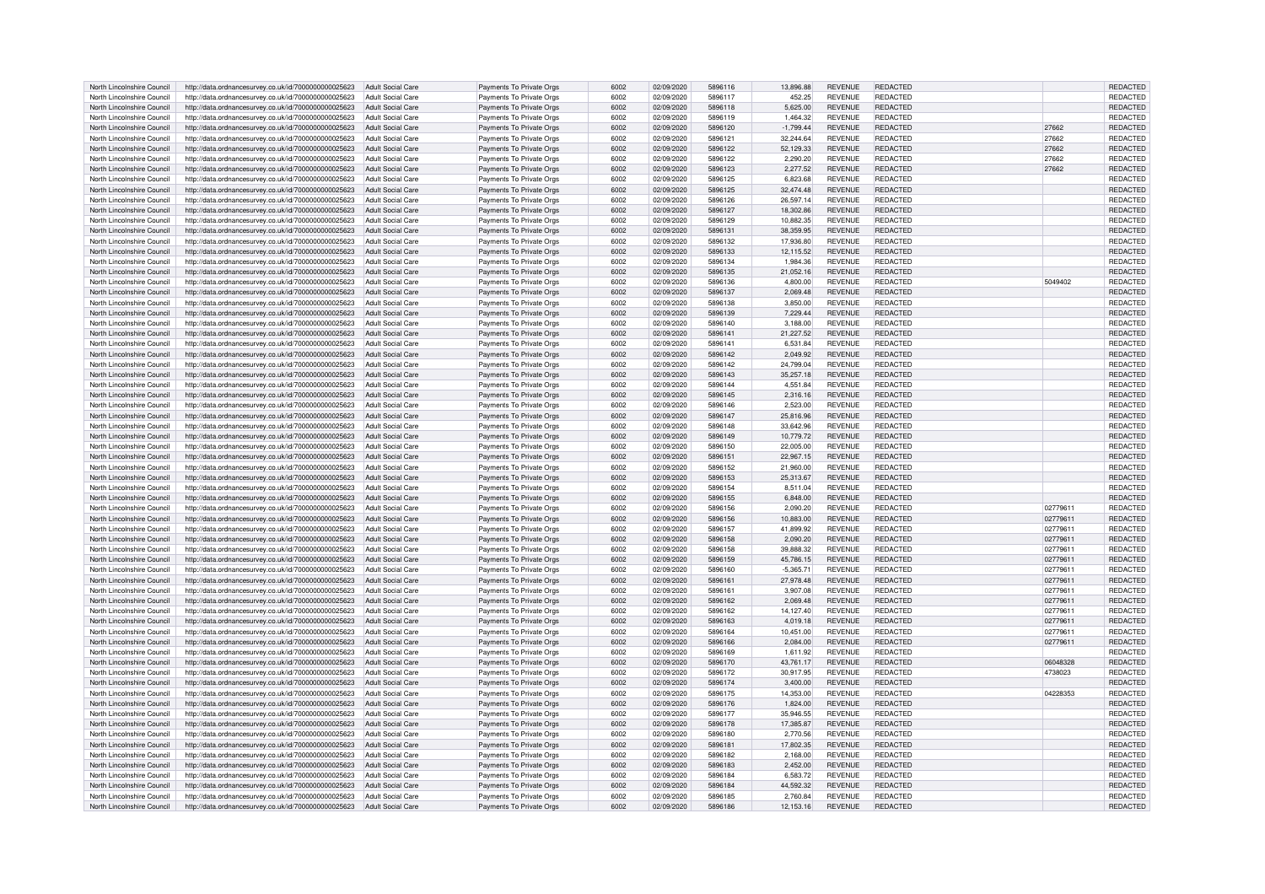| REDACTED<br>North Lincolnshire Council<br>http://data.ordnancesurvey.co.uk/id/7000000000025623<br><b>Adult Social Care</b><br>Payments To Private Orgs<br>6002<br>02/09/2020<br>5896117<br>452.25<br><b>REVENUE</b><br>02/09/2020<br>5,625.00<br><b>REVENUE</b><br>REDACTED<br>North Lincolnshire Council<br>http://data.ordnancesurvey.co.uk/id/7000000000025623<br>Adult Social Care<br>Payments To Private Orgs<br>6002<br>5896118 |          | REDACTED                    |
|---------------------------------------------------------------------------------------------------------------------------------------------------------------------------------------------------------------------------------------------------------------------------------------------------------------------------------------------------------------------------------------------------------------------------------------|----------|-----------------------------|
|                                                                                                                                                                                                                                                                                                                                                                                                                                       |          | <b>REDACTED</b>             |
|                                                                                                                                                                                                                                                                                                                                                                                                                                       |          | REDACTED                    |
| Payments To Private Orgs<br>REDACTED<br>North Lincolnshire Council<br>http://data.ordnancesurvey.co.uk/id/7000000000025623<br><b>Adult Social Care</b><br>6002<br>02/09/2020<br>5896119<br>1,464.32<br><b>REVENUE</b>                                                                                                                                                                                                                 |          | REDACTED                    |
| Payments To Private Orgs<br>6002<br>5896120<br>REDACTED<br>North Lincolnshire Council<br>http://data.ordnancesurvey.co.uk/id/7000000000025623<br><b>Adult Social Care</b><br>02/09/2020<br>$-1,799.44$<br><b>REVENUE</b>                                                                                                                                                                                                              | 27662    | REDACTED                    |
| North Lincolnshire Council<br>http://data.ordnancesurvey.co.uk/id/7000000000025623<br><b>Adult Social Care</b><br>Payments To Private Orgs<br>6002<br>02/09/2020<br>5896121<br>32,244.64<br><b>REVENUE</b><br>REDACTED                                                                                                                                                                                                                | 27662    | REDACTED                    |
| North Lincolnshire Council<br>http://data.ordnancesurvey.co.uk/id/7000000000025623<br><b>Adult Social Care</b><br>Payments To Private Orgs<br>6002<br>02/09/2020<br>5896122<br>52,129.33<br><b>REVENUE</b><br><b>REDACTED</b>                                                                                                                                                                                                         | 27662    | REDACTED                    |
| North Lincolnshire Council<br>http://data.ordnancesurvey.co.uk/id/7000000000025623<br><b>Adult Social Care</b><br>Payments To Private Orgs<br>6002<br>02/09/2020<br>5896122<br>2.290.20<br><b>REVENUE</b><br>REDACTED                                                                                                                                                                                                                 | 27662    | <b>REDACTED</b>             |
| 6002<br>North Lincolnshire Council<br>http://data.ordnancesurvey.co.uk/id/7000000000025623<br><b>Adult Social Care</b><br>02/09/2020<br>5896123<br>2.277.52<br><b>REVENUE</b><br><b>REDACTED</b><br>Payments To Private Orgs                                                                                                                                                                                                          | 27662    | <b>REDACTED</b>             |
| North Lincolnshire Council<br>Adult Social Care<br>6002<br>02/09/2020<br>5896125<br>6,823.68<br>REDACTED<br>http://data.ordnancesurvey.co.uk/id/7000000000025623<br>Payments To Private Orgs<br><b>REVENUE</b>                                                                                                                                                                                                                        |          | REDACTED                    |
| North Lincolnshire Council<br>Adult Social Care<br>Payments To Private Orgs<br>32,474.48<br><b>REVENUE</b><br><b>REDACTED</b><br>http://data.ordnancesurvey.co.uk/id/7000000000025623<br>6002<br>02/09/2020<br>5896125                                                                                                                                                                                                                |          | <b>REDACTED</b>             |
| North Lincolnshire Council<br>http://data.ordnancesurvey.co.uk/id/7000000000025623<br><b>Adult Social Care</b><br>Payments To Private Orgs<br>6002<br>02/09/2020<br>5896126<br>26,597.14<br><b>REVENUE</b><br><b>REDACTED</b>                                                                                                                                                                                                         |          | REDACTED                    |
| North Lincolnshire Council<br>http://data.ordnancesurvey.co.uk/id/7000000000025623<br>Adult Social Care<br>Payments To Private Orgs<br>6002<br>02/09/2020<br>5896127<br>18,302.86<br><b>REVENUE</b><br>REDACTED                                                                                                                                                                                                                       |          | <b>REDACTED</b>             |
| North Lincolnshire Council<br>http://data.ordnancesurvey.co.uk/id/7000000000025623<br><b>Adult Social Care</b><br>Payments To Private Orgs<br>6002<br>02/09/2020<br>5896129<br>10,882.35<br><b>REVENUE</b><br>REDACTED                                                                                                                                                                                                                |          | REDACTED                    |
| 6002<br>North Lincolnshire Council<br>http://data.ordnancesurvey.co.uk/id/7000000000025623<br>Adult Social Care<br>Payments To Private Orgs<br>02/09/2020<br>5896131<br>38,359.95<br><b>REVENUE</b><br>REDACTED                                                                                                                                                                                                                       |          | REDACTED                    |
| North Lincolnshire Council<br>Payments To Private Orgs<br>6002<br>02/09/2020<br>5896132<br>17,936.80<br><b>REVENUE</b><br>REDACTED<br>http://data.ordnancesurvey.co.uk/id/7000000000025623<br><b>Adult Social Care</b>                                                                                                                                                                                                                |          | REDACTED                    |
| North Lincolnshire Council<br>http://data.ordnancesurvey.co.uk/id/7000000000025623<br><b>Adult Social Care</b><br>Payments To Private Orgs<br>6002<br>02/09/2020<br>5896133<br>12,115.52<br><b>REVENUE</b><br><b>REDACTED</b>                                                                                                                                                                                                         |          | REDACTED                    |
| North Lincolnshire Council<br>http://data.ordnancesurvey.co.uk/id/7000000000025623<br><b>Adult Social Care</b><br>Payments To Private Oras<br>6002<br>02/09/2020<br>5896134<br>1.984.36<br><b>REVENUE</b><br>REDACTED                                                                                                                                                                                                                 |          | <b>REDACTED</b>             |
| 6002<br>North Lincolnshire Council<br>02/09/2020<br>5896135<br><b>REDACTED</b>                                                                                                                                                                                                                                                                                                                                                        |          | REDACTED                    |
| http://data.ordnancesurvey.co.uk/id/7000000000025623<br><b>Adult Social Care</b><br>Payments To Private Orgs<br>21,052.16<br><b>REVENUE</b>                                                                                                                                                                                                                                                                                           |          |                             |
| REDACTED<br>North Lincolnshire Council<br>http://data.ordnancesurvey.co.uk/id/7000000000025623<br><b>Adult Social Care</b><br>Payments To Private Orgs<br>6002<br>02/09/2020<br>5896136<br>4,800.00<br><b>REVENUE</b>                                                                                                                                                                                                                 | 5049402  | <b>REDACTED</b>             |
| North Lincolnshire Council<br><b>Adult Social Care</b><br>Payments To Private Orgs<br>6002<br>2,069.48<br><b>REVENUE</b><br><b>REDACTED</b><br>http://data.ordnancesurvey.co.uk/id/7000000000025623<br>02/09/2020<br>5896137                                                                                                                                                                                                          |          | REDACTED                    |
| North Lincolnshire Council<br>http://data.ordnancesurvey.co.uk/id/7000000000025623<br><b>Adult Social Care</b><br>Payments To Private Orgs<br>6002<br>02/09/2020<br>5896138<br>3,850.00<br><b>REVENUE</b><br><b>REDACTED</b>                                                                                                                                                                                                          |          | REDACTED                    |
| North Lincolnshire Council<br>http://data.ordnancesurvey.co.uk/id/7000000000025623<br><b>Adult Social Care</b><br>Payments To Private Orgs<br>6002<br>02/09/2020<br>5896139<br>7,229.44<br><b>REVENUE</b><br><b>REDACTED</b>                                                                                                                                                                                                          |          | REDACTED                    |
| Payments To Private Orgs<br>North Lincolnshire Council<br>http://data.ordnancesurvey.co.uk/id/7000000000025623<br><b>Adult Social Care</b><br>6002<br>5896140<br>3,188.00<br><b>REVENUE</b><br><b>REDACTED</b><br>02/09/2020                                                                                                                                                                                                          |          | REDACTED                    |
| 6002<br>North Lincolnshire Council<br>http://data.ordnancesurvey.co.uk/id/7000000000025623<br><b>Adult Social Care</b><br>Payments To Private Orgs<br>02/09/2020<br>5896141<br>21,227.52<br><b>REVENUE</b><br><b>REDACTED</b>                                                                                                                                                                                                         |          | REDACTED                    |
| North Lincolnshire Council<br>http://data.ordnancesurvey.co.uk/id/7000000000025623<br><b>Adult Social Care</b><br>Payments To Private Orgs<br>6002<br>02/09/2020<br>5896141<br>6,531.84<br><b>REVENUE</b><br>REDACTED                                                                                                                                                                                                                 |          | REDACTED                    |
| North Lincolnshire Council<br>Payments To Private Orgs<br>6002<br>http://data.ordnancesurvey.co.uk/id/7000000000025623<br><b>Adult Social Care</b><br>02/09/2020<br>5896142<br>2.049.92<br><b>REVENUE</b><br><b>REDACTED</b>                                                                                                                                                                                                          |          | <b>REDACTED</b>             |
| North Lincolnshire Council<br>http://data.ordnancesurvey.co.uk/id/7000000000025623<br>6002<br>02/09/2020<br>5896142<br><b>REVENUE</b><br>REDACTED<br><b>Adult Social Care</b><br>Payments To Private Orgs<br>24.799.04                                                                                                                                                                                                                |          | <b>REDACTED</b>             |
| North Lincolnshire Council<br>http://data.ordnancesurvey.co.uk/id/7000000000025623<br>Adult Social Care<br>6002<br>02/09/2020<br>5896143<br><b>REVENUE</b><br><b>REDACTED</b><br>Payments To Private Orgs<br>35,257.18                                                                                                                                                                                                                |          | <b>REDACTED</b>             |
| North Lincolnshire Council<br>Adult Social Care<br>6002<br>02/09/2020<br>5896144<br><b>REDACTED</b><br>http://data.ordnancesurvey.co.uk/id/7000000000025623<br>Payments To Private Orgs<br>4,551.84<br><b>REVENUE</b>                                                                                                                                                                                                                 |          | REDACTED                    |
| North Lincolnshire Council<br>http://data.ordnancesurvey.co.uk/id/7000000000025623<br>Adult Social Care<br>Payments To Private Orgs<br>6002<br>02/09/2020<br>5896145<br>2,316.16<br><b>REVENUE</b><br><b>REDACTED</b>                                                                                                                                                                                                                 |          | REDACTED                    |
| North Lincolnshire Council<br>http://data.ordnancesurvey.co.uk/id/7000000000025623<br>Adult Social Care<br>Payments To Private Orgs<br>6002<br>02/09/2020<br>5896146<br>2,523.00<br><b>REVENUE</b><br><b>REDACTED</b>                                                                                                                                                                                                                 |          | REDACTED                    |
| North Lincolnshire Council<br>http://data.ordnancesurvey.co.uk/id/7000000000025623<br>Payments To Private Orgs<br>6002<br>02/09/2020<br>5896147<br><b>REVENUE</b><br>REDACTED<br>Adult Social Care<br>25,816.96                                                                                                                                                                                                                       |          | <b>REDACTED</b>             |
| North Lincolnshire Council<br>http://data.ordnancesurvey.co.uk/id/7000000000025623<br><b>Adult Social Care</b><br>Payments To Private Orgs<br>6002<br>02/09/2020<br>5896148<br>33,642.96<br><b>REVENUE</b><br>REDACTED                                                                                                                                                                                                                |          | REDACTED                    |
| North Lincolnshire Council<br>http://data.ordnancesurvey.co.uk/id/7000000000025623<br>Adult Social Care<br>Payments To Private Orgs<br>6002<br>02/09/2020<br>5896149<br>10,779.72<br><b>REVENUE</b><br><b>REDACTED</b>                                                                                                                                                                                                                |          | REDACTED                    |
| North Lincolnshire Council<br>Payments To Private Orgs<br>6002<br>5896150<br>22.005.00<br>REDACTED<br><b>Adult Social Care</b><br>02/09/2020<br><b>REVENUE</b>                                                                                                                                                                                                                                                                        |          | REDACTED                    |
| http://data.ordnancesurvey.co.uk/id/7000000000025623<br>02/09/2020<br>5896151<br><b>REDACTED</b>                                                                                                                                                                                                                                                                                                                                      |          |                             |
| North Lincolnshire Council<br>http://data.ordnancesurvey.co.uk/id/7000000000025623<br><b>Adult Social Care</b><br>Payments To Private Orgs<br>6002<br>22,967.15<br><b>REVENUE</b><br>North Lincolnshire Council<br><b>Adult Social Care</b><br>Payments To Private Orgs<br>6002<br>02/09/2020<br>5896152<br>21.960.00<br><b>REVENUE</b><br>REDACTED<br>http://data.ordnancesurvey.co.uk/id/7000000000025623                           |          | REDACTED<br><b>REDACTED</b> |
|                                                                                                                                                                                                                                                                                                                                                                                                                                       |          |                             |
| 6002<br>North Lincolnshire Council<br><b>Adult Social Care</b><br>Payments To Private Orgs<br>02/09/2020<br>5896153<br>25,313.67<br><b>REVENUE</b><br><b>REDACTED</b><br>http://data.ordnancesurvey.co.uk/id/7000000000025623                                                                                                                                                                                                         |          | REDACTED                    |
| North Lincolnshire Council<br>http://data.ordnancesurvey.co.uk/id/7000000000025623<br><b>Adult Social Care</b><br>Payments To Private Orgs<br>6002<br>02/09/2020<br>5896154<br>8,511.04<br><b>REVENUE</b><br><b>REDACTED</b>                                                                                                                                                                                                          |          | REDACTED                    |
| Payments To Private Orgs<br>6,848.00<br><b>REVENUE</b><br><b>REDACTED</b><br>North Lincolnshire Council<br>http://data.ordnancesurvey.co.uk/id/7000000000025623<br><b>Adult Social Care</b><br>6002<br>02/09/2020<br>5896155                                                                                                                                                                                                          |          | REDACTED                    |
| North Lincolnshire Council<br>http://data.ordnancesurvey.co.uk/id/7000000000025623<br><b>Adult Social Care</b><br>Payments To Private Orgs<br>6002<br>02/09/2020<br>5896156<br>2,090.20<br><b>REVENUE</b><br><b>REDACTED</b>                                                                                                                                                                                                          | 02779611 | REDACTED                    |
| North Lincolnshire Council<br>http://data.ordnancesurvey.co.uk/id/7000000000025623<br>Adult Social Care<br>Payments To Private Orgs<br>6002<br>02/09/2020<br>5896156<br>10.883.00<br><b>REVENUE</b><br><b>REDACTED</b>                                                                                                                                                                                                                | 02779611 | <b>REDACTED</b>             |
| Payments To Private Orgs<br>North Lincolnshire Council<br>http://data.ordnancesurvey.co.uk/id/7000000000025623<br><b>Adult Social Care</b><br>6002<br>5896157<br>41,899.92<br><b>REVENUE</b><br>REDACTED<br>02/09/2020                                                                                                                                                                                                                | 02779611 | <b>REDACTED</b>             |
| North Lincolnshire Council<br>http://data.ordnancesurvey.co.uk/id/7000000000025623<br><b>Adult Social Care</b><br>Payments To Private Orgs<br>6002<br>02/09/2020<br>5896158<br>2,090.20<br><b>REVENUE</b><br><b>REDACTED</b>                                                                                                                                                                                                          | 02779611 | <b>REDACTED</b>             |
| North Lincolnshire Council<br>http://data.ordnancesurvey.co.uk/id/7000000000025623<br><b>Adult Social Care</b><br>Payments To Private Orgs<br>6002<br>5896158<br>39,888.32<br><b>REVENUE</b><br>REDACTED<br>02/09/2020                                                                                                                                                                                                                | 02779611 | REDACTED                    |
| 6002<br>North Lincolnshire Council<br>http://data.ordnancesurvey.co.uk/id/7000000000025623<br><b>Adult Social Care</b><br>Payments To Private Orgs<br>02/09/2020<br>5896159<br>45.786.15<br><b>REVENUE</b><br><b>REDACTED</b>                                                                                                                                                                                                         | 02779611 | REDACTED                    |
| 6002<br><b>REVENUE</b><br>REDACTED<br>North Lincolnshire Council<br>http://data.ordnancesurvey.co.uk/id/7000000000025623<br><b>Adult Social Care</b><br>Payments To Private Orgs<br>02/09/2020<br>5896160<br>$-5,365.71$                                                                                                                                                                                                              | 02779611 | REDACTED                    |
| Adult Social Care<br>6002<br><b>REVENUE</b><br>REDACTED<br>North Lincolnshire Council<br>http://data.ordnancesurvey.co.uk/id/7000000000025623<br>Payments To Private Orgs<br>02/09/2020<br>5896161<br>27,978.48                                                                                                                                                                                                                       | 02779611 | <b>REDACTED</b>             |
| 6002<br>3,907.08<br>REDACTED<br>North Lincolnshire Council<br>http://data.ordnancesurvey.co.uk/id/7000000000025623<br>Adult Social Care<br>Payments To Private Orgs<br>02/09/2020<br>5896161<br><b>REVENUE</b>                                                                                                                                                                                                                        | 02779611 | REDACTED                    |
| North Lincolnshire Council<br>http://data.ordnancesurvey.co.uk/id/7000000000025623<br>Adult Social Care<br>Payments To Private Orgs<br>6002<br>02/09/2020<br>5896162<br>2,069.48<br><b>REVENUE</b><br><b>REDACTED</b>                                                                                                                                                                                                                 | 02779611 | REDACTED                    |
| North Lincolnshire Council<br>http://data.ordnancesurvey.co.uk/id/7000000000025623<br>Adult Social Care<br>Payments To Private Orgs<br>6002<br>02/09/2020<br>5896162<br>14,127.40<br><b>REVENUE</b><br><b>REDACTED</b>                                                                                                                                                                                                                | 02779611 | REDACTED                    |
| Payments To Private Orgs<br>6002<br>5896163<br>REDACTED<br>North Lincolnshire Council<br>http://data.ordnancesurvey.co.uk/id/7000000000025623<br>Adult Social Care<br>02/09/2020<br>4,019.18<br><b>REVENUE</b>                                                                                                                                                                                                                        | 02779611 | <b>REDACTED</b>             |
| North Lincolnshire Council<br>Payments To Private Orgs<br>6002<br>10,451.00<br><b>REVENUE</b><br>REDACTED<br>http://data.ordnancesurvey.co.uk/id/7000000000025623<br><b>Adult Social Care</b><br>02/09/2020<br>5896164                                                                                                                                                                                                                | 02779611 | REDACTED                    |
| North Lincolnshire Council<br>Payments To Private Orgs<br>6002<br>5896166<br><b>REVENUE</b><br><b>REDACTED</b><br>http://data.ordnancesurvey.co.uk/id/7000000000025623<br>Adult Social Care<br>02/09/2020<br>2,084.00                                                                                                                                                                                                                 | 02779611 | REDACTED                    |
| North Lincolnshire Council<br>http://data.ordnancesurvey.co.uk/id/7000000000025623<br><b>Adult Social Care</b><br>Payments To Private Orgs<br>6002<br>02/09/2020<br>5896169<br>1,611.92<br><b>REVENUE</b><br>REDACTED                                                                                                                                                                                                                 |          | REDACTED                    |
|                                                                                                                                                                                                                                                                                                                                                                                                                                       | 06048328 | REDACTED                    |
|                                                                                                                                                                                                                                                                                                                                                                                                                                       | 4738023  | <b>REDACTED</b>             |
| North Lincolnshire Council<br>http://data.ordnancesurvey.co.uk/id/7000000000025623<br><b>Adult Social Care</b><br>Payments To Private Orgs<br>6002<br>02/09/2020<br>5896170<br>43,761.17<br><b>REVENUE</b><br><b>REDACTED</b>                                                                                                                                                                                                         |          |                             |
| North Lincolnshire Council<br><b>Adult Social Care</b><br>6002<br>02/09/2020<br>5896172<br>30.917.95<br><b>REVENUE</b><br>REDACTED<br>http://data.ordnancesurvey.co.uk/id/7000000000025623<br>Payments To Private Orgs                                                                                                                                                                                                                |          |                             |
| 6002<br>North Lincolnshire Council<br><b>Adult Social Care</b><br>Payments To Private Orgs<br>02/09/2020<br>5896174<br>3,400.00<br><b>REVENUE</b><br><b>REDACTED</b><br>http://data.ordnancesurvey.co.uk/id/7000000000025623                                                                                                                                                                                                          |          | REDACTED                    |
| North Lincolnshire Council<br><b>Adult Social Care</b><br>6002<br>02/09/2020<br>5896175<br>14,353.00<br><b>REVENUE</b><br><b>REDACTED</b><br>http://data.ordnancesurvey.co.uk/id/7000000000025623<br>Payments To Private Orgs                                                                                                                                                                                                         | 04228353 | REDACTED                    |
| North Lincolnshire Council<br><b>Adult Social Care</b><br>Payments To Private Orgs<br>6002<br>1.824.00<br><b>REVENUE</b><br><b>REDACTED</b><br>http://data.ordnancesurvey.co.uk/id/7000000000025623<br>02/09/2020<br>5896176                                                                                                                                                                                                          |          | REDACTED                    |
| North Lincolnshire Council<br>http://data.ordnancesurvey.co.uk/id/7000000000025623<br><b>Adult Social Care</b><br>Payments To Private Orgs<br>6002<br>02/09/2020<br>5896177<br>35,946.55<br><b>REVENUE</b><br><b>REDACTED</b>                                                                                                                                                                                                         |          | REDACTED                    |
| North Lincolnshire Council<br>http://data.ordnancesurvey.co.uk/id/7000000000025623<br>Adult Social Care<br>Payments To Private Oras<br>6002<br>02/09/2020<br>5896178<br>17,385.87<br><b>REVENUE</b><br>REDACTED                                                                                                                                                                                                                       |          | REDACTED                    |
| North Lincolnshire Council<br>http://data.ordnancesurvey.co.uk/id/7000000000025623<br><b>Adult Social Care</b><br>Payments To Private Orgs<br>6002<br>02/09/2020<br>5896180<br>2,770.56<br><b>REVENUE</b><br><b>REDACTED</b>                                                                                                                                                                                                          |          | REDACTED                    |
| 6002<br>North Lincolnshire Council<br>http://data.ordnancesurvey.co.uk/id/7000000000025623<br><b>Adult Social Care</b><br>Payments To Private Orgs<br>02/09/2020<br>5896181<br>17,802.35<br><b>REVENUE</b><br><b>REDACTED</b>                                                                                                                                                                                                         |          | REDACTED                    |
| North Lincolnshire Council<br>Payments To Private Orgs<br>6002<br>5896182<br><b>REVENUE</b><br>REDACTED<br>http://data.ordnancesurvey.co.uk/id/7000000000025623<br><b>Adult Social Care</b><br>02/09/2020<br>2.168.00                                                                                                                                                                                                                 |          | REDACTED                    |
| North Lincolnshire Council<br>http://data.ordnancesurvey.co.uk/id/7000000000025623<br><b>Adult Social Care</b><br>Payments To Private Orgs<br>6002<br>02/09/2020<br>5896183<br>2,452.00<br><b>REVENUE</b><br><b>REDACTED</b>                                                                                                                                                                                                          |          | REDACTED                    |
| North Lincolnshire Council<br>http://data.ordnancesurvey.co.uk/id/7000000000025623<br><b>Adult Social Care</b><br>Payments To Private Orgs<br>6002<br>02/09/2020<br>5896184<br>6,583.72<br><b>REVENUE</b><br>REDACTED                                                                                                                                                                                                                 |          | REDACTED                    |
| 6002<br>5896184<br><b>REVENUE</b><br>REDACTED<br>North Lincolnshire Council<br>http://data.ordnancesurvey.co.uk/id/7000000000025623<br>Adult Social Care<br>Payments To Private Orgs<br>02/09/2020<br>44.592.32                                                                                                                                                                                                                       |          | <b>REDACTED</b>             |
| REDACTED<br>North Lincolnshire Council<br>http://data.ordnancesurvey.co.uk/id/7000000000025623<br>Adult Social Care<br>Payments To Private Orgs<br>6002<br>02/09/2020<br>5896185<br>2.760.84<br><b>REVENUE</b><br>http://data.ordnancesurvey.co.uk/id/7000000000025623 Adult Social Care                                                                                                                                              |          | REDACTED                    |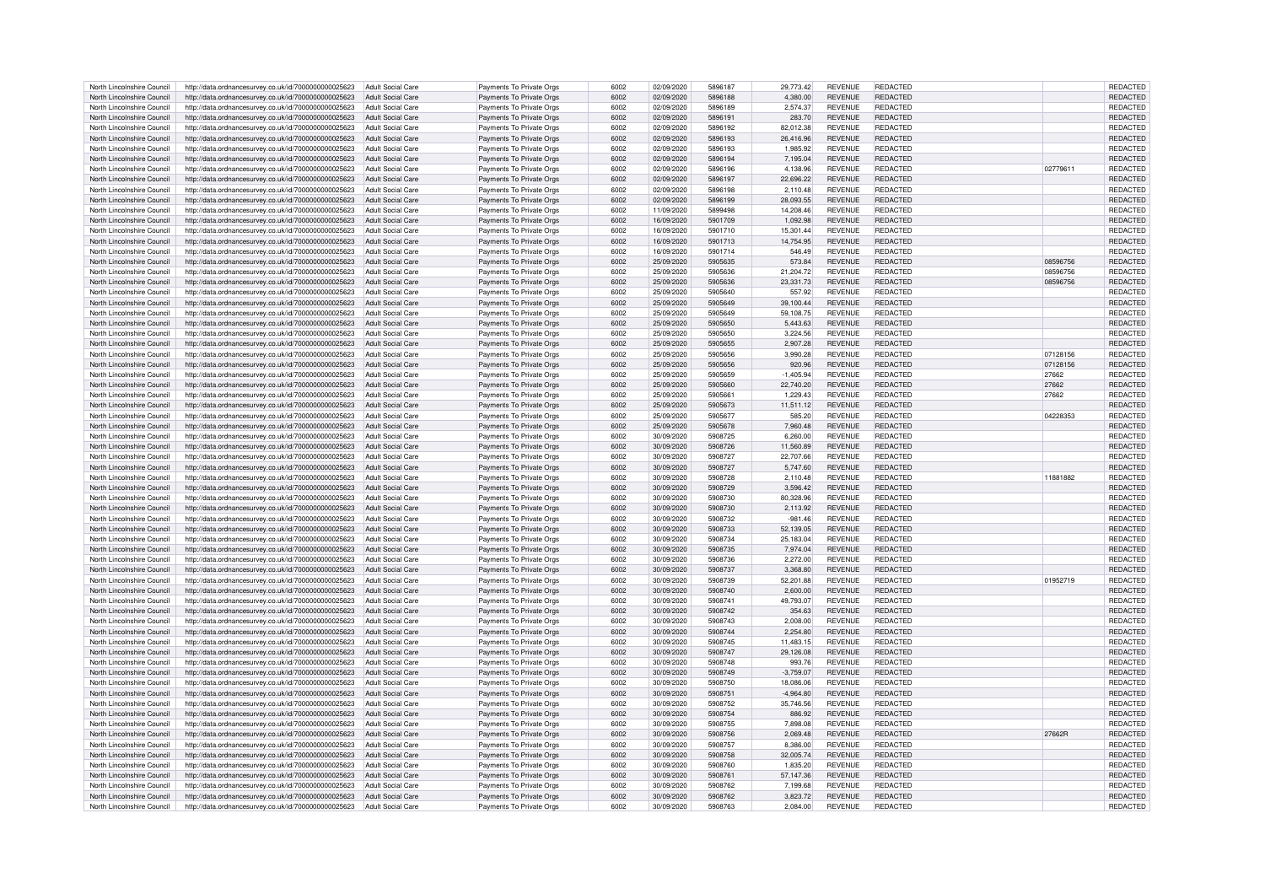| North Lincolnshire Council | http://data.ordnancesurvey.co.uk/id/7000000000025623                   | Adult Social Care        | Payments To Private Orgs | 6002 | 02/09/2020 | 5896187 | 29,773.42   | <b>REVENUE</b> | REDACTED        |          | REDACTED        |
|----------------------------|------------------------------------------------------------------------|--------------------------|--------------------------|------|------------|---------|-------------|----------------|-----------------|----------|-----------------|
| North Lincolnshire Council | http://data.ordnancesurvey.co.uk/id/7000000000025623                   | Adult Social Care        | Payments To Private Orgs | 6002 | 02/09/2020 | 5896188 | 4.380.00    | <b>REVENUE</b> | <b>REDACTED</b> |          | <b>REDACTED</b> |
| North Lincolnshire Council | http://data.ordnancesurvey.co.uk/id/7000000000025623                   | Adult Social Care        |                          | 6002 | 02/09/2020 | 5896189 | 2.574.37    | <b>REVENUE</b> | REDACTED        |          | <b>REDACTED</b> |
|                            |                                                                        |                          | Payments To Private Orgs |      |            |         |             |                |                 |          |                 |
| North Lincolnshire Council | http://data.ordnancesurvey.co.uk/id/7000000000025623                   | Adult Social Care        | Payments To Private Orgs | 6002 | 02/09/2020 | 5896191 | 283.70      | <b>REVENUE</b> | <b>REDACTED</b> |          | REDACTED        |
| North Lincolnshire Council | http://data.ordnancesurvey.co.uk/id/7000000000025623                   | <b>Adult Social Care</b> | Payments To Private Orgs | 6002 | 02/09/2020 | 5896192 | 82,012.38   | <b>REVENUE</b> | REDACTED        |          | REDACTED        |
| North Lincolnshire Council | http://data.ordnancesurvey.co.uk/id/7000000000025623                   | <b>Adult Social Care</b> | Payments To Private Orgs | 6002 | 02/09/2020 | 5896193 | 26,416.96   | <b>REVENUE</b> | REDACTED        |          | REDACTED        |
| North Lincolnshire Council | http://data.ordnancesurvey.co.uk/id/7000000000025623                   | <b>Adult Social Care</b> | Payments To Private Orgs | 6002 | 02/09/2020 | 5896193 | 1,985.92    | <b>REVENUE</b> | <b>REDACTED</b> |          | REDACTED        |
| North Lincolnshire Council | http://data.ordnancesurvey.co.uk/id/7000000000025623                   | <b>Adult Social Care</b> | Payments To Private Orgs | 6002 | 02/09/2020 | 5896194 | 7.195.04    | <b>REVENUE</b> | REDACTED        |          | <b>REDACTED</b> |
| North Lincolnshire Council | http://data.ordnancesurvey.co.uk/id/7000000000025623                   | Adult Social Care        | Payments To Private Orgs | 6002 | 02/09/2020 | 5896196 | 4.138.96    | <b>REVENUE</b> | <b>REDACTED</b> | 02779611 | REDACTED        |
|                            |                                                                        |                          |                          |      |            |         |             |                |                 |          |                 |
| North Lincolnshire Council | http://data.ordnancesurvey.co.uk/id/7000000000025623                   | Adult Social Care        | Payments To Private Orgs | 6002 | 02/09/2020 | 5896197 | 22,696.22   | <b>REVENUE</b> | REDACTED        |          | REDACTED        |
| North Lincolnshire Council | http://data.ordnancesurvey.co.uk/id/7000000000025623                   | Adult Social Care        | Payments To Private Orgs | 6002 | 02/09/2020 | 5896198 | 2,110.48    | <b>REVENUE</b> | REDACTED        |          | <b>REDACTED</b> |
| North Lincolnshire Council | http://data.ordnancesurvey.co.uk/id/7000000000025623                   | Adult Social Care        | Payments To Private Orgs | 6002 | 02/09/2020 | 5896199 | 28,093.55   | <b>REVENUE</b> | <b>REDACTED</b> |          | REDACTED        |
| North Lincolnshire Council | http://data.ordnancesurvey.co.uk/id/7000000000025623                   | Adult Social Care        | Payments To Private Orgs | 6002 | 11/09/2020 | 5899498 | 14,208.46   | <b>REVENUE</b> | REDACTED        |          | REDACTED        |
| North Lincolnshire Council | http://data.ordnancesurvey.co.uk/id/7000000000025623                   | <b>Adult Social Care</b> | Payments To Private Orgs | 6002 | 16/09/2020 | 5901709 | 1,092.98    | <b>REVENUE</b> | <b>REDACTED</b> |          | REDACTED        |
| North Lincolnshire Council | http://data.ordnancesurvey.co.uk/id/7000000000025623                   | <b>Adult Social Care</b> | Payments To Private Orgs | 6002 | 16/09/2020 | 5901710 | 15,301.44   | <b>REVENUE</b> | <b>REDACTED</b> |          | REDACTED        |
|                            |                                                                        |                          |                          |      |            |         |             |                |                 |          |                 |
| North Lincolnshire Council | http://data.ordnancesurvey.co.uk/id/7000000000025623                   | <b>Adult Social Care</b> | Payments To Private Orgs | 6002 | 16/09/2020 | 5901713 | 14,754.95   | <b>REVENUE</b> | REDACTED        |          | REDACTED        |
| North Lincolnshire Council | http://data.ordnancesurvey.co.uk/id/7000000000025623                   | <b>Adult Social Care</b> | Payments To Private Orgs | 6002 | 16/09/2020 | 5901714 | 546.49      | <b>REVENUE</b> | <b>REDACTED</b> |          | REDACTED        |
| North Lincolnshire Council | http://data.ordnancesurvey.co.uk/id/7000000000025623                   | <b>Adult Social Care</b> | Payments To Private Orgs | 6002 | 25/09/2020 | 5905635 | 573.84      | <b>REVENUE</b> | REDACTED        | 08596756 | <b>REDACTED</b> |
| North Lincolnshire Council | http://data.ordnancesurvey.co.uk/id/7000000000025623                   | Adult Social Care        | Payments To Private Orgs | 6002 | 25/09/2020 | 5905636 | 21,204.72   | <b>REVENUE</b> | <b>REDACTED</b> | 08596756 | REDACTED        |
| North Lincolnshire Council | http://data.ordnancesurvey.co.uk/id/7000000000025623                   | Adult Social Care        | Payments To Private Orgs | 6002 | 25/09/2020 | 5905636 | 23,331.73   | <b>REVENUE</b> | <b>REDACTED</b> | 08596756 | <b>REDACTED</b> |
| North Lincolnshire Council | http://data.ordnancesurvey.co.uk/id/7000000000025623                   | <b>Adult Social Care</b> | Payments To Private Orgs | 6002 | 25/09/2020 | 5905640 | 557.92      | <b>REVENUE</b> | REDACTED        |          | REDACTED        |
| North Lincolnshire Council | http://data.ordnancesurvey.co.uk/id/7000000000025623                   | Adult Social Care        | Payments To Private Orgs | 6002 | 25/09/2020 | 5905649 | 39,100.44   | <b>REVENUE</b> | <b>REDACTED</b> |          | REDACTED        |
|                            |                                                                        |                          |                          |      |            |         |             |                |                 |          |                 |
| North Lincolnshire Council | http://data.ordnancesurvey.co.uk/id/7000000000025623                   | <b>Adult Social Care</b> | Payments To Private Orgs | 6002 | 25/09/2020 | 5905649 | 59,108.75   | <b>REVENUE</b> | REDACTED        |          | REDACTED        |
| North Lincolnshire Council | http://data.ordnancesurvey.co.uk/id/7000000000025623                   | <b>Adult Social Care</b> | Payments To Private Orgs | 6002 | 25/09/2020 | 5905650 | 5,443.63    | <b>REVENUE</b> | <b>REDACTED</b> |          | REDACTED        |
| North Lincolnshire Council | http://data.ordnancesurvey.co.uk/id/7000000000025623                   | <b>Adult Social Care</b> | Payments To Private Orgs | 6002 | 25/09/2020 | 5905650 | 3.224.56    | <b>REVENUE</b> | <b>REDACTED</b> |          | REDACTED        |
| North Lincolnshire Council | http://data.ordnancesurvey.co.uk/id/7000000000025623                   | <b>Adult Social Care</b> | Payments To Private Orgs | 6002 | 25/09/2020 | 5905655 | 2,907.28    | <b>REVENUE</b> | <b>REDACTED</b> |          | REDACTED        |
| North Lincolnshire Council | http://data.ordnancesurvey.co.uk/id/7000000000025623                   | Adult Social Care        | Payments To Private Orgs | 6002 | 25/09/2020 | 5905656 | 3.990.28    | <b>REVENUE</b> | <b>REDACTED</b> | 07128156 | REDACTED        |
| North Lincolnshire Council | http://data.ordnancesurvey.co.uk/id/7000000000025623                   | Adult Social Care        | Payments To Private Orgs | 6002 | 25/09/2020 | 5905656 | 920.96      | <b>REVENUE</b> | <b>REDACTED</b> | 07128156 | REDACTED        |
|                            |                                                                        |                          |                          |      |            | 5905659 |             |                | <b>REDACTED</b> |          |                 |
| North Lincolnshire Council | http://data.ordnancesurvey.co.uk/id/7000000000025623                   | Adult Social Care        | Payments To Private Orgs | 6002 | 25/09/2020 |         | $-1.405.94$ | <b>REVENUE</b> |                 | 27662    | <b>REDACTED</b> |
| North Lincolnshire Council | http://data.ordnancesurvey.co.uk/id/7000000000025623                   | Adult Social Care        | Payments To Private Orgs | 6002 | 25/09/2020 | 5905660 | 22,740.20   | <b>REVENUE</b> | REDACTED        | 27662    | REDACTED        |
| North Lincolnshire Council | http://data.ordnancesurvey.co.uk/id/7000000000025623                   | Adult Social Care        | Payments To Private Orgs | 6002 | 25/09/2020 | 5905661 | 1,229.43    | <b>REVENUE</b> | <b>REDACTED</b> | 27662    | REDACTED        |
| North Lincolnshire Council | http://data.ordnancesurvey.co.uk/id/7000000000025623                   | Adult Social Care        | Payments To Private Orgs | 6002 | 25/09/2020 | 5905673 | 11,511.12   | <b>REVENUE</b> | REDACTED        |          | REDACTED        |
| North Lincolnshire Council | http://data.ordnancesurvey.co.uk/id/7000000000025623                   | Adult Social Care        | Payments To Private Orgs | 6002 | 25/09/2020 | 5905677 | 585.20      | <b>REVENUE</b> | REDACTED        | 04228353 | <b>REDACTED</b> |
| North Lincolnshire Council | http://data.ordnancesurvey.co.uk/id/7000000000025623                   | Adult Social Care        | Payments To Private Orgs | 6002 | 25/09/2020 | 5905678 | 7,960.48    | <b>REVENUE</b> | REDACTED        |          | REDACTED        |
|                            |                                                                        |                          |                          |      |            |         |             |                |                 |          |                 |
| North Lincolnshire Council | http://data.ordnancesurvey.co.uk/id/7000000000025623                   | Adult Social Care        | Payments To Private Orgs | 6002 | 30/09/2020 | 5908725 | 6,260.00    | <b>REVENUE</b> | REDACTED        |          | REDACTED        |
| North Lincolnshire Council | http://data.ordnancesurvey.co.uk/id/7000000000025623                   | Adult Social Care        | Payments To Private Orgs | 6002 | 30/09/2020 | 5908726 | 11,560.89   | <b>REVENUE</b> | REDACTED        |          | <b>REDACTED</b> |
| North Lincolnshire Council | http://data.ordnancesurvey.co.uk/id/7000000000025623                   | <b>Adult Social Care</b> | Payments To Private Orgs | 6002 | 30/09/2020 | 5908727 | 22,707.66   | <b>REVENUE</b> | REDACTED        |          | REDACTED        |
| North Lincolnshire Council | http://data.ordnancesurvey.co.uk/id/7000000000025623                   | <b>Adult Social Care</b> | Payments To Private Orgs | 6002 | 30/09/2020 | 5908727 | 5.747.60    | <b>REVENUE</b> | REDACTED        |          | <b>REDACTED</b> |
| North Lincolnshire Council | http://data.ordnancesurvey.co.uk/id/7000000000025623                   | Adult Social Care        | Payments To Private Orgs | 6002 | 30/09/2020 | 5908728 | 2,110.48    | <b>REVENUE</b> | <b>REDACTED</b> | 11881882 | REDACTED        |
| North Lincolnshire Council | http://data.ordnancesurvey.co.uk/id/7000000000025623                   | <b>Adult Social Care</b> | Payments To Private Orgs | 6002 | 30/09/2020 | 5908729 | 3,596.42    | <b>REVENUE</b> | <b>REDACTED</b> |          | REDACTED        |
|                            |                                                                        |                          |                          |      |            |         |             |                |                 |          |                 |
| North Lincolnshire Council | http://data.ordnancesurvey.co.uk/id/7000000000025623                   | Adult Social Care        | Payments To Private Orgs | 6002 | 30/09/2020 | 5908730 | 80,328.96   | <b>REVENUE</b> | REDACTED        |          | REDACTED        |
| North Lincolnshire Council | http://data.ordnancesurvey.co.uk/id/7000000000025623                   | <b>Adult Social Care</b> | Payments To Private Orgs | 6002 | 30/09/2020 | 5908730 | 2,113.92    | <b>REVENUE</b> | <b>REDACTED</b> |          | REDACTED        |
| North Lincolnshire Council | http://data.ordnancesurvey.co.uk/id/7000000000025623                   | Adult Social Care        | Payments To Private Oras | 6002 | 30/09/2020 | 5908732 | $-981.46$   | <b>REVENUE</b> | REDACTED        |          | REDACTED        |
| North Lincolnshire Council | http://data.ordnancesurvey.co.uk/id/7000000000025623                   | <b>Adult Social Care</b> | Payments To Private Orgs | 6002 | 30/09/2020 | 5908733 | 52,139.05   | <b>REVENUE</b> | <b>REDACTED</b> |          | REDACTED        |
| North Lincolnshire Council | http://data.ordnancesurvey.co.uk/id/7000000000025623                   | <b>Adult Social Care</b> | Payments To Private Orgs | 6002 | 30/09/2020 | 5908734 | 25,183.04   | <b>REVENUE</b> | <b>REDACTED</b> |          | REDACTED        |
| North Lincolnshire Council | http://data.ordnancesurvey.co.uk/id/7000000000025623                   | <b>Adult Social Care</b> | Payments To Private Orgs | 6002 | 30/09/2020 | 5908735 | 7,974.04    | <b>REVENUE</b> | <b>REDACTED</b> |          | REDACTED        |
|                            |                                                                        | Adult Social Care        |                          | 6002 |            | 5908736 |             | <b>REVENUE</b> | <b>REDACTED</b> |          |                 |
| North Lincolnshire Council | http://data.ordnancesurvey.co.uk/id/7000000000025623                   |                          | Payments To Private Orgs |      | 30/09/2020 |         | 2,272.00    |                |                 |          | REDACTED        |
| North Lincolnshire Council | http://data.ordnancesurvey.co.uk/id/7000000000025623                   | Adult Social Care        | Payments To Private Orgs | 6002 | 30/09/2020 | 5908737 | 3,368.80    | <b>REVENUE</b> | <b>REDACTED</b> |          | REDACTED        |
| North Lincolnshire Council | http://data.ordnancesurvey.co.uk/id/7000000000025623                   | Adult Social Care        | Payments To Private Orgs | 6002 | 30/09/2020 | 5908739 | 52.201.88   | <b>REVENUE</b> | <b>REDACTED</b> | 01952719 | REDACTED        |
| North Lincolnshire Council | http://data.ordnancesurvey.co.uk/id/7000000000025623                   | Adult Social Care        | Payments To Private Orgs | 6002 | 30/09/2020 | 5908740 | 2,600.00    | <b>REVENUE</b> | REDACTED        |          | REDACTED        |
| North Lincolnshire Council | http://data.ordnancesurvey.co.uk/id/7000000000025623                   | Adult Social Care        | Payments To Private Orgs | 6002 | 30/09/2020 | 5908741 | 49,793.07   | <b>REVENUE</b> | REDACTED        |          | REDACTED        |
| North Lincolnshire Council | http://data.ordnancesurvey.co.uk/id/7000000000025623                   | Adult Social Care        | Payments To Private Orgs | 6002 | 30/09/2020 | 5908742 | 354.63      | <b>REVENUE</b> | REDACTED        |          | REDACTED        |
| North Lincolnshire Council | http://data.ordnancesurvey.co.uk/id/7000000000025623                   | Adult Social Care        | Payments To Private Orgs | 6002 | 30/09/2020 | 5908743 | 2.008.00    | <b>REVENUE</b> | REDACTED        |          | REDACTED        |
|                            |                                                                        |                          |                          |      |            |         |             |                |                 |          |                 |
| North Lincolnshire Council | http://data.ordnancesurvey.co.uk/id/7000000000025623                   | <b>Adult Social Care</b> | Payments To Private Orgs | 6002 | 30/09/2020 | 5908744 | 2,254.80    | <b>REVENUE</b> | <b>REDACTED</b> |          | REDACTED        |
| North Lincolnshire Council | http://data.ordnancesurvey.co.uk/id/7000000000025623                   | Adult Social Care        | Payments To Private Orgs | 6002 | 30/09/2020 | 5908745 | 11,483.15   | <b>REVENUE</b> | <b>REDACTED</b> |          | REDACTED        |
| North Lincolnshire Council | http://data.ordnancesurvey.co.uk/id/7000000000025623                   | <b>Adult Social Care</b> | Payments To Private Orgs | 6002 | 30/09/2020 | 5908747 | 29,126.08   | <b>REVENUE</b> | <b>REDACTED</b> |          | REDACTED        |
| North Lincolnshire Council | http://data.ordnancesurvey.co.uk/id/7000000000025623                   | <b>Adult Social Care</b> | Payments To Private Orgs | 6002 | 30/09/2020 | 5908748 | 993.76      | <b>REVENUE</b> | <b>REDACTED</b> |          | REDACTED        |
| North Lincolnshire Council | http://data.ordnancesurvey.co.uk/id/7000000000025623                   | <b>Adult Social Care</b> | Payments To Private Orgs | 6002 | 30/09/2020 | 5908749 | $-3.759.07$ | <b>REVENUE</b> | <b>REDACTED</b> |          | <b>REDACTED</b> |
| North Lincolnshire Council | http://data.ordnancesurvey.co.uk/id/7000000000025623                   | Adult Social Care        | Payments To Private Orgs | 6002 | 30/09/2020 | 5908750 | 18,086.06   | <b>REVENUE</b> | <b>REDACTED</b> |          | REDACTED        |
|                            |                                                                        |                          |                          |      |            | 5908751 |             |                | <b>REDACTED</b> |          |                 |
| North Lincolnshire Council | http://data.ordnancesurvey.co.uk/id/7000000000025623                   | <b>Adult Social Care</b> | Payments To Private Orgs | 6002 | 30/09/2020 |         | $-4,964.80$ | <b>REVENUE</b> |                 |          | REDACTED        |
| North Lincolnshire Council | http://data.ordnancesurvey.co.uk/id/7000000000025623                   | Adult Social Care        | Payments To Private Orgs | 6002 | 30/09/2020 | 5908752 | 35.746.56   | <b>REVENUE</b> | REDACTED        |          | REDACTED        |
| North Lincolnshire Council | http://data.ordnancesurvey.co.uk/id/7000000000025623                   | <b>Adult Social Care</b> | Payments To Private Orgs | 6002 | 30/09/2020 | 5908754 | 886.92      | <b>REVENUE</b> | REDACTED        |          | REDACTED        |
| North Lincolnshire Council | http://data.ordnancesurvey.co.uk/id/7000000000025623                   | Adult Social Care        | Payments To Private Oras | 6002 | 30/09/2020 | 5908755 | 7.898.08    | <b>REVENUE</b> | REDACTED        |          | REDACTED        |
| North Lincolnshire Council | http://data.ordnancesurvey.co.uk/id/7000000000025623                   | <b>Adult Social Care</b> | Payments To Private Orgs | 6002 | 30/09/2020 | 5908756 | 2,069.48    | <b>REVENUE</b> | <b>REDACTED</b> | 27662R   | REDACTED        |
| North Lincolnshire Council | http://data.ordnancesurvey.co.uk/id/7000000000025623                   | <b>Adult Social Care</b> | Payments To Private Orgs | 6002 | 30/09/2020 | 5908757 | 8,386.00    | <b>REVENUE</b> | <b>REDACTED</b> |          | REDACTED        |
| North Lincolnshire Council | http://data.ordnancesurvey.co.uk/id/7000000000025623                   | <b>Adult Social Care</b> |                          | 6002 | 30/09/2020 | 5908758 | 32,005.74   | <b>REVENUE</b> | <b>REDACTED</b> |          | REDACTED        |
|                            |                                                                        |                          | Payments To Private Orgs |      |            |         |             |                |                 |          |                 |
| North Lincolnshire Council | http://data.ordnancesurvey.co.uk/id/7000000000025623                   | <b>Adult Social Care</b> | Payments To Private Orgs | 6002 | 30/09/2020 | 5908760 | 1,835.20    | <b>REVENUE</b> | <b>REDACTED</b> |          | REDACTED        |
| North Lincolnshire Council | http://data.ordnancesurvey.co.uk/id/7000000000025623                   | <b>Adult Social Care</b> | Payments To Private Orgs | 6002 | 30/09/2020 | 5908761 | 57,147.36   | <b>REVENUE</b> | REDACTED        |          | REDACTED        |
| North Lincolnshire Council | http://data.ordnancesurvey.co.uk/id/7000000000025623                   | Adult Social Care        | Payments To Private Orgs | 6002 | 30/09/2020 | 5908762 | 7,199.68    | <b>REVENUE</b> | REDACTED        |          | <b>REDACTED</b> |
| North Lincolnshire Council | http://data.ordnancesurvey.co.uk/id/7000000000025623                   | Adult Social Care        | Payments To Private Orgs | 6002 | 30/09/2020 | 5908762 | 3.823.72    | <b>REVENUE</b> | REDACTED        |          | REDACTED        |
| North Lincolnshire Council | http://data.ordnancesurvey.co.uk/id/7000000000025623 Adult Social Care |                          | Payments To Private Orgs | 6002 | 30/09/2020 | 5908763 | 2,084.00    | <b>REVENUE</b> | REDACTED        |          | REDACTED        |
|                            |                                                                        |                          |                          |      |            |         |             |                |                 |          |                 |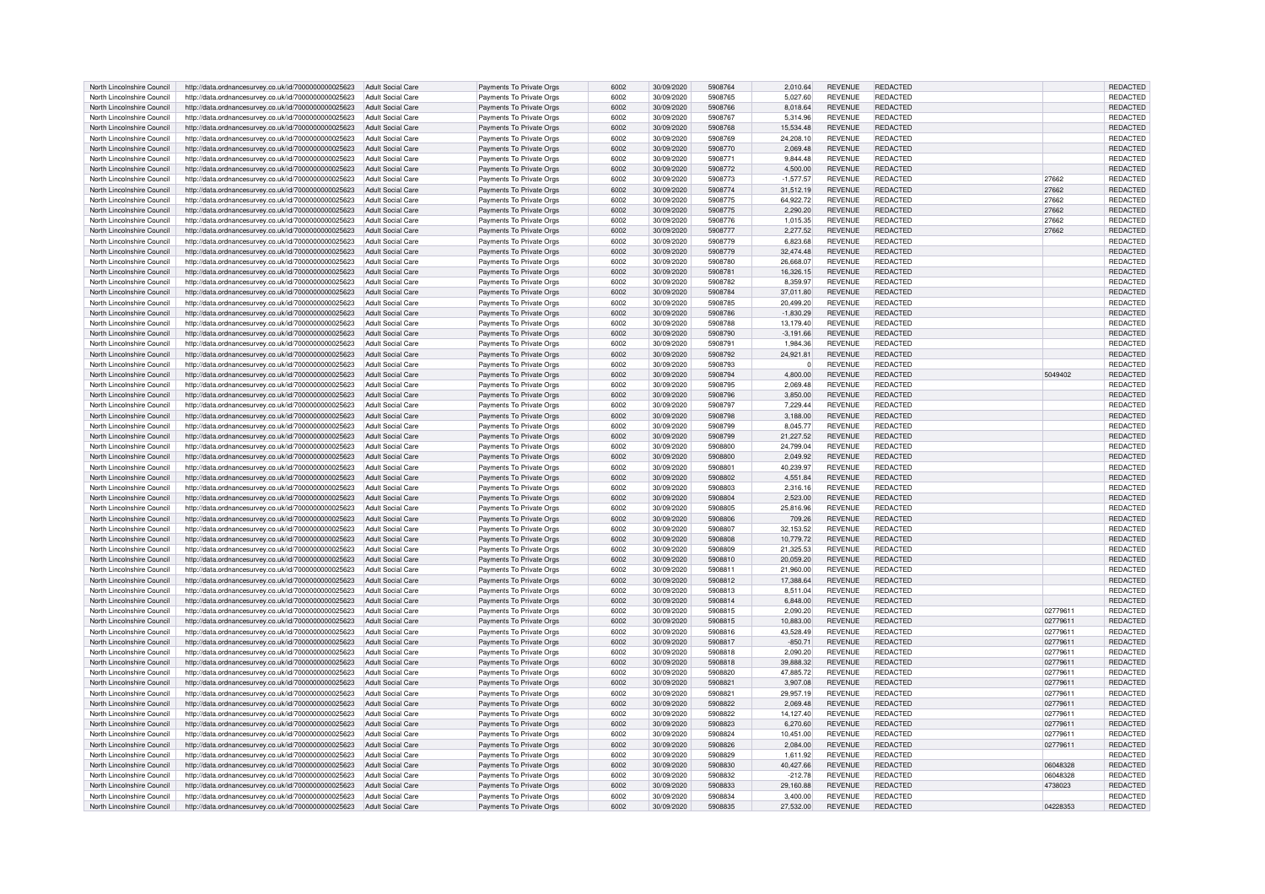| North Lincolnshire Council | http://data.ordnancesurvey.co.uk/id/7000000000025623                   | Adult Social Care        | Payments To Private Orgs | 6002 | 30/09/2020 | 5908764 | 2.010.64    | <b>REVENUE</b> | <b>REDACTED</b> |          | <b>REDACTED</b> |
|----------------------------|------------------------------------------------------------------------|--------------------------|--------------------------|------|------------|---------|-------------|----------------|-----------------|----------|-----------------|
| North Lincolnshire Council | http://data.ordnancesurvey.co.uk/id/7000000000025623                   | Adult Social Care        | Payments To Private Orgs | 6002 | 30/09/2020 | 5908765 | 5,027.60    | <b>REVENUE</b> | REDACTED        |          | REDACTED        |
| North Lincolnshire Council | http://data.ordnancesurvey.co.uk/id/7000000000025623                   | <b>Adult Social Care</b> | Payments To Private Orgs | 6002 | 30/09/2020 | 5908766 | 8,018.64    | <b>REVENUE</b> | REDACTED        |          | REDACTED        |
| North Lincolnshire Council | http://data.ordnancesurvey.co.uk/id/7000000000025623                   | <b>Adult Social Care</b> | Payments To Private Oras | 6002 | 30/09/2020 | 5908767 | 5.314.96    | <b>REVENUE</b> | REDACTED        |          | REDACTED        |
| North Lincolnshire Council | http://data.ordnancesurvey.co.uk/id/7000000000025623                   | <b>Adult Social Care</b> | Payments To Private Orgs | 6002 | 30/09/2020 | 5908768 | 15,534.48   | <b>REVENUE</b> | REDACTED        |          | REDACTED        |
|                            |                                                                        |                          |                          |      |            | 5908769 |             |                |                 |          |                 |
| North Lincolnshire Council | http://data.ordnancesurvey.co.uk/id/7000000000025623                   | <b>Adult Social Care</b> | Payments To Private Orgs | 6002 | 30/09/2020 |         | 24,208.10   | <b>REVENUE</b> | REDACTED        |          | REDACTED        |
| North Lincolnshire Council | http://data.ordnancesurvey.co.uk/id/7000000000025623                   | <b>Adult Social Care</b> | Payments To Private Orgs | 6002 | 30/09/2020 | 5908770 | 2,069.48    | <b>REVENUE</b> | REDACTED        |          | <b>REDACTED</b> |
| North Lincolnshire Council | http://data.ordnancesurvey.co.uk/id/7000000000025623                   | <b>Adult Social Care</b> | Payments To Private Orgs | 6002 | 30/09/2020 | 5908771 | 9,844.48    | <b>REVENUE</b> | <b>REDACTED</b> |          | REDACTED        |
| North Lincolnshire Council | http://data.ordnancesurvey.co.uk/id/7000000000025623                   | <b>Adult Social Care</b> | Payments To Private Orgs | 6002 | 30/09/2020 | 5908772 | 4.500.00    | <b>REVENUE</b> | REDACTED        |          | <b>REDACTED</b> |
| North Lincolnshire Council | http://data.ordnancesurvey.co.uk/id/7000000000025623                   | <b>Adult Social Care</b> | Payments To Private Orgs | 6002 | 30/09/2020 | 5908773 | $-1,577.57$ | <b>REVENUE</b> | <b>REDACTED</b> | 27662    | <b>REDACTED</b> |
| North Lincolnshire Council | http://data.ordnancesurvey.co.uk/id/7000000000025623                   | Adult Social Care        | Payments To Private Orgs | 6002 | 30/09/2020 | 5908774 | 31,512.19   | <b>REVENUE</b> | REDACTED        | 27662    | <b>REDACTED</b> |
| North Lincolnshire Council | http://data.ordnancesurvey.co.uk/id/7000000000025623                   | Adult Social Care        | Payments To Private Orgs | 6002 | 30/09/2020 | 5908775 | 64,922.72   | <b>REVENUE</b> | REDACTED        | 27662    | REDACTED        |
| North Lincolnshire Council | http://data.ordnancesurvey.co.uk/id/7000000000025623                   | Adult Social Care        | Payments To Private Orgs | 6002 | 30/09/2020 | 5908775 | 2,290.20    | <b>REVENUE</b> | <b>REDACTED</b> | 27662    | REDACTED        |
|                            |                                                                        |                          |                          |      |            |         |             |                |                 |          |                 |
| North Lincolnshire Council | http://data.ordnancesurvey.co.uk/id/7000000000025623                   | <b>Adult Social Care</b> | Payments To Private Oras | 6002 | 30/09/2020 | 5908776 | 1.015.35    | <b>REVENUE</b> | REDACTED        | 27662    | <b>REDACTED</b> |
| North Lincolnshire Council | http://data.ordnancesurvey.co.uk/id/7000000000025623                   | Adult Social Care        | Payments To Private Orgs | 6002 | 30/09/2020 | 5908777 | 2,277.52    | <b>REVENUE</b> | REDACTED        | 27662    | REDACTED        |
| North Lincolnshire Council | http://data.ordnancesurvey.co.uk/id/7000000000025623                   | <b>Adult Social Care</b> | Payments To Private Orgs | 6002 | 30/09/2020 | 5908779 | 6,823.68    | <b>REVENUE</b> | <b>REDACTED</b> |          | REDACTED        |
| North Lincolnshire Council | http://data.ordnancesurvey.co.uk/id/7000000000025623                   | <b>Adult Social Care</b> | Payments To Private Orgs | 6002 | 30/09/2020 | 5908779 | 32,474.48   | <b>REVENUE</b> | <b>REDACTED</b> |          | REDACTED        |
| North Lincolnshire Council | http://data.ordnancesurvey.co.uk/id/7000000000025623                   | <b>Adult Social Care</b> | Payments To Private Orgs | 6002 | 30/09/2020 | 5908780 | 26.668.07   | <b>REVENUE</b> | <b>REDACTED</b> |          | REDACTED        |
| North Lincolnshire Council | http://data.ordnancesurvey.co.uk/id/7000000000025623                   | <b>Adult Social Care</b> | Payments To Private Orgs | 6002 | 30/09/2020 | 5908781 | 16,326.15   | <b>REVENUE</b> | <b>REDACTED</b> |          | REDACTED        |
| North Lincolnshire Council | http://data.ordnancesurvey.co.uk/id/7000000000025623                   | <b>Adult Social Care</b> | Payments To Private Orgs | 6002 | 30/09/2020 | 5908782 | 8.359.97    | <b>REVENUE</b> | <b>REDACTED</b> |          | REDACTED        |
| North Lincolnshire Council |                                                                        |                          |                          |      |            | 5908784 |             |                | <b>REDACTED</b> |          |                 |
|                            | http://data.ordnancesurvey.co.uk/id/7000000000025623                   | <b>Adult Social Care</b> | Payments To Private Orgs | 6002 | 30/09/2020 |         | 37,011.80   | <b>REVENUE</b> |                 |          | REDACTED        |
| North Lincolnshire Council | http://data.ordnancesurvey.co.uk/id/7000000000025623                   | <b>Adult Social Care</b> | Payments To Private Orgs | 6002 | 30/09/2020 | 5908785 | 20,499.20   | <b>REVENUE</b> | REDACTED        |          | REDACTED        |
| North Lincolnshire Council | http://data.ordnancesurvey.co.uk/id/7000000000025623                   | <b>Adult Social Care</b> | Payments To Private Orgs | 6002 | 30/09/2020 | 5908786 | $-1,830.29$ | <b>REVENUE</b> | <b>REDACTED</b> |          | REDACTED        |
| North Lincolnshire Council | http://data.ordnancesurvey.co.uk/id/7000000000025623                   | <b>Adult Social Care</b> | Payments To Private Orgs | 6002 | 30/09/2020 | 5908788 | 13,179.40   | <b>REVENUE</b> | <b>REDACTED</b> |          | REDACTED        |
| North Lincolnshire Council | http://data.ordnancesurvey.co.uk/id/7000000000025623                   | <b>Adult Social Care</b> | Payments To Private Orgs | 6002 | 30/09/2020 | 5908790 | $-3,191.66$ | <b>REVENUE</b> | <b>REDACTED</b> |          | REDACTED        |
| North Lincolnshire Council | http://data.ordnancesurvey.co.uk/id/7000000000025623                   | <b>Adult Social Care</b> | Payments To Private Orgs | 6002 | 30/09/2020 | 590879  | 1,984.36    | <b>REVENUE</b> | <b>REDACTED</b> |          | REDACTED        |
| North Lincolnshire Council | http://data.ordnancesurvey.co.uk/id/7000000000025623                   | <b>Adult Social Care</b> | Payments To Private Orgs | 6002 | 30/09/2020 | 5908792 | 24,921.81   | <b>REVENUE</b> | <b>REDACTED</b> |          | REDACTED        |
| North Lincolnshire Council | http://data.ordnancesurvey.co.uk/id/7000000000025623                   | <b>Adult Social Care</b> | Payments To Private Orgs | 6002 | 30/09/2020 | 5908793 | $\Omega$    | <b>REVENUE</b> | <b>REDACTED</b> |          | REDACTED        |
|                            |                                                                        |                          |                          |      |            |         |             |                |                 |          |                 |
| North Lincolnshire Council | http://data.ordnancesurvey.co.uk/id/7000000000025623                   | <b>Adult Social Care</b> | Payments To Private Orgs | 6002 | 30/09/2020 | 5908794 | 4.800.00    | <b>REVENUE</b> | REDACTED        | 5049402  | <b>REDACTED</b> |
| North Lincolnshire Council | http://data.ordnancesurvey.co.uk/id/7000000000025623                   | Adult Social Care        | Payments To Private Orgs | 6002 | 30/09/2020 | 5908795 | 2.069.48    | <b>REVENUE</b> | <b>REDACTED</b> |          | <b>REDACTED</b> |
| North Lincolnshire Council | http://data.ordnancesurvey.co.uk/id/7000000000025623                   | <b>Adult Social Care</b> | Payments To Private Orgs | 6002 | 30/09/2020 | 5908796 | 3,850.00    | <b>REVENUE</b> | <b>REDACTED</b> |          | REDACTED        |
| North Lincolnshire Council | http://data.ordnancesurvey.co.uk/id/7000000000025623                   | <b>Adult Social Care</b> | Payments To Private Orgs | 6002 | 30/09/2020 | 5908797 | 7,229.44    | <b>REVENUE</b> | REDACTED        |          | REDACTED        |
| North Lincolnshire Council | http://data.ordnancesurvey.co.uk/id/7000000000025623                   | Adult Social Care        | Payments To Private Orgs | 6002 | 30/09/2020 | 5908798 | 3,188.00    | <b>REVENUE</b> | REDACTED        |          | REDACTED        |
| North Lincolnshire Council | http://data.ordnancesurvey.co.uk/id/7000000000025623                   | <b>Adult Social Care</b> | Payments To Private Orgs | 6002 | 30/09/2020 | 5908799 | 8,045.77    | <b>REVENUE</b> | REDACTED        |          | <b>REDACTED</b> |
| North Lincolnshire Council | http://data.ordnancesurvey.co.uk/id/7000000000025623                   | <b>Adult Social Care</b> | Payments To Private Orgs | 6002 | 30/09/2020 | 5908799 | 21,227.52   | <b>REVENUE</b> | REDACTED        |          | REDACTED        |
|                            |                                                                        |                          |                          |      |            |         |             |                |                 |          |                 |
| North Lincolnshire Council | http://data.ordnancesurvey.co.uk/id/7000000000025623                   | <b>Adult Social Care</b> | Payments To Private Orgs | 6002 | 30/09/2020 | 5908800 | 24,799.04   | <b>REVENUE</b> | REDACTED        |          | REDACTED        |
| North Lincolnshire Council | http://data.ordnancesurvey.co.uk/id/7000000000025623                   | <b>Adult Social Care</b> | Payments To Private Orgs | 6002 | 30/09/2020 | 5908800 | 2.049.92    | <b>REVENUE</b> | <b>REDACTED</b> |          | <b>REDACTED</b> |
| North Lincolnshire Council | http://data.ordnancesurvey.co.uk/id/7000000000025623                   | <b>Adult Social Care</b> | Payments To Private Orgs | 6002 | 30/09/2020 | 590880  | 40,239.97   | <b>REVENUE</b> | <b>REDACTED</b> |          | REDACTED        |
| North Lincolnshire Council | http://data.ordnancesurvey.co.uk/id/7000000000025623                   | <b>Adult Social Care</b> | Payments To Private Orgs | 6002 | 30/09/2020 | 5908802 | 4.551.84    | <b>REVENUE</b> | REDACTED        |          | REDACTED        |
| North Lincolnshire Council | http://data.ordnancesurvey.co.uk/id/7000000000025623                   | <b>Adult Social Care</b> | Payments To Private Orgs | 6002 | 30/09/2020 | 5908803 | 2,316.16    | <b>REVENUE</b> | <b>REDACTED</b> |          | REDACTED        |
| North Lincolnshire Council | http://data.ordnancesurvey.co.uk/id/7000000000025623                   | <b>Adult Social Care</b> | Payments To Private Orgs | 6002 | 30/09/2020 | 5908804 | 2,523.00    | <b>REVENUE</b> | <b>REDACTED</b> |          | REDACTED        |
| North Lincolnshire Council | http://data.ordnancesurvey.co.uk/id/7000000000025623                   | <b>Adult Social Care</b> | Payments To Private Orgs | 6002 | 30/09/2020 | 5908805 | 25.816.96   | <b>REVENUE</b> | REDACTED        |          | REDACTED        |
| North Lincolnshire Council | http://data.ordnancesurvey.co.uk/id/7000000000025623                   | <b>Adult Social Care</b> | Payments To Private Orgs | 6002 | 30/09/2020 | 5908806 | 709.26      | <b>REVENUE</b> | REDACTED        |          | REDACTED        |
| North Lincolnshire Council |                                                                        | <b>Adult Social Care</b> |                          | 6002 | 30/09/2020 | 5908807 |             | <b>REVENUE</b> | REDACTED        |          | REDACTED        |
|                            | http://data.ordnancesurvey.co.uk/id/7000000000025623                   |                          | Payments To Private Orgs |      |            |         | 32,153.52   |                |                 |          |                 |
| North Lincolnshire Council | http://data.ordnancesurvey.co.uk/id/7000000000025623                   | <b>Adult Social Care</b> | Payments To Private Orgs | 6002 | 30/09/2020 | 5908808 | 10,779.72   | <b>REVENUE</b> | <b>REDACTED</b> |          | REDACTED        |
| North Lincolnshire Council | http://data.ordnancesurvey.co.uk/id/7000000000025623                   | <b>Adult Social Care</b> | Payments To Private Orgs | 6002 | 30/09/2020 | 5908809 | 21,325.53   | <b>REVENUE</b> | REDACTED        |          | REDACTED        |
| North Lincolnshire Council | http://data.ordnancesurvey.co.uk/id/7000000000025623                   | <b>Adult Social Care</b> | Payments To Private Orgs | 6002 | 30/09/2020 | 5908810 | 20.059.20   | <b>REVENUE</b> | <b>REDACTED</b> |          | REDACTED        |
| North Lincolnshire Council | http://data.ordnancesurvey.co.uk/id/7000000000025623                   | <b>Adult Social Care</b> | Payments To Private Orgs | 6002 | 30/09/2020 | 5908811 | 21.960.00   | <b>REVENUE</b> | REDACTED        |          | REDACTED        |
| North Lincolnshire Council | http://data.ordnancesurvey.co.uk/id/7000000000025623                   | Adult Social Care        | Payments To Private Orgs | 6002 | 30/09/2020 | 5908812 | 17,388.64   | <b>REVENUE</b> | <b>REDACTED</b> |          | REDACTED        |
| North Lincolnshire Council | http://data.ordnancesurvey.co.uk/id/7000000000025623                   | Adult Social Care        | Payments To Private Orgs | 6002 | 30/09/2020 | 5908813 | 8,511.04    | <b>REVENUE</b> | <b>REDACTED</b> |          | REDACTED        |
| North Lincolnshire Council | http://data.ordnancesurvey.co.uk/id/7000000000025623                   | Adult Social Care        | Payments To Private Orgs | 6002 | 30/09/2020 | 5908814 | 6,848.00    | <b>REVENUE</b> | REDACTED        |          | REDACTED        |
| North Lincolnshire Council | http://data.ordnancesurvey.co.uk/id/7000000000025623                   | Adult Social Care        | Payments To Private Orgs | 6002 | 30/09/2020 | 5908815 | 2,090.20    | <b>REVENUE</b> | <b>REDACTED</b> | 02779611 | REDACTED        |
|                            |                                                                        |                          |                          |      |            |         |             |                |                 |          |                 |
| North Lincolnshire Council | http://data.ordnancesurvey.co.uk/id/7000000000025623                   | Adult Social Care        | Payments To Private Orgs | 6002 | 30/09/2020 | 5908815 | 10,883.00   | <b>REVENUE</b> | REDACTED        | 02779611 | <b>REDACTED</b> |
| North Lincolnshire Council | http://data.ordnancesurvey.co.uk/id/7000000000025623                   | <b>Adult Social Care</b> | Payments To Private Orgs | 6002 | 30/09/2020 | 5908816 | 43,528.49   | <b>REVENUE</b> | REDACTED        | 02779611 | REDACTED        |
| North Lincolnshire Council | http://data.ordnancesurvey.co.uk/id/7000000000025623                   | Adult Social Care        | Payments To Private Orgs | 6002 | 30/09/2020 | 5908817 | $-850.71$   | <b>REVENUE</b> | <b>REDACTED</b> | 02779611 | REDACTED        |
| North Lincolnshire Council | http://data.ordnancesurvey.co.uk/id/7000000000025623                   | <b>Adult Social Care</b> | Payments To Private Orgs | 6002 | 30/09/2020 | 5908818 | 2,090.20    | <b>REVENUE</b> | <b>REDACTED</b> | 02779611 | REDACTED        |
| North Lincolnshire Council | http://data.ordnancesurvey.co.uk/id/7000000000025623                   | <b>Adult Social Care</b> | Payments To Private Orgs | 6002 | 30/09/2020 | 5908818 | 39,888.32   | <b>REVENUE</b> | <b>REDACTED</b> | 02779611 | REDACTED        |
| North Lincolnshire Council | http://data.ordnancesurvey.co.uk/id/7000000000025623                   | <b>Adult Social Care</b> | Payments To Private Orgs | 6002 | 30/09/2020 | 5908820 | 47.885.72   | <b>REVENUE</b> | REDACTED        | 02779611 | <b>REDACTED</b> |
| North Lincolnshire Council | http://data.ordnancesurvey.co.uk/id/7000000000025623                   | <b>Adult Social Care</b> | Payments To Private Orgs | 6002 | 30/09/2020 | 5908821 | 3,907.08    | <b>REVENUE</b> | <b>REDACTED</b> | 02779611 | REDACTED        |
| North Lincolnshire Council | http://data.ordnancesurvey.co.uk/id/7000000000025623                   | <b>Adult Social Care</b> | Payments To Private Orgs | 6002 | 30/09/2020 | 5908821 | 29,957.19   | <b>REVENUE</b> | <b>REDACTED</b> | 02779611 | REDACTED        |
|                            |                                                                        |                          |                          |      |            |         |             |                |                 |          |                 |
| North Lincolnshire Council | http://data.ordnancesurvey.co.uk/id/7000000000025623                   | <b>Adult Social Care</b> | Payments To Private Orgs | 6002 | 30/09/2020 | 5908822 | 2,069.48    | <b>REVENUE</b> | <b>REDACTED</b> | 02779611 | REDACTED        |
| North Lincolnshire Council | http://data.ordnancesurvey.co.uk/id/7000000000025623                   | <b>Adult Social Care</b> | Payments To Private Orgs | 6002 | 30/09/2020 | 5908822 | 14,127.40   | <b>REVENUE</b> | <b>REDACTED</b> | 0277961  | REDACTED        |
| North Lincolnshire Council | http://data.ordnancesurvey.co.uk/id/7000000000025623                   | <b>Adult Social Care</b> | Payments To Private Orgs | 6002 | 30/09/2020 | 5908823 | 6.270.60    | <b>REVENUE</b> | REDACTED        | 02779611 | <b>REDACTED</b> |
| North Lincolnshire Council | http://data.ordnancesurvey.co.uk/id/7000000000025623                   | <b>Adult Social Care</b> | Payments To Private Orgs | 6002 | 30/09/2020 | 5908824 | 10,451.00   | <b>REVENUE</b> | REDACTED        | 02779611 | <b>REDACTED</b> |
| North Lincolnshire Council | http://data.ordnancesurvey.co.uk/id/7000000000025623                   | <b>Adult Social Care</b> | Payments To Private Orgs | 6002 | 30/09/2020 | 5908826 | 2,084.00    | <b>REVENUE</b> | <b>REDACTED</b> | 02779611 | <b>REDACTED</b> |
| North Lincolnshire Council | http://data.ordnancesurvey.co.uk/id/7000000000025623                   | <b>Adult Social Care</b> | Payments To Private Orgs | 6002 | 30/09/2020 | 5908829 | 1.611.92    | <b>REVENUE</b> | REDACTED        |          | REDACTED        |
| North Lincolnshire Council | http://data.ordnancesurvey.co.uk/id/7000000000025623                   | <b>Adult Social Care</b> | Payments To Private Orgs | 6002 | 30/09/2020 | 5908830 | 40,427.66   | <b>REVENUE</b> | <b>REDACTED</b> | 06048328 | REDACTED        |
| North Lincolnshire Council | http://data.ordnancesurvey.co.uk/id/7000000000025623                   | <b>Adult Social Care</b> | Payments To Private Orgs | 6002 | 30/09/2020 | 5908832 | $-212.78$   | <b>REVENUE</b> | REDACTED        | 06048328 | REDACTED        |
|                            |                                                                        |                          |                          | 6002 | 30/09/2020 | 5908833 |             | <b>REVENUE</b> | REDACTED        | 4738023  | <b>REDACTED</b> |
| North Lincolnshire Council | http://data.ordnancesurvey.co.uk/id/7000000000025623                   | Adult Social Care        | Payments To Private Orgs |      |            |         | 29,160.88   |                |                 |          |                 |
| North Lincolnshire Council | http://data.ordnancesurvey.co.uk/id/7000000000025623                   | Adult Social Care        | Payments To Private Orgs | 6002 | 30/09/2020 | 5908834 | 3.400.00    | <b>REVENUE</b> | REDACTED        |          | <b>REDACTED</b> |
| North Lincolnshire Council | http://data.ordnancesurvey.co.uk/id/7000000000025623 Adult Social Care |                          | Payments To Private Orgs | 6002 | 30/09/2020 | 5908835 | 27,532.00   | <b>REVENUE</b> | <b>REDACTED</b> | 04228353 | REDACTED        |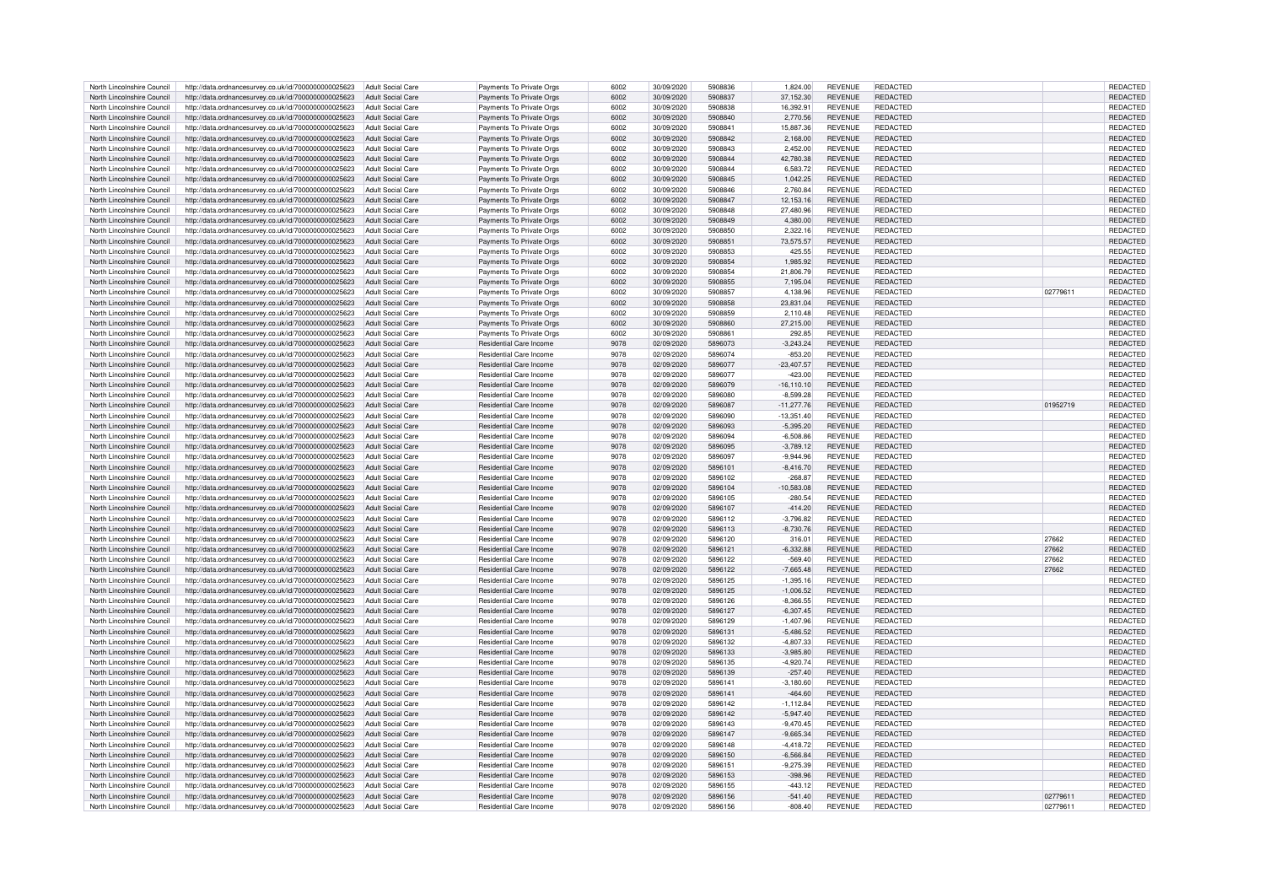| North Lincolnshire Council | http://data.ordnancesurvey.co.uk/id/7000000000025623                   | Adult Social Care        | Payments To Private Orgs       | 6002 | 30/09/2020 | 5908836 | 1.824.00      | <b>REVENUE</b> | REDACTED        |          | REDACTED        |
|----------------------------|------------------------------------------------------------------------|--------------------------|--------------------------------|------|------------|---------|---------------|----------------|-----------------|----------|-----------------|
| North Lincolnshire Council | http://data.ordnancesurvey.co.uk/id/7000000000025623                   | Adult Social Care        | Payments To Private Orgs       | 6002 | 30/09/2020 | 5908837 | 37.152.30     | <b>REVENUE</b> | <b>REDACTED</b> |          | <b>REDACTED</b> |
| North Lincolnshire Council | http://data.ordnancesurvey.co.uk/id/7000000000025623                   | Adult Social Care        | Payments To Private Orgs       | 6002 | 30/09/2020 | 5908838 | 16.392.91     | <b>REVENUE</b> | REDACTED        |          | <b>REDACTED</b> |
| North Lincolnshire Council | http://data.ordnancesurvey.co.uk/id/7000000000025623                   | Adult Social Care        | Payments To Private Orgs       | 6002 | 30/09/2020 | 5908840 | 2,770.56      | <b>REVENUE</b> | <b>REDACTED</b> |          | REDACTED        |
|                            |                                                                        |                          |                                |      |            |         |               |                |                 |          |                 |
| North Lincolnshire Council | http://data.ordnancesurvey.co.uk/id/7000000000025623                   | <b>Adult Social Care</b> | Payments To Private Orgs       | 6002 | 30/09/2020 | 5908841 | 15,887.36     | <b>REVENUE</b> | REDACTED        |          | REDACTED        |
| North Lincolnshire Council | http://data.ordnancesurvey.co.uk/id/7000000000025623                   | <b>Adult Social Care</b> | Payments To Private Orgs       | 6002 | 30/09/2020 | 5908842 | 2,168.00      | <b>REVENUE</b> | REDACTED        |          | REDACTED        |
| North Lincolnshire Council | http://data.ordnancesurvey.co.uk/id/7000000000025623                   | <b>Adult Social Care</b> | Payments To Private Orgs       | 6002 | 30/09/2020 | 5908843 | 2,452.00      | <b>REVENUE</b> | <b>REDACTED</b> |          | REDACTED        |
| North Lincolnshire Council | http://data.ordnancesurvey.co.uk/id/7000000000025623                   | <b>Adult Social Care</b> | Payments To Private Orgs       | 6002 | 30/09/2020 | 5908844 | 42,780.38     | <b>REVENUE</b> | REDACTED        |          | <b>REDACTED</b> |
| North Lincolnshire Council | http://data.ordnancesurvey.co.uk/id/7000000000025623                   | Adult Social Care        | Payments To Private Orgs       | 6002 | 30/09/2020 | 5908844 | 6.583.72      | <b>REVENUE</b> | <b>REDACTED</b> |          | <b>REDACTED</b> |
| North Lincolnshire Council | http://data.ordnancesurvey.co.uk/id/7000000000025623                   | Adult Social Care        | Payments To Private Orgs       | 6002 | 30/09/2020 | 5908845 | 1,042.25      | <b>REVENUE</b> | REDACTED        |          | REDACTED        |
| North Lincolnshire Council | http://data.ordnancesurvey.co.uk/id/7000000000025623                   | Adult Social Care        | Payments To Private Orgs       | 6002 | 30/09/2020 | 5908846 | 2,760.84      | <b>REVENUE</b> | REDACTED        |          | REDACTED        |
| North Lincolnshire Council | http://data.ordnancesurvey.co.uk/id/7000000000025623                   | Adult Social Care        | Payments To Private Orgs       | 6002 | 30/09/2020 | 5908847 | 12,153.16     | <b>REVENUE</b> | <b>REDACTED</b> |          | REDACTED        |
|                            |                                                                        |                          |                                |      |            |         |               |                |                 |          |                 |
| North Lincolnshire Council | http://data.ordnancesurvey.co.uk/id/7000000000025623                   | Adult Social Care        | Payments To Private Orgs       | 6002 | 30/09/2020 | 5908848 | 27,480.96     | <b>REVENUE</b> | REDACTED        |          | <b>REDACTED</b> |
| North Lincolnshire Council | http://data.ordnancesurvey.co.uk/id/7000000000025623                   | <b>Adult Social Care</b> | Payments To Private Orgs       | 6002 | 30/09/2020 | 5908849 | 4,380.00      | <b>REVENUE</b> | <b>REDACTED</b> |          | REDACTED        |
| North Lincolnshire Council | http://data.ordnancesurvey.co.uk/id/7000000000025623                   | Adult Social Care        | Payments To Private Orgs       | 6002 | 30/09/2020 | 5908850 | 2,322.16      | <b>REVENUE</b> | <b>REDACTED</b> |          | REDACTED        |
| North Lincolnshire Council | http://data.ordnancesurvey.co.uk/id/7000000000025623                   | <b>Adult Social Care</b> | Payments To Private Orgs       | 6002 | 30/09/2020 | 5908851 | 73,575.57     | <b>REVENUE</b> | REDACTED        |          | REDACTED        |
| North Lincolnshire Council | http://data.ordnancesurvey.co.uk/id/7000000000025623                   | Adult Social Care        | Payments To Private Orgs       | 6002 | 30/09/2020 | 5908853 | 425.55        | <b>REVENUE</b> | REDACTED        |          | REDACTED        |
| North Lincolnshire Council | http://data.ordnancesurvey.co.uk/id/7000000000025623                   | Adult Social Care        | Payments To Private Orgs       | 6002 | 30/09/2020 | 5908854 | 1.985.92      | <b>REVENUE</b> | REDACTED        |          | <b>REDACTED</b> |
| North Lincolnshire Council | http://data.ordnancesurvey.co.uk/id/7000000000025623                   | Adult Social Care        | Payments To Private Orgs       | 6002 | 30/09/2020 | 5908854 | 21,806.79     | <b>REVENUE</b> | <b>REDACTED</b> |          | REDACTED        |
| North Lincolnshire Council | http://data.ordnancesurvey.co.uk/id/7000000000025623                   | <b>Adult Social Care</b> | Payments To Private Orgs       | 6002 | 30/09/2020 | 5908855 | 7,195.04      | <b>REVENUE</b> | <b>REDACTED</b> |          | REDACTED        |
|                            |                                                                        |                          |                                |      |            |         |               |                |                 |          |                 |
| North Lincolnshire Council | http://data.ordnancesurvey.co.uk/id/7000000000025623                   | Adult Social Care        | Payments To Private Orgs       | 6002 | 30/09/2020 | 5908857 | 4.138.96      | <b>REVENUE</b> | REDACTED        | 02779611 | REDACTED        |
| North Lincolnshire Council | http://data.ordnancesurvey.co.uk/id/7000000000025623                   | Adult Social Care        | Payments To Private Orgs       | 6002 | 30/09/2020 | 5908858 | 23,831.04     | <b>REVENUE</b> | <b>REDACTED</b> |          | REDACTED        |
| North Lincolnshire Council | http://data.ordnancesurvey.co.uk/id/7000000000025623                   | <b>Adult Social Care</b> | Payments To Private Orgs       | 6002 | 30/09/2020 | 5908859 | 2.110.48      | <b>REVENUE</b> | REDACTED        |          | REDACTED        |
| North Lincolnshire Council | http://data.ordnancesurvey.co.uk/id/7000000000025623                   | <b>Adult Social Care</b> | Payments To Private Orgs       | 6002 | 30/09/2020 | 5908860 | 27,215.00     | <b>REVENUE</b> | <b>REDACTED</b> |          | REDACTED        |
| North Lincolnshire Council | http://data.ordnancesurvey.co.uk/id/7000000000025623                   | <b>Adult Social Care</b> | Payments To Private Orgs       | 6002 | 30/09/2020 | 5908861 | 292.85        | <b>REVENUE</b> | <b>REDACTED</b> |          | REDACTED        |
| North Lincolnshire Council | http://data.ordnancesurvey.co.uk/id/7000000000025623                   | <b>Adult Social Care</b> | Residential Care Income        | 9078 | 02/09/2020 | 5896073 | $-3,243.24$   | <b>REVENUE</b> | <b>REDACTED</b> |          | REDACTED        |
| North Lincolnshire Council | http://data.ordnancesurvey.co.uk/id/7000000000025623                   | <b>Adult Social Care</b> | Residential Care Income        | 9078 | 02/09/2020 | 5896074 | $-853.20$     | <b>REVENUE</b> | <b>REDACTED</b> |          | <b>REDACTED</b> |
|                            |                                                                        |                          |                                |      |            |         |               |                |                 |          |                 |
| North Lincolnshire Council | http://data.ordnancesurvey.co.uk/id/7000000000025623                   | Adult Social Care        | <b>Residential Care Income</b> | 9078 | 02/09/2020 | 5896077 | $-23.407.57$  | <b>REVENUE</b> | <b>REDACTED</b> |          | REDACTED        |
| North Lincolnshire Council | http://data.ordnancesurvey.co.uk/id/7000000000025623                   | Adult Social Care        | <b>Residential Care Income</b> | 9078 | 02/09/2020 | 5896077 | $-423.00$     | <b>REVENUE</b> | <b>REDACTED</b> |          | REDACTED        |
| North Lincolnshire Council | http://data.ordnancesurvey.co.uk/id/7000000000025623                   | Adult Social Care        | Residential Care Income        | 9078 | 02/09/2020 | 5896079 | $-16, 110.10$ | <b>REVENUE</b> | <b>REDACTED</b> |          | REDACTED        |
| North Lincolnshire Council | http://data.ordnancesurvey.co.uk/id/7000000000025623                   | Adult Social Care        | Residential Care Income        | 9078 | 02/09/2020 | 5896080 | $-8,599.28$   | <b>REVENUE</b> | REDACTED        |          | REDACTED        |
| North Lincolnshire Council | http://data.ordnancesurvey.co.uk/id/7000000000025623                   | Adult Social Care        | Residential Care Income        | 9078 | 02/09/2020 | 5896087 | $-11,277.76$  | <b>REVENUE</b> | REDACTED        | 01952719 | REDACTED        |
| North Lincolnshire Council | http://data.ordnancesurvey.co.uk/id/7000000000025623                   | Adult Social Care        | Residential Care Income        | 9078 | 02/09/2020 | 5896090 | $-13.351.40$  | <b>REVENUE</b> | REDACTED        |          | <b>REDACTED</b> |
| North Lincolnshire Council | http://data.ordnancesurvey.co.uk/id/7000000000025623                   | Adult Social Care        | Residential Care Income        | 9078 | 02/09/2020 | 5896093 | $-5.395.20$   | <b>REVENUE</b> | <b>REDACTED</b> |          | REDACTED        |
| North Lincolnshire Council |                                                                        | Adult Social Care        | <b>Residential Care Income</b> | 9078 | 02/09/2020 | 5896094 | $-6,508.86$   | <b>REVENUE</b> | REDACTED        |          | REDACTED        |
|                            | http://data.ordnancesurvey.co.uk/id/7000000000025623                   |                          |                                |      |            |         |               |                |                 |          |                 |
| North Lincolnshire Council | http://data.ordnancesurvey.co.uk/id/7000000000025623                   | Adult Social Care        | Residential Care Income        | 9078 | 02/09/2020 | 5896095 | $-3,789.12$   | <b>REVENUE</b> | REDACTED        |          | REDACTED        |
| North Lincolnshire Council | http://data.ordnancesurvey.co.uk/id/7000000000025623                   | <b>Adult Social Care</b> | Residential Care Income        | 9078 | 02/09/2020 | 5896097 | $-9.944.96$   | <b>REVENUE</b> | REDACTED        |          | REDACTED        |
| North Lincolnshire Council | http://data.ordnancesurvey.co.uk/id/7000000000025623                   | Adult Social Care        | Residential Care Income        | 9078 | 02/09/2020 | 5896101 | $-8.416.70$   | <b>REVENUE</b> | <b>REDACTED</b> |          | <b>REDACTED</b> |
| North Lincolnshire Council | http://data.ordnancesurvey.co.uk/id/7000000000025623                   | Adult Social Care        | Residential Care Income        | 9078 | 02/09/2020 | 5896102 | $-268.8$      | <b>REVENUE</b> | <b>REDACTED</b> |          | REDACTED        |
| North Lincolnshire Council | http://data.ordnancesurvey.co.uk/id/7000000000025623                   | <b>Adult Social Care</b> | Residential Care Income        | 9078 | 02/09/2020 | 5896104 | $-10,583.08$  | <b>REVENUE</b> | REDACTED        |          | REDACTED        |
| North Lincolnshire Council | http://data.ordnancesurvey.co.uk/id/7000000000025623                   | Adult Social Care        | Residential Care Income        | 9078 | 02/09/2020 | 5896105 | $-280.54$     | <b>REVENUE</b> | REDACTED        |          | REDACTED        |
| North Lincolnshire Council | http://data.ordnancesurvey.co.uk/id/7000000000025623                   | Adult Social Care        | <b>Residential Care Income</b> | 9078 | 02/09/2020 | 5896107 | $-414.20$     | <b>REVENUE</b> | <b>REDACTED</b> |          | REDACTED        |
| North Lincolnshire Council | http://data.ordnancesurvey.co.uk/id/7000000000025623                   | Adult Social Care        | Residential Care Income        | 9078 | 02/09/2020 | 5896112 | $-3.796.82$   | <b>REVENUE</b> | REDACTED        |          |                 |
|                            |                                                                        |                          |                                |      |            |         |               |                |                 |          | REDACTED        |
| North Lincolnshire Council | http://data.ordnancesurvey.co.uk/id/7000000000025623                   | <b>Adult Social Care</b> | Residential Care Income        | 9078 | 02/09/2020 | 5896113 | $-8.730.76$   | <b>REVENUE</b> | <b>REDACTED</b> |          | REDACTED        |
| North Lincolnshire Council | http://data.ordnancesurvey.co.uk/id/7000000000025623                   | <b>Adult Social Care</b> | <b>Residential Care Income</b> | 9078 | 02/09/2020 | 5896120 | 316.01        | <b>REVENUE</b> | <b>REDACTED</b> | 27662    | <b>REDACTED</b> |
| North Lincolnshire Council | http://data.ordnancesurvey.co.uk/id/7000000000025623                   | <b>Adult Social Care</b> | Residential Care Income        | 9078 | 02/09/2020 | 5896121 | $-6.332.88$   | <b>REVENUE</b> | <b>REDACTED</b> | 27662    | REDACTED        |
| North Lincolnshire Council | http://data.ordnancesurvey.co.uk/id/7000000000025623                   | Adult Social Care        | <b>Residential Care Income</b> | 9078 | 02/09/2020 | 5896122 | $-569.40$     | <b>REVENUE</b> | <b>REDACTED</b> | 27662    | REDACTED        |
| North Lincolnshire Council | http://data.ordnancesurvey.co.uk/id/7000000000025623                   | Adult Social Care        | Residential Care Income        | 9078 | 02/09/2020 | 5896122 | $-7,665.48$   | <b>REVENUE</b> | <b>REDACTED</b> | 27662    | REDACTED        |
| North Lincolnshire Council | http://data.ordnancesurvey.co.uk/id/7000000000025623                   | Adult Social Care        | <b>Residential Care Income</b> | 9078 | 02/09/2020 | 5896125 | $-1,395.16$   | <b>REVENUE</b> | <b>REDACTED</b> |          | REDACTED        |
|                            |                                                                        | Adult Social Care        | Residential Care Income        | 9078 | 02/09/2020 | 5896125 |               | <b>REVENUE</b> | REDACTED        |          |                 |
| North Lincolnshire Council | http://data.ordnancesurvey.co.uk/id/7000000000025623                   |                          |                                |      |            |         | $-1,006.52$   |                |                 |          | REDACTED        |
| North Lincolnshire Council | http://data.ordnancesurvey.co.uk/id/7000000000025623                   | Adult Social Care        | Residential Care Income        | 9078 | 02/09/2020 | 5896126 | $-8,366.55$   | <b>REVENUE</b> | REDACTED        |          | REDACTED        |
| North Lincolnshire Council | http://data.ordnancesurvey.co.uk/id/7000000000025623                   | Adult Social Care        | Residential Care Income        | 9078 | 02/09/2020 | 5896127 | $-6,307.45$   | <b>REVENUE</b> | REDACTED        |          | REDACTED        |
| North Lincolnshire Council | http://data.ordnancesurvey.co.uk/id/7000000000025623                   | Adult Social Care        | Residential Care Income        | 9078 | 02/09/2020 | 5896129 | $-1,407.96$   | <b>REVENUE</b> | REDACTED        |          | REDACTED        |
| North Lincolnshire Council | http://data.ordnancesurvey.co.uk/id/7000000000025623                   | <b>Adult Social Care</b> | Residential Care Income        | 9078 | 02/09/2020 | 5896131 | $-5,486.52$   | <b>REVENUE</b> | <b>REDACTED</b> |          | REDACTED        |
| North Lincolnshire Council | http://data.ordnancesurvey.co.uk/id/7000000000025623                   | Adult Social Care        | Residential Care Income        | 9078 | 02/09/2020 | 5896132 | $-4.807.33$   | <b>REVENUE</b> | <b>REDACTED</b> |          | REDACTED        |
| North Lincolnshire Council | http://data.ordnancesurvey.co.uk/id/7000000000025623                   | <b>Adult Social Care</b> | Residential Care Income        | 9078 | 02/09/2020 | 5896133 | $-3,985.80$   | <b>REVENUE</b> | <b>REDACTED</b> |          | REDACTED        |
| North Lincolnshire Council | http://data.ordnancesurvey.co.uk/id/7000000000025623                   | <b>Adult Social Care</b> | Residential Care Income        | 9078 | 02/09/2020 | 5896135 | $-4,920.74$   | <b>REVENUE</b> | <b>REDACTED</b> |          | REDACTED        |
| North Lincolnshire Council | http://data.ordnancesurvey.co.uk/id/7000000000025623                   | Adult Social Care        | Residential Care Income        | 9078 | 02/09/2020 | 5896139 | $-257.40$     | <b>REVENUE</b> | <b>REDACTED</b> |          | REDACTED        |
| North Lincolnshire Council |                                                                        | Adult Social Care        | Residential Care Income        | 9078 | 02/09/2020 | 5896141 | $-3,180.60$   | <b>REVENUE</b> | <b>REDACTED</b> |          | REDACTED        |
|                            | http://data.ordnancesurvey.co.uk/id/7000000000025623                   |                          |                                |      |            |         |               |                |                 |          |                 |
| North Lincolnshire Council | http://data.ordnancesurvey.co.uk/id/7000000000025623                   | <b>Adult Social Care</b> | Residential Care Income        | 9078 | 02/09/2020 | 5896141 | $-464.60$     | <b>REVENUE</b> | <b>REDACTED</b> |          | REDACTED        |
| North Lincolnshire Council | http://data.ordnancesurvey.co.uk/id/7000000000025623                   | Adult Social Care        | Residential Care Income        | 9078 | 02/09/2020 | 5896142 | $-1.112.84$   | <b>REVENUE</b> | REDACTED        |          | REDACTED        |
| North Lincolnshire Council | http://data.ordnancesurvey.co.uk/id/7000000000025623                   | <b>Adult Social Care</b> | Residential Care Income        | 9078 | 02/09/2020 | 5896142 | $-5,947.40$   | <b>REVENUE</b> | REDACTED        |          | REDACTED        |
| North Lincolnshire Council | http://data.ordnancesurvey.co.uk/id/7000000000025623                   | Adult Social Care        | Residential Care Income        | 9078 | 02/09/2020 | 5896143 | $-9.470.45$   | <b>REVENUE</b> | REDACTED        |          | REDACTED        |
| North Lincolnshire Council | http://data.ordnancesurvey.co.uk/id/7000000000025623                   | <b>Adult Social Care</b> | Residential Care Income        | 9078 | 02/09/2020 | 5896147 | $-9,665.34$   | <b>REVENUE</b> | <b>REDACTED</b> |          | REDACTED        |
| North Lincolnshire Council | http://data.ordnancesurvey.co.uk/id/7000000000025623                   | <b>Adult Social Care</b> | Residential Care Income        | 9078 | 02/09/2020 | 5896148 | $-4,418.72$   | <b>REVENUE</b> | <b>REDACTED</b> |          | REDACTED        |
| North Lincolnshire Council | http://data.ordnancesurvey.co.uk/id/7000000000025623                   | <b>Adult Social Care</b> | Residential Care Income        | 9078 | 02/09/2020 | 5896150 | $-6.566.84$   | <b>REVENUE</b> | <b>REDACTED</b> |          | REDACTED        |
| North Lincolnshire Council | http://data.ordnancesurvey.co.uk/id/7000000000025623                   | Adult Social Care        | <b>Residential Care Income</b> | 9078 | 02/09/2020 | 5896151 | $-9,275.39$   | <b>REVENUE</b> | <b>REDACTED</b> |          | REDACTED        |
|                            |                                                                        |                          |                                | 9078 |            | 5896153 |               |                |                 |          |                 |
| North Lincolnshire Council | http://data.ordnancesurvey.co.uk/id/7000000000025623                   | <b>Adult Social Care</b> | Residential Care Income        |      | 02/09/2020 |         | $-398.96$     | <b>REVENUE</b> | REDACTED        |          | REDACTED        |
| North Lincolnshire Council | http://data.ordnancesurvey.co.uk/id/7000000000025623                   | Adult Social Care        | Residential Care Income        | 9078 | 02/09/2020 | 5896155 | $-443.12$     | <b>REVENUE</b> | REDACTED        |          | <b>REDACTED</b> |
| North Lincolnshire Council | http://data.ordnancesurvey.co.uk/id/7000000000025623                   | Adult Social Care        | Residential Care Income        | 9078 | 02/09/2020 | 5896156 | $-541.40$     | <b>REVENUE</b> | <b>REDACTED</b> | 02779611 | REDACTED        |
| North Lincolnshire Council | http://data.ordnancesurvey.co.uk/id/7000000000025623 Adult Social Care |                          | Residential Care Income        | 9078 | 02/09/2020 | 5896156 | $-808.40$     | <b>REVENUE</b> | REDACTED        | 02779611 | REDACTED        |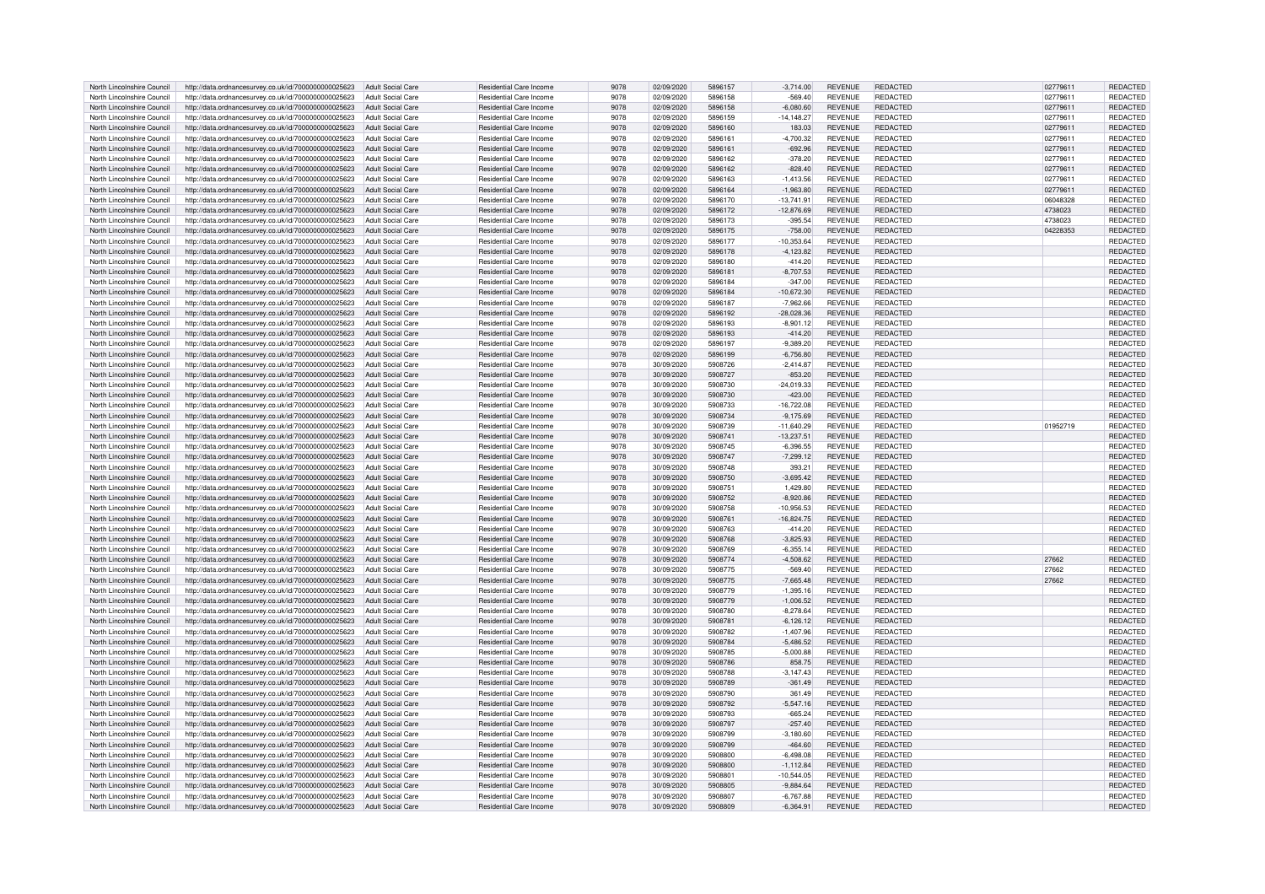| North Lincolnshire Council | http://data.ordnancesurvey.co.uk/id/7000000000025623 | <b>Adult Social Care</b> | Residential Care Income        | 9078 | 02/09/2020 | 5896157 | $-3,714.00$   | <b>REVENUE</b> | <b>REDACTED</b> | 02779611 | REDACTED        |
|----------------------------|------------------------------------------------------|--------------------------|--------------------------------|------|------------|---------|---------------|----------------|-----------------|----------|-----------------|
| North Lincolnshire Council | http://data.ordnancesurvey.co.uk/id/7000000000025623 | <b>Adult Social Care</b> | <b>Residential Care Income</b> | 9078 | 02/09/2020 | 5896158 | $-569.40$     | <b>REVENUE</b> | REDACTED        | 02779611 | <b>REDACTED</b> |
| North Lincolnshire Council | http://data.ordnancesurvey.co.uk/id/7000000000025623 | <b>Adult Social Care</b> | <b>Residential Care Income</b> | 9078 | 02/09/2020 | 5896158 | $-6,080.60$   | <b>REVENUE</b> | <b>REDACTED</b> | 02779611 | <b>REDACTED</b> |
| North Lincolnshire Council | http://data.ordnancesurvey.co.uk/id/7000000000025623 | <b>Adult Social Care</b> | Residential Care Income        | 9078 | 02/09/2020 | 5896159 | $-14, 148.27$ | <b>REVENUE</b> | REDACTED        | 02779611 | <b>REDACTED</b> |
|                            |                                                      |                          |                                |      |            |         |               |                |                 |          |                 |
| North Lincolnshire Council | http://data.ordnancesurvey.co.uk/id/7000000000025623 | <b>Adult Social Care</b> | Residential Care Income        | 9078 | 02/09/2020 | 5896160 | 183.03        | <b>REVENUE</b> | REDACTED        | 02779611 | REDACTED        |
| North Lincolnshire Council | http://data.ordnancesurvey.co.uk/id/7000000000025623 | <b>Adult Social Care</b> | Residential Care Income        | 9078 | 02/09/2020 | 5896161 | $-4,700.32$   | <b>REVENUE</b> | REDACTED        | 02779611 | REDACTED        |
| North Lincolnshire Council | http://data.ordnancesurvey.co.uk/id/7000000000025623 | <b>Adult Social Care</b> | <b>Residential Care Income</b> | 9078 | 02/09/2020 | 5896161 | $-692.96$     | <b>REVENUE</b> | <b>REDACTED</b> | 02779611 | REDACTED        |
| North Lincolnshire Council | http://data.ordnancesurvey.co.uk/id/7000000000025623 | <b>Adult Social Care</b> | Residential Care Income        | 9078 | 02/09/2020 | 5896162 | $-378.20$     | <b>REVENUE</b> | REDACTED        | 02779611 | REDACTED        |
| North Lincolnshire Council | http://data.ordnancesurvey.co.uk/id/7000000000025623 | <b>Adult Social Care</b> | Residential Care Income        | 9078 | 02/09/2020 | 5896162 | $-828.40$     | <b>REVENUE</b> | <b>REDACTED</b> | 02779611 | <b>REDACTED</b> |
| North Lincolnshire Council | http://data.ordnancesurvey.co.uk/id/7000000000025623 | <b>Adult Social Care</b> | Residential Care Income        | 9078 | 02/09/2020 | 5896163 | $-1,413.56$   | <b>REVENUE</b> | REDACTED        | 02779611 | REDACTED        |
| North Lincolnshire Council | http://data.ordnancesurvey.co.uk/id/7000000000025623 | <b>Adult Social Care</b> | Residential Care Income        | 9078 | 02/09/2020 | 5896164 | $-1,963.80$   | <b>REVENUE</b> | REDACTED        | 02779611 | REDACTED        |
| North Lincolnshire Council | http://data.ordnancesurvey.co.uk/id/7000000000025623 | <b>Adult Social Care</b> | Residential Care Income        | 9078 | 02/09/2020 | 5896170 | $-13,741.91$  | <b>REVENUE</b> | <b>REDACTED</b> | 06048328 | REDACTED        |
| North Lincolnshire Council | http://data.ordnancesurvey.co.uk/id/7000000000025623 | Adult Social Care        | Residential Care Income        | 9078 | 02/09/2020 | 5896172 |               | <b>REVENUE</b> | REDACTED        | 4738023  | REDACTED        |
|                            |                                                      |                          |                                |      |            |         | 12,876.69     |                |                 |          |                 |
| North Lincolnshire Council | http://data.ordnancesurvey.co.uk/id/7000000000025623 | <b>Adult Social Care</b> | Residential Care Income        | 9078 | 02/09/2020 | 5896173 | $-395.54$     | <b>REVENUE</b> | <b>REDACTED</b> | 4738023  | REDACTED        |
| North Lincolnshire Council | http://data.ordnancesurvey.co.uk/id/7000000000025623 | <b>Adult Social Care</b> | <b>Residential Care Income</b> | 9078 | 02/09/2020 | 5896175 | $-758.00$     | <b>REVENUE</b> | <b>REDACTED</b> | 04228353 | REDACTED        |
| North Lincolnshire Council | http://data.ordnancesurvey.co.uk/id/7000000000025623 | <b>Adult Social Care</b> | Residential Care Income        | 9078 | 02/09/2020 | 5896177 | 10,353.64     | <b>REVENUE</b> | REDACTED        |          | REDACTED        |
| North Lincolnshire Council | http://data.ordnancesurvey.co.uk/id/7000000000025623 | <b>Adult Social Care</b> | <b>Residential Care Income</b> | 9078 | 02/09/2020 | 5896178 | $-4, 123.82$  | <b>REVENUE</b> | <b>REDACTED</b> |          | REDACTED        |
| North Lincolnshire Council | http://data.ordnancesurvey.co.uk/id/7000000000025623 | <b>Adult Social Care</b> | Residential Care Income        | 9078 | 02/09/2020 | 5896180 | $-414.20$     | <b>REVENUE</b> | REDACTED        |          | REDACTED        |
| North Lincolnshire Council | http://data.ordnancesurvey.co.uk/id/7000000000025623 | <b>Adult Social Care</b> | Residential Care Income        | 9078 | 02/09/2020 | 5896181 | $-8,707.53$   | <b>REVENUE</b> | <b>REDACTED</b> |          | REDACTED        |
| North Lincolnshire Council | http://data.ordnancesurvey.co.uk/id/7000000000025623 | <b>Adult Social Care</b> | <b>Residential Care Income</b> | 9078 | 02/09/2020 | 5896184 | $-347.00$     | <b>REVENUE</b> | <b>REDACTED</b> |          | REDACTED        |
|                            |                                                      |                          |                                |      |            |         |               |                |                 |          |                 |
| North Lincolnshire Council | http://data.ordnancesurvey.co.uk/id/7000000000025623 | <b>Adult Social Care</b> | Residential Care Income        | 9078 | 02/09/2020 | 5896184 | $-10.672.30$  | <b>REVENUE</b> | REDACTED        |          | REDACTED        |
| North Lincolnshire Council | http://data.ordnancesurvey.co.uk/id/7000000000025623 | <b>Adult Social Care</b> | <b>Residential Care Income</b> | 9078 | 02/09/2020 | 5896187 | $-7,962.66$   | <b>REVENUE</b> | <b>REDACTED</b> |          | REDACTED        |
| North Lincolnshire Council | http://data.ordnancesurvey.co.uk/id/7000000000025623 | <b>Adult Social Care</b> | Residential Care Income        | 9078 | 02/09/2020 | 5896192 | -28,028.36    | <b>REVENUE</b> | <b>REDACTED</b> |          | REDACTED        |
| North Lincolnshire Council | http://data.ordnancesurvey.co.uk/id/7000000000025623 | <b>Adult Social Care</b> | Residential Care Income        | 9078 | 02/09/2020 | 5896193 | $-8,901.12$   | <b>REVENUE</b> | <b>REDACTED</b> |          | REDACTED        |
| North Lincolnshire Council | http://data.ordnancesurvey.co.uk/id/7000000000025623 | <b>Adult Social Care</b> | <b>Residential Care Income</b> | 9078 | 02/09/2020 | 5896193 | $-414.20$     | <b>REVENUE</b> | <b>REDACTED</b> |          | REDACTED        |
| North Lincolnshire Council | http://data.ordnancesurvey.co.uk/id/7000000000025623 | <b>Adult Social Care</b> | Residential Care Income        | 9078 | 02/09/2020 | 5896197 | $-9.389.20$   | <b>REVENUE</b> | <b>REDACTED</b> |          | REDACTED        |
| North Lincolnshire Council | http://data.ordnancesurvey.co.uk/id/7000000000025623 | <b>Adult Social Care</b> | Residential Care Income        | 9078 | 02/09/2020 | 5896199 | $-6.756.80$   | <b>REVENUE</b> | <b>REDACTED</b> |          | <b>REDACTED</b> |
| North Lincolnshire Council |                                                      | <b>Adult Social Care</b> | <b>Residential Care Income</b> | 9078 | 30/09/2020 | 5908726 | $-2.414.87$   | <b>REVENUE</b> | <b>REDACTED</b> |          |                 |
|                            | http://data.ordnancesurvey.co.uk/id/7000000000025623 |                          |                                |      |            |         |               |                |                 |          | REDACTED        |
| North Lincolnshire Council | http://data.ordnancesurvey.co.uk/id/7000000000025623 | <b>Adult Social Care</b> | <b>Residential Care Income</b> | 9078 | 30/09/2020 | 5908727 | $-853.20$     | <b>REVENUE</b> | <b>REDACTED</b> |          | <b>REDACTED</b> |
| North Lincolnshire Council | http://data.ordnancesurvey.co.uk/id/7000000000025623 | Adult Social Care        | Residential Care Income        | 9078 | 30/09/2020 | 5908730 | $-24.019.33$  | <b>REVENUE</b> | <b>REDACTED</b> |          | REDACTED        |
| North Lincolnshire Council | http://data.ordnancesurvey.co.uk/id/7000000000025623 | Adult Social Care        | Residential Care Income        | 9078 | 30/09/2020 | 5908730 | $-423.00$     | <b>REVENUE</b> | <b>REDACTED</b> |          | REDACTED        |
| North Lincolnshire Council | http://data.ordnancesurvey.co.uk/id/7000000000025623 | <b>Adult Social Care</b> | Residential Care Income        | 9078 | 30/09/2020 | 5908733 | 16,722.08     | <b>REVENUE</b> | <b>REDACTED</b> |          | REDACTED        |
| North Lincolnshire Council | http://data.ordnancesurvey.co.uk/id/7000000000025623 | Adult Social Care        | Residential Care Income        | 9078 | 30/09/2020 | 5908734 | $-9,175.69$   | <b>REVENUE</b> | <b>REDACTED</b> |          | REDACTED        |
| North Lincolnshire Council | http://data.ordnancesurvey.co.uk/id/7000000000025623 | <b>Adult Social Care</b> | Residential Care Income        | 9078 | 30/09/2020 | 5908739 | $-11,640.29$  | <b>REVENUE</b> | <b>REDACTED</b> | 01952719 | REDACTED        |
|                            |                                                      |                          |                                |      |            |         |               |                |                 |          |                 |
| North Lincolnshire Council | http://data.ordnancesurvey.co.uk/id/7000000000025623 | <b>Adult Social Care</b> | Residential Care Income        | 9078 | 30/09/2020 | 5908741 | 13,237.51     | <b>REVENUE</b> | REDACTED        |          | REDACTED        |
| North Lincolnshire Council | http://data.ordnancesurvey.co.uk/id/7000000000025623 | <b>Adult Social Care</b> | Residential Care Income        | 9078 | 30/09/2020 | 5908745 | $-6,396.55$   | <b>REVENUE</b> | <b>REDACTED</b> |          | REDACTED        |
| North Lincolnshire Council | http://data.ordnancesurvey.co.uk/id/7000000000025623 | <b>Adult Social Care</b> | Residential Care Income        | 9078 | 30/09/2020 | 5908747 | $-7,299.12$   | <b>REVENUE</b> | <b>REDACTED</b> |          | REDACTED        |
| North Lincolnshire Council | http://data.ordnancesurvey.co.uk/id/7000000000025623 | <b>Adult Social Care</b> | Residential Care Income        | 9078 | 30/09/2020 | 5908748 | 393.21        | <b>REVENUE</b> | REDACTED        |          | <b>REDACTED</b> |
| North Lincolnshire Council | http://data.ordnancesurvey.co.uk/id/7000000000025623 | <b>Adult Social Care</b> | Residential Care Income        | 9078 | 30/09/2020 | 5908750 | $-3,695.42$   | <b>REVENUE</b> | <b>REDACTED</b> |          | REDACTED        |
| North Lincolnshire Council | http://data.ordnancesurvey.co.uk/id/7000000000025623 | <b>Adult Social Care</b> | Residential Care Income        | 9078 | 30/09/2020 | 5908751 | 1,429.80      | <b>REVENUE</b> | <b>REDACTED</b> |          | REDACTED        |
| North Lincolnshire Council | http://data.ordnancesurvey.co.uk/id/7000000000025623 | <b>Adult Social Care</b> | Residential Care Income        | 9078 | 30/09/2020 | 5908752 | $-8.920.86$   | <b>REVENUE</b> | <b>REDACTED</b> |          | REDACTED        |
| North Lincolnshire Council | http://data.ordnancesurvey.co.uk/id/7000000000025623 | <b>Adult Social Care</b> | <b>Residential Care Income</b> | 9078 | 30/09/2020 | 5908758 | 10,956.53     | <b>REVENUE</b> | <b>REDACTED</b> |          | REDACTED        |
|                            |                                                      |                          |                                |      |            |         |               |                |                 |          |                 |
| North Lincolnshire Council | http://data.ordnancesurvey.co.uk/id/7000000000025623 | <b>Adult Social Care</b> | Residential Care Income        | 9078 | 30/09/2020 | 5908761 | $-16.824.75$  | <b>REVENUE</b> | <b>REDACTED</b> |          | REDACTED        |
| North Lincolnshire Council | http://data.ordnancesurvey.co.uk/id/7000000000025623 | <b>Adult Social Care</b> | Residential Care Income        | 9078 | 30/09/2020 | 5908763 | $-414.20$     | <b>REVENUE</b> | <b>REDACTED</b> |          | REDACTED        |
| North Lincolnshire Council | http://data.ordnancesurvey.co.uk/id/7000000000025623 | <b>Adult Social Care</b> | Residential Care Income        | 9078 | 30/09/2020 | 5908768 | $-3,825.93$   | <b>REVENUE</b> | <b>REDACTED</b> |          | REDACTED        |
| North Lincolnshire Council | http://data.ordnancesurvey.co.uk/id/7000000000025623 | <b>Adult Social Care</b> | Residential Care Income        | 9078 | 30/09/2020 | 5908769 | $-6.355.14$   | <b>REVENUE</b> | REDACTED        |          | REDACTED        |
| North Lincolnshire Council | http://data.ordnancesurvey.co.uk/id/7000000000025623 | <b>Adult Social Care</b> | <b>Residential Care Income</b> | 9078 | 30/09/2020 | 5908774 | $-4.508.62$   | <b>REVENUE</b> | <b>REDACTED</b> | 27662    | REDACTED        |
| North Lincolnshire Council | http://data.ordnancesurvey.co.uk/id/7000000000025623 | <b>Adult Social Care</b> | <b>Residential Care Income</b> | 9078 | 30/09/2020 | 5908775 | $-569.40$     | <b>REVENUE</b> | <b>REDACTED</b> | 27662    | <b>REDACTED</b> |
| North Lincolnshire Council | http://data.ordnancesurvey.co.uk/id/7000000000025623 | <b>Adult Social Care</b> | <b>Residential Care Income</b> | 9078 | 30/09/2020 | 5908775 | $-7,665.48$   | <b>REVENUE</b> | REDACTED        | 27662    | <b>REDACTED</b> |
|                            |                                                      |                          |                                |      |            |         |               |                |                 |          |                 |
| North Lincolnshire Council | http://data.ordnancesurvey.co.uk/id/7000000000025623 | Adult Social Care        | Residential Care Income        | 9078 | 30/09/2020 | 5908779 | $-1,395.16$   | <b>REVENUE</b> | REDACTED        |          | REDACTED        |
| North Lincolnshire Council | http://data.ordnancesurvey.co.uk/id/7000000000025623 | Adult Social Care        | Residential Care Income        | 9078 | 30/09/2020 | 5908779 | $-1,006.52$   | <b>REVENUE</b> | REDACTED        |          | REDACTED        |
| North Lincolnshire Council | http://data.ordnancesurvey.co.uk/id/7000000000025623 | <b>Adult Social Care</b> | Residential Care Income        | 9078 | 30/09/2020 | 5908780 | $-8,278.64$   | <b>REVENUE</b> | <b>REDACTED</b> |          | REDACTED        |
| North Lincolnshire Council | http://data.ordnancesurvey.co.uk/id/7000000000025623 | <b>Adult Social Care</b> | <b>Residential Care Income</b> | 9078 | 30/09/2020 | 5908781 | $-6,126.12$   | <b>REVENUE</b> | REDACTED        |          | REDACTED        |
| North Lincolnshire Council | http://data.ordnancesurvey.co.uk/id/7000000000025623 | <b>Adult Social Care</b> | Residential Care Income        | 9078 | 30/09/2020 | 5908782 | $-1,407.96$   | <b>REVENUE</b> | <b>REDACTED</b> |          | REDACTED        |
| North Lincolnshire Council | http://data.ordnancesurvey.co.uk/id/7000000000025623 | Adult Social Care        | Residential Care Income        | 9078 | 30/09/2020 | 5908784 | $-5,486.52$   | <b>REVENUE</b> | REDACTED        |          | REDACTED        |
| North Lincolnshire Council | http://data.ordnancesurvey.co.uk/id/7000000000025623 | <b>Adult Social Care</b> | Residential Care Income        | 9078 | 30/09/2020 | 5908785 | $-5,000.88$   | <b>REVENUE</b> | REDACTED        |          | REDACTED        |
| North Lincolnshire Council | http://data.ordnancesurvey.co.uk/id/7000000000025623 | <b>Adult Social Care</b> | Residential Care Income        | 9078 | 30/09/2020 | 5908786 | 858.75        | <b>REVENUE</b> | <b>REDACTED</b> |          | REDACTED        |
| North Lincolnshire Council |                                                      | <b>Adult Social Care</b> | Residential Care Income        | 9078 | 30/09/2020 | 5908788 | $-3.147.43$   | <b>REVENUE</b> | REDACTED        |          |                 |
|                            | http://data.ordnancesurvey.co.uk/id/7000000000025623 |                          |                                |      |            |         |               |                |                 |          | REDACTED        |
| North Lincolnshire Council | http://data.ordnancesurvey.co.uk/id/7000000000025623 | <b>Adult Social Care</b> | Residential Care Income        | 9078 | 30/09/2020 | 5908789 | $-361.49$     | <b>REVENUE</b> | <b>REDACTED</b> |          | REDACTED        |
| North Lincolnshire Council | http://data.ordnancesurvey.co.uk/id/7000000000025623 | <b>Adult Social Care</b> | Residential Care Income        | 9078 | 30/09/2020 | 5908790 | 361.49        | <b>REVENUE</b> | <b>REDACTED</b> |          | REDACTED        |
| North Lincolnshire Council | http://data.ordnancesurvey.co.uk/id/7000000000025623 | <b>Adult Social Care</b> | Residential Care Income        | 9078 | 30/09/2020 | 5908792 | $-5.547.16$   | <b>REVENUE</b> | <b>REDACTED</b> |          | REDACTED        |
| North Lincolnshire Council | http://data.ordnancesurvey.co.uk/id/7000000000025623 | <b>Adult Social Care</b> | Residential Care Income        | 9078 | 30/09/2020 | 5908793 | $-665.24$     | <b>REVENUE</b> | REDACTED        |          | REDACTED        |
| North Lincolnshire Council | http://data.ordnancesurvey.co.uk/id/7000000000025623 | Adult Social Care        | <b>Residential Care Income</b> | 9078 | 30/09/2020 | 5908797 | $-257.40$     | <b>REVENUE</b> | REDACTED        |          | REDACTED        |
| North Lincolnshire Council | http://data.ordnancesurvey.co.uk/id/7000000000025623 | <b>Adult Social Care</b> | <b>Residential Care Income</b> | 9078 | 30/09/2020 | 5908799 | $-3.180.60$   | <b>REVENUE</b> | <b>REDACTED</b> |          | REDACTED        |
| North Lincolnshire Council | http://data.ordnancesurvey.co.uk/id/7000000000025623 | <b>Adult Social Care</b> | <b>Residential Care Income</b> | 9078 | 30/09/2020 | 5908799 | $-464.60$     | <b>REVENUE</b> | <b>REDACTED</b> |          | REDACTED        |
|                            |                                                      |                          |                                |      |            |         |               |                |                 |          |                 |
| North Lincolnshire Council | http://data.ordnancesurvey.co.uk/id/7000000000025623 | <b>Adult Social Care</b> | Residential Care Income        | 9078 | 30/09/2020 | 5908800 | $-6.498.08$   | <b>REVENUE</b> | REDACTED        |          | REDACTED        |
| North Lincolnshire Council | http://data.ordnancesurvey.co.uk/id/7000000000025623 | <b>Adult Social Care</b> | <b>Residential Care Income</b> | 9078 | 30/09/2020 | 5908800 | $-1, 112.84$  | <b>REVENUE</b> | <b>REDACTED</b> |          | REDACTED        |
| North Lincolnshire Council | http://data.ordnancesurvey.co.uk/id/7000000000025623 | <b>Adult Social Care</b> | Residential Care Income        | 9078 | 30/09/2020 | 590880  | $-10,544.05$  | <b>REVENUE</b> | REDACTED        |          | REDACTED        |
| North Lincolnshire Council | http://data.ordnancesurvey.co.uk/id/7000000000025623 | <b>Adult Social Care</b> | <b>Residential Care Income</b> | 9078 | 30/09/2020 | 5908805 | $-9,884.64$   | <b>REVENUE</b> | REDACTED        |          | REDACTED        |
| North Lincolnshire Council | http://data.ordnancesurvey.co.uk/id/7000000000025623 | Adult Social Care        | <b>Residential Care Income</b> | 9078 | 30/09/2020 | 5908807 | $-6.767.88$   | <b>REVENUE</b> | <b>REDACTED</b> |          | REDACTED        |
| North Lincolnshire Council | http://data.ordnancesurvey.co.uk/id/7000000000025623 | Adult Social Care        | Residential Care Income        | 9078 | 30/09/2020 | 5908809 | $-6.364.91$   | <b>REVENUE</b> | REDACTED        |          | REDACTED        |
|                            |                                                      |                          |                                |      |            |         |               |                |                 |          |                 |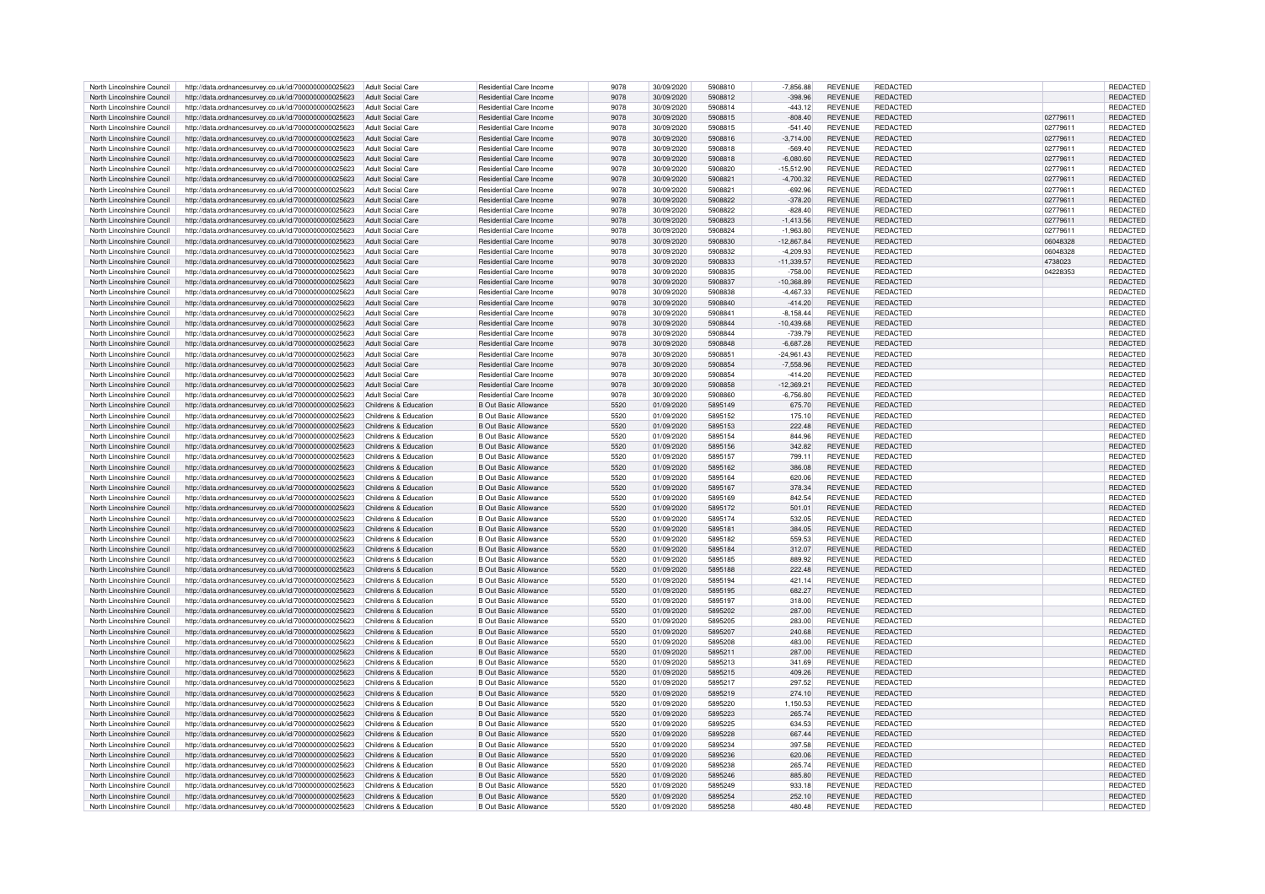| North Lincolnshire Council | http://data.ordnancesurvey.co.uk/id/7000000000025623 | Adult Social Care        | Residential Care Income        | 9078 | 30/09/2020 | 5908810 | $-7,856.88$  | <b>REVENUE</b> | REDACTED        |          | REDACTED        |
|----------------------------|------------------------------------------------------|--------------------------|--------------------------------|------|------------|---------|--------------|----------------|-----------------|----------|-----------------|
| North Lincolnshire Council | http://data.ordnancesurvey.co.uk/id/7000000000025623 | <b>Adult Social Care</b> | <b>Residential Care Income</b> | 9078 | 30/09/2020 | 5908812 | $-398.96$    | <b>REVENUE</b> | REDACTED        |          | <b>REDACTED</b> |
| North Lincolnshire Council | http://data.ordnancesurvey.co.uk/id/7000000000025623 | <b>Adult Social Care</b> | Residential Care Income        | 9078 | 30/09/2020 | 5908814 | $-443.12$    | <b>REVENUE</b> | REDACTED        |          | REDACTED        |
| North Lincolnshire Council | http://data.ordnancesurvey.co.uk/id/7000000000025623 | <b>Adult Social Care</b> | Residential Care Income        | 9078 | 30/09/2020 | 5908815 | $-808.40$    | <b>REVENUE</b> | REDACTED        | 02779611 | REDACTED        |
|                            |                                                      |                          |                                |      |            |         |              |                |                 |          |                 |
| North Lincolnshire Council | http://data.ordnancesurvey.co.uk/id/7000000000025623 | <b>Adult Social Care</b> | Residential Care Income        | 9078 | 30/09/2020 | 5908815 | $-541.40$    | <b>REVENUE</b> | REDACTED        | 0277961  | REDACTED        |
| North Lincolnshire Council | http://data.ordnancesurvey.co.uk/id/7000000000025623 | <b>Adult Social Care</b> | Residential Care Income        | 9078 | 30/09/2020 | 5908816 | $-3,714.00$  | <b>REVENUE</b> | REDACTED        | 02779611 | REDACTED        |
| North Lincolnshire Council | http://data.ordnancesurvey.co.uk/id/7000000000025623 | <b>Adult Social Care</b> | Residential Care Income        | 9078 | 30/09/2020 | 5908818 | $-569.40$    | <b>REVENUE</b> | <b>REDACTED</b> | 02779611 | REDACTED        |
| North Lincolnshire Council | http://data.ordnancesurvey.co.uk/id/7000000000025623 | <b>Adult Social Care</b> | Residential Care Income        | 9078 | 30/09/2020 | 5908818 | $-6.080.60$  | <b>REVENUE</b> | REDACTED        | 02779611 | <b>REDACTED</b> |
| North Lincolnshire Council | http://data.ordnancesurvey.co.uk/id/7000000000025623 | <b>Adult Social Care</b> | Residential Care Income        | 9078 | 30/09/2020 | 5908820 | $-15.512.90$ | <b>REVENUE</b> | <b>REDACTED</b> | 02779611 | <b>REDACTED</b> |
| North Lincolnshire Council | http://data.ordnancesurvey.co.uk/id/7000000000025623 | Adult Social Care        | Residential Care Income        | 9078 | 30/09/2020 | 5908821 | $-4,700.32$  | REVENUE        | REDACTED        | 02779611 | REDACTED        |
| North Lincolnshire Council | http://data.ordnancesurvey.co.uk/id/7000000000025623 | <b>Adult Social Care</b> | Residential Care Income        | 9078 | 30/09/2020 | 5908821 | $-692.96$    | <b>REVENUE</b> | REDACTED        | 02779611 | <b>REDACTED</b> |
| North Lincolnshire Council | http://data.ordnancesurvey.co.uk/id/7000000000025623 | Adult Social Care        | Residential Care Income        | 9078 | 30/09/2020 | 5908822 | $-378.20$    | <b>REVENUE</b> | <b>REDACTED</b> | 02779611 | REDACTED        |
| North Lincolnshire Council | http://data.ordnancesurvey.co.uk/id/7000000000025623 | <b>Adult Social Care</b> | Residential Care Income        | 9078 | 30/09/2020 | 5908822 |              | <b>REVENUE</b> | REDACTED        | 02779611 | <b>REDACTED</b> |
|                            |                                                      |                          |                                |      |            |         | $-828.40$    |                |                 |          |                 |
| North Lincolnshire Council | http://data.ordnancesurvey.co.uk/id/7000000000025623 | Adult Social Care        | <b>Residential Care Income</b> | 9078 | 30/09/2020 | 5908823 | $-1,413.56$  | <b>REVENUE</b> | <b>REDACTED</b> | 02779611 | REDACTED        |
| North Lincolnshire Council | http://data.ordnancesurvey.co.uk/id/7000000000025623 | <b>Adult Social Care</b> | Residential Care Income        | 9078 | 30/09/2020 | 5908824 | $-1,963.80$  | <b>REVENUE</b> | <b>REDACTED</b> | 02779611 | REDACTED        |
| North Lincolnshire Council | http://data.ordnancesurvey.co.uk/id/7000000000025623 | <b>Adult Social Care</b> | Residential Care Income        | 9078 | 30/09/2020 | 5908830 | $-12,867.84$ | <b>REVENUE</b> | REDACTED        | 06048328 | REDACTED        |
| North Lincolnshire Council | http://data.ordnancesurvey.co.uk/id/7000000000025623 | <b>Adult Social Care</b> | Residential Care Income        | 9078 | 30/09/2020 | 5908832 | $-4,209.93$  | <b>REVENUE</b> | <b>REDACTED</b> | 06048328 | <b>REDACTED</b> |
| North Lincolnshire Council | http://data.ordnancesurvey.co.uk/id/7000000000025623 | <b>Adult Social Care</b> | Residential Care Income        | 9078 | 30/09/2020 | 5908833 | $-11.339.57$ | <b>REVENUE</b> | REDACTED        | 4738023  | <b>REDACTED</b> |
| North Lincolnshire Council | http://data.ordnancesurvey.co.uk/id/7000000000025623 | <b>Adult Social Care</b> | <b>Residential Care Income</b> | 9078 | 30/09/2020 | 5908835 | $-758.00$    | <b>REVENUE</b> | <b>REDACTED</b> | 04228353 | REDACTED        |
| North Lincolnshire Council | http://data.ordnancesurvey.co.uk/id/7000000000025623 | <b>Adult Social Care</b> | Residential Care Income        | 9078 | 30/09/2020 | 5908837 | 10,368.89    | <b>REVENUE</b> | <b>REDACTED</b> |          | REDACTED        |
|                            |                                                      |                          |                                |      |            |         |              |                |                 |          |                 |
| North Lincolnshire Council | http://data.ordnancesurvey.co.uk/id/7000000000025623 | <b>Adult Social Care</b> | Residential Care Income        | 9078 | 30/09/2020 | 5908838 | $-4.467.33$  | <b>REVENUE</b> | REDACTED        |          | REDACTED        |
| North Lincolnshire Council | http://data.ordnancesurvey.co.uk/id/7000000000025623 | <b>Adult Social Care</b> | <b>Residential Care Income</b> | 9078 | 30/09/2020 | 5908840 | $-414.20$    | <b>REVENUE</b> | <b>REDACTED</b> |          | REDACTED        |
| North Lincolnshire Council | http://data.ordnancesurvey.co.uk/id/7000000000025623 | <b>Adult Social Care</b> | Residential Care Income        | 9078 | 30/09/2020 | 5908841 | $-8,158.44$  | <b>REVENUE</b> | REDACTED        |          | REDACTED        |
| North Lincolnshire Council | http://data.ordnancesurvey.co.uk/id/7000000000025623 | <b>Adult Social Care</b> | Residential Care Income        | 9078 | 30/09/2020 | 5908844 | 10,439.68    | <b>REVENUE</b> | <b>REDACTED</b> |          | REDACTED        |
| North Lincolnshire Council | http://data.ordnancesurvey.co.uk/id/7000000000025623 | <b>Adult Social Care</b> | Residential Care Income        | 9078 | 30/09/2020 | 5908844 | $-739.79$    | <b>REVENUE</b> | <b>REDACTED</b> |          | REDACTED        |
| North Lincolnshire Council | http://data.ordnancesurvey.co.uk/id/7000000000025623 | <b>Adult Social Care</b> | Residential Care Income        | 9078 | 30/09/2020 | 5908848 | $-6,687.28$  | <b>REVENUE</b> | <b>REDACTED</b> |          | REDACTED        |
| North Lincolnshire Council | http://data.ordnancesurvey.co.uk/id/7000000000025623 | <b>Adult Social Care</b> | Residential Care Income        | 9078 | 30/09/2020 | 590885  | $-24.961.43$ | <b>REVENUE</b> | <b>REDACTED</b> |          | <b>REDACTED</b> |
| North Lincolnshire Council |                                                      | <b>Adult Social Care</b> | <b>Residential Care Income</b> | 9078 | 30/09/2020 | 5908854 |              | <b>REVENUE</b> | <b>REDACTED</b> |          | <b>REDACTED</b> |
|                            | http://data.ordnancesurvey.co.uk/id/7000000000025623 |                          |                                |      |            |         | $-7,558.96$  |                |                 |          |                 |
| North Lincolnshire Council | http://data.ordnancesurvey.co.uk/id/7000000000025623 | <b>Adult Social Care</b> | <b>Residential Care Income</b> | 9078 | 30/09/2020 | 5908854 | $-414.20$    | <b>REVENUE</b> | <b>REDACTED</b> |          | <b>REDACTED</b> |
| North Lincolnshire Council | http://data.ordnancesurvey.co.uk/id/7000000000025623 | <b>Adult Social Care</b> | Residential Care Income        | 9078 | 30/09/2020 | 5908858 | 12,369.21    | <b>REVENUE</b> | <b>REDACTED</b> |          | REDACTED        |
| North Lincolnshire Council | http://data.ordnancesurvey.co.uk/id/7000000000025623 | Adult Social Care        | Residential Care Income        | 9078 | 30/09/2020 | 5908860 | $-6,756.80$  | <b>REVENUE</b> | <b>REDACTED</b> |          | REDACTED        |
| North Lincolnshire Council | http://data.ordnancesurvey.co.uk/id/7000000000025623 | Childrens & Education    | <b>B Out Basic Allowance</b>   | 5520 | 01/09/2020 | 5895149 | 675.70       | <b>REVENUE</b> | <b>REDACTED</b> |          | REDACTED        |
| North Lincolnshire Council | http://data.ordnancesurvey.co.uk/id/7000000000025623 | Childrens & Education    | <b>B Out Basic Allowance</b>   | 5520 | 01/09/2020 | 5895152 | 175.10       | <b>REVENUE</b> | REDACTED        |          | <b>REDACTED</b> |
| North Lincolnshire Council | http://data.ordnancesurvey.co.uk/id/7000000000025623 | Childrens & Education    | <b>B Out Basic Allowance</b>   | 5520 | 01/09/2020 | 5895153 | 222.48       | <b>REVENUE</b> | <b>REDACTED</b> |          | REDACTED        |
|                            |                                                      |                          |                                | 5520 |            | 5895154 |              |                |                 |          |                 |
| North Lincolnshire Council | http://data.ordnancesurvey.co.uk/id/7000000000025623 | Childrens & Education    | B Out Basic Allowance          |      | 01/09/2020 |         | 844.96       | <b>REVENUE</b> | REDACTED        |          | REDACTED        |
| North Lincolnshire Council | http://data.ordnancesurvey.co.uk/id/7000000000025623 | Childrens & Education    | <b>B Out Basic Allowance</b>   | 5520 | 01/09/2020 | 5895156 | 342.82       | <b>REVENUE</b> | <b>REDACTED</b> |          | <b>REDACTED</b> |
| North Lincolnshire Council | http://data.ordnancesurvey.co.uk/id/7000000000025623 | Childrens & Education    | <b>B Out Basic Allowance</b>   | 5520 | 01/09/2020 | 5895157 | 799.11       | <b>REVENUE</b> | <b>REDACTED</b> |          | REDACTED        |
| North Lincolnshire Council | http://data.ordnancesurvey.co.uk/id/7000000000025623 | Childrens & Education    | <b>B Out Basic Allowance</b>   | 5520 | 01/09/2020 | 5895162 | 386.08       | <b>REVENUE</b> | REDACTED        |          | <b>REDACTED</b> |
| North Lincolnshire Council | http://data.ordnancesurvey.co.uk/id/7000000000025623 | Childrens & Education    | <b>B Out Basic Allowance</b>   | 5520 | 01/09/2020 | 5895164 | 620.06       | <b>REVENUE</b> | <b>REDACTED</b> |          | REDACTED        |
| North Lincolnshire Council | http://data.ordnancesurvey.co.uk/id/7000000000025623 | Childrens & Education    | <b>B Out Basic Allowance</b>   | 5520 | 01/09/2020 | 5895167 | 378.34       | <b>REVENUE</b> | <b>REDACTED</b> |          | REDACTED        |
| North Lincolnshire Council | http://data.ordnancesurvey.co.uk/id/7000000000025623 | Childrens & Education    | <b>B Out Basic Allowance</b>   | 5520 | 01/09/2020 | 5895169 | 842.54       | <b>REVENUE</b> | REDACTED        |          | REDACTED        |
| North Lincolnshire Council | http://data.ordnancesurvey.co.uk/id/7000000000025623 | Childrens & Education    | <b>B Out Basic Allowance</b>   | 5520 | 01/09/2020 | 5895172 | 501.01       | <b>REVENUE</b> | <b>REDACTED</b> |          | REDACTED        |
|                            |                                                      |                          |                                |      |            |         |              |                |                 |          |                 |
| North Lincolnshire Council | http://data.ordnancesurvey.co.uk/id/7000000000025623 | Childrens & Education    | <b>B Out Basic Allowance</b>   | 5520 | 01/09/2020 | 5895174 | 532.05       | <b>REVENUE</b> | REDACTED        |          | REDACTED        |
| North Lincolnshire Council | http://data.ordnancesurvey.co.uk/id/7000000000025623 | Childrens & Education    | <b>B Out Basic Allowance</b>   | 5520 | 01/09/2020 | 5895181 | 384.05       | <b>REVENUE</b> | <b>REDACTED</b> |          | REDACTED        |
| North Lincolnshire Council | http://data.ordnancesurvey.co.uk/id/7000000000025623 | Childrens & Education    | <b>B Out Basic Allowance</b>   | 5520 | 01/09/2020 | 5895182 | 559.53       | <b>REVENUE</b> | <b>REDACTED</b> |          | REDACTED        |
| North Lincolnshire Council | http://data.ordnancesurvey.co.uk/id/7000000000025623 | Childrens & Education    | <b>B Out Basic Allowance</b>   | 5520 | 01/09/2020 | 5895184 | 312.07       | <b>REVENUE</b> | <b>REDACTED</b> |          | REDACTED        |
| North Lincolnshire Council | http://data.ordnancesurvey.co.uk/id/7000000000025623 | Childrens & Education    | <b>B Out Basic Allowance</b>   | 5520 | 01/09/2020 | 5895185 | 889.92       | <b>REVENUE</b> | <b>REDACTED</b> |          | REDACTED        |
| North Lincolnshire Council | http://data.ordnancesurvey.co.uk/id/7000000000025623 | Childrens & Education    | <b>B Out Basic Allowance</b>   | 5520 | 01/09/2020 | 5895188 | 222.48       | <b>REVENUE</b> | <b>REDACTED</b> |          | REDACTED        |
| North Lincolnshire Council | http://data.ordnancesurvey.co.uk/id/7000000000025623 | Childrens & Education    | <b>B Out Basic Allowance</b>   | 5520 | 01/09/2020 | 5895194 | 421.14       | <b>REVENUE</b> | REDACTED        |          | <b>REDACTED</b> |
|                            |                                                      |                          |                                |      |            |         |              |                |                 |          |                 |
| North Lincolnshire Council | http://data.ordnancesurvey.co.uk/id/7000000000025623 | Childrens & Education    | B Out Basic Allowance          | 5520 | 01/09/2020 | 5895195 | 682.27       | <b>REVENUE</b> | <b>REDACTED</b> |          | REDACTED        |
| North Lincolnshire Council | http://data.ordnancesurvey.co.uk/id/7000000000025623 | Childrens & Education    | <b>B Out Basic Allowance</b>   | 5520 | 01/09/2020 | 5895197 | 318.00       | <b>REVENUE</b> | REDACTED        |          | REDACTED        |
| North Lincolnshire Council | http://data.ordnancesurvey.co.uk/id/7000000000025623 | Childrens & Education    | <b>B Out Basic Allowance</b>   | 5520 | 01/09/2020 | 5895202 | 287.00       | <b>REVENUE</b> | REDACTED        |          | REDACTED        |
| North Lincolnshire Council | http://data.ordnancesurvey.co.uk/id/7000000000025623 | Childrens & Education    | B Out Basic Allowance          | 5520 | 01/09/2020 | 5895205 | 283.00       | <b>REVENUE</b> | REDACTED        |          | REDACTED        |
| North Lincolnshire Council | http://data.ordnancesurvey.co.uk/id/7000000000025623 | Childrens & Education    | B Out Basic Allowance          | 5520 | 01/09/2020 | 5895207 | 240.68       | <b>REVENUE</b> | REDACTED        |          | REDACTED        |
| North Lincolnshire Council | http://data.ordnancesurvey.co.uk/id/7000000000025623 | Childrens & Education    | B Out Basic Allowance          | 5520 | 01/09/2020 | 5895208 | 483.00       | <b>REVENUE</b> | REDACTED        |          | REDACTED        |
| North Lincolnshire Council | http://data.ordnancesurvey.co.uk/id/7000000000025623 | Childrens & Education    | <b>B Out Basic Allowance</b>   | 5520 | 01/09/2020 | 5895211 | 287.00       | <b>REVENUE</b> | <b>REDACTED</b> |          | REDACTED        |
| North Lincolnshire Council | http://data.ordnancesurvey.co.uk/id/7000000000025623 | Childrens & Education    | <b>B Out Basic Allowance</b>   | 5520 | 01/09/2020 | 5895213 | 341.69       | <b>REVENUE</b> | <b>REDACTED</b> |          | REDACTED        |
| North Lincolnshire Council | http://data.ordnancesurvey.co.uk/id/7000000000025623 | Childrens & Education    | <b>B Out Basic Allowance</b>   | 5520 | 01/09/2020 | 5895215 | 409.26       | <b>REVENUE</b> | REDACTED        |          | REDACTED        |
|                            |                                                      |                          |                                |      |            |         |              |                |                 |          |                 |
| North Lincolnshire Council | http://data.ordnancesurvey.co.uk/id/7000000000025623 | Childrens & Education    | <b>B.Out Basic Allowance</b>   | 5520 | 01/09/2020 | 5895217 | 297.52       | <b>REVENUE</b> | <b>REDACTED</b> |          | REDACTED        |
| North Lincolnshire Council | http://data.ordnancesurvey.co.uk/id/7000000000025623 | Childrens & Education    | <b>B Out Basic Allowance</b>   | 5520 | 01/09/2020 | 5895219 | 274.10       | <b>REVENUE</b> | <b>REDACTED</b> |          | REDACTED        |
| North Lincolnshire Council | http://data.ordnancesurvey.co.uk/id/7000000000025623 | Childrens & Education    | <b>B Out Basic Allowance</b>   | 5520 | 01/09/2020 | 5895220 | 1.150.53     | <b>REVENUE</b> | REDACTED        |          | REDACTED        |
| North Lincolnshire Council | http://data.ordnancesurvey.co.uk/id/7000000000025623 | Childrens & Education    | <b>B Out Basic Allowance</b>   | 5520 | 01/09/2020 | 5895223 | 265.74       | <b>REVENUE</b> | REDACTED        |          | REDACTED        |
| North Lincolnshire Council | http://data.ordnancesurvey.co.uk/id/7000000000025623 | Childrens & Education    | <b>B Out Basic Allowance</b>   | 5520 | 01/09/2020 | 5895225 | 634.53       | <b>REVENUE</b> | REDACTED        |          | REDACTED        |
| North Lincolnshire Council | http://data.ordnancesurvey.co.uk/id/7000000000025623 | Childrens & Education    | <b>B Out Basic Allowance</b>   | 5520 | 01/09/2020 | 5895228 | 667.44       | <b>REVENUE</b> | <b>REDACTED</b> |          | REDACTED        |
| North Lincolnshire Council | http://data.ordnancesurvey.co.uk/id/7000000000025623 | Childrens & Education    | <b>B Out Basic Allowance</b>   | 5520 | 01/09/2020 | 5895234 | 397.58       | <b>REVENUE</b> | <b>REDACTED</b> |          | REDACTED        |
|                            |                                                      |                          |                                |      |            |         |              |                |                 |          |                 |
| North Lincolnshire Council | http://data.ordnancesurvey.co.uk/id/7000000000025623 | Childrens & Education    | <b>B Out Basic Allowance</b>   | 5520 | 01/09/2020 | 5895236 | 620.06       | <b>REVENUE</b> | <b>REDACTED</b> |          | REDACTED        |
| North Lincolnshire Council | http://data.ordnancesurvey.co.uk/id/7000000000025623 | Childrens & Education    | <b>B Out Basic Allowance</b>   | 5520 | 01/09/2020 | 5895238 | 265.74       | <b>REVENUE</b> | <b>REDACTED</b> |          | REDACTED        |
| North Lincolnshire Council | http://data.ordnancesurvey.co.uk/id/7000000000025623 | Childrens & Education    | <b>B Out Basic Allowance</b>   | 5520 | 01/09/2020 | 5895246 | 885.80       | <b>REVENUE</b> | <b>REDACTED</b> |          | REDACTED        |
| North Lincolnshire Council | http://data.ordnancesurvey.co.uk/id/7000000000025623 | Childrens & Education    | <b>B Out Basic Allowance</b>   | 5520 | 01/09/2020 | 5895249 | 933.18       | <b>REVENUE</b> | <b>REDACTED</b> |          | <b>REDACTED</b> |
| North Lincolnshire Council | http://data.ordnancesurvey.co.uk/id/7000000000025623 | Childrens & Education    | B Out Basic Allowance          | 5520 | 01/09/2020 | 5895254 | 252.10       | <b>REVENUE</b> | REDACTED        |          | REDACTED        |
| North Lincolnshire Council | http://data.ordnancesurvey.co.uk/id/7000000000025623 | Childrens & Education    | <b>B Out Basic Allowance</b>   | 5520 | 01/09/2020 | 5895258 | 480.48       | <b>REVENUE</b> | REDACTED        |          | REDACTED        |
|                            |                                                      |                          |                                |      |            |         |              |                |                 |          |                 |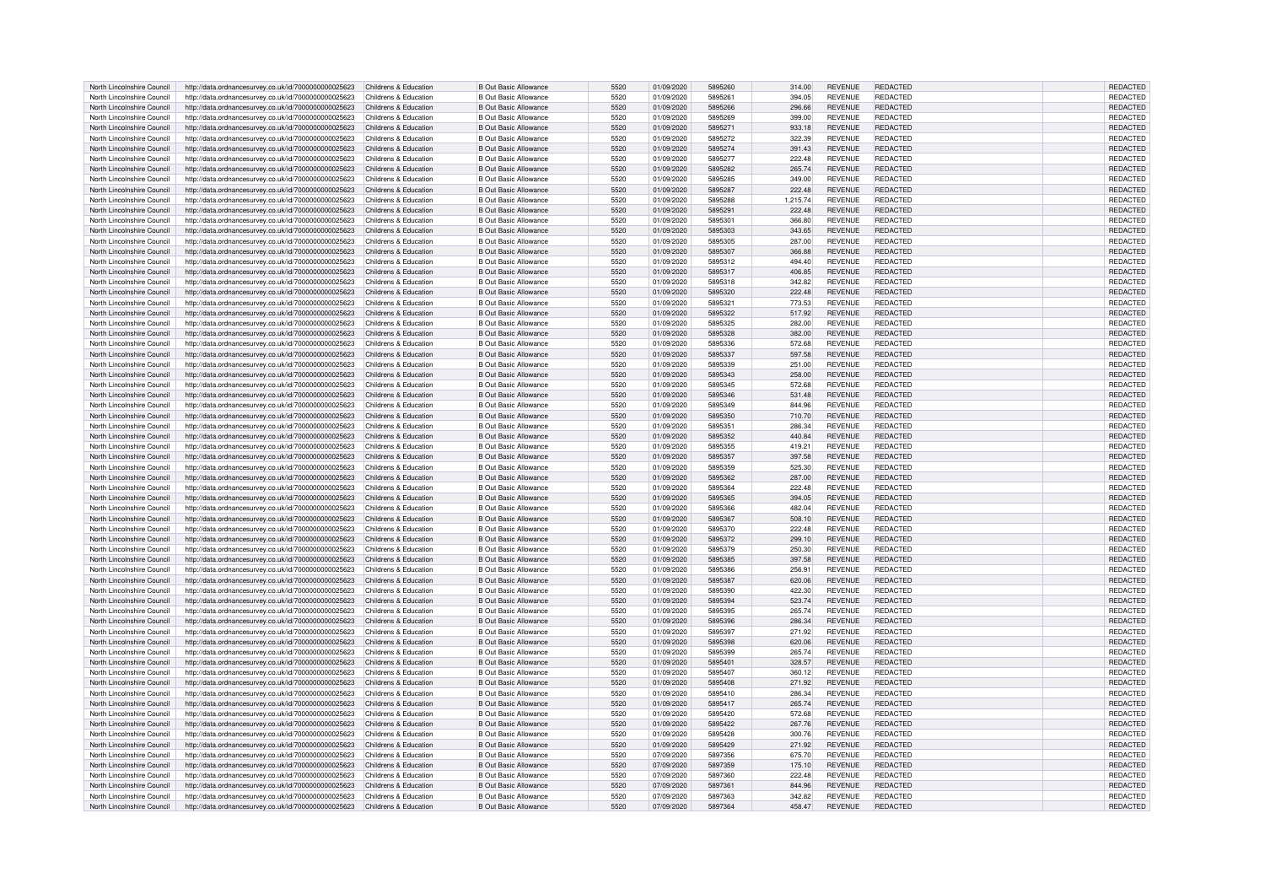| North Lincolnshire Council | http://data.ordnancesurvey.co.uk/id/7000000000025623                       | Childrens & Education | <b>B Out Basic Allowance</b> | 5520 | 01/09/2020 | 5895260 | 314.00   | <b>REVENUE</b> | REDACTED        | REDACTED        |
|----------------------------|----------------------------------------------------------------------------|-----------------------|------------------------------|------|------------|---------|----------|----------------|-----------------|-----------------|
| North Lincolnshire Council | http://data.ordnancesurvey.co.uk/id/7000000000025623                       | Childrens & Education | <b>B Out Basic Allowance</b> | 5520 | 01/09/2020 | 5895261 | 394.05   | <b>REVENUE</b> | REDACTED        | REDACTED        |
| North Lincolnshire Council | http://data.ordnancesurvey.co.uk/id/7000000000025623                       | Childrens & Education | <b>B Out Basic Allowance</b> | 5520 | 01/09/2020 | 5895266 | 296.66   | <b>REVENUE</b> | REDACTED        | REDACTED        |
|                            |                                                                            |                       |                              |      |            |         |          |                |                 |                 |
| North Lincolnshire Council | http://data.ordnancesurvey.co.uk/id/7000000000025623                       | Childrens & Education | <b>B Out Basic Allowance</b> | 5520 | 01/09/2020 | 5895269 | 399.00   | <b>REVENUE</b> | REDACTED        | <b>REDACTED</b> |
| North Lincolnshire Council | http://data.ordnancesurvey.co.uk/id/7000000000025623                       | Childrens & Education | <b>B Out Basic Allowance</b> | 5520 | 01/09/2020 | 5895271 | 933.18   | <b>REVENUE</b> | <b>REDACTED</b> | REDACTED        |
| North Lincolnshire Council | http://data.ordnancesurvey.co.uk/id/7000000000025623                       | Childrens & Education | <b>B Out Basic Allowance</b> | 5520 | 01/09/2020 | 5895272 | 322.39   | <b>REVENUE</b> | <b>REDACTED</b> | REDACTED        |
| North Lincolnshire Council | http://data.ordnancesurvey.co.uk/id/7000000000025623                       | Childrens & Education | <b>B Out Basic Allowance</b> | 5520 | 01/09/2020 | 5895274 | 391.43   | <b>REVENUE</b> | REDACTED        | REDACTED        |
| North Lincolnshire Council | http://data.ordnancesurvey.co.uk/id/7000000000025623                       | Childrens & Education | <b>B Out Basic Allowance</b> | 5520 | 01/09/2020 | 5895277 | 222.48   | <b>REVENUE</b> | <b>REDACTED</b> | REDACTED        |
| North Lincolnshire Council | http://data.ordnancesurvey.co.uk/id/7000000000025623                       | Childrens & Education | <b>B Out Basic Allowance</b> | 5520 | 01/09/2020 | 5895282 | 265.74   | <b>REVENUE</b> | REDACTED        | <b>REDACTED</b> |
| North Lincolnshire Council | http://data.ordnancesurvey.co.uk/id/7000000000025623                       | Childrens & Education | <b>B Out Basic Allowance</b> | 5520 | 01/09/2020 | 5895285 | 349.00   | <b>REVENUE</b> | <b>REDACTED</b> | REDACTED        |
|                            |                                                                            |                       |                              |      |            |         |          |                |                 |                 |
| North Lincolnshire Council | http://data.ordnancesurvey.co.uk/id/7000000000025623                       | Childrens & Education | <b>B Out Basic Allowance</b> | 5520 | 01/09/2020 | 5895287 | 222.48   | <b>REVENUE</b> | <b>REDACTED</b> | REDACTED        |
| North Lincolnshire Council | http://data.ordnancesurvey.co.uk/id/7000000000025623                       | Childrens & Education | <b>B Out Basic Allowance</b> | 5520 | 01/09/2020 | 5895288 | 1,215.74 | <b>REVENUE</b> | REDACTED        | REDACTED        |
| North Lincolnshire Council | http://data.ordnancesurvey.co.uk/id/7000000000025623                       | Childrens & Education | <b>B Out Basic Allowance</b> | 5520 | 01/09/2020 | 5895291 | 222.48   | <b>REVENUE</b> | <b>REDACTED</b> | REDACTED        |
| North Lincolnshire Council | http://data.ordnancesurvey.co.uk/id/7000000000025623                       | Childrens & Education | <b>B Out Basic Allowance</b> | 5520 | 01/09/2020 | 5895301 | 366.80   | <b>REVENUE</b> | <b>REDACTED</b> | REDACTED        |
| North Lincolnshire Council | http://data.ordnancesurvey.co.uk/id/7000000000025623                       | Childrens & Education | <b>B Out Basic Allowance</b> | 5520 | 01/09/2020 | 5895303 | 343.65   | <b>REVENUE</b> | <b>REDACTED</b> | REDACTED        |
| North Lincolnshire Council | http://data.ordnancesurvey.co.uk/id/7000000000025623                       | Childrens & Education | <b>B Out Basic Allowance</b> | 5520 | 01/09/2020 | 5895305 | 287.00   | <b>REVENUE</b> | <b>REDACTED</b> | REDACTED        |
| North Lincolnshire Council |                                                                            | Childrens & Education | <b>B Out Basic Allowance</b> | 5520 | 01/09/2020 | 5895307 | 366.88   | <b>REVENUE</b> | REDACTED        | REDACTED        |
|                            | http://data.ordnancesurvey.co.uk/id/7000000000025623                       |                       |                              |      |            |         |          |                |                 |                 |
| North Lincolnshire Council | http://data.ordnancesurvey.co.uk/id/7000000000025623                       | Childrens & Education | <b>B Out Basic Allowance</b> | 5520 | 01/09/2020 | 5895312 | 494.40   | <b>REVENUE</b> | <b>REDACTED</b> | REDACTED        |
| North Lincolnshire Council | http://data.ordnancesurvey.co.uk/id/7000000000025623                       | Childrens & Education | <b>B Out Basic Allowance</b> | 5520 | 01/09/2020 | 5895317 | 406.85   | <b>REVENUE</b> | REDACTED        | REDACTED        |
| North Lincolnshire Council | http://data.ordnancesurvey.co.uk/id/7000000000025623                       | Childrens & Education | <b>B Out Basic Allowance</b> | 5520 | 01/09/2020 | 5895318 | 342.82   | <b>REVENUE</b> | <b>REDACTED</b> | REDACTED        |
| North Lincolnshire Council | http://data.ordnancesurvey.co.uk/id/7000000000025623                       | Childrens & Education | <b>B Out Basic Allowance</b> | 5520 | 01/09/2020 | 5895320 | 222.48   | <b>REVENUE</b> | <b>REDACTED</b> | REDACTED        |
| North Lincolnshire Council | http://data.ordnancesurvey.co.uk/id/7000000000025623                       | Childrens & Education | <b>B Out Basic Allowance</b> | 5520 | 01/09/2020 | 5895321 | 773.53   | <b>REVENUE</b> | REDACTED        | REDACTED        |
| North Lincolnshire Council | http://data.ordnancesurvey.co.uk/id/7000000000025623                       | Childrens & Education | <b>B Out Basic Allowance</b> | 5520 | 01/09/2020 | 5895322 | 517.92   | <b>REVENUE</b> | <b>REDACTED</b> | REDACTED        |
| North Lincolnshire Council |                                                                            |                       | <b>B Out Basic Allowance</b> | 5520 |            | 5895325 |          | <b>REVENUE</b> | <b>REDACTED</b> | REDACTED        |
|                            | http://data.ordnancesurvey.co.uk/id/7000000000025623                       | Childrens & Education |                              |      | 01/09/2020 |         | 282.00   |                |                 |                 |
| North Lincolnshire Council | http://data.ordnancesurvey.co.uk/id/7000000000025623                       | Childrens & Education | <b>B Out Basic Allowance</b> | 5520 | 01/09/2020 | 5895328 | 382.00   | <b>REVENUE</b> | <b>REDACTED</b> | REDACTED        |
| North Lincolnshire Council | http://data.ordnancesurvey.co.uk/id/7000000000025623                       | Childrens & Education | <b>B Out Basic Allowance</b> | 5520 | 01/09/2020 | 5895336 | 572.68   | <b>REVENUE</b> | <b>REDACTED</b> | REDACTED        |
| North Lincolnshire Council | http://data.ordnancesurvey.co.uk/id/7000000000025623                       | Childrens & Education | <b>B Out Basic Allowance</b> | 5520 | 01/09/2020 | 5895337 | 597.58   | <b>REVENUE</b> | REDACTED        | REDACTED        |
| North Lincolnshire Council | http://data.ordnancesurvey.co.uk/id/7000000000025623                       | Childrens & Education | <b>B Out Basic Allowance</b> | 5520 | 01/09/2020 | 5895339 | 251.00   | <b>REVENUE</b> | <b>REDACTED</b> | REDACTED        |
| North Lincolnshire Council | http://data.ordnancesurvey.co.uk/id/7000000000025623                       | Childrens & Education | <b>B Out Basic Allowance</b> | 5520 | 01/09/2020 | 5895343 | 258.00   | <b>REVENUE</b> | <b>REDACTED</b> | <b>REDACTED</b> |
| North Lincolnshire Council | http://data.ordnancesurvey.co.uk/id/7000000000025623                       | Childrens & Education | <b>B Out Basic Allowance</b> | 5520 | 01/09/2020 | 5895345 | 572.68   | <b>REVENUE</b> | <b>REDACTED</b> | <b>REDACTED</b> |
|                            |                                                                            |                       |                              |      |            |         |          |                |                 |                 |
| North Lincolnshire Council | http://data.ordnancesurvey.co.uk/id/7000000000025623                       | Childrens & Education | <b>B Out Basic Allowance</b> | 5520 | 01/09/2020 | 5895346 | 531.48   | <b>REVENUE</b> | REDACTED        | REDACTED        |
| North Lincolnshire Council | http://data.ordnancesurvey.co.uk/id/7000000000025623                       | Childrens & Education | <b>B Out Basic Allowance</b> | 5520 | 01/09/2020 | 5895349 | 844.96   | <b>REVENUE</b> | <b>REDACTED</b> | REDACTED        |
| North Lincolnshire Council | http://data.ordnancesurvey.co.uk/id/7000000000025623                       | Childrens & Education | <b>B Out Basic Allowance</b> | 5520 | 01/09/2020 | 5895350 | 710.70   | <b>REVENUE</b> | REDACTED        | REDACTED        |
| North Lincolnshire Council | http://data.ordnancesurvey.co.uk/id/7000000000025623                       | Childrens & Education | <b>B Out Basic Allowance</b> | 5520 | 01/09/2020 | 5895351 | 286.34   | <b>REVENUE</b> | REDACTED        | <b>REDACTED</b> |
| North Lincolnshire Council | http://data.ordnancesurvey.co.uk/id/7000000000025623                       | Childrens & Education | <b>B Out Basic Allowance</b> | 5520 | 01/09/2020 | 5895352 | 440.84   | <b>REVENUE</b> | REDACTED        | REDACTED        |
| North Lincolnshire Council | http://data.ordnancesurvey.co.uk/id/7000000000025623                       | Childrens & Education | <b>B Out Basic Allowance</b> | 5520 | 01/09/2020 | 5895355 | 419.21   | <b>REVENUE</b> | REDACTED        | REDACTED        |
| North Lincolnshire Council | http://data.ordnancesurvey.co.uk/id/7000000000025623                       | Childrens & Education | <b>B Out Basic Allowance</b> | 5520 | 01/09/2020 | 5895357 | 397.58   | <b>REVENUE</b> | <b>REDACTED</b> | <b>REDACTED</b> |
|                            |                                                                            |                       |                              |      |            |         |          |                |                 |                 |
| North Lincolnshire Council | http://data.ordnancesurvey.co.uk/id/7000000000025623                       | Childrens & Education | <b>B Out Basic Allowance</b> | 5520 | 01/09/2020 | 5895359 | 525.30   | <b>REVENUE</b> | <b>REDACTED</b> | REDACTED        |
| North Lincolnshire Council | http://data.ordnancesurvey.co.uk/id/7000000000025623                       | Childrens & Education | <b>B Out Basic Allowance</b> | 5520 | 01/09/2020 | 5895362 | 287.00   | <b>REVENUE</b> | REDACTED        | <b>REDACTED</b> |
| North Lincolnshire Council | http://data.ordnancesurvey.co.uk/id/7000000000025623                       | Childrens & Education | <b>B Out Basic Allowance</b> | 5520 | 01/09/2020 | 5895364 | 222.48   | <b>REVENUE</b> | <b>REDACTED</b> | REDACTED        |
| North Lincolnshire Council | http://data.ordnancesurvey.co.uk/id/7000000000025623                       | Childrens & Education | <b>B Out Basic Allowance</b> | 5520 | 01/09/2020 | 5895365 | 394.05   | <b>REVENUE</b> | REDACTED        | REDACTED        |
| North Lincolnshire Council | http://data.ordnancesurvey.co.uk/id/7000000000025623                       | Childrens & Education | <b>B Out Basic Allowance</b> | 5520 | 01/09/2020 | 5895366 | 482.04   | <b>REVENUE</b> | REDACTED        | REDACTED        |
| North Lincolnshire Council | http://data.ordnancesurvey.co.uk/id/7000000000025623                       | Childrens & Education | <b>B Out Basic Allowance</b> | 5520 | 01/09/2020 | 5895367 | 508.10   | <b>REVENUE</b> | REDACTED        | REDACTED        |
| North Lincolnshire Council | http://data.ordnancesurvey.co.uk/id/7000000000025623                       | Childrens & Education | <b>B Out Basic Allowance</b> | 5520 | 01/09/2020 | 5895370 | 222.48   | <b>REVENUE</b> | REDACTED        | REDACTED        |
|                            |                                                                            |                       |                              |      |            |         |          |                |                 |                 |
| North Lincolnshire Council | http://data.ordnancesurvey.co.uk/id/7000000000025623                       | Childrens & Education | <b>B Out Basic Allowance</b> | 5520 | 01/09/2020 | 5895372 | 299.10   | <b>REVENUE</b> | REDACTED        | REDACTED        |
| North Lincolnshire Council | http://data.ordnancesurvey.co.uk/id/7000000000025623                       | Childrens & Education | <b>B Out Basic Allowance</b> | 5520 | 01/09/2020 | 5895379 | 250.30   | <b>REVENUE</b> | <b>REDACTED</b> | REDACTED        |
| North Lincolnshire Council | http://data.ordnancesurvey.co.uk/id/7000000000025623                       | Childrens & Education | <b>B Out Basic Allowance</b> | 5520 | 01/09/2020 | 5895385 | 397.58   | <b>REVENUE</b> | <b>REDACTED</b> | REDACTED        |
| North Lincolnshire Council | http://data.ordnancesurvey.co.uk/id/7000000000025623                       | Childrens & Education | <b>B Out Basic Allowance</b> | 5520 | 01/09/2020 | 5895386 | 256.91   | <b>REVENUE</b> | REDACTED        | <b>REDACTED</b> |
| North Lincolnshire Council | http://data.ordnancesurvey.co.uk/id/7000000000025623                       | Childrens & Education | <b>B Out Basic Allowance</b> | 5520 | 01/09/2020 | 5895387 | 620.06   | <b>REVENUE</b> | <b>REDACTED</b> | REDACTED        |
| North Lincolnshire Council | http://data.ordnancesurvey.co.uk/id/7000000000025623                       | Childrens & Education | <b>B Out Basic Allowance</b> | 5520 | 01/09/2020 | 5895390 | 422.30   | <b>REVENUE</b> | <b>REDACTED</b> | REDACTED        |
| North Lincolnshire Council | http://data.ordnancesurvey.co.uk/id/7000000000025623                       | Childrens & Education | <b>B Out Basic Allowance</b> | 5520 | 01/09/2020 | 5895394 | 523.74   | <b>REVENUE</b> | <b>REDACTED</b> | REDACTED        |
|                            |                                                                            |                       |                              |      |            |         |          |                |                 |                 |
| North Lincolnshire Council | http://data.ordnancesurvey.co.uk/id/7000000000025623                       | Childrens & Education | <b>B Out Basic Allowance</b> | 5520 | 01/09/2020 | 5895395 | 265.74   | <b>REVENUE</b> | <b>REDACTED</b> | REDACTED        |
| North Lincolnshire Council | http://data.ordnancesurvey.co.uk/id/7000000000025623                       | Childrens & Education | <b>B Out Basic Allowance</b> | 5520 | 01/09/2020 | 5895396 | 286.34   | <b>REVENUE</b> | REDACTED        | <b>REDACTED</b> |
| North Lincolnshire Council | http://data.ordnancesurvey.co.uk/id/7000000000025623                       | Childrens & Education | <b>B Out Basic Allowance</b> | 5520 | 01/09/2020 | 5895397 | 271.92   | <b>REVENUE</b> | <b>REDACTED</b> | REDACTED        |
| North Lincolnshire Council | http://data.ordnancesurvey.co.uk/id/7000000000025623                       | Childrens & Education | <b>B Out Basic Allowance</b> | 5520 | 01/09/2020 | 5895398 | 620.06   | <b>REVENUE</b> | <b>REDACTED</b> | REDACTED        |
| North Lincolnshire Council | http://data.ordnancesurvey.co.uk/id/7000000000025623                       | Childrens & Education | <b>B Out Basic Allowance</b> | 5520 | 01/09/2020 | 5895399 | 265.74   | <b>REVENUE</b> | <b>REDACTED</b> | REDACTED        |
| North Lincolnshire Council | http://data.ordnancesurvey.co.uk/id/7000000000025623                       | Childrens & Education | <b>B Out Basic Allowance</b> | 5520 | 01/09/2020 | 5895401 | 328.57   | <b>REVENUE</b> | <b>REDACTED</b> | REDACTED        |
| North Lincolnshire Council | http://data.ordnancesurvey.co.uk/id/7000000000025623                       | Childrens & Education | <b>B Out Basic Allowance</b> | 5520 | 01/09/2020 | 5895407 | 360.12   | <b>REVENUE</b> | REDACTED        | <b>REDACTED</b> |
| North Lincolnshire Council |                                                                            | Childrens & Education | <b>B Out Basic Allowance</b> | 5520 | 01/09/2020 | 5895408 |          | <b>REVENUE</b> | <b>REDACTED</b> | REDACTED        |
|                            | http://data.ordnancesurvey.co.uk/id/7000000000025623                       |                       |                              |      |            |         | 271.92   |                |                 |                 |
| North Lincolnshire Council | http://data.ordnancesurvey.co.uk/id/7000000000025623                       | Childrens & Education | <b>B Out Basic Allowance</b> | 5520 | 01/09/2020 | 5895410 | 286.34   | <b>REVENUE</b> | <b>REDACTED</b> | REDACTED        |
| North Lincolnshire Council | http://data.ordnancesurvey.co.uk/id/7000000000025623                       | Childrens & Education | <b>B Out Basic Allowance</b> | 5520 | 01/09/2020 | 5895417 | 265.74   | <b>REVENUE</b> | REDACTED        | REDACTED        |
| North Lincolnshire Council | http://data.ordnancesurvey.co.uk/id/7000000000025623                       | Childrens & Education | <b>B Out Basic Allowance</b> | 5520 | 01/09/2020 | 5895420 | 572.68   | <b>REVENUE</b> | <b>REDACTED</b> | REDACTED        |
| North Lincolnshire Council | http://data.ordnancesurvey.co.uk/id/7000000000025623                       | Childrens & Education | <b>B Out Basic Allowance</b> | 5520 | 01/09/2020 | 5895422 | 267.76   | <b>REVENUE</b> | REDACTED        | REDACTED        |
| North Lincolnshire Council | http://data.ordnancesurvey.co.uk/id/7000000000025623                       | Childrens & Education | <b>B Out Basic Allowance</b> | 5520 | 01/09/2020 | 5895428 | 300.76   | <b>REVENUE</b> | REDACTED        | REDACTED        |
| North Lincolnshire Council | http://data.ordnancesurvey.co.uk/id/7000000000025623                       | Childrens & Education | <b>B Out Basic Allowance</b> | 5520 | 01/09/2020 | 5895429 | 271.92   | <b>REVENUE</b> | <b>REDACTED</b> | REDACTED        |
|                            |                                                                            |                       |                              |      |            |         |          |                |                 |                 |
| North Lincolnshire Council | http://data.ordnancesurvey.co.uk/id/7000000000025623                       | Childrens & Education | <b>B Out Basic Allowance</b> | 5520 | 07/09/2020 | 5897356 | 675.70   | <b>REVENUE</b> | REDACTED        | REDACTED        |
| North Lincolnshire Council | http://data.ordnancesurvey.co.uk/id/7000000000025623                       | Childrens & Education | <b>B Out Basic Allowance</b> | 5520 | 07/09/2020 | 5897359 | 175.10   | <b>REVENUE</b> | <b>REDACTED</b> | REDACTED        |
| North Lincolnshire Council | http://data.ordnancesurvey.co.uk/id/7000000000025623                       | Childrens & Education | <b>B Out Basic Allowance</b> | 5520 | 07/09/2020 | 5897360 | 222.48   | <b>REVENUE</b> | REDACTED        | REDACTED        |
| North Lincolnshire Council | http://data.ordnancesurvey.co.uk/id/7000000000025623                       | Childrens & Education | B Out Basic Allowance        | 5520 | 07/09/2020 | 5897361 | 844.96   | <b>REVENUE</b> | REDACTED        | <b>REDACTED</b> |
| North Lincolnshire Council | http://data.ordnancesurvey.co.uk/id/7000000000025623                       | Childrens & Education | B Out Basic Allowance        | 5520 | 07/09/2020 | 5897363 | 342.82   | <b>REVENUE</b> | <b>REDACTED</b> | REDACTED        |
| North Lincolnshire Council | http://data.ordnancesurvey.co.uk/id/7000000000025623 Childrens & Education |                       | <b>B Out Basic Allowance</b> | 5520 | 07/09/2020 | 5897364 | 458.47   | <b>REVENUE</b> | REDACTED        | REDACTED        |
|                            |                                                                            |                       |                              |      |            |         |          |                |                 |                 |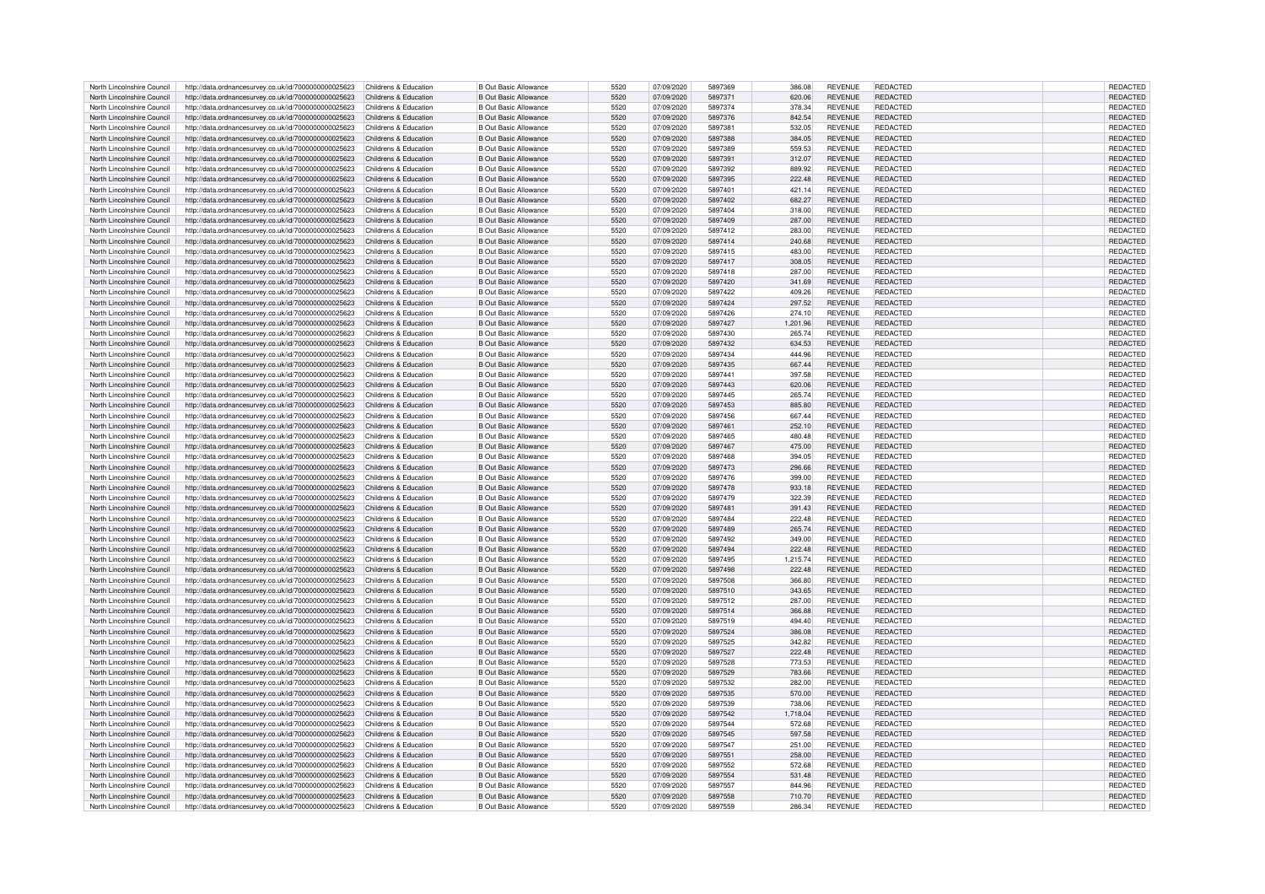| North Lincolnshire Council | http://data.ordnancesurvey.co.uk/id/7000000000025623                       | Childrens & Education | <b>B Out Basic Allowance</b> | 5520 | 07/09/2020 | 5897369 | 386.08   | <b>REVENUE</b> | REDACTED        | REDACTED        |
|----------------------------|----------------------------------------------------------------------------|-----------------------|------------------------------|------|------------|---------|----------|----------------|-----------------|-----------------|
| North Lincolnshire Council | http://data.ordnancesurvey.co.uk/id/7000000000025623                       | Childrens & Education | <b>B Out Basic Allowance</b> | 5520 | 07/09/2020 | 5897371 | 620.06   | <b>REVENUE</b> | <b>REDACTED</b> | <b>REDACTED</b> |
| North Lincolnshire Council |                                                                            | Childrens & Education | <b>B Out Basic Allowance</b> | 5520 | 07/09/2020 | 5897374 |          | <b>REVENUE</b> | REDACTED        | REDACTED        |
|                            | http://data.ordnancesurvey.co.uk/id/7000000000025623                       |                       |                              |      |            |         | 378.34   |                |                 |                 |
| North Lincolnshire Council | http://data.ordnancesurvey.co.uk/id/7000000000025623                       | Childrens & Education | <b>B Out Basic Allowance</b> | 5520 | 07/09/2020 | 5897376 | 842.54   | <b>REVENUE</b> | <b>REDACTED</b> | REDACTED        |
| North Lincolnshire Council | http://data.ordnancesurvey.co.uk/id/7000000000025623                       | Childrens & Education | <b>B Out Basic Allowance</b> | 5520 | 07/09/2020 | 5897381 | 532.05   | <b>REVENUE</b> | REDACTED        | REDACTED        |
| North Lincolnshire Council | http://data.ordnancesurvey.co.uk/id/7000000000025623                       | Childrens & Education | <b>B Out Basic Allowance</b> | 5520 | 07/09/2020 | 5897388 | 384.05   | <b>REVENUE</b> | <b>REDACTED</b> | REDACTED        |
| North Lincolnshire Council | http://data.ordnancesurvey.co.uk/id/7000000000025623                       | Childrens & Education | <b>B Out Basic Allowance</b> | 5520 | 07/09/2020 | 5897389 | 559.53   | <b>REVENUE</b> | <b>REDACTED</b> | REDACTED        |
| North Lincolnshire Council | http://data.ordnancesurvey.co.uk/id/7000000000025623                       | Childrens & Education | <b>B Out Basic Allowance</b> | 5520 | 07/09/2020 | 5897391 | 312.07   | <b>REVENUE</b> | REDACTED        | <b>REDACTED</b> |
| North Lincolnshire Council | http://data.ordnancesurvey.co.uk/id/7000000000025623                       | Childrens & Education | <b>B Out Basic Allowance</b> | 5520 | 07/09/2020 | 5897392 | 889.92   | <b>REVENUE</b> | <b>REDACTED</b> | <b>REDACTED</b> |
|                            |                                                                            |                       |                              |      |            |         |          |                |                 |                 |
| North Lincolnshire Council | http://data.ordnancesurvey.co.uk/id/7000000000025623                       | Childrens & Education | <b>B Out Basic Allowance</b> | 5520 | 07/09/2020 | 5897395 | 222.48   | REVENUE        | REDACTED        | REDACTED        |
| North Lincolnshire Council | http://data.ordnancesurvey.co.uk/id/7000000000025623                       | Childrens & Education | <b>B Out Basic Allowance</b> | 5520 | 07/09/2020 | 5897401 | 421.14   | <b>REVENUE</b> | <b>REDACTED</b> | REDACTED        |
| North Lincolnshire Council | http://data.ordnancesurvey.co.uk/id/7000000000025623                       | Childrens & Education | <b>B Out Basic Allowance</b> | 5520 | 07/09/2020 | 5897402 | 682.27   | <b>REVENUE</b> | REDACTED        | REDACTED        |
| North Lincolnshire Council | http://data.ordnancesurvey.co.uk/id/7000000000025623                       | Childrens & Education | <b>B Out Basic Allowance</b> | 5520 | 07/09/2020 | 5897404 | 318.00   | <b>REVENUE</b> | REDACTED        | <b>REDACTED</b> |
| North Lincolnshire Council | http://data.ordnancesurvey.co.uk/id/7000000000025623                       | Childrens & Education | <b>B Out Basic Allowance</b> | 5520 | 07/09/2020 | 5897409 | 287.00   | <b>REVENUE</b> | REDACTED        | REDACTED        |
| North Lincolnshire Council | http://data.ordnancesurvey.co.uk/id/7000000000025623                       | Childrens & Education | B Out Basic Allowance        | 5520 | 07/09/2020 | 5897412 | 283.00   | <b>REVENUE</b> | REDACTED        | REDACTED        |
|                            |                                                                            |                       |                              |      |            |         |          |                |                 |                 |
| North Lincolnshire Council | http://data.ordnancesurvey.co.uk/id/7000000000025623                       | Childrens & Education | <b>B Out Basic Allowance</b> | 5520 | 07/09/2020 | 5897414 | 240.68   | <b>REVENUE</b> | REDACTED        | REDACTED        |
| North Lincolnshire Council | http://data.ordnancesurvey.co.uk/id/7000000000025623                       | Childrens & Education | <b>B Out Basic Allowance</b> | 5520 | 07/09/2020 | 5897415 | 483.00   | <b>REVENUE</b> | REDACTED        | REDACTED        |
| North Lincolnshire Council | http://data.ordnancesurvey.co.uk/id/7000000000025623                       | Childrens & Education | <b>B Out Basic Allowance</b> | 5520 | 07/09/2020 | 5897417 | 308.05   | <b>REVENUE</b> | <b>REDACTED</b> | <b>REDACTED</b> |
| North Lincolnshire Council | http://data.ordnancesurvey.co.uk/id/7000000000025623                       | Childrens & Education | B Out Basic Allowance        | 5520 | 07/09/2020 | 5897418 | 287.00   | <b>REVENUE</b> | <b>REDACTED</b> | REDACTED        |
| North Lincolnshire Council | http://data.ordnancesurvey.co.uk/id/7000000000025623                       | Childrens & Education | <b>B Out Basic Allowance</b> | 5520 | 07/09/2020 | 5897420 | 341.69   | <b>REVENUE</b> | <b>REDACTED</b> | REDACTED        |
| North Lincolnshire Council | http://data.ordnancesurvey.co.uk/id/7000000000025623                       | Childrens & Education | <b>B Out Basic Allowance</b> | 5520 | 07/09/2020 | 5897422 | 409.26   | <b>REVENUE</b> | REDACTED        | REDACTED        |
|                            |                                                                            | Childrens & Education |                              | 5520 |            | 5897424 |          |                | <b>REDACTED</b> |                 |
| North Lincolnshire Council | http://data.ordnancesurvey.co.uk/id/7000000000025623                       |                       | <b>B Out Basic Allowance</b> |      | 07/09/2020 |         | 297.52   | <b>REVENUE</b> |                 | REDACTED        |
| North Lincolnshire Council | http://data.ordnancesurvey.co.uk/id/7000000000025623                       | Childrens & Education | <b>B Out Basic Allowance</b> | 5520 | 07/09/2020 | 5897426 | 274.10   | <b>REVENUE</b> | REDACTED        | REDACTED        |
| North Lincolnshire Council | http://data.ordnancesurvey.co.uk/id/7000000000025623                       | Childrens & Education | <b>B Out Basic Allowance</b> | 5520 | 07/09/2020 | 5897427 | 1,201.96 | <b>REVENUE</b> | <b>REDACTED</b> | REDACTED        |
| North Lincolnshire Council | http://data.ordnancesurvey.co.uk/id/7000000000025623                       | Childrens & Education | <b>B Out Basic Allowance</b> | 5520 | 07/09/2020 | 5897430 | 265.74   | <b>REVENUE</b> | <b>REDACTED</b> | REDACTED        |
| North Lincolnshire Council | http://data.ordnancesurvey.co.uk/id/7000000000025623                       | Childrens & Education | <b>B Out Basic Allowance</b> | 5520 | 07/09/2020 | 5897432 | 634.53   | <b>REVENUE</b> | <b>REDACTED</b> | REDACTED        |
| North Lincolnshire Council | http://data.ordnancesurvey.co.uk/id/7000000000025623                       | Childrens & Education | <b>B Out Basic Allowance</b> | 5520 | 07/09/2020 | 5897434 | 444.96   | <b>REVENUE</b> | <b>REDACTED</b> | <b>REDACTED</b> |
|                            |                                                                            | Childrens & Education | <b>B Out Basic Allowance</b> | 5520 | 07/09/2020 | 5897435 | 667.44   | <b>REVENUE</b> | <b>REDACTED</b> |                 |
| North Lincolnshire Council | http://data.ordnancesurvey.co.uk/id/7000000000025623                       |                       |                              |      |            |         |          |                |                 | REDACTED        |
| North Lincolnshire Council | http://data.ordnancesurvey.co.uk/id/7000000000025623                       | Childrens & Education | <b>B Out Basic Allowance</b> | 5520 | 07/09/2020 | 5897441 | 397.58   | <b>REVENUE</b> | REDACTED        | REDACTED        |
| North Lincolnshire Council | http://data.ordnancesurvey.co.uk/id/7000000000025623                       | Childrens & Education | <b>B Out Basic Allowance</b> | 5520 | 07/09/2020 | 5897443 | 620.06   | <b>REVENUE</b> | REDACTED        | REDACTED        |
| North Lincolnshire Council | http://data.ordnancesurvey.co.uk/id/7000000000025623                       | Childrens & Education | <b>B Out Basic Allowance</b> | 5520 | 07/09/2020 | 5897445 | 265.74   | <b>REVENUE</b> | REDACTED        | REDACTED        |
| North Lincolnshire Council | http://data.ordnancesurvey.co.uk/id/7000000000025623                       | Childrens & Education | <b>B Out Basic Allowance</b> | 5520 | 07/09/2020 | 5897453 | 885.80   | <b>REVENUE</b> | REDACTED        | REDACTED        |
| North Lincolnshire Council | http://data.ordnancesurvey.co.uk/id/7000000000025623                       | Childrens & Education | B Out Basic Allowance        | 5520 | 07/09/2020 | 5897456 | 667.44   | <b>REVENUE</b> | REDACTED        | REDACTED        |
|                            |                                                                            |                       |                              |      |            |         |          |                |                 |                 |
| North Lincolnshire Council | http://data.ordnancesurvey.co.uk/id/7000000000025623                       | Childrens & Education | B Out Basic Allowance        | 5520 | 07/09/2020 | 5897461 | 252.10   | <b>REVENUE</b> | REDACTED        | REDACTED        |
| North Lincolnshire Council | http://data.ordnancesurvey.co.uk/id/7000000000025623                       | Childrens & Education | B Out Basic Allowance        | 5520 | 07/09/2020 | 5897465 | 480.48   | <b>REVENUE</b> | <b>REDACTED</b> | REDACTED        |
| North Lincolnshire Council | http://data.ordnancesurvey.co.uk/id/7000000000025623                       | Childrens & Education | B Out Basic Allowance        | 5520 | 07/09/2020 | 5897467 | 475.00   | <b>REVENUE</b> | <b>REDACTED</b> | REDACTED        |
| North Lincolnshire Council | http://data.ordnancesurvey.co.uk/id/7000000000025623                       | Childrens & Education | <b>B Out Basic Allowance</b> | 5520 | 07/09/2020 | 5897468 | 394.05   | <b>REVENUE</b> | <b>REDACTED</b> | REDACTED        |
| North Lincolnshire Council | http://data.ordnancesurvey.co.uk/id/7000000000025623                       | Childrens & Education | <b>B Out Basic Allowance</b> | 5520 | 07/09/2020 | 5897473 | 296.66   | <b>REVENUE</b> | <b>REDACTED</b> | <b>REDACTED</b> |
| North Lincolnshire Council | http://data.ordnancesurvey.co.uk/id/7000000000025623                       | Childrens & Education | <b>B Out Basic Allowance</b> | 5520 | 07/09/2020 | 5897476 | 399.00   | <b>REVENUE</b> | <b>REDACTED</b> | REDACTED        |
|                            |                                                                            |                       |                              |      |            |         |          |                |                 |                 |
| North Lincolnshire Council | http://data.ordnancesurvey.co.uk/id/7000000000025623                       | Childrens & Education | <b>B Out Basic Allowance</b> | 5520 | 07/09/2020 | 5897478 | 933.18   | <b>REVENUE</b> | REDACTED        | REDACTED        |
| North Lincolnshire Council | http://data.ordnancesurvey.co.uk/id/7000000000025623                       | Childrens & Education | <b>B Out Basic Allowance</b> | 5520 | 07/09/2020 | 5897479 | 322.39   | <b>REVENUE</b> | REDACTED        | REDACTED        |
| North Lincolnshire Council | http://data.ordnancesurvey.co.uk/id/7000000000025623                       | Childrens & Education | <b>B Out Basic Allowance</b> | 5520 | 07/09/2020 | 5897481 | 391.43   | <b>REVENUE</b> | REDACTED        | REDACTED        |
| North Lincolnshire Council | http://data.ordnancesurvey.co.uk/id/7000000000025623                       | Childrens & Education | <b>B Out Basic Allowance</b> | 5520 | 07/09/2020 | 5897484 | 222.48   | <b>REVENUE</b> | REDACTED        | REDACTED        |
| North Lincolnshire Council | http://data.ordnancesurvey.co.uk/id/7000000000025623                       | Childrens & Education | <b>B Out Basic Allowance</b> | 5520 | 07/09/2020 | 5897489 | 265.74   | <b>REVENUE</b> | <b>REDACTED</b> | REDACTED        |
| North Lincolnshire Council | http://data.ordnancesurvey.co.uk/id/7000000000025623                       | Childrens & Education | <b>B Out Basic Allowance</b> | 5520 | 07/09/2020 | 5897492 | 349.00   | <b>REVENUE</b> | <b>REDACTED</b> | REDACTED        |
|                            |                                                                            |                       |                              |      |            |         |          |                |                 |                 |
| North Lincolnshire Council | http://data.ordnancesurvey.co.uk/id/7000000000025623                       | Childrens & Education | <b>B Out Basic Allowance</b> | 5520 | 07/09/2020 | 5897494 | 222.48   | <b>REVENUE</b> | <b>REDACTED</b> | REDACTED        |
| North Lincolnshire Council | http://data.ordnancesurvey.co.uk/id/7000000000025623                       | Childrens & Education | <b>B Out Basic Allowance</b> | 5520 | 07/09/2020 | 5897495 | 1,215.74 | <b>REVENUE</b> | <b>REDACTED</b> | REDACTED        |
| North Lincolnshire Council | http://data.ordnancesurvey.co.uk/id/7000000000025623                       | Childrens & Education | <b>B Out Basic Allowance</b> | 5520 | 07/09/2020 | 5897498 | 222.48   | <b>REVENUE</b> | <b>REDACTED</b> | REDACTED        |
| North Lincolnshire Council | http://data.ordnancesurvey.co.uk/id/7000000000025623                       | Childrens & Education | <b>B Out Basic Allowance</b> | 5520 | 07/09/2020 | 5897508 | 366.80   | <b>REVENUE</b> | <b>REDACTED</b> | REDACTED        |
| North Lincolnshire Council | http://data.ordnancesurvey.co.uk/id/7000000000025623                       | Childrens & Education | <b>B Out Basic Allowance</b> | 5520 | 07/09/2020 | 5897510 | 343.65   | <b>REVENUE</b> | <b>REDACTED</b> | REDACTED        |
| North Lincolnshire Council | http://data.ordnancesurvey.co.uk/id/7000000000025623                       | Childrens & Education | <b>B Out Basic Allowance</b> | 5520 | 07/09/2020 | 5897512 | 287.00   | <b>REVENUE</b> | REDACTED        | REDACTED        |
| North Lincolnshire Council | http://data.ordnancesurvey.co.uk/id/7000000000025623                       | Childrens & Education | <b>B Out Basic Allowance</b> | 5520 | 07/09/2020 | 5897514 | 366.88   | <b>REVENUE</b> | REDACTED        | REDACTED        |
|                            |                                                                            |                       |                              |      |            |         |          |                |                 |                 |
| North Lincolnshire Council | http://data.ordnancesurvey.co.uk/id/7000000000025623                       | Childrens & Education | B Out Basic Allowance        | 5520 | 07/09/2020 | 5897519 | 494.40   | <b>REVENUE</b> | <b>REDACTED</b> | REDACTED        |
| North Lincolnshire Council | http://data.ordnancesurvey.co.uk/id/7000000000025623                       | Childrens & Education | <b>B Out Basic Allowance</b> | 5520 | 07/09/2020 | 5897524 | 386.08   | <b>REVENUE</b> | REDACTED        | REDACTED        |
| North Lincolnshire Council | http://data.ordnancesurvey.co.uk/id/7000000000025623                       | Childrens & Education | B Out Basic Allowance        | 5520 | 07/09/2020 | 5897525 | 342.82   | <b>REVENUE</b> | <b>REDACTED</b> | REDACTED        |
| North Lincolnshire Council | http://data.ordnancesurvey.co.uk/id/7000000000025623                       | Childrens & Education | <b>B Out Basic Allowance</b> | 5520 | 07/09/2020 | 5897527 | 222.48   | <b>REVENUE</b> | <b>REDACTED</b> | REDACTED        |
| North Lincolnshire Council | http://data.ordnancesurvey.co.uk/id/7000000000025623                       | Childrens & Education | <b>B Out Basic Allowance</b> | 5520 | 07/09/2020 | 5897528 | 773.53   | <b>REVENUE</b> | <b>REDACTED</b> | REDACTED        |
| North Lincolnshire Council | http://data.ordnancesurvey.co.uk/id/7000000000025623                       | Childrens & Education | <b>B Out Basic Allowance</b> | 5520 | 07/09/2020 | 5897529 | 783.66   | <b>REVENUE</b> | REDACTED        | REDACTED        |
| North Lincolnshire Council |                                                                            | Childrens & Education | <b>B Out Basic Allowance</b> | 5520 | 07/09/2020 | 5897532 | 282.00   | <b>REVENUE</b> | <b>REDACTED</b> | REDACTED        |
|                            | http://data.ordnancesurvey.co.uk/id/7000000000025623                       |                       |                              |      |            |         |          |                |                 |                 |
| North Lincolnshire Council | http://data.ordnancesurvey.co.uk/id/7000000000025623                       | Childrens & Education | <b>B Out Basic Allowance</b> | 5520 | 07/09/2020 | 5897535 | 570.00   | <b>REVENUE</b> | <b>REDACTED</b> | REDACTED        |
| North Lincolnshire Council | http://data.ordnancesurvey.co.uk/id/7000000000025623                       | Childrens & Education | <b>B Out Basic Allowance</b> | 5520 | 07/09/2020 | 5897539 | 738.06   | <b>REVENUE</b> | REDACTED        | REDACTED        |
| North Lincolnshire Council | http://data.ordnancesurvey.co.uk/id/7000000000025623                       | Childrens & Education | <b>B Out Basic Allowance</b> | 5520 | 07/09/2020 | 5897542 | 1,718.04 | <b>REVENUE</b> | REDACTED        | REDACTED        |
| North Lincolnshire Council | http://data.ordnancesurvey.co.uk/id/7000000000025623                       | Childrens & Education | <b>B Out Basic Allowance</b> | 5520 | 07/09/2020 | 5897544 | 572.68   | <b>REVENUE</b> | REDACTED        | REDACTED        |
| North Lincolnshire Council | http://data.ordnancesurvey.co.uk/id/7000000000025623                       | Childrens & Education | <b>B Out Basic Allowance</b> | 5520 | 07/09/2020 | 5897545 | 597.58   | <b>REVENUE</b> | <b>REDACTED</b> | REDACTED        |
|                            |                                                                            |                       |                              |      |            | 5897547 |          |                | <b>REDACTED</b> |                 |
| North Lincolnshire Council | http://data.ordnancesurvey.co.uk/id/7000000000025623                       | Childrens & Education | <b>B Out Basic Allowance</b> | 5520 | 07/09/2020 |         | 251.00   | <b>REVENUE</b> |                 | REDACTED        |
| North Lincolnshire Council | http://data.ordnancesurvey.co.uk/id/7000000000025623                       | Childrens & Education | <b>B Out Basic Allowance</b> | 5520 | 07/09/2020 | 5897551 | 258.00   | <b>REVENUE</b> | <b>REDACTED</b> | REDACTED        |
| North Lincolnshire Council | http://data.ordnancesurvey.co.uk/id/7000000000025623                       | Childrens & Education | <b>B Out Basic Allowance</b> | 5520 | 07/09/2020 | 5897552 | 572.68   | <b>REVENUE</b> | <b>REDACTED</b> | REDACTED        |
| North Lincolnshire Council | http://data.ordnancesurvey.co.uk/id/7000000000025623                       | Childrens & Education | <b>B Out Basic Allowance</b> | 5520 | 07/09/2020 | 5897554 | 531.48   | <b>REVENUE</b> | REDACTED        | REDACTED        |
| North Lincolnshire Council | http://data.ordnancesurvey.co.uk/id/7000000000025623                       | Childrens & Education | B Out Basic Allowance        | 5520 | 07/09/2020 | 5897557 | 844.96   | <b>REVENUE</b> | <b>REDACTED</b> | <b>REDACTED</b> |
| North Lincolnshire Council | http://data.ordnancesurvey.co.uk/id/7000000000025623                       | Childrens & Education | <b>B Out Basic Allowance</b> | 5520 | 07/09/2020 | 5897558 | 710.70   | <b>REVENUE</b> | <b>REDACTED</b> | REDACTED        |
| North Lincolnshire Council | http://data.ordnancesurvey.co.uk/id/7000000000025623 Childrens & Education |                       | <b>B</b> Out Basic Allowance | 5520 | 07/09/2020 | 5897559 | 286.34   | <b>REVENUE</b> | REDACTED        | REDACTED        |
|                            |                                                                            |                       |                              |      |            |         |          |                |                 |                 |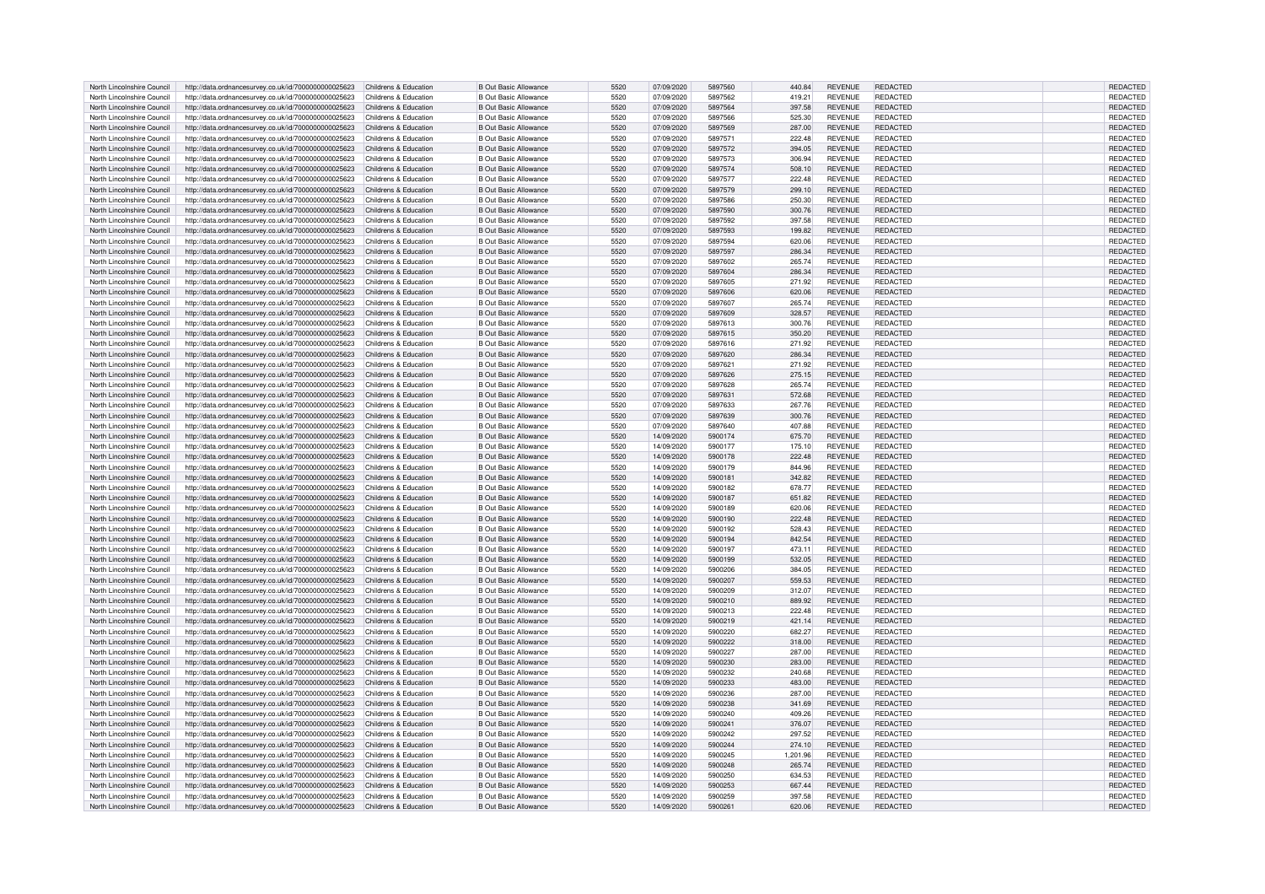| North Lincolnshire Council | http://data.ordnancesurvey.co.uk/id/7000000000025623                       | Childrens & Education | <b>B Out Basic Allowance</b> | 5520 | 07/09/2020 | 5897560 | 440.84   | <b>REVENUE</b> | <b>REDACTED</b> | REDACTED        |
|----------------------------|----------------------------------------------------------------------------|-----------------------|------------------------------|------|------------|---------|----------|----------------|-----------------|-----------------|
| North Lincolnshire Council | http://data.ordnancesurvey.co.uk/id/7000000000025623                       | Childrens & Education | <b>B Out Basic Allowance</b> | 5520 | 07/09/2020 | 5897562 | 419.21   | <b>REVENUE</b> | REDACTED        | REDACTED        |
| North Lincolnshire Council | http://data.ordnancesurvey.co.uk/id/7000000000025623                       | Childrens & Education | <b>B Out Basic Allowance</b> | 5520 | 07/09/2020 | 5897564 | 397.58   | <b>REVENUE</b> | REDACTED        | REDACTED        |
|                            |                                                                            |                       |                              |      |            |         |          |                |                 |                 |
| North Lincolnshire Council | http://data.ordnancesurvey.co.uk/id/7000000000025623                       | Childrens & Education | <b>B Out Basic Allowance</b> | 5520 | 07/09/2020 | 5897566 | 525.30   | <b>REVENUE</b> | REDACTED        | <b>REDACTED</b> |
| North Lincolnshire Council | http://data.ordnancesurvey.co.uk/id/7000000000025623                       | Childrens & Education | <b>B Out Basic Allowance</b> | 5520 | 07/09/2020 | 5897569 | 287.00   | <b>REVENUE</b> | <b>REDACTED</b> | REDACTED        |
| North Lincolnshire Council | http://data.ordnancesurvey.co.uk/id/7000000000025623                       | Childrens & Education | <b>B Out Basic Allowance</b> | 5520 | 07/09/2020 | 5897571 | 222.48   | <b>REVENUE</b> | <b>REDACTED</b> | REDACTED        |
| North Lincolnshire Council | http://data.ordnancesurvey.co.uk/id/7000000000025623                       | Childrens & Education | <b>B Out Basic Allowance</b> | 5520 | 07/09/2020 | 5897572 | 394.05   | <b>REVENUE</b> | REDACTED        | REDACTED        |
| North Lincolnshire Council | http://data.ordnancesurvey.co.uk/id/7000000000025623                       | Childrens & Education | <b>B Out Basic Allowance</b> | 5520 | 07/09/2020 | 5897573 | 306.94   | <b>REVENUE</b> | <b>REDACTED</b> | REDACTED        |
| North Lincolnshire Council | http://data.ordnancesurvey.co.uk/id/7000000000025623                       | Childrens & Education | <b>B Out Basic Allowance</b> | 5520 | 07/09/2020 | 5897574 | 508.10   | <b>REVENUE</b> | REDACTED        | <b>REDACTED</b> |
| North Lincolnshire Council | http://data.ordnancesurvey.co.uk/id/7000000000025623                       | Childrens & Education | <b>B Out Basic Allowance</b> | 5520 | 07/09/2020 | 5897577 | 222.48   | <b>REVENUE</b> | <b>REDACTED</b> | REDACTED        |
|                            |                                                                            |                       |                              |      |            |         |          |                |                 |                 |
| North Lincolnshire Council | http://data.ordnancesurvey.co.uk/id/7000000000025623                       | Childrens & Education | <b>B Out Basic Allowance</b> | 5520 | 07/09/2020 | 5897579 | 299.10   | <b>REVENUE</b> | <b>REDACTED</b> | REDACTED        |
| North Lincolnshire Council | http://data.ordnancesurvey.co.uk/id/7000000000025623                       | Childrens & Education | <b>B Out Basic Allowance</b> | 5520 | 07/09/2020 | 5897586 | 250.30   | <b>REVENUE</b> | REDACTED        | REDACTED        |
| North Lincolnshire Council | http://data.ordnancesurvey.co.uk/id/7000000000025623                       | Childrens & Education | <b>B Out Basic Allowance</b> | 5520 | 07/09/2020 | 5897590 | 300.76   | <b>REVENUE</b> | <b>REDACTED</b> | REDACTED        |
| North Lincolnshire Council | http://data.ordnancesurvey.co.uk/id/7000000000025623                       | Childrens & Education | <b>B Out Basic Allowance</b> | 5520 | 07/09/2020 | 5897592 | 397.58   | <b>REVENUE</b> | <b>REDACTED</b> | REDACTED        |
| North Lincolnshire Council | http://data.ordnancesurvey.co.uk/id/7000000000025623                       | Childrens & Education | <b>B Out Basic Allowance</b> | 5520 | 07/09/2020 | 5897593 | 199.82   | <b>REVENUE</b> | <b>REDACTED</b> | REDACTED        |
| North Lincolnshire Council | http://data.ordnancesurvey.co.uk/id/7000000000025623                       | Childrens & Education | <b>B Out Basic Allowance</b> | 5520 | 07/09/2020 | 5897594 | 620.06   | <b>REVENUE</b> | <b>REDACTED</b> | REDACTED        |
| North Lincolnshire Council |                                                                            | Childrens & Education | <b>B Out Basic Allowance</b> | 5520 | 07/09/2020 | 5897597 | 286.34   | <b>REVENUE</b> | REDACTED        | REDACTED        |
|                            | http://data.ordnancesurvey.co.uk/id/7000000000025623                       |                       |                              |      |            |         |          |                |                 |                 |
| North Lincolnshire Council | http://data.ordnancesurvey.co.uk/id/7000000000025623                       | Childrens & Education | <b>B Out Basic Allowance</b> | 5520 | 07/09/2020 | 5897602 | 265.74   | <b>REVENUE</b> | <b>REDACTED</b> | REDACTED        |
| North Lincolnshire Council | http://data.ordnancesurvey.co.uk/id/7000000000025623                       | Childrens & Education | <b>B Out Basic Allowance</b> | 5520 | 07/09/2020 | 5897604 | 286.34   | <b>REVENUE</b> | REDACTED        | REDACTED        |
| North Lincolnshire Council | http://data.ordnancesurvey.co.uk/id/7000000000025623                       | Childrens & Education | <b>B Out Basic Allowance</b> | 5520 | 07/09/2020 | 5897605 | 271.92   | <b>REVENUE</b> | <b>REDACTED</b> | REDACTED        |
| North Lincolnshire Council | http://data.ordnancesurvey.co.uk/id/7000000000025623                       | Childrens & Education | <b>B Out Basic Allowance</b> | 5520 | 07/09/2020 | 5897606 | 620.06   | <b>REVENUE</b> | <b>REDACTED</b> | REDACTED        |
| North Lincolnshire Council | http://data.ordnancesurvey.co.uk/id/7000000000025623                       | Childrens & Education | <b>B Out Basic Allowance</b> | 5520 | 07/09/2020 | 5897607 | 265.74   | <b>REVENUE</b> | REDACTED        | REDACTED        |
| North Lincolnshire Council | http://data.ordnancesurvey.co.uk/id/7000000000025623                       | Childrens & Education | <b>B Out Basic Allowance</b> | 5520 | 07/09/2020 | 5897609 | 328.57   | <b>REVENUE</b> | <b>REDACTED</b> | REDACTED        |
| North Lincolnshire Council |                                                                            |                       | <b>B Out Basic Allowance</b> | 5520 |            | 5897613 |          | <b>REVENUE</b> | <b>REDACTED</b> |                 |
|                            | http://data.ordnancesurvey.co.uk/id/7000000000025623                       | Childrens & Education |                              |      | 07/09/2020 |         | 300.76   |                |                 | REDACTED        |
| North Lincolnshire Council | http://data.ordnancesurvey.co.uk/id/7000000000025623                       | Childrens & Education | <b>B Out Basic Allowance</b> | 5520 | 07/09/2020 | 5897615 | 350.20   | <b>REVENUE</b> | <b>REDACTED</b> | REDACTED        |
| North Lincolnshire Council | http://data.ordnancesurvey.co.uk/id/7000000000025623                       | Childrens & Education | <b>B Out Basic Allowance</b> | 5520 | 07/09/2020 | 5897616 | 271.92   | <b>REVENUE</b> | <b>REDACTED</b> | REDACTED        |
| North Lincolnshire Council | http://data.ordnancesurvey.co.uk/id/7000000000025623                       | Childrens & Education | <b>B Out Basic Allowance</b> | 5520 | 07/09/2020 | 5897620 | 286.34   | <b>REVENUE</b> | REDACTED        | REDACTED        |
| North Lincolnshire Council | http://data.ordnancesurvey.co.uk/id/7000000000025623                       | Childrens & Education | <b>B Out Basic Allowance</b> | 5520 | 07/09/2020 | 5897621 | 271.92   | <b>REVENUE</b> | <b>REDACTED</b> | REDACTED        |
| North Lincolnshire Council | http://data.ordnancesurvey.co.uk/id/7000000000025623                       | Childrens & Education | <b>B Out Basic Allowance</b> | 5520 | 07/09/2020 | 5897626 | 275.15   | <b>REVENUE</b> | <b>REDACTED</b> | <b>REDACTED</b> |
| North Lincolnshire Council | http://data.ordnancesurvey.co.uk/id/7000000000025623                       | Childrens & Education | <b>B Out Basic Allowance</b> | 5520 | 07/09/2020 | 5897628 | 265.74   | <b>REVENUE</b> | <b>REDACTED</b> | <b>REDACTED</b> |
|                            |                                                                            |                       |                              |      |            |         |          |                |                 |                 |
| North Lincolnshire Council | http://data.ordnancesurvey.co.uk/id/7000000000025623                       | Childrens & Education | <b>B Out Basic Allowance</b> | 5520 | 07/09/2020 | 5897631 | 572.68   | <b>REVENUE</b> | REDACTED        | REDACTED        |
| North Lincolnshire Council | http://data.ordnancesurvey.co.uk/id/7000000000025623                       | Childrens & Education | <b>B Out Basic Allowance</b> | 5520 | 07/09/2020 | 5897633 | 267.76   | <b>REVENUE</b> | <b>REDACTED</b> | REDACTED        |
| North Lincolnshire Council | http://data.ordnancesurvey.co.uk/id/7000000000025623                       | Childrens & Education | <b>B Out Basic Allowance</b> | 5520 | 07/09/2020 | 5897639 | 300.76   | <b>REVENUE</b> | REDACTED        | REDACTED        |
| North Lincolnshire Council | http://data.ordnancesurvey.co.uk/id/7000000000025623                       | Childrens & Education | <b>B Out Basic Allowance</b> | 5520 | 07/09/2020 | 5897640 | 407.88   | <b>REVENUE</b> | REDACTED        | <b>REDACTED</b> |
| North Lincolnshire Council | http://data.ordnancesurvey.co.uk/id/7000000000025623                       | Childrens & Education | <b>B Out Basic Allowance</b> | 5520 | 14/09/2020 | 5900174 | 675.70   | <b>REVENUE</b> | REDACTED        | REDACTED        |
| North Lincolnshire Council | http://data.ordnancesurvey.co.uk/id/7000000000025623                       | Childrens & Education | <b>B Out Basic Allowance</b> | 5520 | 14/09/2020 | 5900177 | 175.10   | <b>REVENUE</b> | REDACTED        | REDACTED        |
| North Lincolnshire Council | http://data.ordnancesurvey.co.uk/id/7000000000025623                       | Childrens & Education | <b>B Out Basic Allowance</b> | 5520 | 14/09/2020 | 5900178 | 222.48   | <b>REVENUE</b> | <b>REDACTED</b> | <b>REDACTED</b> |
|                            |                                                                            |                       |                              |      |            |         |          |                |                 |                 |
| North Lincolnshire Council | http://data.ordnancesurvey.co.uk/id/7000000000025623                       | Childrens & Education | <b>B Out Basic Allowance</b> | 5520 | 14/09/2020 | 5900179 | 844.96   | <b>REVENUE</b> | <b>REDACTED</b> | REDACTED        |
| North Lincolnshire Council | http://data.ordnancesurvey.co.uk/id/7000000000025623                       | Childrens & Education | <b>B Out Basic Allowance</b> | 5520 | 14/09/2020 | 5900181 | 342.82   | <b>REVENUE</b> | <b>REDACTED</b> | <b>REDACTED</b> |
| North Lincolnshire Council | http://data.ordnancesurvey.co.uk/id/7000000000025623                       | Childrens & Education | <b>B Out Basic Allowance</b> | 5520 | 14/09/2020 | 5900182 | 678.77   | <b>REVENUE</b> | <b>REDACTED</b> | REDACTED        |
| North Lincolnshire Council | http://data.ordnancesurvey.co.uk/id/7000000000025623                       | Childrens & Education | <b>B Out Basic Allowance</b> | 5520 | 14/09/2020 | 5900187 | 651.82   | <b>REVENUE</b> | REDACTED        | REDACTED        |
| North Lincolnshire Council | http://data.ordnancesurvey.co.uk/id/7000000000025623                       | Childrens & Education | <b>B Out Basic Allowance</b> | 5520 | 14/09/2020 | 5900189 | 620.06   | <b>REVENUE</b> | REDACTED        | REDACTED        |
| North Lincolnshire Council | http://data.ordnancesurvey.co.uk/id/7000000000025623                       | Childrens & Education | <b>B Out Basic Allowance</b> | 5520 | 14/09/2020 | 5900190 | 222.48   | <b>REVENUE</b> | REDACTED        | REDACTED        |
| North Lincolnshire Council | http://data.ordnancesurvey.co.uk/id/7000000000025623                       | Childrens & Education | <b>B Out Basic Allowance</b> | 5520 | 14/09/2020 | 5900192 | 528.43   | <b>REVENUE</b> | REDACTED        | REDACTED        |
|                            |                                                                            |                       |                              |      |            |         |          |                |                 |                 |
| North Lincolnshire Council | http://data.ordnancesurvey.co.uk/id/7000000000025623                       | Childrens & Education | <b>B Out Basic Allowance</b> | 5520 | 14/09/2020 | 5900194 | 842.54   | <b>REVENUE</b> | REDACTED        | REDACTED        |
| North Lincolnshire Council | http://data.ordnancesurvey.co.uk/id/7000000000025623                       | Childrens & Education | <b>B Out Basic Allowance</b> | 5520 | 14/09/2020 | 5900197 | 473.11   | <b>REVENUE</b> | <b>REDACTED</b> | REDACTED        |
| North Lincolnshire Council | http://data.ordnancesurvey.co.uk/id/7000000000025623                       | Childrens & Education | <b>B Out Basic Allowance</b> | 5520 | 14/09/2020 | 5900199 | 532.05   | <b>REVENUE</b> | <b>REDACTED</b> | REDACTED        |
| North Lincolnshire Council | http://data.ordnancesurvey.co.uk/id/7000000000025623                       | Childrens & Education | <b>B Out Basic Allowance</b> | 5520 | 14/09/2020 | 5900206 | 384.05   | <b>REVENUE</b> | REDACTED        | <b>REDACTED</b> |
| North Lincolnshire Council | http://data.ordnancesurvey.co.uk/id/7000000000025623                       | Childrens & Education | <b>B Out Basic Allowance</b> | 5520 | 14/09/2020 | 5900207 | 559.53   | <b>REVENUE</b> | <b>REDACTED</b> | REDACTED        |
| North Lincolnshire Council | http://data.ordnancesurvey.co.uk/id/7000000000025623                       | Childrens & Education | <b>B Out Basic Allowance</b> | 5520 | 14/09/2020 | 5900209 | 312.07   | <b>REVENUE</b> | <b>REDACTED</b> | REDACTED        |
| North Lincolnshire Council | http://data.ordnancesurvey.co.uk/id/7000000000025623                       | Childrens & Education | <b>B Out Basic Allowance</b> | 5520 | 14/09/2020 | 5900210 | 889.92   | <b>REVENUE</b> | <b>REDACTED</b> | REDACTED        |
|                            |                                                                            |                       |                              |      |            |         |          |                |                 |                 |
| North Lincolnshire Council | http://data.ordnancesurvey.co.uk/id/7000000000025623                       | Childrens & Education | <b>B Out Basic Allowance</b> | 5520 | 14/09/2020 | 5900213 | 222.48   | <b>REVENUE</b> | <b>REDACTED</b> | REDACTED        |
| North Lincolnshire Council | http://data.ordnancesurvey.co.uk/id/7000000000025623                       | Childrens & Education | <b>B Out Basic Allowance</b> | 5520 | 14/09/2020 | 5900219 | 421.14   | <b>REVENUE</b> | <b>REDACTED</b> | <b>REDACTED</b> |
| North Lincolnshire Council | http://data.ordnancesurvey.co.uk/id/7000000000025623                       | Childrens & Education | <b>B Out Basic Allowance</b> | 5520 | 14/09/2020 | 5900220 | 682.27   | <b>REVENUE</b> | <b>REDACTED</b> | REDACTED        |
| North Lincolnshire Council | http://data.ordnancesurvey.co.uk/id/7000000000025623                       | Childrens & Education | <b>B Out Basic Allowance</b> | 5520 | 14/09/2020 | 5900222 | 318.00   | <b>REVENUE</b> | <b>REDACTED</b> | REDACTED        |
| North Lincolnshire Council | http://data.ordnancesurvey.co.uk/id/7000000000025623                       | Childrens & Education | <b>B Out Basic Allowance</b> | 5520 | 14/09/2020 | 5900227 | 287.00   | <b>REVENUE</b> | <b>REDACTED</b> | REDACTED        |
| North Lincolnshire Council | http://data.ordnancesurvey.co.uk/id/7000000000025623                       | Childrens & Education | <b>B Out Basic Allowance</b> | 5520 | 14/09/2020 | 5900230 | 283.00   | <b>REVENUE</b> | <b>REDACTED</b> | REDACTED        |
| North Lincolnshire Council | http://data.ordnancesurvey.co.uk/id/7000000000025623                       | Childrens & Education | <b>B Out Basic Allowance</b> | 5520 | 14/09/2020 | 5900232 | 240.68   | <b>REVENUE</b> | REDACTED        | <b>REDACTED</b> |
|                            |                                                                            |                       |                              |      |            |         |          |                |                 |                 |
| North Lincolnshire Council | http://data.ordnancesurvey.co.uk/id/7000000000025623                       | Childrens & Education | <b>B Out Basic Allowance</b> | 5520 | 14/09/2020 | 5900233 | 483.00   | <b>REVENUE</b> | <b>REDACTED</b> | REDACTED        |
| North Lincolnshire Council | http://data.ordnancesurvey.co.uk/id/7000000000025623                       | Childrens & Education | <b>B Out Basic Allowance</b> | 5520 | 14/09/2020 | 5900236 | 287.00   | <b>REVENUE</b> | <b>REDACTED</b> | REDACTED        |
| North Lincolnshire Council | http://data.ordnancesurvey.co.uk/id/7000000000025623                       | Childrens & Education | <b>B Out Basic Allowance</b> | 5520 | 14/09/2020 | 5900238 | 341.69   | <b>REVENUE</b> | REDACTED        | REDACTED        |
| North Lincolnshire Council | http://data.ordnancesurvey.co.uk/id/7000000000025623                       | Childrens & Education | <b>B Out Basic Allowance</b> | 5520 | 14/09/2020 | 5900240 | 409.26   | <b>REVENUE</b> | <b>REDACTED</b> | REDACTED        |
| North Lincolnshire Council | http://data.ordnancesurvey.co.uk/id/7000000000025623                       | Childrens & Education | <b>B Out Basic Allowance</b> | 5520 | 14/09/2020 | 5900241 | 376.07   | <b>REVENUE</b> | <b>REDACTED</b> | REDACTED        |
| North Lincolnshire Council | http://data.ordnancesurvey.co.uk/id/7000000000025623                       | Childrens & Education | <b>B Out Basic Allowance</b> | 5520 | 14/09/2020 | 5900242 | 297.52   | <b>REVENUE</b> | REDACTED        | REDACTED        |
|                            |                                                                            |                       |                              | 5520 |            | 5900244 |          |                | <b>REDACTED</b> |                 |
| North Lincolnshire Council | http://data.ordnancesurvey.co.uk/id/7000000000025623                       | Childrens & Education | <b>B Out Basic Allowance</b> |      | 14/09/2020 |         | 274.10   | <b>REVENUE</b> |                 | REDACTED        |
| North Lincolnshire Council | http://data.ordnancesurvey.co.uk/id/7000000000025623                       | Childrens & Education | <b>B Out Basic Allowance</b> | 5520 | 14/09/2020 | 5900245 | 1.201.96 | <b>REVENUE</b> | REDACTED        | REDACTED        |
| North Lincolnshire Council | http://data.ordnancesurvey.co.uk/id/7000000000025623                       | Childrens & Education | <b>B Out Basic Allowance</b> | 5520 | 14/09/2020 | 5900248 | 265.74   | <b>REVENUE</b> | <b>REDACTED</b> | REDACTED        |
| North Lincolnshire Council | http://data.ordnancesurvey.co.uk/id/7000000000025623                       | Childrens & Education | <b>B Out Basic Allowance</b> | 5520 | 14/09/2020 | 5900250 | 634.53   | <b>REVENUE</b> | REDACTED        | REDACTED        |
| North Lincolnshire Council | http://data.ordnancesurvey.co.uk/id/7000000000025623                       | Childrens & Education | B Out Basic Allowance        | 5520 | 14/09/2020 | 5900253 | 667.44   | <b>REVENUE</b> | REDACTED        | <b>REDACTED</b> |
| North Lincolnshire Council | http://data.ordnancesurvey.co.uk/id/7000000000025623                       | Childrens & Education | B Out Basic Allowance        | 5520 | 14/09/2020 | 5900259 | 397.58   | <b>REVENUE</b> | <b>REDACTED</b> | REDACTED        |
| North Lincolnshire Council | http://data.ordnancesurvey.co.uk/id/7000000000025623 Childrens & Education |                       | <b>B Out Basic Allowance</b> | 5520 | 14/09/2020 | 5900261 | 620.06   | <b>REVENUE</b> | REDACTED        | REDACTED        |
|                            |                                                                            |                       |                              |      |            |         |          |                |                 |                 |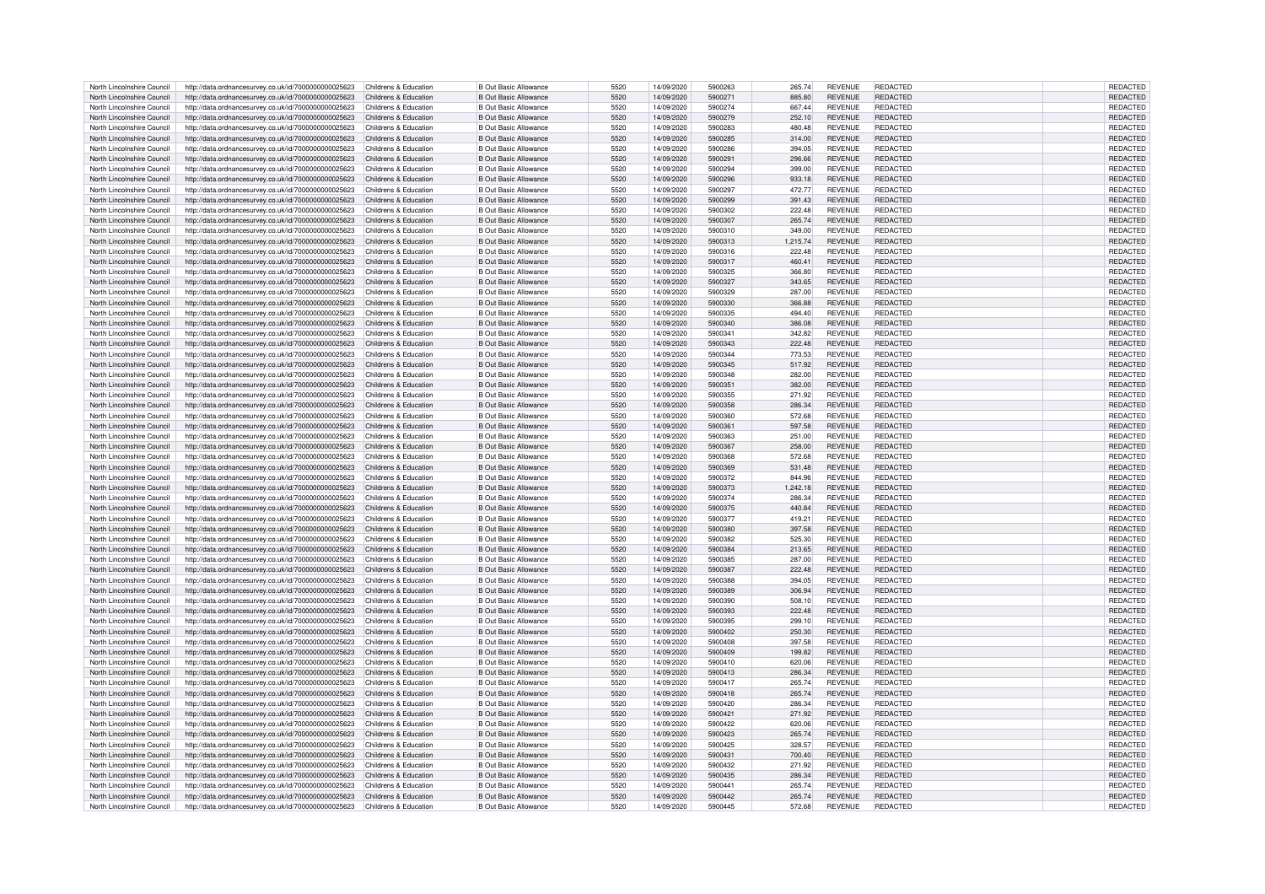| North Lincolnshire Council                               | http://data.ordnancesurvey.co.uk/id/7000000000025623                       | Childrens & Education                          | <b>B Out Basic Allowance</b>                                 | 5520         | 14/09/2020               | 5900263            | 265.74           | <b>REVENUE</b> | REDACTED                    | REDACTED        |
|----------------------------------------------------------|----------------------------------------------------------------------------|------------------------------------------------|--------------------------------------------------------------|--------------|--------------------------|--------------------|------------------|----------------|-----------------------------|-----------------|
| North Lincolnshire Council                               | http://data.ordnancesurvey.co.uk/id/7000000000025623                       | Childrens & Education                          | <b>B Out Basic Allowance</b>                                 | 5520         | 14/09/2020               | 5900271            | 885.80           | <b>REVENUE</b> | REDACTED                    | REDACTED        |
| North Lincolnshire Council                               | http://data.ordnancesurvey.co.uk/id/7000000000025623                       | Childrens & Education                          | <b>B Out Basic Allowance</b>                                 | 5520         | 14/09/2020               | 5900274            | 667.44           | <b>REVENUE</b> | REDACTED                    | REDACTED        |
| North Lincolnshire Council                               | http://data.ordnancesurvey.co.uk/id/7000000000025623                       | Childrens & Education                          | B Out Basic Allowance                                        | 5520         | 14/09/2020               | 5900279            | 252.10           | <b>REVENUE</b> | <b>REDACTED</b>             | <b>REDACTED</b> |
|                                                          |                                                                            |                                                |                                                              |              |                          |                    |                  |                |                             |                 |
| North Lincolnshire Council                               | http://data.ordnancesurvey.co.uk/id/7000000000025623                       | Childrens & Education                          | <b>B Out Basic Allowance</b>                                 | 5520         | 14/09/2020               | 5900283            | 480.48           | <b>REVENUE</b> | REDACTED                    | REDACTED        |
| North Lincolnshire Council                               | http://data.ordnancesurvey.co.uk/id/7000000000025623                       | Childrens & Education                          | <b>B Out Basic Allowance</b>                                 | 5520         | 14/09/2020               | 5900285            | 314.00           | <b>REVENUE</b> | REDACTED                    | REDACTED        |
| North Lincolnshire Council                               | http://data.ordnancesurvey.co.uk/id/7000000000025623                       | Childrens & Education                          | <b>B Out Basic Allowance</b>                                 | 5520         | 14/09/2020               | 5900286            | 394.05           | <b>REVENUE</b> | REDACTED                    | REDACTED        |
| North Lincolnshire Council                               | http://data.ordnancesurvey.co.uk/id/7000000000025623                       | Childrens & Education                          | <b>B Out Basic Allowance</b>                                 | 5520         | 14/09/2020               | 5900291            | 296.66           | <b>REVENUE</b> | <b>REDACTED</b>             | REDACTED        |
| North Lincolnshire Council                               | http://data.ordnancesurvey.co.uk/id/7000000000025623                       | Childrens & Education                          | <b>B Out Basic Allowance</b>                                 | 5520         | 14/09/2020               | 5900294            | 399.00           | <b>REVENUE</b> | REDACTED                    | <b>REDACTED</b> |
| North Lincolnshire Council                               | http://data.ordnancesurvey.co.uk/id/7000000000025623                       | Childrens & Education                          | <b>B Out Basic Allowance</b>                                 | 5520         | 14/09/2020               | 5900296            | 933.18           | <b>REVENUE</b> | <b>REDACTED</b>             | REDACTED        |
| North Lincolnshire Council                               | http://data.ordnancesurvey.co.uk/id/7000000000025623                       | Childrens & Education                          | <b>B Out Basic Allowance</b>                                 | 5520         | 14/09/2020               | 5900297            | 472.77           | <b>REVENUE</b> | <b>REDACTED</b>             | REDACTED        |
| North Lincolnshire Council                               |                                                                            | Childrens & Education                          | <b>B Out Basic Allowance</b>                                 | 5520         | 14/09/2020               | 5900299            | 391.43           | <b>REVENUE</b> | REDACTED                    | REDACTED        |
|                                                          | http://data.ordnancesurvey.co.uk/id/7000000000025623                       |                                                |                                                              |              |                          |                    |                  |                |                             |                 |
| North Lincolnshire Council                               | http://data.ordnancesurvey.co.uk/id/7000000000025623                       | Childrens & Education                          | <b>B Out Basic Allowance</b>                                 | 5520         | 14/09/2020               | 5900302            | 222.48           | <b>REVENUE</b> | REDACTED                    | REDACTED        |
| North Lincolnshire Council                               | http://data.ordnancesurvey.co.uk/id/7000000000025623                       | Childrens & Education                          | <b>B Out Basic Allowance</b>                                 | 5520         | 14/09/2020               | 5900307            | 265.74           | <b>REVENUE</b> | <b>REDACTED</b>             | <b>REDACTED</b> |
| North Lincolnshire Council                               | http://data.ordnancesurvey.co.uk/id/7000000000025623                       | Childrens & Education                          | <b>B Out Basic Allowance</b>                                 | 5520         | 14/09/2020               | 5900310            | 349.00           | <b>REVENUE</b> | <b>REDACTED</b>             | REDACTED        |
| North Lincolnshire Council                               | http://data.ordnancesurvey.co.uk/id/7000000000025623                       | Childrens & Education                          | <b>B Out Basic Allowance</b>                                 | 5520         | 14/09/2020               | 5900313            | 1,215.74         | <b>REVENUE</b> | <b>REDACTED</b>             | REDACTED        |
| North Lincolnshire Council                               | http://data.ordnancesurvey.co.uk/id/7000000000025623                       | Childrens & Education                          | <b>B Out Basic Allowance</b>                                 | 5520         | 14/09/2020               | 5900316            | 222.48           | <b>REVENUE</b> | REDACTED                    | REDACTED        |
| North Lincolnshire Council                               | http://data.ordnancesurvey.co.uk/id/7000000000025623                       | Childrens & Education                          | <b>B Out Basic Allowance</b>                                 | 5520         | 14/09/2020               | 5900317            | 460.41           | <b>REVENUE</b> | <b>REDACTED</b>             | REDACTED        |
| North Lincolnshire Council                               | http://data.ordnancesurvey.co.uk/id/7000000000025623                       | Childrens & Education                          | <b>B Out Basic Allowance</b>                                 | 5520         | 14/09/2020               | 5900325            | 366.80           | <b>REVENUE</b> | REDACTED                    | REDACTED        |
| North Lincolnshire Council                               | http://data.ordnancesurvey.co.uk/id/7000000000025623                       | Childrens & Education                          | B Out Basic Allowance                                        | 5520         | 14/09/2020               | 5900327            | 343.65           | <b>REVENUE</b> | <b>REDACTED</b>             | REDACTED        |
| North Lincolnshire Council                               | http://data.ordnancesurvey.co.uk/id/7000000000025623                       | Childrens & Education                          | <b>B Out Basic Allowance</b>                                 | 5520         | 14/09/2020               | 5900329            | 287.00           | <b>REVENUE</b> | <b>REDACTED</b>             | REDACTED        |
|                                                          |                                                                            |                                                |                                                              |              |                          |                    |                  |                |                             |                 |
| North Lincolnshire Council<br>North Lincolnshire Council | http://data.ordnancesurvey.co.uk/id/7000000000025623                       | Childrens & Education<br>Childrens & Education | <b>B Out Basic Allowance</b><br><b>B Out Basic Allowance</b> | 5520<br>5520 | 14/09/2020<br>14/09/2020 | 5900330<br>5900335 | 366,88<br>494.40 | <b>REVENUE</b> | REDACTED<br><b>REDACTED</b> | REDACTED        |
|                                                          | http://data.ordnancesurvey.co.uk/id/7000000000025623                       |                                                |                                                              |              |                          |                    |                  | <b>REVENUE</b> |                             | REDACTED        |
| North Lincolnshire Council                               | http://data.ordnancesurvey.co.uk/id/7000000000025623                       | Childrens & Education                          | <b>B Out Basic Allowance</b>                                 | 5520         | 14/09/2020               | 5900340            | 386.08           | <b>REVENUE</b> | <b>REDACTED</b>             | REDACTED        |
| North Lincolnshire Council                               | http://data.ordnancesurvey.co.uk/id/7000000000025623                       | Childrens & Education                          | <b>B Out Basic Allowance</b>                                 | 5520         | 14/09/2020               | 5900341            | 342.82           | <b>REVENUE</b> | <b>REDACTED</b>             | REDACTED        |
| North Lincolnshire Council                               | http://data.ordnancesurvey.co.uk/id/7000000000025623                       | Childrens & Education                          | <b>B Out Basic Allowance</b>                                 | 5520         | 14/09/2020               | 5900343            | 222.48           | <b>REVENUE</b> | <b>REDACTED</b>             | REDACTED        |
| North Lincolnshire Council                               | http://data.ordnancesurvey.co.uk/id/7000000000025623                       | Childrens & Education                          | <b>B Out Basic Allowance</b>                                 | 5520         | 14/09/2020               | 5900344            | 773.53           | <b>REVENUE</b> | REDACTED                    | REDACTED        |
| North Lincolnshire Council                               | http://data.ordnancesurvey.co.uk/id/7000000000025623                       | Childrens & Education                          | <b>B Out Basic Allowance</b>                                 | 5520         | 14/09/2020               | 5900345            | 517.92           | <b>REVENUE</b> | <b>REDACTED</b>             | <b>REDACTED</b> |
| North Lincolnshire Council                               | http://data.ordnancesurvey.co.uk/id/7000000000025623                       | Childrens & Education                          | <b>B Out Basic Allowance</b>                                 | 5520         | 14/09/2020               | 5900348            | 282.00           | <b>REVENUE</b> | REDACTED                    | REDACTED        |
| North Lincolnshire Council                               | http://data.ordnancesurvey.co.uk/id/7000000000025623                       | Childrens & Education                          | <b>B Out Basic Allowance</b>                                 | 5520         | 14/09/2020               | 5900351            | 382.00           | <b>REVENUE</b> | REDACTED                    | REDACTED        |
| North Lincolnshire Council                               | http://data.ordnancesurvey.co.uk/id/7000000000025623                       | Childrens & Education                          | <b>B Out Basic Allowance</b>                                 | 5520         | 14/09/2020               | 5900355            | 271.92           | <b>REVENUE</b> | <b>REDACTED</b>             | REDACTED        |
| North Lincolnshire Council                               | http://data.ordnancesurvey.co.uk/id/7000000000025623                       | Childrens & Education                          | <b>B Out Basic Allowance</b>                                 | 5520         | 14/09/2020               | 5900358            | 286.34           | <b>REVENUE</b> | <b>REDACTED</b>             | REDACTED        |
| North Lincolnshire Council                               | http://data.ordnancesurvey.co.uk/id/7000000000025623                       | Childrens & Education                          | <b>B Out Basic Allowance</b>                                 | 5520         | 14/09/2020               | 5900360            | 572.68           | <b>REVENUE</b> | REDACTED                    | REDACTED        |
| North Lincolnshire Council                               |                                                                            | Childrens & Education                          | <b>B Out Basic Allowance</b>                                 | 5520         | 14/09/2020               | 5900361            | 597.58           | <b>REVENUE</b> | REDACTED                    | REDACTED        |
|                                                          | http://data.ordnancesurvey.co.uk/id/7000000000025623                       |                                                |                                                              | 5520         |                          |                    |                  |                |                             |                 |
| North Lincolnshire Council                               | http://data.ordnancesurvey.co.uk/id/7000000000025623                       | Childrens & Education                          | <b>B Out Basic Allowance</b>                                 |              | 14/09/2020               | 5900363            | 251.00           | <b>REVENUE</b> | <b>REDACTED</b>             | <b>REDACTED</b> |
| North Lincolnshire Council                               | http://data.ordnancesurvey.co.uk/id/7000000000025623                       | Childrens & Education                          | <b>B Out Basic Allowance</b>                                 | 5520         | 14/09/2020               | 5900367            | 258.00           | <b>REVENUE</b> | <b>REDACTED</b>             | REDACTED        |
| North Lincolnshire Council                               | http://data.ordnancesurvey.co.uk/id/7000000000025623                       | Childrens & Education                          | <b>B Out Basic Allowance</b>                                 | 5520         | 14/09/2020               | 5900368            | 572.68           | <b>REVENUE</b> | <b>REDACTED</b>             | REDACTED        |
| North Lincolnshire Council                               | http://data.ordnancesurvey.co.uk/id/7000000000025623                       | Childrens & Education                          | <b>B Out Basic Allowance</b>                                 | 5520         | 14/09/2020               | 5900369            | 531.48           | <b>REVENUE</b> | <b>REDACTED</b>             | REDACTED        |
| North Lincolnshire Council                               | http://data.ordnancesurvey.co.uk/id/7000000000025623                       | Childrens & Education                          | <b>B Out Basic Allowance</b>                                 | 5520         | 14/09/2020               | 5900372            | 844.96           | <b>REVENUE</b> | REDACTED                    | REDACTED        |
| North Lincolnshire Council                               | http://data.ordnancesurvey.co.uk/id/7000000000025623                       | Childrens & Education                          | <b>B Out Basic Allowance</b>                                 | 5520         | 14/09/2020               | 5900373            | 1,242.18         | <b>REVENUE</b> | <b>REDACTED</b>             | REDACTED        |
| North Lincolnshire Council                               | http://data.ordnancesurvey.co.uk/id/7000000000025623                       | Childrens & Education                          | <b>B Out Basic Allowance</b>                                 | 5520         | 14/09/2020               | 5900374            | 286.34           | <b>REVENUE</b> | REDACTED                    | REDACTED        |
| North Lincolnshire Council                               | http://data.ordnancesurvey.co.uk/id/7000000000025623                       | Childrens & Education                          | <b>B Out Basic Allowance</b>                                 | 5520         | 14/09/2020               | 5900375            | 440.84           | <b>REVENUE</b> | <b>REDACTED</b>             | REDACTED        |
| North Lincolnshire Council                               | http://data.ordnancesurvey.co.uk/id/7000000000025623                       | Childrens & Education                          | <b>B Out Basic Allowance</b>                                 | 5520         | 14/09/2020               | 5900377            | 419.21           | <b>REVENUE</b> | REDACTED                    | REDACTED        |
| North Lincolnshire Council                               | http://data.ordnancesurvey.co.uk/id/7000000000025623                       | Childrens & Education                          | <b>B Out Basic Allowance</b>                                 | 5520         | 14/09/2020               | 5900380            | 397.58           | <b>REVENUE</b> | <b>REDACTED</b>             | REDACTED        |
| North Lincolnshire Council                               | http://data.ordnancesurvey.co.uk/id/7000000000025623                       | Childrens & Education                          | <b>B Out Basic Allowance</b>                                 | 5520         | 14/09/2020               | 5900382            | 525.30           | <b>REVENUE</b> | <b>REDACTED</b>             | REDACTED        |
| North Lincolnshire Council                               | http://data.ordnancesurvey.co.uk/id/7000000000025623                       | Childrens & Education                          | <b>B Out Basic Allowance</b>                                 | 5520         | 14/09/2020               | 5900384            | 213.65           | <b>REVENUE</b> | <b>REDACTED</b>             | REDACTED        |
| North Lincolnshire Council                               |                                                                            | Childrens & Education                          | <b>B Out Basic Allowance</b>                                 | 5520         | 14/09/2020               | 5900385            | 287.00           | <b>REVENUE</b> | <b>REDACTED</b>             | <b>REDACTED</b> |
|                                                          | http://data.ordnancesurvey.co.uk/id/7000000000025623                       |                                                |                                                              |              |                          |                    |                  |                |                             |                 |
| North Lincolnshire Council                               | http://data.ordnancesurvey.co.uk/id/7000000000025623                       | Childrens & Education                          | <b>B Out Basic Allowance</b>                                 | 5520         | 14/09/2020               | 5900387            | 222.48           | <b>REVENUE</b> | <b>REDACTED</b>             | <b>REDACTED</b> |
| North Lincolnshire Council                               | http://data.ordnancesurvey.co.uk/id/7000000000025623                       | Childrens & Education                          | <b>B Out Basic Allowance</b>                                 | 5520         | 14/09/2020               | 5900388            | 394.05           | <b>REVENUE</b> | <b>REDACTED</b>             | REDACTED        |
| North Lincolnshire Council                               | http://data.ordnancesurvey.co.uk/id/7000000000025623                       | Childrens & Education                          | <b>B Out Basic Allowance</b>                                 | 5520         | 14/09/2020               | 5900389            | 306.94           | <b>REVENUE</b> | REDACTED                    | REDACTED        |
| North Lincolnshire Council                               | http://data.ordnancesurvey.co.uk/id/7000000000025623                       | Childrens & Education                          | <b>B Out Basic Allowance</b>                                 | 5520         | 14/09/2020               | 5900390            | 508.10           | <b>REVENUE</b> | <b>REDACTED</b>             | REDACTED        |
| North Lincolnshire Council                               | http://data.ordnancesurvey.co.uk/id/7000000000025623                       | Childrens & Education                          | <b>B Out Basic Allowance</b>                                 | 5520         | 14/09/2020               | 5900393            | 222.48           | <b>REVENUE</b> | <b>REDACTED</b>             | REDACTED        |
| North Lincolnshire Council                               | http://data.ordnancesurvey.co.uk/id/7000000000025623                       | Childrens & Education                          | B Out Basic Allowance                                        | 5520         | 14/09/2020               | 5900395            | 299.10           | <b>REVENUE</b> | REDACTED                    | REDACTED        |
| North Lincolnshire Council                               | http://data.ordnancesurvey.co.uk/id/7000000000025623                       | Childrens & Education                          | <b>B Out Basic Allowance</b>                                 | 5520         | 14/09/2020               | 5900402            | 250.30           | <b>REVENUE</b> | REDACTED                    | REDACTED        |
| North Lincolnshire Council                               | http://data.ordnancesurvey.co.uk/id/7000000000025623                       | Childrens & Education                          | B Out Basic Allowance                                        | 5520         | 14/09/2020               | 5900408            | 397.58           | <b>REVENUE</b> | <b>REDACTED</b>             | REDACTED        |
| North Lincolnshire Council                               | http://data.ordnancesurvey.co.uk/id/7000000000025623                       | Childrens & Education                          | <b>B Out Basic Allowance</b>                                 | 5520         | 14/09/2020               | 5900409            | 199.82           | <b>REVENUE</b> | <b>REDACTED</b>             | <b>REDACTED</b> |
| North Lincolnshire Council                               | http://data.ordnancesurvey.co.uk/id/7000000000025623                       | Childrens & Education                          | <b>B Out Basic Allowance</b>                                 | 5520         | 14/09/2020               | 5900410            | 620.06           | <b>REVENUE</b> | <b>REDACTED</b>             | REDACTED        |
| North Lincolnshire Council                               | http://data.ordnancesurvey.co.uk/id/7000000000025623                       | Childrens & Education                          | <b>B Out Basic Allowance</b>                                 | 5520         | 14/09/2020               | 5900413            | 286.34           | <b>REVENUE</b> | REDACTED                    | <b>REDACTED</b> |
| North Lincolnshire Council                               | http://data.ordnancesurvey.co.uk/id/7000000000025623                       | Childrens & Education                          | <b>B Out Basic Allowance</b>                                 | 5520         | 14/09/2020               | 5900417            | 265.74           | <b>REVENUE</b> | <b>REDACTED</b>             | REDACTED        |
| North Lincolnshire Council                               | http://data.ordnancesurvey.co.uk/id/7000000000025623                       | Childrens & Education                          | <b>B Out Basic Allowance</b>                                 | 5520         | 14/09/2020               | 5900418            | 265.74           | <b>REVENUE</b> | <b>REDACTED</b>             | REDACTED        |
|                                                          |                                                                            |                                                |                                                              |              |                          |                    |                  |                |                             |                 |
| North Lincolnshire Council                               | http://data.ordnancesurvey.co.uk/id/7000000000025623                       | Childrens & Education                          | <b>B Out Basic Allowance</b>                                 | 5520         | 14/09/2020               | 5900420            | 286.34           | <b>REVENUE</b> | REDACTED                    | REDACTED        |
| North Lincolnshire Council                               | http://data.ordnancesurvey.co.uk/id/7000000000025623                       | Childrens & Education                          | <b>B Out Basic Allowance</b>                                 | 5520         | 14/09/2020               | 5900421            | 271.92           | <b>REVENUE</b> | <b>REDACTED</b>             | REDACTED        |
| North Lincolnshire Council                               | http://data.ordnancesurvey.co.uk/id/7000000000025623                       | Childrens & Education                          | <b>B Out Basic Allowance</b>                                 | 5520         | 14/09/2020               | 5900422            | 620.06           | <b>REVENUE</b> | REDACTED                    | REDACTED        |
| North Lincolnshire Council                               | http://data.ordnancesurvey.co.uk/id/7000000000025623                       | Childrens & Education                          | <b>B Out Basic Allowance</b>                                 | 5520         | 14/09/2020               | 5900423            | 265.74           | <b>REVENUE</b> | <b>REDACTED</b>             | REDACTED        |
| North Lincolnshire Council                               | http://data.ordnancesurvey.co.uk/id/7000000000025623                       | Childrens & Education                          | <b>B</b> Out Basic Allowance                                 | 5520         | 14/09/2020               | 5900425            | 328.57           | <b>REVENUE</b> | <b>REDACTED</b>             | REDACTED        |
| North Lincolnshire Council                               | http://data.ordnancesurvey.co.uk/id/7000000000025623                       | Childrens & Education                          | <b>B Out Basic Allowance</b>                                 | 5520         | 14/09/2020               | 5900431            | 700.40           | <b>REVENUE</b> | <b>REDACTED</b>             | REDACTED        |
| North Lincolnshire Council                               | http://data.ordnancesurvey.co.uk/id/7000000000025623                       | Childrens & Education                          | <b>B Out Basic Allowance</b>                                 | 5520         | 14/09/2020               | 5900432            | 271.92           | <b>REVENUE</b> | <b>REDACTED</b>             | REDACTED        |
| North Lincolnshire Council                               | http://data.ordnancesurvey.co.uk/id/7000000000025623                       | Childrens & Education                          | <b>B Out Basic Allowance</b>                                 | 5520         | 14/09/2020               | 5900435            | 286.34           | <b>REVENUE</b> | REDACTED                    | REDACTED        |
| North Lincolnshire Council                               | http://data.ordnancesurvey.co.uk/id/7000000000025623                       | Childrens & Education                          | B Out Basic Allowance                                        | 5520         | 14/09/2020               | 5900441            | 265.74           | <b>REVENUE</b> | REDACTED                    | REDACTED        |
| North Lincolnshire Council                               | http://data.ordnancesurvey.co.uk/id/7000000000025623                       | Childrens & Education                          | B Out Basic Allowance                                        | 5520         | 14/09/2020               | 5900442            | 265.74           | <b>REVENUE</b> | <b>REDACTED</b>             | <b>REDACTED</b> |
| North Lincolnshire Council                               | http://data.ordnancesurvey.co.uk/id/7000000000025623 Childrens & Education |                                                | <b>B</b> Out Basic Allowance                                 | 5520         | 14/09/2020               | 5900445            | 572.68           | <b>REVENUE</b> | REDACTED                    | REDACTED        |
|                                                          |                                                                            |                                                |                                                              |              |                          |                    |                  |                |                             |                 |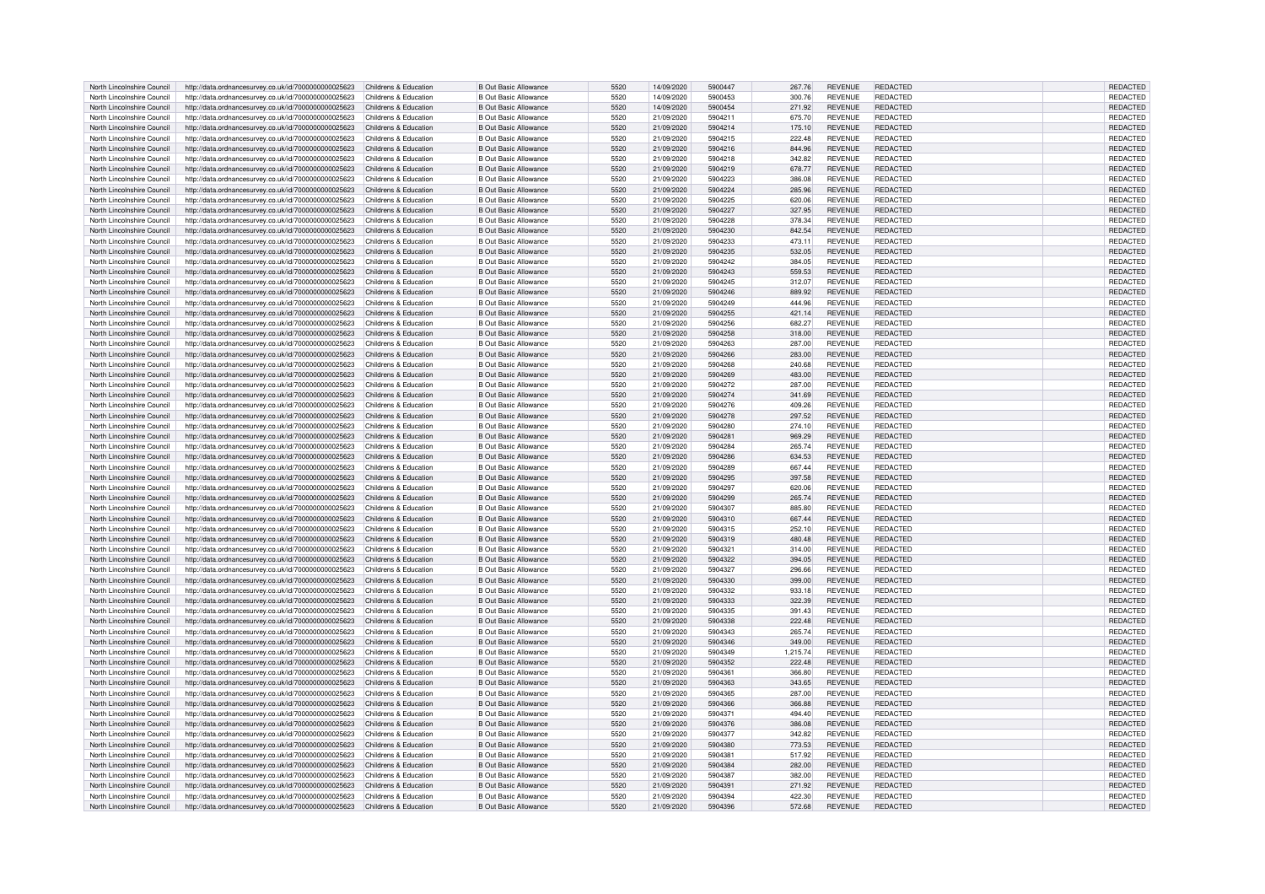| North Lincolnshire Council | http://data.ordnancesurvey.co.uk/id/7000000000025623                       | Childrens & Education | <b>B Out Basic Allowance</b> | 5520 | 14/09/2020 | 5900447 | 267.76   | <b>REVENUE</b> | <b>REDACTED</b> | REDACTED        |
|----------------------------|----------------------------------------------------------------------------|-----------------------|------------------------------|------|------------|---------|----------|----------------|-----------------|-----------------|
| North Lincolnshire Council | http://data.ordnancesurvey.co.uk/id/7000000000025623                       | Childrens & Education | <b>B Out Basic Allowance</b> | 5520 | 14/09/2020 | 5900453 | 300.76   | <b>REVENUE</b> | REDACTED        | REDACTED        |
| North Lincolnshire Council | http://data.ordnancesurvey.co.uk/id/7000000000025623                       | Childrens & Education | <b>B Out Basic Allowance</b> | 5520 | 14/09/2020 | 5900454 | 271.92   | <b>REVENUE</b> | REDACTED        | REDACTED        |
|                            |                                                                            |                       |                              |      |            |         |          |                |                 |                 |
| North Lincolnshire Council | http://data.ordnancesurvey.co.uk/id/7000000000025623                       | Childrens & Education | <b>B Out Basic Allowance</b> | 5520 | 21/09/2020 | 5904211 | 675.70   | <b>REVENUE</b> | REDACTED        | <b>REDACTED</b> |
| North Lincolnshire Council | http://data.ordnancesurvey.co.uk/id/7000000000025623                       | Childrens & Education | <b>B Out Basic Allowance</b> | 5520 | 21/09/2020 | 5904214 | 175.10   | <b>REVENUE</b> | <b>REDACTED</b> | REDACTED        |
| North Lincolnshire Council | http://data.ordnancesurvey.co.uk/id/7000000000025623                       | Childrens & Education | <b>B Out Basic Allowance</b> | 5520 | 21/09/2020 | 5904215 | 222.48   | <b>REVENUE</b> | REDACTED        | REDACTED        |
| North Lincolnshire Council | http://data.ordnancesurvey.co.uk/id/7000000000025623                       | Childrens & Education | <b>B Out Basic Allowance</b> | 5520 | 21/09/2020 | 5904216 | 844.96   | <b>REVENUE</b> | REDACTED        | REDACTED        |
| North Lincolnshire Council | http://data.ordnancesurvey.co.uk/id/7000000000025623                       | Childrens & Education | <b>B Out Basic Allowance</b> | 5520 | 21/09/2020 | 5904218 | 342.82   | <b>REVENUE</b> | <b>REDACTED</b> | REDACTED        |
| North Lincolnshire Council | http://data.ordnancesurvey.co.uk/id/7000000000025623                       | Childrens & Education | <b>B Out Basic Allowance</b> | 5520 | 21/09/2020 | 5904219 | 678.77   | <b>REVENUE</b> | REDACTED        | <b>REDACTED</b> |
| North Lincolnshire Council | http://data.ordnancesurvey.co.uk/id/7000000000025623                       | Childrens & Education | <b>B Out Basic Allowance</b> | 5520 | 21/09/2020 | 5904223 | 386.08   | <b>REVENUE</b> | <b>REDACTED</b> | REDACTED        |
|                            |                                                                            |                       |                              |      |            |         |          |                |                 |                 |
| North Lincolnshire Council | http://data.ordnancesurvey.co.uk/id/7000000000025623                       | Childrens & Education | <b>B Out Basic Allowance</b> | 5520 | 21/09/2020 | 5904224 | 285.96   | <b>REVENUE</b> | <b>REDACTED</b> | REDACTED        |
| North Lincolnshire Council | http://data.ordnancesurvey.co.uk/id/7000000000025623                       | Childrens & Education | <b>B Out Basic Allowance</b> | 5520 | 21/09/2020 | 5904225 | 620.06   | <b>REVENUE</b> | REDACTED        | REDACTED        |
| North Lincolnshire Council | http://data.ordnancesurvey.co.uk/id/7000000000025623                       | Childrens & Education | <b>B Out Basic Allowance</b> | 5520 | 21/09/2020 | 5904227 | 327.95   | <b>REVENUE</b> | <b>REDACTED</b> | REDACTED        |
| North Lincolnshire Council | http://data.ordnancesurvey.co.uk/id/7000000000025623                       | Childrens & Education | <b>B Out Basic Allowance</b> | 5520 | 21/09/2020 | 5904228 | 378.34   | <b>REVENUE</b> | <b>REDACTED</b> | REDACTED        |
| North Lincolnshire Council | http://data.ordnancesurvey.co.uk/id/7000000000025623                       | Childrens & Education | <b>B Out Basic Allowance</b> | 5520 | 21/09/2020 | 5904230 | 842.54   | <b>REVENUE</b> | <b>REDACTED</b> | REDACTED        |
| North Lincolnshire Council | http://data.ordnancesurvey.co.uk/id/7000000000025623                       | Childrens & Education | <b>B Out Basic Allowance</b> | 5520 | 21/09/2020 | 5904233 | 473.11   | <b>REVENUE</b> | <b>REDACTED</b> | REDACTED        |
| North Lincolnshire Council |                                                                            | Childrens & Education | <b>B Out Basic Allowance</b> | 5520 | 21/09/2020 | 5904235 | 532.05   | <b>REVENUE</b> | REDACTED        | REDACTED        |
|                            | http://data.ordnancesurvey.co.uk/id/7000000000025623                       |                       |                              |      |            |         |          |                |                 |                 |
| North Lincolnshire Council | http://data.ordnancesurvey.co.uk/id/7000000000025623                       | Childrens & Education | <b>B Out Basic Allowance</b> | 5520 | 21/09/2020 | 5904242 | 384.05   | <b>REVENUE</b> | <b>REDACTED</b> | REDACTED        |
| North Lincolnshire Council | http://data.ordnancesurvey.co.uk/id/7000000000025623                       | Childrens & Education | <b>B Out Basic Allowance</b> | 5520 | 21/09/2020 | 5904243 | 559.53   | <b>REVENUE</b> | REDACTED        | REDACTED        |
| North Lincolnshire Council | http://data.ordnancesurvey.co.uk/id/7000000000025623                       | Childrens & Education | <b>B Out Basic Allowance</b> | 5520 | 21/09/2020 | 5904245 | 312.07   | <b>REVENUE</b> | <b>REDACTED</b> | REDACTED        |
| North Lincolnshire Council | http://data.ordnancesurvey.co.uk/id/7000000000025623                       | Childrens & Education | <b>B Out Basic Allowance</b> | 5520 | 21/09/2020 | 5904246 | 889.92   | <b>REVENUE</b> | <b>REDACTED</b> | REDACTED        |
| North Lincolnshire Council | http://data.ordnancesurvey.co.uk/id/7000000000025623                       | Childrens & Education | <b>B Out Basic Allowance</b> | 5520 | 21/09/2020 | 5904249 | 444.96   | <b>REVENUE</b> | REDACTED        | REDACTED        |
| North Lincolnshire Council | http://data.ordnancesurvey.co.uk/id/7000000000025623                       | Childrens & Education | <b>B Out Basic Allowance</b> | 5520 | 21/09/2020 | 5904255 | 421.14   | <b>REVENUE</b> | <b>REDACTED</b> | REDACTED        |
| North Lincolnshire Council |                                                                            |                       | <b>B Out Basic Allowance</b> | 5520 |            | 5904256 |          | <b>REVENUE</b> | <b>REDACTED</b> |                 |
|                            | http://data.ordnancesurvey.co.uk/id/7000000000025623                       | Childrens & Education |                              |      | 21/09/2020 |         | 682.27   |                |                 | REDACTED        |
| North Lincolnshire Council | http://data.ordnancesurvey.co.uk/id/7000000000025623                       | Childrens & Education | <b>B Out Basic Allowance</b> | 5520 | 21/09/2020 | 5904258 | 318.00   | <b>REVENUE</b> | <b>REDACTED</b> | REDACTED        |
| North Lincolnshire Council | http://data.ordnancesurvey.co.uk/id/7000000000025623                       | Childrens & Education | <b>B Out Basic Allowance</b> | 5520 | 21/09/2020 | 5904263 | 287.00   | <b>REVENUE</b> | <b>REDACTED</b> | REDACTED        |
| North Lincolnshire Council | http://data.ordnancesurvey.co.uk/id/7000000000025623                       | Childrens & Education | <b>B Out Basic Allowance</b> | 5520 | 21/09/2020 | 5904266 | 283.00   | <b>REVENUE</b> | REDACTED        | REDACTED        |
| North Lincolnshire Council | http://data.ordnancesurvey.co.uk/id/7000000000025623                       | Childrens & Education | <b>B Out Basic Allowance</b> | 5520 | 21/09/2020 | 5904268 | 240.68   | <b>REVENUE</b> | <b>REDACTED</b> | REDACTED        |
| North Lincolnshire Council | http://data.ordnancesurvey.co.uk/id/7000000000025623                       | Childrens & Education | <b>B Out Basic Allowance</b> | 5520 | 21/09/2020 | 5904269 | 483.00   | <b>REVENUE</b> | REDACTED        | <b>REDACTED</b> |
| North Lincolnshire Council | http://data.ordnancesurvey.co.uk/id/7000000000025623                       | Childrens & Education | <b>B Out Basic Allowance</b> | 5520 | 21/09/2020 | 5904272 | 287.00   | <b>REVENUE</b> | <b>REDACTED</b> | <b>REDACTED</b> |
|                            |                                                                            |                       |                              |      |            |         |          |                |                 |                 |
| North Lincolnshire Council | http://data.ordnancesurvey.co.uk/id/7000000000025623                       | Childrens & Education | <b>B Out Basic Allowance</b> | 5520 | 21/09/2020 | 5904274 | 341.69   | <b>REVENUE</b> | REDACTED        | REDACTED        |
| North Lincolnshire Council | http://data.ordnancesurvey.co.uk/id/7000000000025623                       | Childrens & Education | <b>B Out Basic Allowance</b> | 5520 | 21/09/2020 | 5904276 | 409.26   | <b>REVENUE</b> | <b>REDACTED</b> | REDACTED        |
| North Lincolnshire Council | http://data.ordnancesurvey.co.uk/id/7000000000025623                       | Childrens & Education | <b>B Out Basic Allowance</b> | 5520 | 21/09/2020 | 5904278 | 297.52   | <b>REVENUE</b> | REDACTED        | REDACTED        |
| North Lincolnshire Council | http://data.ordnancesurvey.co.uk/id/7000000000025623                       | Childrens & Education | <b>B Out Basic Allowance</b> | 5520 | 21/09/2020 | 5904280 | 274.10   | <b>REVENUE</b> | REDACTED        | <b>REDACTED</b> |
| North Lincolnshire Council | http://data.ordnancesurvey.co.uk/id/7000000000025623                       | Childrens & Education | <b>B Out Basic Allowance</b> | 5520 | 21/09/2020 | 5904281 | 969.29   | <b>REVENUE</b> | REDACTED        | REDACTED        |
| North Lincolnshire Council | http://data.ordnancesurvey.co.uk/id/7000000000025623                       | Childrens & Education | <b>B Out Basic Allowance</b> | 5520 | 21/09/2020 | 5904284 | 265.74   | <b>REVENUE</b> | REDACTED        | REDACTED        |
| North Lincolnshire Council | http://data.ordnancesurvey.co.uk/id/7000000000025623                       | Childrens & Education | <b>B Out Basic Allowance</b> | 5520 | 21/09/2020 | 5904286 | 634.53   | <b>REVENUE</b> | <b>REDACTED</b> | <b>REDACTED</b> |
|                            |                                                                            |                       |                              |      |            |         |          |                |                 |                 |
| North Lincolnshire Council | http://data.ordnancesurvey.co.uk/id/7000000000025623                       | Childrens & Education | <b>B Out Basic Allowance</b> | 5520 | 21/09/2020 | 5904289 | 667.44   | <b>REVENUE</b> | <b>REDACTED</b> | REDACTED        |
| North Lincolnshire Council | http://data.ordnancesurvey.co.uk/id/7000000000025623                       | Childrens & Education | <b>B Out Basic Allowance</b> | 5520 | 21/09/2020 | 5904295 | 397.58   | <b>REVENUE</b> | REDACTED        | <b>REDACTED</b> |
| North Lincolnshire Council | http://data.ordnancesurvey.co.uk/id/7000000000025623                       | Childrens & Education | <b>B Out Basic Allowance</b> | 5520 | 21/09/2020 | 5904297 | 620.06   | <b>REVENUE</b> | <b>REDACTED</b> | REDACTED        |
| North Lincolnshire Council | http://data.ordnancesurvey.co.uk/id/7000000000025623                       | Childrens & Education | <b>B Out Basic Allowance</b> | 5520 | 21/09/2020 | 5904299 | 265.74   | <b>REVENUE</b> | REDACTED        | REDACTED        |
| North Lincolnshire Council | http://data.ordnancesurvey.co.uk/id/7000000000025623                       | Childrens & Education | <b>B Out Basic Allowance</b> | 5520 | 21/09/2020 | 5904307 | 885.80   | <b>REVENUE</b> | REDACTED        | REDACTED        |
| North Lincolnshire Council | http://data.ordnancesurvey.co.uk/id/7000000000025623                       | Childrens & Education | <b>B Out Basic Allowance</b> | 5520 | 21/09/2020 | 5904310 | 667.44   | <b>REVENUE</b> | REDACTED        | REDACTED        |
| North Lincolnshire Council | http://data.ordnancesurvey.co.uk/id/7000000000025623                       | Childrens & Education | <b>B Out Basic Allowance</b> | 5520 |            | 5904315 | 252.10   | <b>REVENUE</b> | REDACTED        | REDACTED        |
|                            |                                                                            |                       |                              |      | 21/09/2020 |         |          |                |                 |                 |
| North Lincolnshire Council | http://data.ordnancesurvey.co.uk/id/7000000000025623                       | Childrens & Education | <b>B Out Basic Allowance</b> | 5520 | 21/09/2020 | 5904319 | 480.48   | <b>REVENUE</b> | REDACTED        | REDACTED        |
| North Lincolnshire Council | http://data.ordnancesurvey.co.uk/id/7000000000025623                       | Childrens & Education | <b>B Out Basic Allowance</b> | 5520 | 21/09/2020 | 5904321 | 314.00   | <b>REVENUE</b> | <b>REDACTED</b> | REDACTED        |
| North Lincolnshire Council | http://data.ordnancesurvey.co.uk/id/7000000000025623                       | Childrens & Education | <b>B Out Basic Allowance</b> | 5520 | 21/09/2020 | 5904322 | 394.05   | <b>REVENUE</b> | <b>REDACTED</b> | REDACTED        |
| North Lincolnshire Council | http://data.ordnancesurvey.co.uk/id/7000000000025623                       | Childrens & Education | <b>B Out Basic Allowance</b> | 5520 | 21/09/2020 | 5904327 | 296.66   | <b>REVENUE</b> | REDACTED        | <b>REDACTED</b> |
| North Lincolnshire Council | http://data.ordnancesurvey.co.uk/id/7000000000025623                       | Childrens & Education | <b>B Out Basic Allowance</b> | 5520 | 21/09/2020 | 5904330 | 399.00   | <b>REVENUE</b> | <b>REDACTED</b> | REDACTED        |
| North Lincolnshire Council | http://data.ordnancesurvey.co.uk/id/7000000000025623                       | Childrens & Education | <b>B Out Basic Allowance</b> | 5520 | 21/09/2020 | 5904332 | 933.18   | <b>REVENUE</b> | <b>REDACTED</b> | REDACTED        |
| North Lincolnshire Council | http://data.ordnancesurvey.co.uk/id/7000000000025623                       | Childrens & Education | <b>B Out Basic Allowance</b> | 5520 | 21/09/2020 | 5904333 | 322.39   | <b>REVENUE</b> | <b>REDACTED</b> | REDACTED        |
|                            |                                                                            |                       |                              |      |            |         |          |                |                 |                 |
| North Lincolnshire Council | http://data.ordnancesurvey.co.uk/id/7000000000025623                       | Childrens & Education | <b>B Out Basic Allowance</b> | 5520 | 21/09/2020 | 5904335 | 391.43   | <b>REVENUE</b> | <b>REDACTED</b> | REDACTED        |
| North Lincolnshire Council | http://data.ordnancesurvey.co.uk/id/7000000000025623                       | Childrens & Education | <b>B Out Basic Allowance</b> | 5520 | 21/09/2020 | 5904338 | 222.48   | <b>REVENUE</b> | <b>REDACTED</b> | <b>REDACTED</b> |
| North Lincolnshire Council | http://data.ordnancesurvey.co.uk/id/7000000000025623                       | Childrens & Education | <b>B Out Basic Allowance</b> | 5520 | 21/09/2020 | 5904343 | 265.74   | <b>REVENUE</b> | <b>REDACTED</b> | REDACTED        |
| North Lincolnshire Council | http://data.ordnancesurvey.co.uk/id/7000000000025623                       | Childrens & Education | <b>B Out Basic Allowance</b> | 5520 | 21/09/2020 | 5904346 | 349.00   | <b>REVENUE</b> | <b>REDACTED</b> | REDACTED        |
| North Lincolnshire Council | http://data.ordnancesurvey.co.uk/id/7000000000025623                       | Childrens & Education | <b>B Out Basic Allowance</b> | 5520 | 21/09/2020 | 5904349 | 1,215.74 | <b>REVENUE</b> | <b>REDACTED</b> | REDACTED        |
| North Lincolnshire Council | http://data.ordnancesurvey.co.uk/id/7000000000025623                       | Childrens & Education | <b>B Out Basic Allowance</b> | 5520 | 21/09/2020 | 5904352 | 222.48   | <b>REVENUE</b> | <b>REDACTED</b> | REDACTED        |
| North Lincolnshire Council | http://data.ordnancesurvey.co.uk/id/7000000000025623                       | Childrens & Education | <b>B Out Basic Allowance</b> | 5520 | 21/09/2020 | 5904361 | 366.80   | <b>REVENUE</b> | REDACTED        | <b>REDACTED</b> |
|                            |                                                                            |                       |                              |      |            |         |          |                |                 |                 |
| North Lincolnshire Council | http://data.ordnancesurvey.co.uk/id/7000000000025623                       | Childrens & Education | <b>B Out Basic Allowance</b> | 5520 | 21/09/2020 | 5904363 | 343.65   | <b>REVENUE</b> | <b>REDACTED</b> | REDACTED        |
| North Lincolnshire Council | http://data.ordnancesurvey.co.uk/id/7000000000025623                       | Childrens & Education | <b>B Out Basic Allowance</b> | 5520 | 21/09/2020 | 5904365 | 287.00   | <b>REVENUE</b> | <b>REDACTED</b> | REDACTED        |
| North Lincolnshire Council | http://data.ordnancesurvey.co.uk/id/7000000000025623                       | Childrens & Education | <b>B Out Basic Allowance</b> | 5520 | 21/09/2020 | 5904366 | 366.88   | <b>REVENUE</b> | REDACTED        | REDACTED        |
| North Lincolnshire Council | http://data.ordnancesurvey.co.uk/id/7000000000025623                       | Childrens & Education | <b>B Out Basic Allowance</b> | 5520 | 21/09/2020 | 5904371 | 494.40   | <b>REVENUE</b> | <b>REDACTED</b> | REDACTED        |
| North Lincolnshire Council | http://data.ordnancesurvey.co.uk/id/7000000000025623                       | Childrens & Education | <b>B Out Basic Allowance</b> | 5520 | 21/09/2020 | 5904376 | 386.08   | <b>REVENUE</b> | <b>REDACTED</b> | REDACTED        |
| North Lincolnshire Council | http://data.ordnancesurvey.co.uk/id/7000000000025623                       | Childrens & Education | <b>B Out Basic Allowance</b> | 5520 | 21/09/2020 | 5904377 | 342.82   | <b>REVENUE</b> | REDACTED        | REDACTED        |
|                            |                                                                            |                       |                              | 5520 |            | 5904380 |          |                | <b>REDACTED</b> |                 |
| North Lincolnshire Council | http://data.ordnancesurvey.co.uk/id/7000000000025623                       | Childrens & Education | <b>B Out Basic Allowance</b> |      | 21/09/2020 |         | 773.53   | <b>REVENUE</b> |                 | REDACTED        |
| North Lincolnshire Council | http://data.ordnancesurvey.co.uk/id/7000000000025623                       | Childrens & Education | <b>B Out Basic Allowance</b> | 5520 | 21/09/2020 | 5904381 | 517.92   | <b>REVENUE</b> | REDACTED        | REDACTED        |
| North Lincolnshire Council | http://data.ordnancesurvey.co.uk/id/7000000000025623                       | Childrens & Education | <b>B Out Basic Allowance</b> | 5520 | 21/09/2020 | 5904384 | 282.00   | <b>REVENUE</b> | <b>REDACTED</b> | REDACTED        |
| North Lincolnshire Council | http://data.ordnancesurvey.co.uk/id/7000000000025623                       | Childrens & Education | <b>B Out Basic Allowance</b> | 5520 | 21/09/2020 | 5904387 | 382.00   | <b>REVENUE</b> | REDACTED        | REDACTED        |
| North Lincolnshire Council | http://data.ordnancesurvey.co.uk/id/7000000000025623                       | Childrens & Education | B Out Basic Allowance        | 5520 | 21/09/2020 | 5904391 | 271.92   | <b>REVENUE</b> | REDACTED        | <b>REDACTED</b> |
| North Lincolnshire Council | http://data.ordnancesurvey.co.uk/id/7000000000025623                       | Childrens & Education | B Out Basic Allowance        | 5520 | 21/09/2020 | 5904394 | 422.30   | <b>REVENUE</b> | <b>REDACTED</b> | REDACTED        |
| North Lincolnshire Council | http://data.ordnancesurvey.co.uk/id/7000000000025623 Childrens & Education |                       | <b>B Out Basic Allowance</b> | 5520 | 21/09/2020 | 5904396 | 572.68   | <b>REVENUE</b> | REDACTED        | REDACTED        |
|                            |                                                                            |                       |                              |      |            |         |          |                |                 |                 |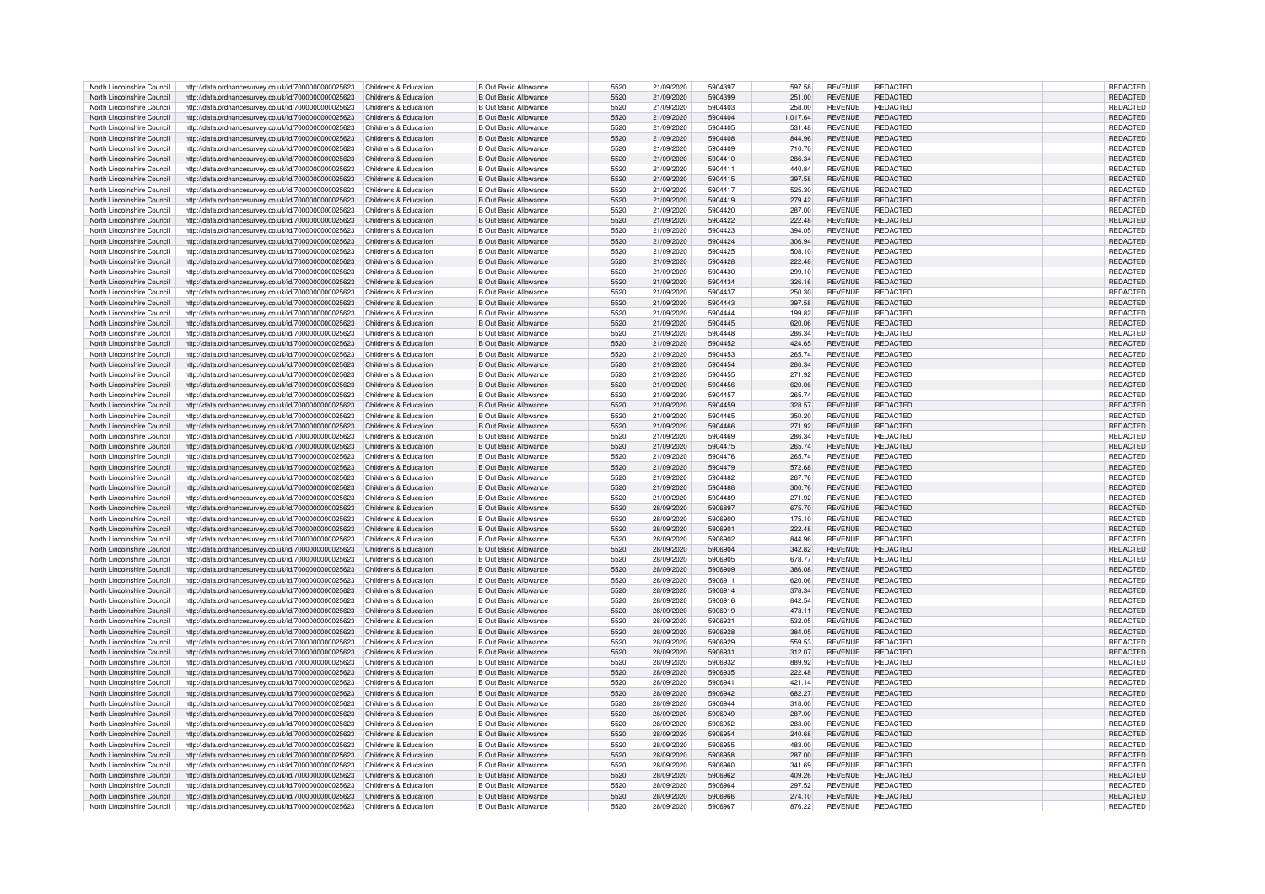| North Lincolnshire Council | http://data.ordnancesurvey.co.uk/id/7000000000025623 | Childrens & Education | <b>B Out Basic Allowance</b> | 5520 | 21/09/2020 | 5904397 | 597.58   | <b>REVENUE</b> | <b>REDACTED</b> | REDACTED        |
|----------------------------|------------------------------------------------------|-----------------------|------------------------------|------|------------|---------|----------|----------------|-----------------|-----------------|
| North Lincolnshire Council | http://data.ordnancesurvey.co.uk/id/7000000000025623 | Childrens & Education | <b>B Out Basic Allowance</b> | 5520 | 21/09/2020 | 5904399 | 251.00   | <b>REVENUE</b> | REDACTED        | REDACTED        |
| North Lincolnshire Council | http://data.ordnancesurvey.co.uk/id/7000000000025623 | Childrens & Education | <b>B Out Basic Allowance</b> | 5520 | 21/09/2020 | 5904403 | 258.00   | <b>REVENUE</b> | <b>REDACTED</b> | REDACTED        |
| North Lincolnshire Council | http://data.ordnancesurvey.co.uk/id/7000000000025623 | Childrens & Education | <b>B Out Basic Allowance</b> | 5520 | 21/09/2020 | 5904404 | 1.017.64 | <b>REVENUE</b> | REDACTED        | REDACTED        |
|                            |                                                      |                       |                              |      |            |         |          |                |                 |                 |
| North Lincolnshire Council | http://data.ordnancesurvey.co.uk/id/7000000000025623 | Childrens & Education | <b>B Out Basic Allowance</b> | 5520 | 21/09/2020 | 5904405 | 531.48   | <b>REVENUE</b> | REDACTED        | REDACTED        |
| North Lincolnshire Council | http://data.ordnancesurvey.co.uk/id/7000000000025623 | Childrens & Education | <b>B Out Basic Allowance</b> | 5520 | 21/09/2020 | 5904408 | 844.96   | <b>REVENUE</b> | REDACTED        | REDACTED        |
| North Lincolnshire Council | http://data.ordnancesurvey.co.uk/id/7000000000025623 | Childrens & Education | <b>B Out Basic Allowance</b> | 5520 | 21/09/2020 | 5904409 | 710.70   | <b>REVENUE</b> | REDACTED        | REDACTED        |
| North Lincolnshire Council | http://data.ordnancesurvey.co.uk/id/7000000000025623 | Childrens & Education | <b>B Out Basic Allowance</b> | 5520 | 21/09/2020 | 5904410 | 286.34   | <b>REVENUE</b> | <b>REDACTED</b> | REDACTED        |
| North Lincolnshire Council | http://data.ordnancesurvey.co.uk/id/7000000000025623 | Childrens & Education | <b>B Out Basic Allowance</b> | 5520 | 21/09/2020 | 5904411 | 440.84   | <b>REVENUE</b> | REDACTED        | <b>REDACTED</b> |
| North Lincolnshire Council | http://data.ordnancesurvey.co.uk/id/7000000000025623 | Childrens & Education | <b>B Out Basic Allowance</b> | 5520 | 21/09/2020 | 5904415 | 397.58   | <b>REVENUE</b> | <b>REDACTED</b> | REDACTED        |
| North Lincolnshire Council | http://data.ordnancesurvey.co.uk/id/7000000000025623 | Childrens & Education | <b>B Out Basic Allowance</b> | 5520 | 21/09/2020 | 5904417 | 525.30   | <b>REVENUE</b> | <b>REDACTED</b> | REDACTED        |
|                            |                                                      |                       |                              |      |            |         |          |                |                 |                 |
| North Lincolnshire Council | http://data.ordnancesurvey.co.uk/id/7000000000025623 | Childrens & Education | <b>B Out Basic Allowance</b> | 5520 | 21/09/2020 | 5904419 | 279.42   | <b>REVENUE</b> | REDACTED        | REDACTED        |
| North Lincolnshire Council | http://data.ordnancesurvey.co.uk/id/7000000000025623 | Childrens & Education | <b>B Out Basic Allowance</b> | 5520 | 21/09/2020 | 5904420 | 287.00   | <b>REVENUE</b> | <b>REDACTED</b> | REDACTED        |
| North Lincolnshire Council | http://data.ordnancesurvey.co.uk/id/7000000000025623 | Childrens & Education | <b>B Out Basic Allowance</b> | 5520 | 21/09/2020 | 5904422 | 222.48   | <b>REVENUE</b> | REDACTED        | <b>REDACTED</b> |
| North Lincolnshire Council | http://data.ordnancesurvey.co.uk/id/7000000000025623 | Childrens & Education | B Out Basic Allowance        | 5520 | 21/09/2020 | 5904423 | 394.05   | <b>REVENUE</b> | REDACTED        | REDACTED        |
| North Lincolnshire Council | http://data.ordnancesurvey.co.uk/id/7000000000025623 | Childrens & Education | <b>B Out Basic Allowance</b> | 5520 | 21/09/2020 | 5904424 | 306.94   | <b>REVENUE</b> | <b>REDACTED</b> | REDACTED        |
| North Lincolnshire Council | http://data.ordnancesurvey.co.uk/id/7000000000025623 | Childrens & Education | B Out Basic Allowance        | 5520 | 21/09/2020 | 5904425 | 508.10   | <b>REVENUE</b> | REDACTED        | REDACTED        |
| North Lincolnshire Council | http://data.ordnancesurvey.co.uk/id/7000000000025623 | Childrens & Education | <b>B Out Basic Allowance</b> | 5520 | 21/09/2020 | 5904428 | 222.48   | <b>REVENUE</b> | <b>REDACTED</b> | REDACTED        |
| North Lincolnshire Council | http://data.ordnancesurvey.co.uk/id/7000000000025623 | Childrens & Education | <b>B Out Basic Allowance</b> | 5520 | 21/09/2020 | 5904430 | 299.10   | <b>REVENUE</b> | <b>REDACTED</b> | REDACTED        |
| North Lincolnshire Council | http://data.ordnancesurvey.co.uk/id/7000000000025623 | Childrens & Education | <b>B Out Basic Allowance</b> | 5520 | 21/09/2020 | 5904434 | 326.16   | <b>REVENUE</b> | REDACTED        | REDACTED        |
| North Lincolnshire Council |                                                      |                       | B Out Basic Allowance        | 5520 |            | 5904437 |          |                | REDACTED        |                 |
|                            | http://data.ordnancesurvey.co.uk/id/7000000000025623 | Childrens & Education |                              |      | 21/09/2020 |         | 250.30   | <b>REVENUE</b> |                 | REDACTED        |
| North Lincolnshire Council | http://data.ordnancesurvey.co.uk/id/7000000000025623 | Childrens & Education | <b>B Out Basic Allowance</b> | 5520 | 21/09/2020 | 5904443 | 397.58   | <b>REVENUE</b> | <b>REDACTED</b> | REDACTED        |
| North Lincolnshire Council | http://data.ordnancesurvey.co.uk/id/7000000000025623 | Childrens & Education | <b>B Out Basic Allowance</b> | 5520 | 21/09/2020 | 5904444 | 199.82   | <b>REVENUE</b> | <b>REDACTED</b> | REDACTED        |
| North Lincolnshire Council | http://data.ordnancesurvey.co.uk/id/7000000000025623 | Childrens & Education | <b>B Out Basic Allowance</b> | 5520 | 21/09/2020 | 5904445 | 620.06   | <b>REVENUE</b> | REDACTED        | REDACTED        |
| North Lincolnshire Council | http://data.ordnancesurvey.co.uk/id/7000000000025623 | Childrens & Education | <b>B Out Basic Allowance</b> | 5520 | 21/09/2020 | 5904448 | 286.34   | <b>REVENUE</b> | <b>REDACTED</b> | REDACTED        |
| North Lincolnshire Council | http://data.ordnancesurvey.co.uk/id/7000000000025623 | Childrens & Education | <b>B Out Basic Allowance</b> | 5520 | 21/09/2020 | 5904452 | 424.65   | <b>REVENUE</b> | <b>REDACTED</b> | REDACTED        |
| North Lincolnshire Council | http://data.ordnancesurvey.co.uk/id/7000000000025623 | Childrens & Education | <b>B Out Basic Allowance</b> | 5520 | 21/09/2020 | 5904453 | 265.74   | <b>REVENUE</b> | REDACTED        | REDACTED        |
| North Lincolnshire Council | http://data.ordnancesurvey.co.uk/id/7000000000025623 | Childrens & Education | <b>B Out Basic Allowance</b> | 5520 | 21/09/2020 | 5904454 | 286.34   | <b>REVENUE</b> | <b>REDACTED</b> | <b>REDACTED</b> |
| North Lincolnshire Council | http://data.ordnancesurvey.co.uk/id/7000000000025623 | Childrens & Education | <b>B Out Basic Allowance</b> | 5520 | 21/09/2020 | 5904455 | 271.92   | <b>REVENUE</b> | REDACTED        | <b>REDACTED</b> |
| North Lincolnshire Council | http://data.ordnancesurvey.co.uk/id/7000000000025623 | Childrens & Education | <b>B Out Basic Allowance</b> | 5520 | 21/09/2020 | 5904456 | 620.06   | <b>REVENUE</b> | <b>REDACTED</b> | <b>REDACTED</b> |
|                            |                                                      | Childrens & Education | B Out Basic Allowance        | 5520 | 21/09/2020 | 5904457 |          |                | REDACTED        |                 |
| North Lincolnshire Council | http://data.ordnancesurvey.co.uk/id/7000000000025623 |                       |                              |      |            |         | 265.74   | <b>REVENUE</b> |                 | REDACTED        |
| North Lincolnshire Council | http://data.ordnancesurvey.co.uk/id/7000000000025623 | Childrens & Education | <b>B Out Basic Allowance</b> | 5520 | 21/09/2020 | 5904459 | 328.57   | <b>REVENUE</b> | <b>REDACTED</b> | REDACTED        |
| North Lincolnshire Council | http://data.ordnancesurvey.co.uk/id/7000000000025623 | Childrens & Education | <b>B Out Basic Allowance</b> | 5520 | 21/09/2020 | 5904465 | 350.20   | <b>REVENUE</b> | <b>REDACTED</b> | REDACTED        |
| North Lincolnshire Council | http://data.ordnancesurvey.co.uk/id/7000000000025623 | Childrens & Education | B Out Basic Allowance        | 5520 | 21/09/2020 | 5904466 | 271.92   | <b>REVENUE</b> | REDACTED        | <b>REDACTED</b> |
| North Lincolnshire Council | http://data.ordnancesurvey.co.uk/id/7000000000025623 | Childrens & Education | B Out Basic Allowance        | 5520 | 21/09/2020 | 5904469 | 286.34   | <b>REVENUE</b> | <b>REDACTED</b> | <b>REDACTED</b> |
| North Lincolnshire Council | http://data.ordnancesurvey.co.uk/id/7000000000025623 | Childrens & Education | <b>B Out Basic Allowance</b> | 5520 | 21/09/2020 | 5904475 | 265.74   | <b>REVENUE</b> | <b>REDACTED</b> | REDACTED        |
| North Lincolnshire Council | http://data.ordnancesurvey.co.uk/id/7000000000025623 | Childrens & Education | B Out Basic Allowance        | 5520 | 21/09/2020 | 5904476 | 265.74   | <b>REVENUE</b> | <b>REDACTED</b> | <b>REDACTED</b> |
| North Lincolnshire Council | http://data.ordnancesurvey.co.uk/id/7000000000025623 | Childrens & Education | <b>B Out Basic Allowance</b> | 5520 | 21/09/2020 | 5904479 | 572.68   | <b>REVENUE</b> | <b>REDACTED</b> | REDACTED        |
| North Lincolnshire Council | http://data.ordnancesurvey.co.uk/id/7000000000025623 | Childrens & Education | <b>B Out Basic Allowance</b> | 5520 | 21/09/2020 | 5904482 | 267.76   | <b>REVENUE</b> | REDACTED        | <b>REDACTED</b> |
| North Lincolnshire Council | http://data.ordnancesurvey.co.uk/id/7000000000025623 | Childrens & Education | <b>B Out Basic Allowance</b> | 5520 | 21/09/2020 | 5904488 | 300.76   | <b>REVENUE</b> | <b>REDACTED</b> | REDACTED        |
| North Lincolnshire Council | http://data.ordnancesurvey.co.uk/id/7000000000025623 | Childrens & Education | <b>B Out Basic Allowance</b> | 5520 | 21/09/2020 | 5904489 | 271.92   | <b>REVENUE</b> | REDACTED        | REDACTED        |
| North Lincolnshire Council |                                                      | Childrens & Education | <b>B Out Basic Allowance</b> | 5520 | 28/09/2020 | 5906897 |          | <b>REVENUE</b> | <b>REDACTED</b> | REDACTED        |
|                            | http://data.ordnancesurvey.co.uk/id/7000000000025623 |                       |                              |      |            | 5906900 | 675.70   |                |                 |                 |
| North Lincolnshire Council | http://data.ordnancesurvey.co.uk/id/7000000000025623 | Childrens & Education | <b>B Out Basic Allowance</b> | 5520 | 28/09/2020 |         | 175.10   | <b>REVENUE</b> | REDACTED        | REDACTED        |
| North Lincolnshire Council | http://data.ordnancesurvey.co.uk/id/7000000000025623 | Childrens & Education | <b>B Out Basic Allowance</b> | 5520 | 28/09/2020 | 5906901 | 222.48   | <b>REVENUE</b> | REDACTED        | REDACTED        |
| North Lincolnshire Council | http://data.ordnancesurvey.co.uk/id/7000000000025623 | Childrens & Education | <b>B Out Basic Allowance</b> | 5520 | 28/09/2020 | 5906902 | 844.96   | <b>REVENUE</b> | REDACTED        | REDACTED        |
| North Lincolnshire Council | http://data.ordnancesurvey.co.uk/id/7000000000025623 | Childrens & Education | <b>B Out Basic Allowance</b> | 5520 | 28/09/2020 | 5906904 | 342.82   | <b>REVENUE</b> | <b>REDACTED</b> | REDACTED        |
| North Lincolnshire Council | http://data.ordnancesurvey.co.uk/id/7000000000025623 | Childrens & Education | <b>B Out Basic Allowance</b> | 5520 | 28/09/2020 | 5906905 | 678.77   | <b>REVENUE</b> | REDACTED        | REDACTED        |
| North Lincolnshire Council | http://data.ordnancesurvey.co.uk/id/7000000000025623 | Childrens & Education | <b>B Out Basic Allowance</b> | 5520 | 28/09/2020 | 5906909 | 386.08   | <b>REVENUE</b> | REDACTED        | <b>REDACTED</b> |
| North Lincolnshire Council | http://data.ordnancesurvey.co.uk/id/7000000000025623 | Childrens & Education | <b>B Out Basic Allowance</b> | 5520 | 28/09/2020 | 5906911 | 620.06   | <b>REVENUE</b> | <b>REDACTED</b> | REDACTED        |
| North Lincolnshire Council | http://data.ordnancesurvey.co.uk/id/7000000000025623 | Childrens & Education | <b>B Out Basic Allowance</b> | 5520 | 28/09/2020 | 5906914 | 378.34   | <b>REVENUE</b> | <b>REDACTED</b> | REDACTED        |
| North Lincolnshire Council | http://data.ordnancesurvey.co.uk/id/7000000000025623 | Childrens & Education | <b>B Out Basic Allowance</b> | 5520 | 28/09/2020 | 5906916 | 842.54   | <b>REVENUE</b> | <b>REDACTED</b> | REDACTED        |
|                            |                                                      |                       |                              |      |            |         |          |                |                 |                 |
| North Lincolnshire Council | http://data.ordnancesurvey.co.uk/id/7000000000025623 | Childrens & Education | <b>B Out Basic Allowance</b> | 5520 | 28/09/2020 | 5906919 | 473.11   | <b>REVENUE</b> | <b>REDACTED</b> | REDACTED        |
| North Lincolnshire Council | http://data.ordnancesurvey.co.uk/id/7000000000025623 | Childrens & Education | <b>B Out Basic Allowance</b> | 5520 | 28/09/2020 | 5906921 | 532.05   | <b>REVENUE</b> | REDACTED        | <b>REDACTED</b> |
| North Lincolnshire Council | http://data.ordnancesurvey.co.uk/id/7000000000025623 | Childrens & Education | <b>B Out Basic Allowance</b> | 5520 | 28/09/2020 | 5906928 | 384.05   | <b>REVENUE</b> | <b>REDACTED</b> | REDACTED        |
| North Lincolnshire Council | http://data.ordnancesurvey.co.uk/id/7000000000025623 | Childrens & Education | B Out Basic Allowance        | 5520 | 28/09/2020 | 5906929 | 559.53   | <b>REVENUE</b> | <b>REDACTED</b> | REDACTED        |
| North Lincolnshire Council | http://data.ordnancesurvey.co.uk/id/7000000000025623 | Childrens & Education | <b>B Out Basic Allowance</b> | 5520 | 28/09/2020 | 5906931 | 312.07   | <b>REVENUE</b> | <b>REDACTED</b> | <b>REDACTED</b> |
| North Lincolnshire Council | http://data.ordnancesurvey.co.uk/id/7000000000025623 | Childrens & Education | <b>B Out Basic Allowance</b> | 5520 | 28/09/2020 | 5906932 | 889.92   | <b>REVENUE</b> | <b>REDACTED</b> | REDACTED        |
| North Lincolnshire Council | http://data.ordnancesurvey.co.uk/id/7000000000025623 | Childrens & Education | <b>B Out Basic Allowance</b> | 5520 | 28/09/2020 | 5906935 | 222.48   | <b>REVENUE</b> | REDACTED        | REDACTED        |
| North Lincolnshire Council | http://data.ordnancesurvey.co.uk/id/7000000000025623 | Childrens & Education | <b>B Out Basic Allowance</b> | 5520 | 28/09/2020 | 5906941 | 421.14   | <b>REVENUE</b> | <b>REDACTED</b> | REDACTED        |
| North Lincolnshire Council | http://data.ordnancesurvey.co.uk/id/7000000000025623 | Childrens & Education | B Out Basic Allowance        | 5520 | 28/09/2020 | 5906942 | 682.27   | <b>REVENUE</b> | <b>REDACTED</b> | REDACTED        |
| North Lincolnshire Council | http://data.ordnancesurvey.co.uk/id/7000000000025623 | Childrens & Education | <b>B Out Basic Allowance</b> | 5520 | 28/09/2020 | 5906944 | 318.00   | <b>REVENUE</b> | REDACTED        | REDACTED        |
| North Lincolnshire Council | http://data.ordnancesurvey.co.uk/id/7000000000025623 | Childrens & Education | <b>B Out Basic Allowance</b> | 5520 | 28/09/2020 | 5906949 | 287.00   | <b>REVENUE</b> | <b>REDACTED</b> | REDACTED        |
| North Lincolnshire Council | http://data.ordnancesurvev.co.uk/id/7000000000025623 | Childrens & Education | <b>B Out Basic Allowance</b> | 5520 | 28/09/2020 | 5906952 | 283.00   | <b>REVENUE</b> | REDACTED        | REDACTED        |
| North Lincolnshire Council |                                                      | Childrens & Education | <b>B Out Basic Allowance</b> | 5520 | 28/09/2020 | 5906954 | 240.68   | <b>REVENUE</b> | <b>REDACTED</b> | REDACTED        |
|                            | http://data.ordnancesurvey.co.uk/id/7000000000025623 |                       |                              |      |            |         |          |                |                 |                 |
| North Lincolnshire Council | http://data.ordnancesurvey.co.uk/id/7000000000025623 | Childrens & Education | <b>B Out Basic Allowance</b> | 5520 | 28/09/2020 | 5906955 | 483.00   | <b>REVENUE</b> | <b>REDACTED</b> | REDACTED        |
| North Lincolnshire Council | http://data.ordnancesurvey.co.uk/id/7000000000025623 | Childrens & Education | <b>B Out Basic Allowance</b> | 5520 | 28/09/2020 | 5906958 | 287.00   | <b>REVENUE</b> | <b>REDACTED</b> | REDACTED        |
| North Lincolnshire Council | http://data.ordnancesurvey.co.uk/id/7000000000025623 | Childrens & Education | <b>B Out Basic Allowance</b> | 5520 | 28/09/2020 | 5906960 | 341.69   | <b>REVENUE</b> | <b>REDACTED</b> | REDACTED        |
| North Lincolnshire Council | http://data.ordnancesurvey.co.uk/id/7000000000025623 | Childrens & Education | <b>B Out Basic Allowance</b> | 5520 | 28/09/2020 | 5906962 | 409.26   | <b>REVENUE</b> | <b>REDACTED</b> | REDACTED        |
| North Lincolnshire Council | http://data.ordnancesurvey.co.uk/id/7000000000025623 | Childrens & Education | <b>B Out Basic Allowance</b> | 5520 | 28/09/2020 | 5906964 | 297.52   | <b>REVENUE</b> | <b>REDACTED</b> | REDACTED        |
| North Lincolnshire Council | http://data.ordnancesurvey.co.uk/id/7000000000025623 | Childrens & Education | B Out Basic Allowance        | 5520 | 28/09/2020 | 5906966 | 274.10   | <b>REVENUE</b> | <b>REDACTED</b> | <b>REDACTED</b> |
| North Lincolnshire Council | http://data.ordnancesurvey.co.uk/id/7000000000025623 | Childrens & Education | <b>B</b> Out Basic Allowance | 5520 | 28/09/2020 | 5906967 | 876.22   | <b>REVENUE</b> | REDACTED        | REDACTED        |
|                            |                                                      |                       |                              |      |            |         |          |                |                 |                 |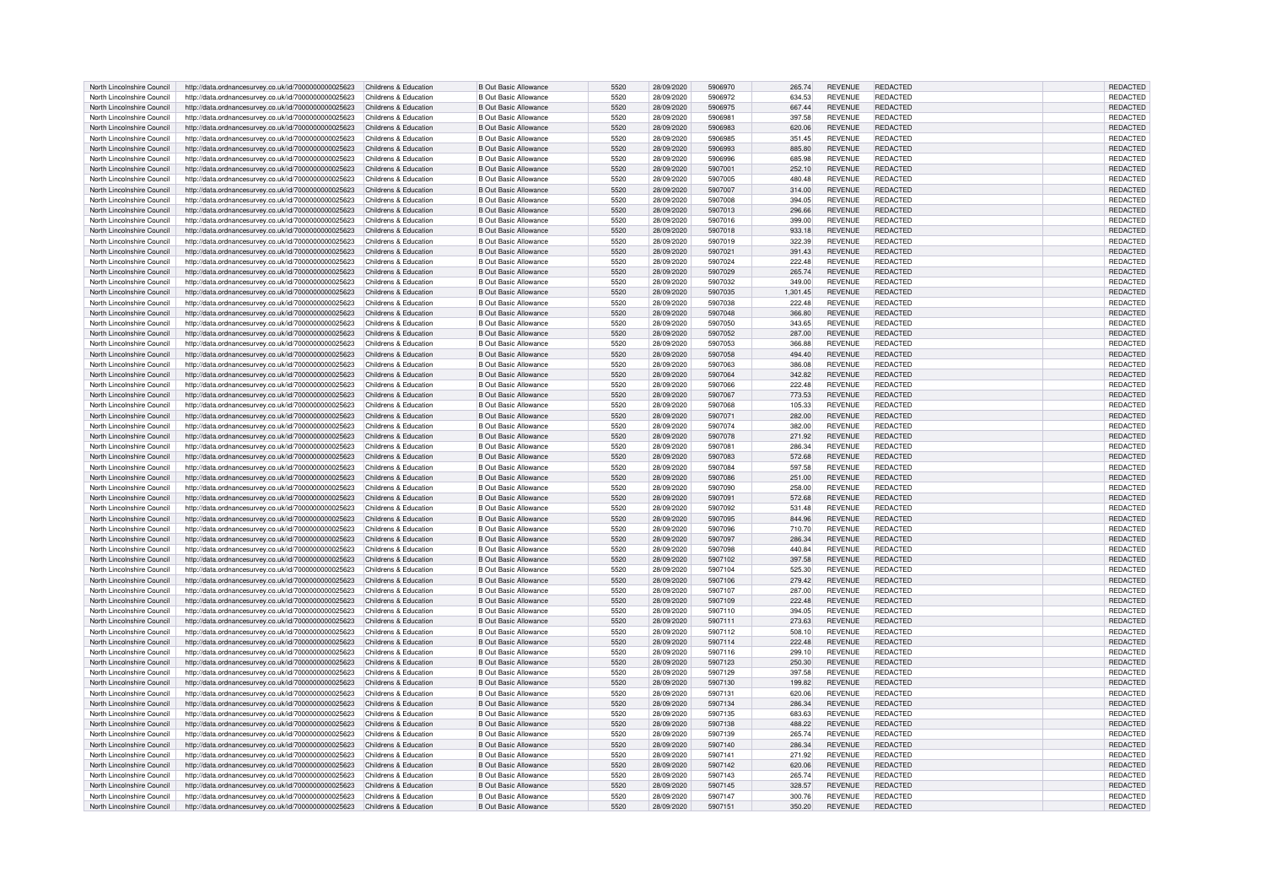| North Lincolnshire Council | http://data.ordnancesurvey.co.uk/id/7000000000025623                       | Childrens & Education | <b>B Out Basic Allowance</b> | 5520 | 28/09/2020 | 5906970 | 265.74   | <b>REVENUE</b> | <b>REDACTED</b> | REDACTED        |
|----------------------------|----------------------------------------------------------------------------|-----------------------|------------------------------|------|------------|---------|----------|----------------|-----------------|-----------------|
| North Lincolnshire Council | http://data.ordnancesurvey.co.uk/id/7000000000025623                       | Childrens & Education | <b>B Out Basic Allowance</b> | 5520 | 28/09/2020 | 5906972 | 634.53   | <b>REVENUE</b> | REDACTED        | REDACTED        |
| North Lincolnshire Council | http://data.ordnancesurvey.co.uk/id/7000000000025623                       | Childrens & Education | <b>B Out Basic Allowance</b> | 5520 | 28/09/2020 | 5906975 | 667.44   | <b>REVENUE</b> | REDACTED        | REDACTED        |
|                            |                                                                            |                       |                              |      |            |         |          |                |                 |                 |
| North Lincolnshire Council | http://data.ordnancesurvey.co.uk/id/7000000000025623                       | Childrens & Education | <b>B Out Basic Allowance</b> | 5520 | 28/09/2020 | 5906981 | 397.58   | <b>REVENUE</b> | REDACTED        | <b>REDACTED</b> |
| North Lincolnshire Council | http://data.ordnancesurvey.co.uk/id/7000000000025623                       | Childrens & Education | <b>B Out Basic Allowance</b> | 5520 | 28/09/2020 | 5906983 | 620.06   | <b>REVENUE</b> | <b>REDACTED</b> | REDACTED        |
| North Lincolnshire Council | http://data.ordnancesurvey.co.uk/id/7000000000025623                       | Childrens & Education | <b>B Out Basic Allowance</b> | 5520 | 28/09/2020 | 5906985 | 351.45   | <b>REVENUE</b> | <b>REDACTED</b> | REDACTED        |
| North Lincolnshire Council | http://data.ordnancesurvey.co.uk/id/7000000000025623                       | Childrens & Education | <b>B Out Basic Allowance</b> | 5520 | 28/09/2020 | 5906993 | 885.80   | <b>REVENUE</b> | REDACTED        | <b>REDACTED</b> |
| North Lincolnshire Council | http://data.ordnancesurvey.co.uk/id/7000000000025623                       | Childrens & Education | <b>B Out Basic Allowance</b> | 5520 | 28/09/2020 | 5906996 | 685.98   | <b>REVENUE</b> | <b>REDACTED</b> | REDACTED        |
| North Lincolnshire Council | http://data.ordnancesurvey.co.uk/id/7000000000025623                       | Childrens & Education | <b>B Out Basic Allowance</b> | 5520 | 28/09/2020 | 5907001 | 252.10   | <b>REVENUE</b> | REDACTED        | <b>REDACTED</b> |
| North Lincolnshire Council | http://data.ordnancesurvey.co.uk/id/7000000000025623                       | Childrens & Education | <b>B Out Basic Allowance</b> | 5520 | 28/09/2020 | 5907005 | 480.48   | <b>REVENUE</b> | <b>REDACTED</b> | REDACTED        |
|                            |                                                                            |                       |                              |      |            |         |          |                |                 |                 |
| North Lincolnshire Council | http://data.ordnancesurvey.co.uk/id/7000000000025623                       | Childrens & Education | <b>B Out Basic Allowance</b> | 5520 | 28/09/2020 | 5907007 | 314.00   | <b>REVENUE</b> | <b>REDACTED</b> | REDACTED        |
| North Lincolnshire Council | http://data.ordnancesurvey.co.uk/id/7000000000025623                       | Childrens & Education | <b>B Out Basic Allowance</b> | 5520 | 28/09/2020 | 5907008 | 394.05   | <b>REVENUE</b> | REDACTED        | REDACTED        |
| North Lincolnshire Council | http://data.ordnancesurvey.co.uk/id/7000000000025623                       | Childrens & Education | <b>B Out Basic Allowance</b> | 5520 | 28/09/2020 | 5907013 | 296.66   | <b>REVENUE</b> | <b>REDACTED</b> | REDACTED        |
| North Lincolnshire Council | http://data.ordnancesurvey.co.uk/id/7000000000025623                       | Childrens & Education | <b>B Out Basic Allowance</b> | 5520 | 28/09/2020 | 5907016 | 399.00   | <b>REVENUE</b> | <b>REDACTED</b> | REDACTED        |
| North Lincolnshire Council | http://data.ordnancesurvey.co.uk/id/7000000000025623                       | Childrens & Education | <b>B Out Basic Allowance</b> | 5520 | 28/09/2020 | 5907018 | 933.18   | <b>REVENUE</b> | <b>REDACTED</b> | REDACTED        |
| North Lincolnshire Council | http://data.ordnancesurvey.co.uk/id/7000000000025623                       | Childrens & Education | <b>B Out Basic Allowance</b> | 5520 | 28/09/2020 | 5907019 | 322.39   | <b>REVENUE</b> | <b>REDACTED</b> | REDACTED        |
| North Lincolnshire Council |                                                                            | Childrens & Education | <b>B Out Basic Allowance</b> | 5520 | 28/09/2020 | 5907021 | 391.43   | <b>REVENUE</b> | REDACTED        | REDACTED        |
|                            | http://data.ordnancesurvey.co.uk/id/7000000000025623                       |                       |                              |      |            |         |          |                |                 |                 |
| North Lincolnshire Council | http://data.ordnancesurvey.co.uk/id/7000000000025623                       | Childrens & Education | <b>B Out Basic Allowance</b> | 5520 | 28/09/2020 | 5907024 | 222.48   | <b>REVENUE</b> | <b>REDACTED</b> | REDACTED        |
| North Lincolnshire Council | http://data.ordnancesurvey.co.uk/id/7000000000025623                       | Childrens & Education | <b>B Out Basic Allowance</b> | 5520 | 28/09/2020 | 5907029 | 265.74   | <b>REVENUE</b> | REDACTED        | REDACTED        |
| North Lincolnshire Council | http://data.ordnancesurvey.co.uk/id/7000000000025623                       | Childrens & Education | <b>B Out Basic Allowance</b> | 5520 | 28/09/2020 | 5907032 | 349.00   | <b>REVENUE</b> | <b>REDACTED</b> | REDACTED        |
| North Lincolnshire Council | http://data.ordnancesurvey.co.uk/id/7000000000025623                       | Childrens & Education | <b>B Out Basic Allowance</b> | 5520 | 28/09/2020 | 5907035 | 1,301.45 | <b>REVENUE</b> | <b>REDACTED</b> | REDACTED        |
| North Lincolnshire Council | http://data.ordnancesurvey.co.uk/id/7000000000025623                       | Childrens & Education | <b>B Out Basic Allowance</b> | 5520 | 28/09/2020 | 5907038 | 222.48   | <b>REVENUE</b> | REDACTED        | REDACTED        |
| North Lincolnshire Council | http://data.ordnancesurvey.co.uk/id/7000000000025623                       | Childrens & Education | <b>B Out Basic Allowance</b> | 5520 | 28/09/2020 | 5907048 | 366.80   | <b>REVENUE</b> | <b>REDACTED</b> | REDACTED        |
| North Lincolnshire Council |                                                                            |                       | <b>B Out Basic Allowance</b> | 5520 |            | 5907050 |          | <b>REVENUE</b> | <b>REDACTED</b> | REDACTED        |
|                            | http://data.ordnancesurvey.co.uk/id/7000000000025623                       | Childrens & Education |                              |      | 28/09/2020 |         | 343.65   |                |                 |                 |
| North Lincolnshire Council | http://data.ordnancesurvey.co.uk/id/7000000000025623                       | Childrens & Education | <b>B Out Basic Allowance</b> | 5520 | 28/09/2020 | 5907052 | 287.00   | <b>REVENUE</b> | <b>REDACTED</b> | REDACTED        |
| North Lincolnshire Council | http://data.ordnancesurvey.co.uk/id/7000000000025623                       | Childrens & Education | <b>B Out Basic Allowance</b> | 5520 | 28/09/2020 | 5907053 | 366.88   | <b>REVENUE</b> | <b>REDACTED</b> | REDACTED        |
| North Lincolnshire Council | http://data.ordnancesurvey.co.uk/id/7000000000025623                       | Childrens & Education | <b>B Out Basic Allowance</b> | 5520 | 28/09/2020 | 5907058 | 494.40   | <b>REVENUE</b> | REDACTED        | REDACTED        |
| North Lincolnshire Council | http://data.ordnancesurvey.co.uk/id/7000000000025623                       | Childrens & Education | <b>B Out Basic Allowance</b> | 5520 | 28/09/2020 | 5907063 | 386.08   | <b>REVENUE</b> | <b>REDACTED</b> | <b>REDACTED</b> |
| North Lincolnshire Council | http://data.ordnancesurvey.co.uk/id/7000000000025623                       | Childrens & Education | <b>B Out Basic Allowance</b> | 5520 | 28/09/2020 | 5907064 | 342.82   | <b>REVENUE</b> | <b>REDACTED</b> | <b>REDACTED</b> |
| North Lincolnshire Council | http://data.ordnancesurvey.co.uk/id/7000000000025623                       | Childrens & Education | <b>B Out Basic Allowance</b> | 5520 | 28/09/2020 | 5907066 | 222.48   | <b>REVENUE</b> | <b>REDACTED</b> | <b>REDACTED</b> |
|                            |                                                                            |                       |                              |      |            |         |          |                |                 |                 |
| North Lincolnshire Council | http://data.ordnancesurvey.co.uk/id/7000000000025623                       | Childrens & Education | <b>B Out Basic Allowance</b> | 5520 | 28/09/2020 | 5907067 | 773.53   | <b>REVENUE</b> | REDACTED        | REDACTED        |
| North Lincolnshire Council | http://data.ordnancesurvey.co.uk/id/7000000000025623                       | Childrens & Education | <b>B Out Basic Allowance</b> | 5520 | 28/09/2020 | 5907068 | 105.33   | <b>REVENUE</b> | <b>REDACTED</b> | REDACTED        |
| North Lincolnshire Council | http://data.ordnancesurvey.co.uk/id/7000000000025623                       | Childrens & Education | <b>B Out Basic Allowance</b> | 5520 | 28/09/2020 | 5907071 | 282.00   | <b>REVENUE</b> | REDACTED        | REDACTED        |
| North Lincolnshire Council | http://data.ordnancesurvey.co.uk/id/7000000000025623                       | Childrens & Education | <b>B Out Basic Allowance</b> | 5520 | 28/09/2020 | 5907074 | 382.00   | <b>REVENUE</b> | REDACTED        | <b>REDACTED</b> |
| North Lincolnshire Council | http://data.ordnancesurvey.co.uk/id/7000000000025623                       | Childrens & Education | B Out Basic Allowance        | 5520 | 28/09/2020 | 5907078 | 271.92   | <b>REVENUE</b> | REDACTED        | REDACTED        |
| North Lincolnshire Council | http://data.ordnancesurvey.co.uk/id/7000000000025623                       | Childrens & Education | <b>B Out Basic Allowance</b> | 5520 | 28/09/2020 | 5907081 | 286.34   | <b>REVENUE</b> | REDACTED        | REDACTED        |
| North Lincolnshire Council | http://data.ordnancesurvey.co.uk/id/7000000000025623                       | Childrens & Education | <b>B Out Basic Allowance</b> | 5520 | 28/09/2020 | 5907083 | 572.68   | <b>REVENUE</b> | <b>REDACTED</b> | <b>REDACTED</b> |
|                            |                                                                            |                       |                              |      |            |         |          |                |                 |                 |
| North Lincolnshire Council | http://data.ordnancesurvey.co.uk/id/7000000000025623                       | Childrens & Education | <b>B Out Basic Allowance</b> | 5520 | 28/09/2020 | 5907084 | 597.58   | <b>REVENUE</b> | <b>REDACTED</b> | REDACTED        |
| North Lincolnshire Council | http://data.ordnancesurvey.co.uk/id/7000000000025623                       | Childrens & Education | <b>B Out Basic Allowance</b> | 5520 | 28/09/2020 | 5907086 | 251.00   | <b>REVENUE</b> | <b>REDACTED</b> | <b>REDACTED</b> |
| North Lincolnshire Council | http://data.ordnancesurvey.co.uk/id/7000000000025623                       | Childrens & Education | <b>B Out Basic Allowance</b> | 5520 | 28/09/2020 | 5907090 | 258.00   | <b>REVENUE</b> | <b>REDACTED</b> | REDACTED        |
| North Lincolnshire Council | http://data.ordnancesurvey.co.uk/id/7000000000025623                       | Childrens & Education | <b>B Out Basic Allowance</b> | 5520 | 28/09/2020 | 5907091 | 572.68   | <b>REVENUE</b> | REDACTED        | REDACTED        |
| North Lincolnshire Council | http://data.ordnancesurvey.co.uk/id/7000000000025623                       | Childrens & Education | <b>B Out Basic Allowance</b> | 5520 | 28/09/2020 | 5907092 | 531.48   | <b>REVENUE</b> | REDACTED        | REDACTED        |
| North Lincolnshire Council | http://data.ordnancesurvey.co.uk/id/7000000000025623                       | Childrens & Education | <b>B Out Basic Allowance</b> | 5520 | 28/09/2020 | 5907095 | 844.96   | <b>REVENUE</b> | REDACTED        | REDACTED        |
| North Lincolnshire Council | http://data.ordnancesurvey.co.uk/id/7000000000025623                       | Childrens & Education | <b>B Out Basic Allowance</b> | 5520 | 28/09/2020 | 5907096 | 710.70   | <b>REVENUE</b> | REDACTED        | REDACTED        |
|                            |                                                                            |                       |                              |      |            |         |          |                |                 |                 |
| North Lincolnshire Council | http://data.ordnancesurvey.co.uk/id/7000000000025623                       | Childrens & Education | <b>B Out Basic Allowance</b> | 5520 | 28/09/2020 | 5907097 | 286.34   | <b>REVENUE</b> | REDACTED        | REDACTED        |
| North Lincolnshire Council | http://data.ordnancesurvey.co.uk/id/7000000000025623                       | Childrens & Education | <b>B Out Basic Allowance</b> | 5520 | 28/09/2020 | 5907098 | 440.84   | <b>REVENUE</b> | <b>REDACTED</b> | REDACTED        |
| North Lincolnshire Council | http://data.ordnancesurvey.co.uk/id/7000000000025623                       | Childrens & Education | <b>B Out Basic Allowance</b> | 5520 | 28/09/2020 | 5907102 | 397.58   | <b>REVENUE</b> | <b>REDACTED</b> | REDACTED        |
| North Lincolnshire Council | http://data.ordnancesurvey.co.uk/id/7000000000025623                       | Childrens & Education | <b>B Out Basic Allowance</b> | 5520 | 28/09/2020 | 5907104 | 525.30   | <b>REVENUE</b> | REDACTED        | <b>REDACTED</b> |
| North Lincolnshire Council | http://data.ordnancesurvey.co.uk/id/7000000000025623                       | Childrens & Education | <b>B Out Basic Allowance</b> | 5520 | 28/09/2020 | 5907106 | 279.42   | <b>REVENUE</b> | <b>REDACTED</b> | REDACTED        |
| North Lincolnshire Council | http://data.ordnancesurvey.co.uk/id/7000000000025623                       | Childrens & Education | <b>B Out Basic Allowance</b> | 5520 | 28/09/2020 | 5907107 | 287.00   | <b>REVENUE</b> | <b>REDACTED</b> | REDACTED        |
| North Lincolnshire Council | http://data.ordnancesurvey.co.uk/id/7000000000025623                       | Childrens & Education | <b>B Out Basic Allowance</b> | 5520 | 28/09/2020 | 5907109 | 222.48   | <b>REVENUE</b> | <b>REDACTED</b> | REDACTED        |
|                            |                                                                            |                       |                              |      |            |         |          |                |                 |                 |
| North Lincolnshire Council | http://data.ordnancesurvey.co.uk/id/7000000000025623                       | Childrens & Education | <b>B Out Basic Allowance</b> | 5520 | 28/09/2020 | 5907110 | 394.05   | <b>REVENUE</b> | <b>REDACTED</b> | REDACTED        |
| North Lincolnshire Council | http://data.ordnancesurvey.co.uk/id/7000000000025623                       | Childrens & Education | <b>B Out Basic Allowance</b> | 5520 | 28/09/2020 | 5907111 | 273.63   | <b>REVENUE</b> | <b>REDACTED</b> | <b>REDACTED</b> |
| North Lincolnshire Council | http://data.ordnancesurvey.co.uk/id/7000000000025623                       | Childrens & Education | <b>B Out Basic Allowance</b> | 5520 | 28/09/2020 | 5907112 | 508.10   | <b>REVENUE</b> | <b>REDACTED</b> | REDACTED        |
| North Lincolnshire Council | http://data.ordnancesurvey.co.uk/id/7000000000025623                       | Childrens & Education | <b>B Out Basic Allowance</b> | 5520 | 28/09/2020 | 5907114 | 222.48   | <b>REVENUE</b> | <b>REDACTED</b> | REDACTED        |
| North Lincolnshire Council | http://data.ordnancesurvey.co.uk/id/7000000000025623                       | Childrens & Education | <b>B Out Basic Allowance</b> | 5520 | 28/09/2020 | 5907116 | 299.10   | <b>REVENUE</b> | <b>REDACTED</b> | REDACTED        |
| North Lincolnshire Council | http://data.ordnancesurvey.co.uk/id/7000000000025623                       | Childrens & Education | <b>B Out Basic Allowance</b> | 5520 | 28/09/2020 | 5907123 | 250.30   | <b>REVENUE</b> | <b>REDACTED</b> | REDACTED        |
| North Lincolnshire Council | http://data.ordnancesurvey.co.uk/id/7000000000025623                       | Childrens & Education | <b>B Out Basic Allowance</b> | 5520 | 28/09/2020 | 5907129 | 397.58   | <b>REVENUE</b> | REDACTED        | <b>REDACTED</b> |
|                            |                                                                            |                       |                              |      |            |         |          |                |                 |                 |
| North Lincolnshire Council | http://data.ordnancesurvey.co.uk/id/7000000000025623                       | Childrens & Education | <b>B Out Basic Allowance</b> | 5520 | 28/09/2020 | 5907130 | 199.82   | <b>REVENUE</b> | <b>REDACTED</b> | REDACTED        |
| North Lincolnshire Council | http://data.ordnancesurvey.co.uk/id/7000000000025623                       | Childrens & Education | <b>B Out Basic Allowance</b> | 5520 | 28/09/2020 | 5907131 | 620.06   | <b>REVENUE</b> | <b>REDACTED</b> | REDACTED        |
| North Lincolnshire Council | http://data.ordnancesurvey.co.uk/id/7000000000025623                       | Childrens & Education | <b>B Out Basic Allowance</b> | 5520 | 28/09/2020 | 5907134 | 286.34   | <b>REVENUE</b> | REDACTED        | REDACTED        |
| North Lincolnshire Council | http://data.ordnancesurvey.co.uk/id/7000000000025623                       | Childrens & Education | <b>B Out Basic Allowance</b> | 5520 | 28/09/2020 | 5907135 | 683.63   | <b>REVENUE</b> | <b>REDACTED</b> | REDACTED        |
| North Lincolnshire Council | http://data.ordnancesurvey.co.uk/id/7000000000025623                       | Childrens & Education | <b>B Out Basic Allowance</b> | 5520 | 28/09/2020 | 5907138 | 488.22   | <b>REVENUE</b> | <b>REDACTED</b> | REDACTED        |
| North Lincolnshire Council | http://data.ordnancesurvey.co.uk/id/7000000000025623                       | Childrens & Education | <b>B Out Basic Allowance</b> | 5520 | 28/09/2020 | 5907139 | 265.74   | <b>REVENUE</b> | REDACTED        | REDACTED        |
|                            |                                                                            |                       |                              | 5520 |            | 5907140 | 286.34   |                | <b>REDACTED</b> |                 |
| North Lincolnshire Council | http://data.ordnancesurvey.co.uk/id/7000000000025623                       | Childrens & Education | <b>B Out Basic Allowance</b> |      | 28/09/2020 |         |          | <b>REVENUE</b> |                 | REDACTED        |
| North Lincolnshire Council | http://data.ordnancesurvey.co.uk/id/7000000000025623                       | Childrens & Education | <b>B Out Basic Allowance</b> | 5520 | 28/09/2020 | 5907141 | 271.92   | <b>REVENUE</b> | REDACTED        | REDACTED        |
| North Lincolnshire Council | http://data.ordnancesurvey.co.uk/id/7000000000025623                       | Childrens & Education | <b>B Out Basic Allowance</b> | 5520 | 28/09/2020 | 5907142 | 620.06   | <b>REVENUE</b> | <b>REDACTED</b> | REDACTED        |
| North Lincolnshire Council | http://data.ordnancesurvey.co.uk/id/7000000000025623                       | Childrens & Education | <b>B Out Basic Allowance</b> | 5520 | 28/09/2020 | 5907143 | 265.74   | <b>REVENUE</b> | REDACTED        | REDACTED        |
| North Lincolnshire Council | http://data.ordnancesurvey.co.uk/id/7000000000025623                       | Childrens & Education | B Out Basic Allowance        | 5520 | 28/09/2020 | 5907145 | 328.57   | <b>REVENUE</b> | REDACTED        | <b>REDACTED</b> |
| North Lincolnshire Council | http://data.ordnancesurvey.co.uk/id/7000000000025623                       | Childrens & Education | B Out Basic Allowance        | 5520 | 28/09/2020 | 5907147 | 300.76   | <b>REVENUE</b> | <b>REDACTED</b> | REDACTED        |
| North Lincolnshire Council | http://data.ordnancesurvey.co.uk/id/7000000000025623 Childrens & Education |                       | <b>B Out Basic Allowance</b> | 5520 | 28/09/2020 | 5907151 | 350.20   | <b>REVENUE</b> | REDACTED        | REDACTED        |
|                            |                                                                            |                       |                              |      |            |         |          |                |                 |                 |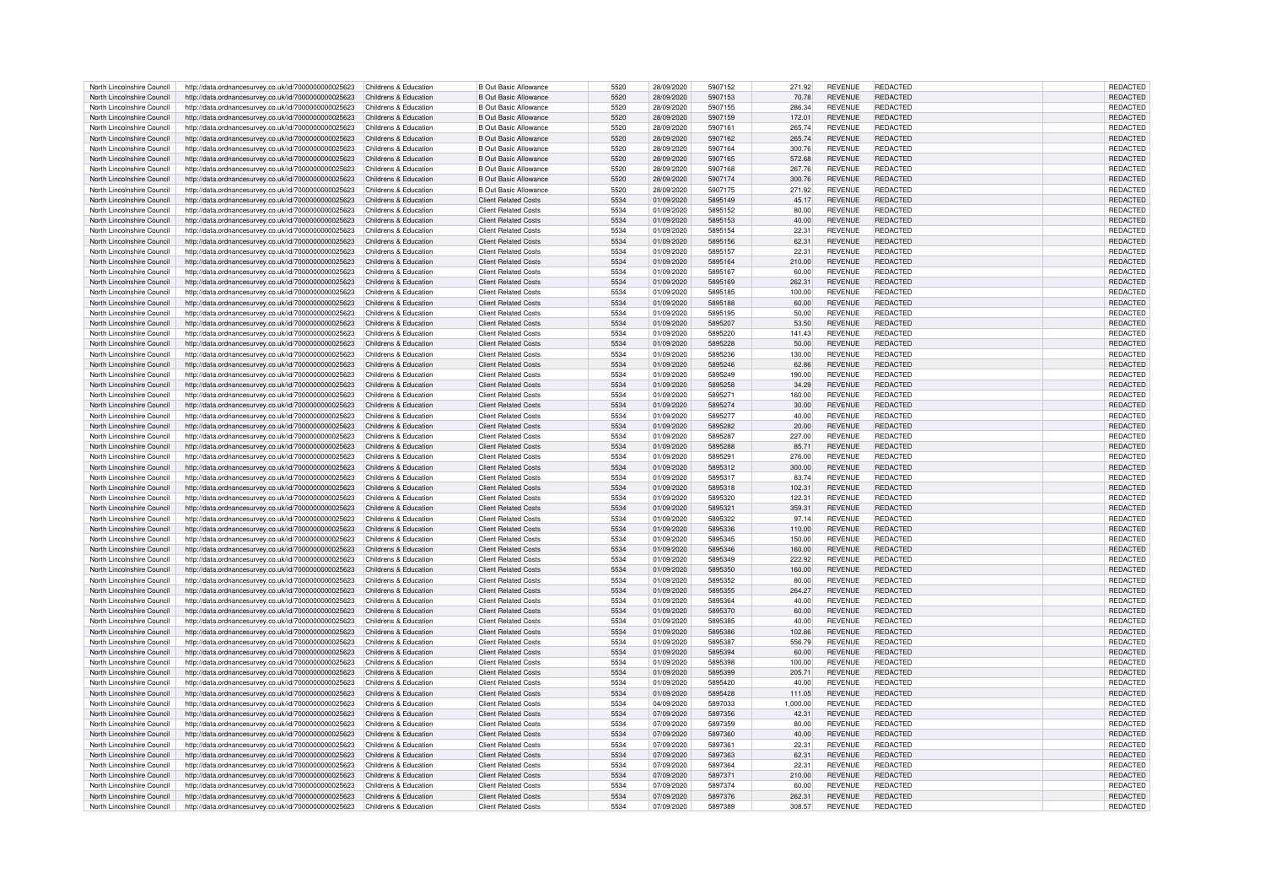| North Lincolnshire Council | http://data.ordnancesurvey.co.uk/id/7000000000025623 | Childrens & Education | <b>B Out Basic Allowance</b> | 5520 | 28/09/2020 | 5907152 | 271.92   | <b>REVENUE</b> | REDACTED        | REDACTED        |
|----------------------------|------------------------------------------------------|-----------------------|------------------------------|------|------------|---------|----------|----------------|-----------------|-----------------|
| North Lincolnshire Council | http://data.ordnancesurvey.co.uk/id/7000000000025623 | Childrens & Education | <b>B Out Basic Allowance</b> | 5520 | 28/09/2020 | 5907153 | 70.78    | <b>REVENUE</b> | <b>REDACTED</b> | <b>REDACTED</b> |
| North Lincolnshire Council |                                                      | Childrens & Education | <b>B Out Basic Allowance</b> | 5520 | 28/09/2020 | 5907155 | 286.34   | <b>REVENUE</b> | REDACTED        | REDACTED        |
|                            | http://data.ordnancesurvey.co.uk/id/7000000000025623 |                       |                              |      |            |         |          |                |                 |                 |
| North Lincolnshire Council | http://data.ordnancesurvey.co.uk/id/7000000000025623 | Childrens & Education | <b>B Out Basic Allowance</b> | 5520 | 28/09/2020 | 5907159 | 172.01   | <b>REVENUE</b> | <b>REDACTED</b> | <b>REDACTED</b> |
| North Lincolnshire Council | http://data.ordnancesurvey.co.uk/id/7000000000025623 | Childrens & Education | <b>B Out Basic Allowance</b> | 5520 | 28/09/2020 | 5907161 | 265.74   | <b>REVENUE</b> | REDACTED        | REDACTED        |
| North Lincolnshire Council | http://data.ordnancesurvey.co.uk/id/7000000000025623 | Childrens & Education | <b>B Out Basic Allowance</b> | 5520 | 28/09/2020 | 5907162 | 265.74   | <b>REVENUE</b> | <b>REDACTED</b> | REDACTED        |
| North Lincolnshire Council | http://data.ordnancesurvey.co.uk/id/7000000000025623 | Childrens & Education | <b>B Out Basic Allowance</b> | 5520 | 28/09/2020 | 5907164 | 300.76   | <b>REVENUE</b> | <b>REDACTED</b> | REDACTED        |
| North Lincolnshire Council | http://data.ordnancesurvey.co.uk/id/7000000000025623 | Childrens & Education | <b>B Out Basic Allowance</b> | 5520 | 28/09/2020 | 5907165 | 572.68   | <b>REVENUE</b> | REDACTED        | <b>REDACTED</b> |
|                            |                                                      |                       |                              | 5520 |            | 5907168 |          |                | <b>REDACTED</b> |                 |
| North Lincolnshire Council | http://data.ordnancesurvey.co.uk/id/7000000000025623 | Childrens & Education | <b>B Out Basic Allowance</b> |      | 28/09/2020 |         | 267.76   | <b>REVENUE</b> |                 | REDACTED        |
| North Lincolnshire Council | http://data.ordnancesurvey.co.uk/id/7000000000025623 | Childrens & Education | <b>B Out Basic Allowance</b> | 5520 | 28/09/2020 | 5907174 | 300.76   | REVENUE        | REDACTED        | REDACTED        |
| North Lincolnshire Council | http://data.ordnancesurvey.co.uk/id/7000000000025623 | Childrens & Education | <b>B Out Basic Allowance</b> | 5520 | 28/09/2020 | 5907175 | 271.92   | <b>REVENUE</b> | <b>REDACTED</b> | REDACTED        |
| North Lincolnshire Council | http://data.ordnancesurvey.co.uk/id/7000000000025623 | Childrens & Education | <b>Client Related Costs</b>  | 5534 | 01/09/2020 | 5895149 | 45.17    | <b>REVENUE</b> | REDACTED        | REDACTED        |
| North Lincolnshire Council | http://data.ordnancesurvey.co.uk/id/7000000000025623 | Childrens & Education | <b>Client Related Costs</b>  | 5534 | 01/09/2020 | 5895152 | 80.00    | <b>REVENUE</b> | REDACTED        | <b>REDACTED</b> |
|                            |                                                      |                       |                              | 5534 |            | 5895153 |          |                |                 |                 |
| North Lincolnshire Council | http://data.ordnancesurvey.co.uk/id/7000000000025623 | Childrens & Education | <b>Client Related Costs</b>  |      | 01/09/2020 |         | 40.00    | <b>REVENUE</b> | REDACTED        | REDACTED        |
| North Lincolnshire Council | http://data.ordnancesurvey.co.uk/id/7000000000025623 | Childrens & Education | <b>Client Related Costs</b>  | 5534 | 01/09/2020 | 5895154 | 22.31    | <b>REVENUE</b> | REDACTED        | REDACTED        |
| North Lincolnshire Council | http://data.ordnancesurvey.co.uk/id/7000000000025623 | Childrens & Education | <b>Client Related Costs</b>  | 5534 | 01/09/2020 | 5895156 | 62.31    | <b>REVENUE</b> | REDACTED        | REDACTED        |
| North Lincolnshire Council | http://data.ordnancesurvey.co.uk/id/7000000000025623 | Childrens & Education | Client Related Costs         | 5534 | 01/09/2020 | 5895157 | 22.31    | <b>REVENUE</b> | REDACTED        | REDACTED        |
| North Lincolnshire Council | http://data.ordnancesurvey.co.uk/id/7000000000025623 | Childrens & Education | <b>Client Related Costs</b>  | 5534 | 01/09/2020 | 5895164 | 210.00   | <b>REVENUE</b> | <b>REDACTED</b> | <b>REDACTED</b> |
| North Lincolnshire Council | http://data.ordnancesurvey.co.uk/id/7000000000025623 | Childrens & Education | <b>Client Related Costs</b>  | 5534 | 01/09/2020 | 5895167 | 60.00    | <b>REVENUE</b> | <b>REDACTED</b> | REDACTED        |
|                            |                                                      |                       |                              |      |            |         |          |                |                 |                 |
| North Lincolnshire Council | http://data.ordnancesurvey.co.uk/id/7000000000025623 | Childrens & Education | <b>Client Related Costs</b>  | 5534 | 01/09/2020 | 5895169 | 262.31   | <b>REVENUE</b> | <b>REDACTED</b> | REDACTED        |
| North Lincolnshire Council | http://data.ordnancesurvey.co.uk/id/7000000000025623 | Childrens & Education | <b>Client Related Costs</b>  | 5534 | 01/09/2020 | 5895185 | 100.00   | <b>REVENUE</b> | REDACTED        | REDACTED        |
| North Lincolnshire Council | http://data.ordnancesurvey.co.uk/id/7000000000025623 | Childrens & Education | <b>Client Related Costs</b>  | 5534 | 01/09/2020 | 5895188 | 60.00    | <b>REVENUE</b> | <b>REDACTED</b> | REDACTED        |
| North Lincolnshire Council | http://data.ordnancesurvey.co.uk/id/7000000000025623 | Childrens & Education | <b>Client Related Costs</b>  | 5534 | 01/09/2020 | 5895195 | 50.00    | <b>REVENUE</b> | REDACTED        | REDACTED        |
| North Lincolnshire Council | http://data.ordnancesurvey.co.uk/id/7000000000025623 | Childrens & Education | <b>Client Related Costs</b>  | 5534 | 01/09/2020 | 5895207 | 53.50    | <b>REVENUE</b> | <b>REDACTED</b> | REDACTED        |
|                            |                                                      |                       |                              |      |            |         |          |                |                 |                 |
| North Lincolnshire Council | http://data.ordnancesurvey.co.uk/id/7000000000025623 | Childrens & Education | <b>Client Related Costs</b>  | 5534 | 01/09/2020 | 5895220 | 141.43   | <b>REVENUE</b> | <b>REDACTED</b> | REDACTED        |
| North Lincolnshire Council | http://data.ordnancesurvey.co.uk/id/7000000000025623 | Childrens & Education | <b>Client Related Costs</b>  | 5534 | 01/09/2020 | 5895228 | 50.00    | <b>REVENUE</b> | REDACTED        | REDACTED        |
| North Lincolnshire Council | http://data.ordnancesurvey.co.uk/id/7000000000025623 | Childrens & Education | <b>Client Related Costs</b>  | 5534 | 01/09/2020 | 5895236 | 130.00   | <b>REVENUE</b> | <b>REDACTED</b> | <b>REDACTED</b> |
| North Lincolnshire Council | http://data.ordnancesurvey.co.uk/id/7000000000025623 | Childrens & Education | <b>Client Related Costs</b>  | 5534 | 01/09/2020 | 5895246 | 62.86    | <b>REVENUE</b> | <b>REDACTED</b> | REDACTED        |
| North Lincolnshire Council | http://data.ordnancesurvey.co.uk/id/7000000000025623 | Childrens & Education | <b>Client Related Costs</b>  | 5534 | 01/09/2020 | 5895249 | 190.00   | <b>REVENUE</b> | <b>REDACTED</b> | REDACTED        |
|                            |                                                      |                       |                              |      |            |         |          |                |                 |                 |
| North Lincolnshire Council | http://data.ordnancesurvey.co.uk/id/7000000000025623 | Childrens & Education | <b>Client Related Costs</b>  | 5534 | 01/09/2020 | 5895258 | 34.29    | <b>REVENUE</b> | REDACTED        | REDACTED        |
| North Lincolnshire Council | http://data.ordnancesurvey.co.uk/id/7000000000025623 | Childrens & Education | <b>Client Related Costs</b>  | 5534 | 01/09/2020 | 5895271 | 160.00   | <b>REVENUE</b> | REDACTED        | REDACTED        |
| North Lincolnshire Council | http://data.ordnancesurvey.co.uk/id/7000000000025623 | Childrens & Education | <b>Client Related Costs</b>  | 5534 | 01/09/2020 | 5895274 | 30.00    | <b>REVENUE</b> | REDACTED        | REDACTED        |
| North Lincolnshire Council | http://data.ordnancesurvey.co.uk/id/7000000000025623 | Childrens & Education | <b>Client Related Costs</b>  | 5534 | 01/09/2020 | 5895277 | 40.00    | <b>REVENUE</b> | REDACTED        | REDACTED        |
| North Lincolnshire Council | http://data.ordnancesurvey.co.uk/id/7000000000025623 | Childrens & Education | <b>Client Related Costs</b>  | 5534 | 01/09/2020 | 5895282 | 20.00    | <b>REVENUE</b> | REDACTED        | REDACTED        |
|                            |                                                      |                       |                              | 5534 |            |         |          |                |                 |                 |
| North Lincolnshire Council | http://data.ordnancesurvey.co.uk/id/7000000000025623 | Childrens & Education | <b>Client Related Costs</b>  |      | 01/09/2020 | 5895287 | 227.00   | <b>REVENUE</b> | REDACTED        | REDACTED        |
| North Lincolnshire Council | http://data.ordnancesurvey.co.uk/id/7000000000025623 | Childrens & Education | <b>Client Related Costs</b>  | 5534 | 01/09/2020 | 5895288 | 85.71    | <b>REVENUE</b> | <b>REDACTED</b> | REDACTED        |
| North Lincolnshire Council | http://data.ordnancesurvey.co.uk/id/7000000000025623 | Childrens & Education | <b>Client Related Costs</b>  | 5534 | 01/09/2020 | 5895291 | 276.00   | <b>REVENUE</b> | REDACTED        | REDACTED        |
| North Lincolnshire Council | http://data.ordnancesurvey.co.uk/id/7000000000025623 | Childrens & Education | <b>Client Related Costs</b>  | 5534 | 01/09/2020 | 5895312 | 300.00   | <b>REVENUE</b> | <b>REDACTED</b> | <b>REDACTED</b> |
| North Lincolnshire Council | http://data.ordnancesurvey.co.uk/id/7000000000025623 | Childrens & Education | <b>Client Related Costs</b>  | 5534 | 01/09/2020 | 5895317 | 83.74    | <b>REVENUE</b> | <b>REDACTED</b> | REDACTED        |
|                            |                                                      |                       |                              |      |            |         |          |                |                 |                 |
| North Lincolnshire Council | http://data.ordnancesurvey.co.uk/id/7000000000025623 | Childrens & Education | <b>Client Related Costs</b>  | 5534 | 01/09/2020 | 5895318 | 102.31   | <b>REVENUE</b> | REDACTED        | REDACTED        |
| North Lincolnshire Council | http://data.ordnancesurvey.co.uk/id/7000000000025623 | Childrens & Education | <b>Client Related Costs</b>  | 5534 | 01/09/2020 | 5895320 | 122.31   | <b>REVENUE</b> | REDACTED        | REDACTED        |
| North Lincolnshire Council | http://data.ordnancesurvey.co.uk/id/7000000000025623 | Childrens & Education | <b>Client Related Costs</b>  | 5534 | 01/09/2020 | 5895321 | 359.31   | <b>REVENUE</b> | REDACTED        | REDACTED        |
| North Lincolnshire Council | http://data.ordnancesurvey.co.uk/id/7000000000025623 | Childrens & Education | <b>Client Related Costs</b>  | 5534 | 01/09/2020 | 5895322 | 97.14    | <b>REVENUE</b> | REDACTED        | REDACTED        |
| North Lincolnshire Council | http://data.ordnancesurvey.co.uk/id/7000000000025623 | Childrens & Education | <b>Client Related Costs</b>  | 5534 | 01/09/2020 | 5895336 | 110.00   | <b>REVENUE</b> | REDACTED        | REDACTED        |
|                            |                                                      |                       |                              |      |            |         |          |                |                 |                 |
| North Lincolnshire Council | http://data.ordnancesurvey.co.uk/id/7000000000025623 | Childrens & Education | <b>Client Related Costs</b>  | 5534 | 01/09/2020 | 5895345 | 150.00   | <b>REVENUE</b> | <b>REDACTED</b> | REDACTED        |
| North Lincolnshire Council | http://data.ordnancesurvey.co.uk/id/7000000000025623 | Childrens & Education | <b>Client Related Costs</b>  | 5534 | 01/09/2020 | 5895346 | 160.00   | <b>REVENUE</b> | <b>REDACTED</b> | REDACTED        |
| North Lincolnshire Council | http://data.ordnancesurvey.co.uk/id/7000000000025623 | Childrens & Education | <b>Client Related Costs</b>  | 5534 | 01/09/2020 | 5895349 | 222.92   | <b>REVENUE</b> | REDACTED        | REDACTED        |
| North Lincolnshire Council | http://data.ordnancesurvey.co.uk/id/7000000000025623 | Childrens & Education | <b>Client Related Costs</b>  | 5534 | 01/09/2020 | 5895350 | 160.00   | <b>REVENUE</b> | <b>REDACTED</b> | REDACTED        |
| North Lincolnshire Council | http://data.ordnancesurvey.co.uk/id/7000000000025623 | Childrens & Education | <b>Client Related Costs</b>  | 5534 | 01/09/2020 | 5895352 | 80.00    | <b>REVENUE</b> | <b>REDACTED</b> | REDACTED        |
|                            |                                                      | Childrens & Education |                              | 5534 |            | 5895355 |          |                | <b>REDACTED</b> |                 |
| North Lincolnshire Council | http://data.ordnancesurvey.co.uk/id/7000000000025623 |                       | <b>Client Related Costs</b>  |      | 01/09/2020 |         | 264.27   | <b>REVENUE</b> |                 | REDACTED        |
| North Lincolnshire Council | http://data.ordnancesurvey.co.uk/id/7000000000025623 | Childrens & Education | <b>Client Related Costs</b>  | 5534 | 01/09/2020 | 5895364 | 40.00    | <b>REVENUE</b> | REDACTED        | REDACTED        |
| North Lincolnshire Council | http://data.ordnancesurvey.co.uk/id/7000000000025623 | Childrens & Education | <b>Client Related Costs</b>  | 5534 | 01/09/2020 | 5895370 | 60.00    | <b>REVENUE</b> | REDACTED        | REDACTED        |
| North Lincolnshire Council | http://data.ordnancesurvey.co.uk/id/7000000000025623 | Childrens & Education | <b>Client Related Costs</b>  | 5534 | 01/09/2020 | 5895385 | 40.00    | <b>REVENUE</b> | REDACTED        | REDACTED        |
| North Lincolnshire Council | http://data.ordnancesurvey.co.uk/id/7000000000025623 | Childrens & Education | <b>Client Related Costs</b>  | 5534 | 01/09/2020 | 5895386 | 102.86   | <b>REVENUE</b> | <b>REDACTED</b> | REDACTED        |
| North Lincolnshire Council | http://data.ordnancesurvey.co.uk/id/7000000000025623 | Childrens & Education | <b>Client Related Costs</b>  | 5534 | 01/09/2020 | 5895387 | 556.79   | <b>REVENUE</b> | REDACTED        | REDACTED        |
|                            |                                                      |                       |                              |      |            |         |          |                |                 |                 |
| North Lincolnshire Council | http://data.ordnancesurvey.co.uk/id/7000000000025623 | Childrens & Education | <b>Client Related Costs</b>  | 5534 | 01/09/2020 | 5895394 | 60.00    | <b>REVENUE</b> | REDACTED        | REDACTED        |
| North Lincolnshire Council | http://data.ordnancesurvey.co.uk/id/7000000000025623 | Childrens & Education | <b>Client Related Costs</b>  | 5534 | 01/09/2020 | 5895398 | 100.00   | <b>REVENUE</b> | REDACTED        | REDACTED        |
| North Lincolnshire Council | http://data.ordnancesurvey.co.uk/id/7000000000025623 | Childrens & Education | <b>Client Related Costs</b>  | 5534 | 01/09/2020 | 5895399 | 205.7    | <b>REVENUE</b> | <b>REDACTED</b> | REDACTED        |
| North Lincolnshire Council | http://data.ordnancesurvey.co.uk/id/7000000000025623 | Childrens & Education | <b>Client Related Costs</b>  | 5534 | 01/09/2020 | 5895420 | 40.00    | <b>REVENUE</b> | <b>REDACTED</b> | REDACTED        |
| North Lincolnshire Council | http://data.ordnancesurvey.co.uk/id/7000000000025623 | Childrens & Education | <b>Client Related Costs</b>  | 5534 | 01/09/2020 | 5895428 | 111.05   | <b>REVENUE</b> | REDACTED        | REDACTED        |
|                            |                                                      |                       |                              |      |            |         |          |                |                 |                 |
| North Lincolnshire Council | http://data.ordnancesurvey.co.uk/id/7000000000025623 | Childrens & Education | <b>Client Related Costs</b>  | 5534 | 04/09/2020 | 5897033 | 1.000.00 | <b>REVENUE</b> | REDACTED        | REDACTED        |
| North Lincolnshire Council | http://data.ordnancesurvey.co.uk/id/7000000000025623 | Childrens & Education | <b>Client Related Costs</b>  | 5534 | 07/09/2020 | 5897356 | 42.31    | <b>REVENUE</b> | REDACTED        | REDACTED        |
| North Lincolnshire Council | http://data.ordnancesurvey.co.uk/id/7000000000025623 | Childrens & Education | <b>Client Related Costs</b>  | 5534 | 07/09/2020 | 5897359 | 80.00    | <b>REVENUE</b> | REDACTED        | REDACTED        |
| North Lincolnshire Council | http://data.ordnancesurvey.co.uk/id/7000000000025623 | Childrens & Education | <b>Client Related Costs</b>  | 5534 | 07/09/2020 | 5897360 | 40.00    | <b>REVENUE</b> | <b>REDACTED</b> | REDACTED        |
| North Lincolnshire Council | http://data.ordnancesurvey.co.uk/id/7000000000025623 | Childrens & Education | <b>Client Related Costs</b>  | 5534 | 07/09/2020 | 5897361 | 22.31    | <b>REVENUE</b> | REDACTED        | REDACTED        |
|                            |                                                      |                       |                              |      |            |         |          |                |                 |                 |
| North Lincolnshire Council | http://data.ordnancesurvey.co.uk/id/7000000000025623 | Childrens & Education | <b>Client Related Costs</b>  | 5534 | 07/09/2020 | 5897363 | 62.31    | <b>REVENUE</b> | REDACTED        | REDACTED        |
| North Lincolnshire Council | http://data.ordnancesurvey.co.uk/id/7000000000025623 | Childrens & Education | <b>Client Related Costs</b>  | 5534 | 07/09/2020 | 5897364 | 22.31    | <b>REVENUE</b> | REDACTED        | REDACTED        |
| North Lincolnshire Council | http://data.ordnancesurvey.co.uk/id/7000000000025623 | Childrens & Education | <b>Client Related Costs</b>  | 5534 | 07/09/2020 | 5897371 | 210.00   | <b>REVENUE</b> | REDACTED        | REDACTED        |
| North Lincolnshire Council | http://data.ordnancesurvey.co.uk/id/7000000000025623 | Childrens & Education | <b>Client Related Costs</b>  | 5534 | 07/09/2020 | 5897374 | 60.00    | <b>REVENUE</b> | <b>REDACTED</b> | <b>REDACTED</b> |
| North Lincolnshire Council | http://data.ordnancesurvey.co.uk/id/7000000000025623 | Childrens & Education | <b>Client Related Costs</b>  | 5534 | 07/09/2020 | 5897376 | 262.31   | <b>REVENUE</b> | <b>REDACTED</b> | REDACTED        |
|                            |                                                      |                       |                              |      |            |         |          |                |                 |                 |
| North Lincolnshire Council | http://data.ordnancesurvey.co.uk/id/7000000000025623 | Childrens & Education | <b>Client Related Costs</b>  | 5534 | 07/09/2020 | 5897389 | 308.57   | <b>REVENUE</b> | REDACTED        | REDACTED        |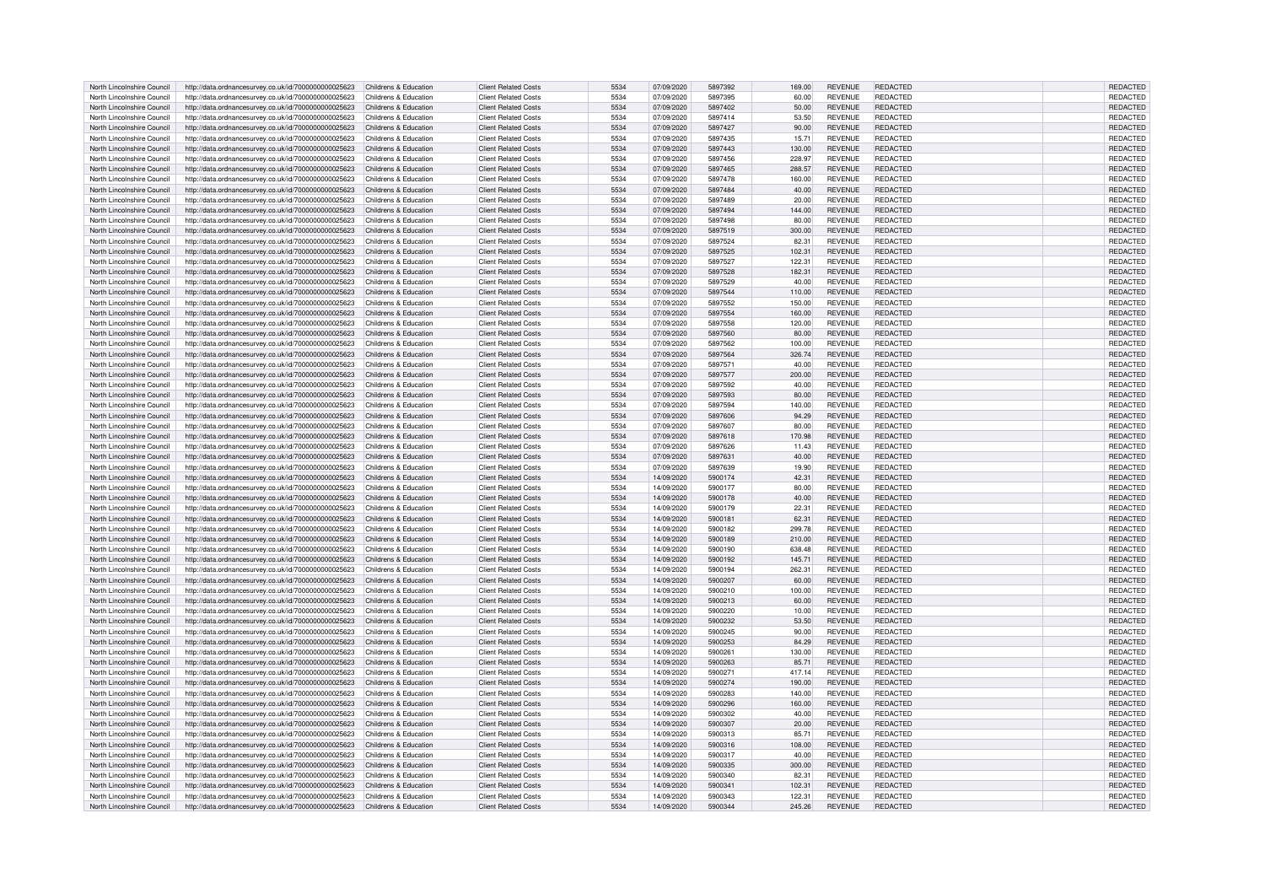| North Lincolnshire Council | http://data.ordnancesurvey.co.uk/id/7000000000025623                       | Childrens & Education | <b>Client Related Costs</b> | 5534 | 07/09/2020 | 5897392 | 169.00 | <b>REVENUE</b> | <b>REDACTED</b> | REDACTED        |
|----------------------------|----------------------------------------------------------------------------|-----------------------|-----------------------------|------|------------|---------|--------|----------------|-----------------|-----------------|
| North Lincolnshire Council | http://data.ordnancesurvey.co.uk/id/7000000000025623                       | Childrens & Education | <b>Client Related Costs</b> | 5534 | 07/09/2020 | 5897395 | 60.00  | <b>REVENUE</b> | <b>REDACTED</b> | REDACTED        |
| North Lincolnshire Council | http://data.ordnancesurvey.co.uk/id/7000000000025623                       | Childrens & Education | <b>Client Related Costs</b> | 5534 | 07/09/2020 | 5897402 | 50.00  | <b>REVENUE</b> | REDACTED        | REDACTED        |
|                            |                                                                            |                       |                             |      |            |         |        |                |                 |                 |
| North Lincolnshire Council | http://data.ordnancesurvey.co.uk/id/7000000000025623                       | Childrens & Education | <b>Client Related Costs</b> | 5534 | 07/09/2020 | 5897414 | 53.50  | <b>REVENUE</b> | REDACTED        | <b>REDACTED</b> |
| North Lincolnshire Council | http://data.ordnancesurvey.co.uk/id/7000000000025623                       | Childrens & Education | <b>Client Related Costs</b> | 5534 | 07/09/2020 | 5897427 | 90.00  | <b>REVENUE</b> | <b>REDACTED</b> | REDACTED        |
| North Lincolnshire Council | http://data.ordnancesurvey.co.uk/id/7000000000025623                       | Childrens & Education | <b>Client Related Costs</b> | 5534 | 07/09/2020 | 5897435 | 15.71  | <b>REVENUE</b> | <b>REDACTED</b> | REDACTED        |
| North Lincolnshire Council | http://data.ordnancesurvey.co.uk/id/7000000000025623                       | Childrens & Education | <b>Client Related Costs</b> | 5534 | 07/09/2020 | 5897443 | 130.00 | <b>REVENUE</b> | <b>REDACTED</b> | REDACTED        |
| North Lincolnshire Council | http://data.ordnancesurvey.co.uk/id/7000000000025623                       | Childrens & Education | <b>Client Related Costs</b> | 5534 | 07/09/2020 | 5897456 | 228.97 | <b>REVENUE</b> | <b>REDACTED</b> | REDACTED        |
| North Lincolnshire Council | http://data.ordnancesurvey.co.uk/id/7000000000025623                       | Childrens & Education | <b>Client Related Costs</b> | 5534 | 07/09/2020 | 5897465 | 288.57 | <b>REVENUE</b> | REDACTED        | <b>REDACTED</b> |
| North Lincolnshire Council |                                                                            | Childrens & Education | <b>Client Related Costs</b> | 5534 | 07/09/2020 | 5897478 | 160.00 | <b>REVENUE</b> | <b>REDACTED</b> | REDACTED        |
|                            | http://data.ordnancesurvey.co.uk/id/7000000000025623                       |                       |                             |      |            |         |        |                |                 |                 |
| North Lincolnshire Council | http://data.ordnancesurvey.co.uk/id/7000000000025623                       | Childrens & Education | <b>Client Related Costs</b> | 5534 | 07/09/2020 | 5897484 | 40.00  | <b>REVENUE</b> | REDACTED        | REDACTED        |
| North Lincolnshire Council | http://data.ordnancesurvey.co.uk/id/7000000000025623                       | Childrens & Education | <b>Client Related Costs</b> | 5534 | 07/09/2020 | 5897489 | 20.00  | <b>REVENUE</b> | REDACTED        | REDACTED        |
| North Lincolnshire Council | http://data.ordnancesurvey.co.uk/id/7000000000025623                       | Childrens & Education | <b>Client Related Costs</b> | 5534 | 07/09/2020 | 5897494 | 144.00 | <b>REVENUE</b> | <b>REDACTED</b> | REDACTED        |
| North Lincolnshire Council | http://data.ordnancesurvey.co.uk/id/7000000000025623                       | Childrens & Education | <b>Client Related Costs</b> | 5534 | 07/09/2020 | 5897498 | 80.00  | <b>REVENUE</b> | REDACTED        | REDACTED        |
| North Lincolnshire Council | http://data.ordnancesurvey.co.uk/id/7000000000025623                       | Childrens & Education | <b>Client Related Costs</b> | 5534 | 07/09/2020 | 5897519 | 300.00 | <b>REVENUE</b> | <b>REDACTED</b> | REDACTED        |
|                            |                                                                            |                       | <b>Client Related Costs</b> | 5534 |            | 5897524 |        |                | <b>REDACTED</b> |                 |
| North Lincolnshire Council | http://data.ordnancesurvey.co.uk/id/7000000000025623                       | Childrens & Education |                             |      | 07/09/2020 |         | 82.31  | <b>REVENUE</b> |                 | REDACTED        |
| North Lincolnshire Council | http://data.ordnancesurvey.co.uk/id/7000000000025623                       | Childrens & Education | <b>Client Related Costs</b> | 5534 | 07/09/2020 | 5897525 | 102.31 | <b>REVENUE</b> | REDACTED        | REDACTED        |
| North Lincolnshire Council | http://data.ordnancesurvey.co.uk/id/7000000000025623                       | Childrens & Education | <b>Client Related Costs</b> | 5534 | 07/09/2020 | 5897527 | 122.3  | <b>REVENUE</b> | <b>REDACTED</b> | REDACTED        |
| North Lincolnshire Council | http://data.ordnancesurvey.co.uk/id/7000000000025623                       | Childrens & Education | <b>Client Related Costs</b> | 5534 | 07/09/2020 | 5897528 | 182.31 | <b>REVENUE</b> | <b>REDACTED</b> | REDACTED        |
| North Lincolnshire Council | http://data.ordnancesurvey.co.uk/id/7000000000025623                       | Childrens & Education | <b>Client Related Costs</b> | 5534 | 07/09/2020 | 5897529 | 40.00  | <b>REVENUE</b> | <b>REDACTED</b> | REDACTED        |
| North Lincolnshire Council | http://data.ordnancesurvey.co.uk/id/7000000000025623                       | Childrens & Education | <b>Client Related Costs</b> | 5534 | 07/09/2020 | 5897544 | 110.00 | <b>REVENUE</b> | <b>REDACTED</b> | REDACTED        |
| North Lincolnshire Council | http://data.ordnancesurvey.co.uk/id/7000000000025623                       | Childrens & Education | <b>Client Related Costs</b> | 5534 | 07/09/2020 | 5897552 | 150.00 | <b>REVENUE</b> | REDACTED        | REDACTED        |
|                            |                                                                            |                       |                             |      |            |         |        |                |                 |                 |
| North Lincolnshire Council | http://data.ordnancesurvey.co.uk/id/7000000000025623                       | Childrens & Education | <b>Client Related Costs</b> | 5534 | 07/09/2020 | 5897554 | 160.00 | <b>REVENUE</b> | <b>REDACTED</b> | REDACTED        |
| North Lincolnshire Council | http://data.ordnancesurvey.co.uk/id/7000000000025623                       | Childrens & Education | <b>Client Related Costs</b> | 5534 | 07/09/2020 | 5897558 | 120.00 | <b>REVENUE</b> | REDACTED        | REDACTED        |
| North Lincolnshire Council | http://data.ordnancesurvey.co.uk/id/7000000000025623                       | Childrens & Education | <b>Client Related Costs</b> | 5534 | 07/09/2020 | 5897560 | 80.00  | <b>REVENUE</b> | <b>REDACTED</b> | REDACTED        |
| North Lincolnshire Council | http://data.ordnancesurvey.co.uk/id/7000000000025623                       | Childrens & Education | <b>Client Related Costs</b> | 5534 | 07/09/2020 | 5897562 | 100.00 | <b>REVENUE</b> | <b>REDACTED</b> | REDACTED        |
| North Lincolnshire Council | http://data.ordnancesurvey.co.uk/id/7000000000025623                       | Childrens & Education | <b>Client Related Costs</b> | 5534 | 07/09/2020 | 5897564 | 326.74 | <b>REVENUE</b> | <b>REDACTED</b> | REDACTED        |
| North Lincolnshire Council | http://data.ordnancesurvey.co.uk/id/7000000000025623                       | Childrens & Education | <b>Client Related Costs</b> | 5534 | 07/09/2020 | 5897571 | 40.00  | <b>REVENUE</b> | <b>REDACTED</b> | <b>REDACTED</b> |
| North Lincolnshire Council |                                                                            | Childrens & Education | <b>Client Related Costs</b> | 5534 | 07/09/2020 | 5897577 | 200.00 | <b>REVENUE</b> | REDACTED        | <b>REDACTED</b> |
|                            | http://data.ordnancesurvey.co.uk/id/7000000000025623                       |                       |                             |      |            |         |        |                |                 |                 |
| North Lincolnshire Council | http://data.ordnancesurvey.co.uk/id/7000000000025623                       | Childrens & Education | Client Related Costs        | 5534 | 07/09/2020 | 5897592 | 40.00  | <b>REVENUE</b> | <b>REDACTED</b> | <b>REDACTED</b> |
| North Lincolnshire Council | http://data.ordnancesurvey.co.uk/id/7000000000025623                       | Childrens & Education | <b>Client Related Costs</b> | 5534 | 07/09/2020 | 5897593 | 80.00  | <b>REVENUE</b> | REDACTED        | REDACTED        |
| North Lincolnshire Council | http://data.ordnancesurvey.co.uk/id/7000000000025623                       | Childrens & Education | <b>Client Related Costs</b> | 5534 | 07/09/2020 | 5897594 | 140.00 | <b>REVENUE</b> | <b>REDACTED</b> | <b>REDACTED</b> |
| North Lincolnshire Council | http://data.ordnancesurvey.co.uk/id/7000000000025623                       | Childrens & Education | <b>Client Related Costs</b> | 5534 | 07/09/2020 | 5897606 | 94.29  | <b>REVENUE</b> | REDACTED        | REDACTED        |
| North Lincolnshire Council | http://data.ordnancesurvey.co.uk/id/7000000000025623                       | Childrens & Education | <b>Client Related Costs</b> | 5534 | 07/09/2020 | 5897607 | 80.00  | <b>REVENUE</b> | REDACTED        | <b>REDACTED</b> |
|                            |                                                                            |                       |                             | 5534 |            |         |        |                | REDACTED        |                 |
| North Lincolnshire Council | http://data.ordnancesurvey.co.uk/id/7000000000025623                       | Childrens & Education | <b>Client Related Costs</b> |      | 07/09/2020 | 5897618 | 170.98 | <b>REVENUE</b> |                 | <b>REDACTED</b> |
| North Lincolnshire Council | http://data.ordnancesurvey.co.uk/id/7000000000025623                       | Childrens & Education | <b>Client Related Costs</b> | 5534 | 07/09/2020 | 5897626 | 11.43  | <b>REVENUE</b> | REDACTED        | REDACTED        |
| North Lincolnshire Council | http://data.ordnancesurvey.co.uk/id/7000000000025623                       | Childrens & Education | <b>Client Related Costs</b> | 5534 | 07/09/2020 | 5897631 | 40.00  | <b>REVENUE</b> | <b>REDACTED</b> | <b>REDACTED</b> |
| North Lincolnshire Council | http://data.ordnancesurvey.co.uk/id/7000000000025623                       | Childrens & Education | <b>Client Related Costs</b> | 5534 | 07/09/2020 | 5897639 | 19.90  | <b>REVENUE</b> | <b>REDACTED</b> | REDACTED        |
| North Lincolnshire Council | http://data.ordnancesurvey.co.uk/id/7000000000025623                       | Childrens & Education | <b>Client Related Costs</b> | 5534 | 14/09/2020 | 5900174 | 42.31  | <b>REVENUE</b> | REDACTED        | <b>REDACTED</b> |
| North Lincolnshire Council | http://data.ordnancesurvey.co.uk/id/7000000000025623                       | Childrens & Education | <b>Client Related Costs</b> | 5534 | 14/09/2020 | 5900177 | 80.00  | <b>REVENUE</b> | <b>REDACTED</b> | REDACTED        |
|                            |                                                                            |                       |                             |      |            |         |        |                |                 |                 |
| North Lincolnshire Council | http://data.ordnancesurvey.co.uk/id/7000000000025623                       | Childrens & Education | <b>Client Related Costs</b> | 5534 | 14/09/2020 | 5900178 | 40.00  | <b>REVENUE</b> | REDACTED        | REDACTED        |
| North Lincolnshire Council | http://data.ordnancesurvey.co.uk/id/7000000000025623                       | Childrens & Education | <b>Client Related Costs</b> | 5534 | 14/09/2020 | 5900179 | 22.3   | <b>REVENUE</b> | REDACTED        | REDACTED        |
| North Lincolnshire Council | http://data.ordnancesurvey.co.uk/id/7000000000025623                       | Childrens & Education | <b>Client Related Costs</b> | 5534 | 14/09/2020 | 5900181 | 62.31  | <b>REVENUE</b> | REDACTED        | REDACTED        |
| North Lincolnshire Council | http://data.ordnancesurvey.co.uk/id/7000000000025623                       | Childrens & Education | <b>Client Related Costs</b> | 5534 | 14/09/2020 | 5900182 | 299.78 | <b>REVENUE</b> | <b>REDACTED</b> | REDACTED        |
| North Lincolnshire Council | http://data.ordnancesurvey.co.uk/id/7000000000025623                       | Childrens & Education | <b>Client Related Costs</b> | 5534 | 14/09/2020 | 5900189 | 210.00 | <b>REVENUE</b> | <b>REDACTED</b> | REDACTED        |
| North Lincolnshire Council | http://data.ordnancesurvey.co.uk/id/7000000000025623                       | Childrens & Education | <b>Client Related Costs</b> | 5534 | 14/09/2020 | 5900190 | 638.48 | <b>REVENUE</b> | <b>REDACTED</b> | REDACTED        |
| North Lincolnshire Council |                                                                            | Childrens & Education | <b>Client Related Costs</b> |      | 14/09/2020 |         |        | <b>REVENUE</b> | <b>REDACTED</b> |                 |
|                            | http://data.ordnancesurvey.co.uk/id/7000000000025623                       |                       |                             | 5534 |            | 5900192 | 145.71 |                |                 | REDACTED        |
| North Lincolnshire Council | http://data.ordnancesurvey.co.uk/id/7000000000025623                       | Childrens & Education | <b>Client Related Costs</b> | 5534 | 14/09/2020 | 5900194 | 262.31 | <b>REVENUE</b> | REDACTED        | <b>REDACTED</b> |
| North Lincolnshire Council | http://data.ordnancesurvey.co.uk/id/7000000000025623                       | Childrens & Education | <b>Client Related Costs</b> | 5534 | 14/09/2020 | 5900207 | 60.00  | <b>REVENUE</b> | <b>REDACTED</b> | <b>REDACTED</b> |
| North Lincolnshire Council | http://data.ordnancesurvey.co.uk/id/7000000000025623                       | Childrens & Education | <b>Client Related Costs</b> | 5534 | 14/09/2020 | 5900210 | 100.00 | <b>REVENUE</b> | <b>REDACTED</b> | REDACTED        |
| North Lincolnshire Council | http://data.ordnancesurvey.co.uk/id/7000000000025623                       | Childrens & Education | <b>Client Related Costs</b> | 5534 | 14/09/2020 | 5900213 | 60.00  | <b>REVENUE</b> | <b>REDACTED</b> | REDACTED        |
| North Lincolnshire Council | http://data.ordnancesurvey.co.uk/id/7000000000025623                       | Childrens & Education | <b>Client Related Costs</b> | 5534 | 14/09/2020 | 5900220 | 10.00  | <b>REVENUE</b> | <b>REDACTED</b> | REDACTED        |
| North Lincolnshire Council | http://data.ordnancesurvey.co.uk/id/7000000000025623                       | Childrens & Education | <b>Client Related Costs</b> | 5534 | 14/09/2020 | 5900232 | 53.50  | <b>REVENUE</b> | REDACTED        | <b>REDACTED</b> |
| North Lincolnshire Council |                                                                            |                       | Client Related Costs        | 5534 |            | 5900245 |        |                | <b>REDACTED</b> |                 |
|                            | http://data.ordnancesurvey.co.uk/id/7000000000025623                       | Childrens & Education |                             |      | 14/09/2020 |         | 90.00  | <b>REVENUE</b> |                 | REDACTED        |
| North Lincolnshire Council | http://data.ordnancesurvey.co.uk/id/7000000000025623                       | Childrens & Education | <b>Client Related Costs</b> | 5534 | 14/09/2020 | 5900253 | 84.29  | <b>REVENUE</b> | <b>REDACTED</b> | REDACTED        |
| North Lincolnshire Council | http://data.ordnancesurvey.co.uk/id/7000000000025623                       | Childrens & Education | <b>Client Related Costs</b> | 5534 | 14/09/2020 | 5900261 | 130.00 | <b>REVENUE</b> | <b>REDACTED</b> | REDACTED        |
| North Lincolnshire Council | http://data.ordnancesurvey.co.uk/id/7000000000025623                       | Childrens & Education | <b>Client Related Costs</b> | 5534 | 14/09/2020 | 5900263 | 85.7   | <b>REVENUE</b> | <b>REDACTED</b> | REDACTED        |
| North Lincolnshire Council | http://data.ordnancesurvey.co.uk/id/7000000000025623                       | Childrens & Education | <b>Client Related Costs</b> | 5534 | 14/09/2020 | 5900271 | 417.14 | <b>REVENUE</b> | REDACTED        | <b>REDACTED</b> |
| North Lincolnshire Council | http://data.ordnancesurvey.co.uk/id/7000000000025623                       | Childrens & Education | <b>Client Related Costs</b> | 5534 | 14/09/2020 | 5900274 | 190.00 | <b>REVENUE</b> | <b>REDACTED</b> | REDACTED        |
| North Lincolnshire Council |                                                                            | Childrens & Education | <b>Client Related Costs</b> | 5534 | 14/09/2020 | 5900283 |        | <b>REVENUE</b> | <b>REDACTED</b> |                 |
|                            | http://data.ordnancesurvey.co.uk/id/7000000000025623                       |                       |                             |      |            |         | 140.00 |                |                 | REDACTED        |
| North Lincolnshire Council | http://data.ordnancesurvey.co.uk/id/7000000000025623                       | Childrens & Education | <b>Client Related Costs</b> | 5534 | 14/09/2020 | 5900296 | 160.00 | <b>REVENUE</b> | <b>REDACTED</b> | REDACTED        |
| North Lincolnshire Council | http://data.ordnancesurvey.co.uk/id/7000000000025623                       | Childrens & Education | <b>Client Related Costs</b> | 5534 | 14/09/2020 | 5900302 | 40.00  | <b>REVENUE</b> | <b>REDACTED</b> | REDACTED        |
| North Lincolnshire Council | http://data.ordnancesurvey.co.uk/id/7000000000025623                       | Childrens & Education | <b>Client Related Costs</b> | 5534 | 14/09/2020 | 5900307 | 20.00  | <b>REVENUE</b> | REDACTED        | <b>REDACTED</b> |
| North Lincolnshire Council | http://data.ordnancesurvey.co.uk/id/7000000000025623                       | Childrens & Education | <b>Client Related Costs</b> | 5534 | 14/09/2020 | 5900313 | 85.71  | <b>REVENUE</b> | REDACTED        | REDACTED        |
| North Lincolnshire Council | http://data.ordnancesurvey.co.uk/id/7000000000025623                       | Childrens & Education | <b>Client Related Costs</b> | 5534 | 14/09/2020 | 5900316 | 108.00 | <b>REVENUE</b> | <b>REDACTED</b> | REDACTED        |
| North Lincolnshire Council | http://data.ordnancesurvey.co.uk/id/7000000000025623                       | Childrens & Education | <b>Client Related Costs</b> | 5534 | 14/09/2020 | 5900317 | 40.00  | <b>REVENUE</b> | REDACTED        | REDACTED        |
|                            |                                                                            |                       |                             |      |            |         |        |                |                 |                 |
| North Lincolnshire Council | http://data.ordnancesurvey.co.uk/id/7000000000025623                       | Childrens & Education | <b>Client Related Costs</b> | 5534 | 14/09/2020 | 5900335 | 300.00 | <b>REVENUE</b> | <b>REDACTED</b> | REDACTED        |
| North Lincolnshire Council | http://data.ordnancesurvey.co.uk/id/7000000000025623                       | Childrens & Education | <b>Client Related Costs</b> | 5534 | 14/09/2020 | 5900340 | 82.31  | <b>REVENUE</b> | REDACTED        | REDACTED        |
| North Lincolnshire Council | http://data.ordnancesurvey.co.uk/id/7000000000025623                       | Childrens & Education | <b>Client Related Costs</b> | 5534 | 14/09/2020 | 5900341 | 102.3  | <b>REVENUE</b> | <b>REDACTED</b> | <b>REDACTED</b> |
| North Lincolnshire Council | http://data.ordnancesurvey.co.uk/id/7000000000025623                       | Childrens & Education | <b>Client Related Costs</b> | 5534 | 14/09/2020 | 5900343 | 122.31 | <b>REVENUE</b> | <b>REDACTED</b> | REDACTED        |
| North Lincolnshire Council | http://data.ordnancesurvey.co.uk/id/7000000000025623 Childrens & Education |                       | <b>Client Related Costs</b> | 5534 | 14/09/2020 | 5900344 | 245.26 | <b>REVENUE</b> | REDACTED        | REDACTED        |
|                            |                                                                            |                       |                             |      |            |         |        |                |                 |                 |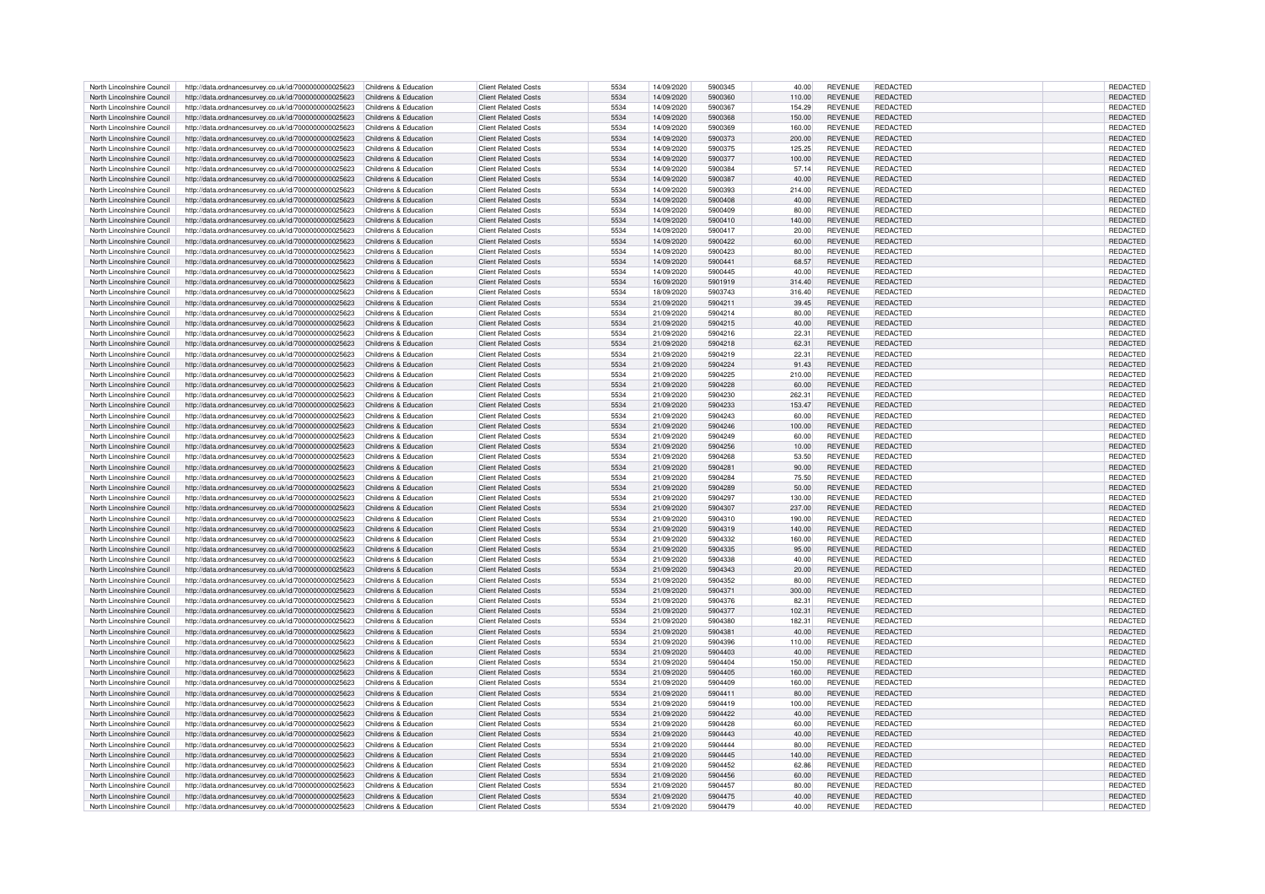| North Lincolnshire Council | http://data.ordnancesurvey.co.uk/id/7000000000025623 | Childrens & Education | <b>Client Related Costs</b> | 5534 | 14/09/2020 | 5900345 | 40.00  | <b>REVENUE</b> | REDACTED        | REDACTED        |
|----------------------------|------------------------------------------------------|-----------------------|-----------------------------|------|------------|---------|--------|----------------|-----------------|-----------------|
| North Lincolnshire Council | http://data.ordnancesurvey.co.uk/id/7000000000025623 | Childrens & Education | <b>Client Related Costs</b> | 5534 | 14/09/2020 | 5900360 | 110.00 | <b>REVENUE</b> | REDACTED        | <b>REDACTED</b> |
| North Lincolnshire Council |                                                      | Childrens & Education | <b>Client Related Costs</b> | 5534 | 14/09/2020 | 5900367 | 154.29 | <b>REVENUE</b> | REDACTED        | REDACTED        |
|                            | http://data.ordnancesurvey.co.uk/id/7000000000025623 |                       |                             |      |            |         |        |                |                 |                 |
| North Lincolnshire Council | http://data.ordnancesurvey.co.uk/id/7000000000025623 | Childrens & Education | <b>Client Related Costs</b> | 5534 | 14/09/2020 | 5900368 | 150.00 | <b>REVENUE</b> | REDACTED        | REDACTED        |
| North Lincolnshire Council | http://data.ordnancesurvey.co.uk/id/7000000000025623 | Childrens & Education | <b>Client Related Costs</b> | 5534 | 14/09/2020 | 5900369 | 160.00 | <b>REVENUE</b> | REDACTED        | REDACTED        |
| North Lincolnshire Council | http://data.ordnancesurvey.co.uk/id/7000000000025623 | Childrens & Education | <b>Client Related Costs</b> | 5534 | 14/09/2020 | 5900373 | 200.00 | <b>REVENUE</b> | REDACTED        | REDACTED        |
| North Lincolnshire Council | http://data.ordnancesurvey.co.uk/id/7000000000025623 | Childrens & Education | <b>Client Related Costs</b> | 5534 | 14/09/2020 | 5900375 | 125.25 | <b>REVENUE</b> | <b>REDACTED</b> | REDACTED        |
| North Lincolnshire Council | http://data.ordnancesurvey.co.uk/id/7000000000025623 | Childrens & Education | <b>Client Related Costs</b> | 5534 | 14/09/2020 | 5900377 | 100.00 | <b>REVENUE</b> | REDACTED        | <b>REDACTED</b> |
| North Lincolnshire Council | http://data.ordnancesurvey.co.uk/id/7000000000025623 | Childrens & Education | <b>Client Related Costs</b> | 5534 | 14/09/2020 | 5900384 | 57.14  | <b>REVENUE</b> | <b>REDACTED</b> | REDACTED        |
|                            |                                                      |                       |                             | 5534 |            | 5900387 |        |                | <b>REDACTED</b> |                 |
| North Lincolnshire Council | http://data.ordnancesurvey.co.uk/id/7000000000025623 | Childrens & Education | <b>Client Related Costs</b> |      | 14/09/2020 |         | 40.00  | <b>REVENUE</b> |                 | REDACTED        |
| North Lincolnshire Council | http://data.ordnancesurvey.co.uk/id/7000000000025623 | Childrens & Education | <b>Client Related Costs</b> | 5534 | 14/09/2020 | 5900393 | 214.00 | <b>REVENUE</b> | REDACTED        | <b>REDACTED</b> |
| North Lincolnshire Council | http://data.ordnancesurvey.co.uk/id/7000000000025623 | Childrens & Education | <b>Client Related Costs</b> | 5534 | 14/09/2020 | 5900408 | 40.00  | <b>REVENUE</b> | <b>REDACTED</b> | REDACTED        |
| North Lincolnshire Council | http://data.ordnancesurvey.co.uk/id/7000000000025623 | Childrens & Education | <b>Client Related Costs</b> | 5534 | 14/09/2020 | 5900409 | 80.00  | <b>REVENUE</b> | REDACTED        | <b>REDACTED</b> |
| North Lincolnshire Council | http://data.ordnancesurvey.co.uk/id/7000000000025623 | Childrens & Education | Client Related Costs        | 5534 | 14/09/2020 | 5900410 | 140.00 | <b>REVENUE</b> | <b>REDACTED</b> | REDACTED        |
| North Lincolnshire Council | http://data.ordnancesurvey.co.uk/id/7000000000025623 | Childrens & Education | <b>Client Related Costs</b> | 5534 | 14/09/2020 | 5900417 | 20.00  | <b>REVENUE</b> | <b>REDACTED</b> | REDACTED        |
| North Lincolnshire Council |                                                      | Childrens & Education | <b>Client Related Costs</b> | 5534 | 14/09/2020 | 5900422 | 60.00  | <b>REVENUE</b> | REDACTED        | REDACTED        |
|                            | http://data.ordnancesurvey.co.uk/id/7000000000025623 |                       |                             |      |            |         |        |                |                 |                 |
| North Lincolnshire Council | http://data.ordnancesurvey.co.uk/id/7000000000025623 | Childrens & Education | Client Related Costs        | 5534 | 14/09/2020 | 5900423 | 80.00  | <b>REVENUE</b> | <b>REDACTED</b> | <b>REDACTED</b> |
| North Lincolnshire Council | http://data.ordnancesurvey.co.uk/id/7000000000025623 | Childrens & Education | <b>Client Related Costs</b> | 5534 | 14/09/2020 | 5900441 | 68.57  | <b>REVENUE</b> | REDACTED        | <b>REDACTED</b> |
| North Lincolnshire Council | http://data.ordnancesurvey.co.uk/id/7000000000025623 | Childrens & Education | Client Related Costs        | 5534 | 14/09/2020 | 5900445 | 40.00  | <b>REVENUE</b> | <b>REDACTED</b> | REDACTED        |
| North Lincolnshire Council | http://data.ordnancesurvey.co.uk/id/7000000000025623 | Childrens & Education | <b>Client Related Costs</b> | 5534 | 16/09/2020 | 5901919 | 314.40 | <b>REVENUE</b> | <b>REDACTED</b> | REDACTED        |
| North Lincolnshire Council | http://data.ordnancesurvey.co.uk/id/7000000000025623 | Childrens & Education | <b>Client Related Costs</b> | 5534 | 18/09/2020 | 5903743 | 316.40 | <b>REVENUE</b> | REDACTED        | REDACTED        |
| North Lincolnshire Council | http://data.ordnancesurvey.co.uk/id/7000000000025623 | Childrens & Education | <b>Client Related Costs</b> | 5534 | 21/09/2020 | 5904211 | 39.45  | <b>REVENUE</b> | <b>REDACTED</b> | REDACTED        |
|                            |                                                      |                       |                             |      |            |         |        |                |                 |                 |
| North Lincolnshire Council | http://data.ordnancesurvey.co.uk/id/7000000000025623 | Childrens & Education | <b>Client Related Costs</b> | 5534 | 21/09/2020 | 5904214 | 80.00  | <b>REVENUE</b> | REDACTED        | REDACTED        |
| North Lincolnshire Council | http://data.ordnancesurvey.co.uk/id/7000000000025623 | Childrens & Education | <b>Client Related Costs</b> | 5534 | 21/09/2020 | 5904215 | 40.00  | <b>REVENUE</b> | REDACTED        | REDACTED        |
| North Lincolnshire Council | http://data.ordnancesurvey.co.uk/id/7000000000025623 | Childrens & Education | <b>Client Related Costs</b> | 5534 | 21/09/2020 | 5904216 | 22.31  | <b>REVENUE</b> | <b>REDACTED</b> | REDACTED        |
| North Lincolnshire Council | http://data.ordnancesurvey.co.uk/id/7000000000025623 | Childrens & Education | <b>Client Related Costs</b> | 5534 | 21/09/2020 | 5904218 | 62.31  | <b>REVENUE</b> | REDACTED        | REDACTED        |
| North Lincolnshire Council | http://data.ordnancesurvey.co.uk/id/7000000000025623 | Childrens & Education | Client Related Costs        | 5534 | 21/09/2020 | 5904219 | 22.31  | <b>REVENUE</b> | <b>REDACTED</b> | <b>REDACTED</b> |
| North Lincolnshire Council | http://data.ordnancesurvey.co.uk/id/7000000000025623 | Childrens & Education | <b>Client Related Costs</b> | 5534 | 21/09/2020 | 5904224 | 91.43  | <b>REVENUE</b> | <b>REDACTED</b> | <b>REDACTED</b> |
|                            |                                                      |                       |                             | 5534 |            | 5904225 |        |                | <b>REDACTED</b> |                 |
| North Lincolnshire Council | http://data.ordnancesurvey.co.uk/id/7000000000025623 | Childrens & Education | <b>Client Related Costs</b> |      | 21/09/2020 |         | 210.00 | <b>REVENUE</b> |                 | <b>REDACTED</b> |
| North Lincolnshire Council | http://data.ordnancesurvey.co.uk/id/7000000000025623 | Childrens & Education | <b>Client Related Costs</b> | 5534 | 21/09/2020 | 5904228 | 60.00  | <b>REVENUE</b> | <b>REDACTED</b> | REDACTED        |
| North Lincolnshire Council | http://data.ordnancesurvey.co.uk/id/7000000000025623 | Childrens & Education | <b>Client Related Costs</b> | 5534 | 21/09/2020 | 5904230 | 262.31 | <b>REVENUE</b> | <b>REDACTED</b> | REDACTED        |
| North Lincolnshire Council | http://data.ordnancesurvey.co.uk/id/7000000000025623 | Childrens & Education | <b>Client Related Costs</b> | 5534 | 21/09/2020 | 5904233 | 153.47 | <b>REVENUE</b> | <b>REDACTED</b> | REDACTED        |
| North Lincolnshire Council | http://data.ordnancesurvey.co.uk/id/7000000000025623 | Childrens & Education | <b>Client Related Costs</b> | 5534 | 21/09/2020 | 5904243 | 60.00  | <b>REVENUE</b> | REDACTED        | <b>REDACTED</b> |
| North Lincolnshire Council | http://data.ordnancesurvey.co.uk/id/7000000000025623 | Childrens & Education | Client Related Costs        | 5534 | 21/09/2020 | 5904246 | 100.00 | <b>REVENUE</b> | <b>REDACTED</b> | REDACTED        |
|                            |                                                      |                       |                             | 5534 |            | 5904249 |        |                | <b>REDACTED</b> |                 |
| North Lincolnshire Council | http://data.ordnancesurvey.co.uk/id/7000000000025623 | Childrens & Education | <b>Client Related Costs</b> |      | 21/09/2020 |         | 60.00  | <b>REVENUE</b> |                 | REDACTED        |
| North Lincolnshire Council | http://data.ordnancesurvey.co.uk/id/7000000000025623 | Childrens & Education | <b>Client Related Costs</b> | 5534 | 21/09/2020 | 5904256 | 10.00  | <b>REVENUE</b> | REDACTED        | <b>REDACTED</b> |
| North Lincolnshire Council | http://data.ordnancesurvey.co.uk/id/7000000000025623 | Childrens & Education | Client Related Costs        | 5534 | 21/09/2020 | 5904268 | 53.50  | <b>REVENUE</b> | <b>REDACTED</b> | REDACTED        |
| North Lincolnshire Council | http://data.ordnancesurvey.co.uk/id/7000000000025623 | Childrens & Education | <b>Client Related Costs</b> | 5534 | 21/09/2020 | 5904281 | 90.00  | <b>REVENUE</b> | REDACTED        | <b>REDACTED</b> |
| North Lincolnshire Council | http://data.ordnancesurvey.co.uk/id/7000000000025623 | Childrens & Education | Client Related Costs        | 5534 | 21/09/2020 | 5904284 | 75.50  | <b>REVENUE</b> | <b>REDACTED</b> | REDACTED        |
| North Lincolnshire Council | http://data.ordnancesurvey.co.uk/id/7000000000025623 | Childrens & Education | <b>Client Related Costs</b> | 5534 | 21/09/2020 | 5904289 | 50.00  | <b>REVENUE</b> | <b>REDACTED</b> | REDACTED        |
| North Lincolnshire Council | http://data.ordnancesurvey.co.uk/id/7000000000025623 | Childrens & Education | <b>Client Related Costs</b> | 5534 | 21/09/2020 | 5904297 | 130.00 | <b>REVENUE</b> | REDACTED        | REDACTED        |
|                            |                                                      |                       |                             |      |            |         |        |                |                 |                 |
| North Lincolnshire Council | http://data.ordnancesurvey.co.uk/id/7000000000025623 | Childrens & Education | <b>Client Related Costs</b> | 5534 | 21/09/2020 | 5904307 | 237.00 | <b>REVENUE</b> | <b>REDACTED</b> | REDACTED        |
| North Lincolnshire Council | http://data.ordnancesurvey.co.uk/id/7000000000025623 | Childrens & Education | <b>Client Related Costs</b> | 5534 | 21/09/2020 | 5904310 | 190.00 | <b>REVENUE</b> | REDACTED        | REDACTED        |
| North Lincolnshire Council | http://data.ordnancesurvey.co.uk/id/7000000000025623 | Childrens & Education | <b>Client Related Costs</b> | 5534 | 21/09/2020 | 5904319 | 140.00 | <b>REVENUE</b> | <b>REDACTED</b> | REDACTED        |
| North Lincolnshire Council | http://data.ordnancesurvey.co.uk/id/7000000000025623 | Childrens & Education | <b>Client Related Costs</b> | 5534 | 21/09/2020 | 5904332 | 160.00 | <b>REVENUE</b> | <b>REDACTED</b> | REDACTED        |
| North Lincolnshire Council | http://data.ordnancesurvey.co.uk/id/7000000000025623 | Childrens & Education | <b>Client Related Costs</b> | 5534 | 21/09/2020 | 5904335 | 95.00  | <b>REVENUE</b> | REDACTED        | REDACTED        |
| North Lincolnshire Council | http://data.ordnancesurvey.co.uk/id/7000000000025623 | Childrens & Education | <b>Client Related Costs</b> | 5534 | 21/09/2020 | 5904338 | 40.00  | <b>REVENUE</b> | <b>REDACTED</b> | REDACTED        |
|                            |                                                      |                       |                             |      |            |         |        |                |                 |                 |
| North Lincolnshire Council | http://data.ordnancesurvey.co.uk/id/7000000000025623 | Childrens & Education | <b>Client Related Costs</b> | 5534 | 21/09/2020 | 5904343 | 20.00  | <b>REVENUE</b> | REDACTED        | REDACTED        |
| North Lincolnshire Council | http://data.ordnancesurvey.co.uk/id/7000000000025623 | Childrens & Education | <b>Client Related Costs</b> | 5534 | 21/09/2020 | 5904352 | 80.00  | <b>REVENUE</b> | <b>REDACTED</b> | <b>REDACTED</b> |
| North Lincolnshire Council | http://data.ordnancesurvey.co.uk/id/7000000000025623 | Childrens & Education | <b>Client Related Costs</b> | 5534 | 21/09/2020 | 5904371 | 300.00 | <b>REVENUE</b> | REDACTED        | REDACTED        |
| North Lincolnshire Council | http://data.ordnancesurvey.co.uk/id/7000000000025623 | Childrens & Education | <b>Client Related Costs</b> | 5534 | 21/09/2020 | 5904376 | 82.31  | <b>REVENUE</b> | REDACTED        | REDACTED        |
| North Lincolnshire Council | http://data.ordnancesurvey.co.uk/id/7000000000025623 | Childrens & Education | <b>Client Related Costs</b> | 5534 | 21/09/2020 | 5904377 | 102.31 | <b>REVENUE</b> | <b>REDACTED</b> | REDACTED        |
| North Lincolnshire Council | http://data.ordnancesurvey.co.uk/id/7000000000025623 | Childrens & Education | <b>Client Related Costs</b> | 5534 | 21/09/2020 | 5904380 | 182.31 | <b>REVENUE</b> | REDACTED        | <b>REDACTED</b> |
| North Lincolnshire Council |                                                      | Childrens & Education | <b>Client Related Costs</b> | 5534 | 21/09/2020 | 5904381 | 40.00  | <b>REVENUE</b> | <b>REDACTED</b> | REDACTED        |
|                            | http://data.ordnancesurvey.co.uk/id/7000000000025623 |                       |                             |      |            |         |        |                |                 |                 |
| North Lincolnshire Council | http://data.ordnancesurvey.co.uk/id/7000000000025623 | Childrens & Education | <b>Client Related Costs</b> | 5534 | 21/09/2020 | 5904396 | 110.00 | <b>REVENUE</b> | <b>REDACTED</b> | REDACTED        |
| North Lincolnshire Council | http://data.ordnancesurvey.co.uk/id/7000000000025623 | Childrens & Education | <b>Client Related Costs</b> | 5534 | 21/09/2020 | 5904403 | 40.00  | <b>REVENUE</b> | REDACTED        | REDACTED        |
| North Lincolnshire Council | http://data.ordnancesurvey.co.uk/id/7000000000025623 | Childrens & Education | <b>Client Related Costs</b> | 5534 | 21/09/2020 | 5904404 | 150.00 | <b>REVENUE</b> | <b>REDACTED</b> | REDACTED        |
| North Lincolnshire Council | http://data.ordnancesurvey.co.uk/id/7000000000025623 | Childrens & Education | <b>Client Related Costs</b> | 5534 | 21/09/2020 | 5904405 | 160.00 | <b>REVENUE</b> | REDACTED        | REDACTED        |
| North Lincolnshire Council | http://data.ordnancesurvey.co.uk/id/7000000000025623 | Childrens & Education | Client Related Costs        | 5534 | 21/09/2020 | 5904409 | 160.00 | <b>REVENUE</b> | <b>REDACTED</b> | REDACTED        |
| North Lincolnshire Council | http://data.ordnancesurvey.co.uk/id/7000000000025623 | Childrens & Education | <b>Client Related Costs</b> | 5534 | 21/09/2020 | 5904411 | 80.00  | <b>REVENUE</b> | <b>REDACTED</b> | REDACTED        |
| North Lincolnshire Council |                                                      | Childrens & Education | <b>Client Related Costs</b> | 5534 | 21/09/2020 | 5904419 | 100.00 | <b>REVENUE</b> | REDACTED        | REDACTED        |
|                            | http://data.ordnancesurvey.co.uk/id/7000000000025623 |                       |                             |      |            |         |        |                |                 |                 |
| North Lincolnshire Council | http://data.ordnancesurvey.co.uk/id/7000000000025623 | Childrens & Education | <b>Client Related Costs</b> | 5534 | 21/09/2020 | 5904422 | 40.00  | <b>REVENUE</b> | <b>REDACTED</b> | REDACTED        |
| North Lincolnshire Council | http://data.ordnancesurvey.co.uk/id/7000000000025623 | Childrens & Education | <b>Client Related Costs</b> | 5534 | 21/09/2020 | 5904428 | 60.00  | <b>REVENUE</b> | REDACTED        | REDACTED        |
| North Lincolnshire Council | http://data.ordnancesurvey.co.uk/id/7000000000025623 | Childrens & Education | <b>Client Related Costs</b> | 5534 | 21/09/2020 | 5904443 | 40.00  | <b>REVENUE</b> | <b>REDACTED</b> | REDACTED        |
| North Lincolnshire Council | http://data.ordnancesurvey.co.uk/id/7000000000025623 | Childrens & Education | Client Related Costs        | 5534 | 21/09/2020 | 5904444 | 80.00  | <b>REVENUE</b> | <b>REDACTED</b> | REDACTED        |
| North Lincolnshire Council | http://data.ordnancesurvey.co.uk/id/7000000000025623 | Childrens & Education | <b>Client Related Costs</b> | 5534 | 21/09/2020 | 5904445 | 140.00 | <b>REVENUE</b> | REDACTED        | REDACTED        |
| North Lincolnshire Council | http://data.ordnancesurvey.co.uk/id/7000000000025623 | Childrens & Education | <b>Client Related Costs</b> | 5534 | 21/09/2020 | 5904452 | 62.86  | <b>REVENUE</b> | <b>REDACTED</b> | REDACTED        |
|                            |                                                      |                       |                             | 5534 |            | 5904456 |        |                | <b>REDACTED</b> |                 |
| North Lincolnshire Council | http://data.ordnancesurvey.co.uk/id/7000000000025623 | Childrens & Education | <b>Client Related Costs</b> |      | 21/09/2020 |         | 60.00  | <b>REVENUE</b> |                 | REDACTED        |
| North Lincolnshire Council | http://data.ordnancesurvey.co.uk/id/7000000000025623 | Childrens & Education | Client Related Costs        | 5534 | 21/09/2020 | 5904457 | 80.00  | <b>REVENUE</b> | <b>REDACTED</b> | <b>REDACTED</b> |
| North Lincolnshire Council | http://data.ordnancesurvey.co.uk/id/7000000000025623 | Childrens & Education | <b>Client Related Costs</b> | 5534 | 21/09/2020 | 5904475 | 40.00  | <b>REVENUE</b> | REDACTED        | <b>REDACTED</b> |
| North Lincolnshire Council | http://data.ordnancesurvey.co.uk/id/7000000000025623 | Childrens & Education | <b>Client Related Costs</b> | 5534 | 21/09/2020 | 5904479 | 40.00  | <b>REVENUE</b> | REDACTED        | REDACTED        |
|                            |                                                      |                       |                             |      |            |         |        |                |                 |                 |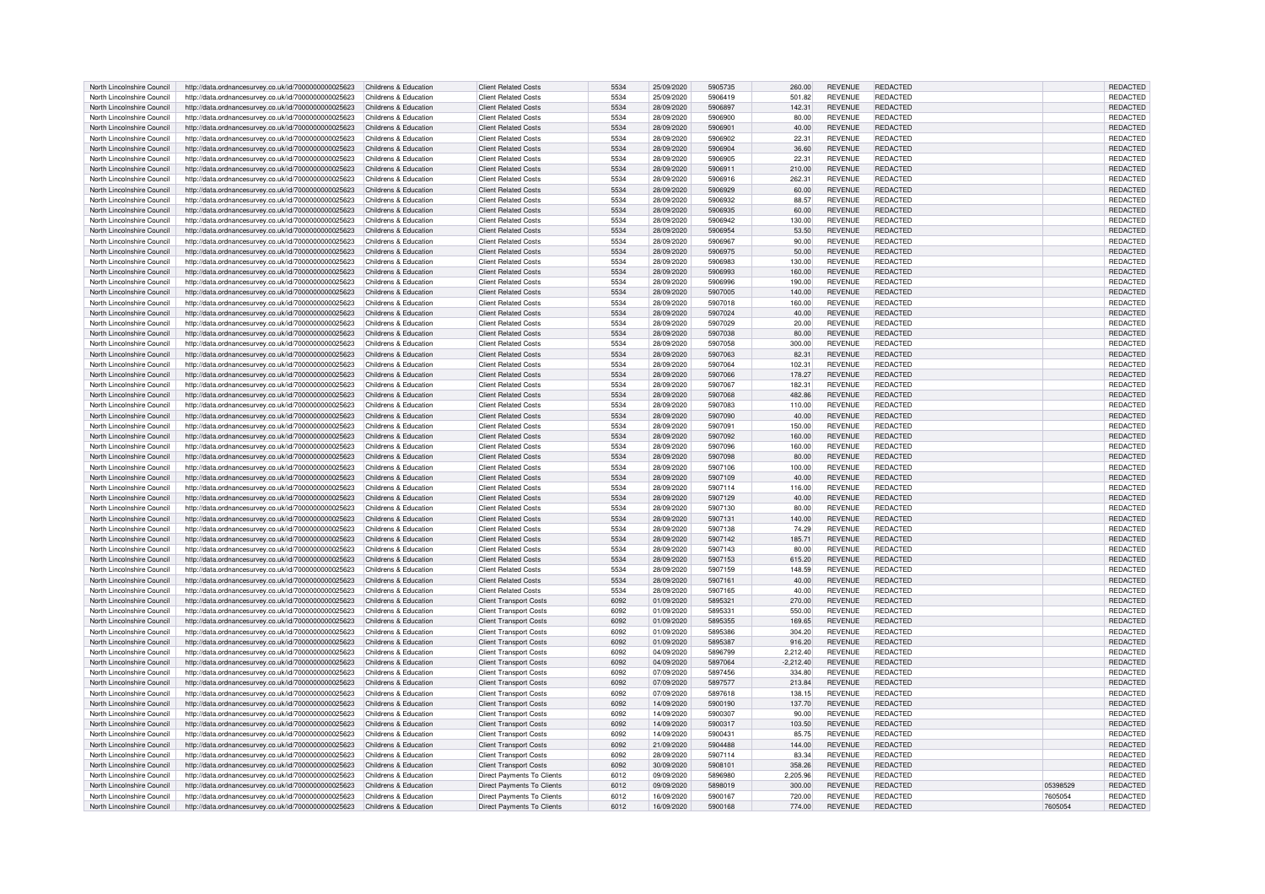| North Lincolnshire Council | http://data.ordnancesurvey.co.uk/id/7000000000025623                       | Childrens & Education | <b>Client Related Costs</b>       | 5534 | 25/09/2020 | 5905735 | 260.00      | <b>REVENUE</b> | <b>REDACTED</b> |          | REDACTED        |
|----------------------------|----------------------------------------------------------------------------|-----------------------|-----------------------------------|------|------------|---------|-------------|----------------|-----------------|----------|-----------------|
| North Lincolnshire Council | http://data.ordnancesurvey.co.uk/id/7000000000025623                       | Childrens & Education | <b>Client Related Costs</b>       | 5534 | 25/09/2020 | 5906419 | 501.82      | <b>REVENUE</b> | <b>REDACTED</b> |          | REDACTED        |
| North Lincolnshire Council | http://data.ordnancesurvey.co.uk/id/7000000000025623                       | Childrens & Education | <b>Client Related Costs</b>       | 5534 | 28/09/2020 | 5906897 | 142.31      | <b>REVENUE</b> | REDACTED        |          | REDACTED        |
|                            |                                                                            |                       |                                   |      |            |         |             |                |                 |          |                 |
| North Lincolnshire Council | http://data.ordnancesurvey.co.uk/id/7000000000025623                       | Childrens & Education | <b>Client Related Costs</b>       | 5534 | 28/09/2020 | 5906900 | 80.00       | <b>REVENUE</b> | REDACTED        |          | <b>REDACTED</b> |
| North Lincolnshire Council | http://data.ordnancesurvey.co.uk/id/7000000000025623                       | Childrens & Education | <b>Client Related Costs</b>       | 5534 | 28/09/2020 | 5906901 | 40.00       | <b>REVENUE</b> | <b>REDACTED</b> |          | REDACTED        |
| North Lincolnshire Council | http://data.ordnancesurvey.co.uk/id/7000000000025623                       | Childrens & Education | <b>Client Related Costs</b>       | 5534 | 28/09/2020 | 5906902 | 22.31       | <b>REVENUE</b> | REDACTED        |          | REDACTED        |
| North Lincolnshire Council | http://data.ordnancesurvey.co.uk/id/7000000000025623                       | Childrens & Education | <b>Client Related Costs</b>       | 5534 | 28/09/2020 | 5906904 | 36.60       | <b>REVENUE</b> | <b>REDACTED</b> |          | REDACTED        |
| North Lincolnshire Council | http://data.ordnancesurvey.co.uk/id/7000000000025623                       | Childrens & Education | <b>Client Related Costs</b>       | 5534 | 28/09/2020 | 5906905 | 22.31       | <b>REVENUE</b> | <b>REDACTED</b> |          | REDACTED        |
| North Lincolnshire Council | http://data.ordnancesurvey.co.uk/id/7000000000025623                       | Childrens & Education | <b>Client Related Costs</b>       | 5534 | 28/09/2020 | 5906911 | 210.00      | <b>REVENUE</b> | REDACTED        |          | <b>REDACTED</b> |
| North Lincolnshire Council | http://data.ordnancesurvey.co.uk/id/7000000000025623                       | Childrens & Education | <b>Client Related Costs</b>       | 5534 | 28/09/2020 | 5906916 | 262.31      | <b>REVENUE</b> | <b>REDACTED</b> |          | <b>REDACTED</b> |
|                            |                                                                            |                       |                                   |      |            |         |             |                |                 |          |                 |
| North Lincolnshire Council | http://data.ordnancesurvey.co.uk/id/7000000000025623                       | Childrens & Education | <b>Client Related Costs</b>       | 5534 | 28/09/2020 | 5906929 | 60.00       | <b>REVENUE</b> | REDACTED        |          | REDACTED        |
| North Lincolnshire Council | http://data.ordnancesurvey.co.uk/id/7000000000025623                       | Childrens & Education | <b>Client Related Costs</b>       | 5534 | 28/09/2020 | 5906932 | 88.57       | <b>REVENUE</b> | REDACTED        |          | REDACTED        |
| North Lincolnshire Council | http://data.ordnancesurvey.co.uk/id/7000000000025623                       | Childrens & Education | <b>Client Related Costs</b>       | 5534 | 28/09/2020 | 5906935 | 60.00       | <b>REVENUE</b> | <b>REDACTED</b> |          | REDACTED        |
| North Lincolnshire Council | http://data.ordnancesurvey.co.uk/id/7000000000025623                       | Childrens & Education | <b>Client Related Costs</b>       | 5534 | 28/09/2020 | 5906942 | 130.00      | <b>REVENUE</b> | REDACTED        |          | REDACTED        |
| North Lincolnshire Council | http://data.ordnancesurvey.co.uk/id/7000000000025623                       | Childrens & Education | <b>Client Related Costs</b>       | 5534 | 28/09/2020 | 5906954 | 53.50       | <b>REVENUE</b> | REDACTED        |          | REDACTED        |
| North Lincolnshire Council | http://data.ordnancesurvey.co.uk/id/7000000000025623                       | Childrens & Education | <b>Client Related Costs</b>       | 5534 | 28/09/2020 | 5906967 | 90.00       | <b>REVENUE</b> | <b>REDACTED</b> |          | REDACTED        |
| North Lincolnshire Council |                                                                            | Childrens & Education | <b>Client Related Costs</b>       | 5534 | 28/09/2020 | 5906975 | 50.00       | <b>REVENUE</b> | REDACTED        |          | REDACTED        |
|                            | http://data.ordnancesurvey.co.uk/id/7000000000025623                       |                       |                                   |      |            |         |             |                |                 |          |                 |
| North Lincolnshire Council | http://data.ordnancesurvey.co.uk/id/7000000000025623                       | Childrens & Education | <b>Client Related Costs</b>       | 5534 | 28/09/2020 | 5906983 | 130.00      | <b>REVENUE</b> | <b>REDACTED</b> |          | REDACTED        |
| North Lincolnshire Council | http://data.ordnancesurvey.co.uk/id/7000000000025623                       | Childrens & Education | <b>Client Related Costs</b>       | 5534 | 28/09/2020 | 5906993 | 160.00      | <b>REVENUE</b> | REDACTED        |          | REDACTED        |
| North Lincolnshire Council | http://data.ordnancesurvey.co.uk/id/7000000000025623                       | Childrens & Education | <b>Client Related Costs</b>       | 5534 | 28/09/2020 | 5906996 | 190.00      | <b>REVENUE</b> | <b>REDACTED</b> |          | REDACTED        |
| North Lincolnshire Council | http://data.ordnancesurvey.co.uk/id/7000000000025623                       | Childrens & Education | <b>Client Related Costs</b>       | 5534 | 28/09/2020 | 5907005 | 140.00      | <b>REVENUE</b> | <b>REDACTED</b> |          | REDACTED        |
| North Lincolnshire Council | http://data.ordnancesurvey.co.uk/id/7000000000025623                       | Childrens & Education | <b>Client Related Costs</b>       | 5534 | 28/09/2020 | 5907018 | 160.00      | <b>REVENUE</b> | REDACTED        |          | REDACTED        |
| North Lincolnshire Council | http://data.ordnancesurvey.co.uk/id/7000000000025623                       | Childrens & Education | <b>Client Related Costs</b>       | 5534 | 28/09/2020 | 5907024 | 40.00       | <b>REVENUE</b> | <b>REDACTED</b> |          | REDACTED        |
| North Lincolnshire Council |                                                                            | Childrens & Education | <b>Client Related Costs</b>       | 5534 | 28/09/2020 | 5907029 |             | <b>REVENUE</b> | REDACTED        |          | REDACTED        |
|                            | http://data.ordnancesurvey.co.uk/id/7000000000025623                       |                       |                                   |      |            |         | 20.00       |                |                 |          |                 |
| North Lincolnshire Council | http://data.ordnancesurvey.co.uk/id/7000000000025623                       | Childrens & Education | <b>Client Related Costs</b>       | 5534 | 28/09/2020 | 5907038 | 80.00       | <b>REVENUE</b> | <b>REDACTED</b> |          | REDACTED        |
| North Lincolnshire Council | http://data.ordnancesurvey.co.uk/id/7000000000025623                       | Childrens & Education | <b>Client Related Costs</b>       | 5534 | 28/09/2020 | 5907058 | 300.00      | <b>REVENUE</b> | <b>REDACTED</b> |          | REDACTED        |
| North Lincolnshire Council | http://data.ordnancesurvey.co.uk/id/7000000000025623                       | Childrens & Education | <b>Client Related Costs</b>       | 5534 | 28/09/2020 | 5907063 | 82.31       | <b>REVENUE</b> | REDACTED        |          | REDACTED        |
| North Lincolnshire Council | http://data.ordnancesurvey.co.uk/id/7000000000025623                       | Childrens & Education | <b>Client Related Costs</b>       | 5534 | 28/09/2020 | 5907064 | 102.31      | <b>REVENUE</b> | <b>REDACTED</b> |          | <b>REDACTED</b> |
| North Lincolnshire Council | http://data.ordnancesurvey.co.uk/id/7000000000025623                       | Childrens & Education | <b>Client Related Costs</b>       | 5534 | 28/09/2020 | 5907066 | 178.27      | <b>REVENUE</b> | REDACTED        |          | <b>REDACTED</b> |
| North Lincolnshire Council | http://data.ordnancesurvey.co.uk/id/7000000000025623                       | Childrens & Education | <b>Client Related Costs</b>       | 5534 | 28/09/2020 | 5907067 | 182.31      | <b>REVENUE</b> | <b>REDACTED</b> |          | <b>REDACTED</b> |
|                            |                                                                            |                       |                                   | 5534 |            |         |             |                |                 |          |                 |
| North Lincolnshire Council | http://data.ordnancesurvey.co.uk/id/7000000000025623                       | Childrens & Education | <b>Client Related Costs</b>       |      | 28/09/2020 | 5907068 | 482.86      | <b>REVENUE</b> | REDACTED        |          | REDACTED        |
| North Lincolnshire Council | http://data.ordnancesurvey.co.uk/id/7000000000025623                       | Childrens & Education | <b>Client Related Costs</b>       | 5534 | 28/09/2020 | 5907083 | 110.00      | <b>REVENUE</b> | REDACTED        |          | <b>REDACTED</b> |
| North Lincolnshire Council | http://data.ordnancesurvey.co.uk/id/7000000000025623                       | Childrens & Education | <b>Client Related Costs</b>       | 5534 | 28/09/2020 | 5907090 | 40.00       | <b>REVENUE</b> | REDACTED        |          | REDACTED        |
| North Lincolnshire Council | http://data.ordnancesurvey.co.uk/id/7000000000025623                       | Childrens & Education | <b>Client Related Costs</b>       | 5534 | 28/09/2020 | 5907091 | 150.00      | <b>REVENUE</b> | REDACTED        |          | <b>REDACTED</b> |
| North Lincolnshire Council | http://data.ordnancesurvey.co.uk/id/7000000000025623                       | Childrens & Education | <b>Client Related Costs</b>       | 5534 | 28/09/2020 | 5907092 | 160.00      | <b>REVENUE</b> | REDACTED        |          | <b>REDACTED</b> |
| North Lincolnshire Council | http://data.ordnancesurvey.co.uk/id/7000000000025623                       | Childrens & Education | <b>Client Related Costs</b>       | 5534 | 28/09/2020 | 5907096 | 160.00      | <b>REVENUE</b> | REDACTED        |          | REDACTED        |
| North Lincolnshire Council | http://data.ordnancesurvey.co.uk/id/7000000000025623                       | Childrens & Education | <b>Client Related Costs</b>       | 5534 | 28/09/2020 | 5907098 | 80.00       | <b>REVENUE</b> | <b>REDACTED</b> |          | <b>REDACTED</b> |
|                            |                                                                            |                       |                                   |      |            |         |             |                |                 |          |                 |
| North Lincolnshire Council | http://data.ordnancesurvey.co.uk/id/7000000000025623                       | Childrens & Education | <b>Client Related Costs</b>       | 5534 | 28/09/2020 | 5907106 | 100.00      | <b>REVENUE</b> | <b>REDACTED</b> |          | REDACTED        |
| North Lincolnshire Council | http://data.ordnancesurvey.co.uk/id/7000000000025623                       | Childrens & Education | <b>Client Related Costs</b>       | 5534 | 28/09/2020 | 5907109 | 40.00       | <b>REVENUE</b> | REDACTED        |          | <b>REDACTED</b> |
| North Lincolnshire Council | http://data.ordnancesurvey.co.uk/id/7000000000025623                       | Childrens & Education | <b>Client Related Costs</b>       | 5534 | 28/09/2020 | 5907114 | 116.00      | <b>REVENUE</b> | <b>REDACTED</b> |          | REDACTED        |
| North Lincolnshire Council | http://data.ordnancesurvey.co.uk/id/7000000000025623                       | Childrens & Education | <b>Client Related Costs</b>       | 5534 | 28/09/2020 | 5907129 | 40.00       | <b>REVENUE</b> | REDACTED        |          | REDACTED        |
| North Lincolnshire Council | http://data.ordnancesurvey.co.uk/id/7000000000025623                       | Childrens & Education | <b>Client Related Costs</b>       | 5534 | 28/09/2020 | 5907130 | 80.00       | <b>REVENUE</b> | REDACTED        |          | REDACTED        |
| North Lincolnshire Council | http://data.ordnancesurvey.co.uk/id/7000000000025623                       | Childrens & Education | <b>Client Related Costs</b>       | 5534 | 28/09/2020 | 5907131 | 140.00      | <b>REVENUE</b> | REDACTED        |          | REDACTED        |
| North Lincolnshire Council | http://data.ordnancesurvey.co.uk/id/7000000000025623                       | Childrens & Education | <b>Client Related Costs</b>       | 5534 | 28/09/2020 | 5907138 | 74.29       | <b>REVENUE</b> | <b>REDACTED</b> |          | REDACTED        |
|                            |                                                                            |                       |                                   |      |            |         |             |                |                 |          |                 |
| North Lincolnshire Council | http://data.ordnancesurvey.co.uk/id/7000000000025623                       | Childrens & Education | <b>Client Related Costs</b>       | 5534 | 28/09/2020 | 5907142 | 185.71      | <b>REVENUE</b> | <b>REDACTED</b> |          | REDACTED        |
| North Lincolnshire Council | http://data.ordnancesurvey.co.uk/id/7000000000025623                       | Childrens & Education | <b>Client Related Costs</b>       | 5534 | 28/09/2020 | 5907143 | 80.00       | <b>REVENUE</b> | <b>REDACTED</b> |          | REDACTED        |
| North Lincolnshire Council | http://data.ordnancesurvey.co.uk/id/7000000000025623                       | Childrens & Education | <b>Client Related Costs</b>       | 5534 | 28/09/2020 | 5907153 | 615.20      | <b>REVENUE</b> | <b>REDACTED</b> |          | REDACTED        |
| North Lincolnshire Council | http://data.ordnancesurvey.co.uk/id/7000000000025623                       | Childrens & Education | <b>Client Related Costs</b>       | 5534 | 28/09/2020 | 5907159 | 148.59      | <b>REVENUE</b> | REDACTED        |          | <b>REDACTED</b> |
| North Lincolnshire Council | http://data.ordnancesurvey.co.uk/id/7000000000025623                       | Childrens & Education | <b>Client Related Costs</b>       | 5534 | 28/09/2020 | 5907161 | 40.00       | <b>REVENUE</b> | <b>REDACTED</b> |          | REDACTED        |
| North Lincolnshire Council | http://data.ordnancesurvey.co.uk/id/7000000000025623                       | Childrens & Education | <b>Client Related Costs</b>       | 5534 | 28/09/2020 | 5907165 | 40.00       | <b>REVENUE</b> | <b>REDACTED</b> |          | REDACTED        |
| North Lincolnshire Council | http://data.ordnancesurvey.co.uk/id/7000000000025623                       | Childrens & Education | <b>Client Transport Costs</b>     | 6092 | 01/09/2020 | 5895321 | 270.00      | <b>REVENUE</b> | <b>REDACTED</b> |          | REDACTED        |
|                            |                                                                            |                       |                                   |      |            |         |             |                |                 |          |                 |
| North Lincolnshire Council | http://data.ordnancesurvey.co.uk/id/7000000000025623                       | Childrens & Education | <b>Client Transport Costs</b>     | 6092 | 01/09/2020 | 5895331 | 550.00      | <b>REVENUE</b> | <b>REDACTED</b> |          | REDACTED        |
| North Lincolnshire Council | http://data.ordnancesurvey.co.uk/id/7000000000025623                       | Childrens & Education | <b>Client Transport Costs</b>     | 6092 | 01/09/2020 | 5895355 | 169.65      | <b>REVENUE</b> | REDACTED        |          | <b>REDACTED</b> |
| North Lincolnshire Council | http://data.ordnancesurvey.co.uk/id/7000000000025623                       | Childrens & Education | <b>Client Transport Costs</b>     | 6092 | 01/09/2020 | 5895386 | 304.20      | <b>REVENUE</b> | <b>REDACTED</b> |          | REDACTED        |
| North Lincolnshire Council | http://data.ordnancesurvey.co.uk/id/7000000000025623                       | Childrens & Education | <b>Client Transport Costs</b>     | 6092 | 01/09/2020 | 5895387 | 916.20      | <b>REVENUE</b> | <b>REDACTED</b> |          | REDACTED        |
| North Lincolnshire Council | http://data.ordnancesurvey.co.uk/id/7000000000025623                       | Childrens & Education | <b>Client Transport Costs</b>     | 6092 | 04/09/2020 | 5896799 | 2,212.40    | <b>REVENUE</b> | <b>REDACTED</b> |          | REDACTED        |
| North Lincolnshire Council | http://data.ordnancesurvey.co.uk/id/7000000000025623                       | Childrens & Education | <b>Client Transport Costs</b>     | 6092 | 04/09/2020 | 5897064 | $-2,212.40$ | <b>REVENUE</b> | <b>REDACTED</b> |          | REDACTED        |
| North Lincolnshire Council | http://data.ordnancesurvey.co.uk/id/7000000000025623                       | Childrens & Education | <b>Client Transport Costs</b>     | 6092 | 07/09/2020 | 5897456 | 334.80      | <b>REVENUE</b> | REDACTED        |          | <b>REDACTED</b> |
|                            |                                                                            |                       |                                   |      |            |         |             |                |                 |          |                 |
| North Lincolnshire Council | http://data.ordnancesurvey.co.uk/id/7000000000025623                       | Childrens & Education | <b>Client Transport Costs</b>     | 6092 | 07/09/2020 | 5897577 | 213.84      | <b>REVENUE</b> | <b>REDACTED</b> |          | REDACTED        |
| North Lincolnshire Council | http://data.ordnancesurvey.co.uk/id/7000000000025623                       | Childrens & Education | <b>Client Transport Costs</b>     | 6092 | 07/09/2020 | 5897618 | 138.15      | <b>REVENUE</b> | <b>REDACTED</b> |          | REDACTED        |
| North Lincolnshire Council | http://data.ordnancesurvey.co.uk/id/7000000000025623                       | Childrens & Education | <b>Client Transport Costs</b>     | 6092 | 14/09/2020 | 5900190 | 137.70      | <b>REVENUE</b> | REDACTED        |          | REDACTED        |
| North Lincolnshire Council | http://data.ordnancesurvey.co.uk/id/7000000000025623                       | Childrens & Education | <b>Client Transport Costs</b>     | 6092 | 14/09/2020 | 5900307 | 90.00       | <b>REVENUE</b> | REDACTED        |          | REDACTED        |
| North Lincolnshire Council | http://data.ordnancesurvey.co.uk/id/7000000000025623                       | Childrens & Education | <b>Client Transport Costs</b>     | 6092 | 14/09/2020 | 5900317 | 103.50      | <b>REVENUE</b> | REDACTED        |          | <b>REDACTED</b> |
| North Lincolnshire Council | http://data.ordnancesurvey.co.uk/id/7000000000025623                       | Childrens & Education | <b>Client Transport Costs</b>     | 6092 | 14/09/2020 | 5900431 | 85.75       | <b>REVENUE</b> | REDACTED        |          | REDACTED        |
| North Lincolnshire Council | http://data.ordnancesurvey.co.uk/id/7000000000025623                       | Childrens & Education | <b>Client Transport Costs</b>     | 6092 | 21/09/2020 | 5904488 | 144.00      | <b>REVENUE</b> | <b>REDACTED</b> |          | REDACTED        |
|                            |                                                                            |                       |                                   |      |            |         |             |                |                 |          |                 |
| North Lincolnshire Council | http://data.ordnancesurvey.co.uk/id/7000000000025623                       | Childrens & Education | <b>Client Transport Costs</b>     | 6092 | 28/09/2020 | 5907114 | 83.34       | <b>REVENUE</b> | REDACTED        |          | REDACTED        |
| North Lincolnshire Council | http://data.ordnancesurvey.co.uk/id/7000000000025623                       | Childrens & Education | <b>Client Transport Costs</b>     | 6092 | 30/09/2020 | 5908101 | 358.26      | <b>REVENUE</b> | <b>REDACTED</b> |          | REDACTED        |
| North Lincolnshire Council | http://data.ordnancesurvey.co.uk/id/7000000000025623                       | Childrens & Education | <b>Direct Payments To Clients</b> | 6012 | 09/09/2020 | 5896980 | 2,205.96    | <b>REVENUE</b> | REDACTED        |          | REDACTED        |
| North Lincolnshire Council | http://data.ordnancesurvey.co.uk/id/7000000000025623                       | Childrens & Education | <b>Direct Payments To Clients</b> | 6012 | 09/09/2020 | 5898019 | 300.00      | <b>REVENUE</b> | <b>REDACTED</b> | 05398529 | <b>REDACTED</b> |
| North Lincolnshire Council | http://data.ordnancesurvey.co.uk/id/7000000000025623                       | Childrens & Education | Direct Payments To Clients        | 6012 | 16/09/2020 | 5900167 | 720.00      | <b>REVENUE</b> | <b>REDACTED</b> | 7605054  | REDACTED        |
| North Lincolnshire Council | http://data.ordnancesurvey.co.uk/id/7000000000025623 Childrens & Education |                       | Direct Payments To Clients        | 6012 | 16/09/2020 | 5900168 | 774.00      | <b>REVENUE</b> | REDACTED        | 7605054  | REDACTED        |
|                            |                                                                            |                       |                                   |      |            |         |             |                |                 |          |                 |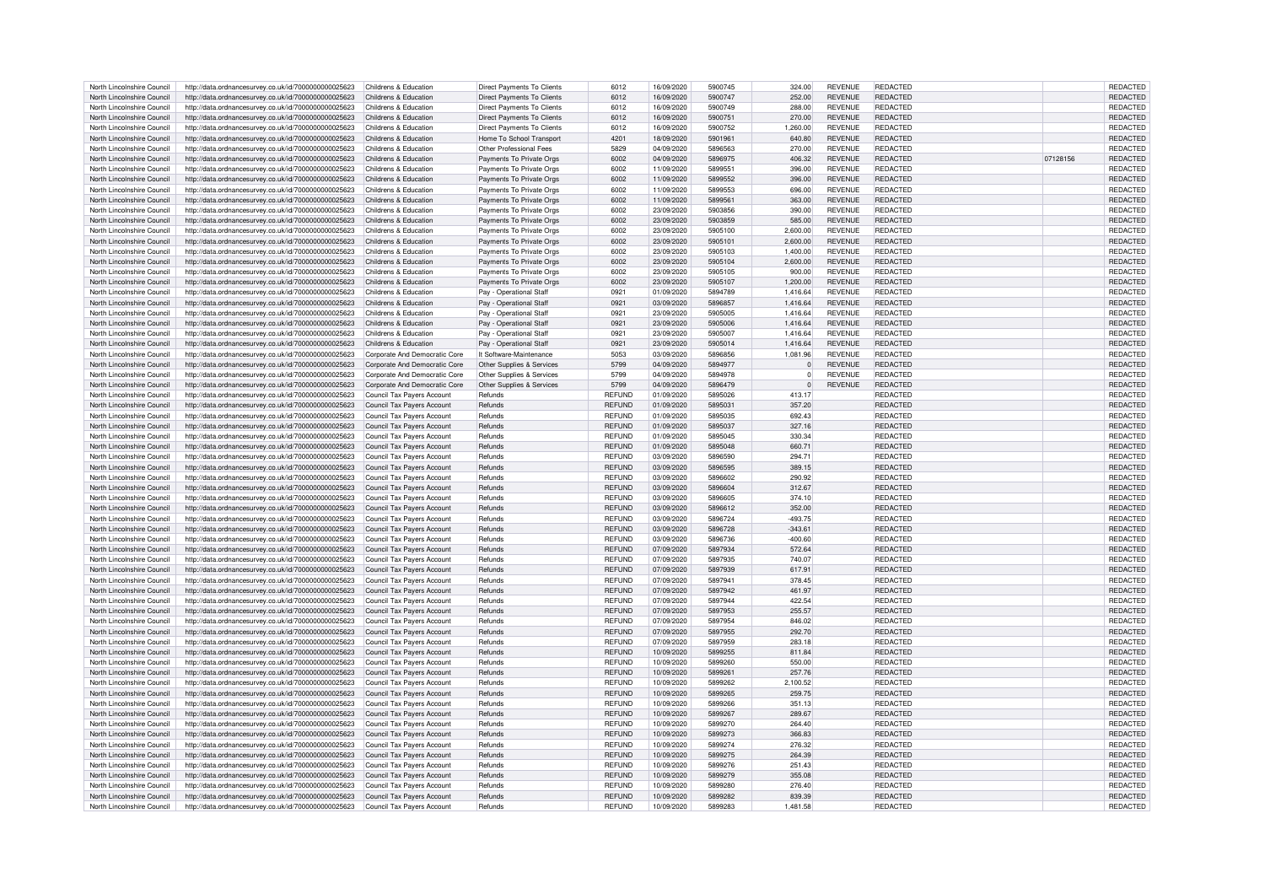| North Lincolnshire Council | http://data.ordnancesurvey.co.uk/id/7000000000025623 | Childrens & Education             | Direct Payments To Clients        | 6012           | 16/09/2020 | 5900745 | 324.00       | <b>REVENUE</b> | REDACTED        |          | REDACTED        |
|----------------------------|------------------------------------------------------|-----------------------------------|-----------------------------------|----------------|------------|---------|--------------|----------------|-----------------|----------|-----------------|
| North Lincolnshire Council | http://data.ordnancesurvey.co.uk/id/7000000000025623 | Childrens & Education             | <b>Direct Payments To Clients</b> | 6012           | 16/09/2020 | 5900747 | 252.00       | <b>REVENUE</b> | <b>REDACTED</b> |          | <b>REDACTED</b> |
|                            |                                                      |                                   |                                   |                |            |         |              |                |                 |          |                 |
| North Lincolnshire Council | http://data.ordnancesurvey.co.uk/id/7000000000025623 | Childrens & Education             | Direct Payments To Clients        | 6012           | 16/09/2020 | 5900749 | 288.00       | <b>REVENUE</b> | REDACTED        |          | REDACTED        |
| North Lincolnshire Council | http://data.ordnancesurvey.co.uk/id/7000000000025623 | Childrens & Education             | Direct Payments To Clients        | 6012           | 16/09/2020 | 5900751 | 270.00       | <b>REVENUE</b> | <b>REDACTED</b> |          | REDACTED        |
| North Lincolnshire Council | http://data.ordnancesurvey.co.uk/id/7000000000025623 | Childrens & Education             | <b>Direct Payments To Clients</b> | 6012           | 16/09/2020 | 5900752 | 1.260.00     | <b>REVENUE</b> | REDACTED        |          | REDACTED        |
| North Lincolnshire Council | http://data.ordnancesurvey.co.uk/id/7000000000025623 | Childrens & Education             | Home To School Transport          | 4201           | 18/09/2020 | 5901961 | 640.80       | <b>REVENUE</b> | <b>REDACTED</b> |          | REDACTED        |
| North Lincolnshire Council | http://data.ordnancesurvey.co.uk/id/7000000000025623 | Childrens & Education             | Other Professional Fees           | 5829           | 04/09/2020 | 5896563 | 270.00       | <b>REVENUE</b> | <b>REDACTED</b> |          | <b>REDACTED</b> |
|                            |                                                      |                                   |                                   |                |            | 5896975 |              |                |                 |          |                 |
| North Lincolnshire Council | http://data.ordnancesurvey.co.uk/id/7000000000025623 | Childrens & Education             | Payments To Private Orgs          | 6002           | 04/09/2020 |         | 406.32       | <b>REVENUE</b> | REDACTED        | 07128156 | <b>REDACTED</b> |
| North Lincolnshire Council | http://data.ordnancesurvey.co.uk/id/7000000000025623 | Childrens & Education             | Payments To Private Orgs          | 6002           | 11/09/2020 | 5899551 | 396.00       | <b>REVENUE</b> | REDACTED        |          | REDACTED        |
| North Lincolnshire Council | http://data.ordnancesurvey.co.uk/id/7000000000025623 | Childrens & Education             | Payments To Private Orgs          | 6002           | 11/09/2020 | 5899552 | 396.00       | <b>REVENUE</b> | <b>REDACTED</b> |          | REDACTED        |
| North Lincolnshire Council | http://data.ordnancesurvey.co.uk/id/7000000000025623 | Childrens & Education             | Payments To Private Orgs          | 6002           | 11/09/2020 | 5899553 | 696.00       | <b>REVENUE</b> | REDACTED        |          | REDACTED        |
| North Lincolnshire Council | http://data.ordnancesurvey.co.uk/id/7000000000025623 | Childrens & Education             | Payments To Private Orgs          | 6002           | 11/09/2020 | 5899561 | 363.00       | <b>REVENUE</b> | <b>REDACTED</b> |          | REDACTED        |
|                            |                                                      |                                   |                                   |                |            |         |              |                |                 |          |                 |
| North Lincolnshire Council | http://data.ordnancesurvey.co.uk/id/7000000000025623 | Childrens & Education             | Payments To Private Orgs          | 6002           | 23/09/2020 | 5903856 | 390.00       | <b>REVENUE</b> | REDACTED        |          | REDACTED        |
| North Lincolnshire Council | http://data.ordnancesurvey.co.uk/id/7000000000025623 | Childrens & Education             | Payments To Private Orgs          | 6002           | 23/09/2020 | 5903859 | 585.00       | <b>REVENUE</b> | <b>REDACTED</b> |          | REDACTED        |
| North Lincolnshire Council | http://data.ordnancesurvey.co.uk/id/7000000000025623 | Childrens & Education             | Payments To Private Orgs          | 6002           | 23/09/2020 | 5905100 | 2,600.00     | <b>REVENUE</b> | REDACTED        |          | REDACTED        |
| North Lincolnshire Council | http://data.ordnancesurvey.co.uk/id/7000000000025623 | Childrens & Education             | Payments To Private Orgs          | 6002           | 23/09/2020 | 5905101 | 2,600.00     | <b>REVENUE</b> | <b>REDACTED</b> |          | REDACTED        |
|                            |                                                      |                                   |                                   |                |            |         |              |                |                 |          |                 |
| North Lincolnshire Council | http://data.ordnancesurvey.co.uk/id/7000000000025623 | Childrens & Education             | Payments To Private Orgs          | 6002           | 23/09/2020 | 5905103 | 1,400.00     | <b>REVENUE</b> | REDACTED        |          | REDACTED        |
| North Lincolnshire Council | http://data.ordnancesurvey.co.uk/id/7000000000025623 | Childrens & Education             | Payments To Private Orgs          | 6002           | 23/09/2020 | 5905104 | 2,600.00     | <b>REVENUE</b> | <b>REDACTED</b> |          | REDACTED        |
| North Lincolnshire Council | http://data.ordnancesurvey.co.uk/id/7000000000025623 | Childrens & Education             | Payments To Private Orgs          | 6002           | 23/09/2020 | 5905105 | 900.00       | <b>REVENUE</b> | <b>REDACTED</b> |          | REDACTED        |
| North Lincolnshire Council | http://data.ordnancesurvey.co.uk/id/7000000000025623 | Childrens & Education             | Payments To Private Orgs          | 6002           | 23/09/2020 | 5905107 | 1,200.00     | <b>REVENUE</b> | REDACTED        |          | REDACTED        |
| North Lincolnshire Council |                                                      | Childrens & Education             | Pay - Operational Staff           | 0921           |            | 5894789 |              | <b>REVENUE</b> | <b>REDACTED</b> |          |                 |
|                            | http://data.ordnancesurvey.co.uk/id/7000000000025623 |                                   |                                   |                | 01/09/2020 |         | 1,416.64     |                |                 |          | REDACTED        |
| North Lincolnshire Council | http://data.ordnancesurvey.co.uk/id/7000000000025623 | Childrens & Education             | Pay - Operational Staff           | 0921           | 03/09/2020 | 5896857 | 1,416.64     | <b>REVENUE</b> | REDACTED        |          | REDACTED        |
| North Lincolnshire Council | http://data.ordnancesurvey.co.uk/id/7000000000025623 | Childrens & Education             | Pay - Operational Staff           | 0921           | 23/09/2020 | 5905005 | 1.416.64     | <b>REVENUE</b> | REDACTED        |          | <b>REDACTED</b> |
| North Lincolnshire Council | http://data.ordnancesurvey.co.uk/id/7000000000025623 | Childrens & Education             | Pay - Operational Staf            | 0921           | 23/09/2020 | 5905006 | 1,416.64     | <b>REVENUE</b> | <b>REDACTED</b> |          | REDACTED        |
| North Lincolnshire Council | http://data.ordnancesurvey.co.uk/id/7000000000025623 | Childrens & Education             | Pay - Operational Staff           | 0921           | 23/09/2020 | 5905007 | 1,416.64     | <b>REVENUE</b> | REDACTED        |          | REDACTED        |
|                            |                                                      |                                   |                                   |                |            |         |              |                |                 |          |                 |
| North Lincolnshire Council | http://data.ordnancesurvey.co.uk/id/7000000000025623 | Childrens & Education             | Pay - Operational Staff           | 0921           | 23/09/2020 | 5905014 | 1.416.64     | <b>REVENUE</b> | <b>REDACTED</b> |          | <b>REDACTED</b> |
| North Lincolnshire Council | http://data.ordnancesurvey.co.uk/id/7000000000025623 | Corporate And Democratic Core     | It Software-Maintenance           | 5053           | 03/09/2020 | 5896856 | 1.081.96     | <b>REVENUE</b> | <b>REDACTED</b> |          | REDACTED        |
| North Lincolnshire Council | http://data.ordnancesurvey.co.uk/id/7000000000025623 | Corporate And Democratic Core     | Other Supplies & Services         | 5799           | 04/09/2020 | 5894977 |              | <b>REVENUE</b> | <b>REDACTED</b> |          | REDACTED        |
| North Lincolnshire Council | http://data.ordnancesurvey.co.uk/id/7000000000025623 | Corporate And Democratic Core     | Other Supplies & Services         | 5799           | 04/09/2020 | 5894978 | $\Omega$     | <b>REVENUE</b> | <b>REDACTED</b> |          | REDACTED        |
|                            |                                                      |                                   |                                   |                |            | 5896479 |              | <b>REVENUE</b> |                 |          |                 |
| North Lincolnshire Council | http://data.ordnancesurvey.co.uk/id/7000000000025623 | Corporate And Democratic Core     | Other Supplies & Services         | 5799           | 04/09/2020 |         | $\mathbf{0}$ |                | REDACTED        |          | REDACTED        |
| North Lincolnshire Council | http://data.ordnancesurvey.co.uk/id/7000000000025623 | Council Tax Payers Account        | Refunds                           | <b>REFUND</b>  | 01/09/2020 | 5895026 | 413.17       |                | REDACTED        |          | REDACTED        |
| North Lincolnshire Council | http://data.ordnancesurvey.co.uk/id/7000000000025623 | Council Tax Payers Account        | Refunds                           | <b>REFUND</b>  | 01/09/2020 | 5895031 | 357.20       |                | REDACTED        |          | REDACTED        |
| North Lincolnshire Council | http://data.ordnancesurvey.co.uk/id/7000000000025623 | Council Tax Payers Account        | Refunds                           | <b>REFUND</b>  | 01/09/2020 | 5895035 | 692.43       |                | <b>REDACTED</b> |          | REDACTED        |
| North Lincolnshire Council | http://data.ordnancesurvey.co.uk/id/7000000000025623 | Council Tax Payers Account        | Refunds                           | <b>REFUND</b>  | 01/09/2020 | 5895037 | 327.16       |                | <b>REDACTED</b> |          | REDACTED        |
|                            |                                                      |                                   |                                   |                |            |         |              |                |                 |          |                 |
| North Lincolnshire Council | http://data.ordnancesurvey.co.uk/id/7000000000025623 | Council Tax Payers Account        | Refunds                           | <b>REFUND</b>  | 01/09/2020 | 5895045 | 330.34       |                | <b>REDACTED</b> |          | REDACTED        |
| North Lincolnshire Council | http://data.ordnancesurvey.co.uk/id/7000000000025623 | Council Tax Payers Account        | Refunds                           | <b>REFUND</b>  | 01/09/2020 | 5895048 | 660.71       |                | <b>REDACTED</b> |          | REDACTED        |
| North Lincolnshire Council | http://data.ordnancesurvey.co.uk/id/7000000000025623 | Council Tax Payers Account        | Refunds                           | <b>REFUND</b>  | 03/09/2020 | 5896590 | 294.71       |                | <b>REDACTED</b> |          | REDACTED        |
| North Lincolnshire Council | http://data.ordnancesurvey.co.uk/id/7000000000025623 | Council Tax Payers Account        | Refunds                           | <b>REFUND</b>  | 03/09/2020 | 5896595 | 389.15       |                | <b>REDACTED</b> |          | REDACTED        |
| North Lincolnshire Council |                                                      |                                   | Refunds                           | <b>REFUND</b>  | 03/09/2020 | 5896602 | 290.92       |                | REDACTED        |          | REDACTED        |
|                            | http://data.ordnancesurvey.co.uk/id/7000000000025623 | Council Tax Payers Account        |                                   |                |            |         |              |                |                 |          |                 |
| North Lincolnshire Council | http://data.ordnancesurvey.co.uk/id/7000000000025623 | Council Tax Payers Account        | Refunds                           | <b>REFUND</b>  | 03/09/2020 | 5896604 | 312.67       |                | REDACTED        |          | REDACTED        |
| North Lincolnshire Council | http://data.ordnancesurvey.co.uk/id/7000000000025623 | Council Tax Payers Account        | Refunds                           | <b>REFUND</b>  | 03/09/2020 | 5896605 | 374.10       |                | <b>REDACTED</b> |          | REDACTED        |
| North Lincolnshire Council | http://data.ordnancesurvey.co.uk/id/7000000000025623 | Council Tax Payers Account        | Refunds                           | <b>REFUND</b>  | 03/09/2020 | 5896612 | 352.00       |                | REDACTED        |          | REDACTED        |
| North Lincolnshire Council | http://data.ordnancesurvey.co.uk/id/7000000000025623 | Council Tax Payers Account        | Refunds                           | <b>REFUND</b>  | 03/09/2020 | 5896724 | $-493.75$    |                | REDACTED        |          | REDACTED        |
|                            |                                                      |                                   |                                   |                |            | 5896728 |              |                |                 |          |                 |
| North Lincolnshire Council | http://data.ordnancesurvey.co.uk/id/7000000000025623 | Council Tax Payers Account        | Refunds                           | <b>REFUND</b>  | 03/09/2020 |         | $-343.61$    |                | <b>REDACTED</b> |          | REDACTED        |
| North Lincolnshire Council | http://data.ordnancesurvey.co.uk/id/7000000000025623 | Council Tax Payers Account        | Refunds                           | REFUND         | 03/09/2020 | 5896736 | $-400.60$    |                | <b>REDACTED</b> |          | REDACTED        |
| North Lincolnshire Council | http://data.ordnancesurvey.co.uk/id/7000000000025623 | <b>Council Tax Payers Account</b> | Refunds                           | <b>REFUND</b>  | 07/09/2020 | 5897934 | 572.64       |                | <b>REDACTED</b> |          | REDACTED        |
| North Lincolnshire Council | http://data.ordnancesurvey.co.uk/id/7000000000025623 | Council Tax Payers Account        | Refunds                           | <b>REFUND</b>  | 07/09/2020 | 5897935 | 740.07       |                | <b>REDACTED</b> |          | REDACTED        |
| North Lincolnshire Council | http://data.ordnancesurvey.co.uk/id/7000000000025623 | Council Tax Payers Account        | Refunds                           | <b>REFUND</b>  | 07/09/2020 | 5897939 | 617.91       |                | <b>REDACTED</b> |          | REDACTED        |
|                            |                                                      |                                   |                                   |                |            |         |              |                |                 |          |                 |
| North Lincolnshire Council | http://data.ordnancesurvey.co.uk/id/7000000000025623 | Council Tax Payers Account        | Refunds                           | <b>REELIND</b> | 07/09/2020 | 5897941 | 378.45       |                | <b>REDACTED</b> |          | REDACTED        |
| North Lincolnshire Council | http://data.ordnancesurvey.co.uk/id/7000000000025623 | Council Tax Payers Account        | Refunds                           | <b>REFUND</b>  | 07/09/2020 | 5897942 | 461.97       |                | <b>REDACTED</b> |          | REDACTED        |
| North Lincolnshire Council | http://data.ordnancesurvey.co.uk/id/7000000000025623 | Council Tax Payers Account        | Refunds                           | <b>REFUND</b>  | 07/09/2020 | 5897944 | 422.54       |                | <b>REDACTED</b> |          | <b>REDACTED</b> |
| North Lincolnshire Council | http://data.ordnancesurvey.co.uk/id/7000000000025623 | Council Tax Payers Account        | Refunds                           | <b>REFUND</b>  | 07/09/2020 | 5897953 | 255.57       |                | <b>REDACTED</b> |          | REDACTED        |
| North Lincolnshire Council | http://data.ordnancesurvey.co.uk/id/7000000000025623 | Council Tax Pavers Account        | Refunds                           | <b>REFUND</b>  | 07/09/2020 | 5897954 | 846.02       |                | <b>REDACTED</b> |          | REDACTED        |
|                            |                                                      |                                   |                                   |                |            | 5897955 |              |                | REDACTED        |          |                 |
| North Lincolnshire Council | http://data.ordnancesurvey.co.uk/id/7000000000025623 | Council Tax Payers Account        | Refunds                           | <b>REFUND</b>  | 07/09/2020 |         | 292.70       |                |                 |          | REDACTED        |
| North Lincolnshire Council | http://data.ordnancesurvey.co.uk/id/7000000000025623 | Council Tax Payers Account        | Refunds                           | <b>REFUND</b>  | 07/09/2020 | 5897959 | 283.18       |                | <b>REDACTED</b> |          | REDACTED        |
| North Lincolnshire Council | http://data.ordnancesurvey.co.uk/id/7000000000025623 | Council Tax Payers Account        | Refunds                           | <b>REFUND</b>  | 10/09/2020 | 5899255 | 811.84       |                | <b>REDACTED</b> |          | REDACTED        |
| North Lincolnshire Council | http://data.ordnancesurvey.co.uk/id/7000000000025623 | Council Tax Payers Account        | Refunds                           | <b>REFUND</b>  | 10/09/2020 | 5899260 | 550.00       |                | <b>REDACTED</b> |          | REDACTED        |
| North Lincolnshire Council | http://data.ordnancesurvey.co.uk/id/7000000000025623 | Council Tax Payers Account        | Refunds                           | <b>REFUND</b>  | 10/09/2020 | 5899261 | 257.76       |                | <b>REDACTED</b> |          | REDACTED        |
| North Lincolnshire Council | http://data.ordnancesurvey.co.uk/id/7000000000025623 | Council Tax Payers Account        | Refunds                           | <b>REFUND</b>  | 10/09/2020 | 5899262 | 2.100.52     |                | <b>REDACTED</b> |          | REDACTED        |
|                            |                                                      |                                   |                                   |                |            |         |              |                |                 |          |                 |
| North Lincolnshire Council | http://data.ordnancesurvey.co.uk/id/7000000000025623 | Council Tax Payers Account        | Refunds                           | <b>REFUND</b>  | 10/09/2020 | 5899265 | 259.75       |                | REDACTED        |          | REDACTED        |
| North Lincolnshire Council | http://data.ordnancesurvey.co.uk/id/7000000000025623 | Council Tax Payers Account        | Refunds                           | <b>REFUND</b>  | 10/09/2020 | 5899266 | 351.13       |                | REDACTED        |          | REDACTED        |
| North Lincolnshire Council | http://data.ordnancesurvey.co.uk/id/7000000000025623 | Council Tax Payers Account        | Refunds                           | <b>REFUND</b>  | 10/09/2020 | 5899267 | 289.67       |                | <b>REDACTED</b> |          | REDACTED        |
| North Lincolnshire Council | http://data.ordnancesurvey.co.uk/id/7000000000025623 | Council Tax Payers Account        | Refunds                           | <b>REFUND</b>  | 10/09/2020 | 5899270 | 264.40       |                | REDACTED        |          | REDACTED        |
| North Lincolnshire Council |                                                      | Council Tax Payers Account        | Refunds                           | <b>REFUND</b>  | 10/09/2020 | 5899273 | 366.83       |                | <b>REDACTED</b> |          |                 |
|                            | http://data.ordnancesurvey.co.uk/id/7000000000025623 |                                   |                                   |                |            |         |              |                |                 |          | REDACTED        |
| North Lincolnshire Council | http://data.ordnancesurvey.co.uk/id/7000000000025623 | Council Tax Payers Account        | Refunds                           | <b>REFUND</b>  | 10/09/2020 | 5899274 | 276.32       |                | REDACTED        |          | REDACTED        |
| North Lincolnshire Council | http://data.ordnancesurvey.co.uk/id/7000000000025623 | Council Tax Payers Account        | Refunds                           | <b>REFUND</b>  | 10/09/2020 | 5899275 | 264.39       |                | <b>REDACTED</b> |          | REDACTED        |
| North Lincolnshire Council | http://data.ordnancesurvey.co.uk/id/7000000000025623 | Council Tax Payers Account        | Refunds                           | <b>REFUND</b>  | 10/09/2020 | 5899276 | 251.43       |                | <b>REDACTED</b> |          | REDACTED        |
| North Lincolnshire Council | http://data.ordnancesurvey.co.uk/id/7000000000025623 | <b>Council Tax Payers Account</b> | Refunds                           | <b>REFUND</b>  | 10/09/2020 | 5899279 | 355.08       |                | <b>REDACTED</b> |          | REDACTED        |
| North Lincolnshire Council |                                                      |                                   | Refunds                           | <b>REFUND</b>  | 10/09/2020 | 5899280 | 276.40       |                | <b>REDACTED</b> |          |                 |
|                            | http://data.ordnancesurvey.co.uk/id/7000000000025623 | Council Tax Payers Account        |                                   |                |            |         |              |                |                 |          | REDACTED        |
| North Lincolnshire Council | http://data.ordnancesurvey.co.uk/id/7000000000025623 | Council Tax Payers Account        | Refunds                           | <b>REFLIND</b> | 10/09/2020 | 5899282 | 839.39       |                | <b>REDACTED</b> |          | <b>REDACTED</b> |
| North Lincolnshire Council | http://data.ordnancesurvey.co.uk/id/7000000000025623 | Council Tax Payers Account        | Refunds                           | <b>REFUND</b>  | 10/09/2020 | 5899283 | 1,481.58     |                | REDACTED        |          | REDACTED        |
|                            |                                                      |                                   |                                   |                |            |         |              |                |                 |          |                 |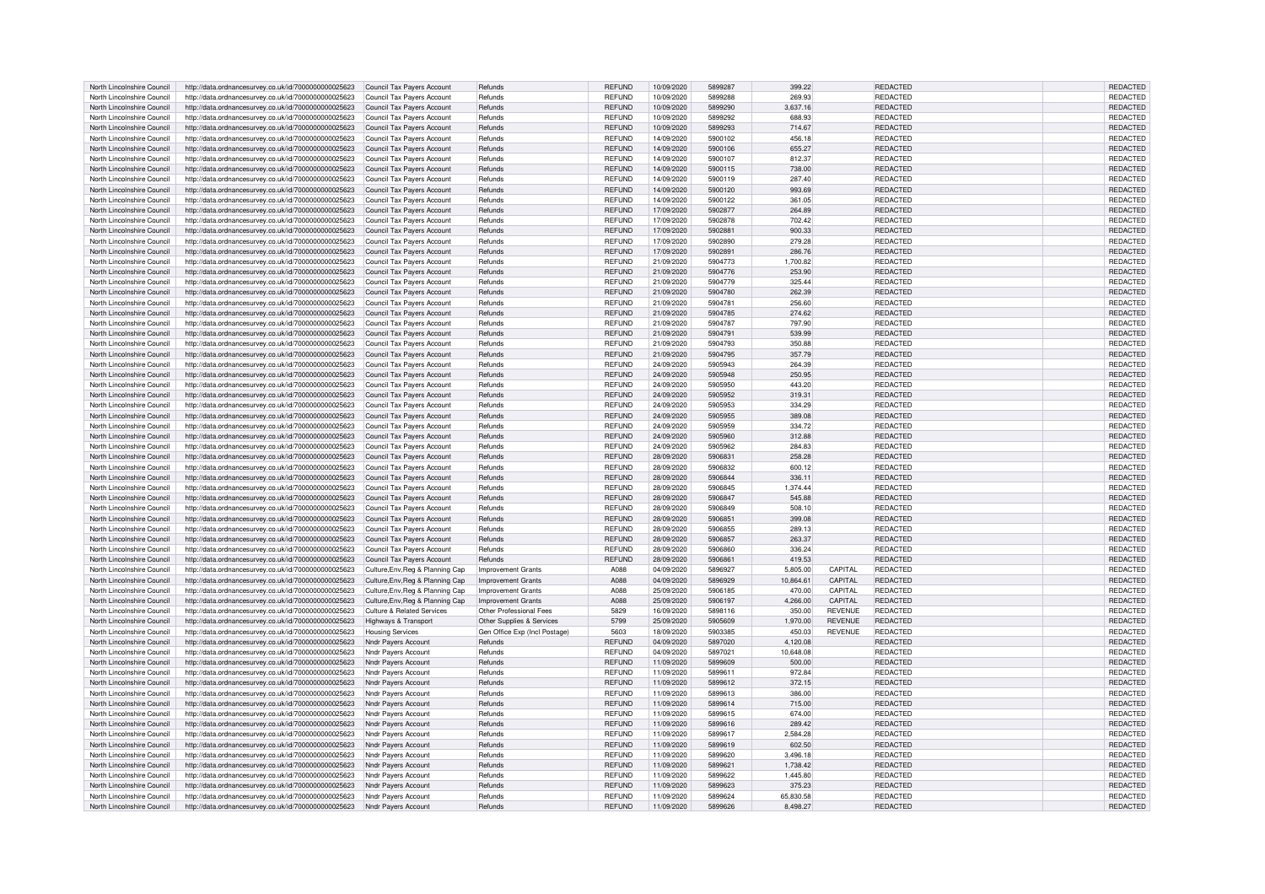| North Lincolnshire Council | http://data.ordnancesurvey.co.uk/id/7000000000025623 | Council Tax Payers Account        | Refunds                       | REFUND           | 10/09/2020 | 5899287 | 399.22    |                | REDACTED        | REDACTED        |
|----------------------------|------------------------------------------------------|-----------------------------------|-------------------------------|------------------|------------|---------|-----------|----------------|-----------------|-----------------|
| North Lincolnshire Council | http://data.ordnancesurvey.co.uk/id/7000000000025623 | Council Tax Pavers Account        | Refunds                       | <b>REFUND</b>    | 10/09/2020 | 5899288 | 269.93    |                | REDACTED        | <b>REDACTED</b> |
|                            |                                                      |                                   |                               |                  |            |         |           |                |                 |                 |
| North Lincolnshire Council | http://data.ordnancesurvey.co.uk/id/7000000000025623 | Council Tax Payers Account        | Refunds                       | <b>REFUND</b>    | 10/09/2020 | 5899290 | 3,637.16  |                | REDACTED        | REDACTED        |
| North Lincolnshire Council | http://data.ordnancesurvey.co.uk/id/7000000000025623 | Council Tax Payers Account        | Refunds                       | <b>REFUND</b>    | 10/09/2020 | 5899292 | 688.93    |                | <b>REDACTED</b> | <b>REDACTED</b> |
| North Lincolnshire Council | http://data.ordnancesurvey.co.uk/id/7000000000025623 | Council Tax Payers Account        | Refunds                       | REFUND           | 10/09/2020 | 5899293 | 714.67    |                | REDACTED        | REDACTED        |
| North Lincolnshire Council | http://data.ordnancesurvey.co.uk/id/7000000000025623 | Council Tax Payers Account        | Refunds                       | <b>REFUND</b>    | 14/09/2020 | 5900102 | 456.18    |                | REDACTED        | REDACTED        |
| North Lincolnshire Council |                                                      | Council Tax Payers Account        | Refunds                       | <b>REFUND</b>    | 14/09/2020 | 5900106 | 655.27    |                | REDACTED        | REDACTED        |
|                            | http://data.ordnancesurvey.co.uk/id/7000000000025623 |                                   |                               |                  |            |         |           |                |                 |                 |
| North Lincolnshire Council | http://data.ordnancesurvey.co.uk/id/7000000000025623 | Council Tax Payers Account        | Refunds                       | <b>REFUND</b>    | 14/09/2020 | 5900107 | 812.37    |                | REDACTED        | REDACTED        |
| North Lincolnshire Council | http://data.ordnancesurvey.co.uk/id/7000000000025623 | Council Tax Payers Account        | Refunds                       | <b>REFUND</b>    | 14/09/2020 | 5900115 | 738.00    |                | REDACTED        | REDACTED        |
| North Lincolnshire Council | http://data.ordnancesurvey.co.uk/id/7000000000025623 | Council Tax Payers Account        | Refunds                       | <b>REFUND</b>    | 14/09/2020 | 5900119 | 287.40    |                | REDACTED        | REDACTED        |
| North Lincolnshire Council | http://data.ordnancesurvey.co.uk/id/7000000000025623 | Council Tax Payers Account        | Refunds                       | <b>REFUND</b>    | 14/09/2020 | 5900120 | 993.69    |                | REDACTED        | REDACTED        |
|                            |                                                      |                                   |                               |                  |            |         |           |                |                 |                 |
| North Lincolnshire Council | http://data.ordnancesurvey.co.uk/id/7000000000025623 | Council Tax Payers Account        | Refunds                       | <b>REFUND</b>    | 14/09/2020 | 5900122 | 361.05    |                | REDACTED        | REDACTED        |
| North Lincolnshire Council | http://data.ordnancesurvey.co.uk/id/7000000000025623 | Council Tax Payers Account        | Refunds                       | <b>REFUND</b>    | 17/09/2020 | 5902877 | 264.89    |                | REDACTED        | REDACTED        |
| North Lincolnshire Council | http://data.ordnancesurvey.co.uk/id/7000000000025623 | Council Tax Payers Account        | Refunds                       | <b>REFUND</b>    | 17/09/2020 | 5902878 | 702.42    |                | REDACTED        | REDACTED        |
| North Lincolnshire Council | http://data.ordnancesurvey.co.uk/id/7000000000025623 | Council Tax Payers Account        | Refunds                       | <b>REFUND</b>    | 17/09/2020 | 5902881 | 900.33    |                | REDACTED        | REDACTED        |
| North Lincolnshire Council | http://data.ordnancesurvey.co.uk/id/7000000000025623 | Council Tax Payers Account        | Refunds                       | <b>REFUND</b>    | 17/09/2020 | 5902890 | 279.28    |                | REDACTED        | REDACTED        |
|                            |                                                      |                                   |                               |                  |            |         |           |                |                 |                 |
| North Lincolnshire Council | http://data.ordnancesurvey.co.uk/id/7000000000025623 | Council Tax Payers Account        | Refunds                       | <b>REFUND</b>    | 17/09/2020 | 5902891 | 286,76    |                | REDACTED        | <b>REDACTED</b> |
| North Lincolnshire Council | http://data.ordnancesurvey.co.uk/id/7000000000025623 | Council Tax Payers Account        | Refunds                       | <b>REFUND</b>    | 21/09/2020 | 5904773 | 1.700.82  |                | <b>REDACTED</b> | REDACTED        |
| North Lincolnshire Council | http://data.ordnancesurvey.co.uk/id/7000000000025623 | Council Tax Payers Account        | Refunds                       | <b>REFUND</b>    | 21/09/2020 | 5904776 | 253.90    |                | REDACTED        | REDACTED        |
| North Lincolnshire Council | http://data.ordnancesurvey.co.uk/id/7000000000025623 | Council Tax Payers Account        | Refunds                       | <b>REFUND</b>    | 21/09/2020 | 5904779 | 325.44    |                | REDACTED        | REDACTED        |
|                            |                                                      |                                   |                               |                  |            |         |           |                |                 |                 |
| North Lincolnshire Council | http://data.ordnancesurvey.co.uk/id/7000000000025623 | Council Tax Payers Account        | Refunds                       | <b>REFUND</b>    | 21/09/2020 | 5904780 | 262.39    |                | REDACTED        | REDACTED        |
| North Lincolnshire Council | http://data.ordnancesurvey.co.uk/id/7000000000025623 | Council Tax Pavers Account        | Refunds                       | <b>REFUND</b>    | 21/09/2020 | 5904781 | 256.60    |                | REDACTED        | REDACTED        |
| North Lincolnshire Council | http://data.ordnancesurvey.co.uk/id/7000000000025623 | Council Tax Payers Account        | Refunds                       | REFUND           | 21/09/2020 | 5904785 | 274.62    |                | REDACTED        | REDACTED        |
| North Lincolnshire Council | http://data.ordnancesurvey.co.uk/id/7000000000025623 | Council Tax Payers Account        | Refunds                       | <b>REFUND</b>    | 21/09/2020 | 5904787 | 797.90    |                | REDACTED        | REDACTED        |
|                            |                                                      |                                   |                               |                  |            |         |           |                |                 |                 |
| North Lincolnshire Council | http://data.ordnancesurvey.co.uk/id/7000000000025623 | <b>Council Tax Pavers Account</b> | Refunds                       | REFUND           | 21/09/2020 | 5904791 | 539.99    |                | REDACTED        | REDACTED        |
| North Lincolnshire Council | http://data.ordnancesurvey.co.uk/id/7000000000025623 | Council Tax Payers Account        | Refunds                       | <b>REFUND</b>    | 21/09/2020 | 5904793 | 350.88    |                | <b>REDACTED</b> | <b>REDACTED</b> |
| North Lincolnshire Council | http://data.ordnancesurvey.co.uk/id/7000000000025623 | Council Tax Payers Account        | Refunds                       | <b>REFUND</b>    | 21/09/2020 | 5904795 | 357.79    |                | REDACTED        | REDACTED        |
| North Lincolnshire Council | http://data.ordnancesurvey.co.uk/id/7000000000025623 | Council Tax Payers Account        | Refunds                       | <b>REFUND</b>    | 24/09/2020 | 5905943 | 264.39    |                | REDACTED        | <b>REDACTED</b> |
|                            |                                                      |                                   |                               |                  |            | 5905948 |           |                |                 |                 |
| North Lincolnshire Council | http://data.ordnancesurvey.co.uk/id/7000000000025623 | Council Tax Payers Account        | Refunds                       | <b>REFUND</b>    | 24/09/2020 |         | 250.95    |                | REDACTED        | <b>REDACTED</b> |
| North Lincolnshire Council | http://data.ordnancesurvey.co.uk/id/7000000000025623 | Council Tax Payers Account        | Refunds                       | <b>REFUND</b>    | 24/09/2020 | 5905950 | 443.20    |                | REDACTED        | REDACTED        |
| North Lincolnshire Council | http://data.ordnancesurvey.co.uk/id/7000000000025623 | Council Tax Payers Account        | Refunds                       | <b>REFUND</b>    | 24/09/2020 | 5905952 | 319.31    |                | REDACTED        | REDACTED        |
| North Lincolnshire Council | http://data.ordnancesurvey.co.uk/id/7000000000025623 | Council Tax Payers Account        | Refunds                       | <b>REFUND</b>    | 24/09/2020 | 5905953 | 334.29    |                | REDACTED        | <b>REDACTED</b> |
| North Lincolnshire Council |                                                      |                                   | Refunds                       | <b>REFUND</b>    | 24/09/2020 | 5905955 | 389.08    |                | REDACTED        | REDACTED        |
|                            | http://data.ordnancesurvey.co.uk/id/7000000000025623 | Council Tax Payers Account        |                               |                  |            |         |           |                |                 |                 |
| North Lincolnshire Council | http://data.ordnancesurvey.co.uk/id/7000000000025623 | Council Tax Payers Account        | Refunds                       | REFUND           | 24/09/2020 | 5905959 | 334.72    |                | REDACTED        | REDACTED        |
| North Lincolnshire Council | http://data.ordnancesurvey.co.uk/id/7000000000025623 | Council Tax Payers Account        | Refunds                       | <b>REFUND</b>    | 24/09/2020 | 5905960 | 312.88    |                | <b>REDACTED</b> | REDACTED        |
| North Lincolnshire Council | http://data.ordnancesurvey.co.uk/id/7000000000025623 | Council Tax Payers Account        | Refunds                       | <b>REFUND</b>    | 24/09/2020 | 5905962 | 284.83    |                | <b>REDACTED</b> | REDACTED        |
| North Lincolnshire Council | http://data.ordnancesurvey.co.uk/id/7000000000025623 | Council Tax Payers Account        | Refunds                       | <b>REFUND</b>    | 28/09/2020 | 5906831 | 258.28    |                | REDACTED        | REDACTED        |
|                            |                                                      |                                   |                               |                  |            |         |           |                |                 |                 |
| North Lincolnshire Council | http://data.ordnancesurvey.co.uk/id/7000000000025623 | Council Tax Payers Account        | Refunds                       | <b>REFUND</b>    | 28/09/2020 | 5906832 | 600.12    |                | <b>REDACTED</b> | REDACTED        |
| North Lincolnshire Council | http://data.ordnancesurvey.co.uk/id/7000000000025623 | Council Tax Payers Account        | Refunds                       | <b>REFUND</b>    | 28/09/2020 | 5906844 | 336.11    |                | REDACTED        | REDACTED        |
| North Lincolnshire Council | http://data.ordnancesurvey.co.uk/id/7000000000025623 | Council Tax Payers Account        | Refunds                       | <b>REFUND</b>    | 28/09/2020 | 5906845 | 1,374.44  |                | REDACTED        | REDACTED        |
| North Lincolnshire Council | http://data.ordnancesurvey.co.uk/id/7000000000025623 | Council Tax Payers Account        | Refunds                       | <b>REFUND</b>    | 28/09/2020 | 5906847 | 545.88    |                | REDACTED        | REDACTED        |
|                            |                                                      |                                   |                               |                  |            |         |           |                |                 |                 |
| North Lincolnshire Council | http://data.ordnancesurvey.co.uk/id/7000000000025623 | Council Tax Payers Account        | Refunds                       | <b>REFUND</b>    | 28/09/2020 | 5906849 | 508.10    |                | REDACTED        | REDACTED        |
| North Lincolnshire Council | http://data.ordnancesurvey.co.uk/id/7000000000025623 | Council Tax Payers Account        | Refunds                       | <b>REFUND</b>    | 28/09/2020 | 5906851 | 399.08    |                | REDACTED        | REDACTED        |
| North Lincolnshire Council | http://data.ordnancesurvey.co.uk/id/7000000000025623 | Council Tax Payers Account        | Refunds                       | <b>REFUND</b>    | 28/09/2020 | 5906855 | 289.13    |                | REDACTED        | REDACTED        |
| North Lincolnshire Council | http://data.ordnancesurvey.co.uk/id/7000000000025623 | Council Tax Payers Account        | Refunds                       | <b>REFUND</b>    | 28/09/2020 | 5906857 | 263.37    |                | REDACTED        | REDACTED        |
|                            |                                                      |                                   |                               |                  |            |         |           |                |                 |                 |
| North Lincolnshire Council | http://data.ordnancesurvey.co.uk/id/7000000000025623 | Council Tax Payers Account        | Refunds                       | <b>REFUND</b>    | 28/09/2020 | 5906860 | 336.24    |                | <b>REDACTED</b> | REDACTED        |
| North Lincolnshire Council | http://data.ordnancesurvey.co.uk/id/7000000000025623 | Council Tax Payers Account        | Refunds                       | <b>REFUND</b>    | 28/09/2020 | 590686  | 419.53    |                | REDACTED        | REDACTED        |
| North Lincolnshire Council | http://data.ordnancesurvey.co.uk/id/7000000000025623 | Culture, Env, Reg & Planning Cap  | Improvement Grants            | A <sub>088</sub> | 04/09/2020 | 5896927 | 5.805.00  | CAPITAL        | REDACTED        | <b>REDACTED</b> |
| North Lincolnshire Council | http://data.ordnancesurvey.co.uk/id/7000000000025623 | Culture, Env, Reg & Planning Cap  | <b>Improvement Grants</b>     | A088             | 04/09/2020 | 5896929 | 10,864.61 | CAPITAL        | REDACTED        | <b>REDACTED</b> |
| North Lincolnshire Council | http://data.ordnancesurvey.co.uk/id/7000000000025623 | Culture, Env, Reg & Planning Cap  | <b>Improvement Grants</b>     | A088             | 25/09/2020 | 5906185 | 470.00    | CAPITAL        | REDACTED        | REDACTED        |
|                            |                                                      |                                   |                               |                  |            |         |           |                |                 |                 |
| North Lincolnshire Council | http://data.ordnancesurvey.co.uk/id/7000000000025623 | Culture, Env, Reg & Planning Cap  | <b>Improvement Grants</b>     | A088             | 25/09/2020 | 5906197 | 4,266.00  | CAPITAL        | REDACTED        | REDACTED        |
| North Lincolnshire Council | http://data.ordnancesurvey.co.uk/id/7000000000025623 | Culture & Related Services        | Other Professional Fees       | 5829             | 16/09/2020 | 5898116 | 350.00    | REVENUE        | REDACTED        | <b>REDACTED</b> |
| North Lincolnshire Council | http://data.ordnancesurvey.co.uk/id/7000000000025623 | Highways & Transport              | Other Supplies & Services     | 5799             | 25/09/2020 | 5905609 | 1,970.00  | <b>REVENUE</b> | REDACTED        | REDACTED        |
| North Lincolnshire Council | http://data.ordnancesurvey.co.uk/id/7000000000025623 | <b>Housing Services</b>           | Gen Office Exp (Incl Postage) | 5603             | 18/09/2020 | 5903385 | 450.03    | <b>REVENUE</b> | REDACTED        | REDACTED        |
|                            |                                                      |                                   | Refunds                       |                  |            | 5897020 |           |                | <b>REDACTED</b> |                 |
| North Lincolnshire Council | http://data.ordnancesurvey.co.uk/id/7000000000025623 | Nndr Payers Account               |                               | <b>REFUND</b>    | 04/09/2020 |         | 4,120.08  |                |                 | REDACTED        |
| North Lincolnshire Council | http://data.ordnancesurvey.co.uk/id/7000000000025623 | Nndr Pavers Account               | Refunds                       | <b>REFUND</b>    | 04/09/2020 | 5897021 | 10,648.08 |                | REDACTED        | REDACTED        |
| North Lincolnshire Council | http://data.ordnancesurvey.co.uk/id/7000000000025623 | Nndr Pavers Account               | Refunds                       | <b>REFUND</b>    | 11/09/2020 | 5899609 | 500.00    |                | REDACTED        | REDACTED        |
| North Lincolnshire Council | http://data.ordnancesurvey.co.uk/id/7000000000025623 | Nndr Pavers Account               | Refunds                       | <b>REFUND</b>    | 11/09/2020 | 5899611 | 972.84    |                | <b>REDACTED</b> | REDACTED        |
| North Lincolnshire Council | http://data.ordnancesurvey.co.uk/id/7000000000025623 | Nndr Payers Account               | Refunds                       | <b>REFUND</b>    | 11/09/2020 | 5899612 | 372.15    |                | <b>REDACTED</b> | REDACTED        |
|                            |                                                      |                                   |                               |                  |            | 5899613 |           |                |                 |                 |
| North Lincolnshire Council | http://data.ordnancesurvey.co.uk/id/7000000000025623 | Nndr Payers Account               | Refunds                       | <b>REFUND</b>    | 11/09/2020 |         | 386.00    |                | REDACTED        | REDACTED        |
| North Lincolnshire Council | http://data.ordnancesurvey.co.uk/id/7000000000025623 | Nndr Payers Account               | Refunds                       | REFUND           | 11/09/2020 | 5899614 | 715.00    |                | REDACTED        | REDACTED        |
| North Lincolnshire Council | http://data.ordnancesurvey.co.uk/id/7000000000025623 | Nndr Pavers Account               | Refunds                       | <b>REFUND</b>    | 11/09/2020 | 5899615 | 674.00    |                | REDACTED        | REDACTED        |
| North Lincolnshire Council | http://data.ordnancesurvey.co.uk/id/7000000000025623 | Nndr Payers Account               | Refunds                       | <b>REFUND</b>    | 11/09/2020 | 5899616 | 289.42    |                | REDACTED        | REDACTED        |
| North Lincolnshire Council | http://data.ordnancesurvey.co.uk/id/7000000000025623 | Nndr Payers Account               | Refunds                       | <b>REFUND</b>    | 11/09/2020 | 5899617 | 2,584.28  |                | REDACTED        | REDACTED        |
|                            |                                                      |                                   |                               |                  |            |         |           |                |                 |                 |
| North Lincolnshire Council | http://data.ordnancesurvey.co.uk/id/7000000000025623 | Nndr Payers Account               | Refunds                       | <b>REFUND</b>    | 11/09/2020 | 5899619 | 602.50    |                | REDACTED        | REDACTED        |
| North Lincolnshire Council | http://data.ordnancesurvey.co.uk/id/7000000000025623 | Nndr Payers Account               | Refunds                       | <b>REFUND</b>    | 11/09/2020 | 5899620 | 3.496.18  |                | REDACTED        | REDACTED        |
| North Lincolnshire Council | http://data.ordnancesurvey.co.uk/id/7000000000025623 | Nndr Payers Account               | Refunds                       | <b>REFUND</b>    | 11/09/2020 | 5899621 | 1,738.42  |                | REDACTED        | REDACTED        |
| North Lincolnshire Council | http://data.ordnancesurvey.co.uk/id/7000000000025623 | Nndr Payers Account               | Refunds                       | <b>REFUND</b>    | 11/09/2020 | 5899622 | 1.445.80  |                | REDACTED        | REDACTED        |
| North Lincolnshire Council |                                                      |                                   | Refunds                       | <b>REFUND</b>    | 11/09/2020 | 5899623 | 375.23    |                | <b>REDACTED</b> | REDACTED        |
|                            | http://data.ordnancesurvey.co.uk/id/7000000000025623 | Nndr Payers Account               |                               |                  |            |         |           |                |                 |                 |
| North Lincolnshire Council | http://data.ordnancesurvey.co.uk/id/7000000000025623 | Nndr Payers Account               | Refunds                       | <b>REFUND</b>    | 11/09/2020 | 5899624 | 65.830.58 |                | <b>REDACTED</b> | REDACTED        |
| North Lincolnshire Council | http://data.ordnancesurvey.co.uk/id/7000000000025623 | Nndr Pavers Account               | Refunds                       | <b>REFUND</b>    | 11/09/2020 | 5899626 | 8.498.27  |                | REDACTED        | REDACTED        |
|                            |                                                      |                                   |                               |                  |            |         |           |                |                 |                 |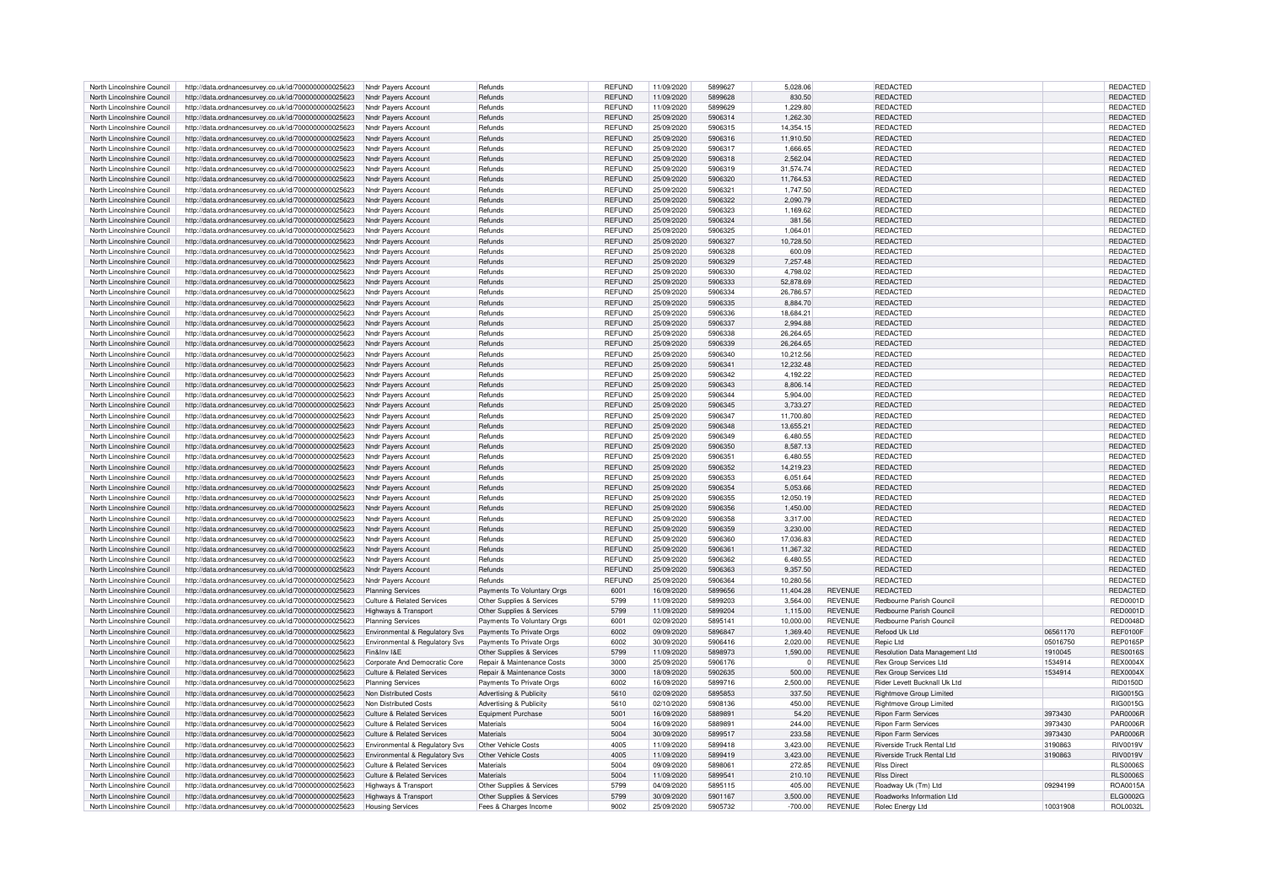| North Lincolnshire Council                               | http://data.ordnancesurvey.co.uk/id/7000000000025623                                                         | Nndr Pavers Account                      | Refunds                                            | <b>REFUND</b>  | 11/09/2020               | 5899627            | 5,028.06              |                                  | REDACTED                                       |          | REDACTED                    |
|----------------------------------------------------------|--------------------------------------------------------------------------------------------------------------|------------------------------------------|----------------------------------------------------|----------------|--------------------------|--------------------|-----------------------|----------------------------------|------------------------------------------------|----------|-----------------------------|
| North Lincolnshire Council                               | http://data.ordnancesurvey.co.uk/id/7000000000025623                                                         | Nndr Payers Account                      | Refunds                                            | <b>REFUND</b>  | 11/09/2020               | 5899628            | 830.50                |                                  | <b>REDACTED</b>                                |          | <b>REDACTED</b>             |
| North Lincolnshire Council                               | http://data.ordnancesurvey.co.uk/id/7000000000025623                                                         | Nndr Payers Account                      | Refunds                                            | <b>REFUND</b>  | 11/09/2020               | 5899629            | 1,229.80              |                                  | REDACTED                                       |          | REDACTED                    |
| North Lincolnshire Council                               | http://data.ordnancesurvey.co.uk/id/7000000000025623                                                         | Nndr Payers Account                      | Refunds                                            | <b>REFUND</b>  | 25/09/2020               | 5906314            | 1,262.30              |                                  | REDACTED                                       |          | REDACTED                    |
| North Lincolnshire Council                               | http://data.ordnancesurvey.co.uk/id/7000000000025623                                                         | Nndr Payers Account                      | Refunds                                            | <b>REFUND</b>  | 25/09/2020               | 5906315            | 14.354.15             |                                  | <b>REDACTED</b>                                |          | REDACTED                    |
| North Lincolnshire Council                               | http://data.ordnancesurvey.co.uk/id/7000000000025623                                                         | Nndr Payers Account                      | Refunds                                            | <b>REFUND</b>  | 25/09/2020               | 5906316            | 11,910.50             |                                  | <b>REDACTED</b>                                |          | REDACTED                    |
|                                                          |                                                                                                              |                                          |                                                    |                |                          |                    |                       |                                  |                                                |          |                             |
| North Lincolnshire Council                               | http://data.ordnancesurvey.co.uk/id/7000000000025623                                                         | Nndr Pavers Account                      | Refunds                                            | <b>REFUND</b>  | 25/09/2020               | 5906317            | 1,666.65              |                                  | REDACTED                                       |          | REDACTED                    |
| North Lincolnshire Council                               | http://data.ordnancesurvey.co.uk/id/7000000000025623                                                         | Nndr Payers Account                      | Refunds                                            | <b>REFUND</b>  | 25/09/2020               | 5906318            | 2,562.04              |                                  | REDACTED                                       |          | REDACTED                    |
| North Lincolnshire Council                               | http://data.ordnancesurvey.co.uk/id/7000000000025623                                                         | Nndr Pavers Account                      | Refunds                                            | <b>REFUND</b>  | 25/09/2020               | 5906319            | 31,574.74             |                                  | REDACTED                                       |          | REDACTED                    |
| North Lincolnshire Council                               | http://data.ordnancesurvey.co.uk/id/7000000000025623                                                         | Nndr Payers Account                      | Refunds                                            | <b>REFUND</b>  | 25/09/2020               | 5906320            | 11,764.53             |                                  | <b>REDACTED</b>                                |          | <b>REDACTED</b>             |
| North Lincolnshire Council                               | http://data.ordnancesurvey.co.uk/id/7000000000025623                                                         | Nndr Payers Account                      | Refunds                                            | <b>REFUND</b>  | 25/09/2020               | 5906321            | 1.747.50              |                                  | REDACTED                                       |          | REDACTED                    |
| North Lincolnshire Council                               | http://data.ordnancesurvey.co.uk/id/7000000000025623                                                         | Nndr Payers Account                      | Refunds                                            | <b>REFUND</b>  | 25/09/2020               | 5906322            | 2.090.79              |                                  | REDACTED                                       |          | <b>REDACTED</b>             |
| North Lincolnshire Council                               | http://data.ordnancesurvey.co.uk/id/7000000000025623                                                         | Nndr Payers Account                      | Refunds                                            | <b>REFUND</b>  | 25/09/2020               | 5906323            | 1,169.62              |                                  | REDACTED                                       |          | REDACTED                    |
| North Lincolnshire Council                               | http://data.ordnancesurvey.co.uk/id/7000000000025623                                                         | Nndr Payers Account                      | Refunds                                            | <b>REFUND</b>  | 25/09/2020               | 5906324            | 381.56                |                                  | REDACTED                                       |          | REDACTED                    |
|                                                          |                                                                                                              |                                          |                                                    |                |                          |                    |                       |                                  |                                                |          |                             |
| North Lincolnshire Council                               | http://data.ordnancesurvey.co.uk/id/7000000000025623                                                         | Nndr Payers Account                      | Refunds                                            | <b>REFUND</b>  | 25/09/2020               | 5906325            | 1.064.01              |                                  | REDACTED                                       |          | REDACTED                    |
| North Lincolnshire Council                               | http://data.ordnancesurvey.co.uk/id/7000000000025623                                                         | Nndr Payers Account                      | Refunds                                            | <b>REFUND</b>  | 25/09/2020               | 5906327            | 10.728.50             |                                  | <b>REDACTED</b>                                |          | REDACTED                    |
| North Lincolnshire Council                               | http://data.ordnancesurvey.co.uk/id/7000000000025623                                                         | Nndr Payers Account                      | Refunds                                            | <b>REFUND</b>  | 25/09/2020               | 5906328            | 600.09                |                                  | REDACTED                                       |          | <b>REDACTED</b>             |
| North Lincolnshire Council                               | http://data.ordnancesurvey.co.uk/id/7000000000025623                                                         | Nndr Payers Account                      | Refunds                                            | <b>REFUND</b>  | 25/09/2020               | 5906329            | 7,257.48              |                                  | REDACTED                                       |          | REDACTED                    |
| North Lincolnshire Council                               | http://data.ordnancesurvey.co.uk/id/7000000000025623                                                         | Nndr Payers Account                      | Refunds                                            | <b>REFUND</b>  | 25/09/2020               | 5906330            | 4,798.02              |                                  | REDACTED                                       |          | REDACTED                    |
| North Lincolnshire Council                               | http://data.ordnancesurvey.co.uk/id/7000000000025623                                                         | Nndr Payers Account                      | Refunds                                            | <b>REFUND</b>  | 25/09/2020               | 5906333            | 52,878.69             |                                  | <b>REDACTED</b>                                |          | REDACTED                    |
| North Lincolnshire Council                               | http://data.ordnancesurvey.co.uk/id/7000000000025623                                                         | Nndr Payers Account                      | Refunds                                            | <b>REFUND</b>  | 25/09/2020               | 5906334            | 26.786.57             |                                  | REDACTED                                       |          | <b>REDACTED</b>             |
| North Lincolnshire Council                               |                                                                                                              | Nndr Payers Account                      | Refunds                                            | <b>REFUND</b>  | 25/09/2020               | 5906335            | 8.884.70              |                                  | REDACTED                                       |          | REDACTED                    |
|                                                          | http://data.ordnancesurvey.co.uk/id/7000000000025623                                                         |                                          |                                                    |                |                          |                    |                       |                                  |                                                |          |                             |
| North Lincolnshire Council                               | http://data.ordnancesurvey.co.uk/id/7000000000025623                                                         | Nndr Payers Account                      | Refunds                                            | <b>REFUND</b>  | 25/09/2020               | 5906336            | 18,684.21             |                                  | REDACTED                                       |          | REDACTED                    |
| North Lincolnshire Council                               | http://data.ordnancesurvey.co.uk/id/7000000000025623                                                         | Nndr Payers Account                      | Refunds                                            | <b>REFUND</b>  | 25/09/2020               | 5906337            | 2.994.88              |                                  | REDACTED                                       |          | REDACTED                    |
| North Lincolnshire Council                               | http://data.ordnancesurvey.co.uk/id/7000000000025623                                                         | Nndr Payers Account                      | Refunds                                            | <b>REFUND</b>  | 25/09/2020               | 5906338            | 26,264.65             |                                  | REDACTED                                       |          | REDACTED                    |
| North Lincolnshire Council                               | http://data.ordnancesurvey.co.uk/id/7000000000025623                                                         | Nndr Payers Account                      | Refunds                                            | <b>REFUND</b>  | 25/09/2020               | 5906339            | 26.264.65             |                                  | REDACTED                                       |          | REDACTED                    |
| North Lincolnshire Council                               | http://data.ordnancesurvey.co.uk/id/7000000000025623                                                         | Nndr Payers Account                      | Refunds                                            | <b>REFUND</b>  | 25/09/2020               | 5906340            | 10,212.56             |                                  | REDACTED                                       |          | REDACTED                    |
| North Lincolnshire Council                               | http://data.ordnancesurvey.co.uk/id/7000000000025623                                                         | Nndr Pavers Account                      | Refunds                                            | <b>REFUND</b>  | 25/09/2020               | 5906341            | 12,232.48             |                                  | <b>REDACTED</b>                                |          | REDACTED                    |
| North Lincolnshire Council                               | http://data.ordnancesurvey.co.uk/id/7000000000025623                                                         | Nndr Payers Account                      | Refunds                                            | <b>REFUND</b>  | 25/09/2020               | 5906342            | 4.192.22              |                                  | <b>REDACTED</b>                                |          | REDACTED                    |
|                                                          |                                                                                                              |                                          |                                                    |                | 25/09/2020               | 5906343            |                       |                                  |                                                |          |                             |
| North Lincolnshire Council                               | http://data.ordnancesurvey.co.uk/id/7000000000025623                                                         | Nndr Payers Account                      | Refunds                                            | <b>REFUND</b>  |                          |                    | 8,806.14              |                                  | <b>REDACTED</b>                                |          | REDACTED                    |
| North Lincolnshire Council                               | http://data.ordnancesurvey.co.uk/id/7000000000025623                                                         | Nndr Payers Account                      | Refunds                                            | <b>REFUND</b>  | 25/09/2020               | 5906344            | 5.904.00              |                                  | REDACTED                                       |          | REDACTED                    |
| North Lincolnshire Council                               | http://data.ordnancesurvey.co.uk/id/7000000000025623                                                         | Nndr Payers Account                      | Refunds                                            | <b>REFUND</b>  | 25/09/2020               | 5906345            | 3,733.27              |                                  | REDACTED                                       |          | REDACTED                    |
| North Lincolnshire Council                               | http://data.ordnancesurvey.co.uk/id/7000000000025623                                                         | Nndr Payers Account                      | Refunds                                            | <b>REFUND</b>  | 25/09/2020               | 5906347            | 11,700.80             |                                  | REDACTED                                       |          | REDACTED                    |
| North Lincolnshire Council                               | http://data.ordnancesurvey.co.uk/id/7000000000025623                                                         | Nndr Payers Account                      | Refunds                                            | <b>REFUND</b>  | 25/09/2020               | 5906348            | 13,655.21             |                                  | REDACTED                                       |          | <b>REDACTED</b>             |
| North Lincolnshire Council                               | http://data.ordnancesurvey.co.uk/id/7000000000025623                                                         | Nndr Payers Account                      | Refunds                                            | <b>REFUND</b>  | 25/09/2020               | 5906349            | 6,480.55              |                                  | REDACTED                                       |          | REDACTED                    |
| North Lincolnshire Council                               | http://data.ordnancesurvey.co.uk/id/7000000000025623                                                         | Nndr Payers Account                      | Refunds                                            | <b>REFUND</b>  | 25/09/2020               | 5906350            | 8,587.13              |                                  | <b>REDACTED</b>                                |          | <b>REDACTED</b>             |
| North Lincolnshire Council                               |                                                                                                              |                                          | Refunds                                            |                | 25/09/2020               | 5906351            | 6,480.55              |                                  | REDACTED                                       |          |                             |
|                                                          | http://data.ordnancesurvey.co.uk/id/7000000000025623                                                         | Nndr Payers Account                      |                                                    | <b>REFUND</b>  |                          |                    |                       |                                  |                                                |          | REDACTED                    |
| North Lincolnshire Council                               | http://data.ordnancesurvey.co.uk/id/7000000000025623                                                         | Nndr Payers Account                      | Refunds                                            | <b>REFUND</b>  | 25/09/2020               | 5906352            | 14,219.23             |                                  | REDACTED                                       |          | REDACTED                    |
| North Lincolnshire Council                               | http://data.ordnancesurvey.co.uk/id/7000000000025623                                                         | Nndr Payers Account                      | Refunds                                            | <b>REFUND</b>  | 25/09/2020               | 5906353            | 6.051.64              |                                  | REDACTED                                       |          | <b>REDACTED</b>             |
| North Lincolnshire Council                               | http://data.ordnancesurvey.co.uk/id/7000000000025623                                                         | Nndr Payers Account                      | Refunds                                            | <b>REFUND</b>  | 25/09/2020               | 5906354            | 5.053.66              |                                  | <b>REDACTED</b>                                |          | <b>REDACTED</b>             |
| North Lincolnshire Council                               | http://data.ordnancesurvey.co.uk/id/7000000000025623                                                         | Nndr Payers Account                      | Refunds                                            | <b>REFLIND</b> | 25/09/2020               | 5906355            | 12.050.19             |                                  | REDACTED                                       |          | REDACTED                    |
| North Lincolnshire Council                               | http://data.ordnancesurvey.co.uk/id/7000000000025623                                                         | Nndr Payers Account                      | Refunds                                            | <b>REFUND</b>  | 25/09/2020               | 5906356            | 1,450.00              |                                  | REDACTED                                       |          | REDACTED                    |
| North Lincolnshire Council                               | http://data.ordnancesurvey.co.uk/id/7000000000025623                                                         | Nndr Payers Account                      | Refunds                                            | <b>REFUND</b>  | 25/09/2020               | 5906358            | 3,317.00              |                                  | REDACTED                                       |          | REDACTED                    |
| North Lincolnshire Council                               | http://data.ordnancesurvey.co.uk/id/7000000000025623                                                         | Nndr Payers Account                      | Refunds                                            | <b>REFUND</b>  | 25/09/2020               | 5906359            | 3,230.00              |                                  | <b>REDACTED</b>                                |          | REDACTED                    |
| North Lincolnshire Council                               | http://data.ordnancesurvey.co.uk/id/7000000000025623                                                         | Nndr Payers Account                      | Refunds                                            | <b>REFUND</b>  | 25/09/2020               | 5906360            | 17.036.83             |                                  | REDACTED                                       |          | REDACTED                    |
| North Lincolnshire Council                               |                                                                                                              |                                          | Refunds                                            | <b>REFUND</b>  | 25/09/2020               | 5906361            | 11.367.32             |                                  | <b>REDACTED</b>                                |          | REDACTED                    |
|                                                          | http://data.ordnancesurvey.co.uk/id/7000000000025623                                                         | Nndr Payers Account                      |                                                    |                |                          |                    |                       |                                  |                                                |          |                             |
| North Lincolnshire Council                               | http://data.ordnancesurvey.co.uk/id/7000000000025623                                                         | Nndr Payers Account                      | Refunds                                            | <b>REFUND</b>  | 25/09/2020               | 5906362            | 6,480.55              |                                  | REDACTED                                       |          | REDACTED                    |
| North Lincolnshire Council                               | http://data.ordnancesurvey.co.uk/id/7000000000025623                                                         | Nndr Payers Account                      | Refunds                                            | <b>REFUND</b>  | 25/09/2020               | 5906363            | 9,357.50              |                                  | <b>REDACTED</b>                                |          | REDACTED                    |
| North Lincolnshire Council                               | http://data.ordnancesurvey.co.uk/id/7000000000025623                                                         | Nndr Payers Account                      | Refunds                                            | <b>REFUND</b>  | 25/09/2020               | 5906364            | 10,280.56             |                                  | <b>REDACTED</b>                                |          | REDACTED                    |
| North Lincolnshire Council                               | http://data.ordnancesurvey.co.uk/id/7000000000025623                                                         | <b>Planning Services</b>                 | Payments To Voluntary Orgs                         | 6001           | 16/09/2020               | 5899656            | 11.404.28             | <b>REVENUE</b>                   | <b>REDACTED</b>                                |          | REDACTED                    |
| North Lincolnshire Council                               | http://data.ordnancesurvey.co.uk/id/7000000000025623                                                         | <b>Culture &amp; Related Services</b>    | Other Supplies & Services                          | 5799           | 11/09/2020               | 5899203            | 3.564.00              | <b>REVENUE</b>                   | Redbourne Parish Council                       |          | RED0001D                    |
| North Lincolnshire Council                               | http://data.ordnancesurvey.co.uk/id/7000000000025623                                                         | Highways & Transport                     | Other Supplies & Services                          | 5799           | 11/09/2020               | 5899204            | 1,115.00              | <b>REVENUE</b>                   | Redbourne Parish Counci                        |          | <b>RED0001D</b>             |
| North Lincolnshire Council                               | http://data.ordnancesurvey.co.uk/id/7000000000025623                                                         | <b>Planning Services</b>                 | Payments To Voluntary Orgs                         | 6001           | 02/09/2020               | 5895141            | 10.000.00             | <b>REVENUE</b>                   | Redbourne Parish Counci                        |          | <b>RED0048D</b>             |
| North Lincolnshire Council                               | http://data.ordnancesurvey.co.uk/id/7000000000025623                                                         | Environmental & Regulatory Svs           | Payments To Private Orgs                           | 6002           | 09/09/2020               | 5896847            | 1,369.40              | <b>REVENUE</b>                   | Refood Uk Ltd                                  | 06561170 | <b>REF0100F</b>             |
|                                                          |                                                                                                              |                                          |                                                    |                |                          |                    |                       |                                  |                                                |          |                             |
| North Lincolnshire Council                               | http://data.ordnancesurvey.co.uk/id/7000000000025623                                                         | Environmental & Regulatory Svs           | Payments To Private Orgs                           | 6002           | 30/09/2020               | 5906416            | 2,020.00              | <b>REVENUE</b>                   | Repic Ltd                                      | 05016750 | <b>REP0165P</b>             |
| North Lincolnshire Council                               | http://data.ordnancesurvey.co.uk/id/7000000000025623                                                         | Fin&Inv I&F                              | Other Supplies & Services                          | 5799           | 11/09/2020               | 5898973            | 1,590.00              | <b>REVENUE</b>                   | Resolution Data Management Ltd                 | 1910045  | <b>RES0016S</b>             |
| North Lincolnshire Council                               | http://data.ordnancesurvey.co.uk/id/7000000000025623                                                         | Corporate And Democratic Core            | Repair & Maintenance Costs                         | 3000           | 25/09/2020               | 5906176            |                       | <b>REVENUE</b>                   | Rex Group Services Ltd                         | 1534914  | <b>REX0004X</b>             |
| North Lincolnshire Council                               | http://data.ordnancesurvey.co.uk/id/7000000000025623                                                         | Culture & Related Services               | <b>Benair &amp; Maintenance Costs</b>              | 3000           | 18/09/2020               | 5902635            | 500.00                | <b>REVENUE</b>                   | <b>Rex Group Services Ltd</b>                  | 1534914  | <b>RFX0004X</b>             |
| North Lincolnshire Council                               | http://data.ordnancesurvey.co.uk/id/7000000000025623                                                         | <b>Planning Services</b>                 | Payments To Private Orgs                           | 6002           | 16/09/2020               | 5899716            | 2,500.00              | <b>REVENUE</b>                   | Rider Levett Bucknall Uk Ltd                   |          | <b>RID0150D</b>             |
| North Lincolnshire Council                               | http://data.ordnancesurvey.co.uk/id/7000000000025623                                                         | Non Distributed Costs                    | Advertising & Publicity                            | 5610           | 02/09/2020               | 5895853            | 337.50                | <b>REVENUE</b>                   | Rightmove Group Limited                        |          | <b>RIG0015G</b>             |
| North Lincolnshire Council                               | http://data.ordnancesurvey.co.uk/id/7000000000025623                                                         | Non Distributed Costs                    | Advertising & Publicity                            | 5610           | 02/10/2020               | 5908136            | 450.00                | <b>REVENUE</b>                   | <b>Rightmove Group Limited</b>                 |          | RIG0015G                    |
| North Lincolnshire Council                               | http://data.ordnancesurvey.co.uk/id/7000000000025623                                                         | <b>Culture &amp; Related Services</b>    | <b>Equipment Purchase</b>                          | 5001           | 16/09/2020               | 5889891            | 54.20                 | <b>REVENUE</b>                   | <b>Ripon Farm Services</b>                     | 3973430  | <b>PAR0006R</b>             |
|                                                          |                                                                                                              |                                          |                                                    |                |                          |                    |                       |                                  |                                                |          |                             |
| North Lincolnshire Council                               | http://data.ordnancesurvey.co.uk/id/7000000000025623                                                         | Culture & Related Services               | Materials                                          | 5004           | 16/09/2020               | 5889891            | 244.00                | <b>REVENUE</b>                   | <b>Rinon Farm Services</b>                     | 3973430  | <b>PAR0006R</b>             |
| North Lincolnshire Council                               | http://data.ordnancesurvey.co.uk/id/7000000000025623                                                         | <b>Culture &amp; Related Services</b>    | Materials                                          | 5004           | 30/09/2020               | 5899517            | 233.58                | <b>REVENUE</b>                   | <b>Ripon Farm Services</b>                     | 3973430  | <b>PAR0006R</b>             |
| North Lincolnshire Council                               | http://data.ordnancesurvey.co.uk/id/7000000000025623                                                         | Environmental & Regulatory Svs           | Other Vehicle Costs                                | 4005           | 11/09/2020               | 5899418            | 3.423.00              | <b>REVENUE</b>                   | Riverside Truck Rental I to                    | 3190863  | <b>RIV0019V</b>             |
| North Lincolnshire Council                               | http://data.ordnancesurvey.co.uk/id/7000000000025623                                                         | Environmental & Regulatory Svs           | Other Vehicle Costs                                | 4005           | 11/09/2020               | 5899419            | 3,423.00              | <b>REVENUE</b>                   | <b>Riverside Truck Rental Ltd</b>              | 3190863  | <b>RIV0019V</b>             |
| North Lincolnshire Council                               | http://data.ordnancesurvey.co.uk/id/7000000000025623                                                         | <b>Culture &amp; Related Services</b>    | Materials                                          | 5004           | 09/09/2020               | 5898061            | 272.85                | <b>REVENUE</b>                   | <b>RIss Direct</b>                             |          | <b>RLS0006S</b>             |
| North Lincolnshire Council                               |                                                                                                              |                                          |                                                    |                |                          |                    |                       |                                  |                                                |          |                             |
|                                                          | http://data.ordnancesurvey.co.uk/id/7000000000025623                                                         | Culture & Related Services               | Materials                                          | 5004           | 11/09/2020               | 5899541            | 210.10                | <b>REVENUE</b>                   | <b>Riss Direct</b>                             |          | <b>RLS0006S</b>             |
| North Lincolnshire Council                               |                                                                                                              |                                          |                                                    |                |                          |                    | 405.00                |                                  | Roadway Uk (Tm) I td                           | 09294199 |                             |
|                                                          | http://data.ordnancesurvey.co.uk/id/7000000000025623                                                         | Highways & Transport                     | Other Supplies & Services                          | 5799<br>5799   | 04/09/2020<br>30/09/2020 | 5895115<br>5901167 |                       | <b>REVENUE</b><br><b>REVENUE</b> |                                                |          | <b>ROA0015A</b>             |
| North Lincolnshire Council<br>North Lincolnshire Council | http://data.ordnancesurvey.co.uk/id/7000000000025623<br>http://data.ordnancesurvey.co.uk/id/7000000000025623 | Highways & Transport<br>Housing Services | Other Supplies & Services<br>Fees & Charges Income | 9002           | 25/09/2020               | 5905732            | 3.500.00<br>$-700.00$ | <b>REVENUE</b>                   | Roadworks Information I to<br>Rolec Energy Ltd | 10031908 | <b>ELG0002G</b><br>ROL0032L |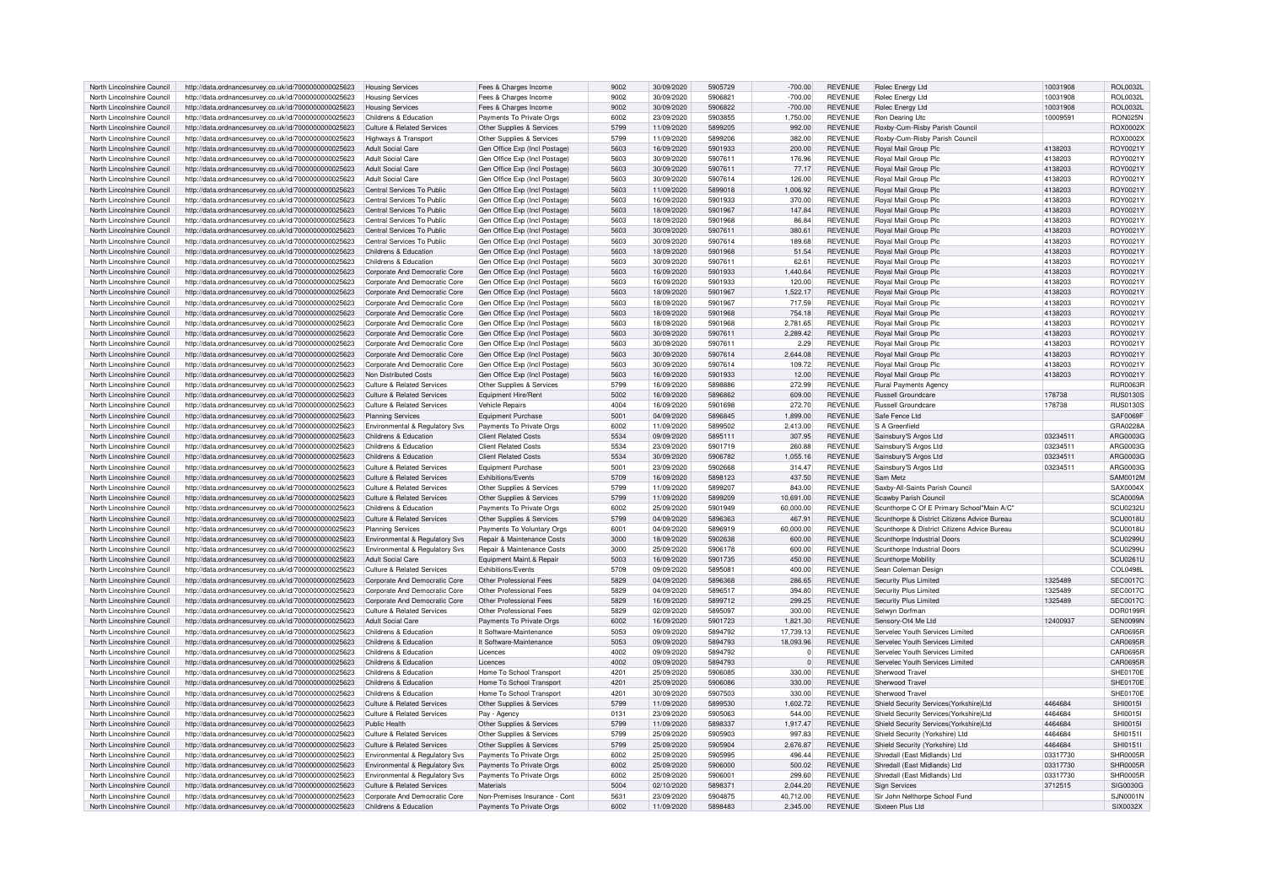| North Lincolnshire Council | http://data.ordnancesurvey.co.uk/id/7000000000025623 | <b>Housing Services</b>                   | Fees & Charges Income         | 9002 | 30/09/2020 | 5905729 | $-700.00$ | <b>REVENUE</b> | Rolec Energy Ltd                             | 10031908 | ROL0032L         |
|----------------------------|------------------------------------------------------|-------------------------------------------|-------------------------------|------|------------|---------|-----------|----------------|----------------------------------------------|----------|------------------|
| North Lincolnshire Council | http://data.ordnancesurvey.co.uk/id/7000000000025623 | <b>Housing Services</b>                   | Fees & Charges Income         | 9002 | 30/09/2020 | 5906821 | $-700.00$ | REVENUE        | Rolec Energy Ltd                             | 10031908 | <b>ROL0032L</b>  |
| North Lincolnshire Council | http://data.ordnancesurvey.co.uk/id/7000000000025623 | <b>Housing Services</b>                   | Fees & Charges Income         | 9002 | 30/09/2020 | 5906822 | $-700.00$ | <b>REVENUE</b> | Rolec Energy Ltd                             | 10031908 | <b>ROL0032L</b>  |
| North Lincolnshire Council | http://data.ordnancesurvey.co.uk/id/7000000000025623 | Childrens & Education                     | Payments To Private Orgs      | 6002 | 23/09/2020 | 5903855 | 1,750.00  | <b>REVENUE</b> | Ron Dearing Utc                              | 10009591 | RON025N          |
| North Lincolnshire Council | http://data.ordnancesurvey.co.uk/id/7000000000025623 | <b>Culture &amp; Related Services</b>     | Other Supplies & Services     | 5799 | 11/09/2020 | 5899205 | 992.00    | <b>REVENUE</b> | Roxby-Cum-Risby Parish Council               |          | ROX0002X         |
| North Lincolnshire Council | http://data.ordnancesurvey.co.uk/id/7000000000025623 | Highways & Transport                      | Other Supplies & Services     | 5799 | 11/09/2020 | 5899206 | 382.00    | <b>REVENUE</b> | Roxby-Cum-Risby Parish Council               |          | ROX0002X         |
|                            |                                                      |                                           |                               |      |            |         |           |                |                                              |          |                  |
| North Lincolnshire Council | http://data.ordnancesurvey.co.uk/id/7000000000025623 | <b>Adult Social Care</b>                  | Gen Office Exp (Incl Postage) | 5603 | 16/09/2020 | 5901933 | 200.00    | <b>REVENUE</b> | Royal Mail Group Plc                         | 4138203  | ROY0021Y         |
| North Lincolnshire Council | http://data.ordnancesurvey.co.uk/id/7000000000025623 | <b>Adult Social Care</b>                  | Gen Office Exp (Incl Postage) | 5603 | 30/09/2020 | 5907611 | 176.96    | <b>REVENUE</b> | Royal Mail Group Plc                         | 4138203  | ROY0021Y         |
| North Lincolnshire Council | http://data.ordnancesurvey.co.uk/id/7000000000025623 | Adult Social Care                         | Gen Office Exp (Incl Postage) | 5603 | 30/09/2020 | 5907611 | 77.17     | <b>REVENUE</b> | Royal Mail Group Plc                         | 4138203  | ROY0021Y         |
| North Lincolnshire Council | http://data.ordnancesurvey.co.uk/id/7000000000025623 | <b>Adult Social Care</b>                  | Gen Office Exp (Incl Postage) | 5603 | 30/09/2020 | 5907614 | 126.00    | <b>REVENUE</b> | Royal Mail Group Plc                         | 4138203  | ROY0021Y         |
| North Lincolnshire Council | http://data.ordnancesurvey.co.uk/id/7000000000025623 | Central Services To Public                | Gen Office Exp (Incl Postage) | 5603 | 11/09/2020 | 5899018 | 1,006.92  | <b>REVENUE</b> | Royal Mail Group Plc                         | 4138203  | ROY0021Y         |
| North Lincolnshire Council | http://data.ordnancesurvey.co.uk/id/7000000000025623 | Central Services To Public                | Gen Office Exp (Incl Postage) | 5603 | 16/09/2020 | 5901933 | 370.00    | <b>REVENUE</b> | Royal Mail Group Plc                         | 4138203  | ROY0021Y         |
| North Lincolnshire Council | http://data.ordnancesurvey.co.uk/id/7000000000025623 | Central Services To Public                | Gen Office Exp (Incl Postage) | 5603 | 18/09/2020 | 5901967 | 147.84    | <b>REVENUE</b> | <b>Royal Mail Group Plc</b>                  | 4138203  | ROY0021Y         |
| North Lincolnshire Council | http://data.ordnancesurvey.co.uk/id/7000000000025623 | Central Services To Public                | Gen Office Exp (Incl Postage) | 5603 | 18/09/2020 | 5901968 | 86.84     | <b>REVENUE</b> | Royal Mail Group Plc                         | 4138203  | ROY0021Y         |
| North Lincolnshire Council | http://data.ordnancesurvey.co.uk/id/7000000000025623 | Central Services To Public                | Gen Office Exp (Incl Postage) | 5603 | 30/09/2020 | 5907611 | 380.61    | <b>REVENUE</b> | Royal Mail Group Plc                         | 4138203  | ROY0021Y         |
| North Lincolnshire Council |                                                      | Central Services To Public                |                               | 5603 | 30/09/2020 | 5907614 | 189.68    | <b>REVENUE</b> |                                              | 4138203  | ROY0021\         |
|                            | http://data.ordnancesurvey.co.uk/id/7000000000025623 |                                           | Gen Office Exp (Incl Postage  |      |            |         |           |                | Royal Mail Group Plc                         |          |                  |
| North Lincolnshire Council | http://data.ordnancesurvey.co.uk/id/7000000000025623 | Childrens & Education                     | Gen Office Exp (Incl Postage  | 5603 | 18/09/2020 | 5901968 | 51.54     | <b>REVENUE</b> | Royal Mail Group Plc                         | 4138203  | ROY0021Y         |
| North Lincolnshire Council | http://data.ordnancesurvey.co.uk/id/7000000000025623 | Childrens & Education                     | Gen Office Exp (Incl Postage  | 5603 | 30/09/2020 | 5907611 | 62.61     | <b>REVENUE</b> | <b>Royal Mail Group Plo</b>                  | 4138203  | ROY0021Y         |
| North Lincolnshire Council | http://data.ordnancesurvey.co.uk/id/7000000000025623 | Corporate And Democratic Core             | Gen Office Exp (Incl Postage) | 5603 | 16/09/2020 | 5901933 | 1,440.64  | <b>REVENUE</b> | Royal Mail Group Plc                         | 4138203  | ROY0021Y         |
| North Lincolnshire Council | http://data.ordnancesurvey.co.uk/id/7000000000025623 | Corporate And Democratic Core             | Gen Office Exp (Incl Postage  | 5603 | 16/09/2020 | 5901933 | 120.00    | <b>REVENUE</b> | Royal Mail Group Plc                         | 4138203  | ROY0021Y         |
| North Lincolnshire Council | http://data.ordnancesurvey.co.uk/id/7000000000025623 | Cornorate And Democratic Core             | Gen Office Exp (Incl Postage) | 5603 | 18/09/2020 | 5901967 | 1,522.17  | <b>REVENUE</b> | Royal Mail Group Plc                         | 4138203  | ROY0021Y         |
| North Lincolnshire Council | http://data.ordnancesurvey.co.uk/id/7000000000025623 | Corporate And Democratic Core             | Gen Office Exp (Incl Postage  | 5603 | 18/09/2020 | 5901967 | 717.59    | REVENUE        | Royal Mail Group Plc                         | 4138203  | ROY0021Y         |
| North Lincolnshire Council | http://data.ordnancesurvey.co.uk/id/7000000000025623 | Corporate And Democratic Core             | Gen Office Exp (Incl Postage) | 5603 | 18/09/2020 | 5901968 | 754.18    | <b>REVENUE</b> | Royal Mail Group Plc                         | 4138203  | ROY0021Y         |
| North Lincolnshire Council | http://data.ordnancesurvey.co.uk/id/7000000000025623 | Corporate And Democratic Core             | Gen Office Exp (Incl Postage) | 5603 | 18/09/2020 | 5901968 | 2.781.65  | REVENUE        | Royal Mail Group Plc                         | 4138203  | ROY0021Y         |
| North Lincolnshire Council | http://data.ordnancesurvey.co.uk/id/7000000000025623 | Corporate And Democratic Core             | Gen Office Exp (Incl Postage  | 5603 | 30/09/2020 | 5907611 | 2,289.42  | <b>REVENUE</b> | Roval Mail Group Plc                         | 4138203  | ROY0021Y         |
|                            |                                                      |                                           |                               |      |            |         |           |                |                                              |          |                  |
| North Lincolnshire Council | http://data.ordnancesurvey.co.uk/id/7000000000025623 | Corporate And Democratic Core             | Gen Office Exp (Incl Postage  | 5603 | 30/09/2020 | 5907611 | 2.29      | REVENUE        | Roval Mail Group Plo                         | 4138203  | ROY0021\         |
| North Lincolnshire Council | http://data.ordnancesurvey.co.uk/id/7000000000025623 | Corporate And Democratic Core             | Gen Office Exp (Incl Postage  | 5603 | 30/09/2020 | 5907614 | 2.644.08  | REVENUE        | Royal Mail Group Plc                         | 4138203  | ROY0021Y         |
| North Lincolnshire Council | http://data.ordnancesurvey.co.uk/id/7000000000025623 | Corporate And Democratic Core             | Gen Office Exp (Incl Postage) | 5603 | 30/09/2020 | 5907614 | 109.72    | <b>REVENUE</b> | Royal Mail Group Plo                         | 4138203  | ROY0021Y         |
| North Lincolnshire Council | http://data.ordnancesurvey.co.uk/id/7000000000025623 | Non Distributed Costs                     | Gen Office Exp (Incl Postage) | 5603 | 16/09/2020 | 5901933 | 12.00     | <b>REVENUE</b> | Royal Mail Group Plc                         | 4138203  | ROY0021Y         |
| North Lincolnshire Council | http://data.ordnancesurvey.co.uk/id/7000000000025623 | Culture & Related Services                | Other Supplies & Services     | 5799 | 16/09/2020 | 5898886 | 272.99    | <b>REVENUE</b> | Rural Payments Agency                        |          | <b>RUR0063F</b>  |
| North Lincolnshire Council | http://data.ordnancesurvey.co.uk/id/7000000000025623 | <b>Culture &amp; Related Services</b>     | Equipment Hire/Rent           | 5002 | 16/09/2020 | 5896862 | 609.00    | <b>REVENUE</b> | <b>Russell Groundcare</b>                    | 178738   | <b>RUS0130S</b>  |
| North Lincolnshire Council | http://data.ordnancesurvey.co.uk/id/7000000000025623 | <b>Culture &amp; Related Services</b>     | Vehicle Repairs               | 4004 | 16/09/2020 | 5901698 | 272.70    | <b>REVENUE</b> | Russell Groundcare                           | 178738   | <b>RUS0130S</b>  |
| North Lincolnshire Council | http://data.ordnancesurvey.co.uk/id/7000000000025623 | <b>Planning Services</b>                  | Equipment Purchase            | 5001 | 04/09/2020 | 5896845 | 1,899.00  | <b>REVENUE</b> | Safe Fence I td                              |          | SAF0069F         |
| North Lincolnshire Council | http://data.ordnancesurvey.co.uk/id/7000000000025623 | Environmental & Regulatory Sys            | Payments To Private Orgs      | 6002 | 11/09/2020 | 5899502 | 2,413.00  | <b>REVENUE</b> | S A Greenfield                               |          | GRA0228A         |
| North Lincolnshire Council |                                                      | Childrens & Education                     | Client Related Costs          | 5534 | 09/09/2020 | 5895111 |           | <b>REVENUE</b> |                                              | 03234511 | ARG0003G         |
|                            | http://data.ordnancesurvey.co.uk/id/7000000000025623 |                                           |                               |      |            |         | 307.95    |                | Sainsbury'S Argos Ltd                        |          |                  |
| North Lincolnshire Council | http://data.ordnancesurvey.co.uk/id/7000000000025623 | Childrens & Education                     | Client Related Costs          | 5534 | 23/09/2020 | 5901719 | 260.88    | REVENUE        | Sainsbury'S Argos Ltd                        | 03234511 | ARG0003G         |
| North Lincolnshire Council | http://data.ordnancesurvey.co.uk/id/7000000000025623 | Childrens & Education                     | <b>Client Related Costs</b>   | 5534 | 30/09/2020 | 5906782 | 1.055.16  | <b>REVENUE</b> | Sainsbury'S Argos Ltd                        | 03234511 | ARG0003G         |
| North Lincolnshire Council | http://data.ordnancesurvey.co.uk/id/7000000000025623 | Culture & Related Services                | <b>Equipment Purchase</b>     | 5001 | 23/09/2020 | 5902668 | 314.47    | <b>REVENUE</b> | Sainsbury'S Argos Ltd                        | 03234511 | ABG0003G         |
| North Lincolnshire Council | http://data.ordnancesurvey.co.uk/id/7000000000025623 | Culture & Related Services                | <b>Exhibitions/Fvents</b>     | 5709 | 16/09/2020 | 5898123 | 437.50    | <b>REVENUE</b> | Sam Metz                                     |          | SAM0012M         |
| North Lincolnshire Council | http://data.ordnancesurvey.co.uk/id/7000000000025623 | Culture & Related Services                | Other Supplies & Services     | 5799 | 11/09/2020 | 5899207 | 843.00    | <b>REVENUE</b> | Saxby-All-Saints Parish Council              |          | SAX0004X         |
| North Lincolnshire Council | http://data.ordnancesurvey.co.uk/id/7000000000025623 | Culture & Related Services                | Other Supplies & Services     | 5799 | 11/09/2020 | 5899209 | 10,691.00 | REVENUE        | Scawby Parish Council                        |          | <b>SCA0009A</b>  |
| North Lincolnshire Council | http://data.ordnancesurvey.co.uk/id/7000000000025623 | Childrens & Education                     | Payments To Private Orgs      | 6002 | 25/09/2020 | 5901949 | 60,000.00 | REVENUE        | Scunthorpe C Of E Primary School"Main A/C'   |          | <b>SCU0232U</b>  |
| North Lincolnshire Council | http://data.ordnancesurvey.co.uk/id/7000000000025623 | <b>Culture &amp; Related Services</b>     | Other Supplies & Services     | 5799 | 04/09/2020 | 5896363 | 467.91    | <b>REVENUE</b> | Scunthorpe & District Citizens Advice Bureau |          | SCU0018U         |
| North Lincolnshire Council | http://data.ordnancesurvey.co.uk/id/7000000000025623 | <b>Planning Services</b>                  | Payments To Voluntary Orgs    | 6001 | 04/09/2020 | 5896919 | 60,000.00 | REVENUE        | Scunthorpe & District Citizens Advice Bureau |          | SCU0018U         |
|                            |                                                      |                                           |                               |      |            |         |           |                |                                              |          |                  |
| North Lincolnshire Council | http://data.ordnancesurvey.co.uk/id/7000000000025623 | <b>Environmental &amp; Regulatory Sys</b> | Repair & Maintenance Costs    | 3000 | 18/09/2020 | 5902638 | 600.00    | <b>REVENUE</b> | Scunthorpe Industrial Doors                  |          | SCU0299U         |
| North Lincolnshire Council | http://data.ordnancesurvey.co.uk/id/7000000000025623 | Environmental & Regulatory Svs            | Repair & Maintenance Costs    | 3000 | 25/09/2020 | 5906178 | 600.00    | <b>REVENUE</b> | Scunthorpe Industrial Doors                  |          | <b>SCLI0299L</b> |
| North Lincolnshire Council | http://data.ordnancesurvey.co.uk/id/7000000000025623 | <b>Adult Social Care</b>                  | Equipment Maint.& Repair      | 5003 | 16/09/2020 | 5901735 | 450.00    | <b>REVENUE</b> | Scunthorpe Mobility                          |          | SCU0261U         |
| North Lincolnshire Council | http://data.ordnancesurvey.co.uk/id/7000000000025623 | Culture & Related Services                | <b>Fxhibitions/Events</b>     | 5709 | 09/09/2020 | 5895081 | 400.00    | <b>REVENUE</b> | Sean Coleman Design                          |          | COL0498L         |
| North Lincolnshire Council | http://data.ordnancesurvey.co.uk/id/7000000000025623 | Corporate And Democratic Core             | Other Professional Fees       | 5829 | 04/09/2020 | 5896368 | 286.65    | <b>REVENUE</b> | Security Plus Limited                        | 1325489  | <b>SEC0017C</b>  |
| North Lincolnshire Council | http://data.ordnancesurvey.co.uk/id/7000000000025623 | Corporate And Democratic Core             | Other Professional Fees       | 5829 | 04/09/2020 | 5896517 | 394.80    | <b>REVENUE</b> | Security Plus Limited                        | 1325489  | <b>SEC0017C</b>  |
| North Lincolnshire Council | http://data.ordnancesurvey.co.uk/id/7000000000025623 | Corporate And Democratic Core             | Other Professional Fees       | 5829 | 16/09/2020 | 5899712 | 299.25    | <b>REVENUE</b> | Security Plus Limited                        | 1325489  | SEC0017C         |
| North Lincolnshire Council | http://data.ordnancesurvey.co.uk/id/7000000000025623 | Culture & Related Services                | Other Professional Fees       | 5829 | 02/09/2020 | 5895097 | 300.00    | <b>REVENUE</b> | Selwyn Dorfman                               |          | <b>DOR0199R</b>  |
| North Lincolnshire Council | http://data.ordnancesurvey.co.uk/id/7000000000025623 | Adult Social Care                         | Payments To Private Orgs      | 6002 | 16/09/2020 | 5901723 | 1,821.30  | <b>REVENUE</b> | Sensory-Ot4 Me I td                          | 12400937 | SEN0099M         |
| North Lincolnshire Council | http://data.ordnancesurvey.co.uk/id/7000000000025623 | Childrens & Education                     | It Software-Maintenance       | 5053 | 09/09/2020 | 5894792 | 17.739.13 | <b>REVENUE</b> | Servelec Youth Services Limited              |          | CAR0695F         |
| North Lincolnshire Council | http://data.ordnancesurvey.co.uk/id/7000000000025623 | Childrens & Education                     | It Software-Maintenance       | 5053 | 09/09/2020 | 5894793 | 18,093.96 | REVENUE        | Servelec Youth Services Limited              |          | <b>CAR0695F</b>  |
|                            |                                                      |                                           |                               |      |            |         |           |                |                                              |          |                  |
| North Lincolnshire Council | http://data.ordnancesurvey.co.uk/id/7000000000025623 | Childrens & Education                     | Licences                      | 4002 | 09/09/2020 | 5894792 | $\Omega$  | <b>REVENUE</b> | Servelec Youth Services Limited              |          | CAR0695F         |
| North Lincolnshire Council | http://data.ordnancesurvey.co.uk/id/7000000000025623 | Childrens & Education                     | Licences                      | 4002 | 09/09/2020 | 5894793 | $\Omega$  | <b>REVENUE</b> | Servelec Youth Services Limited              |          | CAR0695R         |
| North Lincolnshire Council | http://data.ordnancesurvey.co.uk/id/7000000000025623 | Childrens & Education                     | Home To School Transport      | 4201 | 25/09/2020 | 5906085 | 330.00    | <b>REVENUE</b> | Sherwood Trave                               |          | SHE0170E         |
| North Lincolnshire Council | http://data.ordnancesurvey.co.uk/id/7000000000025623 | Childrens & Education                     | Home To School Transport      | 4201 | 25/09/2020 | 5906086 | 330.00    | REVENUE        | Sherwood Trave                               |          | SHE0170E         |
| North Lincolnshire Council | http://data.ordnancesurvey.co.uk/id/7000000000025623 | Childrens & Education                     | Home To School Transport      | 4201 | 30/09/2020 | 5907503 | 330.00    | REVENUE        | Sherwood Travel                              |          | <b>SHE0170E</b>  |
| North Lincolnshire Council | http://data.ordnancesurvey.co.uk/id/7000000000025623 | Culture & Related Services                | Other Supplies & Services     | 5799 | 11/09/2020 | 5899530 | 1,602.72  | REVENUE        | Shield Security Services (Yorkshire) Ltd     | 4464684  | <b>SHI0015I</b>  |
| North Lincolnshire Council | http://data.ordnancesurvey.co.uk/id/7000000000025623 | Culture & Related Services                | Pay - Agency                  | 0131 | 23/09/2020 | 5905063 | 544.00    | REVENUE        | Shield Security Services (Yorkshire) Ltd     | 4464684  | <b>SHI0015I</b>  |
| North Lincolnshire Council | http://data.ordnancesurvey.co.uk/id/7000000000025623 | Public Health                             | Other Supplies & Services     | 5799 | 11/09/2020 | 5898337 | 1,917.47  | <b>REVENUE</b> | Shield Security Services(Yorkshire)Ltd       | 4464684  | SHI0015L         |
| North Lincolnshire Council | http://data.ordnancesurvey.co.uk/id/7000000000025623 | <b>Culture &amp; Related Services</b>     | Other Supplies & Services     | 5799 | 25/09/2020 | 5905903 | 997.83    | <b>REVENUE</b> | Shield Security (Yorkshire) Ltd              | 4464684  | SHI01511         |
|                            |                                                      |                                           |                               | 5799 |            |         |           | <b>REVENUE</b> |                                              | 4464684  | <b>SHI0151I</b>  |
| North Lincolnshire Council | http://data.ordnancesurvey.co.uk/id/7000000000025623 | Culture & Related Services                | Other Supplies & Services     |      | 25/09/2020 | 5905904 | 2.676.87  |                | Shield Security (Yorkshire) Ltd              |          |                  |
| North Lincolnshire Council | http://data.ordnancesurvey.co.uk/id/7000000000025623 | Environmental & Regulatory Svs            | Payments To Private Orgs      | 6002 | 25/09/2020 | 5905995 | 496.44    | REVENUE        | Shredall (East Midlands) Ltd                 | 03317730 | SHR0005F         |
| North Lincolnshire Council | http://data.ordnancesurvey.co.uk/id/7000000000025623 | Environmental & Regulatory Svs            | Payments To Private Orgs      | 6002 | 25/09/2020 | 5906000 | 500.02    | <b>REVENUE</b> | Shredall (East Midlands) Ltd                 | 03317730 | SHR0005R         |
| North Lincolnshire Council | http://data.ordnancesurvey.co.uk/id/7000000000025623 | Environmental & Regulatory Svs            | Payments To Private Orgs      | 6002 | 25/09/2020 | 5906001 | 299.60    | <b>REVENUE</b> | Shredall (East Midlands) Ltd                 | 03317730 | SHR0005B         |
| North Lincolnshire Council | http://data.ordnancesurvey.co.uk/id/7000000000025623 | Culture & Related Services                | Materials                     | 5004 | 02/10/2020 | 5898371 | 2,044.20  | <b>REVENUE</b> | <b>Sign Services</b>                         | 3712515  | SIG0030G         |
| North Lincolnshire Council | http://data.ordnancesurvey.co.uk/id/7000000000025623 | Corporate And Democratic Core             | Non-Premises Insurance - Cont | 5631 | 23/09/2020 | 5904875 | 40,712.00 | <b>REVENUE</b> | Sir John Nelthorpe School Fund               |          | <b>SJN0001N</b>  |
| North Lincolnshire Council | http://data.ordnancesurvey.co.uk/id/7000000000025623 | Childrens & Education                     | Payments To Private Orgs      | 6002 | 11/09/2020 | 5898483 | 2.345.00  | <b>REVENUE</b> | Sixteen Plus I td                            |          | SIX0032X         |
|                            |                                                      |                                           |                               |      |            |         |           |                |                                              |          |                  |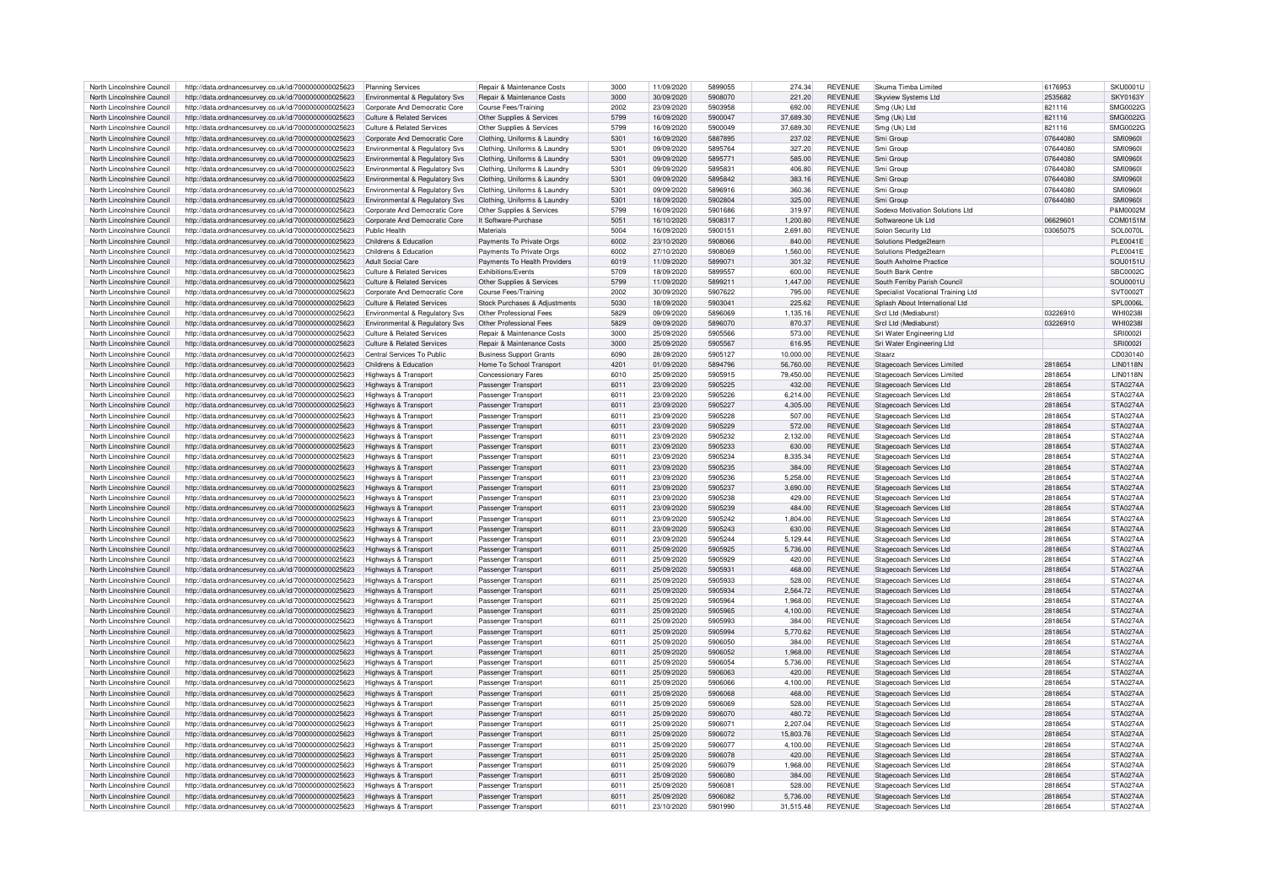| North Lincolnshire Council | http://data.ordnancesurvey.co.uk/id/7000000000025623 | Planning Services                     | <b>Benair &amp; Maintenance Costs</b> | 3000 | 11/09/2020 | 5899055 | 274.34    | REVENUE        | Skuma Timba Limited                | 6176953  | <b>SKU0001U</b>  |
|----------------------------|------------------------------------------------------|---------------------------------------|---------------------------------------|------|------------|---------|-----------|----------------|------------------------------------|----------|------------------|
| North Lincolnshire Council | http://data.ordnancesurvey.co.uk/id/7000000000025623 |                                       | Repair & Maintenance Costs            | 3000 | 30/09/2020 | 5908070 | 221.20    | <b>REVENUE</b> | <b>Skyview Systems Ltd</b>         | 2535682  | <b>SKY0163Y</b>  |
|                            |                                                      | Environmental & Regulatory Svs        |                                       |      |            |         |           |                |                                    |          |                  |
| North Lincolnshire Council | http://data.ordnancesurvey.co.uk/id/7000000000025623 | Corporate And Democratic Core         | Course Fees/Training                  | 2002 | 23/09/2020 | 5903958 | 692.00    | <b>REVENUE</b> | Smg (Uk) Ltd                       | 821116   | SMG0022G         |
| North Lincolnshire Council | http://data.ordnancesurvey.co.uk/id/7000000000025623 | Culture & Related Services            | Other Supplies & Services             | 5799 | 16/09/2020 | 5900047 | 37,689.30 | <b>REVENUE</b> | Smg (Uk) Ltd                       | 821116   | SMG0022G         |
| North Lincolnshire Council | http://data.ordnancesurvey.co.uk/id/7000000000025623 | <b>Culture &amp; Related Services</b> | Other Supplies & Services             | 5799 | 16/09/2020 | 5900049 | 37,689.30 | <b>REVENUE</b> | Sma (Uk) Ltd                       | 821116   | SMG0022G         |
| North Lincolnshire Council | http://data.ordnancesurvey.co.uk/id/7000000000025623 | Corporate And Democratic Core         | Clothing, Uniforms & Laundry          | 5301 | 16/09/2020 | 5887895 | 237.02    | <b>REVENUE</b> | Smi Groun                          | 07644080 | SMI0960          |
| North Lincolnshire Council | http://data.ordnancesurvey.co.uk/id/7000000000025623 | Environmental & Regulatory Svs        | Clothing, Uniforms & Laundry          | 5301 | 09/09/2020 | 5895764 | 327.20    | <b>REVENUE</b> | Smi Groun                          | 07644080 | <b>SMI09601</b>  |
|                            |                                                      |                                       |                                       |      |            |         |           |                |                                    |          |                  |
| North Lincolnshire Council | http://data.ordnancesurvey.co.uk/id/7000000000025623 | Environmental & Regulatory Svs        | Clothing, Uniforms & Laundry          | 5301 | 09/09/2020 | 5895771 | 585.00    | <b>REVENUE</b> | Smi Groun                          | 07644080 | <b>SMI0960L</b>  |
| North Lincolnshire Council | http://data.ordnancesurvey.co.uk/id/7000000000025623 | Environmental & Regulatory Svs        | Clothing, Uniforms & Laundry          | 5301 | 09/09/2020 | 5895831 | 406.80    | <b>REVENUE</b> | Smi Groun                          | 07644080 | SMI0960I         |
| North Lincolnshire Council | http://data.ordnancesurvey.co.uk/id/7000000000025623 | Environmental & Regulatory Svs        | Clothing, Uniforms & Laundry          | 5301 | 09/09/2020 | 5895842 | 383.16    | <b>REVENUE</b> | Smi Group                          | 07644080 | <b>SMI09601</b>  |
| North Lincolnshire Council | http://data.ordnancesurvey.co.uk/id/7000000000025623 | Environmental & Regulatory Sys        | Clothing, Uniforms & Laundry          | 5301 | 09/09/2020 | 5896916 | 360.36    | <b>REVENUE</b> | Smi Group                          | 07644080 | <b>SMI09601</b>  |
| North Lincolnshire Council | http://data.ordnancesurvey.co.uk/id/7000000000025623 | Environmental & Regulatory Svs        | Clothing, Uniforms & Laundry          | 5301 | 18/09/2020 | 5902804 | 325.00    | <b>REVENUE</b> | Smi Group                          | 07644080 | <b>SMI0960I</b>  |
|                            |                                                      |                                       |                                       |      |            |         |           | <b>REVENUE</b> |                                    |          | P&M0002M         |
| North Lincolnshire Council | http://data.ordnancesurvey.co.uk/id/7000000000025623 | Corporate And Democratic Core         | Other Supplies & Services             | 5799 | 16/09/2020 | 5901686 | 319.97    |                | Sodexo Motivation Solutions Ltd    |          |                  |
| North Lincolnshire Council | http://data.ordnancesurvey.co.uk/id/7000000000025623 | Corporate And Democratic Core         | It Software-Purchase                  | 5051 | 16/10/2020 | 5908317 | 1,200.80  | <b>REVENUE</b> | Softwareone Uk I td                | 0662960  | COM0151M         |
| North Lincolnshire Council | http://data.ordnancesurvey.co.uk/id/7000000000025623 | Public Health                         | Materials                             | 5004 | 16/09/2020 | 5900151 | 2,691.80  | <b>REVENUE</b> | Solon Security Ltd                 | 03065075 | SOL0070L         |
| North Lincolnshire Council | http://data.ordnancesurvey.co.uk/id/7000000000025623 | Childrens & Education                 | Payments To Private Orgs              | 6002 | 23/10/2020 | 5908066 | 840.00    | REVENUE        | Solutions Pledge2learn             |          | <b>PLE0041E</b>  |
| North Lincolnshire Council | http://data.ordnancesurvey.co.uk/id/7000000000025623 | Childrens & Education                 | Payments To Private Orgs              | 6002 | 27/10/2020 | 5908069 | 1.560.00  | REVENUE        | Solutions Pledge2learn             |          | <b>PLE0041E</b>  |
| North Lincolnshire Council |                                                      | Adult Social Care                     | Payments To Health Providers          | 6019 | 11/09/2020 | 5899071 | 301.32    | <b>REVENUE</b> | South Axholme Practice             |          | SOU0151U         |
|                            | http://data.ordnancesurvey.co.uk/id/7000000000025623 |                                       |                                       |      |            |         |           |                |                                    |          |                  |
| North Lincolnshire Council | http://data.ordnancesurvey.co.uk/id/7000000000025623 | Culture & Related Services            | <b>Exhibitions/Events</b>             | 5709 | 18/09/2020 | 5899557 | 600.00    | <b>REVENUE</b> | South Bank Centre                  |          | SBC00020         |
| North Lincolnshire Council | http://data.ordnancesurvey.co.uk/id/7000000000025623 | Culture & Related Services            | Other Supplies & Services             | 5799 | 11/09/2020 | 5899211 | 1.447.00  | <b>REVENUE</b> | South Ferriby Parish Council       |          | SOU0001L         |
| North Lincolnshire Council | http://data.ordnancesurvey.co.uk/id/7000000000025623 | Corporate And Democratic Core         | Course Fees/Training                  | 2002 | 30/09/2020 | 5907622 | 795.00    | REVENUE        | Specialist Vocational Training Ltd |          | SVT00021         |
| North Lincolnshire Council | http://data.ordnancesurvey.co.uk/id/7000000000025623 | Culture & Related Services            | Stock Purchases & Adjustments         | 5030 | 18/09/2020 | 5903041 | 225.62    | <b>REVENUE</b> | Splash About International I to    |          | SPL0006L         |
| North Lincolnshire Council | http://data.ordnancesurvey.co.uk/id/7000000000025623 |                                       | Other Professional Fees               | 5829 | 09/09/2020 | 5896069 | 1,135.16  | <b>REVENUE</b> | Srcl Ltd (Mediaburst)              | 03226910 | WHI0238          |
|                            |                                                      | Environmental & Regulatory Svs        |                                       |      |            |         |           |                |                                    |          |                  |
| North Lincolnshire Council | http://data.ordnancesurvey.co.uk/id/7000000000025623 | Environmental & Regulatory Svs        | Other Professional Fees               | 5829 | 09/09/2020 | 5896070 | 870.37    | REVENUE        | SrcI I td (Mediaburst)             | 03226910 | <b>WHI0238I</b>  |
| North Lincolnshire Council | http://data.ordnancesurvey.co.uk/id/7000000000025623 | <b>Culture &amp; Related Services</b> | Repair & Maintenance Costs            | 3000 | 25/09/2020 | 5905566 | 573.00    | <b>REVENUE</b> | Sri Water Engineering Ltd          |          | SRI0002          |
| North Lincolnshire Council | http://data.ordnancesurvey.co.uk/id/7000000000025623 | Culture & Related Services            | Repair & Maintenance Costs            | 3000 | 25/09/2020 | 5905567 | 616.95    | REVENUE        | Sri Water Engineering Ltd          |          | SRI0002          |
| North Lincolnshire Council | http://data.ordnancesurvey.co.uk/id/7000000000025623 | Central Services To Public            | <b>Business Support Grants</b>        | 6090 | 28/09/2020 | 5905127 | 10.000.00 | <b>REVENUE</b> | Staarz                             |          | CD030140         |
| North Lincolnshire Council | http://data.ordnancesurvey.co.uk/id/7000000000025623 | Childrens & Education                 | Home To School Transport              | 4201 | 01/09/2020 | 5894796 | 56,760.00 | <b>REVENUE</b> |                                    | 2818654  | <b>LIN0118N</b>  |
|                            |                                                      |                                       |                                       |      |            |         |           |                | <b>Stagecoach Services Limited</b> |          |                  |
| North Lincolnshire Council | http://data.ordnancesurvey.co.uk/id/7000000000025623 | Highways & Transport                  | <b>Concessionary Fares</b>            | 6010 | 25/09/2020 | 5905915 | 79,450.00 | <b>REVENUE</b> | Stagecoach Services Limited        | 2818654  | <b>I IN0118N</b> |
| North Lincolnshire Council | http://data.ordnancesurvey.co.uk/id/7000000000025623 | Highways & Transpor                   | Passenger Transport                   | 6011 | 23/09/2020 | 5905225 | 432.00    | <b>REVENUE</b> | Stagecoach Services Ltd            | 2818654  | STA0274A         |
| North Lincolnshire Council | http://data.ordnancesurvey.co.uk/id/7000000000025623 | <b>Highways &amp; Transport</b>       | Passenger Transport                   | 6011 | 23/09/2020 | 5905226 | 6.214.00  | REVENUE        | Stagecoach Services Ltd            | 2818654  | STA0274A         |
| North Lincolnshire Council | http://data.ordnancesurvey.co.uk/id/7000000000025623 | Highways & Transpor                   | Passenger Transport                   | 6011 | 23/09/2020 | 5905227 | 4,305.00  | <b>REVENUE</b> | Stagecoach Services Ltd            | 2818654  | <b>STA0274A</b>  |
| North Lincolnshire Council | http://data.ordnancesurvey.co.uk/id/7000000000025623 | Highways & Transpor                   | Passenger Transport                   | 6011 | 23/09/2020 | 5905228 | 507.00    | <b>REVENUE</b> | Stagecoach Services Ltd            | 2818654  | <b>STA0274A</b>  |
|                            |                                                      |                                       |                                       |      |            |         |           |                |                                    |          |                  |
| North Lincolnshire Council | http://data.ordnancesurvey.co.uk/id/7000000000025623 | Highways & Transport                  | Passenger Transport                   | 6011 | 23/09/2020 | 5905229 | 572.00    | <b>REVENUE</b> | Stagecoach Services Ltd            | 2818654  | STA0274A         |
| North Lincolnshire Council | http://data.ordnancesurvey.co.uk/id/7000000000025623 | Highways & Transpor                   | Passenger Transport                   | 6011 | 23/09/2020 | 5905232 | 2,132.00  | <b>REVENUE</b> | <b>Stagecoach Services Ltd</b>     | 2818654  | STA0274A         |
| North Lincolnshire Council | http://data.ordnancesurvey.co.uk/id/7000000000025623 | Highways & Transpor                   | Passenger Transport                   | 6011 | 23/09/2020 | 5905233 | 630.00    | REVENUE        | Stagecoach Services Ltd            | 2818654  | STA0274A         |
| North Lincolnshire Council | http://data.ordnancesurvey.co.uk/id/7000000000025623 | Highways & Transpor                   | Passenger Transport                   | 6011 | 23/09/2020 | 5905234 | 8.335.34  | <b>REVENUE</b> | Stagecoach Services Ltd            | 2818654  | <b>STA0274A</b>  |
| North Lincolnshire Council | http://data.ordnancesurvey.co.uk/id/7000000000025623 |                                       |                                       | 6011 | 23/09/2020 | 5905235 | 384.00    | <b>REVENUE</b> | Stagecoach Services Ltd            | 2818654  | <b>STA0274A</b>  |
|                            |                                                      | Highways & Transport                  | Passenger Transport                   |      |            |         |           |                |                                    |          |                  |
| North Lincolnshire Council | http://data.ordnancesurvey.co.uk/id/7000000000025623 | Highways & Transport                  | Passenger Transport                   | 6011 | 23/09/2020 | 5905236 | 5,258.00  | <b>REVENUE</b> | Stagecoach Services Ltd            | 2818654  | STA0274A         |
| North Lincolnshire Council | http://data.ordnancesurvey.co.uk/id/7000000000025623 | <b>Highways &amp; Transport</b>       | Passenger Transport                   | 6011 | 23/09/2020 | 5905237 | 3,690.00  | <b>REVENUE</b> | Stagecoach Services Ltd            | 2818654  | <b>STA0274A</b>  |
| North Lincolnshire Council | http://data.ordnancesurvey.co.uk/id/7000000000025623 | Highways & Transport                  | Passenger Transport                   | 6011 | 23/09/2020 | 5905238 | 429.00    | REVENUE        | Stagecoach Services Ltd            | 2818654  | STA0274A         |
| North Lincolnshire Council | http://data.ordnancesurvey.co.uk/id/7000000000025623 | Highways & Transport                  | Passenger Transport                   | 6011 | 23/09/2020 | 5905239 | 484.00    | <b>REVENUE</b> | Stagecoach Services Ltd            | 2818654  | <b>STA0274A</b>  |
| North Lincolnshire Council | http://data.ordnancesurvey.co.uk/id/7000000000025623 | Highways & Transpor                   | Passenger Transport                   | 6011 | 23/09/2020 | 5905242 | 1,804.00  | <b>REVENUE</b> | <b>Stagecoach Services Ltd</b>     | 2818654  | STA0274A         |
|                            |                                                      |                                       |                                       |      |            |         |           |                |                                    |          |                  |
| North Lincolnshire Council | http://data.ordnancesurvey.co.uk/id/7000000000025623 | Highways & Transpor                   | Passenger Transport                   | 6011 | 23/09/2020 | 5905243 | 630.00    | REVENUE        | Stagecoach Services Ltd            | 2818654  | STA0274A         |
| North Lincolnshire Council | http://data.ordnancesurvey.co.uk/id/7000000000025623 | Highways & Transpor                   | Passenger Transport                   | 6011 | 23/09/2020 | 5905244 | 5.129.44  | <b>REVENUE</b> | Stagecoach Services Ltd            | 2818654  | <b>STA0274A</b>  |
| North Lincolnshire Council | http://data.ordnancesurvey.co.uk/id/7000000000025623 | Highways & Transport                  | Passenger Transport                   | 6011 | 25/09/2020 | 5905925 | 5,736.00  | REVENUE        | Stagecoach Services Ltd            | 2818654  | STA0274A         |
| North Lincolnshire Council | http://data.ordnancesurvey.co.uk/id/7000000000025623 | <b>Highways &amp; Transport</b>       | Passenger Transport                   | 6011 | 25/09/2020 | 5905929 | 420.00    | <b>REVENUE</b> | Stagecoach Services Ltd            | 2818654  | <b>STA0274A</b>  |
| North Lincolnshire Council | http://data.ordnancesurvey.co.uk/id/7000000000025623 | Highways & Transport                  | Passenger Transport                   | 6011 | 25/09/2020 | 5905931 | 468.00    | REVENUE        | Stagecoach Services Ltd            | 2818654  | <b>STA0274A</b>  |
|                            |                                                      |                                       |                                       |      |            |         |           |                |                                    |          |                  |
| North Lincolnshire Council | http://data.ordnancesurvey.co.uk/id/7000000000025623 | <b>Highways &amp; Transport</b>       | Passenger Transport                   | 6011 | 25/09/2020 | 5905933 | 528.00    | <b>REVENUE</b> | Stagecoach Services Ltd            | 2818654  | STA0274A         |
| North Lincolnshire Council | http://data.ordnancesurvey.co.uk/id/7000000000025623 | Highways & Transpor                   | Passenger Transport                   | 6011 | 25/09/2020 | 5905934 | 2,564.72  | <b>REVENUE</b> | Stagecoach Services Ltd            | 2818654  | STA0274A         |
| North Lincolnshire Council | http://data.ordnancesurvey.co.uk/id/7000000000025623 | <b>Highways &amp; Transport</b>       | Passenger Transport                   | 6011 | 25/09/2020 | 5905964 | 1,968.00  | REVENUE        | Stagecoach Services Ltd            | 2818654  | STA0274A         |
| North Lincolnshire Council | http://data.ordnancesurvey.co.uk/id/7000000000025623 | Highways & Transpor                   | Passenger Transport                   | 6011 | 25/09/2020 | 5905965 | 4,100.00  | <b>REVENUE</b> | Stagecoach Services Ltd            | 2818654  | STA0274A         |
| North Lincolnshire Council | http://data.ordnancesurvey.co.uk/id/7000000000025623 | Highways & Transpor                   | Passenger Transport                   | 6011 | 25/09/2020 | 5905993 | 384.00    | <b>REVENUE</b> | <b>Stagecoach Services Ltd</b>     | 2818654  | <b>STA0274A</b>  |
| North Lincolnshire Council |                                                      |                                       |                                       | 6011 | 25/09/2020 | 5905994 |           | <b>REVENUE</b> |                                    | 2818654  | STA0274A         |
|                            | http://data.ordnancesurvey.co.uk/id/7000000000025623 | Highways & Transport                  | Passenger Transport                   |      |            |         | 5,770.62  |                | <b>Stagecoach Services Ltd</b>     |          |                  |
| North Lincolnshire Council | http://data.ordnancesurvey.co.uk/id/7000000000025623 | Highways & Transpor                   | Passenger Transport                   | 6011 | 25/09/2020 | 5906050 | 384.00    | <b>REVENUE</b> | Stagecoach Services Ltd            | 2818654  | STA0274A         |
| North Lincolnshire Council | http://data.ordnancesurvey.co.uk/id/7000000000025623 | <b>Highways &amp; Transport</b>       | Passenger Transport                   | 6011 | 25/09/2020 | 5906052 | 1.968.00  | REVENUE        | Stagecoach Services Ltd            | 2818654  | STA0274A         |
| North Lincolnshire Council | http://data.ordnancesurvey.co.uk/id/7000000000025623 | Highways & Transpor                   | Passenger Transport                   | 6011 | 25/09/2020 | 5906054 | 5.736.00  | <b>REVENUE</b> | Stagecoach Services Ltd            | 2818654  | <b>STA0274A</b>  |
| North Lincolnshire Council | http://data.ordnancesurvey.co.uk/id/7000000000025623 | Highways & Transport                  | Passenger Transport                   | 6011 | 25/09/2020 | 5906063 | 420.00    | <b>REVENUE</b> | Stagecoach Services Ltd            | 2818654  | <b>STA0274A</b>  |
| North Lincolnshire Council | http://data.ordnancesurvey.co.uk/id/7000000000025623 | Highways & Transport                  | Passenger Transport                   | 6011 | 25/09/2020 | 5906066 | 4.100.00  | <b>REVENUE</b> | Stagecoach Services Ltd            | 2818654  | <b>STA0274A</b>  |
|                            |                                                      |                                       |                                       |      |            |         |           |                |                                    |          |                  |
| North Lincolnshire Council | http://data.ordnancesurvey.co.uk/id/7000000000025623 | Highways & Transpor                   | Passenger Transport                   | 6011 | 25/09/2020 | 5906068 | 468.00    | REVENUE        | Stagecoach Services Ltd            | 2818654  | STA0274A         |
| North Lincolnshire Council | http://data.ordnancesurvey.co.uk/id/7000000000025623 | <b>Highways &amp; Transport</b>       | Passenger Transport                   | 6011 | 25/09/2020 | 5906069 | 528.00    | REVENUE        | Stagecoach Services Ltd            | 2818654  | STA0274A         |
| North Lincolnshire Council | http://data.ordnancesurvey.co.uk/id/7000000000025623 | Highways & Transport                  | Passenger Transport                   | 6011 | 25/09/2020 | 5906070 | 480.72    | <b>REVENUE</b> | Stagecoach Services Ltd            | 2818654  | <b>STA0274A</b>  |
| North Lincolnshire Council | http://data.ordnancesurvey.co.uk/id/7000000000025623 | Highways & Transpor                   | Passenger Transport                   | 6011 | 25/09/2020 | 5906071 | 2.207.04  | <b>REVENUE</b> | Stagecoach Services Ltd            | 2818654  | STA0274A         |
| North Lincolnshire Council | http://data.ordnancesurvey.co.uk/id/7000000000025623 | <b>Highways &amp; Transport</b>       | Passenger Transport                   | 6011 | 25/09/2020 | 5906072 | 15,803.76 | <b>REVENUE</b> | Stagecoach Services Ltd            | 2818654  | <b>STA0274A</b>  |
|                            |                                                      |                                       |                                       |      |            |         |           |                |                                    |          |                  |
| North Lincolnshire Council | http://data.ordnancesurvey.co.uk/id/7000000000025623 | Highways & Transpor                   | Passenger Transport                   | 6011 | 25/09/2020 | 5906077 | 4.100.00  | REVENUE        | Stagecoach Services Ltd            | 2818654  | <b>STA0274A</b>  |
| North Lincolnshire Council | http://data.ordnancesurvey.co.uk/id/7000000000025623 | <b>Highways &amp; Transport</b>       | Passenger Transport                   | 6011 | 25/09/2020 | 5906078 | 420.00    | <b>REVENUE</b> | Stagecoach Services Ltd            | 2818654  | <b>STA0274A</b>  |
| North Lincolnshire Council | http://data.ordnancesurvey.co.uk/id/7000000000025623 | <b>Highways &amp; Transport</b>       | Passenger Transport                   | 6011 | 25/09/2020 | 5906079 | 1.968.00  | <b>REVENUE</b> | Stagecoach Services Ltd            | 2818654  | <b>STA0274A</b>  |
| North Lincolnshire Council | http://data.ordnancesurvey.co.uk/id/7000000000025623 | Highways & Transpor                   | Passenger Transport                   | 6011 | 25/09/2020 | 5906080 | 384.00    | <b>REVENUE</b> | <b>Stagecoach Services Ltd</b>     | 2818654  | <b>STA0274A</b>  |
| North Lincolnshire Council | http://data.ordnancesurvey.co.uk/id/7000000000025623 | Highways & Transpor                   | Passenger Transport                   | 6011 | 25/09/2020 | 5906081 | 528.00    | <b>REVENUE</b> | Stagecoach Services Ltd            | 2818654  | STA0274A         |
|                            |                                                      |                                       |                                       |      |            |         |           |                |                                    |          |                  |
| North Lincolnshire Council | http://data.ordnancesurvey.co.uk/id/7000000000025623 | Highways & Transport                  | Passenger Transport                   | 6011 | 25/09/2020 | 5906082 | 5,736.00  | <b>REVENUE</b> | Stagecoach Services Ltd            | 2818654  | STA0274A         |
| North Lincolnshire Council | http://data.ordnancesurvey.co.uk/id/7000000000025623 | Highways & Transport                  | Passenger Transport                   | 6011 | 23/10/2020 | 5901990 | 31,515.48 | <b>REVENUE</b> | Stagecoach Services Ltd            | 2818654  | <b>STA0274A</b>  |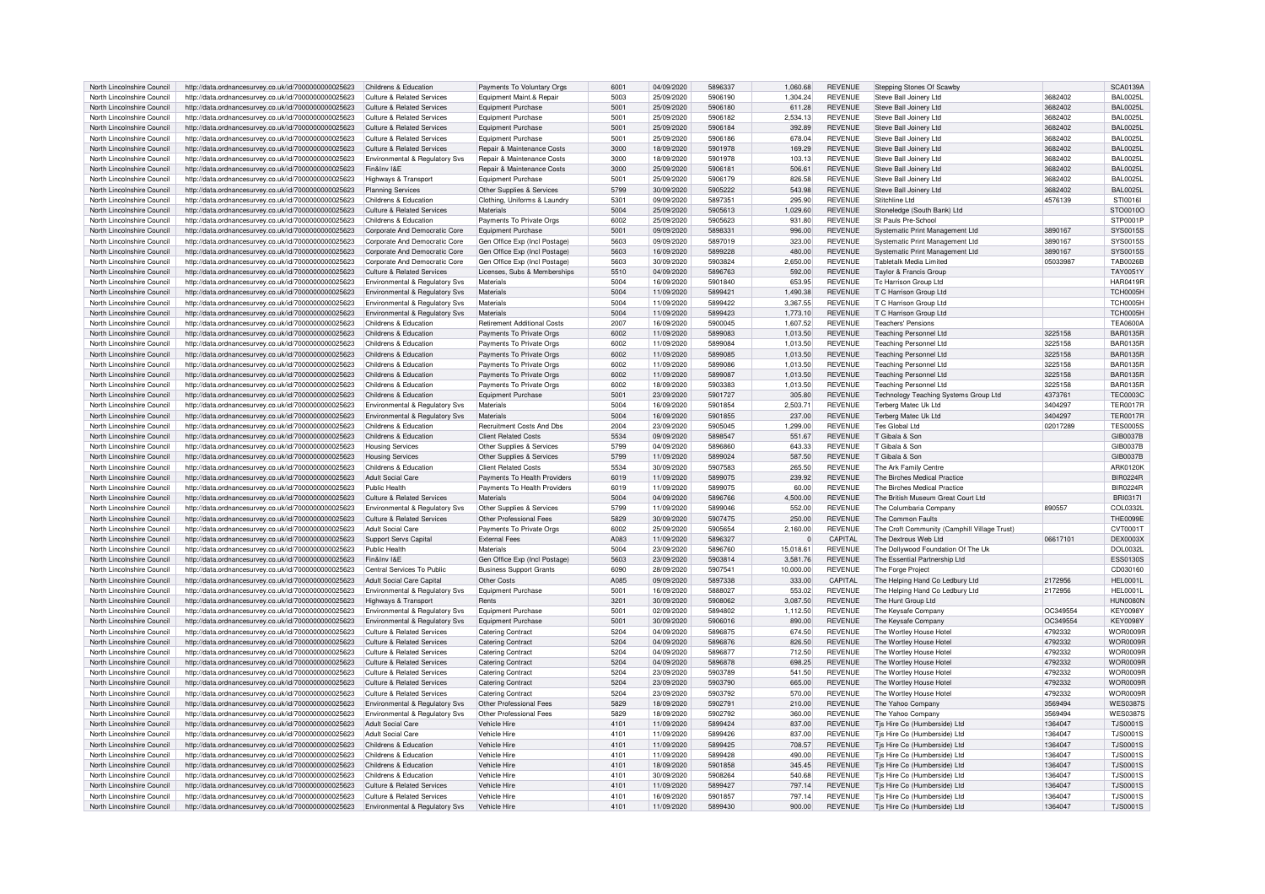| North Lincolnshire Council | http://data.ordnancesurvey.co.uk/id/7000000000025623 | Childrens & Education                      | Payments To Voluntary Orgs         | 6001             | 04/09/2020 | 5896337 | 1,060.68  | <b>REVENUE</b> | Stepping Stones Of Scawby                    |          | <b>SCA0139A</b> |
|----------------------------|------------------------------------------------------|--------------------------------------------|------------------------------------|------------------|------------|---------|-----------|----------------|----------------------------------------------|----------|-----------------|
| North Lincolnshire Council | http://data.ordnancesurvey.co.uk/id/7000000000025623 | Culture & Related Services                 | Equipment Maint.& Repair           | 5003             | 25/09/2020 | 5906190 | 1.304.24  | <b>REVENUE</b> | Steve Ball Joinery Ltd                       | 3682402  | <b>BAL0025L</b> |
| North Lincolnshire Council | http://data.ordnancesurvey.co.uk/id/7000000000025623 | Culture & Related Services                 | <b>Equipment Purchase</b>          | 5001             | 25/09/2020 | 5906180 | 611.28    | REVENUE        | Steve Ball Joinery Ltd                       | 3682402  | <b>BAL0025L</b> |
|                            |                                                      |                                            |                                    | 5001             |            | 5906182 |           | <b>REVENUE</b> |                                              |          |                 |
| North Lincolnshire Council | http://data.ordnancesurvey.co.uk/id/7000000000025623 | <b>Culture &amp; Related Services</b>      | <b>Equipment Purchase</b>          |                  | 25/09/2020 |         | 2,534.13  |                | Steve Ball Joinery Ltd                       | 3682402  | <b>BAL0025L</b> |
| North Lincolnshire Council | http://data.ordnancesurvey.co.uk/id/7000000000025623 | Culture & Related Services                 | Equipment Purchase                 | 5001             | 25/09/2020 | 5906184 | 392.89    | <b>REVENUE</b> | Steve Ball Joinery Ltd                       | 3682402  | <b>BAL0025L</b> |
| North Lincolnshire Council | http://data.ordnancesurvey.co.uk/id/7000000000025623 | Culture & Related Services                 | <b>Equipment Purchase</b>          | 5001             | 25/09/2020 | 5906186 | 678.04    | <b>REVENUE</b> | Steve Ball Joinery Ltd                       | 3682402  | BAI 0025L       |
| North Lincolnshire Council | http://data.ordnancesurvey.co.uk/id/7000000000025623 | <b>Culture &amp; Related Services</b>      | Repair & Maintenance Costs         | 3000             | 18/09/2020 | 5901978 | 169.29    | <b>REVENUE</b> | Steve Ball Joinery Ltd                       | 3682402  | <b>BAL0025L</b> |
| North Lincolnshire Council | http://data.ordnancesurvey.co.uk/id/7000000000025623 | Environmental & Regulatory Svs             | Repair & Maintenance Costs         | 3000             | 18/09/2020 | 5901978 | 103.13    | <b>REVENUE</b> | Steve Ball Joinery Ltd                       | 3682402  | <b>BAL0025L</b> |
| North Lincolnshire Council | http://data.ordnancesurvey.co.uk/id/7000000000025623 | Fin&Inv I&F                                | Repair & Maintenance Costs         | 3000             | 25/09/2020 | 5906181 | 506.61    | <b>REVENUE</b> | Steve Ball Joinery Ltd                       | 3682402  | <b>BAL0025L</b> |
| North Lincolnshire Council | http://data.ordnancesurvey.co.uk/id/7000000000025623 | Highways & Transport                       | Foujoment Purchase                 | 5001             | 25/09/2020 | 5906179 | 826.58    | <b>REVENUE</b> | Steve Ball Joinery Ltd                       | 3682402  | <b>BAL0025L</b> |
| North Lincolnshire Council | http://data.ordnancesurvey.co.uk/id/7000000000025623 | <b>Planning Services</b>                   | Other Supplies & Services          | 5799             | 30/09/2020 | 5905222 | 543.98    | <b>REVENUE</b> | Steve Ball Joinery Ltd                       | 3682402  | <b>BAL0025L</b> |
| North Lincolnshire Council | http://data.ordnancesurvey.co.uk/id/7000000000025623 | Childrens & Education                      | Clothing, Uniforms & Laundry       | 5301             | 09/09/2020 | 5897351 | 295.90    | <b>REVENUE</b> | Stitchline I td                              | 4576139  | STI0016I        |
| North Lincolnshire Council | http://data.ordnancesurvey.co.uk/id/7000000000025623 | <b>Culture &amp; Related Services</b>      | Materials                          | 5004             | 25/09/2020 | 5905613 | 1,029.60  | REVENUE        | Stoneledge (South Bank) Ltd                  |          | STO0010O        |
| North Lincolnshire Council | http://data.ordnancesurvey.co.uk/id/7000000000025623 | Childrens & Education                      | Payments To Private Orgs           | 6002             | 25/09/2020 | 5905623 | 931.80    | REVENUE        | St Pauls Pre-School                          |          | STP0001P        |
|                            |                                                      |                                            |                                    |                  |            | 5898331 |           |                |                                              |          |                 |
| North Lincolnshire Council | http://data.ordnancesurvey.co.uk/id/7000000000025623 | Corporate And Democratic Core              | <b>Equipment Purchase</b>          | 5001             | 09/09/2020 |         | 996.00    | REVENUE        | Systematic Print Management Ltd              | 3890167  | <b>SYS0015S</b> |
| North Lincolnshire Council | http://data.ordnancesurvey.co.uk/id/7000000000025623 | Corporate And Democratic Core              | Gen Office Exp (Incl Postage)      | 5603             | 09/09/2020 | 5897019 | 323.00    | <b>REVENUE</b> | Systematic Print Management Ltd              | 3890167  | SYS0015S        |
| North Lincolnshire Council | http://data.ordnancesurvey.co.uk/id/7000000000025623 | Corporate And Democratic Core              | Gen Office Exp (Incl Postage)      | 5603             | 16/09/2020 | 5899228 | 480.00    | <b>REVENUE</b> | Systematic Print Management Ltd              | 3890167  | SYS0015S        |
| North Lincolnshire Council | http://data.ordnancesurvey.co.uk/id/7000000000025623 | Corporate And Democratic Core              | Gen Office Exp (Incl Postage       | 5603             | 30/09/2020 | 5903824 | 2,650.00  | REVENUE        | Tabletalk Media Limited                      | 0503398  | <b>TAB0026B</b> |
| North Lincolnshire Council | http://data.ordnancesurvey.co.uk/id/7000000000025623 | Culture & Related Services                 | Licenses, Subs & Memberships       | 5510             | 04/09/2020 | 5896763 | 592.00    | REVENUE        | Taylor & Francis Group                       |          | TAY0051Y        |
| North Lincolnshire Council | http://data.ordnancesurvey.co.uk/id/7000000000025623 | Environmental & Regulatory Svs             | Materials                          | 5004             | 16/09/2020 | 5901840 | 653.95    | <b>REVENUE</b> | Tc Harrison Group Ltd                        |          | <b>HAR0419R</b> |
| North Lincolnshire Council | http://data.ordnancesurvey.co.uk/id/7000000000025623 | Environmental & Regulatory Svs             | Materials                          | 5004             | 11/09/2020 | 5899421 | 1.490.38  | <b>REVENUE</b> | T C Harrison Group Ltd                       |          | TCH0005H        |
| North Lincolnshire Council | http://data.ordnancesurvey.co.uk/id/7000000000025623 | Environmental & Regulatory Svs             | Materials                          | 5004             | 11/09/2020 | 5899422 | 3.367.55  | <b>REVENUE</b> | T C Harrison Group Ltd                       |          | TCH0005H        |
| North Lincolnshire Council | http://data.ordnancesurvey.co.uk/id/7000000000025623 | <b>Environmental &amp; Regulatory Svs</b>  | Materials                          | 5004             | 11/09/2020 | 5899423 | 1,773.10  | <b>REVENUE</b> | T C Harrison Group Ltd                       |          | TCH0005H        |
| North Lincolnshire Council | http://data.ordnancesurvey.co.uk/id/7000000000025623 | Childrens & Education                      | <b>Retirement Additional Costs</b> | 2007             | 16/09/2020 | 5900045 | 1,607.52  | <b>REVENUE</b> | <b>Teachers' Pensions</b>                    |          | <b>TEA0600A</b> |
| North Lincolnshire Council | http://data.ordnancesurvey.co.uk/id/7000000000025623 | Childrens & Education                      |                                    | 6002             | 11/09/2020 | 5899083 | 1.013.50  | <b>REVENUE</b> | <b>Teaching Personnel Ltd</b>                | 3225158  | <b>BAR0135R</b> |
|                            |                                                      |                                            | Payments To Private Orgs           |                  |            |         |           |                |                                              |          |                 |
| North Lincolnshire Council | http://data.ordnancesurvey.co.uk/id/7000000000025623 | Childrens & Education                      | Payments To Private Orgs           | 6002             | 11/09/2020 | 5899084 | 1,013.50  | <b>REVENUE</b> | <b>Teaching Personnel Ltd</b>                | 3225158  | BAR0135R        |
| North Lincolnshire Council | http://data.ordnancesurvey.co.uk/id/7000000000025623 | Childrens & Education                      | Payments To Private Orgs           | 6002             | 11/09/2020 | 5899085 | 1,013.50  | <b>REVENUE</b> | <b>Teaching Personnel Ltd</b>                | 3225158  | <b>BAR0135R</b> |
| North Lincolnshire Council | http://data.ordnancesurvey.co.uk/id/7000000000025623 | Childrens & Education                      | Payments To Private Orgs           | 6002             | 11/09/2020 | 5899086 | 1.013.50  | <b>REVENUE</b> | <b>Teaching Personnel Ltd</b>                | 3225158  | <b>BAR0135R</b> |
| North Lincolnshire Council | http://data.ordnancesurvey.co.uk/id/7000000000025623 | Childrens & Education                      | Payments To Private Orgs           | 6002             | 11/09/2020 | 5899087 | 1,013.50  | <b>REVENUE</b> | <b>Teaching Personnel Ltd</b>                | 3225158  | <b>BAR0135R</b> |
| North Lincolnshire Council | http://data.ordnancesurvey.co.uk/id/7000000000025623 | Childrens & Education                      | Payments To Private Orgs           | 6002             | 18/09/2020 | 5903383 | 1.013.50  | <b>REVENUE</b> | <b>Teaching Personnel Ltd</b>                | 3225158  | <b>BAR0135R</b> |
| North Lincolnshire Council | http://data.ordnancesurvey.co.uk/id/7000000000025623 | Childrens & Education                      | <b>Equipment Purchase</b>          | 5001             | 23/09/2020 | 5901727 | 305.80    | <b>REVENUE</b> | Technology Teaching Systems Group Ltd        | 4373761  | <b>TEC0003C</b> |
| North Lincolnshire Council | http://data.ordnancesurvey.co.uk/id/7000000000025623 | Environmental & Regulatory Svs             | Materials                          | 5004             | 16/09/2020 | 5901854 | 2,503.71  | REVENUE        | Terberg Matec Uk I to                        | 3404297  | <b>TER0017R</b> |
| North Lincolnshire Council | http://data.ordnancesurvey.co.uk/id/7000000000025623 | <b>Environmental &amp; Regulatory Svs</b>  | Materials                          | 5004             | 16/09/2020 | 5901855 | 237.00    | <b>REVENUE</b> | <b>Terberg Matec Uk Ltd</b>                  | 3404297  | <b>TER0017R</b> |
| North Lincolnshire Council | http://data.ordnancesurvey.co.uk/id/7000000000025623 | Childrens & Education                      | <b>Recruitment Costs And Dbs</b>   | 2004             | 23/09/2020 | 5905045 | 1.299.00  | REVENUE        | Tes Global Ltd                               | 02017289 | <b>TES0005S</b> |
|                            |                                                      |                                            |                                    | 5534             |            | 5898547 |           |                | T Gihala & Son                               |          |                 |
| North Lincolnshire Council | http://data.ordnancesurvey.co.uk/id/7000000000025623 | Childrens & Education                      | <b>Client Related Costs</b>        |                  | 09/09/2020 |         | 551.67    | REVENUE        |                                              |          | GIB0037B        |
| North Lincolnshire Council | http://data.ordnancesurvey.co.uk/id/7000000000025623 | <b>Housing Services</b>                    | Other Supplies & Services          | 5799             | 04/09/2020 | 5896860 | 643.33    | <b>REVENUE</b> | T Gihala & Son                               |          | GIB0037B        |
| North Lincolnshire Council | http://data.ordnancesurvey.co.uk/id/7000000000025623 | <b>Housing Services</b>                    | Other Supplies & Services          | 5799             | 11/09/2020 | 5899024 | 587.50    | <b>REVENUE</b> | T Gibala & Son                               |          | GIB0037B        |
| North Lincolnshire Council | http://data.ordnancesurvey.co.uk/id/7000000000025623 | Childrens & Education                      | <b>Client Related Costs</b>        | 5534             | 30/09/2020 | 5907583 | 265.50    | REVENUE        | The Ark Family Centre                        |          | <b>ARK0120K</b> |
| North Lincolnshire Council | http://data.ordnancesurvey.co.uk/id/7000000000025623 | Adult Social Care                          | Payments To Health Providers       | 6019             | 11/09/2020 | 5899075 | 239.92    | <b>REVENUE</b> | The Birches Medical Practice                 |          | <b>BIR0224R</b> |
| North Lincolnshire Council | http://data.ordnancesurvey.co.uk/id/7000000000025623 | Public Health                              | Payments To Health Providers       | 6019             | 11/09/2020 | 5899075 | 60.00     | REVENUE        | The Birches Medical Practice                 |          | <b>BIR0224R</b> |
| North Lincolnshire Council | http://data.ordnancesurvey.co.uk/id/7000000000025623 | Culture & Related Services                 | Materials                          | 5004             | 04/09/2020 | 5896766 | 4.500.00  | <b>REVENUE</b> | The British Museum Great Court Ltd           |          | <b>BRI0317I</b> |
| North Lincolnshire Council | http://data.ordnancesurvey.co.uk/id/7000000000025623 | Environmental & Regulatory Sys             | Other Supplies & Services          | 5799             | 11/09/2020 | 5899046 | 552.00    | <b>REVENUE</b> | The Columbaria Compan                        | 890557   | COL0332L        |
| North Lincolnshire Council | http://data.ordnancesurvey.co.uk/id/7000000000025623 | <b>Culture &amp; Related Services</b>      | Other Professional Fees            | 5829             | 30/09/2020 | 5907475 | 250.00    | <b>REVENUE</b> | The Common Faults                            |          | <b>THE0099E</b> |
| North Lincolnshire Council | http://data.ordnancesurvey.co.uk/id/7000000000025623 | <b>Adult Social Care</b>                   | Payments To Private Orgs           | 6002             | 25/09/2020 | 5905654 | 2,160.00  | REVENUE        | The Croft Community (Camphill Village Trust) |          | CVT0001T        |
| North Lincolnshire Council | http://data.ordnancesurvey.co.uk/id/7000000000025623 | Support Servs Capital                      | <b>External Fees</b>               | A083             | 11/09/2020 | 5896327 | $\Omega$  | CAPITAL        | The Dextrous Web Ltd                         | 06617101 | <b>DEX0003X</b> |
| North Lincolnshire Council |                                                      | Public Health                              | Materials                          | 5004             |            | 5896760 | 15 018 61 |                |                                              |          |                 |
|                            | http://data.ordnancesurvey.co.uk/id/7000000000025623 |                                            |                                    |                  | 23/09/2020 |         |           | <b>REVENUE</b> | The Dollywood Foundation Of The Uk           |          | <b>DOL0032L</b> |
| North Lincolnshire Council | http://data.ordnancesurvey.co.uk/id/7000000000025623 | Fin&Inv I&F                                | Gen Office Exp (Incl Postage)      | 5603             | 23/09/2020 | 5903814 | 3,581.76  | <b>REVENUE</b> | The Essential Partnership Ltd                |          | <b>ESS0130S</b> |
| North Lincolnshire Council | http://data.ordnancesurvey.co.uk/id/7000000000025623 | Central Services To Public                 | <b>Business Support Grants</b>     | 6090             | 28/09/2020 | 5907541 | 10,000.00 | <b>REVENUE</b> | The Forge Project                            |          | CD030160        |
| North Lincolnshire Council | http://data.ordnancesurvey.co.uk/id/7000000000025623 | Adult Social Care Capital                  | Other Costs                        | A085             | 09/09/2020 | 5897338 | 333.00    | CAPITAL        | The Helping Hand Co Ledbury Ltd              | 2172956  | <b>HEL0001L</b> |
| North Lincolnshire Council | http://data.ordnancesurvey.co.uk/id/7000000000025623 | Environmental & Regulatory Sys             | Equipment Purchase                 | 5001             | 16/09/2020 | 5888027 | 553.02    | <b>REVENUE</b> | The Helping Hand Co Ledbury Ltd              | 2172956  | HEL0001L        |
| North Lincolnshire Council | http://data.ordnancesurvey.co.uk/id/7000000000025623 | Highways & Transport                       | Rents                              | 3201             | 30/09/2020 | 5908062 | 3,087.50  | <b>REVENUE</b> | The Hunt Group Ltd                           |          | HUN0080N        |
| North Lincolnshire Council | http://data.ordnancesurvey.co.uk/id/7000000000025623 | Environmental & Regulatory Svs             | <b>Equipment Purchase</b>          | 5001             | 02/09/2020 | 5894802 | 1,112.50  | <b>REVENUE</b> | The Keysafe Company                          | OC349554 | <b>KEY0098Y</b> |
| North Lincolnshire Council | http://data.ordnancesurvey.co.uk/id/7000000000025623 | Environmental & Regulatory Svs             | Equipment Purchase                 | 5001             | 30/09/2020 | 5906016 | 890.00    | REVENUE        | The Keysafe Company                          | OC349554 | <b>KEY0098Y</b> |
| North Lincolnshire Council | http://data.ordnancesurvey.co.uk/id/7000000000025623 | Culture & Related Services                 | <b>Catering Contract</b>           | 5204             | 04/09/2020 | 5896875 | 674.50    | REVENUE        | The Wortley House Hote                       | 4792332  | WOR0009F        |
| North Lincolnshire Council | http://data.ordnancesurvey.co.uk/id/7000000000025623 | <b>Culture &amp; Related Services</b>      | <b>Catering Contract</b>           | 5204             | 04/09/2020 | 5896876 | 826.50    | REVENUE        | The Wortley House Hotel                      | 4792332  | WOR0009F        |
| North Lincolnshire Council |                                                      | Culture & Related Services                 | Catering Contract                  | 5204             | 04/09/2020 | 5896877 | 712.50    | <b>REVENUE</b> | The Wortley House Hote                       | 4792332  | WOR0009F        |
|                            | http://data.ordnancesurvey.co.uk/id/7000000000025623 |                                            |                                    |                  |            |         |           |                |                                              |          |                 |
| North Lincolnshire Council | http://data.ordnancesurvey.co.uk/id/7000000000025623 | Culture & Related Services                 | <b>Catering Contract</b>           | 5204             | 04/09/2020 | 5896878 | 698.25    | <b>REVENUE</b> | The Wortley House Hotel                      | 4792332  | WOR0009F        |
| North Lincolnshire Council | http://data.ordnancesurvey.co.uk/id/7000000000025623 | Culture & Related Services                 | <b>Catering Contract</b>           | 5204             | 23/09/2020 | 5903789 | 541.50    | <b>REVENUE</b> | The Wortley House Hotel                      | 4792332  | WOR0009F        |
| North Lincolnshire Council | http://data.ordnancesurvey.co.uk/id/7000000000025623 | Culture & Related Services                 | <b>Catering Contract</b>           | 5204             | 23/09/2020 | 5903790 | 665.00    | <b>REVENUE</b> | The Wortley House Hotel                      | 4792332  | WOR0009F        |
| North Lincolnshire Council | http://data.ordnancesurvey.co.uk/id/7000000000025623 | Culture & Related Services                 | <b>Catering Contract</b>           | 5204             | 23/09/2020 | 5903792 | 570.00    | REVENUE        | The Wortley House Hotel                      | 4792332  | WOR0009F        |
| North Lincolnshire Council | http://data.ordnancesurvey.co.uk/id/7000000000025623 | Environmental & Regulatory Svs             | Other Professional Fees            | 5829             | 18/09/2020 | 5902791 | 210.00    | <b>REVENUE</b> | The Yahoo Company                            | 3569494  | WES0387S        |
| North Lincolnshire Council | http://data.ordnancesurvey.co.uk/id/7000000000025623 | Environmental & Regulatory Sys             | Other Professional Fees            | 5829             | 18/09/2020 | 5902792 | 360.00    | <b>REVENUE</b> | The Yahoo Company                            | 3569494  | <b>WES0387S</b> |
| North Lincolnshire Council | http://data.ordnancesurvey.co.uk/id/7000000000025623 | Adult Social Care                          | Vehicle Hire                       | $410^{-1}$       | 11/09/2020 | 5899424 | 837.00    | <b>REVENUE</b> | Tjs Hire Co (Humberside) Ltd                 | 1364047  | T.IS0001S       |
| North Lincolnshire Council | http://data.ordnancesurvey.co.uk/id/7000000000025623 | Adult Social Care                          | Vehicle Hire                       | 4101             | 11/09/2020 | 5899426 | 837.00    | <b>REVENUE</b> | Tis Hire Co (Humberside) Ltd                 | 1364047  | <b>TJS0001S</b> |
| North Lincolnshire Council | http://data.ordnancesurvey.co.uk/id/7000000000025623 | Childrens & Education                      | Vehicle Hire                       | 4101             | 11/09/2020 | 5899425 | 708.57    | <b>REVENUE</b> | Tis Hire Co (Humberside) Ltd                 | 1364047  | <b>TJS0001S</b> |
| North Lincolnshire Council | http://data.ordnancesurvey.co.uk/id/7000000000025623 | Childrens & Education                      | Vehicle Hire                       | $410^{-1}$       | 11/09/2020 | 5899428 | 490.00    | <b>REVENUE</b> | Tjs Hire Co (Humberside) Ltd                 | 1364047  | <b>TJS0001S</b> |
|                            |                                                      |                                            |                                    |                  |            | 5901858 |           |                |                                              |          |                 |
| North Lincolnshire Council | http://data.ordnancesurvey.co.uk/id/7000000000025623 | Childrens & Education                      | Vehicle Hire                       | 410 <sup>1</sup> | 18/09/2020 |         | 345.45    | <b>REVENUE</b> | Tis Hire Co (Humberside) Ltd                 | 1364047  | <b>TJS0001S</b> |
| North Lincolnshire Council | http://data.ordnancesurvey.co.uk/id/7000000000025623 | Childrens & Education                      | Vehicle Hire                       | 410              | 30/09/2020 | 5908264 | 540.68    | <b>REVENUE</b> | Tjs Hire Co (Humberside) Ltd                 | 1364047  | <b>TJS0001S</b> |
| North Lincolnshire Council | http://data.ordnancesurvey.co.uk/id/7000000000025623 | Culture & Related Services                 | Vehicle Hire                       | 410 <sup>1</sup> | 11/09/2020 | 5899427 | 797.14    | <b>REVENUE</b> | Tis Hire Co (Humberside) Ltd                 | 1364047  | T.IS0001S       |
| North Lincolnshire Council | http://data.ordnancesurvey.co.uk/id/7000000000025623 | Culture & Related Services                 | Vehicle Hire                       | 410 <sup>1</sup> | 16/09/2020 | 5901857 | 797.14    | <b>REVENUE</b> | Tis Hire Co (Humberside) Ltd                 | 1364047  | <b>TJS0001S</b> |
| North Lincolnshire Council | http://data.ordnancesurvey.co.uk/id/7000000000025623 | <b>Environmental &amp; Requlatory Sys.</b> | Vehicle Hire                       | 4101             | 11/09/2020 | 5899430 | 900.00    | <b>REVENUE</b> | Tis Hire Co (Humberside) I td                | 1364047  | <b>TJS0001S</b> |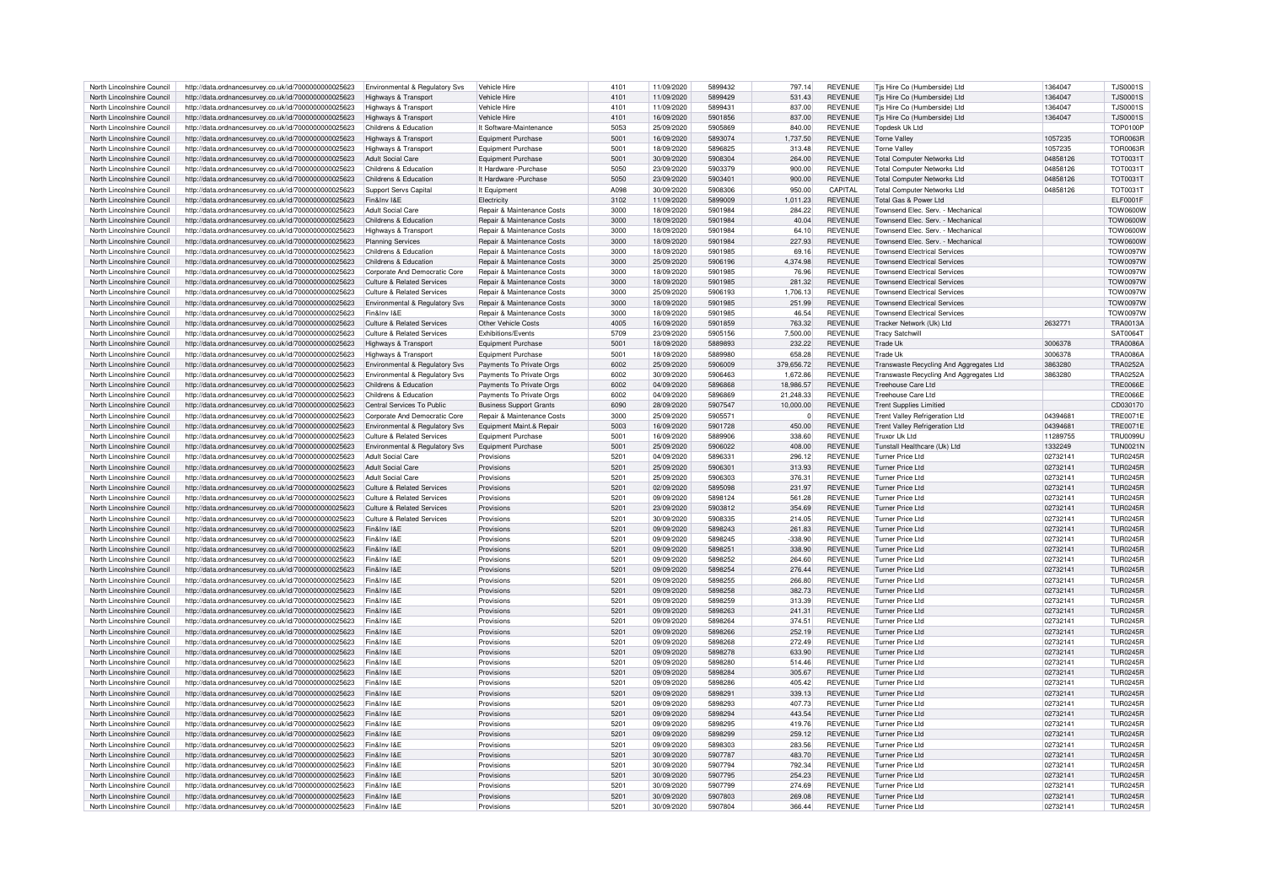| North Lincolnshire Council | http://data.ordnancesurvey.co.uk/id/7000000000025623 | Environmental & Regulatory Svs            | Vehicle Hire                          | 4101 | 11/09/2020 | 5899432 | 797.14         | <b>REVENUE</b> | Tis Hire Co (Humberside) Ltd            | 1364047  | T.IS0001S       |
|----------------------------|------------------------------------------------------|-------------------------------------------|---------------------------------------|------|------------|---------|----------------|----------------|-----------------------------------------|----------|-----------------|
| North Lincolnshire Council | http://data.ordnancesurvey.co.uk/id/7000000000025623 | Highways & Transport                      | Vehicle Hire                          | 4101 | 11/09/2020 | 5899429 | 531.43         | <b>REVENUE</b> | Tjs Hire Co (Humberside) Ltd            | 1364047  | <b>TJS0001S</b> |
| North Lincolnshire Council | http://data.ordnancesurvey.co.uk/id/7000000000025623 | Highways & Transport                      | Vehicle Hire                          | 4101 | 11/09/2020 | 589943  | 837.00         | <b>REVENUE</b> | Tjs Hire Co (Humberside) Ltd            | 1364047  | T.IS0001S       |
| North Lincolnshire Council | http://data.ordnancesurvey.co.uk/id/7000000000025623 | Highways & Transport                      | Vehicle Hire                          | 4101 | 16/09/2020 | 5901856 | 837.00         | <b>REVENUE</b> | Tjs Hire Co (Humberside) Ltd            | 1364047  | <b>TJS0001S</b> |
| North Lincolnshire Council | http://data.ordnancesurvey.co.uk/id/7000000000025623 | Childrens & Education                     | It Software-Maintenance               | 5053 | 25/09/2020 | 5905869 | 840.00         | <b>REVENUE</b> | Tondesk Uk Ltd                          |          | <b>TOP0100P</b> |
|                            |                                                      |                                           |                                       |      |            | 5893074 |                |                |                                         |          |                 |
| North Lincolnshire Council | http://data.ordnancesurvey.co.uk/id/7000000000025623 | Highways & Transport                      | <b>Equipment Purchase</b>             | 5001 | 16/09/2020 |         | 1,737.50       | <b>REVENUE</b> | <b>Torne Valley</b>                     | 1057235  | <b>TOR0063R</b> |
| North Lincolnshire Council | http://data.ordnancesurvey.co.uk/id/7000000000025623 | Highways & Transport                      | <b>Equipment Purchase</b>             | 5001 | 18/09/2020 | 5896825 | 313.48         | <b>REVENUE</b> | <b>Torne Valley</b>                     | 1057235  | <b>TOR0063R</b> |
| North Lincolnshire Council | http://data.ordnancesurvey.co.uk/id/7000000000025623 | Adult Social Care                         | <b>Equipment Purchase</b>             | 5001 | 30/09/2020 | 5908304 | 264.00         | <b>REVENUE</b> | <b>Total Computer Networks Ltd</b>      | 04858126 | <b>TOT0031T</b> |
| North Lincolnshire Council | http://data.ordnancesurvey.co.uk/id/7000000000025623 | Childrens & Education                     | It Hardware - Purchase                | 5050 | 23/09/2020 | 5903379 | 900.00         | <b>REVENUE</b> | <b>Total Computer Networks Ltd</b>      | 04858126 | <b>TOT0031T</b> |
| North Lincolnshire Council | http://data.ordnancesurvey.co.uk/id/7000000000025623 | Childrens & Education                     | It Hardware - Purchase                | 5050 | 23/09/2020 | 5903401 | 900.00         | <b>REVENUE</b> | <b>Total Computer Networks Ltd</b>      | 04858126 | <b>TOT0031T</b> |
| North Lincolnshire Council | http://data.ordnancesurvey.co.uk/id/7000000000025623 | Support Servs Capital                     | It Equipment                          | A098 | 30/09/2020 | 5908306 | 950.00         | CAPITAI        | <b>Total Computer Networks Ltd</b>      | 04858126 | TOT0031T        |
| North Lincolnshire Council | http://data.ordnancesurvey.co.uk/id/7000000000025623 | Fin&Inv I&F                               | Flectricity                           | 3102 | 11/09/2020 | 5899009 | 1,011.23       | <b>REVENUE</b> | Total Gas & Power Ltd                   |          | FI F0001F       |
| North Lincolnshire Council | http://data.ordnancesurvey.co.uk/id/7000000000025623 | Adult Social Care                         | Repair & Maintenance Costs            | 3000 | 18/09/2020 | 5901984 | 284.22         | REVENUE        | Townsend Elec. Serv. - Mechanical       |          | <b>TOW0600W</b> |
| North Lincolnshire Council | http://data.ordnancesurvey.co.uk/id/7000000000025623 | Childrens & Education                     | <b>Benair &amp; Maintenance Costs</b> | 3000 | 18/09/2020 | 5901984 | 40.04          | REVENUE        | Townsend Flec. Serv. - Mechanica        |          | <b>TOW0600W</b> |
| North Lincolnshire Council | http://data.ordnancesurvey.co.uk/id/7000000000025623 | Highways & Transport                      | Repair & Maintenance Costs            | 3000 | 18/09/2020 | 5901984 | 64.10          | <b>REVENUE</b> | Townsend Elec. Serv. - Mechanical       |          | <b>TOW0600W</b> |
| North Lincolnshire Council | http://data.ordnancesurvey.co.uk/id/7000000000025623 | <b>Planning Services</b>                  | Repair & Maintenance Costs            | 3000 | 18/09/2020 | 5901984 | 227.93         | <b>REVENUE</b> | Townsend Elec. Serv. - Mechanical       |          | <b>TOW0600W</b> |
| North Lincolnshire Council | http://data.ordnancesurvey.co.uk/id/7000000000025623 | Childrens & Education                     | Repair & Maintenance Costs            | 3000 | 18/09/2020 | 5901985 | 69.16          | <b>REVENUE</b> | <b>Townsend Flectrical Services</b>     |          | <b>TOW0097W</b> |
| North Lincolnshire Council | http://data.ordnancesurvey.co.uk/id/7000000000025623 | Childrens & Education                     | Repair & Maintenance Costs            | 3000 | 25/09/2020 | 5906196 | 4,374.98       | <b>REVENUE</b> | <b>Townsend Electrical Services</b>     |          | <b>TOW0097W</b> |
|                            |                                                      |                                           |                                       |      |            |         |                |                |                                         |          |                 |
| North Lincolnshire Council | http://data.ordnancesurvey.co.uk/id/7000000000025623 | Corporate And Democratic Core             | Repair & Maintenance Costs            | 3000 | 18/09/2020 | 5901985 | 76.96          | <b>REVENUE</b> | <b>Townsend Electrical Services</b>     |          | <b>TOW0097W</b> |
| North Lincolnshire Council | http://data.ordnancesurvey.co.uk/id/7000000000025623 | Culture & Related Services                | Repair & Maintenance Costs            | 3000 | 18/09/2020 | 5901985 | 281.32         | <b>REVENUE</b> | <b>Townsend Electrical Services</b>     |          | <b>TOW0097W</b> |
| North Lincolnshire Council | http://data.ordnancesurvey.co.uk/id/7000000000025623 | Culture & Related Services                | Repair & Maintenance Costs            | 3000 | 25/09/2020 | 5906193 | 1,706.13       | <b>REVENUE</b> | <b>Townsend Electrical Services</b>     |          | <b>TOW0097W</b> |
| North Lincolnshire Council | http://data.ordnancesurvey.co.uk/id/7000000000025623 | <b>Environmental &amp; Regulatory Sys</b> | Repair & Maintenance Costs            | 3000 | 18/09/2020 | 5901985 | 251.99         | <b>REVENUE</b> | <b>Townsend Electrical Services</b>     |          | <b>TOW0097W</b> |
| North Lincolnshire Council | http://data.ordnancesurvey.co.uk/id/7000000000025623 | Fin&Inv I&F                               | Repair & Maintenance Costs            | 3000 | 18/09/2020 | 5901985 | 46.54          | <b>REVENUE</b> | <b>Townsend Electrical Services</b>     |          | <b>TOW0097W</b> |
| North Lincolnshire Council | http://data.ordnancesurvey.co.uk/id/7000000000025623 | <b>Culture &amp; Related Services</b>     | Other Vehicle Costs                   | 4005 | 16/09/2020 | 5901859 | 763.32         | <b>REVENUE</b> | Tracker Network (Uk) I td               | 263277   | TRA0013A        |
| North Lincolnshire Council | http://data.ordnancesurvey.co.uk/id/7000000000025623 | <b>Culture &amp; Related Services</b>     | Exhibitions/Events                    | 5709 | 23/09/2020 | 5905156 | 7.500.00       | <b>REVENUE</b> | <b>Tracv Satchwill</b>                  |          | SAT0064T        |
| North Lincolnshire Council | http://data.ordnancesurvey.co.uk/id/7000000000025623 | Highways & Transport                      | <b>Equipment Purchase</b>             | 5001 | 18/09/2020 | 5889893 | 232.22         | <b>REVENUE</b> | Trade Uk                                | 3006378  | <b>TRA0086A</b> |
| North Lincolnshire Council | http://data.ordnancesurvey.co.uk/id/7000000000025623 | Highways & Transport                      | <b>Equipment Purchase</b>             | 5001 | 18/09/2020 | 5889980 | 658.28         | <b>REVENUE</b> | Trade U                                 | 3006378  | <b>TRA0086A</b> |
| North Lincolnshire Council | http://data.ordnancesurvey.co.uk/id/7000000000025623 | Environmental & Regulatory Svs            | Payments To Private Orgs              | 6002 | 25/09/2020 | 5906009 | 379,656.72     | <b>REVENUE</b> | Transwaste Recycling And Aggregates Ltd | 3863280  | <b>TRA0252A</b> |
| North Lincolnshire Council | http://data.ordnancesurvey.co.uk/id/7000000000025623 | Environmental & Regulatory Svs            | Payments To Private Orgs              | 6002 | 30/09/2020 | 5906463 | 1,672.86       | <b>REVENUE</b> | Transwaste Recycling And Aggregates Ltd | 3863280  | <b>TRA0252A</b> |
| North Lincolnshire Council | http://data.ordnancesurvey.co.uk/id/7000000000025623 | Childrens & Education                     | Payments To Private Orgs              | 6002 | 04/09/2020 | 5896868 | 18,986.57      | <b>REVENUE</b> | Treehouse Care Ltd                      |          | <b>TRE0066E</b> |
| North Lincolnshire Council | http://data.ordnancesurvey.co.uk/id/7000000000025623 | Childrens & Education                     |                                       | 6002 | 04/09/2020 | 5896869 | 21.248.33      | <b>REVENUE</b> | Treehouse Care Ltd                      |          | <b>TRE0066E</b> |
|                            |                                                      |                                           | Payments To Private Orgs              |      |            |         |                |                |                                         |          |                 |
| North Lincolnshire Council | http://data.ordnancesurvey.co.uk/id/7000000000025623 | Central Services To Public                | <b>Business Support Grants</b>        | 6090 | 28/09/2020 | 5907547 | 10,000.00      | <b>REVENUE</b> | <b>Trent Supplies Limitied</b>          |          | CD030170        |
| North Lincolnshire Council | http://data.ordnancesurvey.co.uk/id/7000000000025623 | Corporate And Democratic Core             | Repair & Maintenance Costs            | 3000 | 25/09/2020 | 590557  | $\overline{0}$ | <b>REVENUE</b> | Trent Valley Refrigeration Ltd          | 0439468  | <b>TRE0071E</b> |
| North Lincolnshire Council | http://data.ordnancesurvey.co.uk/id/7000000000025623 | Environmental & Regulatory Svs            | Equipment Maint.& Repai               | 5003 | 16/09/2020 | 5901728 | 450.00         | <b>REVENUE</b> | Trent Valley Refrigeration Ltd          | 04394681 | <b>TRE0071E</b> |
| North Lincolnshire Council | http://data.ordnancesurvey.co.uk/id/7000000000025623 | Culture & Related Services                | <b>Equipment Purchase</b>             | 5001 | 16/09/2020 | 5889906 | 338.60         | <b>REVENUE</b> | Truxor Uk I td                          | 11289755 | <b>TRU0099U</b> |
| North Lincolnshire Council | http://data.ordnancesurvey.co.uk/id/7000000000025623 | Environmental & Regulatory Svs            | Equipment Purchase                    | 5001 | 25/09/2020 | 5906022 | 408.00         | <b>REVENUE</b> | Tunstall Healthcare (Uk) Ltd            | 1332249  | <b>TUN0021N</b> |
| North Lincolnshire Council | http://data.ordnancesurvey.co.uk/id/7000000000025623 | Adult Social Care                         | Provisions                            | 5201 | 04/09/2020 | 5896331 | 296.12         | <b>REVENUE</b> | Turner Price I to                       | 0273214  | <b>TUR0245R</b> |
| North Lincolnshire Council | http://data.ordnancesurvey.co.uk/id/7000000000025623 | Adult Social Care                         | Provisions                            | 5201 | 25/09/2020 | 5906301 | 313.93         | <b>REVENUE</b> | Turner Price I to                       | 02732141 | <b>TUR0245R</b> |
| North Lincolnshire Council | http://data.ordnancesurvey.co.uk/id/7000000000025623 | Adult Social Care                         | Provisions                            | 520  | 25/09/2020 | 5906303 | 376.31         | <b>REVENUE</b> | Turner Price Ltd                        | 0273214  | <b>TUR0245R</b> |
| North Lincolnshire Council | http://data.ordnancesurvey.co.uk/id/7000000000025623 | Culture & Related Services                | Provisions                            | 5201 | 02/09/2020 | 5895098 | 231.97         | <b>REVENUE</b> | <b>Turner Price Ltd</b>                 | 02732141 | <b>TUR0245R</b> |
| North Lincolnshire Council | http://data.ordnancesurvey.co.uk/id/7000000000025623 | Culture & Related Services                | Provisions                            | 5201 | 09/09/2020 | 5898124 | 561.28         | <b>REVENUE</b> | Turner Price I to                       | 02732141 | TUR0245R        |
| North Lincolnshire Council | http://data.ordnancesurvey.co.uk/id/7000000000025623 | Culture & Related Services                | Provisions                            | 5201 | 23/09/2020 | 5903812 | 354.69         | <b>REVENUE</b> | Turner Price I td                       | 02732141 | <b>TUR0245R</b> |
| North Lincolnshire Council |                                                      | Culture & Related Services                | Provisions                            | 5201 |            | 5908335 |                | <b>REVENUE</b> | <b>Turner Price Ltd</b>                 |          | <b>TUR0245R</b> |
|                            | http://data.ordnancesurvey.co.uk/id/7000000000025623 |                                           |                                       |      | 30/09/2020 |         | 214.05         |                |                                         | 02732141 |                 |
| North Lincolnshire Council | http://data.ordnancesurvey.co.uk/id/7000000000025623 | Fin&Inv I&F                               | Provisions                            | 5201 | 09/09/2020 | 5898243 | 261.83         | <b>REVENUE</b> | Turner Price I td                       | 02732141 | TUR0245F        |
| North Lincolnshire Council | http://data.ordnancesurvey.co.uk/id/7000000000025623 | Fin&Inv I&F                               | Provisions                            | 5201 | 09/09/2020 | 5898245 | 338.90         | <b>REVENUE</b> | Turner Price I to                       | 02732141 | <b>TUR0245R</b> |
| North Lincolnshire Council | http://data.ordnancesurvey.co.uk/id/7000000000025623 | Fin&Inv I&E                               | Provisions                            | 5201 | 09/09/2020 | 5898251 | 338.90         | <b>REVENUE</b> | <b>Turner Price Ltd</b>                 | 02732141 | <b>TUR0245R</b> |
| North Lincolnshire Council | http://data.ordnancesurvey.co.uk/id/7000000000025623 | Fin&Inv I&F                               | Provisions                            | 5201 | 09/09/2020 | 5898252 | 264.60         | <b>REVENUE</b> | Turner Price I to                       | 02732141 | <b>TUR0245R</b> |
| North Lincolnshire Council | http://data.ordnancesurvey.co.uk/id/7000000000025623 | Fin&Inv I&E                               | Provisions                            | 5201 | 09/09/2020 | 5898254 | 276.44         | <b>REVENUE</b> | <b>Turner Price Ltd</b>                 | 02732141 | <b>TUR0245R</b> |
| North Lincolnshire Council | http://data.ordnancesurvey.co.uk/id/7000000000025623 | Fin&Inv I&E                               | Provisions                            | 520  | 09/09/2020 | 5898255 | 266,80         | <b>REVENUE</b> | Turner Price Ltd                        | 02732141 | <b>TUR0245R</b> |
| North Lincolnshire Council | http://data.ordnancesurvey.co.uk/id/7000000000025623 | Fin&Inv I&F                               | Provisions                            | 5201 | 09/09/2020 | 5898258 | 382.73         | <b>REVENUE</b> | Turner Price I to                       | 02732141 | <b>TUR0245R</b> |
| North Lincolnshire Council | http://data.ordnancesurvey.co.uk/id/7000000000025623 | Fin&Inv I&E                               | Provisions                            | 5201 | 09/09/2020 | 5898259 | 313.39         | <b>REVENUE</b> | Turner Price Ltd                        | 02732141 | <b>TUR0245R</b> |
| North Lincolnshire Council | http://data.ordnancesurvey.co.uk/id/7000000000025623 | Fin&Inv I&F                               | Provisions                            | 5201 | 09/09/2020 | 5898263 | 241.31         | <b>REVENUE</b> | Turner Price I to                       | 02732141 | <b>TUR0245R</b> |
| North Lincolnshire Council | http://data.ordnancesurvey.co.uk/id/7000000000025623 | Fin&Inv I&F                               | Provisions                            | 5201 | 09/09/2020 | 5898264 | 374.51         | <b>REVENUE</b> | Turner Price I to                       | 02732141 | <b>TUR0245R</b> |
| North Lincolnshire Council | http://data.ordnancesurvey.co.uk/id/7000000000025623 | Fin&Inv I&E                               | Provisions                            | 5201 | 09/09/2020 | 5898266 | 252.19         | <b>REVENUE</b> | <b>Turner Price Ltd</b>                 | 02732141 | <b>TUR0245R</b> |
| North Lincolnshire Council | http://data.ordnancesurvey.co.uk/id/7000000000025623 | Fin&Inv I&F                               | Provisions                            | 520  | 09/09/2020 | 5898268 | 272.49         | <b>REVENUE</b> | <b>Turner Price Ltd</b>                 | 02732141 | TUR0245F        |
| North Lincolnshire Council | http://data.ordnancesurvey.co.uk/id/7000000000025623 | Fin&Inv I&E                               | Provisions                            | 5201 | 09/09/2020 | 5898278 | 633.90         | <b>REVENUE</b> | <b>Turner Price Ltd</b>                 | 02732141 | <b>TUR0245R</b> |
| North Lincolnshire Council |                                                      | Fin&Inv I&F                               | Provisions                            | 5201 | 09/09/2020 | 5898280 | 514.46         | <b>REVENUE</b> | Turner Price Ltd                        | 02732141 | <b>TUR0245R</b> |
|                            | http://data.ordnancesurvey.co.uk/id/7000000000025623 |                                           |                                       |      |            |         |                |                |                                         |          |                 |
| North Lincolnshire Council | http://data.ordnancesurvey.co.uk/id/7000000000025623 | Fin&Inv I&F                               | Provisions                            | 5201 | 09/09/2020 | 5898284 | 305.67         | <b>REVENUE</b> | <b>Turner Price Ltd</b>                 | 02732141 | <b>TUR0245R</b> |
| North Lincolnshire Council | http://data.ordnancesurvey.co.uk/id/7000000000025623 | Fin&Inv I&F                               | Provisions                            | 5201 | 09/09/2020 | 5898286 | 405.42         | <b>REVENUE</b> | Turner Price Ltd                        | 02732141 | <b>TUR0245R</b> |
| North Lincolnshire Council | http://data.ordnancesurvey.co.uk/id/7000000000025623 | Fin&Inv I&E                               | Provisions                            | 5201 | 09/09/2020 | 5898291 | 339.13         | <b>REVENUE</b> | <b>Turner Price Ltd</b>                 | 0273214  | <b>TUR0245R</b> |
| North Lincolnshire Council | http://data.ordnancesurvey.co.uk/id/7000000000025623 | Fin&Inv I&E                               | Provisions                            | 5201 | 09/09/2020 | 5898293 | 407.73         | <b>REVENUE</b> | <b>Turner Price Ltd</b>                 | 02732141 | <b>TUR0245R</b> |
| North Lincolnshire Council | http://data.ordnancesurvey.co.uk/id/7000000000025623 | Fin&Inv I&F                               | Provisions                            | 5201 | 09/09/2020 | 5898294 | 443.54         | <b>REVENUE</b> | Turner Price Ltd                        | 02732141 | <b>TUR0245R</b> |
| North Lincolnshire Council | http://data.ordnancesurvey.co.uk/id/7000000000025623 | Fin&Inv I&F                               | Provisions                            | 5201 | 09/09/2020 | 5898295 | 419.76         | <b>REVENUE</b> | Turner Price Ltd                        | 02732141 | <b>TUR0245R</b> |
| North Lincolnshire Council | http://data.ordnancesurvey.co.uk/id/7000000000025623 | Fin&Inv I&E                               | Provisions                            | 5201 | 09/09/2020 | 5898299 | 259.12         | <b>REVENUE</b> | <b>Turner Price Ltd</b>                 | 02732141 | <b>TUR0245R</b> |
| North Lincolnshire Council | http://data.ordnancesurvey.co.uk/id/7000000000025623 | Fin&Inv I&F                               | Provisions                            | 5201 | 09/09/2020 | 5898303 | 283.56         | <b>REVENUE</b> | Turner Price I to                       | 02732141 | <b>TUR0245R</b> |
| North Lincolnshire Council | http://data.ordnancesurvey.co.uk/id/7000000000025623 | Fin&Inv I&F                               | Provisions                            | 5201 | 30/09/2020 | 5907787 | 483.70         | <b>REVENUE</b> | <b>Turner Price Ltd</b>                 | 02732141 | <b>TUR0245R</b> |
| North Lincolnshire Council | http://data.ordnancesurvey.co.uk/id/7000000000025623 | Fin&Inv I&E                               | Provisions                            | 5201 | 30/09/2020 | 5907794 | 792.34         | <b>REVENUE</b> | <b>Turner Price Ltd</b>                 | 02732141 | <b>TUR0245R</b> |
| North Lincolnshire Council | http://data.ordnancesurvey.co.uk/id/7000000000025623 | Fin&Inv I&F                               | Provisions                            | 5201 | 30/09/2020 | 5907795 | 254.23         | <b>REVENUE</b> | <b>Turner Price Ltd</b>                 | 02732141 | <b>TUR0245R</b> |
| North Lincolnshire Council | http://data.ordnancesurvey.co.uk/id/7000000000025623 | Fin&Inv I&F                               | Provisions                            | 5201 | 30/09/2020 | 5907799 | 274.69         | <b>REVENUE</b> | <b>Turner Price Ltd</b>                 | 02732141 | <b>TUR0245R</b> |
| North Lincolnshire Council | http://data.ordnancesurvey.co.uk/id/7000000000025623 | Fin&Inv I&F                               | Provisions                            | 5201 | 30/09/2020 | 5907803 | 269.08         | <b>REVENUE</b> | <b>Turner Price Ltd</b>                 | 02732141 | <b>TUR0245R</b> |
| North Lincolnshire Council |                                                      | Fin&Inv I&F                               | Provisions                            | 5201 |            | 5907804 | 366.44         |                | Turner Price I to                       |          |                 |
|                            | http://data.ordnancesurvey.co.uk/id/7000000000025623 |                                           |                                       |      | 30/09/2020 |         |                | <b>REVENUE</b> |                                         | 02732141 | <b>TUR0245R</b> |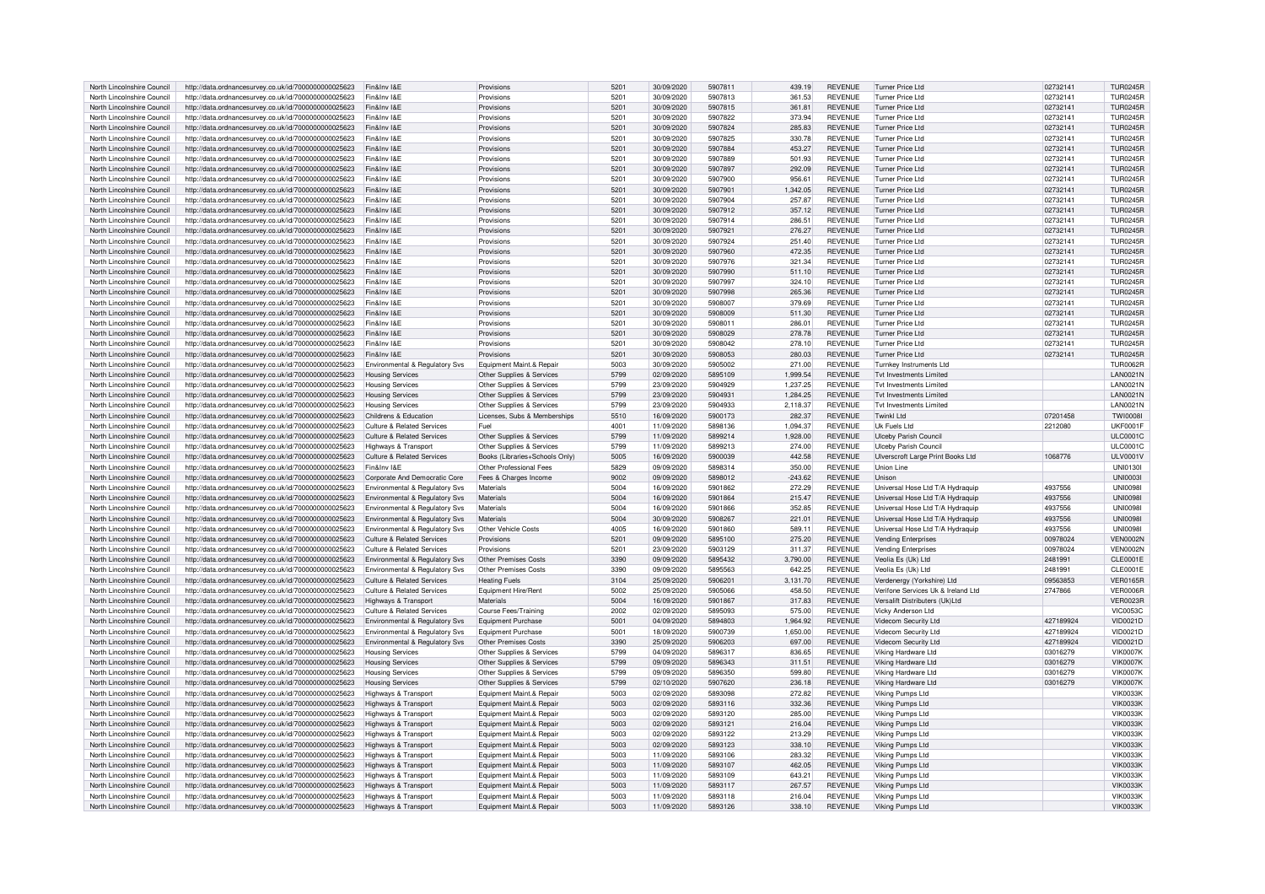| North Lincolnshire Council                               | http://data.ordnancesurvey.co.uk/id/7000000000025623                                                         | Fin&Inv I&E                                  | Provisions                                           | 5201             | 30/09/2020               | 5907811 | 439.19           | <b>REVENUE</b>                   | Turner Price Ltd                     | 02732141  | <b>TUR0245R</b>                    |
|----------------------------------------------------------|--------------------------------------------------------------------------------------------------------------|----------------------------------------------|------------------------------------------------------|------------------|--------------------------|---------|------------------|----------------------------------|--------------------------------------|-----------|------------------------------------|
| North Lincolnshire Council                               | http://data.ordnancesurvey.co.uk/id/7000000000025623                                                         | Fin&Inv I&F                                  | Provisions                                           | 5201             | 30/09/2020               | 5907813 | 361.53           | <b>REVENUE</b>                   | Turner Price I to                    | 0273214   | <b>TUR0245R</b>                    |
| North Lincolnshire Council                               |                                                                                                              | Fin&Inv I&F                                  | Provisions                                           | 5201             | 30/09/2020               | 5907815 |                  | <b>REVENUE</b>                   | Turner Price I td                    | 02732141  | <b>TUR0245R</b>                    |
|                                                          | http://data.ordnancesurvey.co.uk/id/7000000000025623                                                         |                                              |                                                      |                  |                          |         | 361.81           |                                  |                                      |           |                                    |
| North Lincolnshire Council                               | http://data.ordnancesurvey.co.uk/id/7000000000025623                                                         | Fin&Inv I&F                                  | Provisions                                           | 5201             | 30/09/2020               | 5907822 | 373.94           | <b>REVENUE</b>                   | Turner Price I to                    | 02732141  | <b>TUR0245R</b>                    |
| North Lincolnshire Council                               | http://data.ordnancesurvey.co.uk/id/7000000000025623                                                         | Fin&Inv I&F                                  | Provisions                                           | 5201             | 30/09/2020               | 5907824 | 285.83           | <b>REVENUE</b>                   | Turner Price I td                    | 02732141  | <b>TUR0245R</b>                    |
| North Lincolnshire Council                               | http://data.ordnancesurvey.co.uk/id/7000000000025623                                                         | Fin&Inv I&E                                  | Provisions                                           | 5201             | 30/09/2020               | 5907825 | 330.78           | <b>REVENUE</b>                   | Turner Price Ltd                     | 02732141  | <b>TUR0245R</b>                    |
| North Lincolnshire Council                               | http://data.ordnancesurvey.co.uk/id/7000000000025623                                                         | Fin&Inv I&F                                  | Provisions                                           | 5201             | 30/09/2020               | 5907884 | 453.27           | <b>REVENUE</b>                   | <b>Turner Price Ltd</b>              | 02732141  | <b>TUR0245R</b>                    |
| North Lincolnshire Council                               | http://data.ordnancesurvey.co.uk/id/7000000000025623                                                         | Fin&Inv I&E                                  | Provisions                                           | 5201             | 30/09/2020               | 5907889 | 501.93           | <b>REVENUE</b>                   | Turner Price I to                    | 02732141  | <b>TUR0245R</b>                    |
| North Lincolnshire Council                               | http://data.ordnancesurvey.co.uk/id/7000000000025623                                                         | Fin&Inv I&E                                  | Provisions                                           | 5201             | 30/09/2020               | 5907897 | 292.09           | <b>REVENUE</b>                   | <b>Turner Price Ltd</b>              | 02732141  | <b>TUR0245R</b>                    |
| North Lincolnshire Council                               |                                                                                                              | Fin&Inv I&E                                  | Provisions                                           | 520 <sup>°</sup> | 30/09/2020               | 5907900 | 956.61           | <b>REVENUE</b>                   | <b>Turner Price Ltd</b>              | 02732141  | <b>TUR0245R</b>                    |
|                                                          | http://data.ordnancesurvey.co.uk/id/7000000000025623                                                         |                                              |                                                      |                  |                          |         |                  |                                  |                                      |           |                                    |
| North Lincolnshire Council                               | http://data.ordnancesurvey.co.uk/id/7000000000025623                                                         | Fin&Inv I&E                                  | Provisions                                           | 520 <sup>1</sup> | 30/09/2020               | 590790  | 1,342.05         | <b>REVENUE</b>                   | Turner Price I to                    | 02732141  | <b>TUR0245R</b>                    |
| North Lincolnshire Council                               | http://data.ordnancesurvey.co.uk/id/7000000000025623                                                         | Fin&Inv I&F                                  | Provisions                                           | 5201             | 30/09/2020               | 5907904 | 257.87           | <b>REVENUE</b>                   | Turner Price Ltd                     | 02732141  | <b>TUR0245R</b>                    |
| North Lincolnshire Council                               | http://data.ordnancesurvey.co.uk/id/7000000000025623                                                         | Fin&Inv I&F                                  | Provisions                                           | 5201             | 30/09/2020               | 5907912 | 357.12           | <b>REVENUE</b>                   | Turner Price Ltd                     | 02732141  | <b>TUR0245R</b>                    |
| North Lincolnshire Council                               | http://data.ordnancesurvey.co.uk/id/7000000000025623                                                         | Fin&Inv I&F                                  | Provisions                                           | 5201             | 30/09/2020               | 5907914 | 286.51           | <b>REVENUE</b>                   | Turner Price Ltd                     | 02732141  | <b>TUR0245R</b>                    |
| North Lincolnshire Council                               | http://data.ordnancesurvey.co.uk/id/7000000000025623                                                         | Fin&Inv I&E                                  | Provisions                                           | 5201             | 30/09/2020               | 5907921 | 276.27           | <b>REVENUE</b>                   | <b>Turner Price Ltd</b>              | 02732141  | <b>TUR0245R</b>                    |
| North Lincolnshire Council                               | http://data.ordnancesurvey.co.uk/id/7000000000025623                                                         | Fin&Inv I&F                                  | Provisions                                           | 520 <sup>1</sup> | 30/09/2020               | 5907924 | 251.40           | <b>REVENUE</b>                   | <b>Turner Price Ltd</b>              | 02732141  | TUR0245F                           |
|                                                          |                                                                                                              |                                              |                                                      |                  |                          |         |                  |                                  |                                      |           |                                    |
| North Lincolnshire Council                               | http://data.ordnancesurvey.co.uk/id/7000000000025623                                                         | Fin&Inv I&E                                  | Provisions                                           | 5201             | 30/09/2020               | 5907960 | 472.35           | <b>REVENUE</b>                   | <b>Turner Price Ltd</b>              | 02732141  | <b>TUR0245R</b>                    |
| North Lincolnshire Council                               | http://data.ordnancesurvey.co.uk/id/7000000000025623                                                         | Fin&Inv I&E                                  | Provisions                                           | 5201             | 30/09/2020               | 5907976 | 321.34           | <b>REVENUE</b>                   | <b>Turner Price Ltd</b>              | 02732141  | <b>TUR0245R</b>                    |
| North Lincolnshire Council                               | http://data.ordnancesurvey.co.uk/id/7000000000025623                                                         | Fin&Inv I&E                                  | Provisions                                           | 5201             | 30/09/2020               | 5907990 | 511.10           | <b>REVENUE</b>                   | <b>Turner Price Ltd</b>              | 02732141  | <b>TUR0245R</b>                    |
| North Lincolnshire Council                               | http://data.ordnancesurvey.co.uk/id/7000000000025623                                                         | Fin&Inv I&E                                  | Provisions                                           | 5201             | 30/09/2020               | 5907997 | 324.10           | <b>REVENUE</b>                   | <b>Turner Price Ltd</b>              | 02732141  | <b>TUR0245R</b>                    |
| North Lincolnshire Council                               | http://data.ordnancesurvey.co.uk/id/7000000000025623                                                         | Fin&Inv I&F                                  | Provisions                                           | 520 <sup>1</sup> | 30/09/2020               | 5907998 | 265.36           | <b>REVENUE</b>                   | Turner Price I to                    | 02732141  | <b>TUR0245R</b>                    |
| North Lincolnshire Council                               | http://data.ordnancesurvey.co.uk/id/7000000000025623                                                         | Fin&Inv I&E                                  | Provisions                                           | 5201             | 30/09/2020               | 5908007 | 379.69           | <b>REVENUE</b>                   | <b>Turner Price Ltd</b>              | 02732141  | <b>TUR0245R</b>                    |
| North Lincolnshire Council                               | http://data.ordnancesurvey.co.uk/id/7000000000025623                                                         | Fin&Inv I&F                                  | Provisions                                           | 5201             | 30/09/2020               | 5908009 | 511.30           | <b>REVENUE</b>                   | Turner Price I to                    | 02732141  | <b>TUR0245R</b>                    |
|                                                          |                                                                                                              |                                              |                                                      |                  |                          |         |                  |                                  |                                      |           |                                    |
| North Lincolnshire Council                               | http://data.ordnancesurvey.co.uk/id/7000000000025623                                                         | Fin&Inv I&F                                  | Provisions                                           | 5201             | 30/09/2020               | 590801  | 286.01           | <b>REVENUE</b>                   | Turner Price I to                    | 0273214   | <b>TUR0245R</b>                    |
| North Lincolnshire Council                               | http://data.ordnancesurvey.co.uk/id/7000000000025623                                                         | Fin&Inv I&E                                  | Provisions                                           | 5201             | 30/09/2020               | 5908029 | 278.78           | <b>REVENUE</b>                   | <b>Turner Price Ltd</b>              | 02732141  | <b>TUR0245R</b>                    |
| North Lincolnshire Council                               | http://data.ordnancesurvey.co.uk/id/7000000000025623                                                         | Fin&Inv I&F                                  | Provisions                                           | 520 <sup>1</sup> | 30/09/2020               | 5908042 | 278.10           | <b>REVENUE</b>                   | Turner Price I to                    | 02732141  | TUR0245F                           |
| North Lincolnshire Council                               | http://data.ordnancesurvey.co.uk/id/7000000000025623                                                         | Fin&Inv I&E                                  | Provisions                                           | 520 <sup>1</sup> | 30/09/2020               | 5908053 | 280.03           | <b>REVENUE</b>                   | Turner Price Ltd                     | 02732141  | <b>TUR0245R</b>                    |
| North Lincolnshire Council                               | http://data.ordnancesurvey.co.uk/id/7000000000025623                                                         | Environmental & Regulatory Svs               | Equipment Maint.& Repair                             | 5003             | 30/09/2020               | 5905002 | 271.00           | <b>REVENUE</b>                   | Turnkey Instruments Ltd              |           | <b>TUR0062R</b>                    |
| North Lincolnshire Council                               | http://data.ordnancesurvey.co.uk/id/7000000000025623                                                         | <b>Housing Services</b>                      | Other Supplies & Services                            | 5799             | 02/09/2020               | 5895109 | 1,999.54         | <b>REVENUE</b>                   | Tyt Investments I imited             |           | <b>LAN0021N</b>                    |
| North Lincolnshire Council                               | http://data.ordnancesurvey.co.uk/id/7000000000025623                                                         | <b>Housing Services</b>                      | Other Supplies & Services                            | 5799             | 23/09/2020               | 5904929 | 1,237.25         | <b>REVENUE</b>                   | <b>Tvt Investments Limited</b>       |           | <b>LAN0021N</b>                    |
|                                                          |                                                                                                              |                                              |                                                      |                  |                          |         |                  |                                  |                                      |           |                                    |
| North Lincolnshire Council                               | http://data.ordnancesurvey.co.uk/id/7000000000025623                                                         | <b>Housing Services</b>                      | Other Supplies & Services                            | 5799             | 23/09/2020               | 590493  | 1.284.25         | <b>REVENUE</b>                   | Tyt Investments I imited             |           | <b>LAN0021N</b>                    |
| North Lincolnshire Council                               | http://data.ordnancesurvey.co.uk/id/7000000000025623                                                         | <b>Housing Services</b>                      | Other Supplies & Services                            | 5799             | 23/09/2020               | 5904933 | 2,118.37         | <b>REVENUE</b>                   | Tyt Investments Limited              |           | <b>LAN0021N</b>                    |
| North Lincolnshire Council                               | http://data.ordnancesurvey.co.uk/id/7000000000025623                                                         | Childrens & Education                        | Licenses, Subs & Memberships                         | 5510             | 16/09/2020               | 5900173 | 282.37           | <b>REVENUE</b>                   | Twinkl I td                          | 07201458  | <b>TWI0008I</b>                    |
| North Lincolnshire Council                               | http://data.ordnancesurvey.co.uk/id/7000000000025623                                                         | Culture & Related Services                   | Fuel                                                 | 4001             | 11/09/2020               | 5898136 | 1.094.37         | <b>REVENUE</b>                   | Uk Fuels Ltd                         | 2212080   | <b>UKF0001F</b>                    |
| North Lincolnshire Council                               | http://data.ordnancesurvey.co.uk/id/7000000000025623                                                         | <b>Culture &amp; Related Services</b>        | Other Supplies & Services                            | 5799             | 11/09/2020               | 5899214 | 1,928.00         | <b>REVENUE</b>                   | Ulceby Parish Council                |           | <b>ULC0001C</b>                    |
| North Lincolnshire Council                               | http://data.ordnancesurvey.co.uk/id/7000000000025623                                                         | <b>Highways &amp; Transport</b>              | Other Supplies & Services                            | 5799             | 11/09/2020               | 5899213 | 274.00           | <b>REVENUE</b>                   | <b>Ulceby Parish Council</b>         |           | <b>ULC0001C</b>                    |
|                                                          |                                                                                                              |                                              |                                                      |                  |                          |         |                  |                                  |                                      |           |                                    |
| North Lincolnshire Council                               | http://data.ordnancesurvey.co.uk/id/7000000000025623                                                         | Culture & Related Services                   | Books (Libraries+Schools Only)                       | 5005             | 16/09/2020               | 5900039 | 442.58           | <b>REVENUE</b>                   | Ulverscroft Large Print Books Ltd    | 1068776   | <b>ULV0001V</b>                    |
| North Lincolnshire Council                               | http://data.ordnancesurvey.co.uk/id/7000000000025623                                                         | Fin&Inv I&F                                  | Other Professional Fees                              | 5829             | 09/09/2020               | 5898314 | 350.00           | <b>REVENUE</b>                   | <b>Linion Line</b>                   |           | <b>UNI0130I</b>                    |
| North Lincolnshire Council                               | http://data.ordnancesurvey.co.uk/id/7000000000025623                                                         | Corporate And Democratic Core                | Fees & Charges Income                                | 9002             | 09/09/2020               | 5898012 | $-243.62$        | <b>REVENUE</b>                   | Unison                               |           | <b>UNI0003</b>                     |
| North Lincolnshire Council                               | http://data.ordnancesurvey.co.uk/id/7000000000025623                                                         | Environmental & Regulatory Svs               | Materials                                            | 5004             | 16/09/2020               | 5901862 | 272.29           | REVENUE                          | Universal Hose Ltd T/A Hydraquip     | 4937556   | <b>UNI0098</b>                     |
| North Lincolnshire Council                               | http://data.ordnancesurvey.co.uk/id/7000000000025623                                                         | Environmental & Regulatory Svs               | Materials                                            | 5004             | 16/09/2020               | 5901864 | 215.47           | <b>REVENUE</b>                   | Universal Hose Ltd T/A Hydraquip     | 4937556   | <b>UNI0098I</b>                    |
| North Lincolnshire Council                               | http://data.ordnancesurvey.co.uk/id/7000000000025623                                                         | Environmental & Regulatory Svs               | Materials                                            | 5004             | 16/09/2020               | 5901866 | 352.85           | <b>REVENUE</b>                   | Universal Hose Ltd T/A Hydraguip     | 4937556   | <b>UNI0098</b>                     |
| North Lincolnshire Council                               | http://data.ordnancesurvey.co.uk/id/7000000000025623                                                         | Environmental & Regulatory Svs               | Materials                                            | 5004             | 30/09/2020               | 5908267 | 221.01           | <b>REVENUE</b>                   | Universal Hose Ltd T/A Hydraguip     | 4937556   | <b>UNI0098</b>                     |
|                                                          |                                                                                                              |                                              |                                                      |                  |                          |         |                  |                                  |                                      |           |                                    |
| North Lincolnshire Council                               | http://data.ordnancesurvey.co.uk/id/7000000000025623                                                         | Environmental & Regulatory Svs               | Other Vehicle Costs                                  | 4005             | 16/09/2020               | 5901860 | 589.11           | <b>REVENUE</b>                   | Universal Hose Ltd T/A Hydraquip     | 4937556   | <b>UNI0098I</b>                    |
| North Lincolnshire Council                               | http://data.ordnancesurvey.co.uk/id/7000000000025623                                                         | Culture & Related Services                   | Provisions                                           | 5201             | 09/09/2020               | 5895100 | 275.20           | <b>REVENUE</b>                   | <b>Vending Enterprises</b>           | 00978024  | <b>VEN0002N</b>                    |
| North Lincolnshire Council                               | http://data.ordnancesurvey.co.uk/id/7000000000025623                                                         | Culture & Related Services                   | Provisions                                           | 5201             | 23/09/2020               | 5903129 |                  | <b>REVENUE</b>                   | <b>Vending Enterprises</b>           |           |                                    |
| North Lincolnshire Council                               | http://data.ordnancesurvey.co.uk/id/7000000000025623                                                         | Environmental & Regulatory Svs               | <b>Other Premises Costs</b>                          | 3390             |                          |         | 311.37           |                                  |                                      | 00978024  | VEN0002N                           |
| North Lincolnshire Council                               | http://data.ordnancesurvey.co.uk/id/7000000000025623                                                         |                                              |                                                      |                  | 09/09/2020               | 5895432 | 3.790.00         | <b>REVENUE</b>                   |                                      | 248199    | CLE0001E                           |
| North Lincolnshire Council                               |                                                                                                              |                                              |                                                      |                  |                          | 5895563 |                  |                                  | Veolia Es (Uk) Ltd                   |           |                                    |
| North Lincolnshire Council                               |                                                                                                              | Environmental & Regulatory Svs               | <b>Other Premises Costs</b>                          | 3390             | 09/09/2020               |         | 642.25           | <b>REVENUE</b>                   | Veolia Es (Uk) Ltd                   | 2481991   | CLE0001E                           |
|                                                          | http://data.ordnancesurvey.co.uk/id/7000000000025623                                                         | <b>Culture &amp; Related Services</b>        | <b>Heating Fuels</b>                                 | 3104             | 25/09/2020               | 5906201 | 3,131.70         | <b>REVENUE</b>                   | Verdenergy (Yorkshire) Ltd           | 09563853  | <b>VER0165R</b>                    |
|                                                          | http://data.ordnancesurvey.co.uk/id/7000000000025623                                                         | Culture & Related Services                   | Equipment Hire/Rent                                  | 5002             | 25/09/2020               | 5905066 | 458.50           | <b>REVENUE</b>                   | Verifone Services Uk & Ireland Ltd   | 2747866   | <b>VER0006R</b>                    |
| North Lincolnshire Council                               | http://data.ordnancesurvey.co.uk/id/7000000000025623                                                         | Highways & Transport                         | Materials                                            | 5004             | 16/09/2020               | 5901867 | 317.83           | <b>REVENUE</b>                   | Versalift Distributers (Uk)Ltd       |           | <b>VER0023R</b>                    |
| North Lincolnshire Council                               | http://data.ordnancesurvey.co.uk/id/7000000000025623                                                         | Culture & Related Services                   | Course Fees/Training                                 | 2002             | 02/09/2020               | 5895093 | 575.00           | <b>REVENUE</b>                   | Vicky Anderson Ltd                   |           | <b>VIC0053C</b>                    |
| North Lincolnshire Council                               | http://data.ordnancesurvey.co.uk/id/7000000000025623                                                         | Environmental & Regulatory Svs               | <b>Equipment Purchase</b>                            | 5001             | 04/09/2020               | 5894803 | 1,964.92         | <b>REVENUE</b>                   | Videcom Security Ltd                 | 427189924 | VID0021D                           |
| North Lincolnshire Council                               | http://data.ordnancesurvey.co.uk/id/7000000000025623                                                         | Environmental & Regulatory Svs               | <b>Equipment Purchase</b>                            | 5001             | 18/09/2020               | 5900739 | 1,650.00         | <b>REVENUE</b>                   | Videcom Security Ltd                 | 427189924 | VID0021D                           |
| North Lincolnshire Council                               |                                                                                                              |                                              | <b>Other Premises Costs</b>                          | 3390             | 25/09/2020               | 5906203 | 697.00           | <b>REVENUE</b>                   |                                      | 427189924 | <b>VID0021D</b>                    |
|                                                          | http://data.ordnancesurvey.co.uk/id/7000000000025623                                                         | Environmental & Regulatory Svs               |                                                      |                  |                          |         |                  |                                  | Videcom Security Ltd                 |           |                                    |
| North Lincolnshire Council                               | http://data.ordnancesurvey.co.uk/id/7000000000025623                                                         | <b>Housing Services</b>                      | Other Supplies & Services                            | 5799             | 04/09/2020               | 5896317 | 836.65           | <b>REVENUE</b>                   | Viking Hardware Ltd                  | 03016279  | <b>VIK0007K</b>                    |
| North Lincolnshire Council                               | http://data.ordnancesurvey.co.uk/id/7000000000025623                                                         | <b>Housing Services</b>                      | Other Supplies & Services                            | 5799             | 09/09/2020               | 5896343 | 311.51           | <b>REVENUE</b>                   | Viking Hardware Ltd                  | 03016279  | <b>VIK0007K</b>                    |
| North Lincolnshire Council                               | http://data.ordnancesurvey.co.uk/id/7000000000025623                                                         | <b>Housing Services</b>                      | Other Supplies & Services                            | 5799             | 09/09/2020               | 5896350 | 599.80           | <b>REVENUE</b>                   | Viking Hardware Ltd                  | 03016279  | <b>VIK0007K</b>                    |
| North Lincolnshire Council                               | http://data.ordnancesurvey.co.uk/id/7000000000025623                                                         | <b>Housing Services</b>                      | Other Supplies & Services                            | 5799             | 02/10/2020               | 5907620 | 236.18           | <b>REVENUE</b>                   | Viking Hardware Ltd                  | 03016279  | <b>VIK0007K</b>                    |
| North Lincolnshire Council                               | http://data.ordnancesurvey.co.uk/id/7000000000025623                                                         | Highways & Transpor                          | Foujoment Maint & Repair                             | 5003             | 02/09/2020               | 5893098 | 272.82           | <b>REVENUE</b>                   | Viking Pumps Ltd                     |           | <b>VIK0033K</b>                    |
| North Lincolnshire Council                               | http://data.ordnancesurvey.co.uk/id/7000000000025623                                                         |                                              | Foujoment Maint & Repair                             | 5003             | 02/09/2020               | 5893116 | 332.36           | <b>REVENUE</b>                   | Viking Pumps Ltd                     |           | <b>VIK0033K</b>                    |
| North Lincolnshire Council                               |                                                                                                              | Highways & Transport                         |                                                      | 5003             | 02/09/2020               | 5893120 |                  |                                  |                                      |           |                                    |
|                                                          | http://data.ordnancesurvey.co.uk/id/7000000000025623                                                         | Highways & Transport                         | Equipment Maint.& Repair                             |                  |                          |         | 285.00           | REVENUE                          | Viking Pumps Ltd                     |           | <b>VIK0033K</b>                    |
| North Lincolnshire Council                               | http://data.ordnancesurvey.co.uk/id/7000000000025623                                                         | <b>Highways &amp; Transport</b>              | Equipment Maint.& Repair                             | 5003             | 02/09/2020               | 5893121 | 216.04           | <b>REVENUE</b>                   | Viking Pumps Ltd                     |           | <b>VIK0033K</b>                    |
| North Lincolnshire Council                               | http://data.ordnancesurvey.co.uk/id/7000000000025623                                                         | <b>Highways &amp; Transport</b>              | Equipment Maint.& Repair                             | 5003             | 02/09/2020               | 5893122 | 213.29           | <b>REVENUE</b>                   | Viking Pumps Ltd                     |           | <b>VIK0033K</b>                    |
| North Lincolnshire Council                               | http://data.ordnancesurvey.co.uk/id/7000000000025623                                                         | <b>Highways &amp; Transport</b>              | Equipment Maint.& Repair                             | 5003             | 02/09/2020               | 5893123 | 338.10           | <b>REVENUE</b>                   | Viking Pumps Ltd                     |           | <b>VIK0033K</b>                    |
| North Lincolnshire Council                               | http://data.ordnancesurvey.co.uk/id/7000000000025623                                                         | <b>Highways &amp; Transport</b>              | Equipment Maint.& Repair                             | 5003             | 11/09/2020               | 5893106 | 283.32           | <b>REVENUE</b>                   | Viking Pumps Ltd                     |           | <b>VIK0033K</b>                    |
| North Lincolnshire Council                               | http://data.ordnancesurvey.co.uk/id/7000000000025623                                                         | Highways & Transpor                          | Equipment Maint.& Repair                             | 5003             | 11/09/2020               | 5893107 | 462.05           | <b>REVENUE</b>                   | Viking Pumps Ltd                     |           | <b>VIK0033K</b>                    |
| North Lincolnshire Council                               | http://data.ordnancesurvey.co.uk/id/7000000000025623                                                         | Highways & Transport                         | Equipment Maint.& Repair                             | 5003             | 11/09/2020               | 5893109 | 643.21           | <b>REVENUE</b>                   | Viking Pumps Ltd                     |           | <b>VIK0033K</b>                    |
| North Lincolnshire Council                               |                                                                                                              |                                              |                                                      | 5003             | 11/09/2020               | 5893117 | 267.57           | <b>REVENUE</b>                   |                                      |           |                                    |
|                                                          | http://data.ordnancesurvey.co.uk/id/7000000000025623                                                         | Highways & Transport                         | Equipment Maint.& Repair                             | 5003             |                          | 5893118 |                  |                                  | Viking Pumps Ltd                     |           | <b>VIK0033K</b>                    |
| North Lincolnshire Council<br>North Lincolnshire Council | http://data.ordnancesurvey.co.uk/id/7000000000025623<br>http://data.ordnancesurvey.co.uk/id/7000000000025623 | Highways & Transport<br>Highways & Transport | Equipment Maint.& Repair<br>Equipment Maint.& Repair | 5003             | 11/09/2020<br>11/09/2020 | 5893126 | 216.04<br>338.10 | <b>REVENUE</b><br><b>REVENUE</b> | Viking Pumps Ltd<br>Viking Pumps Ltd |           | <b>VIK0033K</b><br><b>VIK0033K</b> |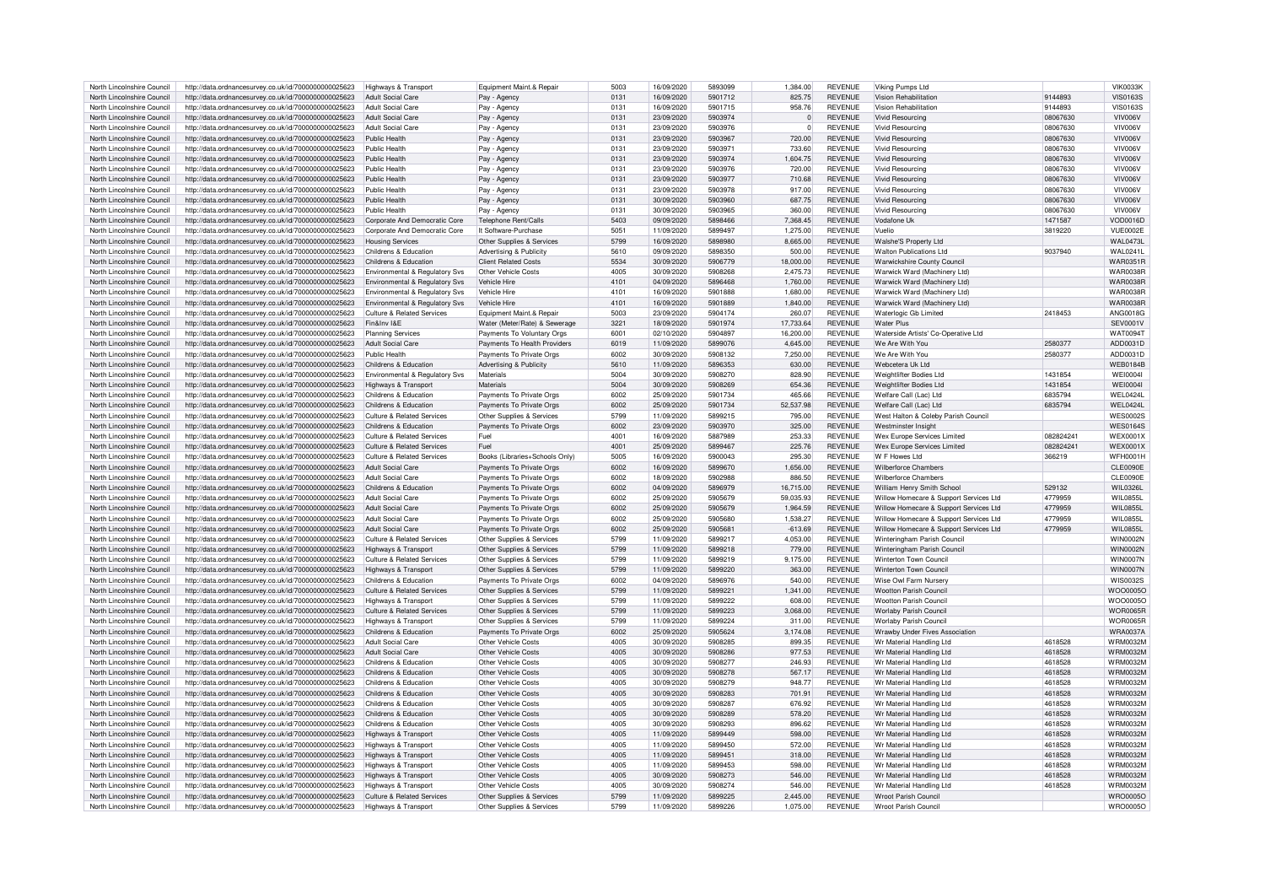| North Lincolnshire Council | http://data.ordnancesurvey.co.uk/id/7000000000025623 | Highways & Transport                  | Equipment Maint.& Repair       | 5003 | 16/09/2020 | 5893099 | 1,384.00       | <b>REVENUE</b> | Viking Pumps Ltd                       |           | <b>VIK0033K</b> |
|----------------------------|------------------------------------------------------|---------------------------------------|--------------------------------|------|------------|---------|----------------|----------------|----------------------------------------|-----------|-----------------|
| North Lincolnshire Council | http://data.ordnancesurvey.co.uk/id/7000000000025623 | <b>Adult Social Care</b>              | Pay - Agency                   | 0131 | 16/09/2020 | 5901712 | 825.75         | <b>REVENUE</b> | Vision Rehabilitation                  | 9144893   | <b>VIS0163S</b> |
|                            |                                                      |                                       |                                |      |            |         |                |                |                                        |           |                 |
| North Lincolnshire Council | http://data.ordnancesurvey.co.uk/id/7000000000025623 | <b>Adult Social Care</b>              | Pay - Agency                   | 0131 | 16/09/2020 | 5901715 | 958.76         | <b>REVENUE</b> | Vision Rehabilitation                  | 9144893   | <b>VIS0163S</b> |
| North Lincolnshire Council | http://data.ordnancesurvey.co.uk/id/7000000000025623 | <b>Adult Social Care</b>              | Pay - Agenc                    | 0131 | 23/09/2020 | 5903974 | $\overline{0}$ | REVENUE        | <b>Vivid Resourcing</b>                | 08067630  | VIV006V         |
| North Lincolnshire Council | http://data.ordnancesurvey.co.uk/id/7000000000025623 | <b>Adult Social Care</b>              | Pay - Agency                   | 0131 | 23/09/2020 | 5903976 | $\mathbf{0}$   | REVENUE        | <b>Vivid Resourcing</b>                | 08067630  | VIV006V         |
| North Lincolnshire Council | http://data.ordnancesurvey.co.uk/id/7000000000025623 | Public Health                         | Pay - Agency                   | 0131 | 23/09/2020 | 5903967 | 720.00         | REVENUE        | <b>Vivid Resourcing</b>                | 08067630  | VIV006\         |
| North Lincolnshire Council | http://data.ordnancesurvey.co.uk/id/7000000000025623 | Public Health                         |                                | 0131 | 23/09/2020 | 5903971 | 733.60         | <b>REVENUE</b> | Vivid Resourcing                       | 08067630  | VIV006V         |
|                            |                                                      |                                       | Pay - Agency                   |      |            |         |                |                |                                        |           |                 |
| North Lincolnshire Council | http://data.ordnancesurvey.co.uk/id/7000000000025623 | Public Health                         | Pay - Agency                   | 0131 | 23/09/2020 | 5903974 | 1,604.75       | <b>REVENUE</b> | <b>Vivid Resourcing</b>                | 08067630  | VIV006V         |
| North Lincolnshire Council | http://data.ordnancesurvey.co.uk/id/7000000000025623 | Public Health                         | Pay - Agency                   | 0131 | 23/09/2020 | 5903976 | 720.00         | <b>REVENUE</b> | <b>Vivid Resourcing</b>                | 08067630  | VIV006V         |
| North Lincolnshire Council | http://data.ordnancesurvey.co.uk/id/7000000000025623 | Public Health                         | Pay - Agency                   | 0131 | 23/09/2020 | 5903977 | 710.68         | <b>REVENUE</b> | <b>Vivid Resourcing</b>                | 08067630  | VIV006V         |
| North Lincolnshire Council | http://data.ordnancesurvey.co.uk/id/7000000000025623 | Public Health                         | Pay - Agency                   | 0131 | 23/09/2020 | 5903978 | 917.00         | REVENUE        | <b>Vivid Resourcing</b>                | 08067630  | VIV006V         |
|                            |                                                      |                                       |                                |      |            |         |                |                |                                        |           |                 |
| North Lincolnshire Council | http://data.ordnancesurvey.co.uk/id/7000000000025623 | Public Health                         | Pay - Agency                   | 0131 | 30/09/2020 | 5903960 | 687.75         | <b>REVENUE</b> | <b>Vivid Resourcing</b>                | 08067630  | VIV006V         |
| North Lincolnshire Council | http://data.ordnancesurvey.co.uk/id/7000000000025623 | Public Health                         | Pay - Agency                   | 0131 | 30/09/2020 | 5903965 | 360.00         | <b>REVENUE</b> | <b>Vivid Resourcing</b>                | 08067630  | VIV006V         |
| North Lincolnshire Council | http://data.ordnancesurvey.co.uk/id/7000000000025623 | Corporate And Democratic Core         | Telephone Rent/Calls           | 5403 | 09/09/2020 | 5898466 | 7,368.45       | <b>REVENUE</b> | Vodafone Uk                            | 1471587   | VOD0016D        |
| North Lincolnshire Council | http://data.ordnancesurvey.co.uk/id/7000000000025623 | Corporate And Democratic Core         | It Software-Purchase           | 5051 | 11/09/2020 | 5899497 | 1,275.00       | <b>REVENUE</b> | Vuelic                                 | 3819220   | <b>VUE0002E</b> |
| North Lincolnshire Council | http://data.ordnancesurvey.co.uk/id/7000000000025623 | <b>Housing Services</b>               | Other Supplies & Services      | 5799 | 16/09/2020 | 5898980 | 8.665.00       | <b>REVENUE</b> | Walshe'S Property Ltd                  |           | WAL0473L        |
|                            |                                                      |                                       |                                |      |            |         |                |                |                                        |           |                 |
| North Lincolnshire Council | http://data.ordnancesurvey.co.uk/id/7000000000025623 | Childrens & Education                 | Advertising & Publicity        | 5610 | 09/09/2020 | 5898350 | 500.00         | <b>REVENUE</b> | Walton Publications I to               | 9037940   | <b>WAL0241L</b> |
| North Lincolnshire Council | http://data.ordnancesurvey.co.uk/id/7000000000025623 | Childrens & Education                 | <b>Client Related Costs</b>    | 5534 | 30/09/2020 | 5906779 | 18,000.00      | <b>REVENUE</b> | Warwickshire County Council            |           | <b>WAR0351F</b> |
| North Lincolnshire Council | http://data.ordnancesurvey.co.uk/id/7000000000025623 | Environmental & Regulatory Svs        | Other Vehicle Costs            | 4005 | 30/09/2020 | 5908268 | 2.475.73       | <b>REVENUE</b> | Warwick Ward (Machinery Ltd            |           | <b>WAR0038F</b> |
| North Lincolnshire Council | http://data.ordnancesurvey.co.uk/id/7000000000025623 | Environmental & Regulatory Svs        | Vehicle Hire                   | 4101 | 04/09/2020 | 5896468 | 1,760.00       | REVENUE        | Warwick Ward (Machinery Ltd            |           | <b>WAR0038F</b> |
| North Lincolnshire Council | http://data.ordnancesurvey.co.uk/id/7000000000025623 | Environmental & Regulatory Svs        | Vehicle Hire                   | 4101 | 16/09/2020 | 5901888 | 1,680.00       | REVENUE        | Warwick Ward (Machinery Ltd)           |           | <b>WAR0038F</b> |
|                            |                                                      |                                       |                                |      |            |         |                |                |                                        |           |                 |
| North Lincolnshire Council | http://data.ordnancesurvey.co.uk/id/7000000000025623 | Environmental & Regulatory Svs        | Vehicle Hire                   | 4101 | 16/09/2020 | 5901889 | 1.840.00       | <b>REVENUE</b> | Warwick Ward (Machinery Ltd)           |           | <b>WAR0038F</b> |
| North Lincolnshire Council | http://data.ordnancesurvey.co.uk/id/7000000000025623 | Culture & Related Services            | Equipment Maint.& Repair       | 5003 | 23/09/2020 | 5904174 | 260.07         | <b>REVENUE</b> | Waterlogic Gb Limited                  | 2418453   | ANG0018G        |
| North Lincolnshire Council | http://data.ordnancesurvey.co.uk/id/7000000000025623 | Fin&Inv I&F                           | Water (Meter/Rate) & Sewerage  | 3221 | 18/09/2020 | 5901974 | 17,733.64      | <b>REVENUE</b> | <b>Water Plus</b>                      |           | <b>SEV0001V</b> |
| North Lincolnshire Council | http://data.ordnancesurvey.co.uk/id/7000000000025623 | <b>Planning Services</b>              | Payments To Voluntary Orgs     | 6001 | 02/10/2020 | 5904897 | 16.200.00      | REVENUE        | Waterside Artists' Co-Operative Ltd    |           | <b>WAT0094T</b> |
|                            |                                                      |                                       |                                |      |            | 5899076 |                |                |                                        |           |                 |
| North Lincolnshire Council | http://data.ordnancesurvey.co.uk/id/7000000000025623 | <b>Adult Social Care</b>              | Payments To Health Providers   | 6019 | 11/09/2020 |         | 4,645.00       | <b>REVENUE</b> | We Are With You                        | 2580377   | ADD0031D        |
| North Lincolnshire Council | http://data.ordnancesurvey.co.uk/id/7000000000025623 | Public Health                         | Payments To Private Orgs       | 6002 | 30/09/2020 | 5908132 | 7.250.00       | <b>REVENUE</b> | We Are With You                        | 2580377   | ADD0031D        |
| North Lincolnshire Council | http://data.ordnancesurvey.co.uk/id/7000000000025623 | Childrens & Education                 | Advertising & Publicity        | 5610 | 11/09/2020 | 5896353 | 630.00         | <b>REVENUE</b> | Webcetera Uk Ltd                       |           | <b>WEB0184B</b> |
| North Lincolnshire Council | http://data.ordnancesurvey.co.uk/id/7000000000025623 | Environmental & Regulatory Svs        | Materials                      | 5004 | 30/09/2020 | 5908270 | 828.90         | <b>REVENUE</b> | Weightlifter Bodies Ltd                | 1431854   | <b>WEI0004I</b> |
| North Lincolnshire Council |                                                      |                                       | Materials                      | 5004 | 30/09/2020 | 5908269 | 654.36         | <b>REVENUE</b> | Weightlifter Bodies Ltd                | 1431854   | <b>WEI0004I</b> |
|                            | http://data.ordnancesurvey.co.uk/id/7000000000025623 | Highways & Transport                  |                                |      |            |         |                |                |                                        |           |                 |
| North Lincolnshire Council | http://data.ordnancesurvey.co.uk/id/7000000000025623 | Childrens & Education                 | Payments To Private Orgs       | 6002 | 25/09/2020 | 5901734 | 465.66         | REVENUE        | Welfare Call (Lac) Ltd                 | 6835794   | WEL0424L        |
| North Lincolnshire Council | http://data.ordnancesurvey.co.uk/id/7000000000025623 | Childrens & Education                 | Payments To Private Orgs       | 6002 | 25/09/2020 | 5901734 | 52,537.98      | <b>REVENUE</b> | Welfare Call (Lac) Ltd                 | 6835794   | WEL0424L        |
| North Lincolnshire Council | http://data.ordnancesurvey.co.uk/id/7000000000025623 | <b>Culture &amp; Related Services</b> | Other Supplies & Services      | 5799 | 11/09/2020 | 5899215 | 795.00         | <b>REVENUE</b> | West Halton & Coleby Parish Council    |           | <b>WES0002S</b> |
| North Lincolnshire Council | http://data.ordnancesurvey.co.uk/id/7000000000025623 | Childrens & Education                 | Payments To Private Orgs       | 6002 | 23/09/2020 | 5903970 | 325.00         | <b>REVENUE</b> | Westminster Insight                    |           | <b>WES0164S</b> |
|                            |                                                      |                                       |                                |      |            |         |                |                |                                        |           |                 |
| North Lincolnshire Council | http://data.ordnancesurvey.co.uk/id/7000000000025623 | Culture & Related Services            | Fuel                           | 4001 | 16/09/2020 | 5887989 | 253.33         | <b>REVENUE</b> | Wex Furone Services Limited            | 082824241 | WEX0001X        |
| North Lincolnshire Council | http://data.ordnancesurvey.co.uk/id/7000000000025623 | Culture & Related Services            | Fuel                           | 4001 | 25/09/2020 | 5899467 | 225.76         | <b>REVENUE</b> | Wex Europe Services Limited            | 082824241 | WEX0001X        |
| North Lincolnshire Council | http://data.ordnancesurvey.co.uk/id/7000000000025623 | Culture & Related Services            | Books (Libraries+Schools Only) | 5005 | 16/09/2020 | 5900043 | 295.30         | <b>REVENUE</b> | W F Howes I td                         | 366219    | WEH0001F        |
| North Lincolnshire Council | http://data.ordnancesurvey.co.uk/id/7000000000025623 | <b>Adult Social Care</b>              | Payments To Private Orgs       | 6002 | 16/09/2020 | 5899670 | 1,656.00       | REVENUE        | <b>Wilberforce Chambers</b>            |           | <b>CLE0090E</b> |
| North Lincolnshire Council | http://data.ordnancesurvey.co.uk/id/7000000000025623 | <b>Adult Social Care</b>              | Payments To Private Orgs       | 6002 | 18/09/2020 | 5902988 | 886.50         | REVENUE        | <b>Wilberforce Chambers</b>            |           | CLE0090E        |
|                            |                                                      |                                       |                                |      |            |         |                |                |                                        |           |                 |
| North Lincolnshire Council | http://data.ordnancesurvey.co.uk/id/7000000000025623 | Childrens & Education                 | Payments To Private Orgs       | 6002 | 04/09/2020 | 5896979 | 16,715.00      | REVENUE        | William Henry Smith School             | 529132    | WIL0326L        |
| North Lincolnshire Council | http://data.ordnancesurvey.co.uk/id/7000000000025623 | Adult Social Care                     | Payments To Private Orgs       | 6002 | 25/09/2020 | 5905679 | 59.035.93      | REVENUE        | Willow Homecare & Support Services Ltd | 4779959   | <b>WIL0855L</b> |
| North Lincolnshire Council | http://data.ordnancesurvey.co.uk/id/7000000000025623 | <b>Adult Social Care</b>              | Payments To Private Orgs       | 6002 | 25/09/2020 | 5905679 | 1,964.59       | <b>REVENUE</b> | Willow Homecare & Support Services Ltd | 4779959   | WIL 0855L       |
| North Lincolnshire Council | http://data.ordnancesurvey.co.uk/id/7000000000025623 | <b>Adult Social Care</b>              | Payments To Private Orgs       | 6002 | 25/09/2020 | 5905680 | 1,538.27       | <b>REVENUE</b> | Willow Homecare & Support Services Ltd | 4779959   | <b>WIL0855L</b> |
| North Lincolnshire Council | http://data.ordnancesurvey.co.uk/id/7000000000025623 | <b>Adult Social Care</b>              | Payments To Private Orgs       | 6002 | 25/09/2020 | 590568  | $-613.69$      | <b>REVENUE</b> | Willow Homecare & Support Services Ltd | 4779959   | <b>WIL0855L</b> |
|                            |                                                      |                                       |                                |      |            |         |                |                |                                        |           |                 |
| North Lincolnshire Council | http://data.ordnancesurvey.co.uk/id/7000000000025623 | <b>Culture &amp; Related Services</b> | Other Supplies & Services      | 5799 | 11/09/2020 | 5899217 | 4.053.00       | REVENUE        | Winteringham Parish Council            |           | WIN0002N        |
| North Lincolnshire Council | http://data.ordnancesurvey.co.uk/id/7000000000025623 | Highways & Transport                  | Other Supplies & Services      | 5799 | 11/09/2020 | 5899218 | 779.00         | <b>REVENUE</b> | Winteringham Parish Council            |           | <b>WIN0002N</b> |
| North Lincolnshire Council | http://data.ordnancesurvey.co.uk/id/7000000000025623 | <b>Culture &amp; Related Services</b> | Other Supplies & Services      | 5799 | 11/09/2020 | 5899219 | 9,175.00       | <b>REVENUE</b> | Winterton Town Council                 |           | WIN0007N        |
| North Lincolnshire Council | http://data.ordnancesurvey.co.uk/id/7000000000025623 | Highways & Transport                  | Other Supplies & Services      | 5799 | 11/09/2020 | 5899220 | 363.00         | <b>REVENUE</b> | Winterton Town Council                 |           | <b>WIN0007N</b> |
| North Lincolnshire Council | http://data.ordnancesurvey.co.uk/id/7000000000025623 | Childrens & Education                 | Payments To Private Orgs       | 6002 | 04/09/2020 | 5896976 | 540.00         | <b>REVENUE</b> | Wise Owl Farm Nursen                   |           | WIS0032S        |
|                            |                                                      |                                       |                                |      |            |         |                |                |                                        |           |                 |
| North Lincolnshire Council | http://data.ordnancesurvey.co.uk/id/7000000000025623 | Culture & Related Services            | Other Supplies & Services      | 5799 | 11/09/2020 | 5899221 | 1,341.00       | <b>REVENUE</b> | <b>Wootton Parish Counci</b>           |           | WOO0005C        |
| North Lincolnshire Council | http://data.ordnancesurvey.co.uk/id/7000000000025623 | Highways & Transport                  | Other Supplies & Services      | 5799 | 11/09/2020 | 5899222 | 608.00         | <b>REVENUE</b> | <b>Wootton Parish Council</b>          |           | WOO0005C        |
| North Lincolnshire Council | http://data.ordnancesurvey.co.uk/id/7000000000025623 | <b>Culture &amp; Related Services</b> | Other Supplies & Services      | 5799 | 11/09/2020 | 5899223 | 3,068.00       | <b>REVENUE</b> | <b>Worlaby Parish Council</b>          |           | <b>WOR0065R</b> |
| North Lincolnshire Council | http://data.ordnancesurvey.co.uk/id/7000000000025623 | Highways & Transport                  | Other Supplies & Services      | 5799 | 11/09/2020 | 5899224 | 311.00         | REVENUE        | <b>Worlaby Parish Council</b>          |           | WOR0065F        |
|                            |                                                      |                                       |                                |      |            |         |                |                |                                        |           |                 |
| North Lincolnshire Council | http://data.ordnancesurvey.co.uk/id/7000000000025623 | Childrens & Education                 | Payments To Private Orgs       | 6002 | 25/09/2020 | 5905624 | 3,174.08       | REVENUE        | Wrawby Under Fives Association         |           | WRA0037A        |
| North Lincolnshire Council | http://data.ordnancesurvey.co.uk/id/7000000000025623 | <b>Adult Social Care</b>              | Other Vehicle Costs            | 4005 | 30/09/2020 | 5908285 | 899.35         | REVENUE        | Wr Material Handling Ltd               | 4618528   | WRM0032M        |
| North Lincolnshire Council | http://data.ordnancesurvey.co.uk/id/7000000000025623 | <b>Adult Social Care</b>              | Other Vehicle Costs            | 4005 | 30/09/2020 | 5908286 | 977.53         | <b>REVENUE</b> | Wr Material Handling Ltd               | 4618528   | WRM0032M        |
| North Lincolnshire Council | http://data.ordnancesurvey.co.uk/id/7000000000025623 | Childrens & Education                 | Other Vehicle Costs            | 4005 | 30/09/2020 | 5908277 | 246.93         | <b>REVENUE</b> | Wr Material Handling Ltd               | 4618528   | WRM0032M        |
| North Lincolnshire Council | http://data.ordnancesurvey.co.uk/id/7000000000025623 | Childrens & Education                 | Other Vehicle Costs            | 4005 | 30/09/2020 | 5908278 | 567.17         | <b>REVENUE</b> | Wr Material Handling Ltd               | 4618528   | <b>WRM0032N</b> |
| North Lincolnshire Council | http://data.ordnancesurvey.co.uk/id/7000000000025623 | Childrens & Education                 | Other Vehicle Costs            | 4005 | 30/09/2020 | 5908279 | 948.77         | REVENUE        | Wr Material Handling Ltd               | 4618528   | WRM0032M        |
|                            |                                                      |                                       |                                |      |            |         |                |                |                                        |           |                 |
| North Lincolnshire Council | http://data.ordnancesurvey.co.uk/id/7000000000025623 | Childrens & Education                 | Other Vehicle Costs            | 4005 | 30/09/2020 | 5908283 | 701.91         | REVENUE        | Wr Material Handling Ltd               | 4618528   | WRM0032M        |
| North Lincolnshire Council | http://data.ordnancesurvey.co.uk/id/7000000000025623 | Childrens & Education                 | Other Vehicle Costs            | 4005 | 30/09/2020 | 5908287 | 676.92         | <b>REVENUE</b> | Wr Material Handling Ltd               | 4618528   | <b>WRM0032N</b> |
| North Lincolnshire Council | http://data.ordnancesurvey.co.uk/id/7000000000025623 | Childrens & Education                 | Other Vehicle Costs            | 4005 | 30/09/2020 | 5908289 | 578.20         | <b>REVENUE</b> | Wr Material Handling Ltd               | 4618528   | <b>WRM0032N</b> |
| North Lincolnshire Council | http://data.ordnancesurvey.co.uk/id/7000000000025623 | Childrens & Education                 | Other Vehicle Costs            | 4005 | 30/09/2020 | 5908293 | 896.62         | <b>REVENUE</b> | Wr Material Handling Ltd               | 4618528   | WRM0032M        |
| North Lincolnshire Council | http://data.ordnancesurvey.co.uk/id/7000000000025623 | Highways & Transpor                   | Other Vehicle Costs            | 4005 | 11/09/2020 | 5899449 | 598.00         | <b>REVENUE</b> | Wr Material Handling Ltd               | 4618528   | <b>WRM0032M</b> |
|                            |                                                      |                                       |                                |      |            |         |                |                |                                        |           |                 |
| North Lincolnshire Council | http://data.ordnancesurvey.co.uk/id/7000000000025623 | Highways & Transport                  | Other Vehicle Costs            | 4005 | 11/09/2020 | 5899450 | 572.00         | <b>REVENUE</b> | Wr Material Handling Ltd               | 4618528   | <b>WRM0032N</b> |
| North Lincolnshire Council | http://data.ordnancesurvey.co.uk/id/7000000000025623 | <b>Highways &amp; Transport</b>       | Other Vehicle Costs            | 4005 | 11/09/2020 | 5899451 | 318.00         | <b>REVENUE</b> | Wr Material Handling I td              | 4618528   | <b>WRM0032M</b> |
| North Lincolnshire Council | http://data.ordnancesurvey.co.uk/id/7000000000025623 | Highways & Transpor                   | Other Vehicle Costs            | 4005 | 11/09/2020 | 5899453 | 598.00         | <b>REVENUE</b> | Wr Material Handling I td              | 4618528   | <b>WRM0032N</b> |
| North Lincolnshire Council | http://data.ordnancesurvey.co.uk/id/7000000000025623 | Highways & Transport                  | Other Vehicle Costs            | 4005 | 30/09/2020 | 5908273 | 546.00         | <b>REVENUE</b> | Wr Material Handling Ltd               | 4618528   | <b>WRM0032M</b> |
|                            |                                                      |                                       |                                |      |            |         |                |                |                                        |           |                 |
| North Lincolnshire Council | http://data.ordnancesurvey.co.uk/id/7000000000025623 | <b>Highways &amp; Transport</b>       | Other Vehicle Costs            | 4005 | 30/09/2020 | 5908274 | 546.00         | <b>REVENUE</b> | Wr Material Handling Ltd               | 4618528   | <b>WRM0032M</b> |
| North Lincolnshire Council | http://data.ordnancesurvey.co.uk/id/7000000000025623 | Culture & Related Services            | Other Supplies & Services      | 5799 | 11/09/2020 | 5899225 | 2,445.00       | <b>REVENUE</b> | <b>Wroot Parish Council</b>            |           | <b>WRO0005C</b> |
| North Lincolnshire Council | http://data.ordnancesurvey.co.uk/id/7000000000025623 | Highways & Transpor                   | Other Supplies & Services      | 5799 | 11/09/2020 | 5899226 | 1.075.00       | <b>REVENUE</b> | Wroot Parish Council                   |           | WRO0005O        |